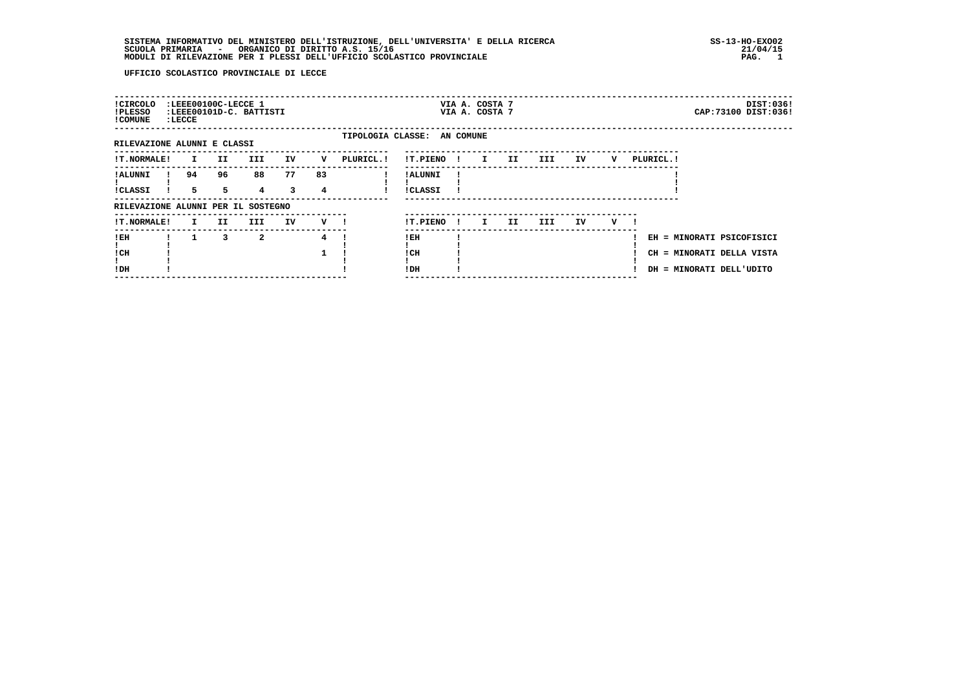| ! CIRCOLO<br>!PLESSO<br>! COMUNE   | :LEEE00100C-LECCE 1<br>: LECCE |         | :LEEE00101D-C. BATTISTI |         |         |                             |                            |      | VIA A. COSTA 7<br>VIA A. COSTA 7 |     |      |    |   |           | DIST:036!<br>CAP: 73100 DIST: 036!                                                 |
|------------------------------------|--------------------------------|---------|-------------------------|---------|---------|-----------------------------|----------------------------|------|----------------------------------|-----|------|----|---|-----------|------------------------------------------------------------------------------------|
| RILEVAZIONE ALUNNI E CLASSI        |                                |         |                         |         |         | TIPOLOGIA CLASSE: AN COMUNE |                            |      |                                  |     |      |    |   |           |                                                                                    |
| !T.NORMALE!                        | $\mathbf{I}$                   | II.     | III                     | IV      | v       | PLURICL.!                   | !T.PIENO!                  |      | $\mathbf{I}$                     | II. | III  | IV | v | PLURICL.! |                                                                                    |
| <b>!ALUNNI</b><br><b>!CLASSI</b>   | 94<br>$5^{\circ}$              | 96<br>5 | 88<br>$4^{\circ}$       | 77<br>3 | 83<br>4 |                             | ! ALUNNI<br><b>!CLASSI</b> |      |                                  |     |      |    |   |           |                                                                                    |
| RILEVAZIONE ALUNNI PER IL SOSTEGNO |                                |         |                         |         |         |                             |                            |      |                                  |     |      |    |   |           |                                                                                    |
| !T.NORMALE!                        | $\mathbf{I}$                   | II.     | III                     | IV      | v       |                             | !T.PIENO                   | - 11 | I.                               | II. | III. | IV | v |           |                                                                                    |
| !EH<br>! CH<br>!DH                 | $\mathbf{1}$                   | 3       | $\mathbf{2}$            |         | 4       |                             | $!$ EH<br>! CH<br>!DH      |      |                                  |     |      |    |   |           | EH = MINORATI PSICOFISICI<br>CH = MINORATI DELLA VISTA<br>DH = MINORATI DELL'UDITO |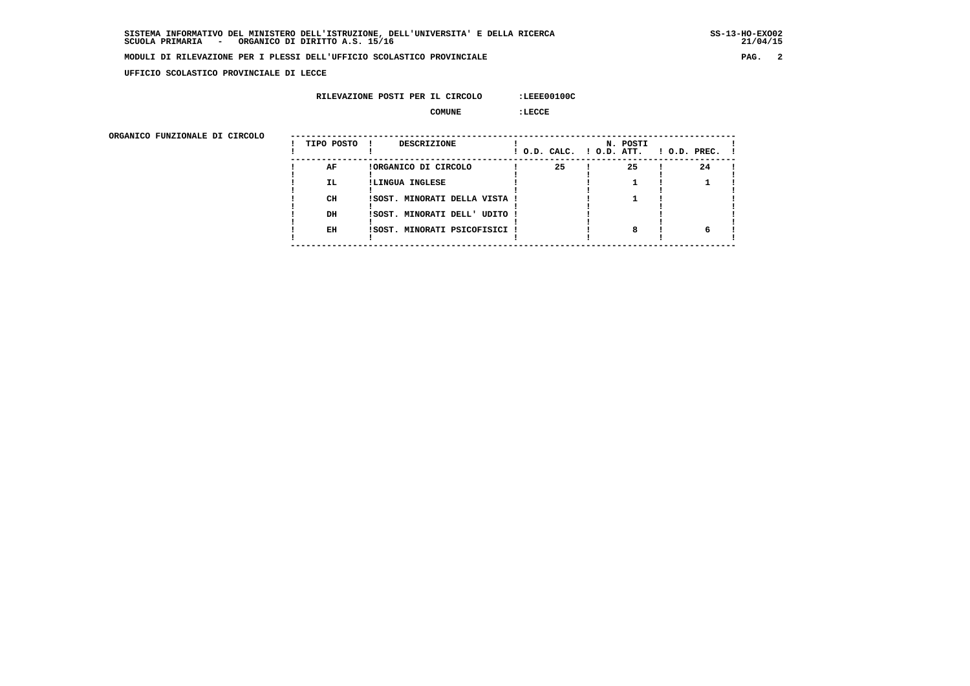$21/04/15$ 

### **MODULI DI RILEVAZIONE PER I PLESSI DELL'UFFICIO SCOLASTICO PROVINCIALE PAG. 2**

 **UFFICIO SCOLASTICO PROVINCIALE DI LECCE**

### **RILEVAZIONE POSTI PER IL CIRCOLO :LEEE00100C**

 **COMUNE :LECCE**

| ORGANICO FUNZIONALE DI CIRCOLO | TIPO POSTO | <b>DESCRIZIONE</b>            |    | N. POSTI<br>! O.D. CALC. ! O.D. ATT. | $1$ O.D. PREC. $1$ |  |
|--------------------------------|------------|-------------------------------|----|--------------------------------------|--------------------|--|
|                                | AF         | !ORGANICO DI CIRCOLO          | 25 | 25                                   | 24                 |  |
|                                | <b>IL</b>  | !LINGUA INGLESE               |    |                                      |                    |  |
|                                | CH         | ISOST. MINORATI DELLA VISTA ! |    |                                      |                    |  |
|                                | DH         | ISOST. MINORATI DELL' UDITO ! |    |                                      |                    |  |
|                                | EH         | !SOST. MINORATI PSICOFISICI ! |    |                                      |                    |  |
|                                |            |                               |    |                                      |                    |  |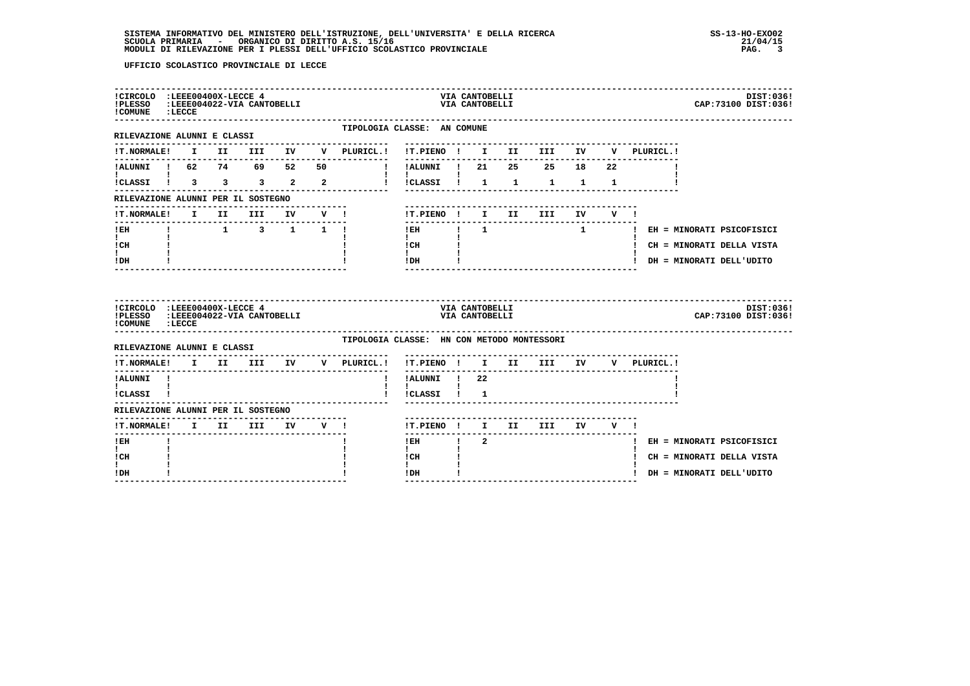| !CIRCOLO :LEEE00400X-LECCE 4<br>!PLESSO :LEEE004022-VIA CANTOBELLI<br>! COMUNE : LECCE |  |                                       |  |                                |                                            | VIA CANTOBELLI                   | VIA CANTOBELLI |             |  |             | CAP: 73100 DIST: 036!         | DIST:036! |
|----------------------------------------------------------------------------------------|--|---------------------------------------|--|--------------------------------|--------------------------------------------|----------------------------------|----------------|-------------|--|-------------|-------------------------------|-----------|
| RILEVAZIONE ALUNNI E CLASSI                                                            |  |                                       |  |                                | TIPOLOGIA CLASSE: AN COMUNE                |                                  |                |             |  |             |                               |           |
|                                                                                        |  |                                       |  |                                |                                            |                                  |                |             |  | V PLURICL.! |                               |           |
| !ALUNNI ! 62 74 69 52 50                                                               |  |                                       |  | $\mathbf{I}$                   | !ALUNNI ! 21                               |                                  |                | 25 25 18 22 |  |             |                               |           |
| $\mathbf{I}$ and $\mathbf{I}$ and $\mathbf{I}$<br>ICLASSI 1 3 3 3 2 2                  |  |                                       |  |                                | !!CLASSI ! 1 1 1 1 1                       |                                  |                |             |  |             |                               |           |
| RILEVAZIONE ALUNNI PER IL SOSTEGNO                                                     |  |                                       |  |                                |                                            |                                  |                |             |  |             |                               |           |
| !T.NORMALE! I II III IV V !                                                            |  |                                       |  |                                | !T.PIENO! I II III IV V!                   |                                  |                |             |  |             |                               |           |
| $!$ EH                                                                                 |  |                                       |  | $1 \t 1 \t 3 \t 1 \t 1$        | ---------------<br>$1$ EH $1$ $1$          |                                  |                |             |  |             | 1   EH = MINORATI PSICOFISICI |           |
| $\mathbf{I}$ and $\mathbf{I}$<br>ICH                                                   |  |                                       |  |                                | $\mathbf{I}$<br>l CH                       |                                  |                |             |  |             | ! CH = MINORATI DELLA VISTA   |           |
| $\mathbf{I}$<br>! DH                                                                   |  |                                       |  |                                | $\mathbf{I}$<br>$!$ $\Box$ $\Box$ $!$      |                                  |                |             |  |             | ! DH = MINORATI DELL'UDITO    |           |
|                                                                                        |  |                                       |  |                                |                                            |                                  |                |             |  |             |                               |           |
| !CIRCOLO :LEEE00400X-LECCE 4<br>!PLESSO :LEEE004022-VIA CANTOBELLI<br>! COMUNE : LECCE |  |                                       |  |                                |                                            | VIA CANTOBELLI<br>VIA CANTOBELLI |                |             |  |             | CAP: 73100 DIST: 036!         | DIST:036! |
| RILEVAZIONE ALUNNI E CLASSI                                                            |  |                                       |  |                                | TIPOLOGIA CLASSE: HN CON METODO MONTESSORI |                                  |                |             |  |             |                               |           |
| !T.NORMALE! I II III                                                                   |  |                                       |  | . <u>.</u> .<br>IV V PLURICL.! | !T.PIENO ! I II III IV                     |                                  |                |             |  | V PLURICL.! |                               |           |
| ---------<br>!ALUNNI !                                                                 |  | ------------------------------------- |  |                                | !ALUNNI ! 22                               |                                  |                |             |  |             |                               |           |
| $\mathbf{I}$ and $\mathbf{I}$ and $\mathbf{I}$<br>!CLASSI !                            |  |                                       |  |                                | $\mathbf{I}$<br>!CLASSI ! 1                |                                  |                |             |  |             |                               |           |
| RILEVAZIONE ALUNNI PER IL SOSTEGNO                                                     |  |                                       |  |                                |                                            |                                  |                |             |  |             |                               |           |
| !T.NORMALE! I II III IV V !                                                            |  |                                       |  |                                | !T.PIENO ! I II III IV V !                 |                                  |                |             |  |             |                               |           |
| --------------<br>! EH                                                                 |  |                                       |  |                                | $!$ EH                                     | $\frac{1}{2}$                    |                |             |  |             | ! EH = MINORATI PSICOFISICI   |           |
| $\mathbf{I}$<br>! CH<br>I.                                                             |  |                                       |  |                                | $\mathbf{I}$<br>! CH<br>$\mathbf{I}$       |                                  |                |             |  |             | ! CH = MINORATI DELLA VISTA   |           |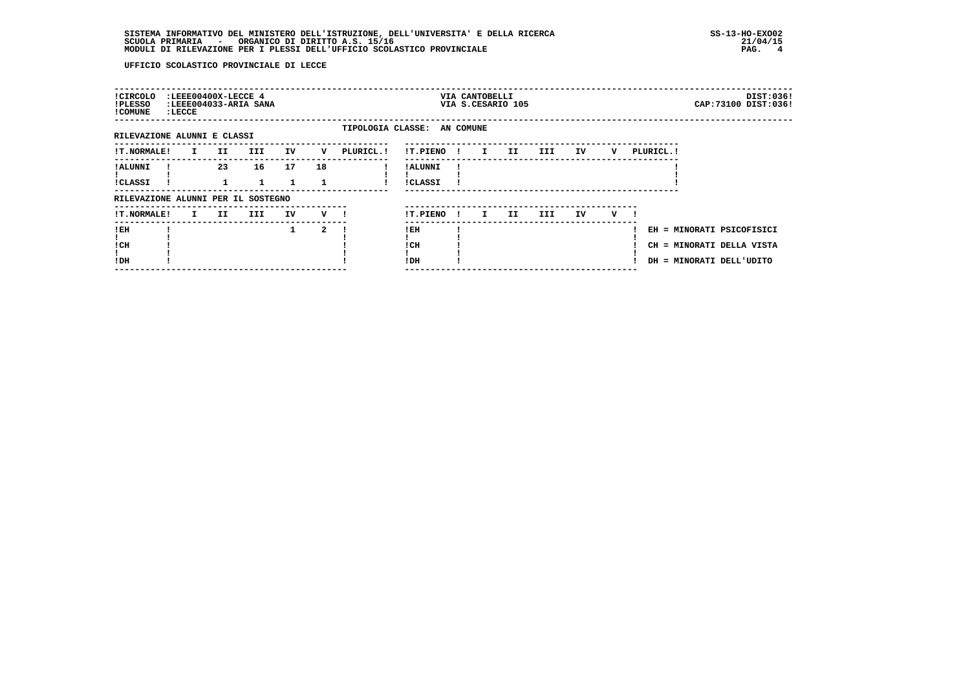| ! CIRCOLO<br>!PLESSO<br>! COMUNE   | : LECCE      | :LEEE00400X-LECCE 4 | :LEEE004033-ARIA SANA |          |                |            |                             |      | VIA CANTOBELLI<br>VIA S.CESARIO 105 |    |            |    |   |            | DIST:036!<br>CAP: 73100 DIST: 036!                                                 |  |
|------------------------------------|--------------|---------------------|-----------------------|----------|----------------|------------|-----------------------------|------|-------------------------------------|----|------------|----|---|------------|------------------------------------------------------------------------------------|--|
| RILEVAZIONE ALUNNI E CLASSI        |              |                     |                       |          |                |            | TIPOLOGIA CLASSE: AN COMUNE |      |                                     |    |            |    |   |            |                                                                                    |  |
| <b>!T.NORMALE!</b>                 | $\mathbf{I}$ | II                  | <b>III</b>            | IV       | v              | PLURICL. ! | !T.PIENO                    | - 11 | $\mathbf{I}$                        | II | III        | IV | v | PLURICL. ! |                                                                                    |  |
| ! ALUNNI<br><b>!CLASSI</b>         |              | 23                  | 16                    | 17<br>1. | 18             |            | ! ALUNNI<br><b>!CLASSI</b>  |      |                                     |    |            |    |   |            |                                                                                    |  |
| RILEVAZIONE ALUNNI PER IL SOSTEGNO |              |                     |                       |          |                |            |                             |      |                                     |    |            |    |   |            |                                                                                    |  |
| <b>!T.NORMALE!</b>                 | $\mathbf{I}$ | II.                 | III                   | IV       | $\mathbf{v}$ 1 |            | !T.PIENO                    | -11  | I.                                  | II | <b>III</b> | IV | v |            |                                                                                    |  |
| !EH<br>! CH<br>!DH                 |              |                     |                       | 1        | 2              |            | !EH<br>! CH<br>!DH          |      |                                     |    |            |    |   |            | EH = MINORATI PSICOFISICI<br>CH = MINORATI DELLA VISTA<br>DH = MINORATI DELL'UDITO |  |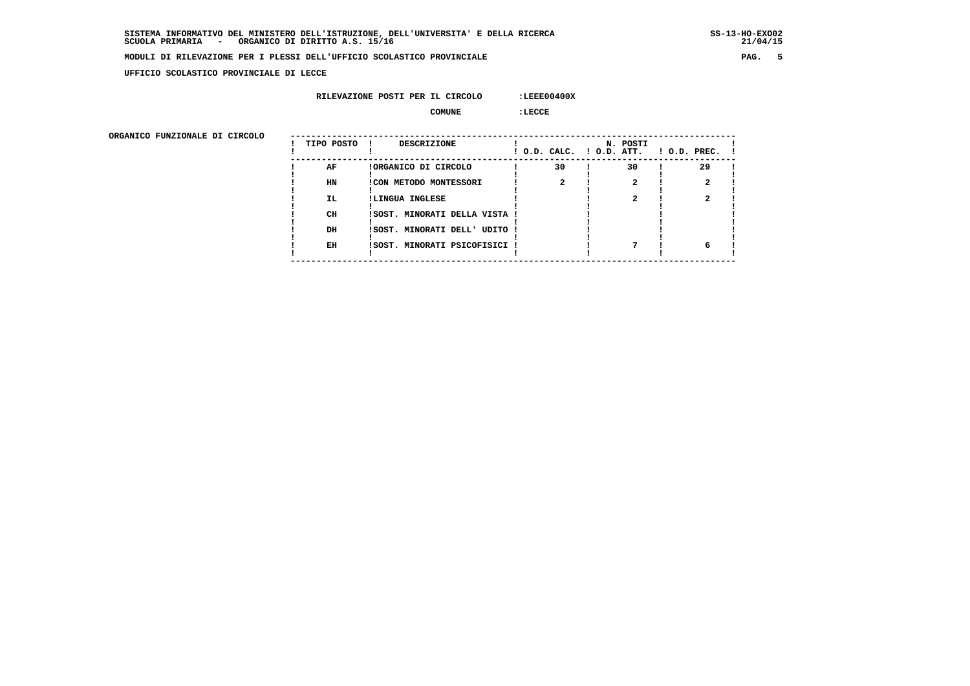$21/04/15$ 

### **MODULI DI RILEVAZIONE PER I PLESSI DELL'UFFICIO SCOLASTICO PROVINCIALE PAG. 5**

 **UFFICIO SCOLASTICO PROVINCIALE DI LECCE**

### **RILEVAZIONE POSTI PER IL CIRCOLO :LEEE00400X**

 **COMUNE :LECCE**

ORGANICO FUNZIONALE DI CIRCOLO

| ORGANICO FUNZIONALE DI CIRCOLO |            |                               |    |          |                                                 |
|--------------------------------|------------|-------------------------------|----|----------|-------------------------------------------------|
|                                | TIPO POSTO | DESCRIZIONE<br>$\mathbf{I}$   |    | N. POSTI | $!$ O.D. CALC. $!$ O.D. ATT. $!$ O.D. PREC. $!$ |
|                                | AF         | !ORGANICO DI CIRCOLO          | 30 | 30       | 29                                              |
|                                | HN         | <b>!CON METODO MONTESSORI</b> |    |          |                                                 |
|                                | IL.        | !LINGUA INGLESE               |    |          |                                                 |
|                                | CH         | ISOST. MINORATI DELLA VISTA ! |    |          |                                                 |
|                                | DH         | ISOST. MINORATI DELL' UDITO   |    |          |                                                 |
|                                | EH         | !SOST. MINORATI PSICOFISICI ! |    |          |                                                 |
|                                |            |                               |    |          |                                                 |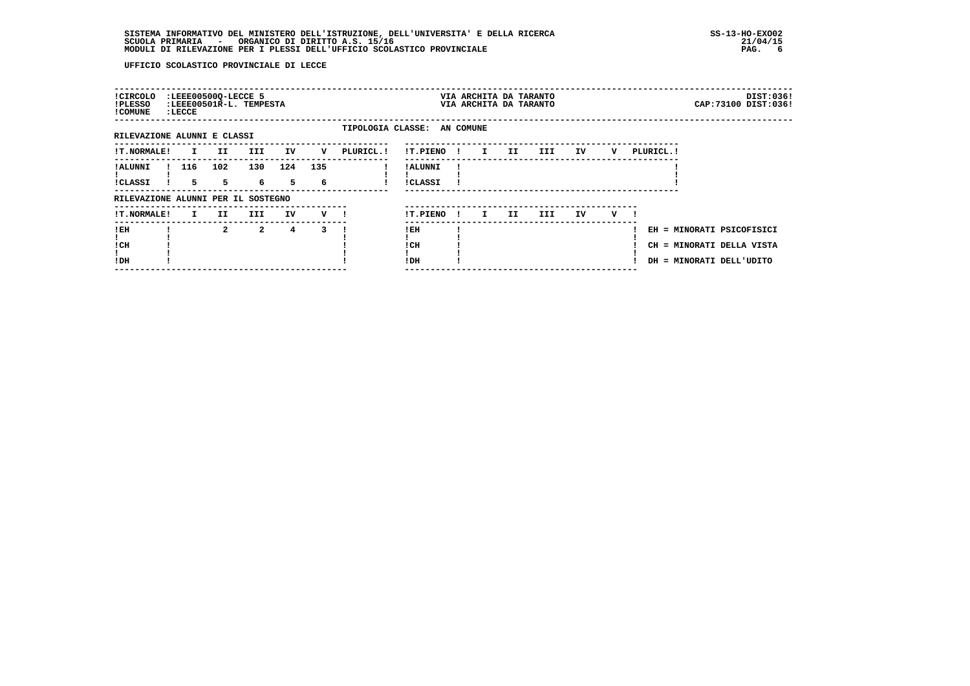| ! CIRCOLO<br>!PLESSO<br>! COMUNE   | : LECCE            | :LEEE00500Q-LECCE 5 | :LEEE00501R-L. TEMPESTA |     |                          |           |                             |              | VIA ARCHITA DA TARANTO<br>VIA ARCHITA DA TARANTO |    |      |    |   |                                                                                    |  | DIST:036!<br>CAP: 73100 DIST: 036! |
|------------------------------------|--------------------|---------------------|-------------------------|-----|--------------------------|-----------|-----------------------------|--------------|--------------------------------------------------|----|------|----|---|------------------------------------------------------------------------------------|--|------------------------------------|
| RILEVAZIONE ALUNNI E CLASSI        |                    |                     |                         |     |                          |           | TIPOLOGIA CLASSE: AN COMUNE |              |                                                  |    |      |    |   |                                                                                    |  |                                    |
| <b>!T.NORMALE!</b>                 | $\mathbf{I}$       | II.                 | III                     | IV  | V                        | PLURICL.! | !T.PIENO!                   |              | $\mathbf{I}$ and $\mathbf{I}$                    | II | III) | IV | v | PLURICL. !                                                                         |  |                                    |
| ! ALUNNI<br>!CLASSI                | 116<br>$5^{\circ}$ | 102<br>$5 - 1$      | 130<br>6 —              | 124 | 135<br>$5^{\circ}$<br>-6 |           | ! ALUNNI<br>!CLASSI         |              |                                                  |    |      |    |   |                                                                                    |  |                                    |
| RILEVAZIONE ALUNNI PER IL SOSTEGNO |                    |                     |                         |     |                          |           |                             |              |                                                  |    |      |    |   |                                                                                    |  |                                    |
| !T.NORMALE!                        | I.                 | II.                 | III                     | IV  | $V$ $l$                  |           | !T.PIENO                    | $\mathbf{I}$ | I.                                               | II | III. | IV | v |                                                                                    |  |                                    |
| ! EH<br>! CH<br>!DH                |                    | $\overline{2}$      | $\overline{a}$          | 4   | 3                        |           | ! EH<br>! CH<br>!DH         |              |                                                  |    |      |    |   | EH = MINORATI PSICOFISICI<br>CH = MINORATI DELLA VISTA<br>DH = MINORATI DELL'UDITO |  |                                    |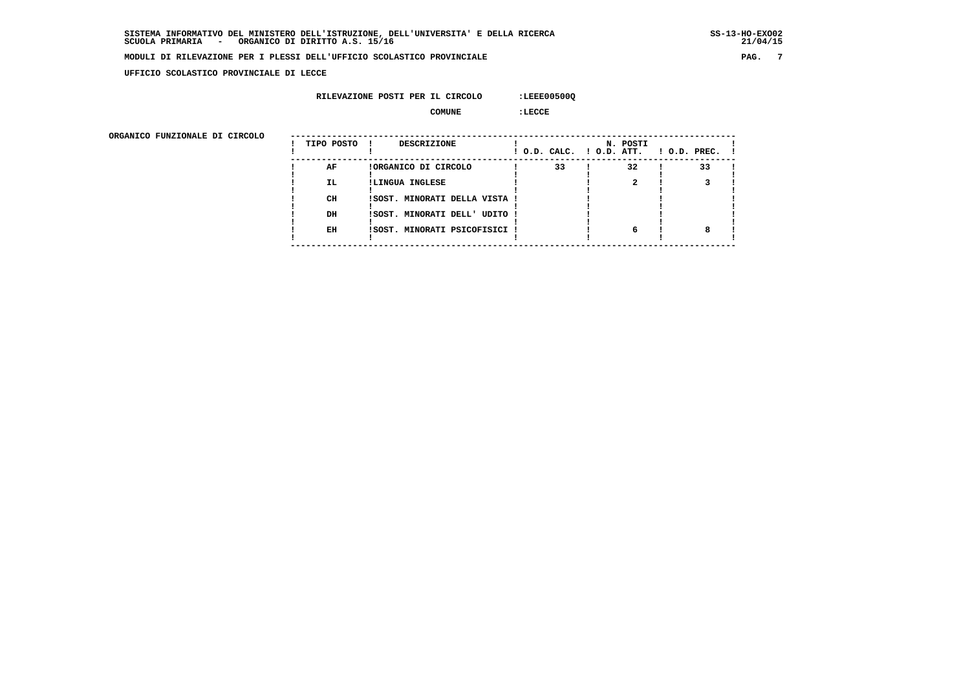$21/04/15$ 

### **MODULI DI RILEVAZIONE PER I PLESSI DELL'UFFICIO SCOLASTICO PROVINCIALE PAG. 7**

 **UFFICIO SCOLASTICO PROVINCIALE DI LECCE**

### **RILEVAZIONE POSTI PER IL CIRCOLO :LEEE00500Q**

 **COMUNE :LECCE**

| ORGANICO FUNZIONALE DI CIRCOLO | TIPO POSTO | DESCRIZIONE                   | ! O.D. CALC. ! O.D. ATT. | N. POSTI | $1$ O.D. PREC. $1$ |
|--------------------------------|------------|-------------------------------|--------------------------|----------|--------------------|
|                                | AF         | !ORGANICO DI CIRCOLO          | 33                       | 32       | 33                 |
|                                | <b>IL</b>  | !LINGUA INGLESE               |                          |          |                    |
|                                | CH         | !SOST. MINORATI DELLA VISTA ! |                          |          |                    |
|                                | DH         | !SOST. MINORATI DELL' UDITO ! |                          |          |                    |
|                                | EH         | !SOST. MINORATI PSICOFISICI ! |                          |          |                    |
|                                |            |                               |                          |          |                    |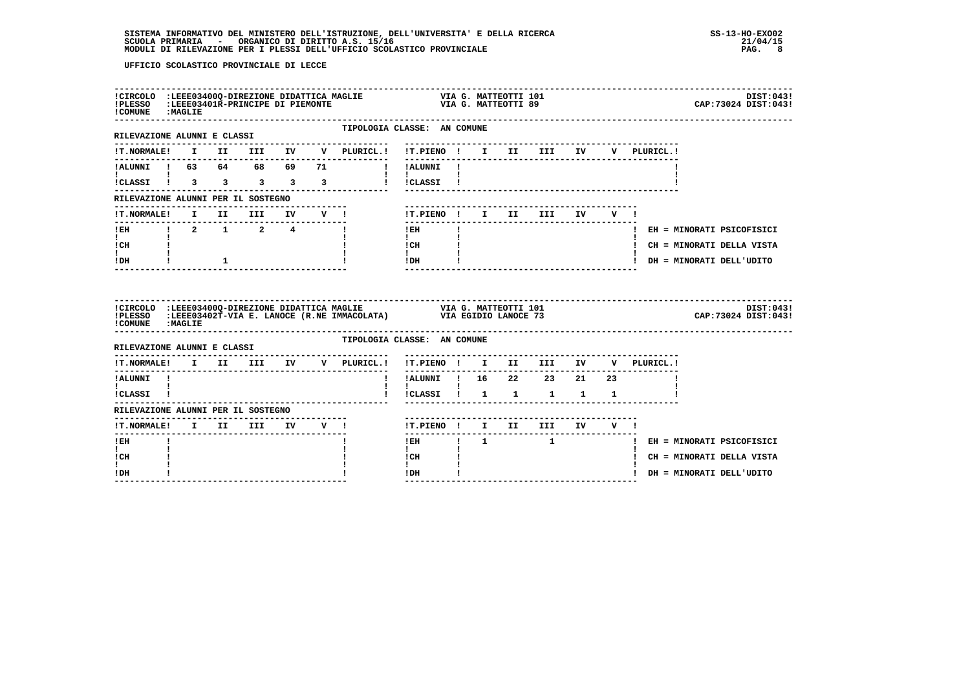| ! COMUNE : MAGLIE                   |                 |  |  |                                                                                                         |  |  |  |  | DIST:043!<br>CAP: 73024 DIST: 043!          |
|-------------------------------------|-----------------|--|--|---------------------------------------------------------------------------------------------------------|--|--|--|--|---------------------------------------------|
| RILEVAZIONE ALUNNI E CLASSI         |                 |  |  | TIPOLOGIA CLASSE: AN COMUNE                                                                             |  |  |  |  |                                             |
|                                     |                 |  |  |                                                                                                         |  |  |  |  |                                             |
| <b>Experience</b>                   |                 |  |  | !ALUNNI ! 63 64 68 69 71 !!!ALUNNI !<br>$\mathbf{1}$ $\mathbf{1}$                                       |  |  |  |  |                                             |
|                                     |                 |  |  | ICLASSI 1 3 3 3 3 3 1 ICLASSI 1                                                                         |  |  |  |  |                                             |
|                                     |                 |  |  |                                                                                                         |  |  |  |  |                                             |
|                                     |                 |  |  |                                                                                                         |  |  |  |  |                                             |
|                                     |                 |  |  |                                                                                                         |  |  |  |  |                                             |
|                                     |                 |  |  |                                                                                                         |  |  |  |  |                                             |
| $\mathbf{I}$<br>IDH                 | $\frac{1}{2}$ 1 |  |  | $\begin{tabular}{ccccc} ! & CH & & & & ! \\ ! & & & & ! \\ ! & & & & ! \\ ! & & & & ! \\ \end{tabular}$ |  |  |  |  | ! DH = MINORATI DELL'UDITO                  |
|                                     |                 |  |  |                                                                                                         |  |  |  |  |                                             |
| ! COMUNE : MAGLIE                   |                 |  |  |                                                                                                         |  |  |  |  | DIST:043!<br>CAP: 73024 DIST: 043!          |
|                                     |                 |  |  | TIPOLOGIA CLASSE: AN COMUNE                                                                             |  |  |  |  |                                             |
|                                     |                 |  |  |                                                                                                         |  |  |  |  |                                             |
| !ALUNNI !                           |                 |  |  | !!ALUNNI!! 16 22 23 21 23                                                                               |  |  |  |  |                                             |
|                                     |                 |  |  | $\mathbf{I}$ $\mathbf{I}$                                                                               |  |  |  |  |                                             |
| RILEVAZIONE ALUNNI PER IL SOSTEGNO  |                 |  |  |                                                                                                         |  |  |  |  |                                             |
|                                     |                 |  |  | !T.PIENO! I II III IV V !                                                                               |  |  |  |  |                                             |
| $!$ EH                              |                 |  |  |                                                                                                         |  |  |  |  | IEH   1   1   I   EH = MINORATI PSICOFISICI |
| <b>Line</b><br>! CH<br>$\mathbf{I}$ |                 |  |  | $\mathbf{I}$<br>! CH<br>$\mathbf{I}$                                                                    |  |  |  |  | ! CH = MINORATI DELLA VISTA                 |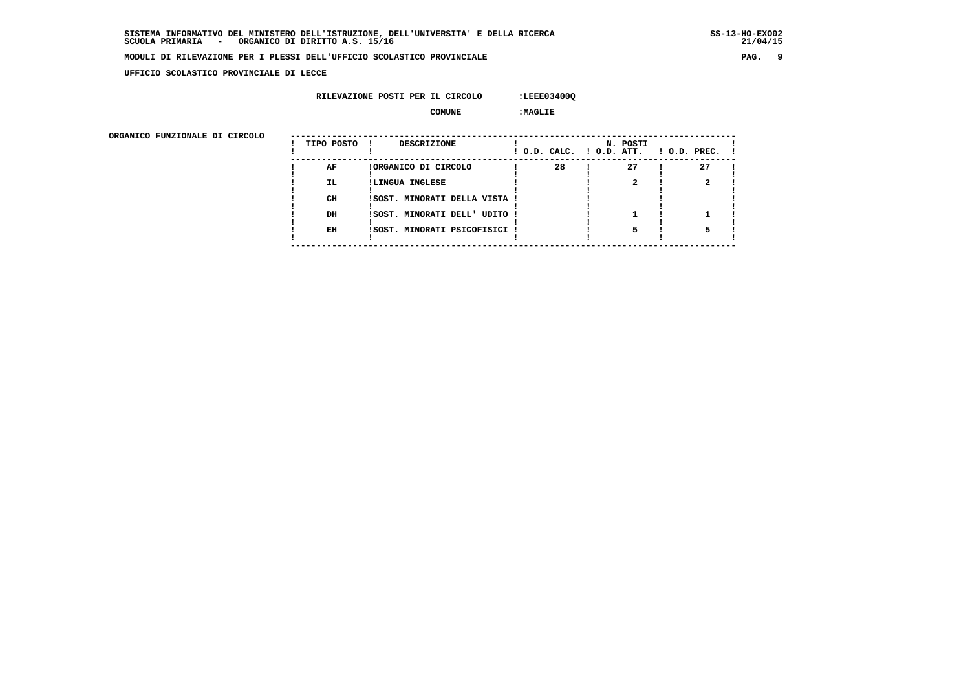**UFFICIO SCOLASTICO PROVINCIALE DI LECCE**

### **RILEVAZIONE POSTI PER IL CIRCOLO :LEEE03400Q**

 **COMUNE :MAGLIE**

| ORGANICO FUNZIONALE DI CIRCOLO | TIPO POSTO | DESCRIZIONE                   |    | N. POSTI<br>! O.D. CALC. ! O.D. ATT. | $1$ O.D. PREC. $1$ |
|--------------------------------|------------|-------------------------------|----|--------------------------------------|--------------------|
|                                | AF         | !ORGANICO DI CIRCOLO          | 28 | 27                                   | 27                 |
|                                | IL.        | !LINGUA INGLESE               |    |                                      |                    |
|                                |            |                               |    |                                      |                    |
|                                | CH         | !SOST. MINORATI DELLA VISTA ! |    |                                      |                    |
|                                | DH         | !SOST. MINORATI DELL' UDITO ! |    |                                      |                    |
|                                |            |                               |    |                                      |                    |
|                                | EH         | !SOST. MINORATI PSICOFISICI ! |    |                                      |                    |
|                                |            |                               |    |                                      |                    |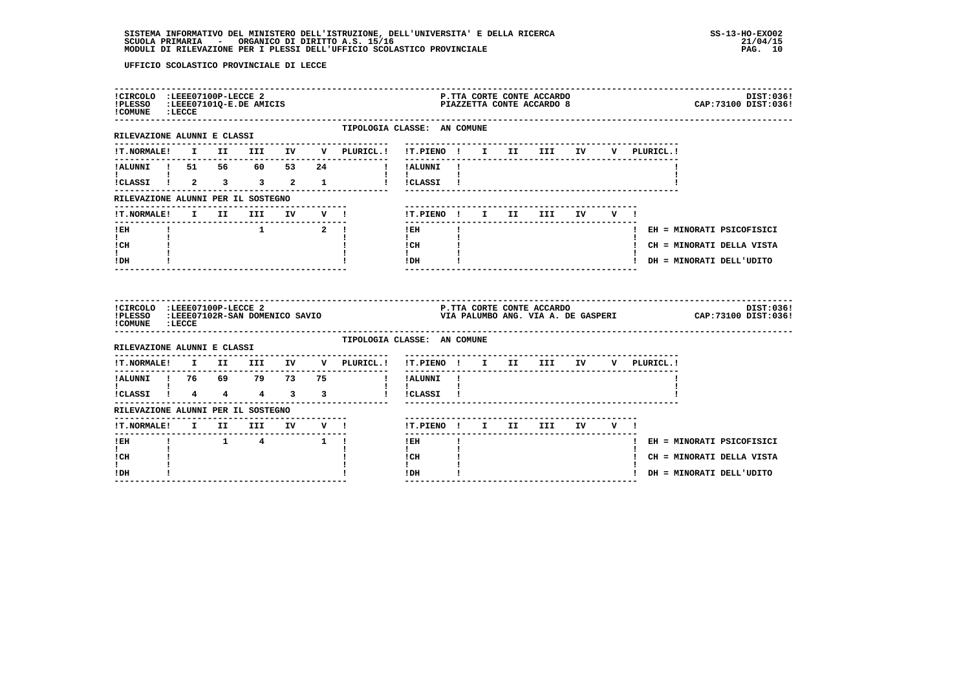| !CIRCOLO :LEEE07100P-LECCE 2<br>!PLESSO :LEEE07101Q-E.DE AMICIS<br>! COMUNE : LECCE         |  |                                         |  |                                                            |                                                                                                                                                                                                                                                                                                                                                             |    |  | P.TTA CORTE CONTE ACCARDO<br>PIAZZETTA CONTE ACCARDO 8 |  |             | DIST:036!<br>CAP: 73100 DIST: 036! |
|---------------------------------------------------------------------------------------------|--|-----------------------------------------|--|------------------------------------------------------------|-------------------------------------------------------------------------------------------------------------------------------------------------------------------------------------------------------------------------------------------------------------------------------------------------------------------------------------------------------------|----|--|--------------------------------------------------------|--|-------------|------------------------------------|
| --------------------<br>RILEVAZIONE ALUNNI E CLASSI                                         |  |                                         |  | TIPOLOGIA CLASSE: AN COMUNE                                |                                                                                                                                                                                                                                                                                                                                                             |    |  |                                                        |  |             |                                    |
|                                                                                             |  |                                         |  | !T.NORMALE! I II III IV V PLURICL.! !T.PIENO ! I II III IV |                                                                                                                                                                                                                                                                                                                                                             |    |  | -----------------------------------                    |  | V PLURICL.! |                                    |
| !ALUNNI ! 51 56 60 53 24                                                                    |  |                                         |  | ! !ALUNNI !                                                | ----------                                                                                                                                                                                                                                                                                                                                                  |    |  |                                                        |  |             |                                    |
| !CLASSI ! 2 3 3 2 1                                                                         |  |                                         |  |                                                            | $\mathbf{I}$<br>I ICLASSI I                                                                                                                                                                                                                                                                                                                                 |    |  |                                                        |  |             |                                    |
| RILEVAZIONE ALUNNI PER IL SOSTEGNO                                                          |  |                                         |  |                                                            |                                                                                                                                                                                                                                                                                                                                                             |    |  |                                                        |  |             |                                    |
| !T.NORMALE! I II                                                                            |  |                                         |  | III IV V !                                                 |                                                                                                                                                                                                                                                                                                                                                             |    |  | !T.PIENO ! I II III IV V !                             |  |             |                                    |
| ! EH                                                                                        |  |                                         |  | $1$ $2$ $1$                                                | $!$ EH                                                                                                                                                                                                                                                                                                                                                      | -1 |  |                                                        |  |             | ! EH = MINORATI PSICOFISICI        |
| $\mathbf{I}$<br>! CH                                                                        |  |                                         |  |                                                            | $\mathbf{I}$<br>! CH                                                                                                                                                                                                                                                                                                                                        |    |  |                                                        |  |             | ! CH = MINORATI DELLA VISTA        |
| $\mathbf{I}$                                                                                |  |                                         |  |                                                            | $\mathbf{I}$<br>!DH                                                                                                                                                                                                                                                                                                                                         |    |  |                                                        |  |             | ! DH = MINORATI DELL'UDITO         |
| ! DH                                                                                        |  |                                         |  |                                                            |                                                                                                                                                                                                                                                                                                                                                             |    |  |                                                        |  |             |                                    |
| !CIRCOLO : LEEE07100P-LECCE 2<br>!PLESSO :LEEE07102R-SAN DOMENICO SAVIO<br>! COMUNE : LECCE |  |                                         |  |                                                            |                                                                                                                                                                                                                                                                                                                                                             |    |  |                                                        |  |             | DIST:036!                          |
| RILEVAZIONE ALUNNI E CLASSI                                                                 |  |                                         |  | TIPOLOGIA CLASSE: AN COMUNE                                |                                                                                                                                                                                                                                                                                                                                                             |    |  |                                                        |  |             |                                    |
| <b>!T.NORMALE!</b>                                                                          |  | I II III IV                             |  | V PLURICL.!                                                | !T.PIENO ! I II III IV                                                                                                                                                                                                                                                                                                                                      |    |  |                                                        |  | V PLURICL.! |                                    |
| !ALUNNI ! 76 69 79 73 75                                                                    |  |                                         |  |                                                            | ! !ALUNNI !                                                                                                                                                                                                                                                                                                                                                 |    |  |                                                        |  |             |                                    |
| $\mathbf{I}$ and $\mathbf{I}$ and $\mathbf{I}$<br>!CLASSI ! 4 4 4 3 3                       |  |                                         |  |                                                            | $\mathbf{I}$ and $\mathbf{I}$<br>! !CLASSI !                                                                                                                                                                                                                                                                                                                |    |  |                                                        |  |             |                                    |
| RILEVAZIONE ALUNNI PER IL SOSTEGNO                                                          |  |                                         |  |                                                            |                                                                                                                                                                                                                                                                                                                                                             |    |  |                                                        |  |             |                                    |
| !T.NORMALE! I II III IV V !                                                                 |  |                                         |  | --------------------------                                 |                                                                                                                                                                                                                                                                                                                                                             |    |  | !T.PIENO! I II III IV V!                               |  |             |                                    |
| ------<br>$!$ EH                                                                            |  | $1 \qquad 1 \qquad 4 \qquad 1 \qquad 1$ |  |                                                            | $- - - - - -$<br>$!$ EH $\qquad$ $\qquad$ $\qquad$ $\qquad$ $\qquad$ $\qquad$ $\qquad$ $\qquad$ $\qquad$ $\qquad$ $\qquad$ $\qquad$ $\qquad$ $\qquad$ $\qquad$ $\qquad$ $\qquad$ $\qquad$ $\qquad$ $\qquad$ $\qquad$ $\qquad$ $\qquad$ $\qquad$ $\qquad$ $\qquad$ $\qquad$ $\qquad$ $\qquad$ $\qquad$ $\qquad$ $\qquad$ $\qquad$ $\qquad$ $\qquad$ $\qquad$ |    |  | ----------------------                                 |  |             | ! EH = MINORATI PSICOFISICI        |
| $\mathbf{I}$<br>! CH                                                                        |  |                                         |  |                                                            | $\mathbf{I}$<br>! CH                                                                                                                                                                                                                                                                                                                                        |    |  |                                                        |  |             | ! CH = MINORATI DELLA VISTA        |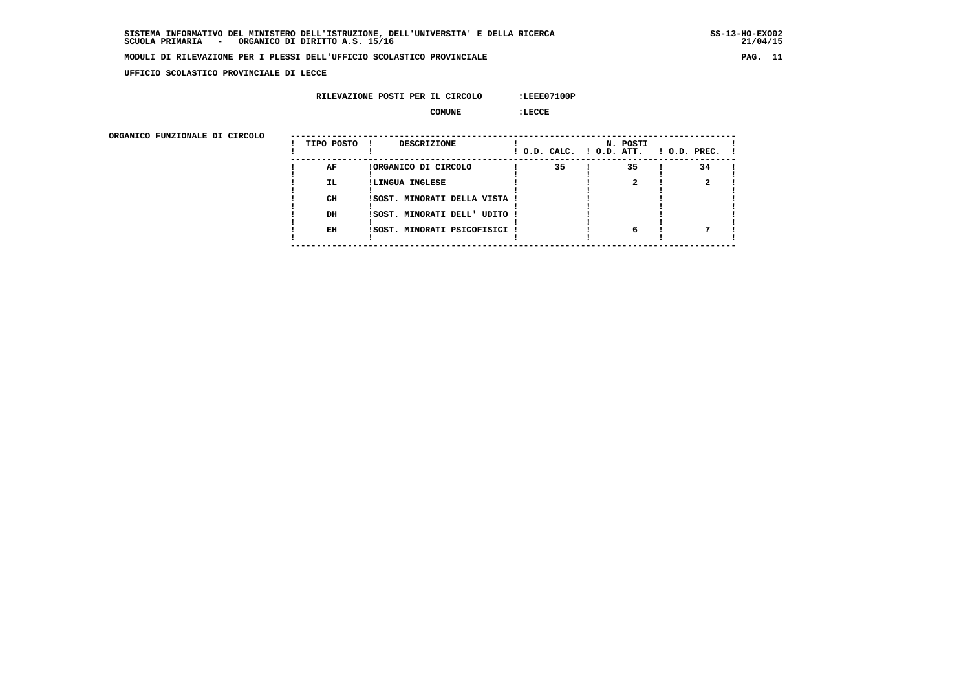$21/04/15$ 

### **MODULI DI RILEVAZIONE PER I PLESSI DELL'UFFICIO SCOLASTICO PROVINCIALE PAG. 11**

 **UFFICIO SCOLASTICO PROVINCIALE DI LECCE**

### **RILEVAZIONE POSTI PER IL CIRCOLO :LEEE07100P**

 **COMUNE :LECCE**

| ORGANICO FUNZIONALE DI CIRCOLO | TIPO POSTO | <b>DESCRIZIONE</b>            |    | N. POSTI<br>! O.D. CALC. ! O.D. ATT. | $1$ O.D. PREC. $1$ |
|--------------------------------|------------|-------------------------------|----|--------------------------------------|--------------------|
|                                | AF         | !ORGANICO DI CIRCOLO          | 35 | 35                                   | 34                 |
|                                | <b>IL</b>  | !LINGUA INGLESE               |    |                                      |                    |
|                                | CH         | ISOST. MINORATI DELLA VISTA ! |    |                                      |                    |
|                                |            |                               |    |                                      |                    |
|                                | DH         | ISOST. MINORATI DELL' UDITO ! |    |                                      |                    |
|                                | EH         | !SOST. MINORATI PSICOFISICI ! |    |                                      |                    |
|                                |            |                               |    |                                      |                    |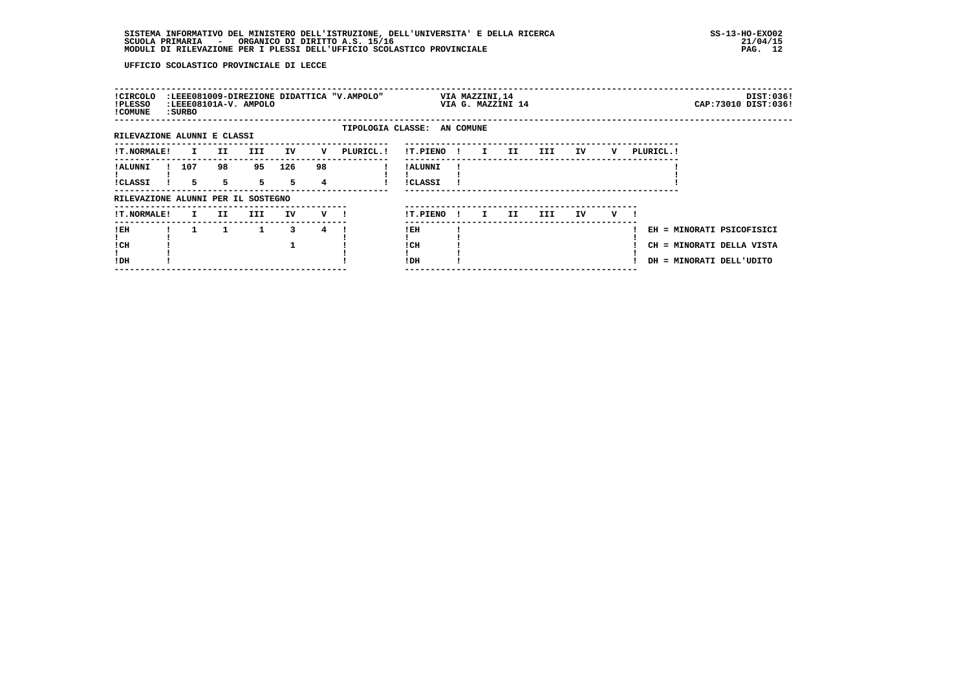| ! CIRCOLO<br>!PLESSO<br>! COMUNE   | : SURBO            |         | :LEEE08101A-V. AMPOLO |           |         | :LEEE081009-DIREZIONE DIDATTICA "V.AMPOLO" |                            |     | VIA MAZZINI,14<br>VIA G. MAZZINI 14 |    |     |    |   |           |                                                                                    | DIST:036!<br>CAP: 73010 DIST: 036! |
|------------------------------------|--------------------|---------|-----------------------|-----------|---------|--------------------------------------------|----------------------------|-----|-------------------------------------|----|-----|----|---|-----------|------------------------------------------------------------------------------------|------------------------------------|
| RILEVAZIONE ALUNNI E CLASSI        |                    |         |                       |           |         | TIPOLOGIA CLASSE: AN COMUNE                |                            |     |                                     |    |     |    |   |           |                                                                                    |                                    |
| <b>!T.NORMALE!</b>                 | $\mathbf{I}$       | II      | III                   | IV        | v       | PLURICL. !                                 | !T.PIENO !                 |     | $\mathbf{I}$                        | II | III | IV | v | PLURICL.! |                                                                                    |                                    |
| ! ALUNNI<br><b>!CLASSI</b>         | 107<br>$5^{\circ}$ | 98<br>5 | 95<br>5 <sub>1</sub>  | 126<br>5. | 98<br>4 |                                            | ! ALUNNI<br><b>!CLASSI</b> |     |                                     |    |     |    |   |           |                                                                                    |                                    |
| RILEVAZIONE ALUNNI PER IL SOSTEGNO |                    |         |                       |           |         |                                            |                            |     |                                     |    |     |    |   |           |                                                                                    |                                    |
| <b>!T.NORMALE!</b>                 | I.                 | II.     | III                   | IV        | v —     |                                            | !T.PIENO                   | -11 | I.                                  | II | III | IV | v |           |                                                                                    |                                    |
| ! EH<br>! CH<br>!DH                |                    | 1       | 1                     | 3         | 4       |                                            | !EH<br>! CH<br>! DH        |     |                                     |    |     |    |   |           | EH = MINORATI PSICOFISICI<br>CH = MINORATI DELLA VISTA<br>DH = MINORATI DELL'UDITO |                                    |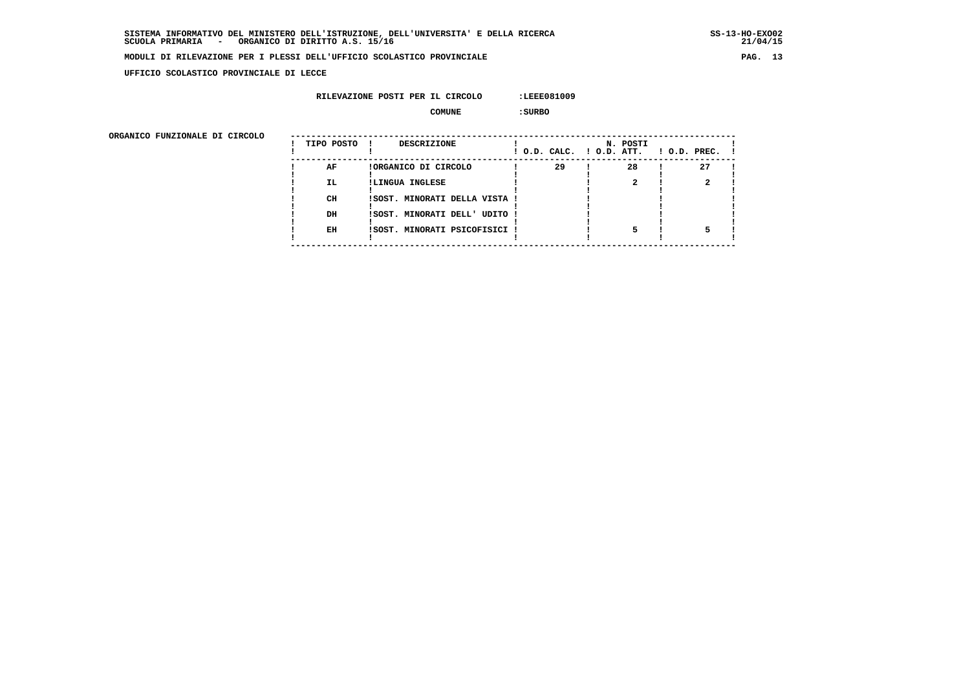$21/04/15$ 

#### **MODULI DI RILEVAZIONE PER I PLESSI DELL'UFFICIO SCOLASTICO PROVINCIALE PAG. 13**

 **UFFICIO SCOLASTICO PROVINCIALE DI LECCE**

#### **RILEVAZIONE POSTI PER IL CIRCOLO :LEEE081009**

 **COMUNE :SURBO**

| ORGANICO FUNZIONALE DI CIRCOLO | TIPO POSTO | DESCRIZIONE                   |    | N. POSTI<br>! O.D. CALC. ! O.D. ATT. | $1$ O.D. PREC. $1$ |
|--------------------------------|------------|-------------------------------|----|--------------------------------------|--------------------|
|                                | AF         | !ORGANICO DI CIRCOLO          | 29 | 28                                   | 27                 |
|                                | <b>IL</b>  | !LINGUA INGLESE               |    |                                      |                    |
|                                | CH         | !SOST. MINORATI DELLA VISTA ! |    |                                      |                    |
|                                | DH         | !SOST. MINORATI DELL' UDITO ! |    |                                      |                    |
|                                | EH         | !SOST. MINORATI PSICOFISICI ! |    |                                      |                    |
|                                |            |                               |    |                                      |                    |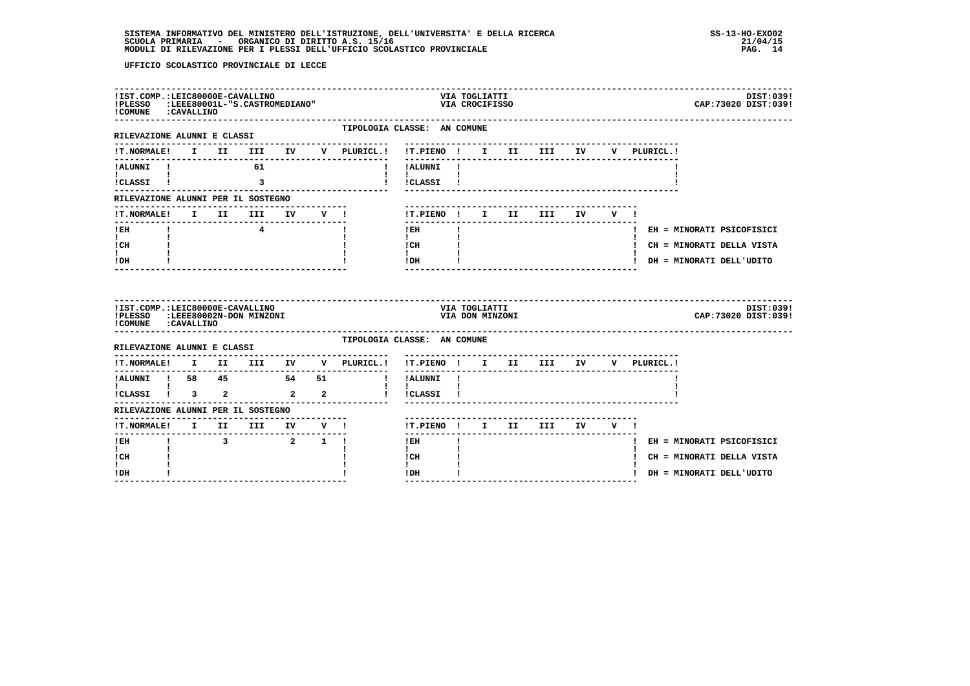| !IST.COMP.:LEIC80000E-CAVALLINO<br>!PLESSO<br>! COMUNE : CAVALLINO                       |  | :LEEE80001L-"S.CASTROMEDIANO" |  |                                                                                        |                                           |              | VIA TOGLIATTI<br>VIA CROCIFISSO  |                            |  |                                    | DIST:039!<br>CAP: 73020 DIST: 039! |
|------------------------------------------------------------------------------------------|--|-------------------------------|--|----------------------------------------------------------------------------------------|-------------------------------------------|--------------|----------------------------------|----------------------------|--|------------------------------------|------------------------------------|
| RILEVAZIONE ALUNNI E CLASSI                                                              |  |                               |  | TIPOLOGIA CLASSE: AN COMUNE<br>--------------                                          | ---------------------------               |              |                                  |                            |  |                                    |                                    |
|                                                                                          |  |                               |  | !T.NORMALE! I II III IV V PLURICL.!                                                    |                                           |              |                                  |                            |  | !T.PIENO ! I II III IV V PLURICL.! |                                    |
| !ALUNNI ! 61<br><b>The Community</b>                                                     |  |                               |  | <b>I</b>                                                                               | ! ALUNNI!                                 |              |                                  |                            |  |                                    |                                    |
| ICLASSI I 3                                                                              |  |                               |  |                                                                                        | ! !CLASSI !                               |              |                                  |                            |  |                                    |                                    |
| RILEVAZIONE ALUNNI PER IL SOSTEGNO                                                       |  |                               |  |                                                                                        |                                           |              |                                  |                            |  |                                    |                                    |
| !T.NORMALE! I II III IV V !                                                              |  |                               |  |                                                                                        |                                           |              |                                  | !T.PIENO ! I II III IV V ! |  |                                    |                                    |
| $!$ EH<br>$\mathbf{I}$ and $\mathbf{I}$                                                  |  | $\overline{4}$                |  |                                                                                        | $!$ EH<br>$\mathbf{I}$                    | $\mathbf{I}$ |                                  |                            |  |                                    | ! EH = MINORATI PSICOFISICI        |
| ! CH                                                                                     |  |                               |  |                                                                                        | ! CH                                      |              |                                  |                            |  |                                    | ! CH = MINORATI DELLA VISTA        |
| $\mathbf{I}$<br>! DH                                                                     |  |                               |  |                                                                                        | $\mathbf{I}$<br>! DH                      |              |                                  | -------------------------  |  |                                    | ! DH = MINORATI DELL'UDITO         |
| !IST.COMP.:LEIC80000E-CAVALLINO<br>!PLESSO :LEEE80002N-DON MINZONI<br>COMUNE : CAVALLINO |  |                               |  |                                                                                        |                                           |              | VIA TOGLIATTI<br>VIA DON MINZONI |                            |  |                                    | DIST:039!<br>CAP: 73020 DIST: 039! |
| RILEVAZIONE ALUNNI E CLASSI                                                              |  |                               |  | TIPOLOGIA CLASSE: AN COMUNE                                                            |                                           |              |                                  |                            |  |                                    |                                    |
|                                                                                          |  | -----------------             |  | $\verb !T.NORMALE! \quad I \quad II \quad III \quad IV \quad V \quad \verb PLURICL. !$ | !T.PIENO ! I II III IV<br>--------------- |              |                                  |                            |  | V PLURICL.!                        |                                    |
| !ALUNNI ! 58 45 54 51<br>$\mathbf{I}$ and $\mathbf{I}$ and $\mathbf{I}$                  |  |                               |  |                                                                                        | ! !ALUNNI !<br>$\mathbf{1}$ $\mathbf{1}$  |              |                                  |                            |  |                                    |                                    |
| !CLASSI ! 3 2 2 2                                                                        |  |                               |  |                                                                                        | ! !CLASSI !                               |              |                                  |                            |  |                                    |                                    |
| RILEVAZIONE ALUNNI PER IL SOSTEGNO                                                       |  |                               |  |                                                                                        |                                           |              |                                  |                            |  |                                    |                                    |
| IT.NORMALE! I II III IV V !<br>---------------                                           |  |                               |  |                                                                                        | --------                                  |              |                                  | !T.PIENO! I II III IV V!   |  |                                    |                                    |
| ! EH<br>$\mathbf{I}$                                                                     |  | 3 2 1 1                       |  |                                                                                        | $1$ EH and $-$                            | Τ.           |                                  |                            |  |                                    | ! EH = MINORATI PSICOFISICI        |
| ! CH                                                                                     |  |                               |  |                                                                                        | $\mathbf{I}$<br>! CH                      |              |                                  |                            |  |                                    | ! CH = MINORATI DELLA VISTA        |
|                                                                                          |  |                               |  |                                                                                        |                                           |              |                                  |                            |  |                                    |                                    |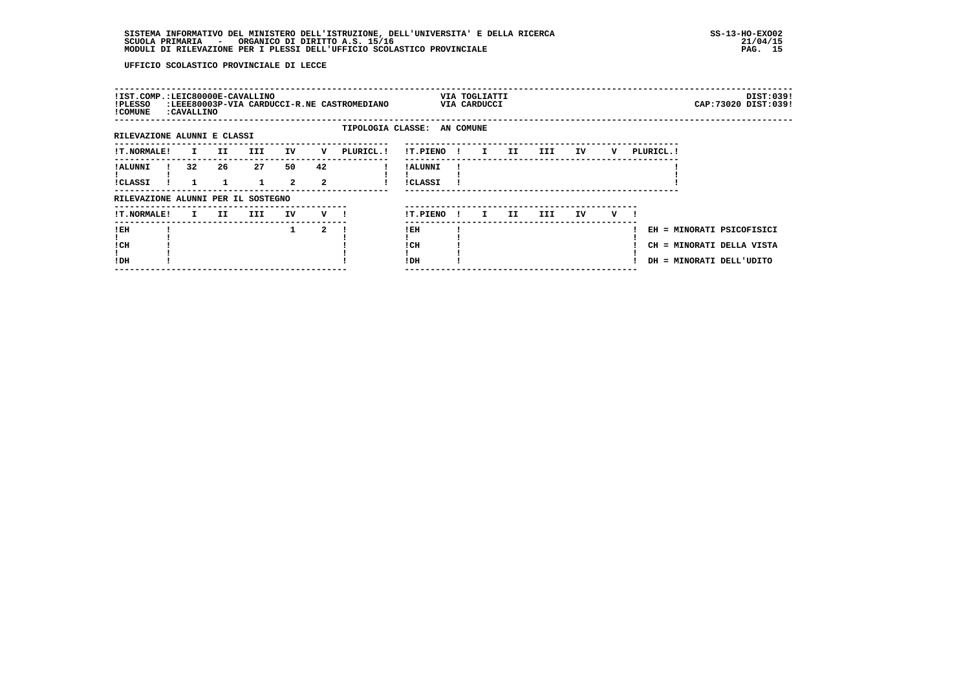| !IST.COMP.:LEIC80000E-CAVALLINO<br>!PLESSO<br>! COMUNE | <b>: CAVALLINO</b> |     |      |                      |                      | :LEEE80003P-VIA CARDUCCI-R.NE CASTROMEDIANO |                             |              | VIA TOGLIATTI<br>VIA CARDUCCI |     |      |    |   |                                                                                    |  | DIST:039!<br>CAP: 73020 DIST: 039! |
|--------------------------------------------------------|--------------------|-----|------|----------------------|----------------------|---------------------------------------------|-----------------------------|--------------|-------------------------------|-----|------|----|---|------------------------------------------------------------------------------------|--|------------------------------------|
| RILEVAZIONE ALUNNI E CLASSI                            |                    |     |      |                      |                      |                                             | TIPOLOGIA CLASSE: AN COMUNE |              |                               |     |      |    |   |                                                                                    |  |                                    |
| !T.NORMALE!                                            | I.                 | II. | III. | IV                   | v                    | PLURICL.!                                   | !T.PIENO!                   |              | $\mathbf{I}$                  | II  | III  | IV | v | PLURICL. !                                                                         |  |                                    |
| ! ALUNNI<br>!CLASSI                                    | 32                 | 26  | 27   | 50<br>$\overline{a}$ | 42<br>$\overline{a}$ |                                             | ! ALUNNI<br><b>!CLASSI</b>  |              |                               |     |      |    |   |                                                                                    |  |                                    |
| RILEVAZIONE ALUNNI PER IL SOSTEGNO                     |                    |     |      |                      |                      |                                             |                             |              |                               |     |      |    |   |                                                                                    |  |                                    |
| <b>!T.NORMALE!</b>                                     | $\mathbf{I}$       | II. | III  | IV                   | V !                  |                                             | !T.PIENO                    | $\mathbf{I}$ | I.                            | II. | III. | IV | v |                                                                                    |  |                                    |
| !EH<br>! CH<br>!DH                                     |                    |     |      | 1                    | $\overline{a}$       |                                             | ! EH<br>! CH<br>! DH        |              |                               |     |      |    |   | EH = MINORATI PSICOFISICI<br>CH = MINORATI DELLA VISTA<br>DH = MINORATI DELL'UDITO |  |                                    |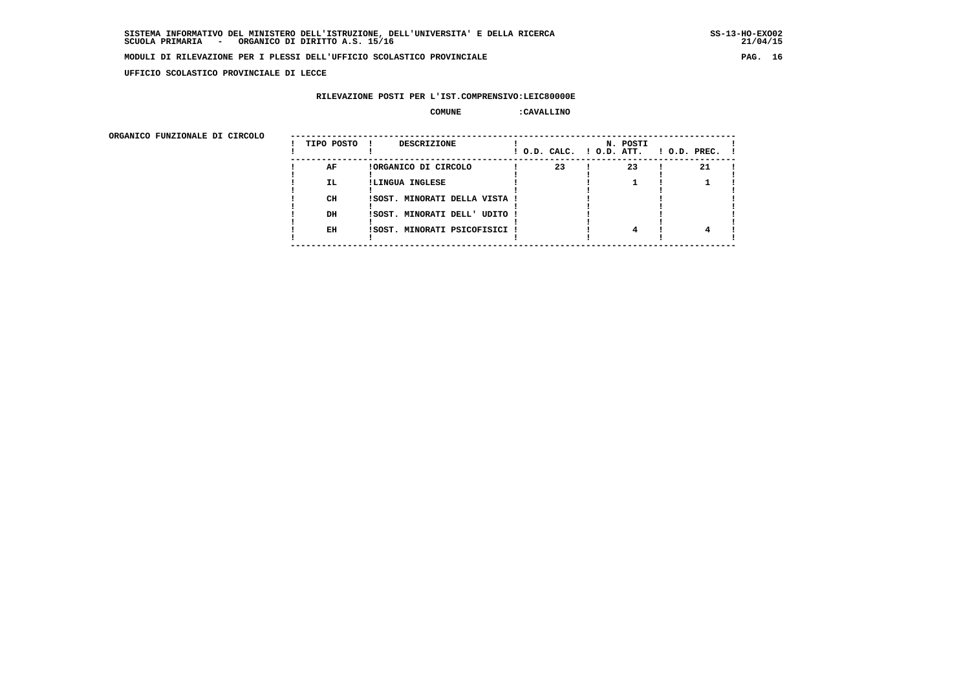**UFFICIO SCOLASTICO PROVINCIALE DI LECCE**

#### **RILEVAZIONE POSTI PER L'IST.COMPRENSIVO:LEIC80000E**

#### **COMUNE :CAVALLINO**

| ORGANICO FUNZIONALE DI CIRCOLO |            |                               |                          |          |                    |
|--------------------------------|------------|-------------------------------|--------------------------|----------|--------------------|
|                                | TIPO POSTO | DESCRIZIONE                   | ! O.D. CALC. ! O.D. ATT. | N. POSTI | $1$ O.D. PREC. $1$ |
|                                | AF         | !ORGANICO DI CIRCOLO          | 23                       | 23       | 21                 |
|                                | IL.        | !LINGUA INGLESE               |                          |          |                    |
|                                | CH         | !SOST. MINORATI DELLA VISTA ! |                          |          |                    |
|                                | DH         | !SOST. MINORATI DELL' UDITO ! |                          |          |                    |
|                                | EH         | !SOST. MINORATI PSICOFISICI ! |                          | 4        |                    |
|                                |            |                               |                          |          |                    |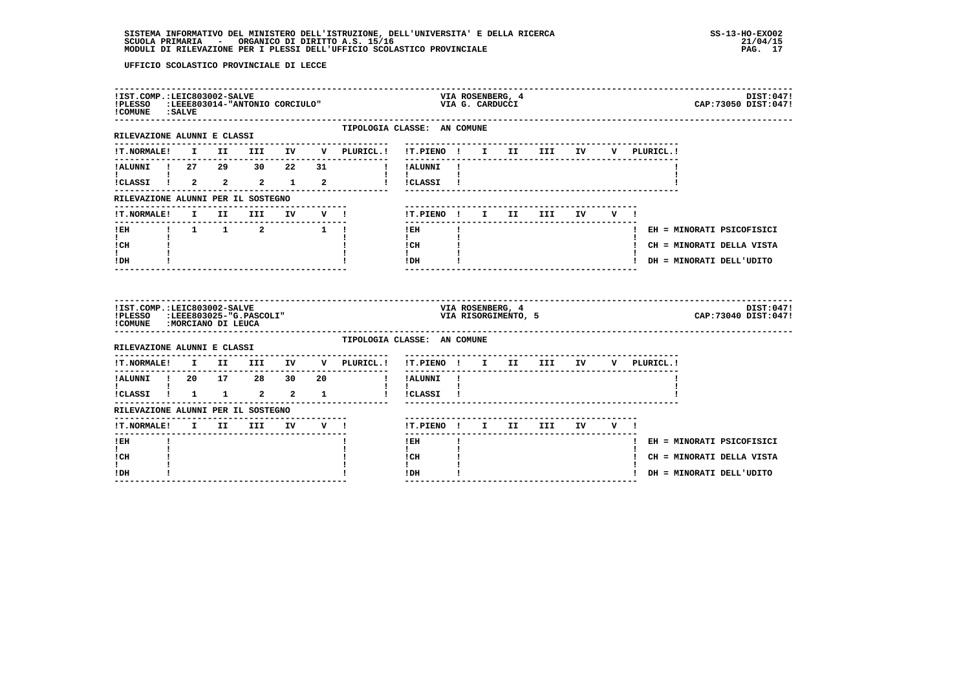| !IST.COMP.:LEIC803002-SALVE<br>!PLESSO<br>! COMUNE : SALVE                                    |  | :LEEE803014-"ANTONIO CORCIULO" |  |                                                            |                              |                             | VIA G. CARDUCCI | VIA ROSENBERG, 4                        |     |    |         |             | DIST:047!<br>CAP: 73050 DIST: 047!                         |
|-----------------------------------------------------------------------------------------------|--|--------------------------------|--|------------------------------------------------------------|------------------------------|-----------------------------|-----------------|-----------------------------------------|-----|----|---------|-------------|------------------------------------------------------------|
| -------------------<br>RILEVAZIONE ALUNNI E CLASSI                                            |  |                                |  |                                                            | TIPOLOGIA CLASSE: AN COMUNE  |                             |                 |                                         |     |    |         |             |                                                            |
|                                                                                               |  |                                |  | !T.NORMALE! I II III IV V PLURICL.! !T.PIENO ! I II III IV |                              |                             |                 |                                         |     |    |         | V PLURICL.! |                                                            |
| !ALUNNI ! 27 29 30 22 31                                                                      |  |                                |  |                                                            | <b>Example 1</b> Part 1 I    |                             |                 |                                         |     |    |         |             |                                                            |
|                                                                                               |  |                                |  | ICLASSI ! 2 2 2 1 2 1 ICLASSI !                            | $\mathbf{I}$                 |                             |                 |                                         |     |    |         |             |                                                            |
| RILEVAZIONE ALUNNI PER IL SOSTEGNO                                                            |  |                                |  |                                                            |                              |                             |                 |                                         |     |    |         |             |                                                            |
| <b>!T.NORMALE!</b>                                                                            |  |                                |  |                                                            | !T.PIENO ! I II              |                             |                 |                                         | III | IV | $V = 1$ |             |                                                            |
| $1$ EH $\sim$<br>$\mathbf{I}$ and $\mathbf{I}$<br>! CH                                        |  |                                |  |                                                            | ! EH<br>$\mathbf{I}$<br>! CH | $\sim 10^{11}$ M $_{\odot}$ |                 |                                         |     |    |         |             | ! EH = MINORATI PSICOFISICI<br>! CH = MINORATI DELLA VISTA |
| I.<br>! DH                                                                                    |  |                                |  |                                                            | $\mathbf{I}$<br>! DH         |                             |                 |                                         |     |    |         |             | ! DH = MINORATI DELL'UDITO                                 |
| !IST.COMP.:LEIC803002-SALVE<br>!PLESSO :LEEE803025-"G.PASCOLI"<br>!COMUNE : MORCIANO DI LEUCA |  |                                |  |                                                            |                              |                             |                 | VIA ROSENBERG, 4<br>VIA RISORGIMENTO, 5 |     |    |         |             | DIST:047!<br>CAP: 73040 DIST: 047!                         |
| RILEVAZIONE ALUNNI E CLASSI                                                                   |  |                                |  |                                                            | TIPOLOGIA CLASSE: AN COMUNE  |                             |                 |                                         |     |    |         |             |                                                            |
| <b>!T.NORMALE!</b>                                                                            |  |                                |  | I II III IV V PLURICL.!                                    | !T.PIENO ! I II III IV       |                             |                 |                                         |     |    |         | V PLURICL.! |                                                            |
|                                                                                               |  |                                |  | ---------------<br>$\mathbf{I}$                            | --------<br>!ALUNNI !        |                             |                 |                                         |     |    |         |             |                                                            |
| .<br>ICLASSI 1 1 1 2 2 1                                                                      |  |                                |  | and the property of the property                           | $\mathbf{I}$<br>!CLASSI !    |                             |                 |                                         |     |    |         |             |                                                            |
| RILEVAZIONE ALUNNI PER IL SOSTEGNO                                                            |  |                                |  |                                                            |                              |                             |                 |                                         |     |    |         |             |                                                            |
| !T.NORMALE! I II III IV V !                                                                   |  |                                |  |                                                            | !T.PIENO ! I II III          |                             |                 |                                         |     |    | IV V !  |             |                                                            |
| ! EH<br>$\mathbf{I}$                                                                          |  |                                |  |                                                            | $!$ EH<br>$\mathbf{I}$       |                             |                 |                                         |     |    |         |             | ! EH = MINORATI PSICOFISICI                                |
| ! CH<br>L<br>! DH                                                                             |  |                                |  |                                                            | ! CH<br>$\mathbf{I}$<br>!DH  |                             |                 |                                         |     |    |         |             | ! CH = MINORATI DELLA VISTA<br>DH = MINORATI DELL'UDITO    |
|                                                                                               |  |                                |  |                                                            | --------------               |                             |                 |                                         |     |    |         |             |                                                            |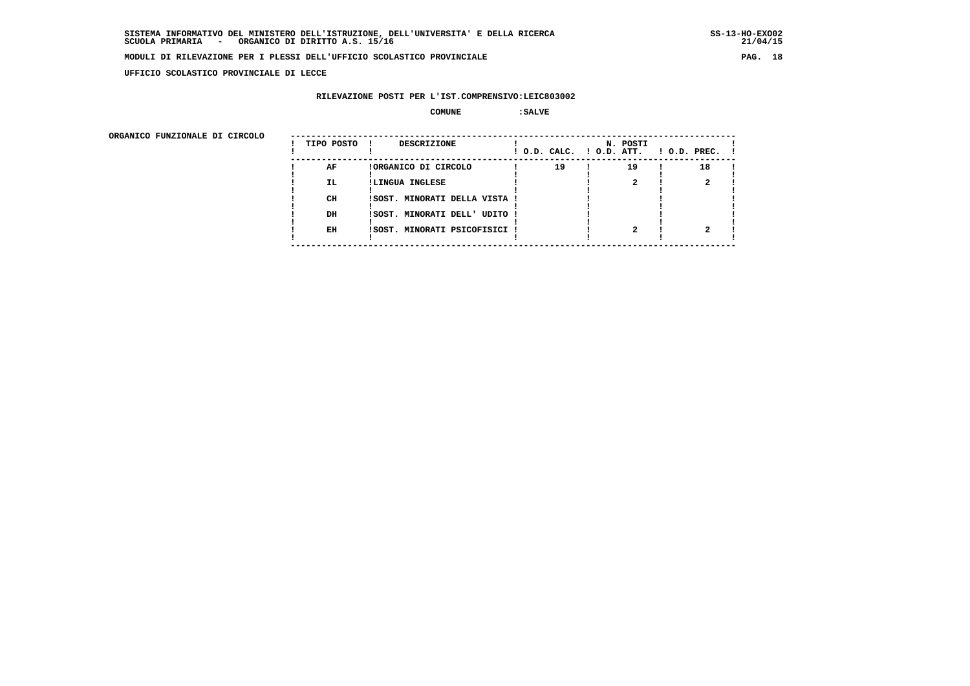**UFFICIO SCOLASTICO PROVINCIALE DI LECCE**

### **RILEVAZIONE POSTI PER L'IST.COMPRENSIVO:LEIC803002**

 **COMUNE :SALVE**

ORGANICO FUNZIONALE DI CIRCOLO

| ORGANICO FUNZIONALE DI CIRCOLO | TIPO POSTO ! | DESCRIZIONE                   |    | N. POSTI | $!$ O.D. CALC. $!$ O.D. ATT. $!$ O.D. PREC. $!$ |  |
|--------------------------------|--------------|-------------------------------|----|----------|-------------------------------------------------|--|
|                                | AF           | !ORGANICO DI CIRCOLO          | 19 | 19       | 18                                              |  |
|                                | IL.          | !LINGUA INGLESE               |    |          |                                                 |  |
|                                |              |                               |    |          |                                                 |  |
|                                | CH           | !SOST. MINORATI DELLA VISTA ! |    |          |                                                 |  |
|                                |              |                               |    |          |                                                 |  |
|                                | DH           | !SOST. MINORATI DELL' UDITO ! |    |          |                                                 |  |
|                                |              |                               |    |          |                                                 |  |
|                                | EH           | !SOST. MINORATI PSICOFISICI ! |    |          |                                                 |  |
|                                |              |                               |    |          |                                                 |  |
|                                |              |                               |    |          |                                                 |  |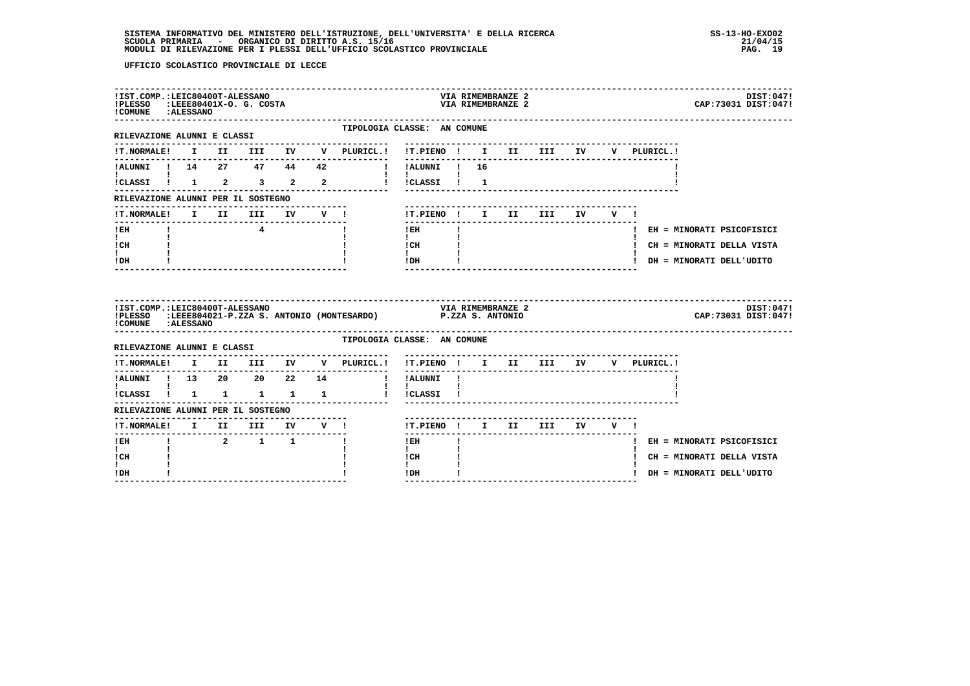| !IST.COMP.:LEIC80400T-ALESSANO<br>!PLESSO :LEEE80401X-O. G. COSTA<br>! COMUNE : ALESSANO |  |                |  |                                                                    |                                                                                                                                                                                                                                                                                                                                            |              | VIA RIMEMBRANZE 2<br>VIA RIMEMBRANZE 2 |                            |  |                                                                        | DIST:047!<br>CAP: 73031 DIST: 047! |
|------------------------------------------------------------------------------------------|--|----------------|--|--------------------------------------------------------------------|--------------------------------------------------------------------------------------------------------------------------------------------------------------------------------------------------------------------------------------------------------------------------------------------------------------------------------------------|--------------|----------------------------------------|----------------------------|--|------------------------------------------------------------------------|------------------------------------|
| ----------------------------<br>RILEVAZIONE ALUNNI E CLASSI                              |  |                |  | TIPOLOGIA CLASSE: AN COMUNE                                        |                                                                                                                                                                                                                                                                                                                                            |              |                                        |                            |  |                                                                        |                                    |
| <b>!T.NORMALE!</b>                                                                       |  |                |  | I II III IV V PLURICL.! !T.PIENO ! I II III IV                     |                                                                                                                                                                                                                                                                                                                                            |              |                                        |                            |  | V PLURICL.!                                                            |                                    |
|                                                                                          |  |                |  | !ALUNNI ! 14  27  47  44  42  !!!ALUNNI ! 16                       |                                                                                                                                                                                                                                                                                                                                            |              |                                        |                            |  |                                                                        |                                    |
| <b>I</b> and the state of the state of                                                   |  |                |  | ICLASSI 1 1 2 3 2 2 1 ICLASSI 1 1                                  | $\mathbf{1}$ $\mathbf{1}$                                                                                                                                                                                                                                                                                                                  |              |                                        |                            |  |                                                                        |                                    |
| RILEVAZIONE ALUNNI PER IL SOSTEGNO                                                       |  |                |  |                                                                    |                                                                                                                                                                                                                                                                                                                                            |              |                                        |                            |  |                                                                        |                                    |
| !T.NORMALE!                                                                              |  |                |  | I II III IV V !                                                    |                                                                                                                                                                                                                                                                                                                                            |              |                                        | !T.PIENO ! I II III IV V ! |  |                                                                        |                                    |
| $I$ EH                                                                                   |  | $\overline{4}$ |  |                                                                    | ---------------<br>$1$ EH                                                                                                                                                                                                                                                                                                                  |              |                                        |                            |  |                                                                        | ! EH = MINORATI PSICOFISICI        |
| $\mathbf{I}$ and $\mathbf{I}$<br>ICH                                                     |  |                |  |                                                                    | $\mathbf{I}$ and $\mathbf{I}$<br>$\frac{1}{1}$ $\frac{1}{1}$ $\frac{1}{1}$                                                                                                                                                                                                                                                                 |              |                                        |                            |  |                                                                        | ! CH = MINORATI DELLA VISTA        |
| t in<br>IDH                                                                              |  |                |  |                                                                    | $!$ DH $\qquad$ $\qquad$ $\qquad$ $\qquad$ $\qquad$ $\qquad$ $\qquad$ $\qquad$ $\qquad$ $\qquad$ $\qquad$ $\qquad$ $\qquad$ $\qquad$ $\qquad$ $\qquad$ $\qquad$ $\qquad$ $\qquad$ $\qquad$ $\qquad$ $\qquad$ $\qquad$ $\qquad$ $\qquad$ $\qquad$ $\qquad$ $\qquad$ $\qquad$ $\qquad$ $\qquad$ $\qquad$ $\qquad$ $\qquad$ $\qquad$ $\qquad$ |              |                                        | -------------------------  |  |                                                                        | ! DH = MINORATI DELL'UDITO         |
| !IST.COMP.:LEIC80400T-ALESSANO<br>!COMUNE : ALESSANO                                     |  |                |  | !PLESSO :LEEE804021-P.ZZA S. ANTONIO (MONTESARDO) P.ZZA S. ANTONIO |                                                                                                                                                                                                                                                                                                                                            |              | <b>VIA RIMEMBRANZE 2</b>               |                            |  |                                                                        | DIST:047!<br>CAP: 73031 DIST: 047! |
| RILEVAZIONE ALUNNI E CLASSI                                                              |  |                |  | TIPOLOGIA CLASSE: AN COMUNE                                        |                                                                                                                                                                                                                                                                                                                                            |              |                                        |                            |  |                                                                        |                                    |
|                                                                                          |  |                |  | --------------                                                     | . <u>.</u> .                                                                                                                                                                                                                                                                                                                               |              |                                        |                            |  | !T.NORMALE! I II III IV V PLURICL.! !T.PIENO ! I II III IV V PLURICL.! |                                    |
|                                                                                          |  |                |  | !ALUNNI ! 13  20  20  22  14  !!ALUNNI !                           |                                                                                                                                                                                                                                                                                                                                            |              |                                        |                            |  |                                                                        |                                    |
| $\mathbf{I}$ and $\mathbf{I}$<br>.<br>ICLASSI 1 1 1 1 1 1                                |  |                |  |                                                                    | $\mathbf{I}$<br>! !CLASSI !                                                                                                                                                                                                                                                                                                                |              |                                        |                            |  |                                                                        |                                    |
| RILEVAZIONE ALUNNI PER IL SOSTEGNO                                                       |  |                |  |                                                                    |                                                                                                                                                                                                                                                                                                                                            |              |                                        |                            |  |                                                                        |                                    |
| !T.NORMALE! I II III IV V !<br>----------------------                                    |  |                |  |                                                                    | !T.PIENO! I II III IV V!                                                                                                                                                                                                                                                                                                                   |              |                                        |                            |  |                                                                        |                                    |
| ! EH                                                                                     |  | 2 1 1          |  | $\mathbf{I}$                                                       | ! EH                                                                                                                                                                                                                                                                                                                                       |              |                                        |                            |  |                                                                        | ! EH = MINORATI PSICOFISICI        |
| $\mathbf{I}$<br>! CH                                                                     |  |                |  |                                                                    | $\mathbf{I}$<br>! CH                                                                                                                                                                                                                                                                                                                       |              |                                        |                            |  |                                                                        | ! CH = MINORATI DELLA VISTA        |
| $\mathbf{I}$<br>! DH                                                                     |  |                |  |                                                                    | $\mathbf{I}$<br>! DH                                                                                                                                                                                                                                                                                                                       | $\mathbf{I}$ |                                        |                            |  | ! DH = MINORATI DELL'UDITO                                             |                                    |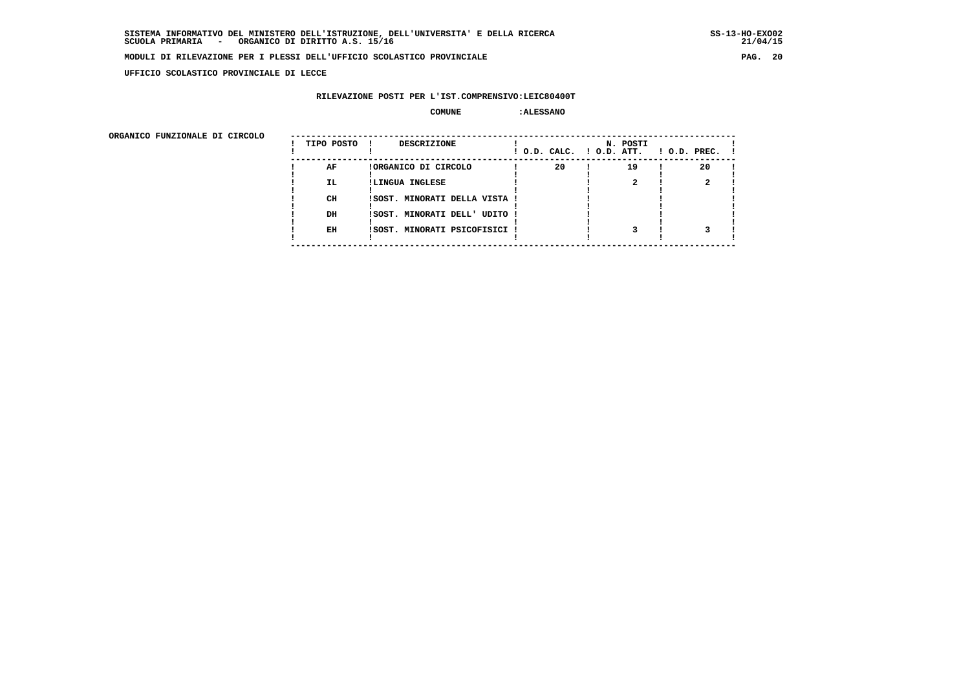**UFFICIO SCOLASTICO PROVINCIALE DI LECCE**

#### **RILEVAZIONE POSTI PER L'IST.COMPRENSIVO:LEIC80400T**

#### **COMUNE :ALESSANO**

| ORGANICO FUNZIONALE DI CIRCOLO | TIPO POSTO | DESCRIZIONE                   | ! O.D. CALC. ! O.D. ATT. | N. POSTI | $1$ O.D. PREC. $1$ |
|--------------------------------|------------|-------------------------------|--------------------------|----------|--------------------|
|                                | AF         | !ORGANICO DI CIRCOLO          | 20                       | 19       | 20                 |
|                                | <b>IL</b>  | !LINGUA INGLESE               |                          |          |                    |
|                                | CH         | !SOST. MINORATI DELLA VISTA ! |                          |          |                    |
|                                | DH         | !SOST. MINORATI DELL' UDITO ! |                          |          |                    |
|                                | EH         | !SOST. MINORATI PSICOFISICI ! |                          |          |                    |
|                                |            |                               |                          |          |                    |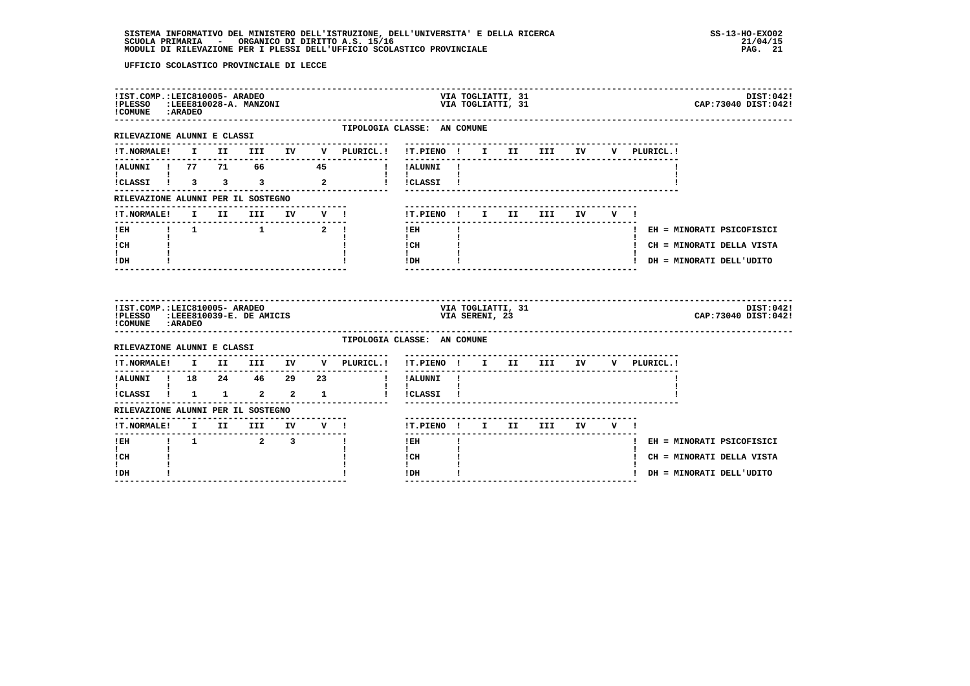| !IST.COMP.:LEIC810005- ARADEO<br>!PLESSO :LEEE810028-A. MANZONI<br>! COMUNE : ARADEO                |              |          |      |                                                                   |                         |              |                                  |                           |                | VIA TOGLIATTI, 31<br>VIA TOGLIATTI, 31 |                              |    |       |             | DIST: 042!<br>CAP: 73040 DIST: 042! |
|-----------------------------------------------------------------------------------------------------|--------------|----------|------|-------------------------------------------------------------------|-------------------------|--------------|----------------------------------|---------------------------|----------------|----------------------------------------|------------------------------|----|-------|-------------|-------------------------------------|
| -------------------<br>RILEVAZIONE ALUNNI E CLASSI                                                  |              |          |      |                                                                   |                         |              | TIPOLOGIA CLASSE: AN COMUNE      |                           |                |                                        |                              |    |       |             |                                     |
| <b>!T.NORMALE!</b>                                                                                  |              |          |      |                                                                   |                         |              | I II III IV V PLURICL.!          | !T.PIENO ! I II III IV    |                |                                        |                              |    |       | V PLURICL.! |                                     |
| !ALUNNI ! 77 71 66 45                                                                               |              |          |      |                                                                   |                         |              | $\sim 10^{-11}$                  | !ALUNNI !                 |                |                                        |                              |    |       |             |                                     |
| ICLASSI 1 3 3 3 2                                                                                   |              |          |      |                                                                   |                         |              | and the property of the property | $\mathbf{I}$<br>!CLASSI ! |                |                                        |                              |    |       |             |                                     |
| RILEVAZIONE ALUNNI PER IL SOSTEGNO                                                                  |              |          |      |                                                                   |                         |              |                                  |                           |                |                                        |                              |    |       |             |                                     |
| !T.NORMALE!                                                                                         |              |          | I II | <b>III</b>                                                        |                         | IV V !       |                                  | !T.PIENO ! I II           |                |                                        | III                          | IV | V I   |             |                                     |
| ! EH                                                                                                |              |          |      | $\begin{array}{cccccccccc} 1 & 1 & & & 1 & & & 2 & 1 \end{array}$ |                         |              |                                  | $!$ EH                    |                |                                        |                              |    |       |             | ! EH = MINORATI PSICOFISICI         |
| $\mathbf{I}$<br>! CH                                                                                |              |          |      |                                                                   |                         |              |                                  | $\mathbf{I}$<br>! CH      |                |                                        |                              |    |       |             | ! CH = MINORATI DELLA VISTA         |
|                                                                                                     |              |          |      |                                                                   |                         |              |                                  | $\mathbf{I}$<br>! DH      |                |                                        |                              |    |       |             | ! DH = MINORATI DELL'UDITO          |
| $\mathbf{I}$<br>! DH                                                                                |              |          |      |                                                                   |                         |              |                                  |                           |                |                                        |                              |    |       |             |                                     |
| !IST.COMP.:LEIC810005- ARADEO<br>!PLESSO :LEEE810039-E. DE AMICIS                                   |              |          |      |                                                                   |                         |              |                                  |                           | VIA SERENI, 23 | VIA TOGLIATTI, 31                      |                              |    |       |             | DIST:042!<br>CAP: 73040 DIST: 042!  |
| ! COMUNE : ARADEO<br>RILEVAZIONE ALUNNI E CLASSI                                                    |              |          |      |                                                                   |                         |              | TIPOLOGIA CLASSE: AN COMUNE      |                           |                |                                        |                              |    |       |             |                                     |
| <b>!T.NORMALE!</b>                                                                                  |              |          |      |                                                                   |                         |              | I II III IV V PLURICL.!          | !T.PIENO ! I II III IV    |                |                                        | ---------------------------- |    |       | V PLURICL.! |                                     |
|                                                                                                     |              |          |      |                                                                   |                         |              | $\mathbf{I}$                     | ! ALUNNI!                 |                |                                        |                              |    |       |             |                                     |
| !ALUNNI ! 18  24  46  29  23<br>$\mathbf{I}$ and $\mathbf{I}$ and $\mathbf{I}$<br>!CLASSI ! 1 1 2 2 |              |          |      |                                                                   |                         | $\mathbf{1}$ |                                  | $\mathbf{I}$<br>!CLASSI ! |                |                                        |                              |    |       |             |                                     |
| RILEVAZIONE ALUNNI PER IL SOSTEGNO                                                                  |              |          |      |                                                                   |                         |              |                                  |                           |                |                                        |                              |    |       |             |                                     |
| !T.NORMALE! I II III IV V !                                                                         |              |          |      |                                                                   |                         |              |                                  | !T.PIENO ! I II           |                |                                        | III                          |    | IV V! |             |                                     |
| ---------------<br>! EH                                                                             | $\mathbf{I}$ | $\sim$ 1 |      | $\overline{a}$                                                    | $\overline{\mathbf{3}}$ |              |                                  | -------<br>$!$ EH         |                |                                        | ---------------------        |    |       |             | ! EH = MINORATI PSICOFISICI         |
| $\mathbf{I}$<br>! CH                                                                                |              |          |      |                                                                   |                         |              |                                  | $\mathbf{I}$<br>! CH      |                |                                        |                              |    |       |             | ! CH = MINORATI DELLA VISTA         |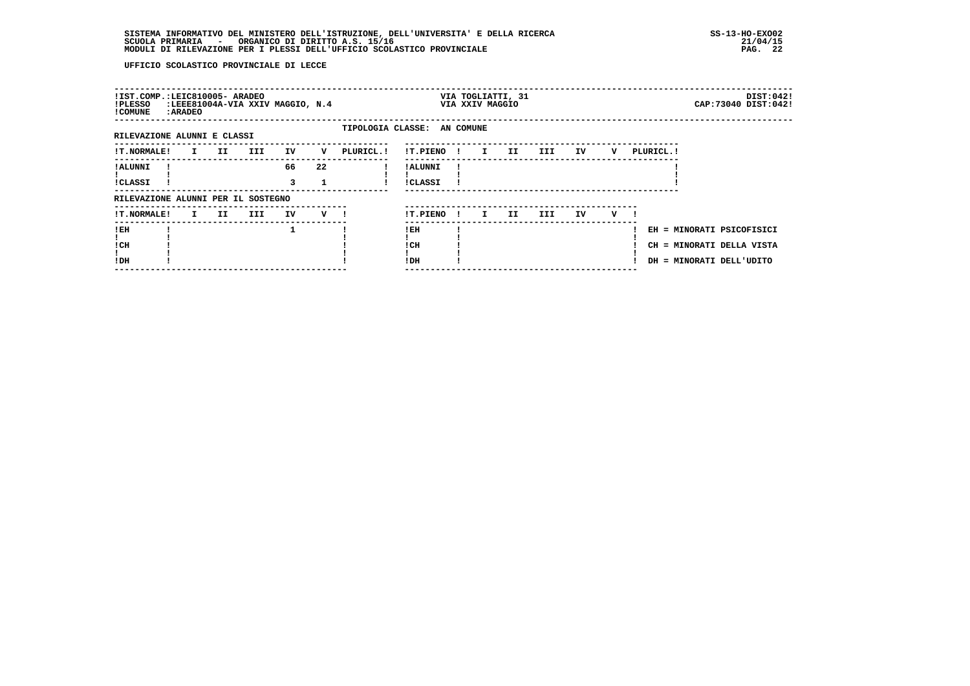| !IST.COMP.:LEIC810005- ARADEO<br>!PLESSO<br>! COMUNE | : ARADEO |      |     | :LEEE81004A-VIA XXIV MAGGIO, N.4 |     |                             |                            |              | VIA XXIV MAGGIO | VIA TOGLIATTI, 31 |     |    |   |           | CAP: 73040 DIST: 042!                                                              | DIST:042! |
|------------------------------------------------------|----------|------|-----|----------------------------------|-----|-----------------------------|----------------------------|--------------|-----------------|-------------------|-----|----|---|-----------|------------------------------------------------------------------------------------|-----------|
| RILEVAZIONE ALUNNI E CLASSI                          |          |      |     |                                  |     | TIPOLOGIA CLASSE: AN COMUNE |                            |              |                 |                   |     |    |   |           |                                                                                    |           |
| <b>!T.NORMALE!</b>                                   | I.       | II D | III | IV                               | v   | PLURICL.!                   | !T.PIENO !                 |              | $\mathbf{I}$    | II                | III | IV | V | PLURICL.! |                                                                                    |           |
| ! ALUNNI<br>!CLASSI                                  |          |      |     | 66<br>3                          | 22  |                             | ! ALUNNI<br><b>!CLASSI</b> |              |                 |                   |     |    |   |           |                                                                                    |           |
| RILEVAZIONE ALUNNI PER IL SOSTEGNO                   |          |      |     |                                  |     |                             |                            |              |                 |                   |     |    |   |           |                                                                                    |           |
| <b>!T.NORMALE!</b>                                   |          | I II | III | IV                               | V ! |                             | !T.PIENO                   | $\mathbf{I}$ | I.              | II                | III | IV | v |           |                                                                                    |           |
| !EH<br>! CH<br>!DH                                   |          |      |     | 1                                |     |                             | !EH<br>! CH<br>! DH        |              |                 |                   |     |    |   |           | EH = MINORATI PSICOFISICI<br>CH = MINORATI DELLA VISTA<br>DH = MINORATI DELL'UDITO |           |
|                                                      |          |      |     |                                  |     |                             |                            |              |                 |                   |     |    |   |           |                                                                                    |           |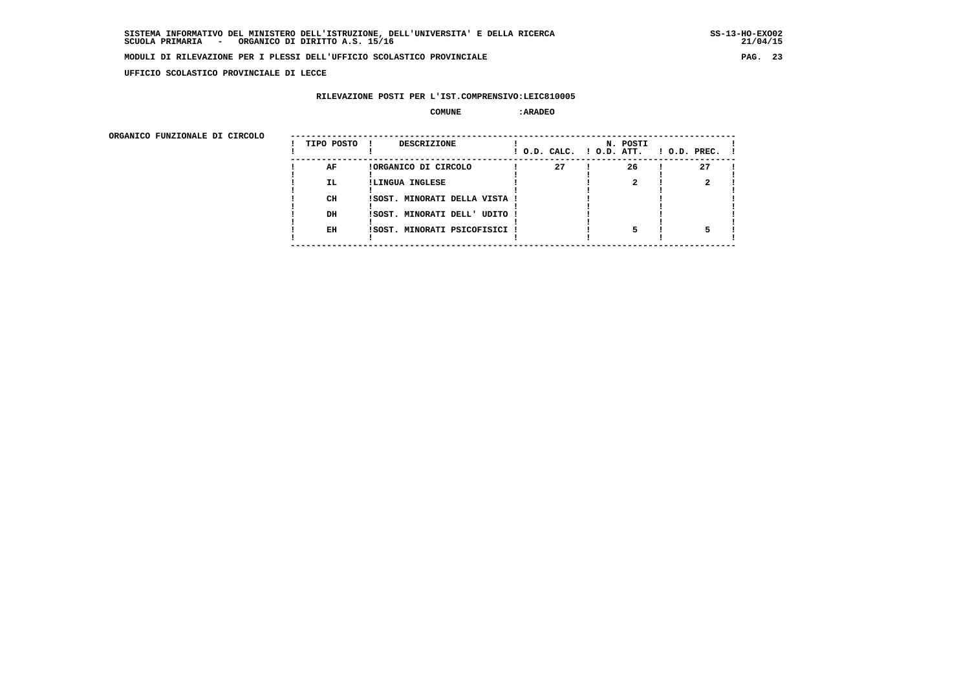**UFFICIO SCOLASTICO PROVINCIALE DI LECCE**

#### **RILEVAZIONE POSTI PER L'IST.COMPRENSIVO:LEIC810005**

#### **COMUNE :ARADEO**

ORGANICO FUNZIONALE DI CIRCOLO

| ORGANICO FUNZIONALE DI CIRCOLO | TIPO POSTO | DESCRIZIONE<br>$\mathbf{I}$   |    | N. POSTI<br>! O.D. CALC. ! O.D. ATT. | $!$ 0.D. PREC. $!$ |
|--------------------------------|------------|-------------------------------|----|--------------------------------------|--------------------|
|                                | AF         | !ORGANICO DI CIRCOLO          | 27 | 26                                   | 27                 |
|                                | IL.        | !LINGUA INGLESE               |    |                                      |                    |
|                                |            |                               |    |                                      |                    |
|                                | CH         | !SOST. MINORATI DELLA VISTA ! |    |                                      |                    |
|                                |            |                               |    |                                      |                    |
|                                | DH         | !SOST. MINORATI DELL' UDITO ! |    |                                      |                    |
|                                |            |                               |    |                                      |                    |
|                                | EH         | !SOST. MINORATI PSICOFISICI ! |    |                                      |                    |
|                                |            |                               |    |                                      |                    |
|                                |            |                               |    |                                      |                    |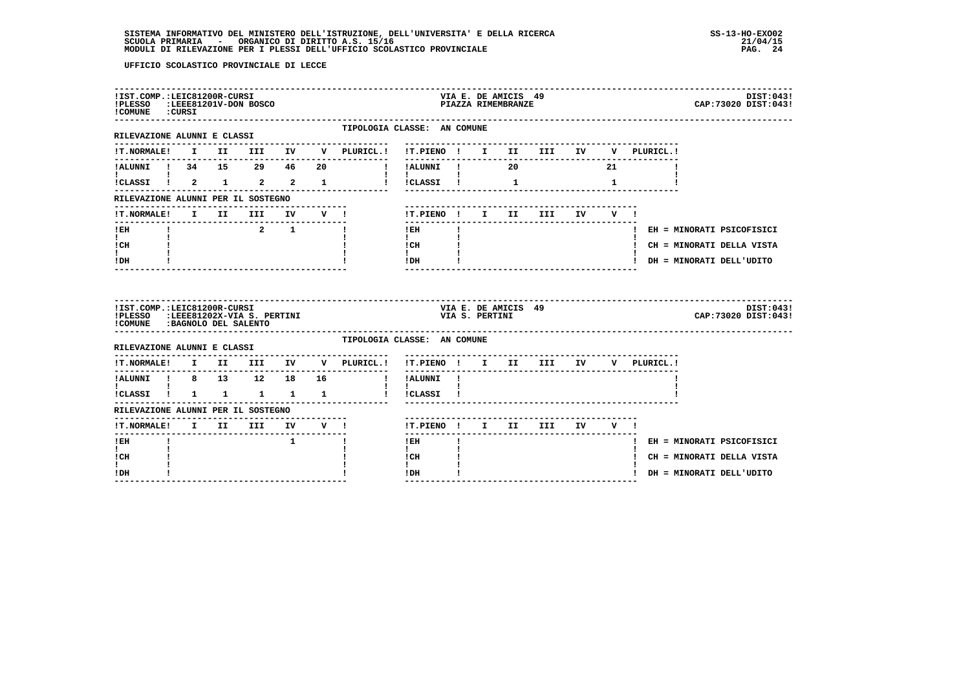| !IST.COMP.:LEIC81200R-CURSI<br>!PLESSO :LEEE81201V-DON BOSCO<br>!COMUNE : CURSI                    |  |                 |              |                                     |                                                                            |                | VIA E. DE AMICIS 49<br>PIAZZA RIMEMBRANZE |                            |              |             | DIST:043!<br>CAP: 73020 DIST: 043! |
|----------------------------------------------------------------------------------------------------|--|-----------------|--------------|-------------------------------------|----------------------------------------------------------------------------|----------------|-------------------------------------------|----------------------------|--------------|-------------|------------------------------------|
| RILEVAZIONE ALUNNI E CLASSI                                                                        |  |                 |              | TIPOLOGIA CLASSE: AN COMUNE         |                                                                            |                |                                           |                            |              |             |                                    |
|                                                                                                    |  |                 |              |                                     |                                                                            |                |                                           |                            |              | V PLURICL.! |                                    |
|                                                                                                    |  |                 |              | ! !ALUNNI ! 20                      |                                                                            |                |                                           |                            | 21           |             |                                    |
| $\mathbf{I}$ and $\mathbf{I}$ and $\mathbf{I}$                                                     |  |                 |              |                                     | $\mathbf{I}$ and $\mathbf{I}$ and $\mathbf{I}$                             |                |                                           |                            | $\mathbf{1}$ |             |                                    |
| RILEVAZIONE ALUNNI PER IL SOSTEGNO                                                                 |  |                 |              |                                     |                                                                            |                |                                           |                            |              |             |                                    |
| !T.NORMALE!                                                                                        |  | I II III        |              |                                     | !T.PIENO ! I II                                                            |                |                                           | <b>III</b>                 | IV V !       |             |                                    |
| $!$ EH                                                                                             |  | $2 \t 1$        |              |                                     | $!$ EH                                                                     |                |                                           |                            |              |             | ! EH = MINORATI PSICOFISICI        |
| $\mathbf{I}$ and $\mathbf{I}$<br>ICH                                                               |  |                 |              |                                     | $\mathbf{I}$ and $\mathbf{I}$<br>$\frac{1}{1}$ $\frac{1}{1}$ $\frac{1}{1}$ |                |                                           |                            |              |             | ! CH = MINORATI DELLA VISTA        |
| I.<br>$!$ DH                                                                                       |  |                 |              |                                     | $IDH$ $I$                                                                  |                |                                           |                            |              |             | ! DH = MINORATI DELL'UDITO         |
|                                                                                                    |  |                 |              |                                     |                                                                            |                |                                           |                            |              |             |                                    |
| !IST.COMP.:LEIC81200R-CURSI<br>!PLESSO :LEEE81202X-VIA S. PERTINI<br>!COMUNE : BAGNOLO DEL SALENTO |  |                 |              |                                     |                                                                            | VIA S. PERTINI | VIA E. DE AMICIS 49                       |                            |              |             | DIST:043!<br>CAP: 73020 DIST: 043! |
| RILEVAZIONE ALUNNI E CLASSI                                                                        |  |                 |              | TIPOLOGIA CLASSE: AN COMUNE         |                                                                            |                |                                           |                            |              |             |                                    |
|                                                                                                    |  |                 |              | !T.NORMALE! I II III IV V PLURICL.! | !T.PIENO ! I II III IV                                                     |                |                                           |                            |              | V PLURICL.! |                                    |
|                                                                                                    |  |                 |              | !ALUNNI ! 8 13 12 18 16 ! !ALUNNI ! |                                                                            |                |                                           |                            |              |             |                                    |
| $\mathbf{I}$ and $\mathbf{I}$ and $\mathbf{I}$<br>ICLASSI ! 1 1 1 1 1                              |  |                 |              |                                     | $\mathbf{I}$<br>! !CLASSI !                                                |                |                                           |                            |              |             |                                    |
| RILEVAZIONE ALUNNI PER IL SOSTEGNO                                                                 |  |                 |              |                                     |                                                                            |                |                                           |                            |              |             |                                    |
| <b>!T.NORMALE!</b>                                                                                 |  | I II III IV V ! |              |                                     |                                                                            |                |                                           | !T.PIENO ! I II III IV V ! |              |             |                                    |
| ---------------<br>! EH                                                                            |  |                 | $\mathbf{1}$ | п.                                  | ---------<br>$!$ EH                                                        |                |                                           |                            |              |             | ! EH = MINORATI PSICOFISICI        |
| $\mathbf{I}$<br>! CH<br>I.                                                                         |  |                 |              |                                     | $\mathbf{I}$<br>! CH<br>$\mathbf{I}$                                       |                |                                           |                            |              |             | ! CH = MINORATI DELLA VISTA        |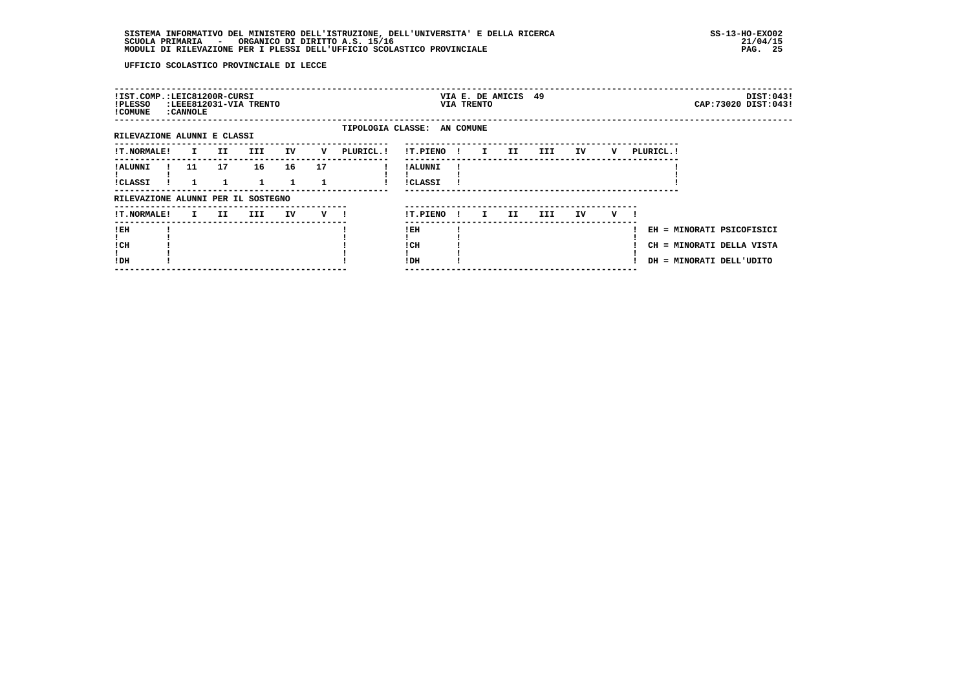| !IST.COMP.:LEIC81200R-CURSI<br>!PLESSO<br>! COMUNE | : CANNOLE    |     | :LEEE812031-VIA TRENTO |    |    |                             |                            |              | VIA E. DE AMICIS 49<br>VIA TRENTO |     |      |     |   |                                                             |                        | DIST:043!<br>CAP: 73020 DIST: 043! |
|----------------------------------------------------|--------------|-----|------------------------|----|----|-----------------------------|----------------------------|--------------|-----------------------------------|-----|------|-----|---|-------------------------------------------------------------|------------------------|------------------------------------|
| RILEVAZIONE ALUNNI E CLASSI                        |              |     |                        |    |    | TIPOLOGIA CLASSE: AN COMUNE |                            |              |                                   |     |      |     |   |                                                             |                        |                                    |
| <b>!T.NORMALE!</b>                                 | $\mathbf{I}$ | II. | III.                   | IV | v  | PLURICL. !                  | !T.PIENO                   | $\mathbf{I}$ | $\mathbf{I}$                      | II  | III. | IV  | v | PLURICL. !                                                  |                        |                                    |
| ! ALUNNI<br><b>!CLASSI</b>                         | 11           | 17  | 16                     | 16 | 17 |                             | ! ALUNNI<br><b>!CLASSI</b> |              |                                   |     |      |     |   |                                                             |                        |                                    |
| RILEVAZIONE ALUNNI PER IL SOSTEGNO                 |              |     |                        |    |    |                             |                            |              |                                   |     |      |     |   |                                                             |                        |                                    |
| <b>!T.NORMALE!</b>                                 | $\mathbf{I}$ | II. | III                    | IV | v  |                             | !T.PIENO                   | -11          | I.                                | II. | III. | IV. | v |                                                             |                        |                                    |
| !EH<br>! CH<br>!DH                                 |              |     |                        |    |    |                             | ! EH<br>! CH<br>! DH       |              |                                   |     |      |     |   | EH = MINORATI PSICOFISICI<br>CH<br>DH = MINORATI DELL'UDITO | = MINORATI DELLA VISTA |                                    |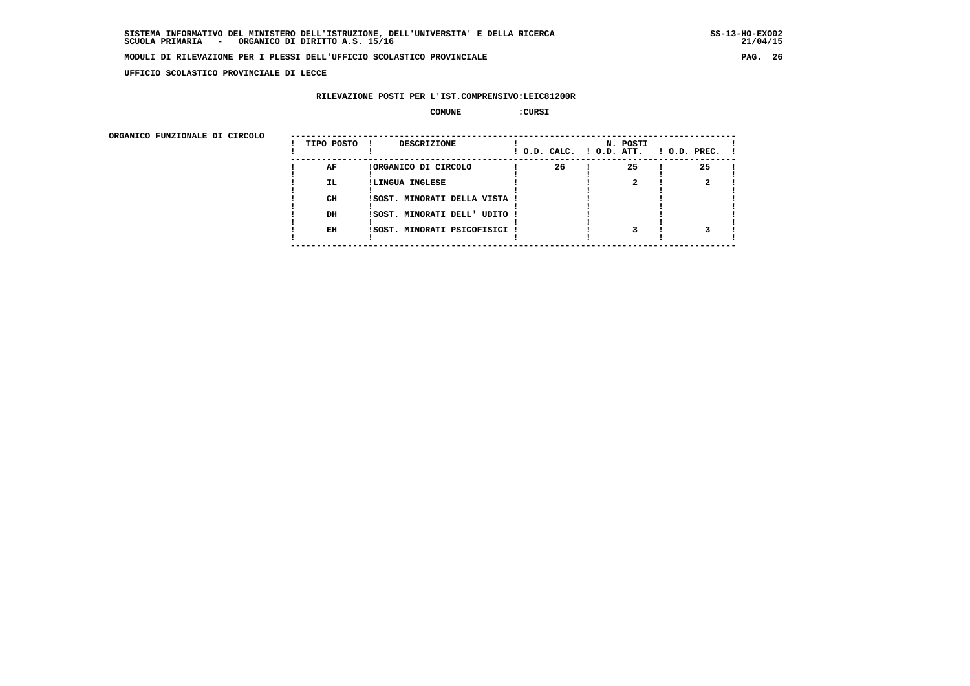**UFFICIO SCOLASTICO PROVINCIALE DI LECCE**

### **RILEVAZIONE POSTI PER L'IST.COMPRENSIVO:LEIC81200R**

 **COMUNE :CURSI**

ORGANICO FUNZIONALE DI CIRCOLO

| ORGANICO FUNZIONALE DI CIRCOLO | TIPO POSTO ! | <b>DESCRIZIONE</b>            |    | N. POSTI | $!$ O.D. CALC. $!$ O.D. ATT. $!$ O.D. PREC. $!$ |  |
|--------------------------------|--------------|-------------------------------|----|----------|-------------------------------------------------|--|
|                                | AF           | !ORGANICO DI CIRCOLO          | 26 | 25       | 25                                              |  |
|                                | IL.          | !LINGUA INGLESE               |    |          |                                                 |  |
|                                |              |                               |    |          |                                                 |  |
|                                | CH           | ISOST. MINORATI DELLA VISTA ! |    |          |                                                 |  |
|                                |              |                               |    |          |                                                 |  |
|                                | DH           | ISOST. MINORATI DELL' UDITO ! |    |          |                                                 |  |
|                                |              |                               |    |          |                                                 |  |
|                                | EH           | !SOST. MINORATI PSICOFISICI ! |    |          |                                                 |  |
|                                |              |                               |    |          |                                                 |  |
|                                |              |                               |    |          |                                                 |  |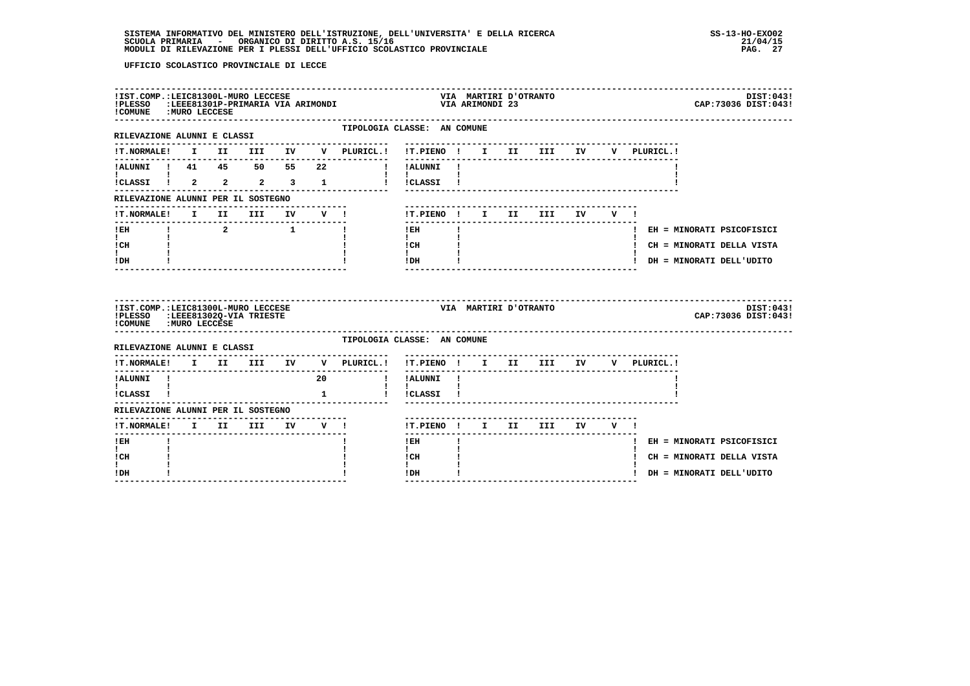| ! COMUNE : MURO LECCESE                                                                          |  | !IST.COMP.:LEIC81300L-MURO LECCESE |              | !PLESSO :LEEE81301P-PRIMARIA VIA ARIMONDI           |                                          | VIA ARIMONDI 23 | VIA MARTIRI D'OTRANTO |                               |        |     |             |  | CAP: 73036 DIST: 043!       | DIST:043! |
|--------------------------------------------------------------------------------------------------|--|------------------------------------|--------------|-----------------------------------------------------|------------------------------------------|-----------------|-----------------------|-------------------------------|--------|-----|-------------|--|-----------------------------|-----------|
| ----------------------------<br>RILEVAZIONE ALUNNI E CLASSI                                      |  |                                    |              | TIPOLOGIA CLASSE: AN COMUNE<br>-------------------- | --------------------------------         |                 |                       |                               |        |     |             |  |                             |           |
| <b>!T.NORMALE!</b>                                                                               |  |                                    |              | I II III IV V PLURICL.!                             | !T.PIENO ! I II III IV                   |                 |                       |                               |        |     | V PLURICL.! |  |                             |           |
| !ALUNNI ! 41  45  50  55  22                                                                     |  |                                    |              |                                                     | I IALUNNI I                              |                 |                       |                               |        |     |             |  |                             |           |
| !CLASSI ! 2 2 2 3 1                                                                              |  |                                    |              |                                                     | ! !CLASSI !                              |                 |                       |                               |        |     |             |  |                             |           |
| RILEVAZIONE ALUNNI PER IL SOSTEGNO                                                               |  |                                    |              |                                                     |                                          |                 |                       |                               |        |     |             |  |                             |           |
| !T.NORMALE! I II III IV V !                                                                      |  |                                    |              |                                                     | !T.PIENO ! I II III IV                   |                 |                       |                               |        | V I |             |  |                             |           |
| ! EH                                                                                             |  | $\overline{a}$                     | $\mathbf{1}$ |                                                     | ! EH                                     |                 |                       |                               |        |     |             |  | ! EH = MINORATI PSICOFISICI |           |
| $\mathbf{I}$<br>! CH                                                                             |  |                                    |              |                                                     | $\mathbf{I}$<br>! CH                     |                 |                       |                               |        |     |             |  | ! CH = MINORATI DELLA VISTA |           |
| I.<br>! DH                                                                                       |  |                                    |              |                                                     | $\mathbf{I}$<br>! DH                     |                 |                       |                               |        |     |             |  | ! DH = MINORATI DELL'UDITO  |           |
|                                                                                                  |  |                                    |              |                                                     |                                          |                 |                       |                               |        |     |             |  |                             |           |
| !IST.COMP.:LEIC81300L-MURO LECCESE<br>!PLESSO :LEEE81302Q-VIA TRIESTE<br>! COMUNE : MURO LECCESE |  |                                    |              |                                                     | VIA MARTIRI D'OTRANTO                    |                 |                       |                               |        |     |             |  | CAP: 73036 DIST: 043!       |           |
| RILEVAZIONE ALUNNI E CLASSI                                                                      |  |                                    |              | TIPOLOGIA CLASSE: AN COMUNE                         |                                          |                 |                       |                               |        |     |             |  |                             |           |
| <b>!T.NORMALE!</b>                                                                               |  | I II III IV                        |              | V PLURICL.!                                         | !T.PIENO ! I II III IV                   |                 |                       |                               |        |     | V PLURICL.! |  |                             |           |
| !ALUNNI !                                                                                        |  |                                    | 20           | $\mathbf{I}$                                        | ----------<br>!ALUNNI !                  |                 |                       | ----------------------------- |        |     |             |  |                             |           |
| $\mathbf{I}$ and $\mathbf{I}$<br>!CLASSI !                                                       |  |                                    | $\mathbf{1}$ |                                                     | $\mathbf{I}$ $\mathbf{I}$<br>! !CLASSI ! |                 |                       |                               |        |     |             |  |                             |           |
| RILEVAZIONE ALUNNI PER IL SOSTEGNO                                                               |  |                                    |              |                                                     |                                          |                 |                       |                               |        |     |             |  |                             |           |
| <b>!T.NORMALE!</b>                                                                               |  | I II III IV V !                    |              |                                                     | !T.PIENO ! I II III                      |                 |                       |                               | IV V ! |     |             |  |                             | DIST:043! |
| -------<br>$!$ EH                                                                                |  |                                    |              |                                                     | ------<br>$!$ EH                         |                 |                       |                               |        |     |             |  | ! EH = MINORATI PSICOFISICI |           |
| $\mathbf{I}$<br>! CH                                                                             |  |                                    |              |                                                     | $\mathbf{I}$<br>! CH                     |                 |                       |                               |        |     |             |  | ! CH = MINORATI DELLA VISTA |           |
| Ι.<br>! DH                                                                                       |  | ----------------------             |              |                                                     | !DH                                      |                 |                       | ---------------------         |        |     |             |  | ! DH = MINORATI DELL'UDITO  |           |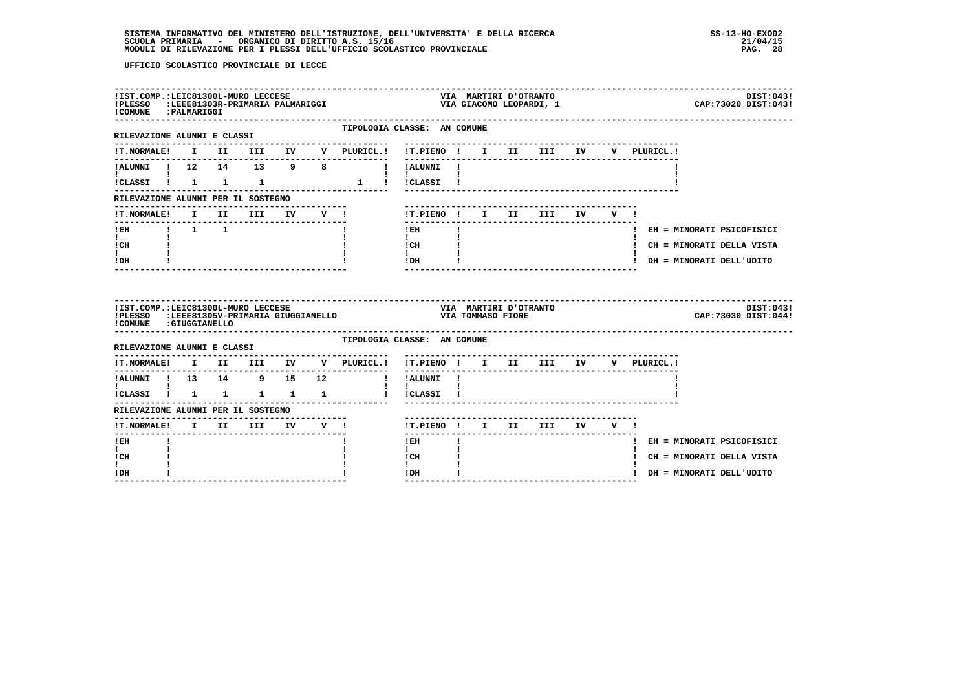| !COMUNE : PALMARIGGI                 |  | !IST.COMP.:LEIC81300L-MURO LECCESE |  | !PLESSO :LEEE81303R-PRIMARIA PALMARIGGI                                                                                                                                                                                                                                                                                                                                                                                                  | VIA MAKTIKI D VINGRIJ<br>VIA GIACOMO LEOPARDI, 1          |                          | VIA MARTIRI D'OTRANTO |  |  |                             | DIST: 043!<br>CAP: 73020 DIST: 043! |
|--------------------------------------|--|------------------------------------|--|------------------------------------------------------------------------------------------------------------------------------------------------------------------------------------------------------------------------------------------------------------------------------------------------------------------------------------------------------------------------------------------------------------------------------------------|-----------------------------------------------------------|--------------------------|-----------------------|--|--|-----------------------------|-------------------------------------|
| RILEVAZIONE ALUNNI E CLASSI          |  |                                    |  | TIPOLOGIA CLASSE: AN COMUNE<br>--------------                                                                                                                                                                                                                                                                                                                                                                                            |                                                           |                          |                       |  |  |                             |                                     |
|                                      |  |                                    |  |                                                                                                                                                                                                                                                                                                                                                                                                                                          |                                                           |                          |                       |  |  |                             |                                     |
|                                      |  |                                    |  |                                                                                                                                                                                                                                                                                                                                                                                                                                          |                                                           |                          |                       |  |  |                             |                                     |
|                                      |  |                                    |  | $\begin{array}{cccccccccccccc} \texttt{!} & & & & & & & & & & & & \texttt{!} & & & & \texttt{!} & & & \texttt{!} & & \texttt{!} & & \texttt{!} & & \texttt{!} & & \texttt{!} & \texttt{!} & \texttt{!} & \texttt{!} & \texttt{!} & \texttt{!} & \texttt{!} & \texttt{!} & \texttt{!} & \texttt{!} & \texttt{!} & \texttt{!} & \texttt{!} & \texttt{!} & \texttt{!} & \texttt{!} & \texttt{!} & \texttt{!} & \texttt{!} & \texttt{!} & \$ |                                                           |                          |                       |  |  |                             |                                     |
| RILEVAZIONE ALUNNI PER IL SOSTEGNO   |  |                                    |  |                                                                                                                                                                                                                                                                                                                                                                                                                                          |                                                           |                          |                       |  |  |                             |                                     |
|                                      |  |                                    |  | !T.NORMALE! I II III IV V !                                                                                                                                                                                                                                                                                                                                                                                                              | !T.PIENO! I II III IV V!                                  |                          |                       |  |  |                             |                                     |
| --------------------                 |  |                                    |  |                                                                                                                                                                                                                                                                                                                                                                                                                                          | $!$ EH                                                    | <b>Contract Contract</b> |                       |  |  | ! EH = MINORATI PSICOFISICI |                                     |
| $\mathbf{I}$ and $\mathbf{I}$<br>ICH |  |                                    |  |                                                                                                                                                                                                                                                                                                                                                                                                                                          | $\mathbf{I}$<br>$\frac{1}{1}$ $\frac{1}{1}$ $\frac{1}{1}$ |                          |                       |  |  | ! CH = MINORATI DELLA VISTA |                                     |
| t i<br>! DH                          |  |                                    |  |                                                                                                                                                                                                                                                                                                                                                                                                                                          | $IDH$ $I$                                                 |                          |                       |  |  | ! DH = MINORATI DELL'UDITO  |                                     |
|                                      |  |                                    |  |                                                                                                                                                                                                                                                                                                                                                                                                                                          |                                                           |                          |                       |  |  |                             |                                     |
| !COMUNE : GIUGGIANELLO               |  | !IST.COMP.:LEIC81300L-MURO LECCESE |  | TELESSO :LEEE81305V-PRIMARIA GIUGGIANELLO VIA TOMMASO FIORE                                                                                                                                                                                                                                                                                                                                                                              | VIA MARTIRI D'OTRANTO                                     |                          |                       |  |  |                             | DIST:043!<br>CAP: 73030 DIST: 044!  |
| RILEVAZIONE ALUNNI E CLASSI          |  |                                    |  | TIPOLOGIA CLASSE: AN COMUNE                                                                                                                                                                                                                                                                                                                                                                                                              |                                                           |                          |                       |  |  |                             |                                     |
|                                      |  |                                    |  | !T.NORMALE! I II III IV V PLURICL.! !T.PIENO ! I II III IV V PLURICL.!                                                                                                                                                                                                                                                                                                                                                                   |                                                           |                          |                       |  |  |                             |                                     |
|                                      |  |                                    |  | !ALUNNI ! 13 14 9 15 12 ! !ALUNNI !                                                                                                                                                                                                                                                                                                                                                                                                      |                                                           |                          |                       |  |  |                             |                                     |
| $\mathbf{1}$ $\mathbf{1}$            |  |                                    |  | !CLASSI ! 1 1 1 1 1 ! !CLASSI !                                                                                                                                                                                                                                                                                                                                                                                                          | $\mathbf{I}$                                              |                          |                       |  |  |                             |                                     |
| RILEVAZIONE ALUNNI PER IL SOSTEGNO   |  |                                    |  |                                                                                                                                                                                                                                                                                                                                                                                                                                          |                                                           |                          |                       |  |  |                             |                                     |
|                                      |  |                                    |  |                                                                                                                                                                                                                                                                                                                                                                                                                                          | !T.PIENO ! I II III IV V !                                |                          |                       |  |  |                             |                                     |
| $I$ EH                               |  |                                    |  |                                                                                                                                                                                                                                                                                                                                                                                                                                          | $1$ EH $\sim$                                             |                          |                       |  |  | ! EH = MINORATI PSICOFISICI |                                     |
| $\mathbf{I}$<br>! CH<br>$\mathbf{I}$ |  |                                    |  |                                                                                                                                                                                                                                                                                                                                                                                                                                          | $\mathbf{I}$<br>! CH<br>$\mathbf{I}$                      |                          |                       |  |  | ! CH = MINORATI DELLA VISTA |                                     |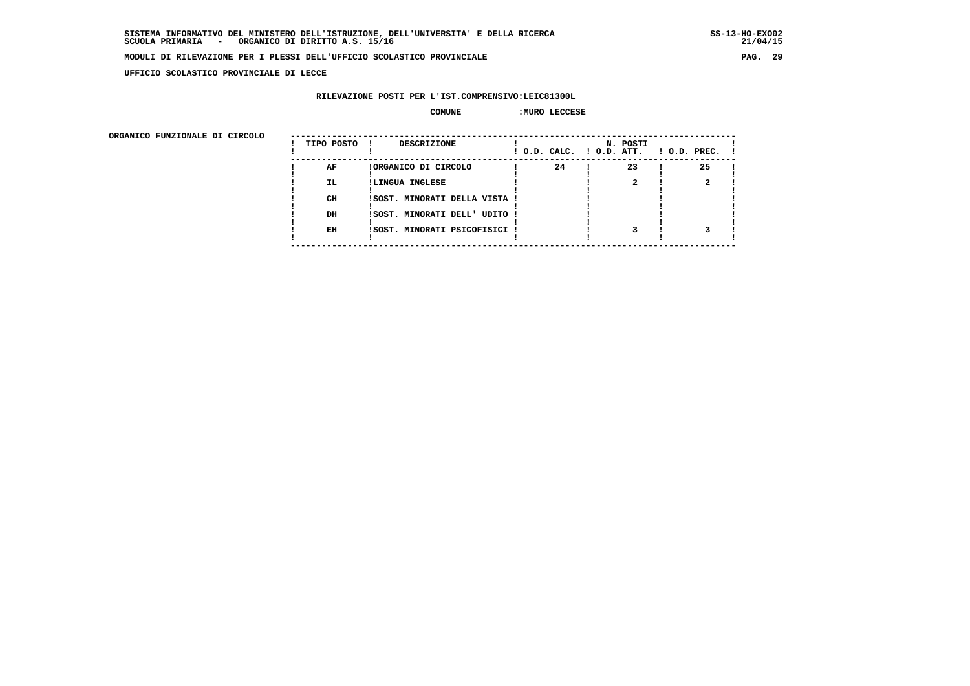**UFFICIO SCOLASTICO PROVINCIALE DI LECCE**

#### **RILEVAZIONE POSTI PER L'IST.COMPRENSIVO:LEIC81300L**

#### **COMUNE :MURO LECCESE**

| ORGANICO FUNZIONALE DI CIRCOLO | TIPO POSTO | DESCRIZIONE                   | ! O.D. CALC. ! O.D. ATT. | N. POSTI | $1$ O.D. PREC. $1$ |
|--------------------------------|------------|-------------------------------|--------------------------|----------|--------------------|
|                                | AF         | !ORGANICO DI CIRCOLO          | 24                       | 23       | 25                 |
|                                | <b>IL</b>  | !LINGUA INGLESE               |                          |          |                    |
|                                | CH         | !SOST. MINORATI DELLA VISTA ! |                          |          |                    |
|                                | DH         | !SOST. MINORATI DELL' UDITO ! |                          |          |                    |
|                                | EH         | !SOST. MINORATI PSICOFISICI ! |                          |          |                    |
|                                |            |                               |                          |          |                    |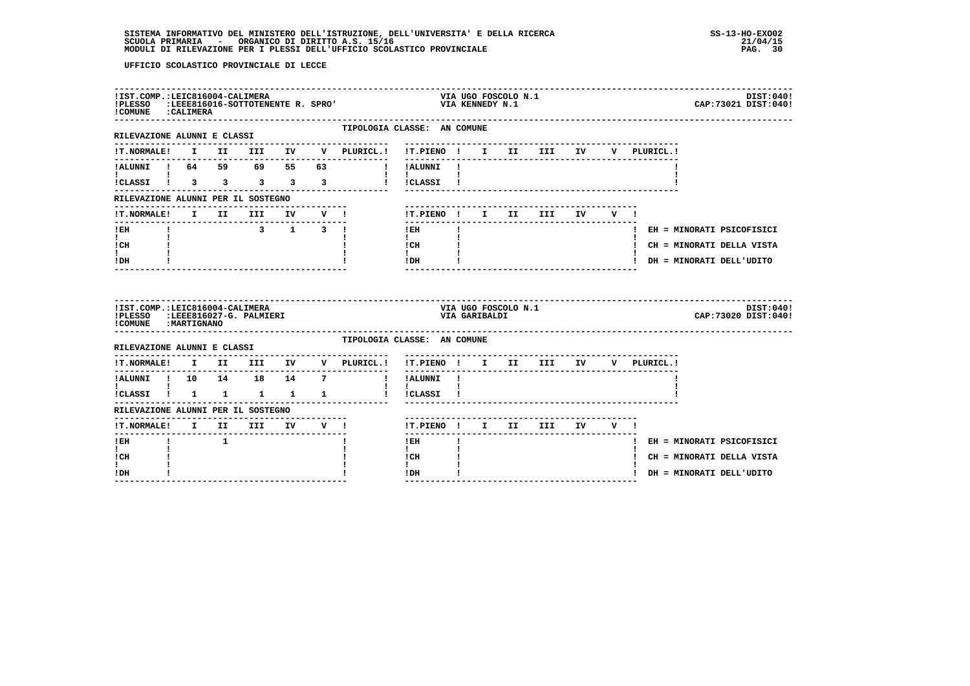| ! COMUNE : CALIMERA                                                                        |  | !IST.COMP.:LEIC816004-CALIMERA |  | !PLESSO :LEEE816016-SOTTOTENENTE R. SPRO' | VIA UGO FOSCOLO N.1<br>VIA KENNEDY N.1                                      | DIST:040!<br>CAP: 73021 DIST: 040! |
|--------------------------------------------------------------------------------------------|--|--------------------------------|--|-------------------------------------------|-----------------------------------------------------------------------------|------------------------------------|
| ----------------------<br>RILEVAZIONE ALUNNI E CLASSI                                      |  |                                |  |                                           | TIPOLOGIA CLASSE: AN COMUNE                                                 |                                    |
|                                                                                            |  |                                |  |                                           | IT. NORMALE! I II III IV V PLURICL.! IT. PIENO ! I II III IV<br>V PLURICL.! |                                    |
|                                                                                            |  |                                |  | I !ALUNNI !                               |                                                                             |                                    |
| ICLASSI 1 3 3 3 3 3                                                                        |  |                                |  | $\mathbf{I}$ and $\mathbf{I}$             | I ICLASSI I                                                                 |                                    |
| RILEVAZIONE ALUNNI PER IL SOSTEGNO                                                         |  |                                |  |                                           |                                                                             |                                    |
| !T.NORMALE!                                                                                |  |                                |  |                                           | !T.PIENO ! I II III<br>IV<br>V !                                            |                                    |
| ! EH                                                                                       |  | 3 1 3 1                        |  |                                           | ! EH                                                                        | ! EH = MINORATI PSICOFISICI        |
| $\mathbf{I}$ and $\mathbf{I}$<br>! CH                                                      |  |                                |  |                                           | $\mathbf{I}$<br>$\frac{1}{1}$ $\frac{1}{1}$ $\frac{1}{1}$                   | ! CH = MINORATI DELLA VISTA        |
| I.<br>! DH                                                                                 |  |                                |  |                                           | ! DH                                                                        | ! DH = MINORATI DELL'UDITO         |
|                                                                                            |  |                                |  |                                           |                                                                             |                                    |
| !IST.COMP.:LEIC816004-CALIMERA<br>!PLESSO :LEEE816027-G. PALMIERI<br>! COMUNE : MARTIGNANO |  |                                |  |                                           | VIA UGO FOSCOLO N.1<br>VIA GARIBALDI                                        | DIST:040!<br>CAP: 73020 DIST: 040! |
| RILEVAZIONE ALUNNI E CLASSI                                                                |  |                                |  |                                           | TIPOLOGIA CLASSE: AN COMUNE                                                 |                                    |
| <b>!T.NORMALE!</b>                                                                         |  |                                |  | I II III IV V PLURICL.!                   | !T.PIENO ! I II III IV<br>V PLURICL. !                                      |                                    |
| ----------<br>!ALUNNI ! 10 14 18 14 7                                                      |  |                                |  | ---------------                           | ! !ALUNNI !                                                                 |                                    |
| $\mathbf{I}$ and $\mathbf{I}$ and $\mathbf{I}$<br>!CLASSI ! 1 1 1 1 1                      |  |                                |  | $\mathbf{I}$                              | $\mathbf{I}$<br>! !CLASSI !                                                 |                                    |
| RILEVAZIONE ALUNNI PER IL SOSTEGNO                                                         |  |                                |  |                                           |                                                                             |                                    |
| !T.NORMALE! I II III IV V !                                                                |  |                                |  |                                           | !T.PIENO ! I II III IV V !                                                  |                                    |
| ! EH                                                                                       |  |                                |  |                                           | ! EH                                                                        | ! EH = MINORATI PSICOFISICI        |
| $\mathbf{I}$<br>! CH<br>L                                                                  |  |                                |  |                                           | $\mathbf{I}$<br>! CH<br>$\mathbf{I}$                                        | ! CH = MINORATI DELLA VISTA        |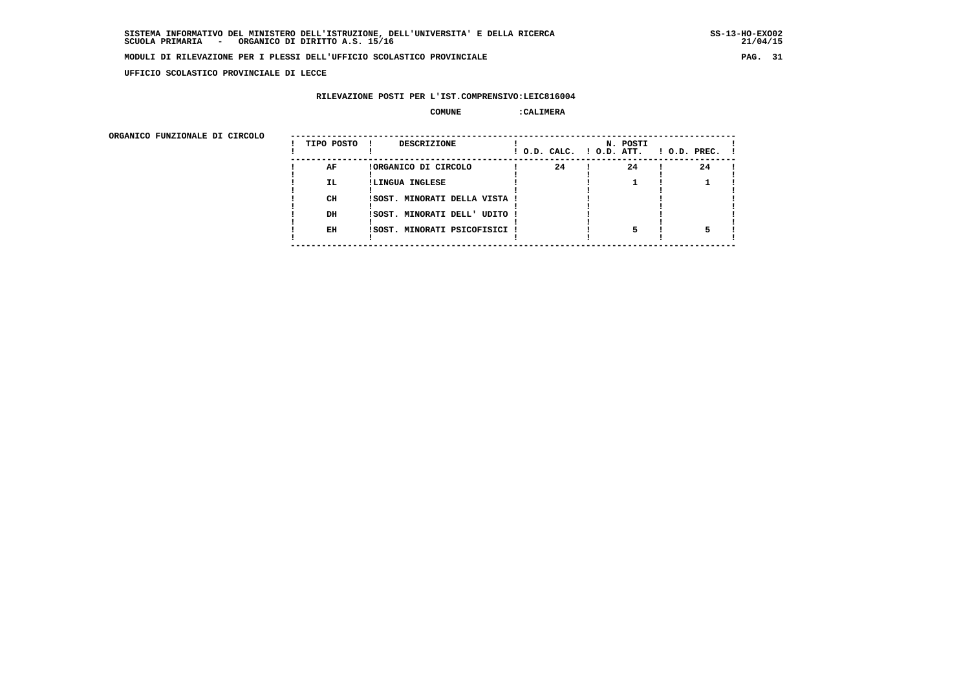**UFFICIO SCOLASTICO PROVINCIALE DI LECCE**

#### **RILEVAZIONE POSTI PER L'IST.COMPRENSIVO:LEIC816004**

#### **COMUNE :CALIMERA**

ORGANICO FUNZIONALE DI CIRCOLO

| ORGANICO FUNZIONALE DI CIRCOLO |            |                               |    |                                      |                    |
|--------------------------------|------------|-------------------------------|----|--------------------------------------|--------------------|
|                                | TIPO POSTO | DESCRIZIONE<br>. .            |    | N. POSTI<br>! O.D. CALC. ! O.D. ATT. | $!$ 0.D. PREC. $!$ |
|                                | AF         | !ORGANICO DI CIRCOLO          | 24 | 24                                   | 24                 |
|                                | IL.        | !LINGUA INGLESE               |    |                                      |                    |
|                                |            |                               |    |                                      |                    |
|                                | CH         | !SOST. MINORATI DELLA VISTA ! |    |                                      |                    |
|                                |            |                               |    |                                      |                    |
|                                | DH         | !SOST. MINORATI DELL' UDITO ! |    |                                      |                    |
|                                |            |                               |    |                                      |                    |
|                                | EH         | !SOST. MINORATI PSICOFISICI ! |    |                                      |                    |
|                                |            |                               |    |                                      |                    |
|                                |            |                               |    |                                      |                    |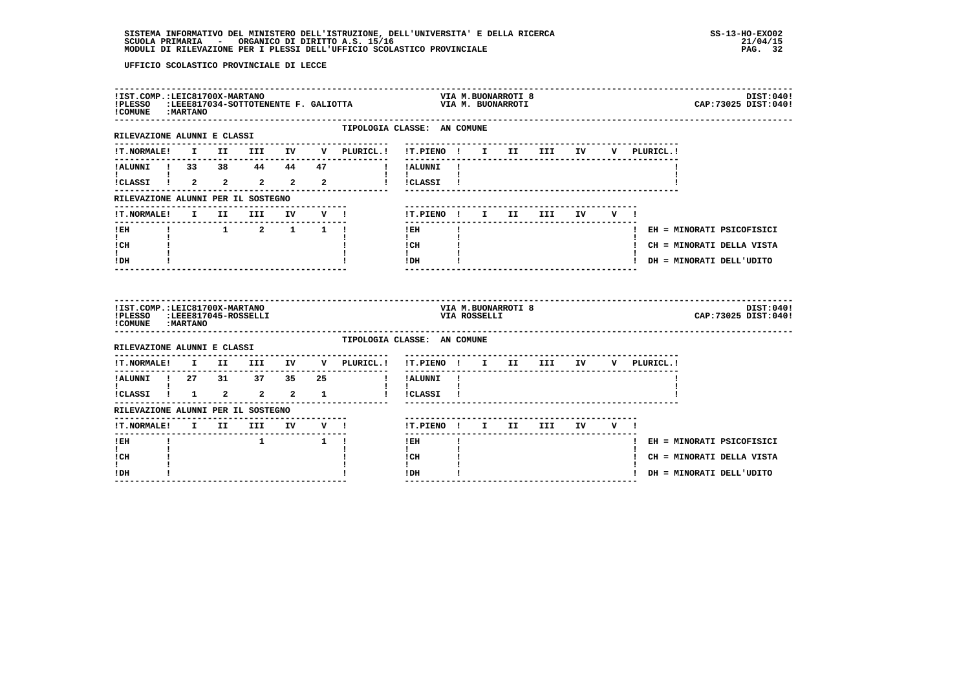| !IST.COMP.:LEIC81700X-MARTANO<br>! COMUNE : MARTANO            |              |                                                  |        | !PLESSO :LEEE817034-SOTTOTENENTE F. GALIOTTA |                                             |              |  | VIA M.BUONARROTI 8<br>VIA M. BUONARROTI |                                        |                 |     |              |  | DIST:040!<br>CAP: 73025 DIST: 040! |  |
|----------------------------------------------------------------|--------------|--------------------------------------------------|--------|----------------------------------------------|---------------------------------------------|--------------|--|-----------------------------------------|----------------------------------------|-----------------|-----|--------------|--|------------------------------------|--|
| -------------------------<br>RILEVAZIONE ALUNNI E CLASSI       |              |                                                  |        | TIPOLOGIA CLASSE: AN COMUNE                  |                                             |              |  |                                         |                                        |                 |     |              |  |                                    |  |
| !T.NORMALE!                                                    |              |                                                  |        | I II III IV V PLURICL.!                      | !T.PIENO ! I II III IV                      |              |  |                                         |                                        |                 |     | V PLURICL. ! |  |                                    |  |
| !ALUNNI ! 33 38 44 44 47                                       |              |                                                  |        | and a strong for                             | !ALUNNI !                                   |              |  |                                         |                                        |                 |     |              |  |                                    |  |
| ICLASSI 1 2 2 2 2 2                                            |              |                                                  |        |                                              | ! !CLASSI !                                 |              |  |                                         |                                        |                 |     |              |  |                                    |  |
| RILEVAZIONE ALUNNI PER IL SOSTEGNO                             |              |                                                  |        |                                              |                                             |              |  |                                         |                                        |                 |     |              |  |                                    |  |
| !T.NORMALE!                                                    | $\mathbf{I}$ | II III                                           | IV V ! |                                              | !T.PIENO ! I II III                         |              |  |                                         |                                        | IV <sub>D</sub> | V ! |              |  |                                    |  |
| $!$ EH                                                         |              | $1 \qquad 1 \qquad 2 \qquad 1 \qquad 1 \qquad 1$ |        |                                              | $!$ EH                                      |              |  |                                         |                                        |                 |     |              |  | ! EH = MINORATI PSICOFISICI        |  |
| $\mathbf{I}$ and $\mathbf{I}$<br>! CH                          |              |                                                  |        |                                              | $\mathbf{I}$<br>$\frac{1}{1}$ $\frac{1}{1}$ |              |  |                                         |                                        |                 |     |              |  | ! CH = MINORATI DELLA VISTA        |  |
| $\mathbf{I}$<br>! DH                                           |              |                                                  |        |                                              | ! DH                                        |              |  |                                         |                                        |                 |     |              |  | ! DH = MINORATI DELL'UDITO         |  |
| !IST.COMP.:LEIC81700X-MARTANO<br>!PLESSO<br>! COMUNE : MARTANO |              | :LEEE817045-ROSSELLI                             |        |                                              |                                             | VIA ROSSELLI |  | VIA M.BUONARROTI 8                      |                                        |                 |     |              |  | DIST:040!<br>CAP: 73025 DIST: 040! |  |
| RILEVAZIONE ALUNNI E CLASSI                                    |              |                                                  |        | TIPOLOGIA CLASSE: AN COMUNE                  |                                             |              |  |                                         |                                        |                 |     |              |  |                                    |  |
| !T.NORMALE!                                                    |              |                                                  |        | I II III IV V PLURICL.!                      | !T.PIENO ! I II III IV V PLURICL.!          |              |  |                                         |                                        |                 |     |              |  |                                    |  |
|                                                                |              |                                                  |        | $\mathbf{I}$                                 | ----------<br>!ALUNNI !                     |              |  |                                         | -------------------------------------- |                 |     |              |  |                                    |  |
| 1 ALUNNI 1 27 31 37 35 25<br>1 1 1 2 2 2 1                     |              |                                                  |        | $\mathbf{I}$                                 | $\mathbf{I}$<br>!CLASSI !                   |              |  |                                         |                                        |                 |     |              |  |                                    |  |
| RILEVAZIONE ALUNNI PER IL SOSTEGNO                             |              |                                                  |        |                                              |                                             |              |  |                                         |                                        |                 |     |              |  |                                    |  |
| !T.NORMALE! I II III IV V !                                    |              |                                                  |        | -------------                                | !T.PIENO ! I II III IV V !                  |              |  |                                         |                                        |                 |     |              |  |                                    |  |
| ! EH                                                           |              |                                                  | 1 1 1  |                                              | $!$ EH                                      |              |  |                                         |                                        |                 |     |              |  | ! EH = MINORATI PSICOFISICI        |  |
| $\mathbf{I}$<br>! CH                                           |              |                                                  |        |                                              | $\mathbf{I}$<br>! CH                        |              |  |                                         |                                        |                 |     |              |  | ! CH = MINORATI DELLA VISTA        |  |
| L<br>! DH                                                      |              |                                                  |        |                                              | $\mathbf{I}$<br>! DH                        |              |  |                                         |                                        |                 |     |              |  | ! DH = MINORATI DELL'UDITO         |  |
|                                                                |              |                                                  |        |                                              |                                             |              |  |                                         |                                        |                 |     |              |  |                                    |  |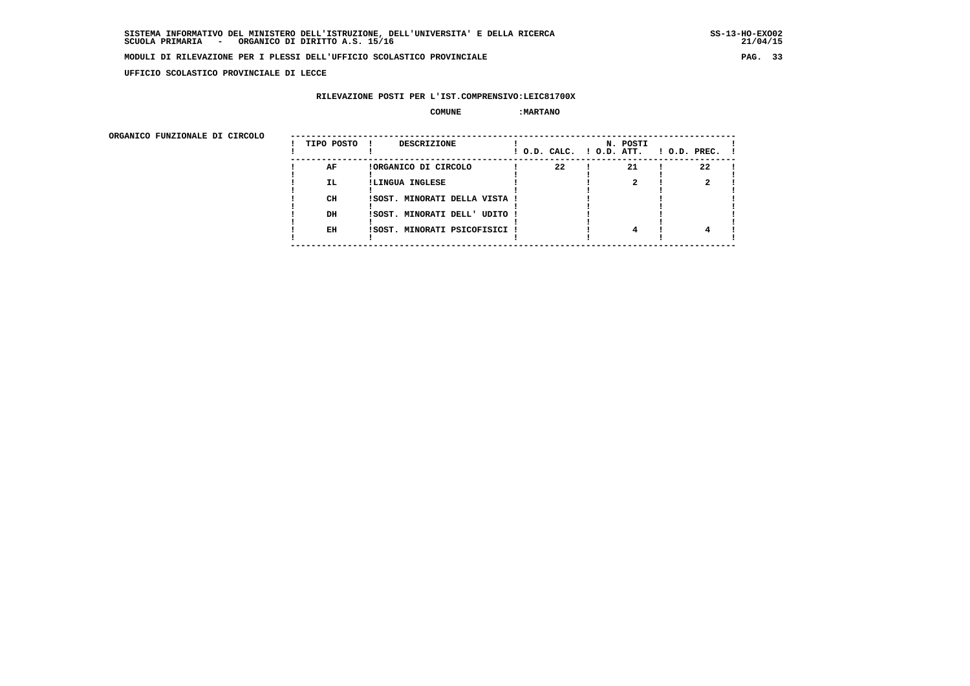**UFFICIO SCOLASTICO PROVINCIALE DI LECCE**

#### **RILEVAZIONE POSTI PER L'IST.COMPRENSIVO:LEIC81700X**

#### $\begin{array}{ccc} \text{COMUNE} & \text{!} & \text{!}} \ \text{MARTANO} & \end{array}$

ORGANICO FUNZIONALE DI CIRCOLO

| ORGANICO FUNZIONALE DI CIRCOLO |            |                               |                          |          |                    |
|--------------------------------|------------|-------------------------------|--------------------------|----------|--------------------|
|                                | TIPO POSTO | DESCRIZIONE<br>. .            | ! O.D. CALC. ! O.D. ATT. | N. POSTI | $!$ 0.D. PREC. $!$ |
|                                | AF         | !ORGANICO DI CIRCOLO          | 22                       | 21       | 22                 |
|                                | IL.        | !LINGUA INGLESE               |                          |          |                    |
|                                |            |                               |                          |          |                    |
|                                | CH         | !SOST. MINORATI DELLA VISTA ! |                          |          |                    |
|                                |            |                               |                          |          |                    |
|                                | DH         | !SOST. MINORATI DELL' UDITO ! |                          |          |                    |
|                                |            |                               |                          |          |                    |
|                                | EH         | !SOST. MINORATI PSICOFISICI ! |                          |          |                    |
|                                |            |                               |                          |          |                    |
|                                |            |                               |                          |          |                    |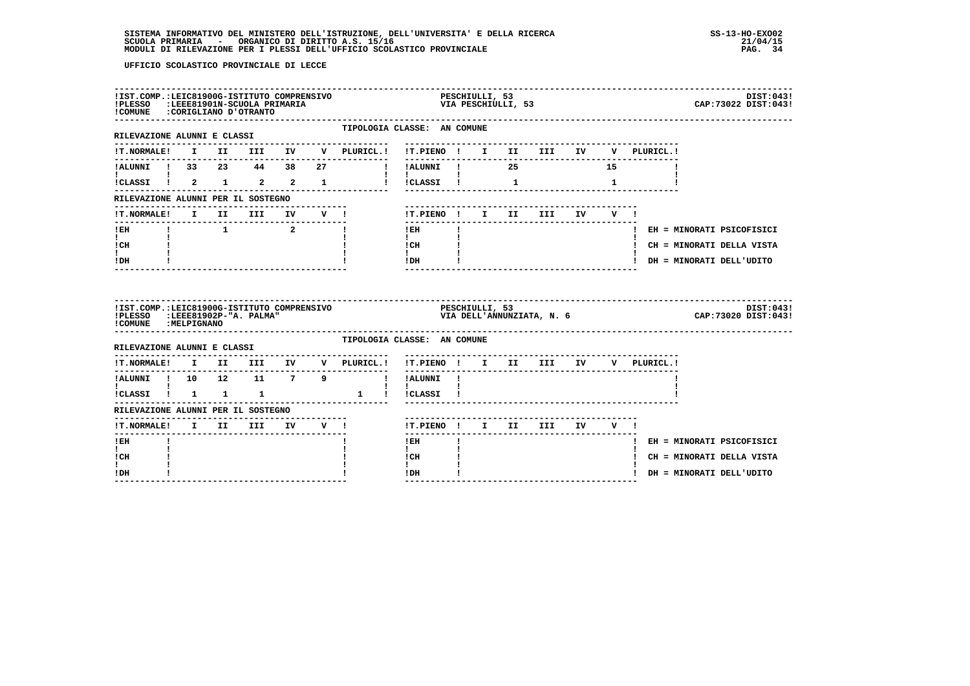| !IST.COMP.:LEIC81900G-ISTITUTO COMPRENSIVO<br>!PLESSO :LEEE81901N-SCUOLA PRIMARIA<br>!COMUNE : CORIGLIANO D'OTRANTO |  |                                          |  |                                                | PESCHIULLI, 53<br>VIA PESCHIULLI, 53                             |    |  |                        |              |             | DIST:043!<br>CAP: 73022 DIST: 043! |
|---------------------------------------------------------------------------------------------------------------------|--|------------------------------------------|--|------------------------------------------------|------------------------------------------------------------------|----|--|------------------------|--------------|-------------|------------------------------------|
| RILEVAZIONE ALUNNI E CLASSI                                                                                         |  |                                          |  |                                                | TIPOLOGIA CLASSE: AN COMUNE                                      |    |  |                        |              |             |                                    |
| <b>!T.NORMALE!</b>                                                                                                  |  |                                          |  | I II III IV V PLURICL.! !T.PIENO ! I II III IV |                                                                  |    |  |                        |              | V PLURICL.! |                                    |
| !ALUNNI ! 33  23  44  38  27                                                                                        |  |                                          |  |                                                |                                                                  |    |  |                        | 15           |             |                                    |
|                                                                                                                     |  |                                          |  | !CLASSI ! 2 1 2 2 1 ! !CLASSI ! 1              |                                                                  |    |  |                        | $\mathbf{1}$ |             |                                    |
| RILEVAZIONE ALUNNI PER IL SOSTEGNO                                                                                  |  |                                          |  |                                                |                                                                  |    |  |                        |              |             |                                    |
| <b>!T.NORMALE!</b>                                                                                                  |  |                                          |  | I II III IV V !                                | !T.PIENO! I II III IV V!                                         |    |  |                        |              |             |                                    |
| ! EH                                                                                                                |  | $\begin{array}{ccc} & 1 & 2 \end{array}$ |  | - 11                                           | $!$ EH                                                           |    |  |                        |              |             | ! EH = MINORATI PSICOFISICI        |
| $\mathbf{I}$<br>! CH                                                                                                |  |                                          |  |                                                | $\mathbf{I}$ and $\mathbf{I}$<br>$\frac{1}{1}$ $\frac{1}{1}$     |    |  |                        |              |             | ! CH = MINORATI DELLA VISTA        |
|                                                                                                                     |  |                                          |  |                                                | IDH                                                              |    |  |                        |              |             |                                    |
| I.<br>! DH                                                                                                          |  |                                          |  |                                                |                                                                  |    |  |                        |              |             | ! DH = MINORATI DELL'UDITO         |
| !IST.COMP.:LEIC81900G-ISTITUTO COMPRENSIVO<br>!PLESSO :LEEE81902P-"A. PALMA"<br>!COMUNE : MELPIGNANO                |  |                                          |  |                                                | PESCHIULLI, 53<br>VIA DELL'ANNUNZIATA, N. 6                      |    |  |                        |              |             | DIST:043!<br>CAP: 73020 DIST: 043! |
| RILEVAZIONE ALUNNI E CLASSI                                                                                         |  |                                          |  |                                                | TIPOLOGIA CLASSE: AN COMUNE                                      |    |  |                        |              |             |                                    |
| <b>!T.NORMALE!</b>                                                                                                  |  |                                          |  | I II III IV V PLURICL.!                        | --------------------------------------<br>!T.PIENO ! I II III IV |    |  |                        |              | V PLURICL.! |                                    |
|                                                                                                                     |  |                                          |  | ! ALUNNI ! 10 12 11 7 9 ! ! ALUNNI !           | --------                                                         |    |  |                        |              |             |                                    |
| $\mathbf{I}$ and $\mathbf{I}$ and $\mathbf{I}$<br>$ICLASSI$ $1$ $1$ $1$                                             |  |                                          |  | 1 ! ! CLASSI !                                 | $\mathbf{1}$ $\mathbf{1}$                                        |    |  |                        |              |             |                                    |
| RILEVAZIONE ALUNNI PER IL SOSTEGNO                                                                                  |  |                                          |  |                                                |                                                                  |    |  |                        |              |             |                                    |
| !T.NORMALE! I II III IV V !                                                                                         |  | -----------------------------            |  |                                                | !T.PIENO ! I II III IV V !                                       |    |  |                        |              |             |                                    |
| -------<br>! EH                                                                                                     |  |                                          |  |                                                | --------<br>$1$ EH and $2$                                       | п. |  | ---------------------- |              |             | ! EH = MINORATI PSICOFISICI        |
| $\mathbf{I}$<br>! CH                                                                                                |  |                                          |  |                                                | $\mathbf{I}$<br>! CH                                             |    |  |                        |              |             | ! CH = MINORATI DELLA VISTA        |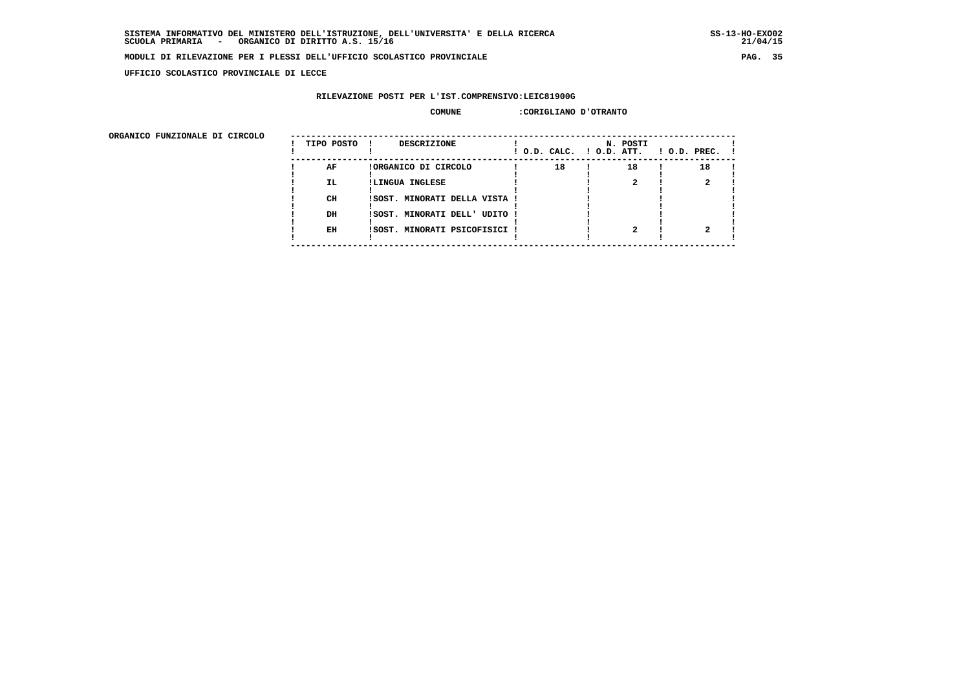**UFFICIO SCOLASTICO PROVINCIALE DI LECCE**

### **RILEVAZIONE POSTI PER L'IST.COMPRENSIVO:LEIC81900G**

#### **COMUNE :CORIGLIANO D'OTRANTO**

| TIPO POSTO | <b>DESCRIZIONE</b>   |              | N. POSTI                                                                                        | $!$ 0.D. PREC. $!$           |
|------------|----------------------|--------------|-------------------------------------------------------------------------------------------------|------------------------------|
| AF         | !ORGANICO DI CIRCOLO | 18           | 18                                                                                              | 18                           |
| IL.        | !LINGUA INGLESE      |              |                                                                                                 |                              |
| CH         |                      |              |                                                                                                 |                              |
| DH         |                      |              |                                                                                                 |                              |
| EH         |                      |              |                                                                                                 |                              |
|            |                      | $\mathbf{I}$ | ISOST. MINORATI DELLA VISTA !<br>ISOST. MINORATI DELL' UDITO !<br>ISOST. MINORATI PSICOFISICI ! | $!$ O.D. CALC. $!$ O.D. ATT. |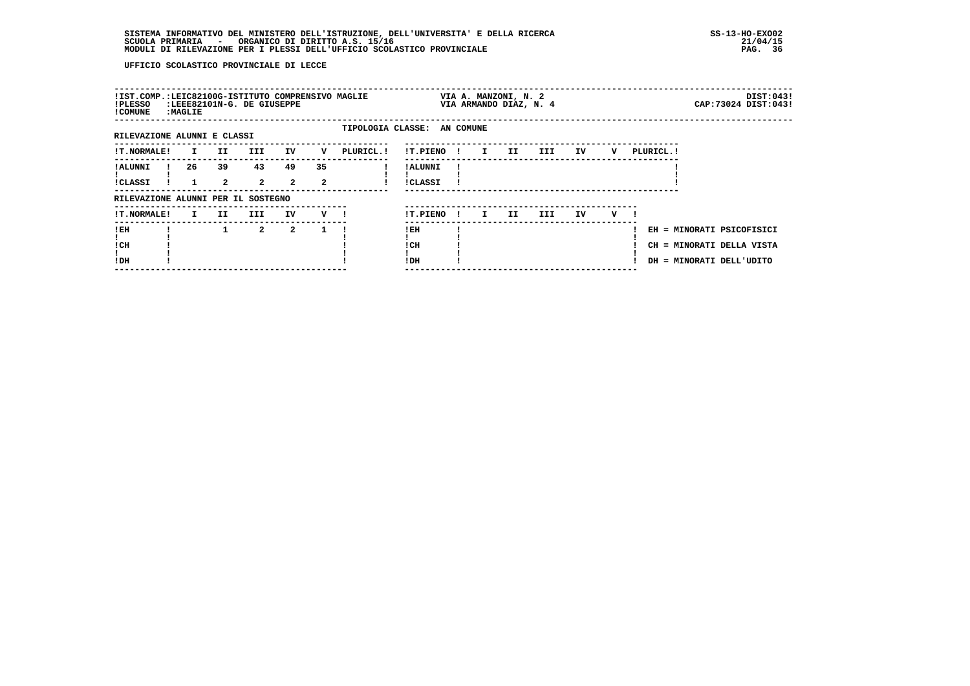| !IST.COMP.:LEIC82100G-ISTITUTO COMPRENSIVO MAGLIE<br>!PLESSO<br>! COMUNE | : MAGLIE     |                      | :LEEE82101N-G. DE GIUSEPPE |                      |              |                             |                            |              | VIA A. MANZONI, N. 2<br>VIA ARMANDO DIAZ, N. 4 |     |     |    |   |           |                                                                                    | DIST:043!<br>CAP: 73024 DIST: 043! |
|--------------------------------------------------------------------------|--------------|----------------------|----------------------------|----------------------|--------------|-----------------------------|----------------------------|--------------|------------------------------------------------|-----|-----|----|---|-----------|------------------------------------------------------------------------------------|------------------------------------|
| RILEVAZIONE ALUNNI E CLASSI                                              |              |                      |                            |                      |              | TIPOLOGIA CLASSE: AN COMUNE |                            |              |                                                |     |     |    |   |           |                                                                                    |                                    |
| <b>!T.NORMALE!</b>                                                       | $\mathbf{I}$ | II                   | <b>III</b>                 | IV                   | v            | PLURICL. !                  | !T.PIENO!                  |              | $\mathbf{I}$                                   | II  | III | IV | v | PLURICL.! |                                                                                    |                                    |
| ! ALUNNI<br><b>!CLASSI</b>                                               | 26           | 39<br>$\overline{a}$ | 43<br>$\overline{2}$       | 49<br>$\overline{a}$ | 35<br>2      |                             | ! ALUNNI<br><b>!CLASSI</b> |              |                                                |     |     |    |   |           |                                                                                    |                                    |
| RILEVAZIONE ALUNNI PER IL SOSTEGNO                                       |              |                      |                            |                      |              |                             |                            |              |                                                |     |     |    |   |           |                                                                                    |                                    |
| <b>!T.NORMALE!</b>                                                       | $\mathbf{I}$ | II                   | III                        | IV                   | $V$ $l$      |                             | !T.PIENO                   | $\mathbf{I}$ | $\mathbf{I}$                                   | II. | III | IV | v |           |                                                                                    |                                    |
| ! EH<br>! CH<br>!DH                                                      |              |                      | $\overline{2}$             | $\overline{2}$       | $\mathbf{1}$ |                             | !EH<br>! CH<br>!DH         |              |                                                |     |     |    |   |           | EH = MINORATI PSICOFISICI<br>CH = MINORATI DELLA VISTA<br>DH = MINORATI DELL'UDITO |                                    |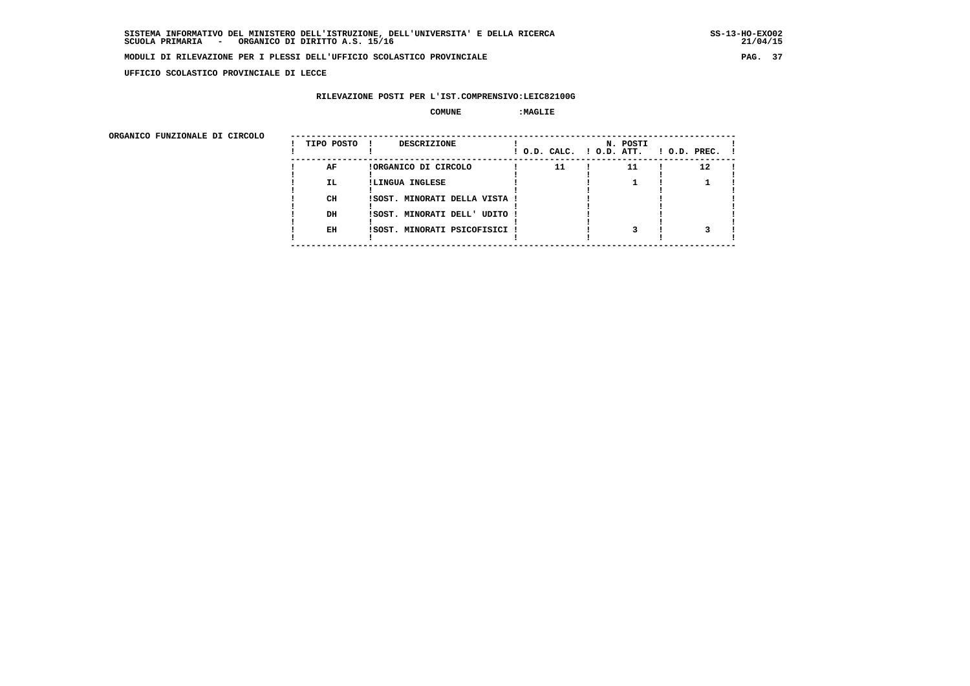**UFFICIO SCOLASTICO PROVINCIALE DI LECCE**

# **RILEVAZIONE POSTI PER L'IST.COMPRENSIVO:LEIC82100G**

 **COMUNE :MAGLIE**

ORGANICO FUNZIONALE DI CIRCOLO

| ORGANICO FUNZIONALE DI CIRCOLO | TIPO POSTO ! | <b>DESCRIZIONE</b>            |    | N. POSTI | $!$ O.D. CALC. $!$ O.D. ATT. $!$ O.D. PREC. $!$ |
|--------------------------------|--------------|-------------------------------|----|----------|-------------------------------------------------|
|                                | AF           | !ORGANICO DI CIRCOLO          | 11 | 11       | 12                                              |
|                                | IL.          | !LINGUA INGLESE               |    |          |                                                 |
|                                |              |                               |    |          |                                                 |
|                                | CH           | ISOST. MINORATI DELLA VISTA ! |    |          |                                                 |
|                                |              |                               |    |          |                                                 |
|                                | DH           | !SOST. MINORATI DELL' UDITO ! |    |          |                                                 |
|                                |              |                               |    |          |                                                 |
|                                | EH           | !SOST. MINORATI PSICOFISICI ! |    |          |                                                 |
|                                |              |                               |    |          |                                                 |
|                                |              |                               |    |          |                                                 |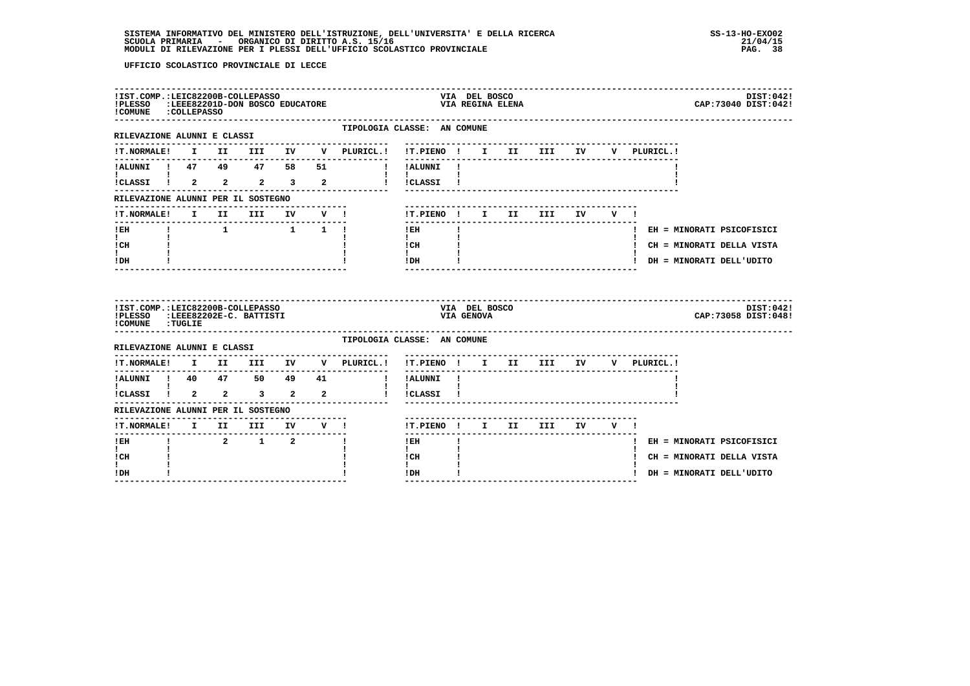| !PLESSO :LEEE82201D-DON BOSCO EDUCATORE<br>!COMUNE : COLLEPASSO                        |  | !IST.COMP.:LEIC82200B-COLLEPASSO                                                |       |                                                |                                                               | VIA DEL BOSCO               | VIA REGINA ELENA           |     |           |     |             | DIST:042!<br>CAP: 73040 DIST: 042! |
|----------------------------------------------------------------------------------------|--|---------------------------------------------------------------------------------|-------|------------------------------------------------|---------------------------------------------------------------|-----------------------------|----------------------------|-----|-----------|-----|-------------|------------------------------------|
| RILEVAZIONE ALUNNI E CLASSI                                                            |  |                                                                                 |       | TIPOLOGIA CLASSE: AN COMUNE                    |                                                               |                             |                            |     |           |     |             |                                    |
| !T.NORMALE!                                                                            |  |                                                                                 |       | I II III IV V PLURICL.! !T.PIENO ! I II III IV | --------                                                      |                             |                            |     |           |     | V PLURICL.! |                                    |
| !ALUNNI ! 47 49 47 58 51                                                               |  |                                                                                 |       | ! ! ALUNNI !                                   |                                                               |                             |                            |     |           |     |             |                                    |
| !CLASSI ! 2 2 2 3 2                                                                    |  |                                                                                 |       |                                                | $\mathbf{I}$ and $\mathbf{I}$ and $\mathbf{I}$<br>! !CLASSI ! |                             |                            |     |           |     |             |                                    |
| RILEVAZIONE ALUNNI PER IL SOSTEGNO                                                     |  |                                                                                 |       |                                                |                                                               |                             |                            |     |           |     |             |                                    |
| !T.NORMALE!                                                                            |  | I II III                                                                        | IV V! |                                                |                                                               |                             | !T.PIENO ! I II            | III | <b>IV</b> | V ! |             |                                    |
| ! EH                                                                                   |  | $\begin{array}{cccccccccccccc} 1 & & & & 1 & & & 1 & & 1 & & 1 & & \end{array}$ |       |                                                | ! EH                                                          |                             |                            |     |           |     |             | ! EH = MINORATI PSICOFISICI        |
| $\mathbf{I}$ and $\mathbf{I}$<br>! CH                                                  |  |                                                                                 |       |                                                | $\mathbf{I}$<br>! CH                                          |                             |                            |     |           |     |             | ! CH = MINORATI DELLA VISTA        |
| $\mathbf{I}$<br>! DH                                                                   |  |                                                                                 |       |                                                | $\mathbf{I}$<br>! DH                                          |                             |                            |     |           |     |             | ! DH = MINORATI DELL'UDITO         |
|                                                                                        |  |                                                                                 |       |                                                |                                                               |                             |                            |     |           |     |             |                                    |
| !IST.COMP.:LEIC82200B-COLLEPASSO<br>!PLESSO :LEEE82202E-C. BATTISTI<br>COMUNE : TUGLIE |  |                                                                                 |       |                                                |                                                               | VIA DEL BOSCO<br>VIA GENOVA |                            |     |           |     |             | DIST:042!<br>CAP: 73058 DIST: 048! |
| RILEVAZIONE ALUNNI E CLASSI                                                            |  |                                                                                 |       | TIPOLOGIA CLASSE: AN COMUNE                    |                                                               |                             |                            |     |           |     |             |                                    |
| <b>!T.NORMALE!</b>                                                                     |  |                                                                                 |       | . <u>.</u> .<br>I II III IV V PLURICL.!        | !T.PIENO ! I II III IV                                        |                             |                            |     |           |     | V PLURICL.! |                                    |
|                                                                                        |  |                                                                                 |       | ---------------                                | ----------<br>! !ALUNNI !                                     |                             |                            |     |           |     |             |                                    |
|                                                                                        |  |                                                                                 |       |                                                | $\mathbf{I}$<br>! !CLASSI !                                   |                             |                            |     |           |     |             |                                    |
| RILEVAZIONE ALUNNI PER IL SOSTEGNO                                                     |  |                                                                                 |       |                                                |                                                               |                             |                            |     |           |     |             |                                    |
| !T.NORMALE! I II III IV V !                                                            |  |                                                                                 |       |                                                |                                                               |                             | !T.PIENO ! I II III IV V ! |     |           |     |             |                                    |
| -------<br>! EH                                                                        |  | 2 1 2                                                                           |       |                                                | $- - - - - -$<br>$!$ EH                                       |                             |                            |     |           |     |             | ! EH = MINORATI PSICOFISICI        |
| $\mathbf{I}$<br>! CH<br>L                                                              |  |                                                                                 |       |                                                | $\mathbf{I}$<br>! CH<br>$\mathbf{I}$                          |                             |                            |     |           |     |             | ! CH = MINORATI DELLA VISTA        |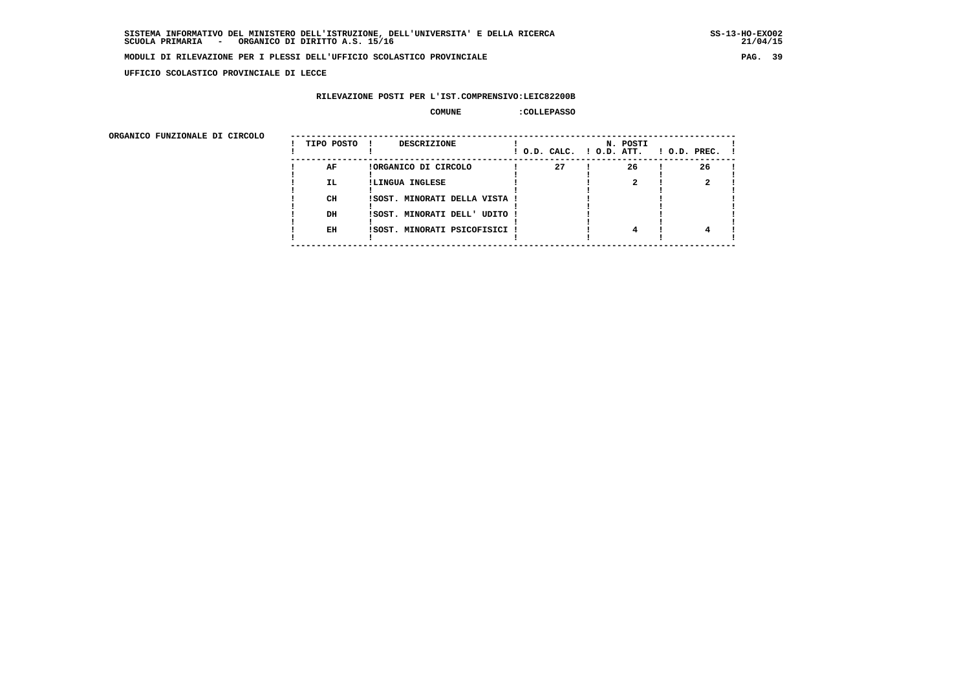**UFFICIO SCOLASTICO PROVINCIALE DI LECCE**

# **RILEVAZIONE POSTI PER L'IST.COMPRENSIVO:LEIC82200B**

#### **COMUNE :COLLEPASSO**

| ORGANICO FUNZIONALE DI CIRCOLO |            |                               |                          |          |                    |
|--------------------------------|------------|-------------------------------|--------------------------|----------|--------------------|
|                                | TIPO POSTO | DESCRIZIONE                   | ! O.D. CALC. ! O.D. ATT. | N. POSTI | $1$ O.D. PREC. $1$ |
|                                | AF         | !ORGANICO DI CIRCOLO          | 27                       | 26       | 26                 |
|                                | IL.        | !LINGUA INGLESE               |                          |          |                    |
|                                | CH         | ISOST. MINORATI DELLA VISTA ! |                          |          |                    |
|                                | DH         | !SOST. MINORATI DELL' UDITO ! |                          |          |                    |
|                                | EH         | !SOST. MINORATI PSICOFISICI ! |                          | 4        |                    |
|                                |            |                               |                          |          |                    |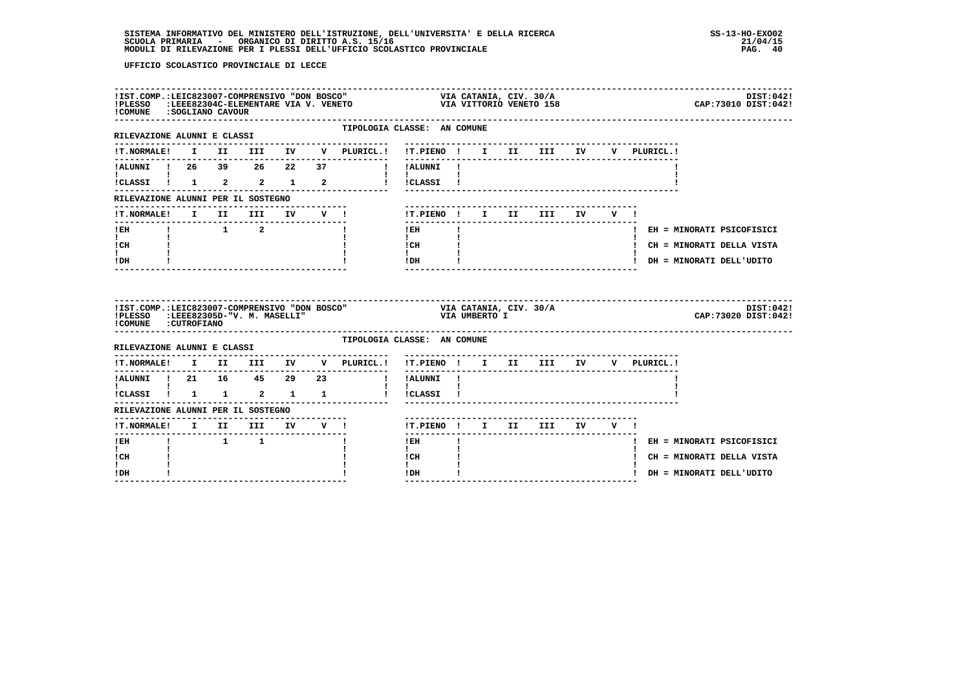| !COMUNE : SOGLIANO CAVOUR                      |  |                                                   |                                     | IIST.COMP.:LEIC823007-COMPRENSIVO "DON BOSCO" VIA CATANIA, CIV. 30/A<br>IPLESSO :LEEE82304C-ELEMENTARE VIA V. VENETO VIA VII VIA VITTORIO VENETO 158 |                                                                 |              |  |                                        |  |  | DIST:042!<br>CAP: 73010 DIST: 042! |  |
|------------------------------------------------|--|---------------------------------------------------|-------------------------------------|------------------------------------------------------------------------------------------------------------------------------------------------------|-----------------------------------------------------------------|--------------|--|----------------------------------------|--|--|------------------------------------|--|
| RILEVAZIONE ALUNNI E CLASSI                    |  |                                                   |                                     | TIPOLOGIA CLASSE: AN COMUNE                                                                                                                          |                                                                 |              |  |                                        |  |  |                                    |  |
|                                                |  |                                                   |                                     | !T.NORMALE! I II III IV V PLURICL.! !T.PIENO ! I II III IV V PLURICL.!                                                                               |                                                                 |              |  |                                        |  |  |                                    |  |
|                                                |  |                                                   |                                     | !ALUNNI ! 26 39 26 22 37 ! !ALUNNI !                                                                                                                 |                                                                 |              |  |                                        |  |  |                                    |  |
|                                                |  |                                                   |                                     | !CLASSI ! 1 2 2 1 2 ! !CLASSI !                                                                                                                      |                                                                 |              |  |                                        |  |  |                                    |  |
| RILEVAZIONE ALUNNI PER IL SOSTEGNO             |  |                                                   |                                     |                                                                                                                                                      |                                                                 |              |  |                                        |  |  |                                    |  |
|                                                |  |                                                   |                                     | !T.NORMALE! I II III IV V !                                                                                                                          | !T.PIENO! I II III IV V!                                        |              |  |                                        |  |  |                                    |  |
| $!$ EH                                         |  | $\begin{array}{cccccccc}\n & 1 & 2 & \end{array}$ |                                     |                                                                                                                                                      | $!$ EH                                                          | $\mathbf{I}$ |  |                                        |  |  | ! EH = MINORATI PSICOFISICI        |  |
| $\mathbf{I}$ and $\mathbf{I}$<br>! CH          |  |                                                   |                                     |                                                                                                                                                      | $\mathbf{I}$<br>$\mathbf{I} \mathbf{C} \mathbf{H}$ $\mathbf{I}$ |              |  |                                        |  |  | ! CH = MINORATI DELLA VISTA        |  |
| I.<br>! DH                                     |  |                                                   |                                     |                                                                                                                                                      | $\mathbf{I}$<br>$IDH$ $I$                                       |              |  |                                        |  |  | ! DH = MINORATI DELL'UDITO         |  |
|                                                |  |                                                   |                                     |                                                                                                                                                      |                                                                 |              |  |                                        |  |  |                                    |  |
| ! COMUNE : CUTROFIANO                          |  |                                                   |                                     |                                                                                                                                                      |                                                                 |              |  |                                        |  |  | DIST:042!<br>CAP: 73020 DIST: 042! |  |
| RILEVAZIONE ALUNNI E CLASSI                    |  |                                                   |                                     | TIPOLOGIA CLASSE: AN COMUNE                                                                                                                          |                                                                 |              |  |                                        |  |  |                                    |  |
| !T.NORMALE!                                    |  |                                                   |                                     | I II III IV V PLURICL.! !T.PIENO ! I II III IV V PLURICL.!                                                                                           |                                                                 |              |  |                                        |  |  |                                    |  |
| IALUNNI ! 21 16 45 29 23                       |  |                                                   |                                     | --------------------------------                                                                                                                     | ! !ALUNNI !                                                     |              |  |                                        |  |  |                                    |  |
| $\mathbf{I}$ and $\mathbf{I}$ and $\mathbf{I}$ |  |                                                   |                                     | .<br>ICLASSI 1 1 1 2 1 1 1 1 ICLASSI 1                                                                                                               | $\mathbf{I}$ $\mathbf{I}$                                       |              |  |                                        |  |  |                                    |  |
| RILEVAZIONE ALUNNI PER IL SOSTEGNO             |  |                                                   |                                     |                                                                                                                                                      |                                                                 |              |  | ______________________________________ |  |  |                                    |  |
| !T.NORMALE! I II III IV V !                    |  |                                                   |                                     |                                                                                                                                                      | !T.PIENO! I II III IV V!                                        |              |  |                                        |  |  |                                    |  |
| ----------------------<br>$I$ EH               |  | $\begin{array}{ccc} & 1 & 1 \end{array}$          | . _ _ _ _ _ _ _ _ _ _ _ _ _ _ _ _ _ |                                                                                                                                                      | $!$ EH                                                          | $\mathbf{I}$ |  |                                        |  |  | ! EH = MINORATI PSICOFISICI        |  |
| $\mathbf{I}$<br>! CH                           |  |                                                   |                                     |                                                                                                                                                      | $\mathbf{I}$<br>! CH<br>$\mathbf{I}$                            |              |  |                                        |  |  | ! CH = MINORATI DELLA VISTA        |  |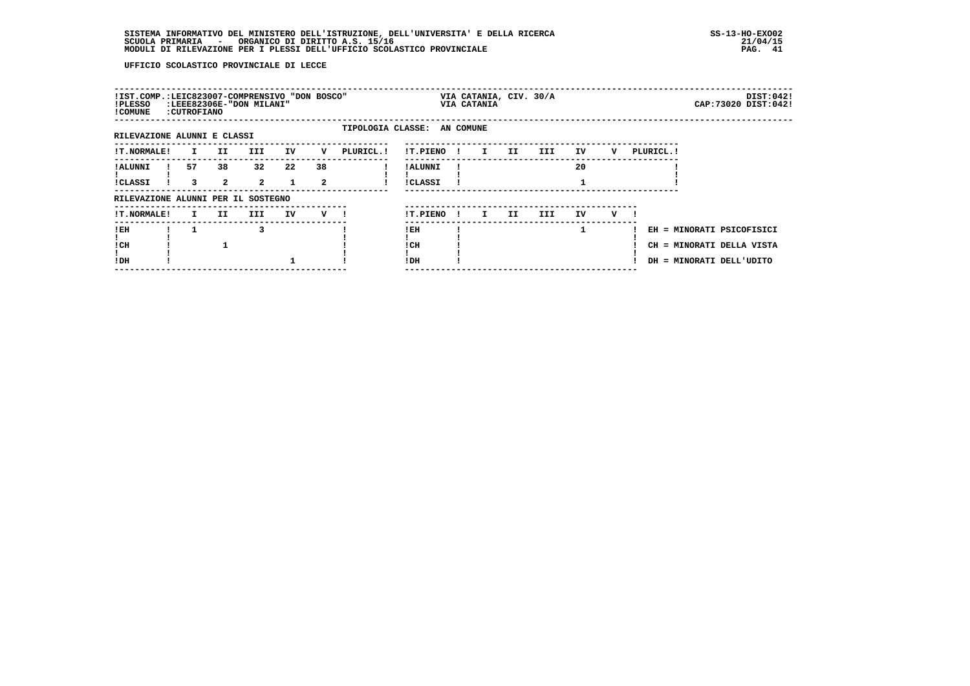| !IST.COMP.:LEIC823007-COMPRENSIVO "DON BOSCO"<br>!PLESSO<br>! COMUNE | : CUTROFIANO |                    | :LEEE82306E-"DON MILANI" |                    |         |                             |                            |     | VIA CATANIA, CIV. 30/A<br>VIA CATANIA |     |      |    |   |            |                                                                                    | DIST:042!<br>CAP: 73020 DIST: 042! |
|----------------------------------------------------------------------|--------------|--------------------|--------------------------|--------------------|---------|-----------------------------|----------------------------|-----|---------------------------------------|-----|------|----|---|------------|------------------------------------------------------------------------------------|------------------------------------|
| RILEVAZIONE ALUNNI E CLASSI                                          |              |                    |                          |                    |         | TIPOLOGIA CLASSE: AN COMUNE |                            |     |                                       |     |      |    |   |            |                                                                                    |                                    |
| <b>!T.NORMALE!</b>                                                   | I.           | II.                | III.                     | IV                 | v       | PLURICL. !                  | !T.PIENO                   | . . | I.                                    | II  | III  | IV | v | PLURICL. ! |                                                                                    |                                    |
| ! ALUNNI<br><b>!CLASSI</b>                                           | 57<br>3      | 38<br>$\mathbf{2}$ | 32<br>$\overline{2}$     | 22<br>$\mathbf{1}$ | 38<br>2 |                             | ! ALUNNI<br><b>!CLASSI</b> |     |                                       |     |      | 20 |   |            |                                                                                    |                                    |
| RILEVAZIONE ALUNNI PER IL SOSTEGNO                                   |              |                    |                          |                    |         |                             |                            |     |                                       |     |      |    |   |            |                                                                                    |                                    |
| <b>!T.NORMALE!</b>                                                   | I.           | II.                | III                      | IV                 | v —     |                             | !T.PIENO                   | -11 | I.                                    | II. | III. | IV | v |            |                                                                                    |                                    |
| !EH<br>! CH<br>!DH                                                   |              |                    | 3                        |                    |         |                             | ! EH<br>! CH<br>!DH        |     |                                       |     |      | 1  |   |            | EH = MINORATI PSICOFISICI<br>CH = MINORATI DELLA VISTA<br>DH = MINORATI DELL'UDITO |                                    |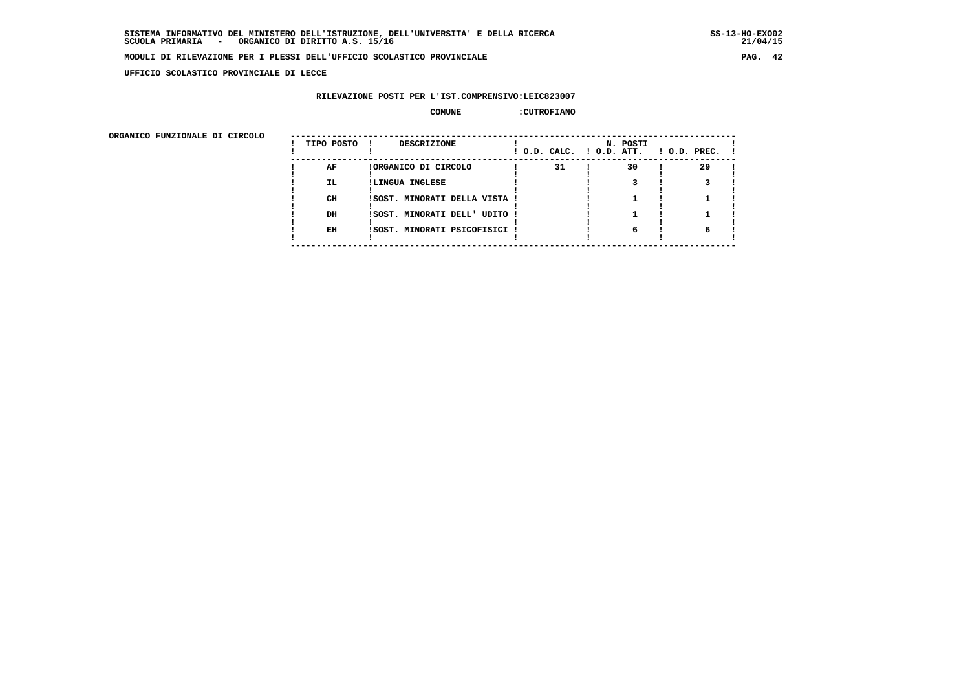**UFFICIO SCOLASTICO PROVINCIALE DI LECCE**

# **RILEVAZIONE POSTI PER L'IST.COMPRENSIVO:LEIC823007**

# **COMUNE :CUTROFIANO**

| ORGANICO FUNZIONALE DI CIRCOLO |            |                               |                          |          |                    |
|--------------------------------|------------|-------------------------------|--------------------------|----------|--------------------|
|                                | TIPO POSTO | DESCRIZIONE                   | ! O.D. CALC. ! O.D. ATT. | N. POSTI | $1$ O.D. PREC. $1$ |
|                                | AF         | !ORGANICO DI CIRCOLO          | 31                       | 30       | 29                 |
|                                | IL.        | !LINGUA INGLESE               |                          |          |                    |
|                                | CH         | ISOST. MINORATI DELLA VISTA ! |                          |          |                    |
|                                | DH         | !SOST. MINORATI DELL' UDITO ! |                          |          |                    |
|                                | EH         | !SOST. MINORATI PSICOFISICI ! |                          | 6        |                    |
|                                |            |                               |                          |          |                    |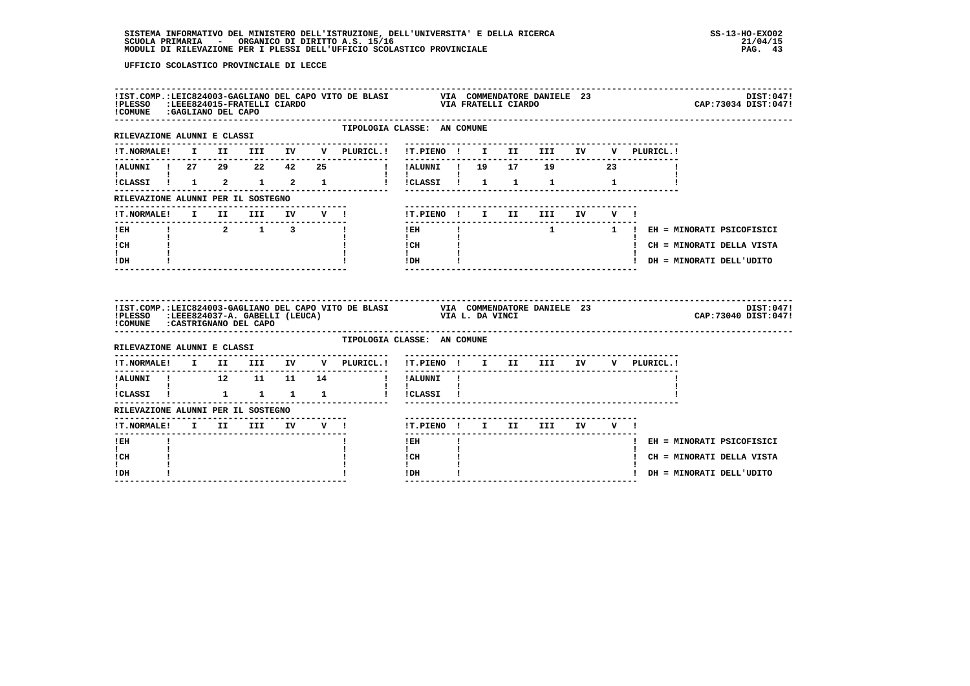| IBT.COMP.ILEEE024015-FRATELLI CIARDO<br>IPLESSO :LEEE024015-FRATELLI CIARDO<br>!COMUNE : GAGLIANO DEL CAPO |  |                                                       |                           | !IST.COMP.:LEIC824003-GAGLIANO DEL CAPO VITO DE BLASI VIA COMMENDATORE DANIELE 23 |                                                              |                                            | ------------------- | VIA FRATELLI CIARDO      |  |                                 |                             | DIST:047!<br>CAP: 73034 DIST: 047! |
|------------------------------------------------------------------------------------------------------------|--|-------------------------------------------------------|---------------------------|-----------------------------------------------------------------------------------|--------------------------------------------------------------|--------------------------------------------|---------------------|--------------------------|--|---------------------------------|-----------------------------|------------------------------------|
| RILEVAZIONE ALUNNI E CLASSI                                                                                |  |                                                       |                           | TIPOLOGIA CLASSE: AN COMUNE                                                       |                                                              |                                            |                     |                          |  |                                 |                             |                                    |
|                                                                                                            |  |                                                       |                           |                                                                                   |                                                              |                                            |                     |                          |  |                                 |                             |                                    |
|                                                                                                            |  |                                                       |                           | !ALUNNI ! 27 29 22 42 25 !!!ALUNNI ! 19 17 19 23                                  |                                                              |                                            |                     |                          |  |                                 |                             |                                    |
| <b>Experience</b>                                                                                          |  |                                                       |                           | !CLASSI ! 1 2 1 2 1 1 ! !CLASSI ! 1 1 1 1 1                                       | $\mathbf{I}$ $\mathbf{I}$ $\mathbf{I}$                       |                                            |                     |                          |  |                                 |                             |                                    |
| RILEVAZIONE ALUNNI PER IL SOSTEGNO                                                                         |  |                                                       |                           |                                                                                   |                                                              |                                            |                     |                          |  |                                 |                             |                                    |
| !T.NORMALE! I II III IV V !                                                                                |  |                                                       |                           |                                                                                   |                                                              |                                            |                     | !T.PIENO! I II III IV V! |  |                                 |                             |                                    |
| $!$ EH                                                                                                     |  | $\begin{array}{cccccccccc} 1 & 2 & 1 & 3 \end{array}$ |                           | $\mathbf{I}$                                                                      | $1$ EH                                                       | <b>Contract Contract Contract Contract</b> |                     |                          |  | 1 1 ! EH = MINORATI PSICOFISICI |                             |                                    |
| $\mathbf{I}$ and $\mathbf{I}$<br>ICH                                                                       |  |                                                       |                           |                                                                                   | $\mathbf{I}$ and $\mathbf{I}$<br>$\frac{1}{1}$ $\frac{1}{1}$ |                                            |                     |                          |  |                                 | ! CH = MINORATI DELLA VISTA |                                    |
| $\mathbf{I}$<br>IDH                                                                                        |  |                                                       |                           |                                                                                   | $IDH$ $I$                                                    |                                            |                     |                          |  |                                 | ! DH = MINORATI DELL'UDITO  |                                    |
|                                                                                                            |  |                                                       |                           |                                                                                   |                                                              |                                            |                     |                          |  |                                 |                             |                                    |
| !PLESSO :LEEE824037-A. GABELLI (LEUCA)<br>!COMUNE : CASTRIGNANO DEL CAPO                                   |  |                                                       |                           | !IST.COMP.:LEIC824003-GAGLIANO DEL CAPO VITO DE BLASI VIA COMMENDATORE DANIELE 23 |                                                              | VIA L. DA VINCI                            |                     |                          |  |                                 | CAP: 73040 DIST: 047!       |                                    |
| RILEVAZIONE ALUNNI E CLASSI                                                                                |  |                                                       |                           | TIPOLOGIA CLASSE: AN COMUNE                                                       |                                                              |                                            |                     |                          |  |                                 |                             |                                    |
|                                                                                                            |  |                                                       |                           | !T.NORMALE! I II III IV V PLURICL.! !T.PIENO ! I II III IV V PLURICL.!            |                                                              |                                            |                     |                          |  |                                 |                             | DIST:0471                          |
| ---------------                                                                                            |  |                                                       |                           | ! ALUNNI ! 12 11 11 14 ! ! ALUNNI !                                               |                                                              |                                            |                     |                          |  |                                 |                             |                                    |
| $\mathbf{I}$ and $\mathbf{I}$ and $\mathbf{I}$                                                             |  |                                                       |                           |                                                                                   | $\mathbf{1}$ $\mathbf{1}$                                    |                                            |                     |                          |  |                                 |                             |                                    |
| RILEVAZIONE ALUNNI PER IL SOSTEGNO                                                                         |  |                                                       |                           |                                                                                   |                                                              |                                            |                     |                          |  |                                 |                             |                                    |
| !T.NORMALE! I II III IV V !                                                                                |  |                                                       | . _ _ _ _ _ _ _ _ _ _ _ _ |                                                                                   | !T.PIENO ! I II III IV V !                                   |                                            |                     |                          |  |                                 |                             |                                    |
| ! EH                                                                                                       |  |                                                       |                           |                                                                                   | ! EH                                                         |                                            |                     |                          |  |                                 | ! EH = MINORATI PSICOFISICI |                                    |
| I.<br>! CH<br>$\mathbf{I}$                                                                                 |  |                                                       |                           |                                                                                   | $\mathbf{I}$<br>! CH<br>$\mathbf{I}$                         |                                            |                     |                          |  |                                 | ! CH = MINORATI DELLA VISTA |                                    |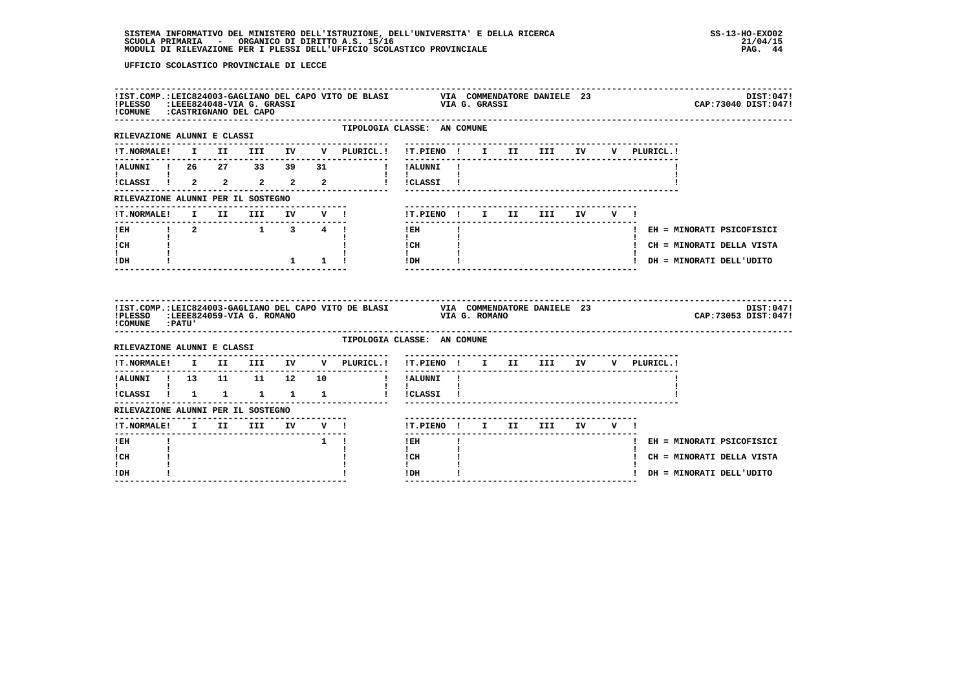| !PLESSO :LEEE824048-VIA G. GRASSI<br>!COMUNE : CASTRIGNANO DEL CAPO   |  |          |                     | !IST.COMP.:LEIC824003-GAGLIANO DEL CAPO VITO DE BLASI                  |                                          |              | VIA G. GRASSI |                         | VIA COMMENDATORE DANIELE 23 |        |  |             | CAP: 73040 DIST: 047!       | DIST:047! |
|-----------------------------------------------------------------------|--|----------|---------------------|------------------------------------------------------------------------|------------------------------------------|--------------|---------------|-------------------------|-----------------------------|--------|--|-------------|-----------------------------|-----------|
| RILEVAZIONE ALUNNI E CLASSI                                           |  |          |                     | TIPOLOGIA CLASSE: AN COMUNE                                            |                                          |              |               |                         |                             |        |  |             |                             |           |
| !T.NORMALE!                                                           |  |          |                     | I II III IV V PLURICL.! !T.PIENO ! I II III IV                         |                                          |              |               |                         |                             |        |  | V PLURICL.! |                             |           |
|                                                                       |  |          |                     | !ALUNNI ! 26  27  33  39  31  !!!ALUNNI !                              |                                          |              |               |                         |                             |        |  |             |                             |           |
| .<br>ICLASSI 1 2 2 2 2 2                                              |  |          |                     |                                                                        | $\mathbf{I}$ $\mathbf{I}$<br>l ICLASSI I |              |               |                         |                             |        |  |             |                             |           |
| RILEVAZIONE ALUNNI PER IL SOSTEGNO                                    |  |          |                     |                                                                        |                                          |              |               |                         |                             |        |  |             |                             |           |
| !T.NORMALE!                                                           |  | I II III |                     | IV V !                                                                 | !T.PIENO ! I II III                      |              |               |                         |                             | IV V ! |  |             |                             |           |
|                                                                       |  |          |                     |                                                                        | $!$ EH                                   | $\mathbf{I}$ |               |                         |                             |        |  |             | ! EH = MINORATI PSICOFISICI |           |
| $\mathbf{I}$ and $\mathbf{I}$<br>! CH                                 |  |          |                     |                                                                        | $\mathbf{I}$<br>! CH                     |              |               |                         |                             |        |  |             | ! CH = MINORATI DELLA VISTA |           |
| $\mathbf{I}$<br>! DH                                                  |  |          | $1 \quad 1 \quad 1$ |                                                                        | $\mathbf{I}$<br>!DH                      |              |               |                         |                             |        |  |             | ! DH = MINORATI DELL'UDITO  |           |
|                                                                       |  |          |                     |                                                                        |                                          |              |               | ----------------------- |                             |        |  |             |                             |           |
| ! COMUNE : PATU'                                                      |  |          |                     |                                                                        |                                          |              |               |                         |                             |        |  |             | CAP: 73053 DIST: 047!       | DIST:047! |
| RILEVAZIONE ALUNNI E CLASSI                                           |  |          |                     | TIPOLOGIA CLASSE: AN COMUNE                                            |                                          |              |               |                         |                             |        |  |             |                             |           |
|                                                                       |  |          |                     | !T.NORMALE! I II III IV V PLURICL.! !T.PIENO ! I II III IV V PLURICL.! |                                          |              |               |                         |                             |        |  |             |                             |           |
|                                                                       |  |          |                     | ---------------                                                        | ! !ALUNNI !                              |              |               |                         |                             |        |  |             |                             |           |
| $\mathbf{I}$ and $\mathbf{I}$ and $\mathbf{I}$<br>!CLASSI ! 1 1 1 1 1 |  |          |                     |                                                                        | $\mathbf{I}$<br>! !CLASSI !              |              |               |                         |                             |        |  |             |                             |           |
| RILEVAZIONE ALUNNI PER IL SOSTEGNO                                    |  |          |                     |                                                                        |                                          |              |               |                         |                             |        |  |             |                             |           |
|                                                                       |  |          |                     |                                                                        | !T.PIENO! I II III IV V!                 |              |               |                         |                             |        |  |             |                             |           |
| ! EH                                                                  |  |          | $1 \quad 1$         |                                                                        | $- - - - - - -$<br>$!$ EH                |              |               |                         |                             |        |  |             | ! EH = MINORATI PSICOFISICI |           |
| $\mathbf{I}$<br>! CH<br>L                                             |  |          |                     |                                                                        | $\mathbf{I}$<br>! CH<br>$\mathbf{I}$     |              |               |                         |                             |        |  |             | ! CH = MINORATI DELLA VISTA |           |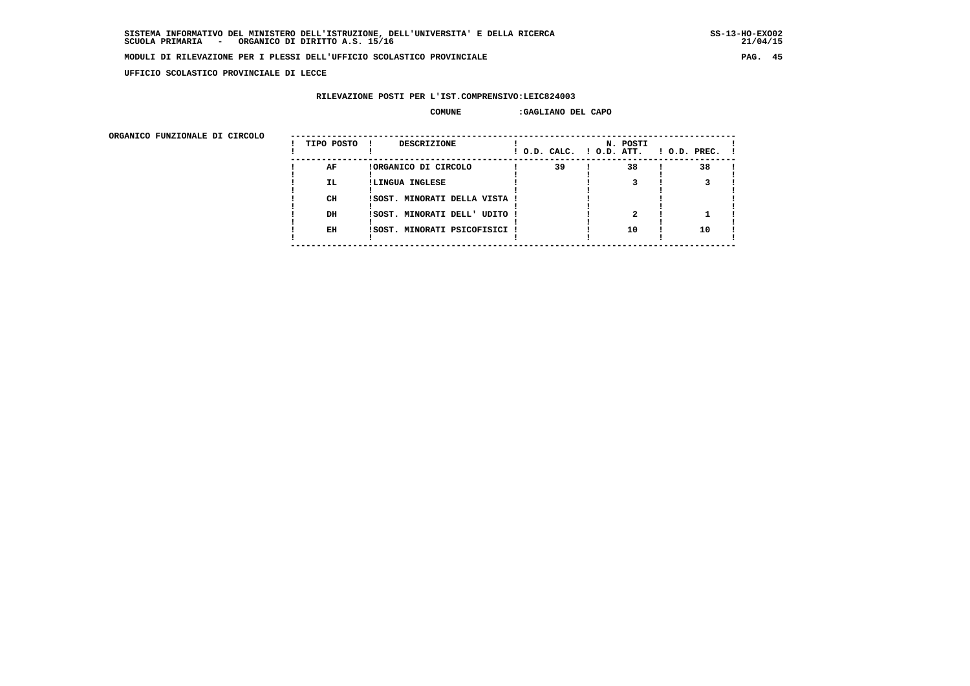$21/04/15$ 

#### **MODULI DI RILEVAZIONE PER I PLESSI DELL'UFFICIO SCOLASTICO PROVINCIALE PAG. 45**

 **UFFICIO SCOLASTICO PROVINCIALE DI LECCE**

# **RILEVAZIONE POSTI PER L'IST.COMPRENSIVO:LEIC824003**

#### **COMUNE :GAGLIANO DEL CAPO**

 **ORGANICO FUNZIONALE DI CIRCOLO --------------------------------------------------------------------------------------**

| ORGANICO FUNZIONALE DI CIRCOLO | TIPO POSTO | DESCRIZIONE                   | ! O.D. CALC. ! O.D. ATT. | N. POSTI | $!$ 0.D. PREC. $!$ |  |
|--------------------------------|------------|-------------------------------|--------------------------|----------|--------------------|--|
|                                | AF         | !ORGANICO DI CIRCOLO          | 39                       | 38       | 38                 |  |
|                                | IL.        | !LINGUA INGLESE               |                          |          |                    |  |
|                                | CH         | !SOST. MINORATI DELLA VISTA ! |                          |          |                    |  |
|                                | DH         | !SOST. MINORATI DELL' UDITO ! |                          |          |                    |  |
|                                | EH         | !SOST. MINORATI PSICOFISICI ! |                          | 10       | 10                 |  |
|                                |            |                               |                          |          |                    |  |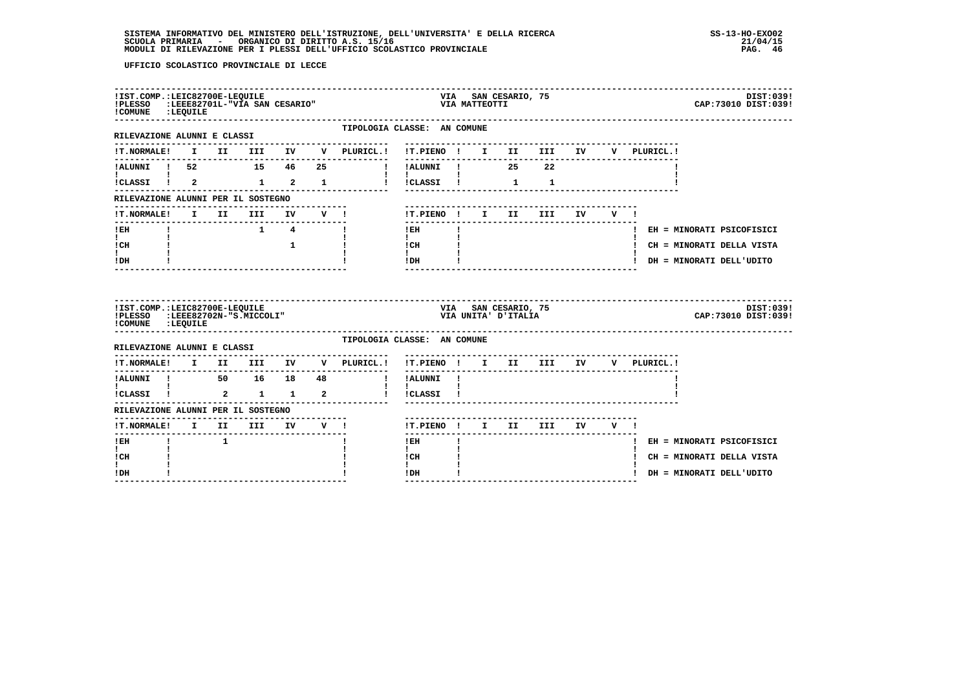| ! COMUNE : LEQUILE                                                |  | !IST.COMP.: LEIC82700E-LEQUILE |                     |              | !PLESSO : LEEE82701L-"VIA SAN CESARIO"                                 | VIA SAN CESARIO, 75<br>VIA MATTEOTTI |  |                                              |        |             | DIST:039!<br>CAP: 73010 DIST: 039! |
|-------------------------------------------------------------------|--|--------------------------------|---------------------|--------------|------------------------------------------------------------------------|--------------------------------------|--|----------------------------------------------|--------|-------------|------------------------------------|
| RILEVAZIONE ALUNNI E CLASSI                                       |  |                                |                     |              | TIPOLOGIA CLASSE: AN COMUNE                                            |                                      |  |                                              |        |             |                                    |
|                                                                   |  |                                |                     |              | !T.NORMALE! I II III IV V PLURICL.! !T.PIENO ! I II III IV V PLURICL.! |                                      |  |                                              |        |             |                                    |
| !ALUNNI ! 52 15 46 25                                             |  |                                |                     |              |                                                                        |                                      |  |                                              |        |             |                                    |
| !CLASSI ! 2   1   2   1                                           |  |                                |                     |              |                                                                        | $\blacksquare$<br>!!CLASSI! 1        |  | $\mathbf{1}$                                 |        |             |                                    |
| RILEVAZIONE ALUNNI PER IL SOSTEGNO                                |  |                                |                     |              |                                                                        |                                      |  |                                              |        |             |                                    |
|                                                                   |  |                                |                     |              |                                                                        | !T.PIENO ! I II                      |  | <b>III</b>                                   | IV V ! |             |                                    |
| ! EH                                                              |  |                                | $1 \quad 4 \quad 1$ |              |                                                                        | $!$ EH                               |  | --------------------------------------       |        |             | ! EH = MINORATI PSICOFISICI        |
| $\mathbf{I}$ and $\mathbf{I}$<br>! CH                             |  |                                |                     | $\mathbf{1}$ |                                                                        | $\mathbf{I}$<br>$ICH$ $\qquad$       |  |                                              |        |             | ! CH = MINORATI DELLA VISTA        |
| t i<br>! DH                                                       |  |                                |                     |              |                                                                        | $\mathbf{I}$<br>IDH                  |  | -------------------------------              |        |             | ! DH = MINORATI DELL'UDITO         |
|                                                                   |  |                                |                     |              |                                                                        |                                      |  |                                              |        |             |                                    |
| !IST.COMP.: LEIC82700E-LEQUILE<br>!PLESSO :LEEE82702N-"S.MICCOLI" |  |                                |                     |              |                                                                        |                                      |  | VIA – SAN CESARIO, 75<br>VIA UNITA' D'ITALIA |        |             | DIST:039!<br>CAP: 73010 DIST: 039! |
| ! COMUNE : LEQUILE                                                |  |                                |                     |              | TIPOLOGIA CLASSE: AN COMUNE                                            |                                      |  |                                              |        |             |                                    |
| RILEVAZIONE ALUNNI E CLASSI                                       |  |                                |                     |              | !T.NORMALE! I II III IV V PLURICL.!                                    | !T.PIENO ! I II III IV               |  |                                              |        | V PLURICL.! |                                    |
| ---------------                                                   |  |                                |                     |              |                                                                        | ---------------<br>! !ALUNNI !       |  |                                              |        |             |                                    |
| !ALUNNI ! 50 16 18 48<br>! ! 50 16 18 48<br>!CLASSI ! 2 1 1 2     |  |                                |                     |              |                                                                        | $\mathbf{I}$<br>! !CLASSI !          |  |                                              |        |             |                                    |
| RILEVAZIONE ALUNNI PER IL SOSTEGNO                                |  |                                |                     |              |                                                                        |                                      |  |                                              |        |             |                                    |
| !T.NORMALE! I II III IV V !                                       |  |                                |                     |              |                                                                        | !T.PIENO! I II III IV V!             |  |                                              |        |             |                                    |
| ! EH                                                              |  |                                |                     |              |                                                                        | $!$ EH                               |  |                                              |        |             | ! EH = MINORATI PSICOFISICI        |
| $\mathbf{I}$<br>! CH                                              |  |                                |                     |              |                                                                        | $\mathbf{I}$<br>! CH                 |  |                                              |        |             | ! CH = MINORATI DELLA VISTA        |
| I.<br>! DH                                                        |  |                                |                     |              |                                                                        | $\mathbf{I}$<br>! DH                 |  |                                              |        |             | ! DH = MINORATI DELL'UDITO         |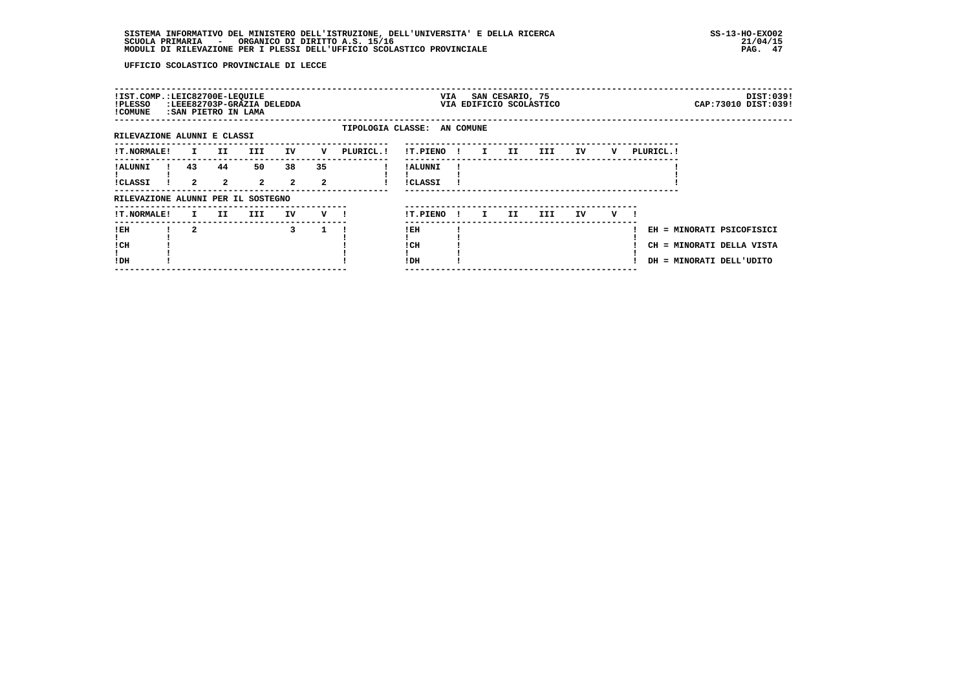| !IST.COMP.:LEIC82700E-LEQUILE<br>!PLESSO<br>! COMUNE | : SAN PIETRO IN LAMA |                      | :LEEE82703P-GRAZIA DELEDDA |                      |                    |            | VIA                         |              |    | SAN CESARIO, 75 | VIA EDIFICIO SCOLASTICO |    |   |                                |  | DIST:039!<br>CAP: 73010 DIST: 039!                  |
|------------------------------------------------------|----------------------|----------------------|----------------------------|----------------------|--------------------|------------|-----------------------------|--------------|----|-----------------|-------------------------|----|---|--------------------------------|--|-----------------------------------------------------|
| RILEVAZIONE ALUNNI E CLASSI                          |                      |                      |                            |                      |                    |            | TIPOLOGIA CLASSE: AN COMUNE |              |    |                 |                         |    |   |                                |  |                                                     |
| <b>!T.NORMALE!</b>                                   | I.                   | II.                  | III.                       | IV                   | v                  | PLURICL. ! | !T.PIENO                    | $\mathbf{I}$ | I. | II              | III                     | IV | v | PLURICL. !                     |  |                                                     |
| ! ALUNNI<br>!CLASSI                                  | 43<br>$\mathbf{2}$   | 44<br>$\overline{a}$ | 50<br>$\overline{2}$       | 38<br>$\overline{2}$ | 35<br>$\mathbf{2}$ |            | ! ALUNNI<br><b>!CLASSI</b>  |              |    |                 |                         |    |   |                                |  |                                                     |
| RILEVAZIONE ALUNNI PER IL SOSTEGNO                   |                      |                      |                            |                      |                    |            |                             |              |    |                 |                         |    |   |                                |  |                                                     |
| !T.NORMALE!                                          | I.                   | II                   | III.                       | IV                   | v                  |            | !T.PIENO                    | - 1          | I. | II.             | III.                    | IV | v |                                |  |                                                     |
| !EH<br>! CH<br>!DH                                   | $\mathbf{2}$         |                      |                            | 3                    |                    |            | ! EH<br>! CH<br>!DH         |              |    |                 |                         |    |   | CH<br>DH = MINORATI DELL'UDITO |  | EH = MINORATI PSICOFISICI<br>= MINORATI DELLA VISTA |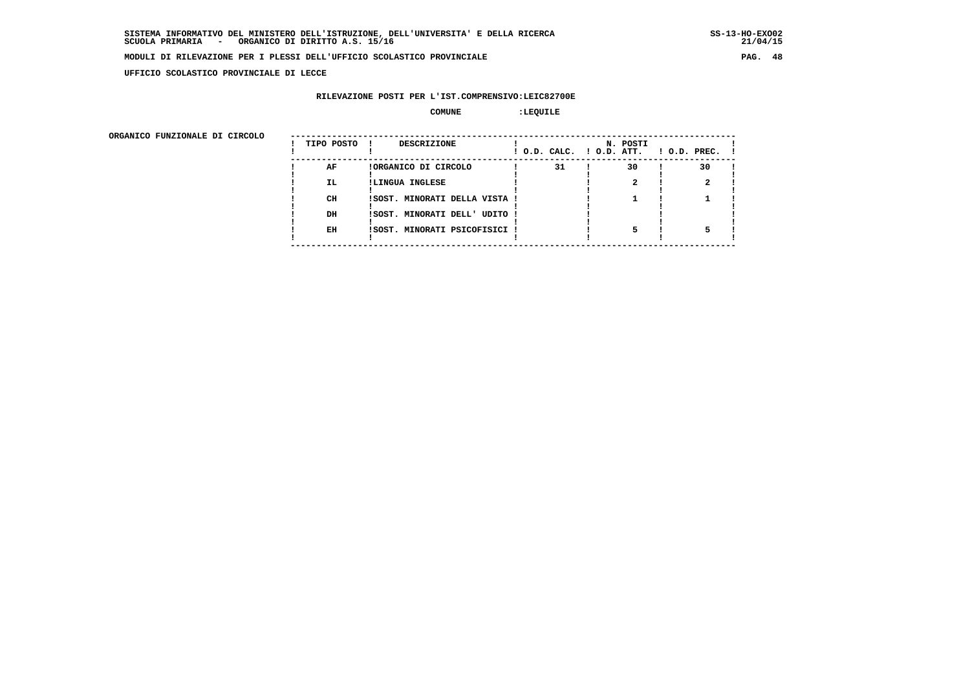**UFFICIO SCOLASTICO PROVINCIALE DI LECCE**

# **RILEVAZIONE POSTI PER L'IST.COMPRENSIVO:LEIC82700E**

#### $\begin{array}{ccc} \text{COMUNE} & \text{1} & \text{1} & \text{1} \end{array}$

| ORGANICO FUNZIONALE DI CIRCOLO |            |                               |                          |          |                    |
|--------------------------------|------------|-------------------------------|--------------------------|----------|--------------------|
|                                | TIPO POSTO | DESCRIZIONE                   | ! O.D. CALC. ! O.D. ATT. | N. POSTI | $1$ O.D. PREC. $1$ |
|                                | AF         | !ORGANICO DI CIRCOLO          | 31                       | 30       | 30                 |
|                                | IL.        | !LINGUA INGLESE               |                          |          |                    |
|                                | CH         | !SOST. MINORATI DELLA VISTA ! |                          |          |                    |
|                                | DH         | !SOST. MINORATI DELL' UDITO ! |                          |          |                    |
|                                | EH         | !SOST. MINORATI PSICOFISICI ! |                          |          |                    |
|                                |            |                               |                          |          |                    |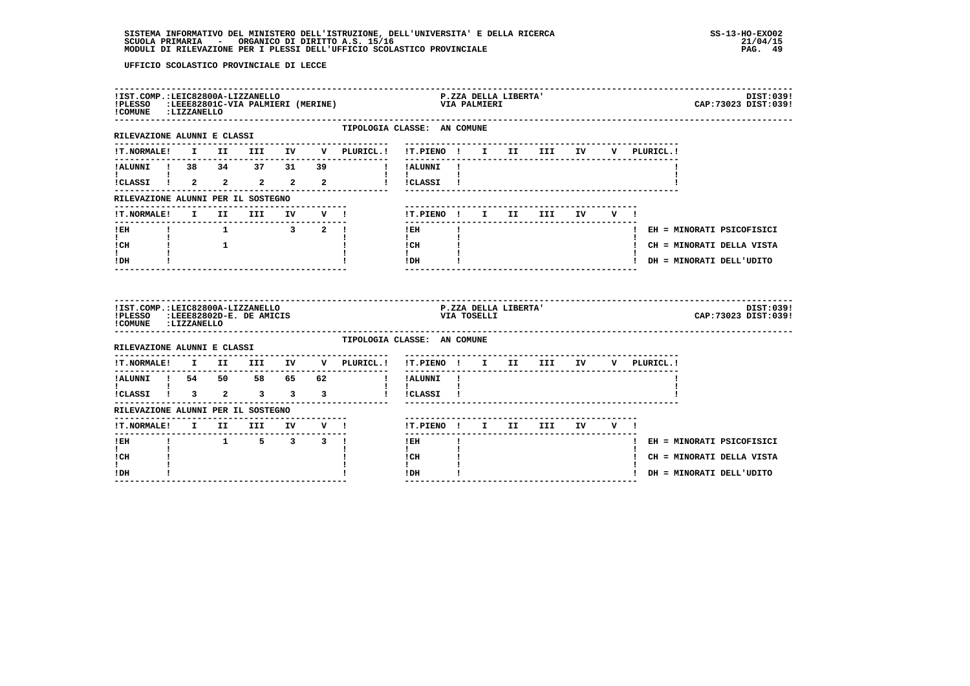| ! COMUNE : LIZZANELLO                                                                                      |              |      | !IST.COMP.:LEIC82800A-LIZZANELLO                              |    |                         | !PLESSO :LEEE82801C-VIA PALMIERI (MERINE) |                                         | VIA PALMIERI | P.ZZA DELLA LIBERTA' |                           |    |     |              | DIST:039!<br>CAP: 73023 DIST: 039! |
|------------------------------------------------------------------------------------------------------------|--------------|------|---------------------------------------------------------------|----|-------------------------|-------------------------------------------|-----------------------------------------|--------------|----------------------|---------------------------|----|-----|--------------|------------------------------------|
| ----------------------<br>RILEVAZIONE ALUNNI E CLASSI                                                      |              |      |                                                               |    |                         | TIPOLOGIA CLASSE: AN COMUNE               |                                         |              |                      |                           |    |     |              |                                    |
|                                                                                                            |              |      |                                                               |    |                         |                                           |                                         |              |                      |                           |    |     | V PLURICL.!  |                                    |
| !ALUNNI ! 38 34 37 31                                                                                      |              |      |                                                               |    | 39                      |                                           | ! !ALUNNI                               |              |                      | ------------------------- |    |     |              |                                    |
| $\mathbf{I}$ and $\mathbf{I}$ and $\mathbf{I}$<br>$i$ CLASSI $i$ 2 2 2 2 2                                 |              |      |                                                               |    |                         |                                           | <b>Contract Contract</b><br>! !CLASSI ! |              |                      |                           |    |     |              |                                    |
| RILEVAZIONE ALUNNI PER IL SOSTEGNO                                                                         |              |      |                                                               |    |                         |                                           |                                         |              |                      |                           |    |     |              |                                    |
| !T.NORMALE!                                                                                                | $\mathbf{I}$ | II D | III                                                           | IV |                         | $V$ $l$                                   | !T.PIENO ! I II III                     |              |                      |                           | IV | V ! |              |                                    |
| ! EH                                                                                                       |              |      | $\begin{array}{cccccccccccccc} 1 & 1 & 3 & 2 & 1 \end{array}$ |    |                         |                                           | $!$ EH                                  |              |                      |                           |    |     |              | ! EH = MINORATI PSICOFISICI        |
| $\mathbf{I}$<br>$\frac{1}{1}$ $\frac{1}{1}$ $\frac{1}{1}$<br>! CH                                          |              |      |                                                               |    |                         |                                           | $\mathbf{I}$<br>! CH                    |              |                      |                           |    |     |              | ! CH = MINORATI DELLA VISTA        |
| $\mathbf{I}$<br>! DH                                                                                       |              |      |                                                               |    |                         |                                           | $\mathbf{I}$<br>!DH                     |              |                      | ------------------        |    |     |              | ! DH = MINORATI DELL'UDITO         |
|                                                                                                            |              |      |                                                               |    |                         |                                           |                                         |              |                      |                           |    |     |              |                                    |
| !IST.COMP.:LEIC82800A-LIZZANELLO<br>!PLESSO :LEEE82802D-E. DE AMICIS<br>!COMUNE : LIZZANELLO               |              |      |                                                               |    |                         |                                           |                                         | VIA TOSELLI  | P.ZZA DELLA LIBERTA' |                           |    |     |              | DIST:039!<br>CAP: 73023 DIST: 039! |
| RILEVAZIONE ALUNNI E CLASSI                                                                                |              |      |                                                               |    |                         | TIPOLOGIA CLASSE: AN COMUNE               |                                         |              |                      |                           |    |     |              |                                    |
| <b>!T.NORMALE!</b>                                                                                         |              |      | -----------------------                                       |    |                         | --------------<br>I II III IV V PLURICL.! | !T.PIENO ! I II III IV                  |              |                      |                           |    |     | V PLURICL. ! |                                    |
| ---------------                                                                                            |              |      |                                                               |    |                         | ---------------                           | ---------------<br>! !ALUNNI !          |              |                      |                           |    |     |              |                                    |
| !ALUNNI ! 54 50 58 65 62<br>! ! !<br>$\frac{1}{1}$ $\frac{1}{1}$ $\frac{1}{3}$ $\frac{2}{3}$ $\frac{3}{3}$ |              |      |                                                               |    | $\overline{\mathbf{3}}$ | $\mathbf{I}$                              | $\mathbf{I}$<br>!CLASSI !               |              |                      |                           |    |     |              |                                    |
| RILEVAZIONE ALUNNI PER IL SOSTEGNO                                                                         |              |      |                                                               |    |                         |                                           |                                         |              |                      |                           |    |     |              |                                    |
| !T.NORMALE! I II III IV V !                                                                                |              |      |                                                               |    |                         | ------------------------                  | !T.PIENO ! I II III IV V !              |              |                      |                           |    |     |              |                                    |
| ! EH                                                                                                       |              |      | $1 \quad 5 \quad 3 \quad 3 \quad 1$                           |    |                         |                                           | $!$ EH                                  |              |                      |                           |    |     |              | ! EH = MINORATI PSICOFISICI        |
| $\mathbf{I}$<br>! CH<br>L                                                                                  |              |      |                                                               |    |                         |                                           | $\mathbf{I}$<br>! CH<br>$\mathbf{I}$    |              |                      |                           |    |     |              | ! CH = MINORATI DELLA VISTA        |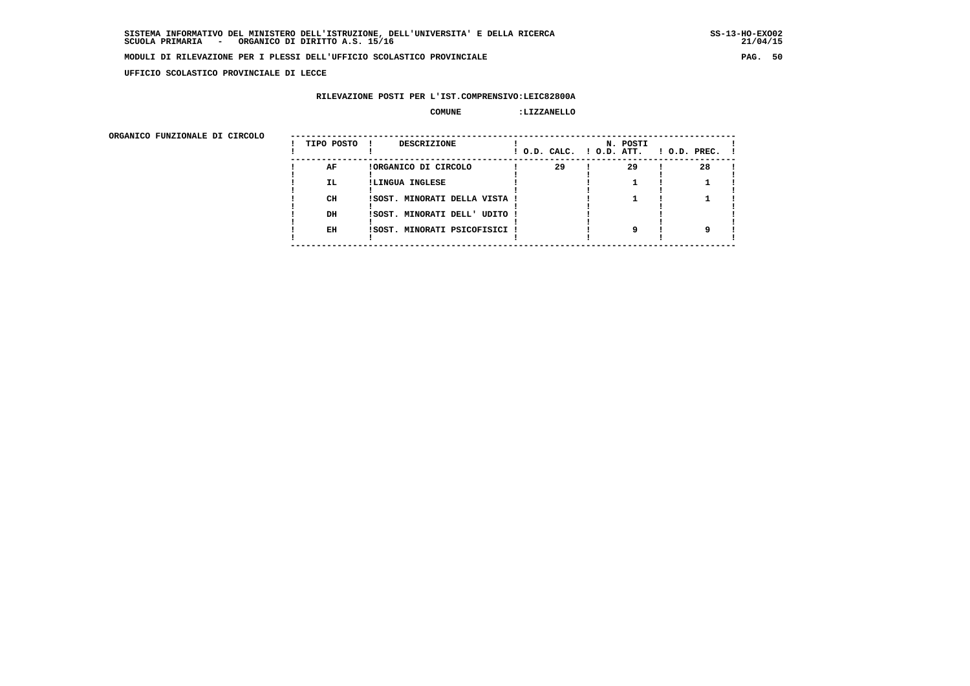**UFFICIO SCOLASTICO PROVINCIALE DI LECCE**

# **RILEVAZIONE POSTI PER L'IST.COMPRENSIVO:LEIC82800A**

#### **COMUNE :LIZZANELLO**

| ORGANICO FUNZIONALE DI CIRCOLO |            |                               |                          |          |                    |
|--------------------------------|------------|-------------------------------|--------------------------|----------|--------------------|
|                                | TIPO POSTO | DESCRIZIONE                   | ! O.D. CALC. ! O.D. ATT. | N. POSTI | $1$ O.D. PREC. $1$ |
|                                | AF         | !ORGANICO DI CIRCOLO          | 29                       | 29       | 28                 |
|                                | IL.        | !LINGUA INGLESE               |                          |          |                    |
|                                | CH         | ISOST. MINORATI DELLA VISTA ! |                          |          |                    |
|                                | DH         | !SOST. MINORATI DELL' UDITO ! |                          |          |                    |
|                                | EH         | !SOST. MINORATI PSICOFISICI ! |                          |          |                    |
|                                |            |                               |                          |          |                    |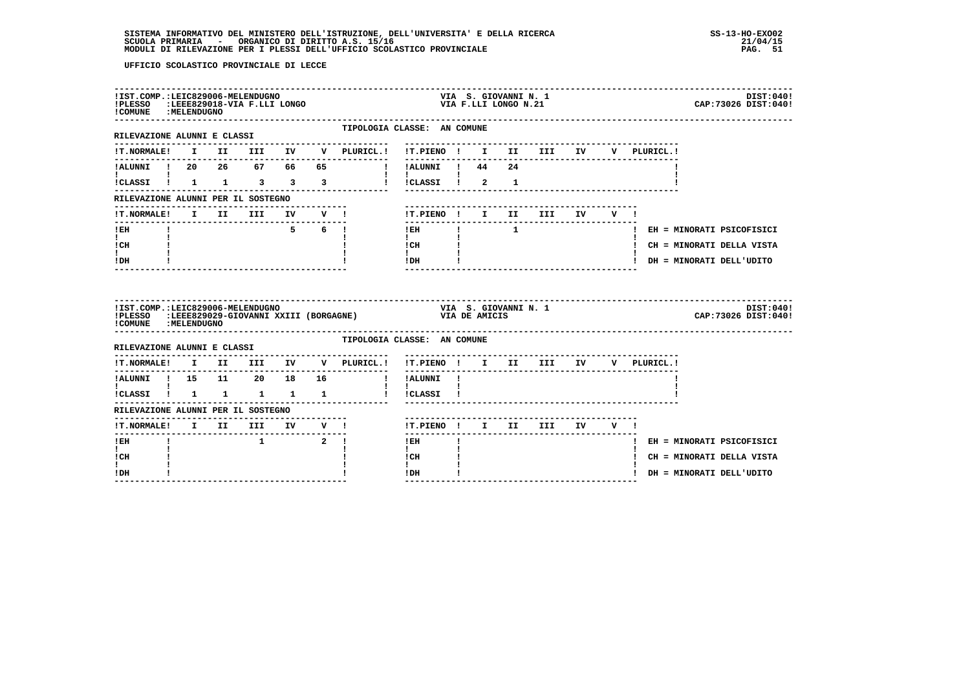| ! COMUNE : MELENDUGNO                                     |  | !IST.COMP.:LEIC829006-MELENDUGNO |  | !PLESSO : LEEE829018-VIA F.LLI LONGO                        |                                                                                                                                                                                                                                                                                                                                                              |              | VIA S. GIOVANNI N. 1<br>VIA F.LLI LONGO N.21 |                                   |  |                                    | DIST:040!<br>CAP: 73026 DIST: 040! |
|-----------------------------------------------------------|--|----------------------------------|--|-------------------------------------------------------------|--------------------------------------------------------------------------------------------------------------------------------------------------------------------------------------------------------------------------------------------------------------------------------------------------------------------------------------------------------------|--------------|----------------------------------------------|-----------------------------------|--|------------------------------------|------------------------------------|
| RILEVAZIONE ALUNNI E CLASSI                               |  |                                  |  | TIPOLOGIA CLASSE: AN COMUNE                                 |                                                                                                                                                                                                                                                                                                                                                              |              |                                              | --------------------------------- |  |                                    |                                    |
|                                                           |  |                                  |  | !T.NORMALE! I II III IV V PLURICL.! !T.PIENO ! I II III IV  |                                                                                                                                                                                                                                                                                                                                                              |              |                                              |                                   |  | V PLURICL.!                        |                                    |
|                                                           |  |                                  |  | !ALUNNI ! 20 26 67 66 65 ! !ALUNNI ! 44 24                  |                                                                                                                                                                                                                                                                                                                                                              |              |                                              |                                   |  |                                    |                                    |
| $\mathbf{1}$ $\mathbf{1}$                                 |  |                                  |  | !CLASSI ! 1 1 3 3 3 3 ! !CLASSI ! 2 1                       | $\mathbf{1}$ $\mathbf{1}$ $\mathbf{1}$                                                                                                                                                                                                                                                                                                                       |              |                                              |                                   |  |                                    |                                    |
| RILEVAZIONE ALUNNI PER IL SOSTEGNO                        |  |                                  |  |                                                             |                                                                                                                                                                                                                                                                                                                                                              |              |                                              |                                   |  |                                    |                                    |
| !T.NORMALE! I II III IV V !                               |  |                                  |  |                                                             | !T.PIENO ! I II III IV V !                                                                                                                                                                                                                                                                                                                                   |              |                                              |                                   |  |                                    |                                    |
| -------------------------------<br>$!$ EH                 |  |                                  |  | $5 \t 6 \t 1$                                               | ---------------<br><b>IEH I 1</b>                                                                                                                                                                                                                                                                                                                            |              |                                              |                                   |  |                                    | ! EH = MINORATI PSICOFISICI        |
| $\mathbf{I}$ and $\mathbf{I}$<br>ICH                      |  |                                  |  |                                                             | $\mathbf{I}$ and $\mathbf{I}$<br>$\frac{1 \text{CH}}{1 \text{H}}$ $\frac{1}{1 \text{H}}$                                                                                                                                                                                                                                                                     |              |                                              |                                   |  |                                    | ! CH = MINORATI DELLA VISTA        |
| $\mathbf{I}$<br>! DH                                      |  |                                  |  |                                                             | $1$ DH $\qquad$ $\qquad$ $\qquad$ $\qquad$ $\qquad$ $\qquad$ $\qquad$ $\qquad$ $\qquad$ $\qquad$ $\qquad$ $\qquad$ $\qquad$ $\qquad$ $\qquad$ $\qquad$ $\qquad$ $\qquad$ $\qquad$ $\qquad$ $\qquad$ $\qquad$ $\qquad$ $\qquad$ $\qquad$ $\qquad$ $\qquad$ $\qquad$ $\qquad$ $\qquad$ $\qquad$ $\qquad$ $\qquad$ $\qquad$ $\qquad$ $\qquad$<br>-------------- |              |                                              |                                   |  | ! DH = MINORATI DELL'UDITO         |                                    |
|                                                           |  |                                  |  |                                                             |                                                                                                                                                                                                                                                                                                                                                              |              |                                              |                                   |  |                                    |                                    |
| !IST.COMP.:LEIC829006-MELENDUGNO<br>! COMUNE : MELENDUGNO |  |                                  |  | !PLESSO :LEEE829029-GIOVANNI XXIII (BORGAGNE) VIA DE AMICIS | VIA S. GIOVANNI N. 1                                                                                                                                                                                                                                                                                                                                         |              |                                              |                                   |  |                                    | DIST:040!<br>CAP: 73026 DIST: 040! |
| RILEVAZIONE ALUNNI E CLASSI                               |  |                                  |  | TIPOLOGIA CLASSE: AN COMUNE                                 |                                                                                                                                                                                                                                                                                                                                                              |              |                                              |                                   |  |                                    |                                    |
|                                                           |  |                                  |  | !T.NORMALE! I II III IV V PLURICL.!                         |                                                                                                                                                                                                                                                                                                                                                              |              |                                              |                                   |  | !T.PIENO ! I II III IV V PLURICL.! |                                    |
| !ALUNNI ! 15 11 20 18 16                                  |  |                                  |  |                                                             | ! !ALUNNI !                                                                                                                                                                                                                                                                                                                                                  |              |                                              |                                   |  |                                    |                                    |
| $\mathbf{I}$ and $\mathbf{I}$ and $\mathbf{I}$            |  |                                  |  |                                                             | $\mathbf{I}$ $\mathbf{I}$                                                                                                                                                                                                                                                                                                                                    |              |                                              |                                   |  |                                    |                                    |
| RILEVAZIONE ALUNNI PER IL SOSTEGNO                        |  |                                  |  |                                                             |                                                                                                                                                                                                                                                                                                                                                              |              |                                              |                                   |  |                                    |                                    |
|                                                           |  |                                  |  |                                                             | !T.PIENO ! I II III IV V !                                                                                                                                                                                                                                                                                                                                   |              |                                              |                                   |  |                                    |                                    |
| ! EH                                                      |  | $1$ $2$ !                        |  |                                                             | l EH                                                                                                                                                                                                                                                                                                                                                         | $\mathbf{I}$ |                                              |                                   |  |                                    | ! EH = MINORATI PSICOFISICI        |
| $\mathbf{I}$<br>! CH<br>$\mathbf{I}$                      |  |                                  |  |                                                             | $\mathbf{I}$<br>! CH<br>$\mathbf{I}$ and $\mathbf{I}$                                                                                                                                                                                                                                                                                                        |              |                                              |                                   |  |                                    | ! CH = MINORATI DELLA VISTA        |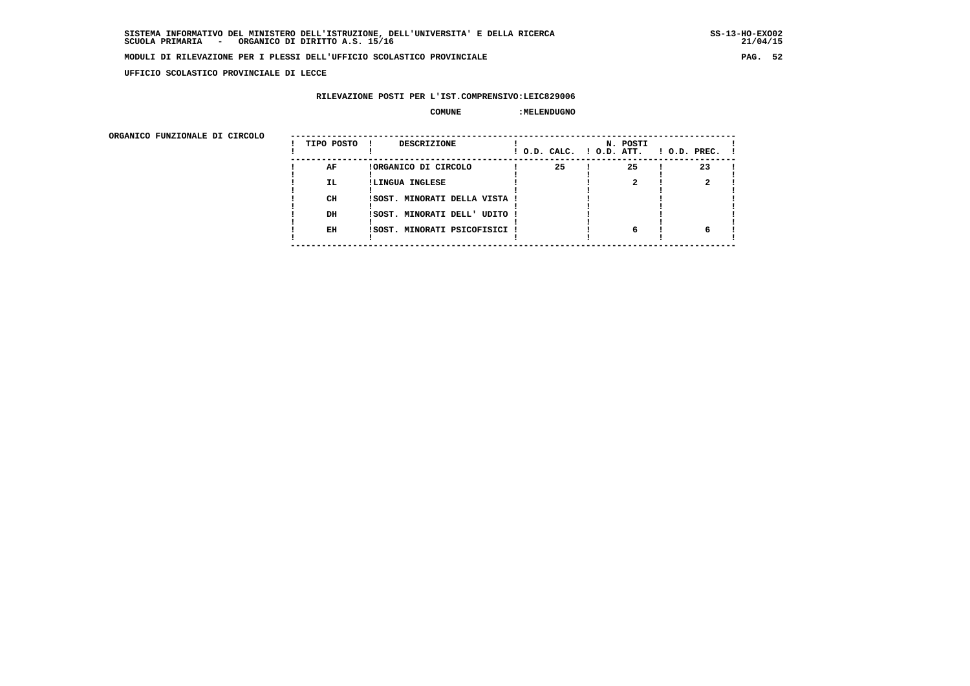**UFFICIO SCOLASTICO PROVINCIALE DI LECCE**

# **RILEVAZIONE POSTI PER L'IST.COMPRENSIVO:LEIC829006**

# **COMUNE :MELENDUGNO**

| ORGANICO FUNZIONALE DI CIRCOLO |            |                               |                          |          |                    |
|--------------------------------|------------|-------------------------------|--------------------------|----------|--------------------|
|                                | TIPO POSTO | DESCRIZIONE                   | ! O.D. CALC. ! O.D. ATT. | N. POSTI | $1$ O.D. PREC. $1$ |
|                                | AF         | !ORGANICO DI CIRCOLO          | 25                       | 25       | 23                 |
|                                | IL.        | !LINGUA INGLESE               |                          |          |                    |
|                                | CH         | !SOST. MINORATI DELLA VISTA ! |                          |          |                    |
|                                | DH         | !SOST. MINORATI DELL' UDITO ! |                          |          |                    |
|                                | EH         | !SOST. MINORATI PSICOFISICI ! |                          | 6        |                    |
|                                |            |                               |                          |          |                    |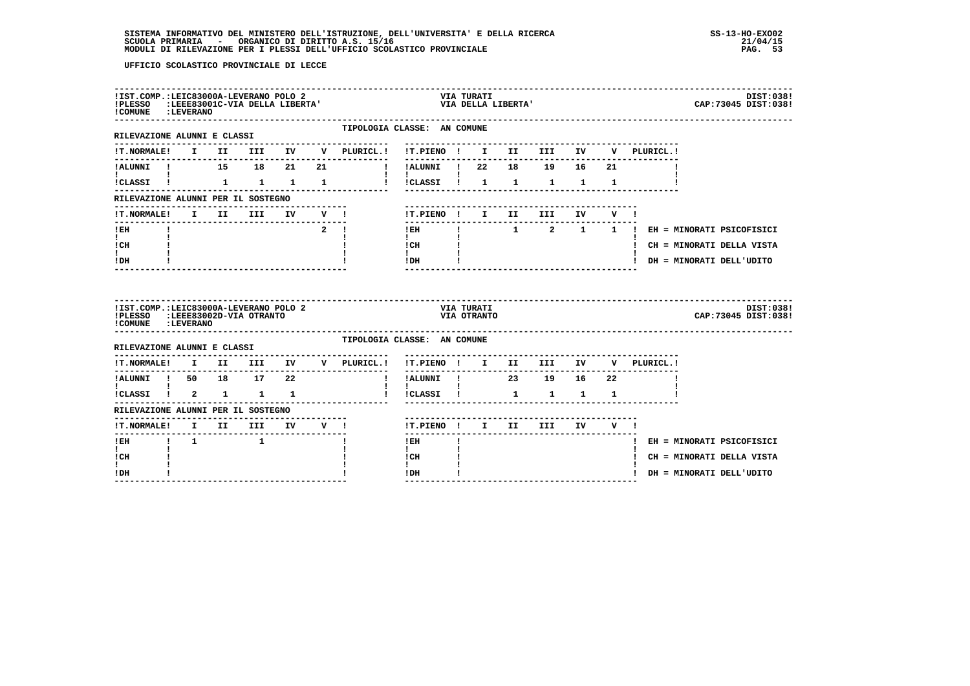| !IST.COMP.:LEIC83000A-LEVERANO POLO 2<br><b>!PLESSO</b><br>! COMUNE : LEVERANO                  |  |              | :LEEE83001C-VIA DELLA LIBERTA' |            |                  |                                             |                                        | VIA TURATI                | VIA DELLA LIBERTA' |                        |              |                         |             | DIST:038!<br>CAP: 73045 DIST: 038!    |
|-------------------------------------------------------------------------------------------------|--|--------------|--------------------------------|------------|------------------|---------------------------------------------|----------------------------------------|---------------------------|--------------------|------------------------|--------------|-------------------------|-------------|---------------------------------------|
| ----------------------<br>RILEVAZIONE ALUNNI E CLASSI                                           |  |              |                                |            |                  | TIPOLOGIA CLASSE: AN COMUNE<br>------------ |                                        |                           |                    |                        |              |                         |             |                                       |
| <b>!T.NORMALE!</b>                                                                              |  |              |                                |            |                  | I II III IV V PLURICL.!                     | !T.PIENO ! I II III IV                 |                           |                    |                        |              |                         | V PLURICL.! |                                       |
| !ALUNNI ! 15 18 21                                                                              |  |              |                                |            | 21               | $\blacksquare$                              | ----------<br>!ALUNNI ! 22 18 19 16 21 |                           |                    |                        |              |                         |             |                                       |
| !CLASSI !                                                                                       |  | $\mathbf{1}$ | 1 1 1                          |            |                  |                                             | !!!CLASSI!!!!!                         |                           |                    | $\mathbf{1}$           | $\mathbf{1}$ | $\mathbf{1}$            |             |                                       |
| RILEVAZIONE ALUNNI PER IL SOSTEGNO                                                              |  |              |                                |            |                  |                                             |                                        |                           |                    |                        |              |                         |             |                                       |
| !T.NORMALE!                                                                                     |  | I II         | <b>III</b>                     |            | IV V !           |                                             | !T.PIENO ! I II                        |                           |                    | <b>III</b>             | IV           | $V = 1$                 |             |                                       |
| ! EH                                                                                            |  |              |                                |            | $\overline{2}$ 1 |                                             | -------------------------<br>$!$ EH    |                           |                    |                        |              |                         |             | ! 1 2 1 1 ! EH = MINORATI PSICOFISICI |
| $\mathbf{I}$<br>! CH                                                                            |  |              |                                |            |                  |                                             | $\mathbf{I}$<br>! CH                   |                           |                    |                        |              |                         |             | ! CH = MINORATI DELLA VISTA           |
| $\mathbf{I}$<br>! DH                                                                            |  |              |                                |            |                  |                                             | $\mathbf{I}$<br>!DH                    |                           |                    |                        |              |                         |             | ! DH = MINORATI DELL'UDITO            |
|                                                                                                 |  |              |                                |            |                  |                                             |                                        |                           |                    |                        |              |                         |             |                                       |
| !IST.COMP.:LEIC83000A-LEVERANO POLO 2<br>!PLESSO :LEEE83002D-VIA OTRANTO<br>! COMUNE : LEVERANO |  |              |                                |            |                  |                                             |                                        | VIA TURATI<br>VIA OTRANTO |                    |                        |              |                         |             | DIST:038!<br>CAP: 73045 DIST: 038!    |
| RILEVAZIONE ALUNNI E CLASSI                                                                     |  |              |                                |            |                  | TIPOLOGIA CLASSE: AN COMUNE                 |                                        |                           |                    |                        |              |                         |             |                                       |
| <b>!T.NORMALE!</b>                                                                              |  |              |                                |            |                  | I II III IV V PLURICL.!                     | !T.PIENO ! I II III IV                 |                           |                    |                        |              |                         | V PLURICL.! |                                       |
| !ALUNNI ! 50 18 17 22                                                                           |  |              |                                |            |                  | $\mathbf{I}$                                | !ALUNNI ! 23 19 16 22                  |                           |                    |                        |              |                         |             |                                       |
| !CLASSI ! 2 1 1 1                                                                               |  |              |                                |            |                  |                                             | $\mathbf{I}$<br>!CLASSI !              |                           | $\mathbf{1}$       | $\mathbf{1}$           | $\mathbf{1}$ | $\overline{\mathbf{1}}$ |             |                                       |
| RILEVAZIONE ALUNNI PER IL SOSTEGNO                                                              |  |              |                                |            |                  |                                             |                                        |                           |                    |                        |              |                         |             |                                       |
| !T.NORMALE! I II                                                                                |  |              |                                | III IV V ! |                  |                                             | !T.PIENO ! I II                        |                           |                    | III                    | IV           | VI                      |             |                                       |
| --------------------<br>$\frac{1}{1}$ 1<br>! EH                                                 |  |              |                                |            |                  |                                             | -------<br>$!$ EH                      |                           |                    | ---------------------- |              |                         |             | ! EH = MINORATI PSICOFISICI           |
| $\mathbf{I}$<br>! CH                                                                            |  |              |                                |            |                  |                                             | $\mathbf{I}$<br>! CH<br>$\mathbf{I}$   |                           |                    |                        |              |                         |             | ! CH = MINORATI DELLA VISTA           |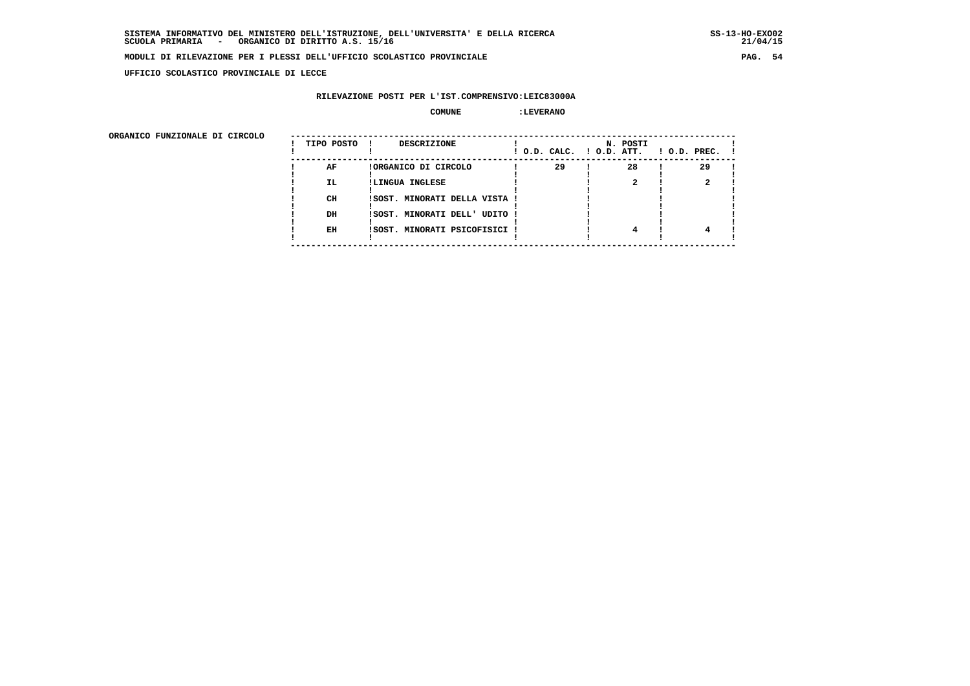**UFFICIO SCOLASTICO PROVINCIALE DI LECCE**

# **RILEVAZIONE POSTI PER L'IST.COMPRENSIVO:LEIC83000A**

### **COMUNE :LEVERANO**

ORGANICO FUNZIONALE DI CIRCOLO

| ORGANICO FUNZIONALE DI CIRCOLO |            |                                    |    |                                      |                    |
|--------------------------------|------------|------------------------------------|----|--------------------------------------|--------------------|
|                                | TIPO POSTO | <b>DESCRIZIONE</b><br>$\mathbf{I}$ |    | N. POSTI<br>! O.D. CALC. ! O.D. ATT. | $1$ O.D. PREC. $1$ |
|                                | AF         | !ORGANICO DI CIRCOLO               | 29 | 28                                   | 29                 |
|                                | IL.        | !LINGUA INGLESE                    |    |                                      |                    |
|                                |            |                                    |    |                                      |                    |
|                                | CH         | ISOST. MINORATI DELLA VISTA !      |    |                                      |                    |
|                                |            |                                    |    |                                      |                    |
|                                | DH         | ISOST. MINORATI DELL' UDITO !      |    |                                      |                    |
|                                |            |                                    |    |                                      |                    |
|                                | EH         | ISOST. MINORATI PSICOFISICI !      |    |                                      |                    |
|                                |            |                                    |    |                                      |                    |
|                                |            |                                    |    |                                      |                    |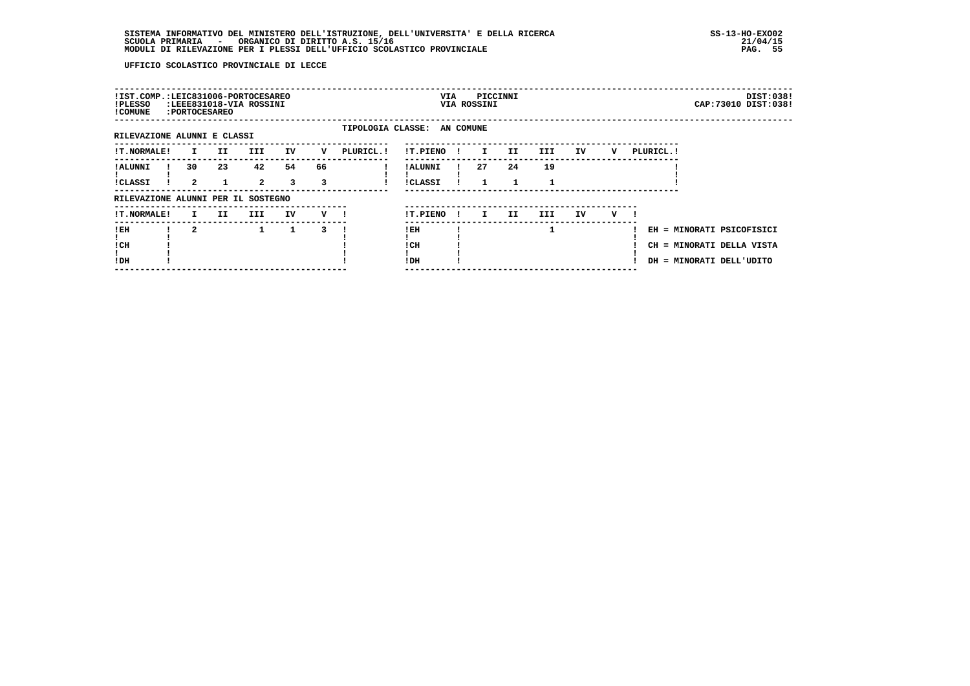| !IST.COMP.:LEIC831006-PORTOCESAREO<br>!PLESSO<br>! COMUNE | : PORTOCESAREO             |     | :LEEE831018-VIA ROSSINI |         |         |                             | VIA                        |              | VIA ROSSINI | PICCINNI |         |    |   |            |                          | DIST:038!<br>CAP: 73010 DIST: 038!                     |
|-----------------------------------------------------------|----------------------------|-----|-------------------------|---------|---------|-----------------------------|----------------------------|--------------|-------------|----------|---------|----|---|------------|--------------------------|--------------------------------------------------------|
| RILEVAZIONE ALUNNI E CLASSI                               |                            |     |                         |         |         | TIPOLOGIA CLASSE: AN COMUNE |                            |              |             |          |         |    |   |            |                          |                                                        |
| <b>!T.NORMALE!</b>                                        | I.                         | II. | <b>III</b>              | IV      | v       | PLURICL. !                  | !T.PIENO                   |              | I.          | II.      | III     | IV | v | PLURICL. ! |                          |                                                        |
| ! ALUNNI<br><b>!CLASSI</b>                                | 30<br>$\mathbf{2}^{\circ}$ | 23  | 42<br>$\mathbf{2}$      | 54<br>3 | 66<br>3 |                             | ! ALUNNI<br><b>!CLASSI</b> |              | 27          | 24       | 19<br>1 |    |   |            |                          |                                                        |
| RILEVAZIONE ALUNNI PER IL SOSTEGNO                        |                            |     |                         |         |         |                             |                            |              |             |          |         |    |   |            |                          |                                                        |
| !T.NORMALE!                                               | I.                         | II. | III.                    | IV      | v       |                             | !T.PIENO                   | $\mathbf{I}$ | I.          | II.      | III.    | IV | v |            |                          |                                                        |
| !EH<br>! CH<br>!DH                                        | $\overline{a}$             |     | $\mathbf{1}$            | 1       | 3       |                             | !EH<br>! CH<br>!DH         |              |             |          | 1       |    |   |            | DH = MINORATI DELL'UDITO | EH = MINORATI PSICOFISICI<br>CH = MINORATI DELLA VISTA |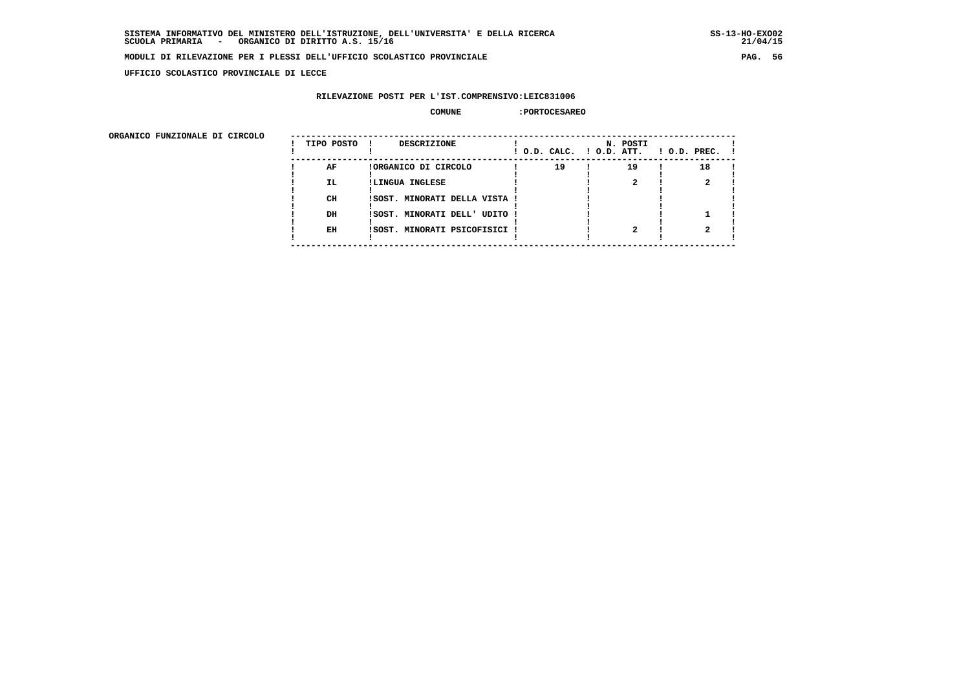**UFFICIO SCOLASTICO PROVINCIALE DI LECCE**

# **RILEVAZIONE POSTI PER L'IST.COMPRENSIVO:LEIC831006**

#### **COMUNE :PORTOCESAREO**

| ORGANICO FUNZIONALE DI CIRCOLO |            |                               |                          |          |                    |
|--------------------------------|------------|-------------------------------|--------------------------|----------|--------------------|
|                                | TIPO POSTO | DESCRIZIONE                   | ! O.D. CALC. ! O.D. ATT. | N. POSTI | $1$ O.D. PREC. $1$ |
|                                | AF         | !ORGANICO DI CIRCOLO          | 19                       | 19       | 18                 |
|                                | IL.        | !LINGUA INGLESE               |                          |          |                    |
|                                | CH         | !SOST. MINORATI DELLA VISTA ! |                          |          |                    |
|                                | DH         | !SOST. MINORATI DELL' UDITO ! |                          |          |                    |
|                                | EH         | !SOST. MINORATI PSICOFISICI ! |                          |          |                    |
|                                |            |                               |                          |          |                    |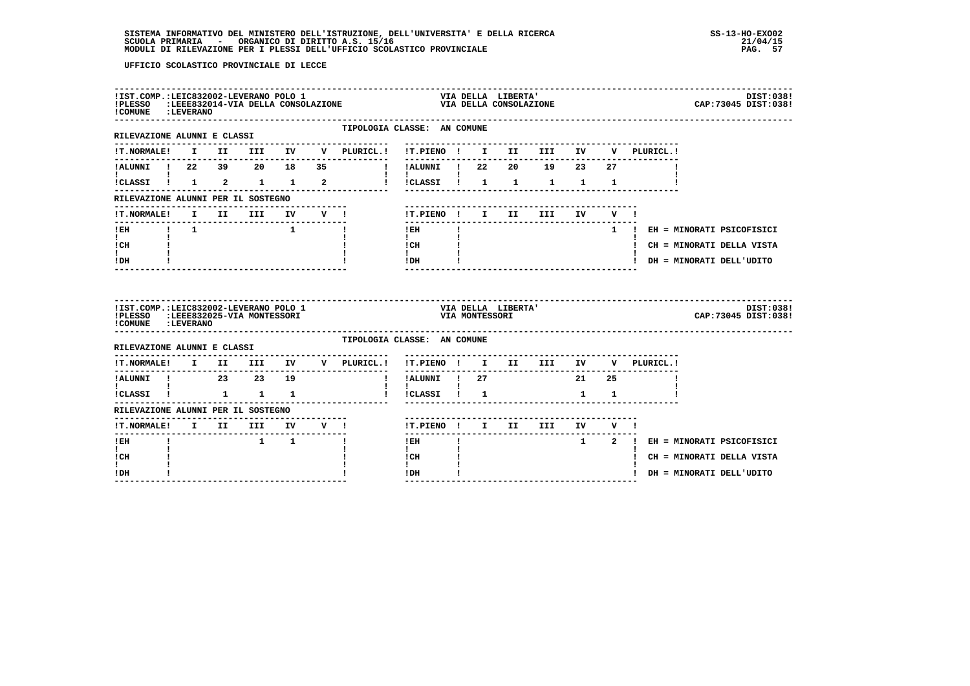| ! COMUNE : LEVERANO                                                            |  |                                                  |              | ${\tt !IST.COMP.{LEIC832002-LEVERANO\ POLO\ 1}\atop !PLESSO\phantom{}}\noindent {\tt *LEEC832002-LEVERANO\ POLO\ 1}\nonumber$                        |                                                                                                                                                                                                                                                                                                                                            |              |                |                    | ------------------------              |      |             |                                                                                                                                                                                                                                                                                                  |                                 | DIST:038!<br>CAP: 73045 DIST: 038! |
|--------------------------------------------------------------------------------|--|--------------------------------------------------|--------------|------------------------------------------------------------------------------------------------------------------------------------------------------|--------------------------------------------------------------------------------------------------------------------------------------------------------------------------------------------------------------------------------------------------------------------------------------------------------------------------------------------|--------------|----------------|--------------------|---------------------------------------|------|-------------|--------------------------------------------------------------------------------------------------------------------------------------------------------------------------------------------------------------------------------------------------------------------------------------------------|---------------------------------|------------------------------------|
| --------------------------<br>RILEVAZIONE ALUNNI E CLASSI                      |  |                                                  |              | TIPOLOGIA CLASSE: AN COMUNE                                                                                                                          |                                                                                                                                                                                                                                                                                                                                            |              |                |                    |                                       |      |             |                                                                                                                                                                                                                                                                                                  |                                 |                                    |
|                                                                                |  |                                                  |              |                                                                                                                                                      |                                                                                                                                                                                                                                                                                                                                            |              |                |                    |                                       |      |             | V PLURICL.!                                                                                                                                                                                                                                                                                      |                                 |                                    |
| !ALUNNI ! 22 39 20 18 35                                                       |  |                                                  |              |                                                                                                                                                      | !!ALUNNI!! 22                                                                                                                                                                                                                                                                                                                              |              |                |                    | 20 19 23 27                           |      |             |                                                                                                                                                                                                                                                                                                  |                                 |                                    |
| <b>Experience</b>                                                              |  |                                                  |              | iCLASSI i 1 2 1 1 2 i iCLASSI i 1 1 1 1                                                                                                              | $\mathbf{I}$ and $\mathbf{I}$ and $\mathbf{I}$                                                                                                                                                                                                                                                                                             |              |                |                    |                                       |      |             | $\mathbf{1}$ and $\mathbf{1}$ and $\mathbf{1}$ and $\mathbf{1}$ and $\mathbf{1}$ and $\mathbf{1}$ and $\mathbf{1}$ and $\mathbf{1}$ and $\mathbf{1}$ and $\mathbf{1}$ and $\mathbf{1}$ and $\mathbf{1}$ and $\mathbf{1}$ and $\mathbf{1}$ and $\mathbf{1}$ and $\mathbf{1}$ and $\mathbf{1}$ and |                                 |                                    |
| RILEVAZIONE ALUNNI PER IL SOSTEGNO                                             |  |                                                  |              |                                                                                                                                                      |                                                                                                                                                                                                                                                                                                                                            |              |                |                    |                                       |      |             |                                                                                                                                                                                                                                                                                                  |                                 |                                    |
| !T.NORMALE!                                                                    |  |                                                  |              | I II III IV V !                                                                                                                                      | !T.PIENO ! I II                                                                                                                                                                                                                                                                                                                            |              |                |                    | III                                   | IV 1 | V !         |                                                                                                                                                                                                                                                                                                  |                                 |                                    |
| <b>IEH 1</b> 1                                                                 |  | -------------------------------                  | $\mathbf{1}$ | $\mathbf{I}$                                                                                                                                         | $1$ EH and $-$                                                                                                                                                                                                                                                                                                                             | $\mathbf{I}$ |                |                    |                                       |      |             |                                                                                                                                                                                                                                                                                                  | 1 ! EH = MINORATI PSICOFISICI   |                                    |
| $\mathbf{I}$ and $\mathbf{I}$<br>ICH                                           |  |                                                  |              |                                                                                                                                                      | $\mathbf{I}$ and $\mathbf{I}$<br>$\frac{1}{1}$ $\frac{1}{1}$ $\frac{1}{1}$                                                                                                                                                                                                                                                                 |              |                |                    |                                       |      |             |                                                                                                                                                                                                                                                                                                  | ! CH = MINORATI DELLA VISTA     |                                    |
| $\mathbf{I}$<br>! DH                                                           |  |                                                  |              |                                                                                                                                                      | $!$ DH $\qquad$ $\qquad$ $\qquad$ $\qquad$ $\qquad$ $\qquad$ $\qquad$ $\qquad$ $\qquad$ $\qquad$ $\qquad$ $\qquad$ $\qquad$ $\qquad$ $\qquad$ $\qquad$ $\qquad$ $\qquad$ $\qquad$ $\qquad$ $\qquad$ $\qquad$ $\qquad$ $\qquad$ $\qquad$ $\qquad$ $\qquad$ $\qquad$ $\qquad$ $\qquad$ $\qquad$ $\qquad$ $\qquad$ $\qquad$ $\qquad$ $\qquad$ |              |                |                    |                                       |      |             |                                                                                                                                                                                                                                                                                                  | ! DH = MINORATI DELL'UDITO      |                                    |
|                                                                                |  |                                                  |              |                                                                                                                                                      |                                                                                                                                                                                                                                                                                                                                            |              |                |                    |                                       |      |             |                                                                                                                                                                                                                                                                                                  |                                 |                                    |
| !IST.COMP.:LEIC832002-LEVERANO POLO 1<br><b>!PLESSO</b><br>! COMUNE : LEVERANO |  | LEEE832025-VIA MONTESSORI:                       |              | -----------------------------                                                                                                                        |                                                                                                                                                                                                                                                                                                                                            |              | VIA MONTESSORI | VIA DELLA LIBERTA' |                                       |      |             |                                                                                                                                                                                                                                                                                                  |                                 | DIST:038!<br>CAP:73045 DIST:038!   |
| RILEVAZIONE ALUNNI E CLASSI                                                    |  |                                                  |              | TIPOLOGIA CLASSE: AN COMUNE                                                                                                                          |                                                                                                                                                                                                                                                                                                                                            |              |                |                    |                                       |      |             |                                                                                                                                                                                                                                                                                                  |                                 |                                    |
|                                                                                |  |                                                  |              | $\verb !T.NORMALE! \quad I \quad \  \  II \quad \  \  \text{III} \quad \  \  \text{IV} \quad \  \  \, \text{V} \quad \  \  \text{PLURICL.} \text{!}$ | !T.PIENO ! I II III IV V PLURICL.!                                                                                                                                                                                                                                                                                                         |              |                |                    |                                       |      |             |                                                                                                                                                                                                                                                                                                  |                                 |                                    |
| -----------------<br>!ALUNNI ! 23 23 19                                        |  |                                                  |              |                                                                                                                                                      | ---------<br>!!ALUNNI ! 27 21 25                                                                                                                                                                                                                                                                                                           |              |                |                    |                                       |      |             |                                                                                                                                                                                                                                                                                                  |                                 |                                    |
| $\mathbf{I}$ and $\mathbf{I}$ are all $\mathbf{I}$<br>!CLASSI ! 1 1 1          |  |                                                  |              | $\mathbf{I}$                                                                                                                                         | $\mathbf{I}$<br>$ICLASI$ $1$ $1$                                                                                                                                                                                                                                                                                                           |              |                |                    |                                       |      | $1 \quad 1$ |                                                                                                                                                                                                                                                                                                  |                                 |                                    |
| RILEVAZIONE ALUNNI PER IL SOSTEGNO                                             |  |                                                  |              |                                                                                                                                                      |                                                                                                                                                                                                                                                                                                                                            |              |                |                    |                                       |      |             |                                                                                                                                                                                                                                                                                                  |                                 |                                    |
|                                                                                |  |                                                  |              | !T.NORMALE! I II III IV V !                                                                                                                          |                                                                                                                                                                                                                                                                                                                                            |              |                |                    | !T.PIENO ! I II III IV V !            |      |             |                                                                                                                                                                                                                                                                                                  |                                 |                                    |
| ------------------------------<br>! EH                                         |  | $\begin{array}{cccc} 1 & 1 \\ 1 & 1 \end{array}$ |              | $\mathbf{I}$                                                                                                                                         | $!$ EH                                                                                                                                                                                                                                                                                                                                     |              |                |                    | ------------------------------------- |      |             |                                                                                                                                                                                                                                                                                                  | 1 2 ! EH = MINORATI PSICOFISICI |                                    |
| $\mathbf{I}$<br>! CH<br>$\mathbf{I}$                                           |  |                                                  |              |                                                                                                                                                      | $\mathbf{I}$<br>! CH<br>$\mathbf{I}$                                                                                                                                                                                                                                                                                                       |              |                |                    |                                       |      |             |                                                                                                                                                                                                                                                                                                  | ! CH = MINORATI DELLA VISTA     |                                    |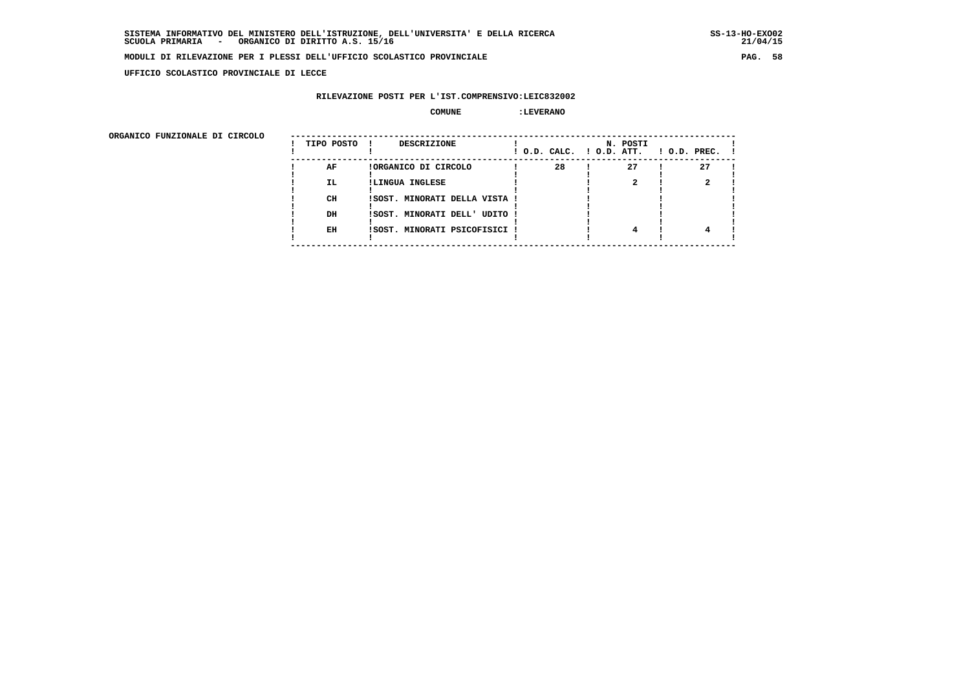**UFFICIO SCOLASTICO PROVINCIALE DI LECCE**

# **RILEVAZIONE POSTI PER L'IST.COMPRENSIVO:LEIC832002**

### **COMUNE :LEVERANO**

ORGANICO FUNZIONALE DI CIRCOLO

| ORGANICO FUNZIONALE DI CIRCOLO |            |                                    |    |                                      |                    |
|--------------------------------|------------|------------------------------------|----|--------------------------------------|--------------------|
|                                | TIPO POSTO | <b>DESCRIZIONE</b><br>$\mathbf{I}$ |    | N. POSTI<br>! O.D. CALC. ! O.D. ATT. | $1$ O.D. PREC. $1$ |
|                                | AF         | !ORGANICO DI CIRCOLO               | 28 | 27                                   | 27                 |
|                                | IL.        | !LINGUA INGLESE                    |    |                                      |                    |
|                                |            |                                    |    |                                      |                    |
|                                | CH         | ISOST. MINORATI DELLA VISTA !      |    |                                      |                    |
|                                | DH         | ISOST. MINORATI DELL' UDITO !      |    |                                      |                    |
|                                |            |                                    |    |                                      |                    |
|                                | EH         | ISOST. MINORATI PSICOFISICI !      |    |                                      |                    |
|                                |            |                                    |    |                                      |                    |
|                                |            |                                    |    |                                      |                    |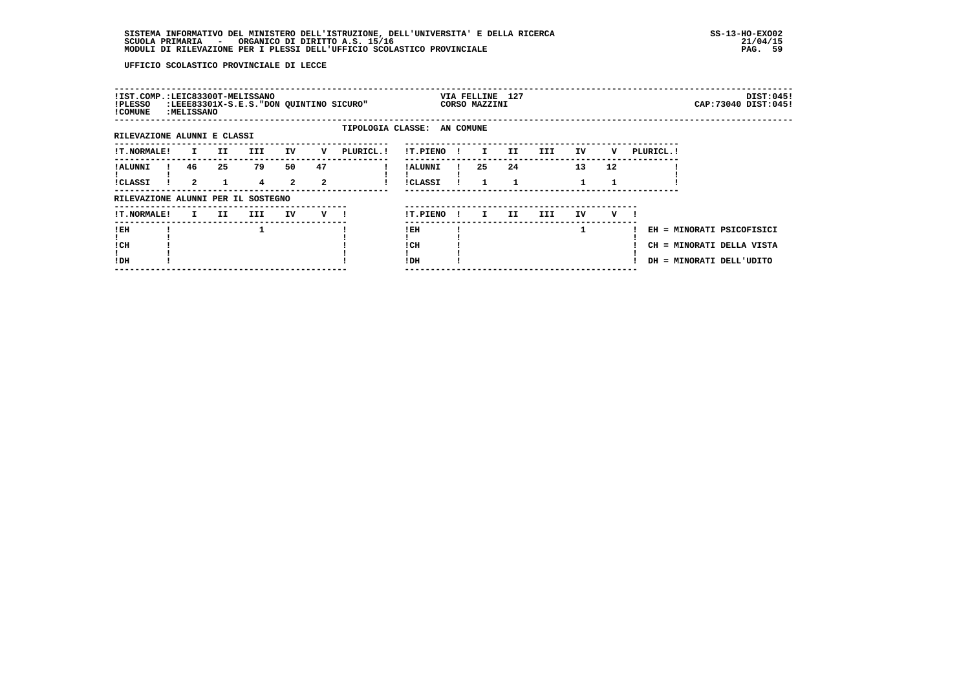| !IST.COMP.:LEIC83300T-MELISSANO<br>!PLESSO<br>! COMUNE | :MELISSANO     |     | :LEEE83301X-S.E.S. "DON QUINTINO SICURO" |                |                |                             |                |              | VIA FELLINE 127<br>CORSO MAZZINI |     |     |    |    |            | CAP: 73040 DIST: 045!     | DIST:045! |
|--------------------------------------------------------|----------------|-----|------------------------------------------|----------------|----------------|-----------------------------|----------------|--------------|----------------------------------|-----|-----|----|----|------------|---------------------------|-----------|
|                                                        |                |     |                                          |                |                | TIPOLOGIA CLASSE: AN COMUNE |                |              |                                  |     |     |    |    |            |                           |           |
| RILEVAZIONE ALUNNI E CLASSI                            |                |     |                                          |                |                |                             |                |              |                                  |     |     |    |    |            |                           |           |
| !T.NORMALE!                                            | I.             | II. | <b>III</b>                               | IV             | v              | PLURICL.!                   | !T.PIENO       | $\mathbf{I}$ | I.                               | II. | III | IV | v  | PLURICL. ! |                           |           |
| ! ALUNNI                                               | 46             | 25  | 79                                       | 50             | 47             |                             | ! ALUNNI       |              | 25                               | 24  |     | 13 | 12 |            |                           |           |
| !CLASSI                                                | $\overline{a}$ |     | 4                                        | $\overline{a}$ | $\overline{a}$ |                             | <b>!CLASSI</b> |              |                                  | 1   |     |    |    |            |                           |           |
| RILEVAZIONE ALUNNI PER IL SOSTEGNO                     |                |     |                                          |                |                |                             |                |              |                                  |     |     |    |    |            |                           |           |
| <b>!T.NORMALE!</b>                                     | I.             | II. | III.                                     | IV             | $V$ $l$        |                             | !T.PIENO       | $\mathbf{I}$ | I.                               | II. | III | IV | v  |            |                           |           |
| !EH                                                    |                |     |                                          |                |                |                             | ! EH           |              |                                  |     |     |    |    |            | EH = MINORATI PSICOFISICI |           |
| ! CH                                                   |                |     |                                          |                |                |                             | ! CH           |              |                                  |     |     |    |    |            | CH = MINORATI DELLA VISTA |           |
| !DH                                                    |                |     |                                          |                |                |                             | ! DH           |              |                                  |     |     |    |    |            | DH = MINORATI DELL'UDITO  |           |
|                                                        |                |     |                                          |                |                |                             |                |              |                                  |     |     |    |    |            |                           |           |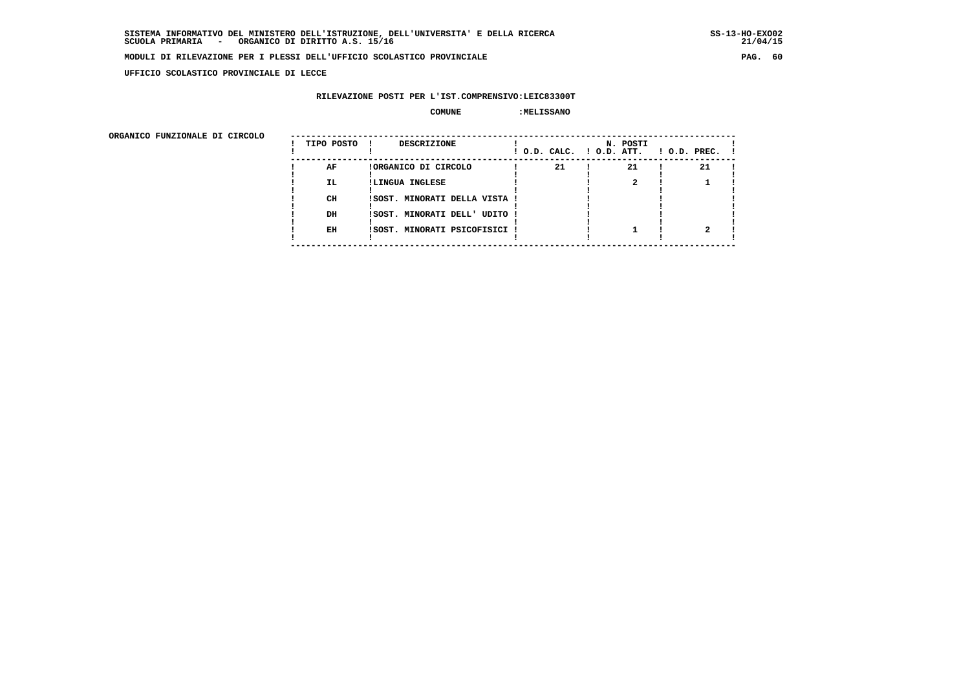**UFFICIO SCOLASTICO PROVINCIALE DI LECCE**

# **RILEVAZIONE POSTI PER L'IST.COMPRENSIVO:LEIC83300T**

#### **COMUNE :MELISSANO**

ORGANICO FUNZIONALE DI CIRCOLO

| ORGANICO FUNZIONALE DI CIRCOLO |            |                               |                          |          |                    |
|--------------------------------|------------|-------------------------------|--------------------------|----------|--------------------|
|                                | TIPO POSTO | DESCRIZIONE                   | ! O.D. CALC. ! O.D. ATT. | N. POSTI | $!$ 0.D. PREC. $!$ |
|                                | AF         | !ORGANICO DI CIRCOLO          | 21                       | 21       | 21                 |
|                                | IL.        | !LINGUA INGLESE               |                          |          |                    |
|                                |            |                               |                          |          |                    |
|                                | CH         | !SOST. MINORATI DELLA VISTA ! |                          |          |                    |
|                                |            |                               |                          |          |                    |
|                                | DH         | !SOST. MINORATI DELL' UDITO ! |                          |          |                    |
|                                |            |                               |                          |          |                    |
|                                | EH         | !SOST. MINORATI PSICOFISICI ! |                          |          |                    |
|                                |            |                               |                          |          |                    |
|                                |            |                               |                          |          |                    |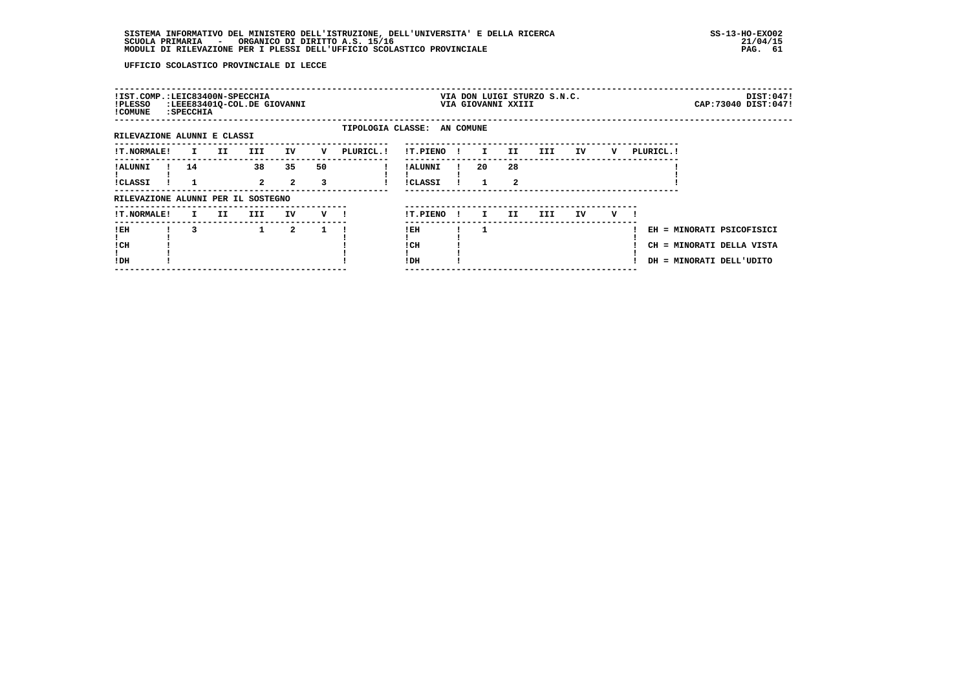| !IST.COMP.:LEIC83400N-SPECCHIA<br>!PLESSO<br>! COMUNE | : SPECCHIA   |      | :LEEE83401Q-COL.DE GIOVANNI |                      |                |                             |                                  |              |              | VIA GIOVANNI XXIII            | VIA DON LUIGI STURZO S.N.C. |    |     |           | CAP: 73040 DIST: 047!                                                              | DIST:047! |
|-------------------------------------------------------|--------------|------|-----------------------------|----------------------|----------------|-----------------------------|----------------------------------|--------------|--------------|-------------------------------|-----------------------------|----|-----|-----------|------------------------------------------------------------------------------------|-----------|
| RILEVAZIONE ALUNNI E CLASSI                           |              |      |                             |                      |                | TIPOLOGIA CLASSE: AN COMUNE |                                  |              |              |                               |                             |    |     |           |                                                                                    |           |
| !T.NORMALE!                                           | $\mathbf{I}$ | II D | <b>III</b>                  | IV                   | v              | PLURICL. !                  | !T.PIENO                         | - 1          | $\mathbf{I}$ | II                            | III                         | IV | v   | PLURICL.! |                                                                                    |           |
| ! ALUNNI<br>!CLASSI                                   | 14           |      | 38<br>$2^{\circ}$           | 35<br>$\overline{2}$ | 50<br>3        |                             | <b>!ALUNNI</b><br><b>!CLASSI</b> |              | 20           | 28<br>$\overline{\mathbf{2}}$ |                             |    |     |           |                                                                                    |           |
| RILEVAZIONE ALUNNI PER IL SOSTEGNO                    |              |      |                             |                      |                |                             |                                  |              |              |                               |                             |    |     |           |                                                                                    |           |
| <b>!T.NORMALE!</b>                                    | $\mathbf{I}$ | II   | III                         | IV                   | $\mathbf{v}$ 1 |                             | !T.PIENO                         | $\mathbf{I}$ | I.           | II.                           | III                         | IV | V — |           |                                                                                    |           |
| ! EH<br>! CH<br>!DH                                   | 3            |      | $\mathbf{1}$                | $\overline{a}$       | 1              |                             | !EH<br>! CH<br>! DH              |              |              |                               |                             |    |     |           | EH = MINORATI PSICOFISICI<br>CH = MINORATI DELLA VISTA<br>DH = MINORATI DELL'UDITO |           |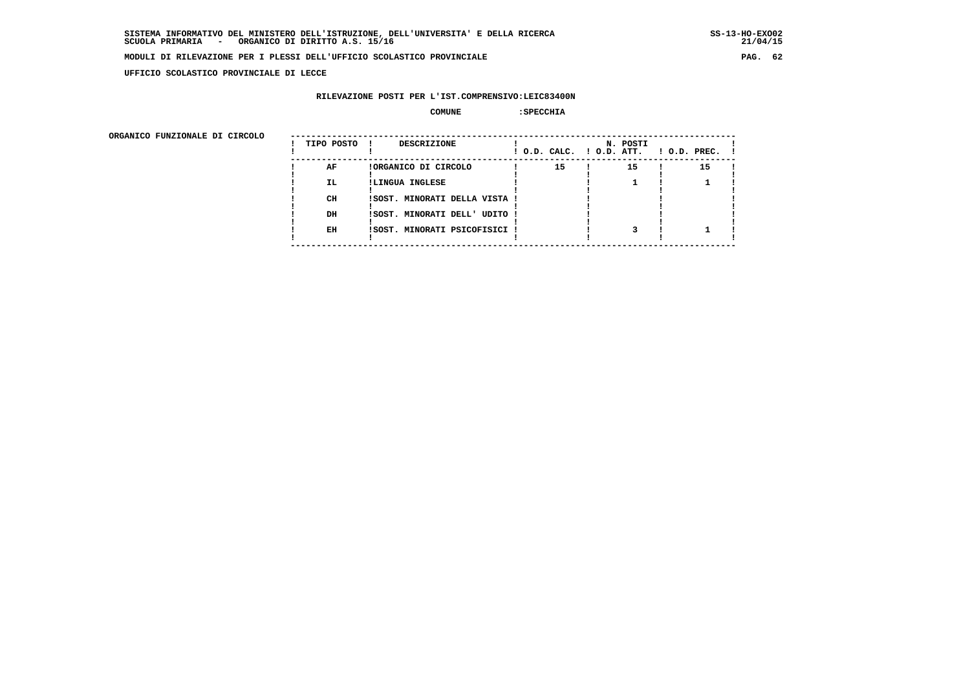**UFFICIO SCOLASTICO PROVINCIALE DI LECCE**

# **RILEVAZIONE POSTI PER L'IST.COMPRENSIVO:LEIC83400N**

# **COMUNE :SPECCHIA**

| ORGANICO FUNZIONALE DI CIRCOLO |            |                               |                          |          |                    |
|--------------------------------|------------|-------------------------------|--------------------------|----------|--------------------|
|                                | TIPO POSTO | DESCRIZIONE                   | ! O.D. CALC. ! O.D. ATT. | N. POSTI | $1$ O.D. PREC. $1$ |
|                                | AF         | !ORGANICO DI CIRCOLO          | 15                       | 15       | 15                 |
|                                | IL.        | !LINGUA INGLESE               |                          |          |                    |
|                                | CH         | !SOST. MINORATI DELLA VISTA ! |                          |          |                    |
|                                | DH         | !SOST. MINORATI DELL' UDITO ! |                          |          |                    |
|                                | EH         | !SOST. MINORATI PSICOFISICI ! |                          |          |                    |
|                                |            |                               |                          |          |                    |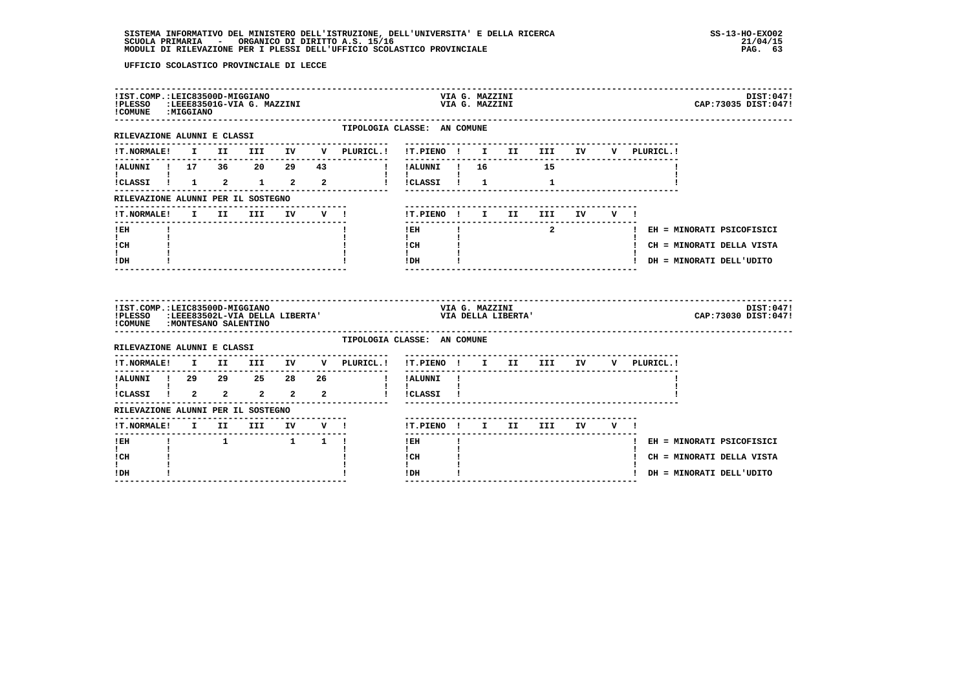| !IST.COMP.:LEIC83500D-MIGGIANO<br>!PLESSO :LEEE83501G-VIA G. MAZZINI<br>! COMUNE : MIGGIANO              |  |                                                     |        |                                                |                                                                                      | VIA G. MAZZINI<br>VIA G. MAZZINI |                    |                            |  |             | DIST:047!<br>CAP: 73035 DIST: 047! |
|----------------------------------------------------------------------------------------------------------|--|-----------------------------------------------------|--------|------------------------------------------------|--------------------------------------------------------------------------------------|----------------------------------|--------------------|----------------------------|--|-------------|------------------------------------|
| RILEVAZIONE ALUNNI E CLASSI                                                                              |  |                                                     |        | TIPOLOGIA CLASSE: AN COMUNE                    |                                                                                      |                                  |                    |                            |  |             |                                    |
| <b>!T.NORMALE!</b>                                                                                       |  |                                                     |        | I II III IV V PLURICL.! !T.PIENO ! I II III IV |                                                                                      |                                  |                    |                            |  | V PLURICL.! |                                    |
| !ALUNNI ! 17 36 20 29 43                                                                                 |  |                                                     |        | ! !ALUNNI ! 16 15                              | ----------                                                                           |                                  |                    |                            |  |             |                                    |
|                                                                                                          |  |                                                     |        | !CLASSI ! 1 2 1 2 2 ! !CLASSI ! 1              | $\mathbf{I}$ and $\mathbf{I}$ and $\mathbf{I}$                                       |                                  |                    | $\mathbf{1}$               |  |             |                                    |
| RILEVAZIONE ALUNNI PER IL SOSTEGNO                                                                       |  |                                                     |        |                                                |                                                                                      |                                  |                    |                            |  |             |                                    |
| !T.NORMALE!                                                                                              |  | I II III                                            | IV V ! |                                                |                                                                                      |                                  |                    | !T.PIENO! I II III IV V!   |  |             |                                    |
| ! EH                                                                                                     |  |                                                     |        |                                                | $!$ EH                                                                               |                                  |                    | $\overline{\mathbf{a}}$    |  |             | ! EH = MINORATI PSICOFISICI        |
| $\mathbf{I}$<br>! CH                                                                                     |  |                                                     |        |                                                | $\mathbf{I}$<br>$\begin{array}{ccc}\n1 \text{ CH} & & & 1 \\ 1 & & & 1\n\end{array}$ |                                  |                    |                            |  |             | ! CH = MINORATI DELLA VISTA        |
| $\mathbf{I}$<br>! DH                                                                                     |  |                                                     |        |                                                | $1\,\mathrm{DH}$                                                                     |                                  |                    |                            |  |             | ! DH = MINORATI DELL'UDITO         |
|                                                                                                          |  |                                                     |        |                                                |                                                                                      |                                  |                    |                            |  |             |                                    |
| !IST.COMP.:LEIC83500D-MIGGIANO<br>!PLESSO :LEEE83502L-VIA DELLA LIBERTA'<br>COMUNE : MONTESANO SALENTINO |  |                                                     |        |                                                |                                                                                      | VIA G. MAZZINI                   | VIA DELLA LIBERTA' |                            |  |             | DIST:047!<br>CAP: 73030 DIST: 047! |
| RILEVAZIONE ALUNNI E CLASSI                                                                              |  |                                                     |        | TIPOLOGIA CLASSE: AN COMUNE                    |                                                                                      |                                  |                    |                            |  |             |                                    |
| <b>!T.NORMALE!</b>                                                                                       |  |                                                     |        | I II III IV V PLURICL.!                        | !T.PIENO ! I II III IV                                                               |                                  |                    |                            |  | V PLURICL.! |                                    |
|                                                                                                          |  |                                                     |        | ---------------                                | ----------<br>! !ALUNNI !                                                            |                                  |                    |                            |  |             |                                    |
|                                                                                                          |  |                                                     |        | $\mathbf{I}$                                   | $\mathbf{I}$<br>! !CLASSI !                                                          |                                  |                    |                            |  |             |                                    |
| RILEVAZIONE ALUNNI PER IL SOSTEGNO                                                                       |  |                                                     |        |                                                |                                                                                      |                                  |                    |                            |  |             |                                    |
|                                                                                                          |  |                                                     |        |                                                |                                                                                      |                                  |                    | !T.PIENO ! I II III IV V ! |  |             |                                    |
| ______________________<br>! EH                                                                           |  | $1 \qquad \qquad 1 \qquad \qquad 1 \qquad \qquad 1$ |        |                                                | -------<br>! EH                                                                      |                                  |                    |                            |  |             | ! EH = MINORATI PSICOFISICI        |
| $\mathbf{I}$<br>! CH<br>L                                                                                |  |                                                     |        |                                                | $\mathbf{I}$<br>! CH<br>$\mathbf{I}$                                                 |                                  |                    |                            |  |             | ! CH = MINORATI DELLA VISTA        |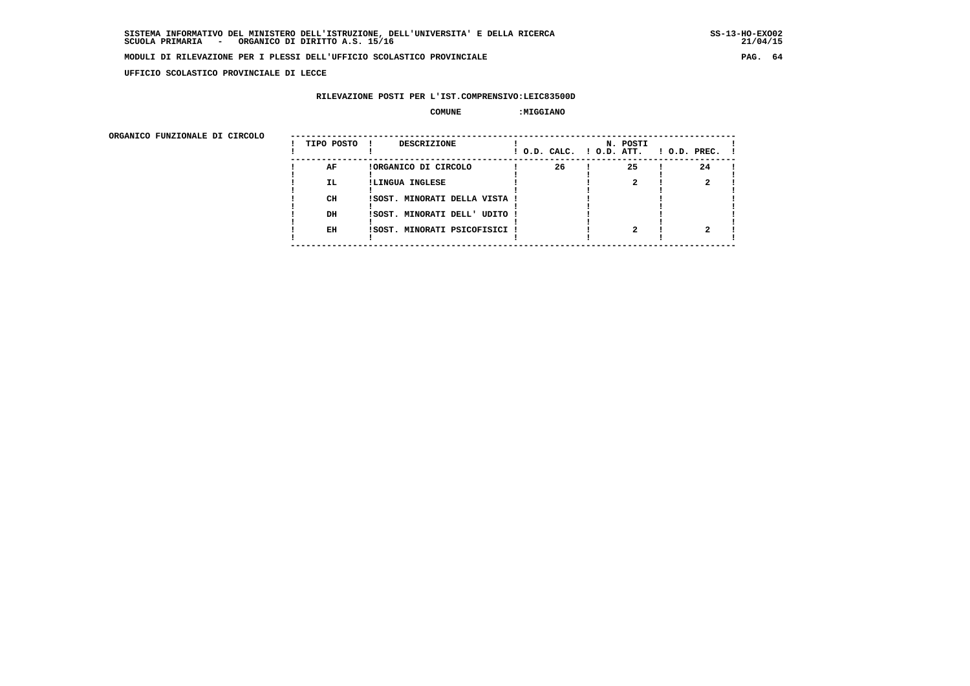**UFFICIO SCOLASTICO PROVINCIALE DI LECCE**

# **RILEVAZIONE POSTI PER L'IST.COMPRENSIVO:LEIC83500D**

### **COMUNE :MIGGIANO**

ORGANICO FUNZIONALE DI CIRCOLO

| ORGANICO FUNZIONALE DI CIRCOLO |            |                                    |    |                                      |                    |
|--------------------------------|------------|------------------------------------|----|--------------------------------------|--------------------|
|                                | TIPO POSTO | <b>DESCRIZIONE</b><br>$\mathbf{I}$ |    | N. POSTI<br>! O.D. CALC. ! O.D. ATT. | $1$ O.D. PREC. $1$ |
|                                | AF         | !ORGANICO DI CIRCOLO               | 26 | 25                                   | 24                 |
|                                | IL.        | !LINGUA INGLESE                    |    |                                      |                    |
|                                |            |                                    |    |                                      |                    |
|                                | CH         | ISOST. MINORATI DELLA VISTA !      |    |                                      |                    |
|                                |            |                                    |    |                                      |                    |
|                                | DH         | ISOST. MINORATI DELL' UDITO !      |    |                                      |                    |
|                                |            |                                    |    |                                      |                    |
|                                | EH         | ISOST. MINORATI PSICOFISICI !      |    |                                      |                    |
|                                |            |                                    |    |                                      |                    |
|                                |            |                                    |    |                                      |                    |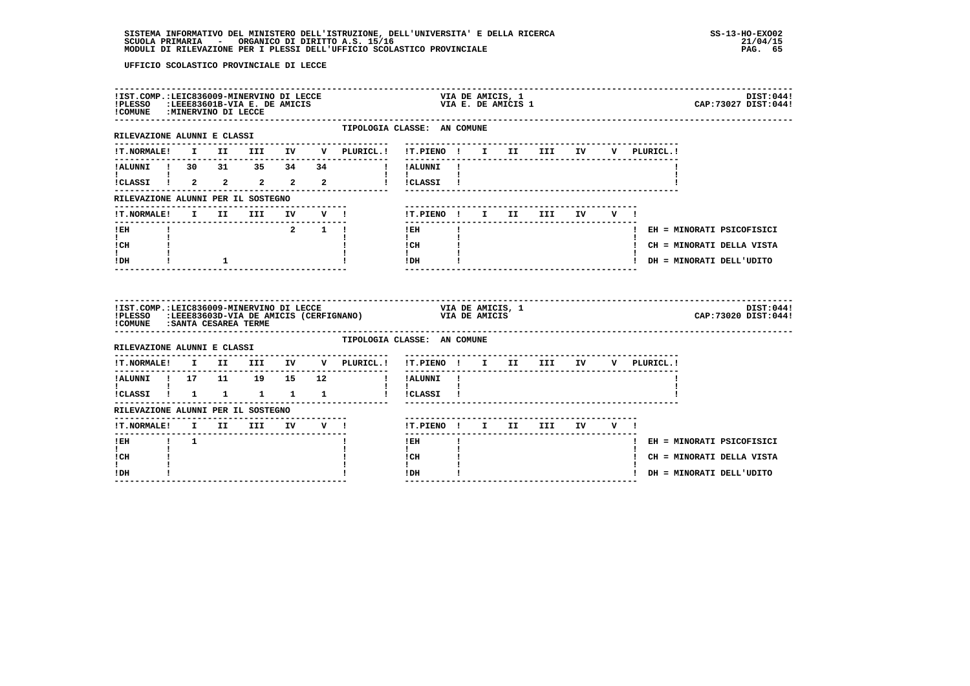| !IST.COMP.:LEIC836009-MINERVINO DI LECCE<br>!PLESSO :LEEE83601B-VIA E. DE AMICIS<br>!COMUNE : MINERVINO DI LECCE                                                                                                                                                                                 |             |              |                                 |  |                                                              | VIA DE AMICIS, 1<br>VIA E. DE AMICIS 1                                                                                                 |                           | DIST:044!<br>CAP: 73027 DIST: 044! |
|--------------------------------------------------------------------------------------------------------------------------------------------------------------------------------------------------------------------------------------------------------------------------------------------------|-------------|--------------|---------------------------------|--|--------------------------------------------------------------|----------------------------------------------------------------------------------------------------------------------------------------|---------------------------|------------------------------------|
| RILEVAZIONE ALUNNI E CLASSI                                                                                                                                                                                                                                                                      |             |              |                                 |  | --------------------                                         | TIPOLOGIA CLASSE: AN COMUNE<br>---------------------------                                                                             |                           |                                    |
|                                                                                                                                                                                                                                                                                                  |             |              |                                 |  |                                                              |                                                                                                                                        |                           | V PLURICL.!                        |
|                                                                                                                                                                                                                                                                                                  |             |              |                                 |  | !ALUNNI ! 30 31 35 34 34     ! !ALUNNI !                     |                                                                                                                                        |                           |                                    |
| $\mathbf{I}$ and $\mathbf{I}$ and $\mathbf{I}$ and $\mathbf{I}$ and $\mathbf{I}$ and $\mathbf{I}$ and $\mathbf{I}$ and $\mathbf{I}$ and $\mathbf{I}$ and $\mathbf{I}$ and $\mathbf{I}$ and $\mathbf{I}$ and $\mathbf{I}$ and $\mathbf{I}$ and $\mathbf{I}$ and $\mathbf{I}$ and $\mathbf{I}$ and |             |              |                                 |  | $\mathbf{1}$ $\mathbf{1}$<br>iCLASSI 1 2 2 2 2 2 1 ICLASSI 1 |                                                                                                                                        |                           |                                    |
| RILEVAZIONE ALUNNI PER IL SOSTEGNO                                                                                                                                                                                                                                                               |             |              |                                 |  |                                                              |                                                                                                                                        |                           |                                    |
|                                                                                                                                                                                                                                                                                                  |             |              |                                 |  | !T.NORMALE! I II III IV V !                                  | !T.PIENO! I II III IV V!                                                                                                               | ------------------------- |                                    |
| $!$ EH                                                                                                                                                                                                                                                                                           |             |              |                                 |  | 2 1 1                                                        | ---------------<br>$!$ EH<br>$\mathbf{I}$                                                                                              |                           | ! EH = MINORATI PSICOFISICI        |
| $\mathbf{I}$ and $\mathbf{I}$<br>! CH                                                                                                                                                                                                                                                            |             |              |                                 |  |                                                              | $\mathbf{1}$ and $\mathbf{1}$<br>$\frac{1 \text{CH}}{1}$ $\frac{1}{1}$                                                                 |                           | ! CH = MINORATI DELLA VISTA        |
| $\mathbf{I}$<br>! DH                                                                                                                                                                                                                                                                             |             | $\mathbf{1}$ |                                 |  |                                                              | $IDH$ $I$                                                                                                                              |                           | ! DH = MINORATI DELL'UDITO         |
|                                                                                                                                                                                                                                                                                                  |             |              |                                 |  |                                                              |                                                                                                                                        |                           |                                    |
| ! COMUNE : SANTA CESAREA TERME                                                                                                                                                                                                                                                                   |             |              |                                 |  | -------------------------------------                        | !IST.COMP.:LEIC836009-MINERVINO DI LECCE (CERFIGNANO) VIA DE AMICIS, 1<br>!PLESSO :LEEE83603D-VIA DE AMICIS (CERFIGNANO) VIA DE AMICIS |                           | DIST:044!<br>CAP: 73020 DIST: 044! |
|                                                                                                                                                                                                                                                                                                  |             |              |                                 |  |                                                              | TIPOLOGIA CLASSE: AN COMUNE                                                                                                            |                           |                                    |
|                                                                                                                                                                                                                                                                                                  |             |              |                                 |  | --------------                                               | !T.NORMALE! I II III IV V PLURICL.! !T.PIENO ! I II III IV V PLURICL.!                                                                 |                           |                                    |
| ----------                                                                                                                                                                                                                                                                                       |             |              |                                 |  |                                                              |                                                                                                                                        |                           |                                    |
| $\mathbf{I}$ and $\mathbf{I}$ and $\mathbf{I}$                                                                                                                                                                                                                                                   |             |              |                                 |  | ICLASSI I 1 1 1 1 1 1 i iCLASSI 1                            | $\mathbf{I}$ $\mathbf{I}$                                                                                                              |                           |                                    |
| RILEVAZIONE ALUNNI PER IL SOSTEGNO                                                                                                                                                                                                                                                               |             |              |                                 |  |                                                              |                                                                                                                                        |                           |                                    |
|                                                                                                                                                                                                                                                                                                  |             |              | ------------------------------- |  | !T.NORMALE! I II III IV V !                                  | !T.PIENO ! I II III IV V !                                                                                                             |                           |                                    |
| --------------------<br>$1$ EH                                                                                                                                                                                                                                                                   | $1 \quad 1$ |              |                                 |  |                                                              | $!$ EH                                                                                                                                 |                           | ! EH = MINORATI PSICOFISICI        |
| $\mathbf{I}$<br>! CH<br>$\mathbf{I}$                                                                                                                                                                                                                                                             |             |              |                                 |  |                                                              | $\mathbf{I}$<br>! CH<br>$\mathbf{I}$                                                                                                   |                           | ! CH = MINORATI DELLA VISTA        |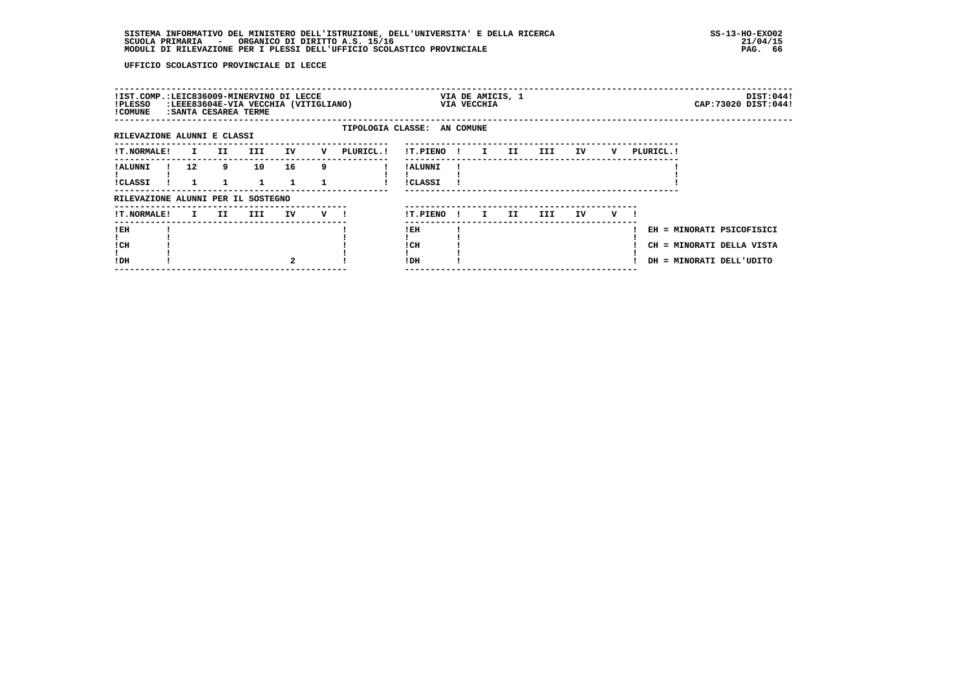| !IST.COMP.:LEIC836009-MINERVINO DI LECCE<br>:LEEE83604E-VIA VECCHIA (VITIGLIANO):<br>!PLESSO<br>! COMUNE<br>: SANTA CESAREA TERME |  |                   |     |                    |                    |     |                             |                            |              | VIA DE AMICIS, 1<br>VIA VECCHIA |     |      |     |     |                                                                                    |  | DIST:044!<br>CAP: 73020 DIST: 044! |
|-----------------------------------------------------------------------------------------------------------------------------------|--|-------------------|-----|--------------------|--------------------|-----|-----------------------------|----------------------------|--------------|---------------------------------|-----|------|-----|-----|------------------------------------------------------------------------------------|--|------------------------------------|
| RILEVAZIONE ALUNNI E CLASSI                                                                                                       |  |                   |     |                    |                    |     | TIPOLOGIA CLASSE: AN COMUNE |                            |              |                                 |     |      |     |     |                                                                                    |  |                                    |
| <b>!T.NORMALE!</b>                                                                                                                |  | $\mathbf{I}$      | II. | III.               | IV                 | v   | PLURICL.!                   | !T.PIENO!                  |              | I.                              | II  | III  | IV  | v   | PLURICL. !                                                                         |  |                                    |
| ! ALUNNI<br>!CLASSI                                                                                                               |  | $12 \overline{ }$ | 9   | 10<br>$\mathbf{1}$ | 16<br>$\mathbf{1}$ | 9   |                             | ! ALUNNI<br><b>!CLASSI</b> |              |                                 |     |      |     |     |                                                                                    |  |                                    |
| RILEVAZIONE ALUNNI PER IL SOSTEGNO                                                                                                |  |                   |     |                    |                    |     |                             |                            |              |                                 |     |      |     |     |                                                                                    |  |                                    |
| <b>!T.NORMALE!</b>                                                                                                                |  | I.                | II. | III                | IV                 | V ! |                             | !T.PIENO                   | $\mathbf{I}$ | I.                              | II. | III. | IV. | v — |                                                                                    |  |                                    |
| !EH<br>! CH<br>!DH                                                                                                                |  |                   |     |                    |                    |     |                             | ! EH<br>! CH<br>! DH       |              |                                 |     |      |     |     | EH = MINORATI PSICOFISICI<br>CH = MINORATI DELLA VISTA<br>DH = MINORATI DELL'UDITO |  |                                    |
|                                                                                                                                   |  |                   |     |                    |                    |     |                             |                            |              |                                 |     |      |     |     |                                                                                    |  |                                    |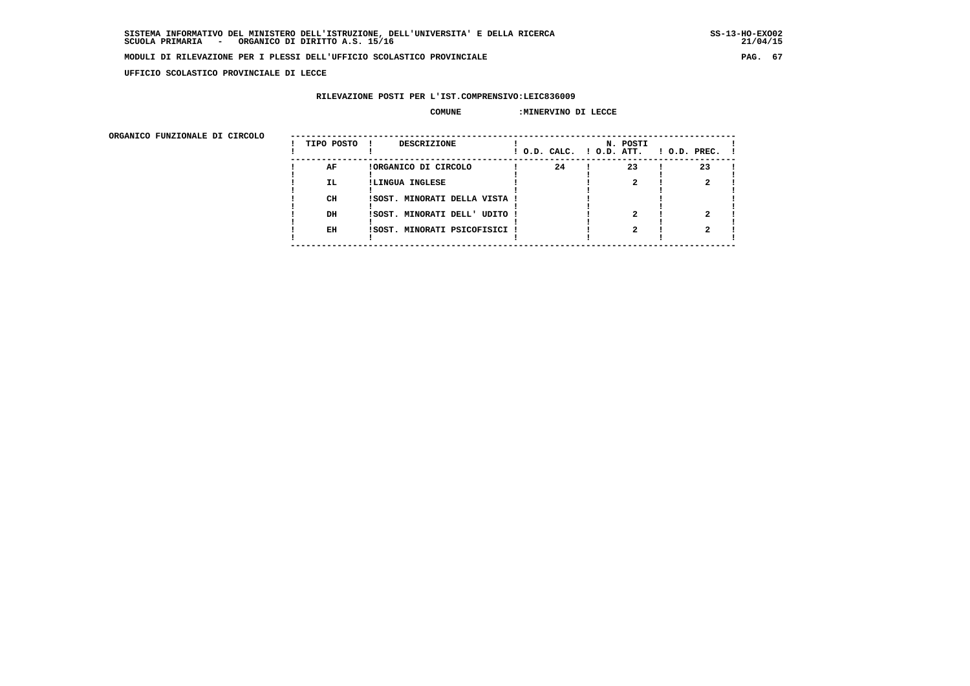$21/04/15$ 

### **MODULI DI RILEVAZIONE PER I PLESSI DELL'UFFICIO SCOLASTICO PROVINCIALE PAG. 67**

 **UFFICIO SCOLASTICO PROVINCIALE DI LECCE**

# **RILEVAZIONE POSTI PER L'IST.COMPRENSIVO:LEIC836009**

#### **COMUNE :MINERVINO DI LECCE**

 **ORGANICO FUNZIONALE DI CIRCOLO --------------------------------------------------------------------------------------**

| URGANICO FUNZIONALE DI CIRCOLO | TIPO POSTO | DESCRIZIONE                   | ! O.D. CALC. ! O.D. ATT. | N. POSTI | $1$ O.D. PREC. $1$ |  |
|--------------------------------|------------|-------------------------------|--------------------------|----------|--------------------|--|
|                                | AF         | !ORGANICO DI CIRCOLO          | 24                       | 23       | 23                 |  |
|                                | IL.        | !LINGUA INGLESE               |                          |          |                    |  |
|                                | CH         | !SOST. MINORATI DELLA VISTA ! |                          |          |                    |  |
|                                | DH         | !SOST. MINORATI DELL' UDITO ! |                          |          |                    |  |
|                                | EH         | !SOST. MINORATI PSICOFISICI ! |                          |          |                    |  |
|                                |            |                               |                          |          |                    |  |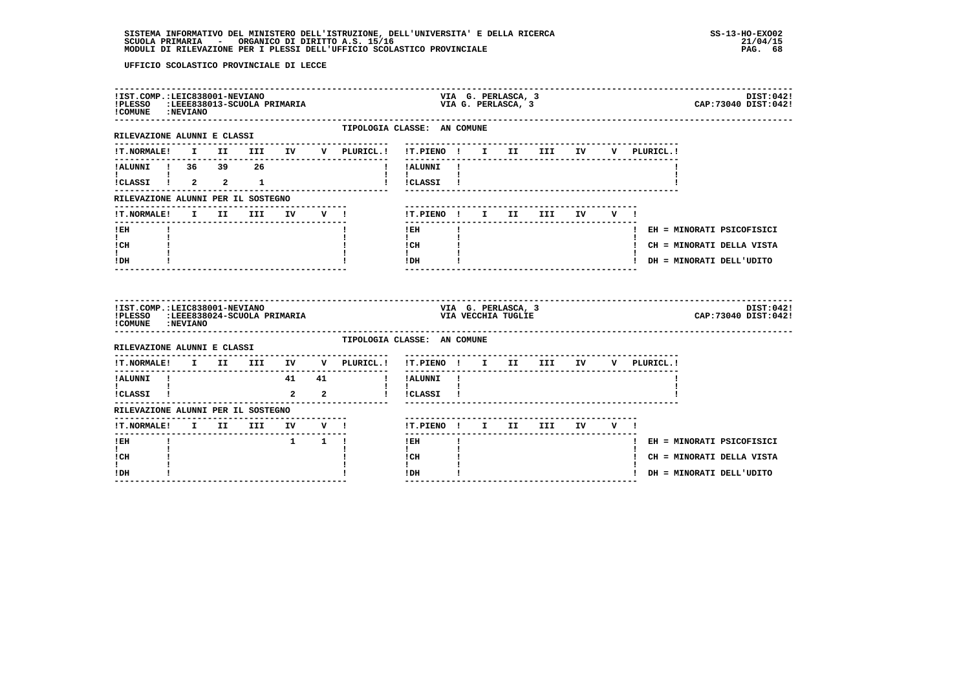| !IST.COMP.:LEIC838001-NEVIANO<br>!PLESSO :LEEE838013-SCUOLA PRIMARIA<br>! COMUNE : NEVIANO |  |  |                                 |                         |                                     | VIA G. PERLASCA, 3<br>DIST:042!<br>CAP:73040 DIST:042!<br>VIA G. PERLASCA, 3                         |
|--------------------------------------------------------------------------------------------|--|--|---------------------------------|-------------------------|-------------------------------------|------------------------------------------------------------------------------------------------------|
| RILEVAZIONE ALUNNI E CLASSI                                                                |  |  |                                 |                         |                                     | TIPOLOGIA CLASSE: AN COMUNE                                                                          |
|                                                                                            |  |  |                                 |                         |                                     | !T.NORMALE! I II III IV V PLURICL.! !T.PIENO ! I II III IV V PLURICL.!                               |
| !ALUNNI ! 36 39 26                                                                         |  |  |                                 |                         |                                     | ! !ALUNNI !                                                                                          |
| <b>I</b> and the state of the state<br>$i$ CLASSI $i$ 2 2 1                                |  |  |                                 |                         |                                     | $\mathbf{I}$ and $\mathbf{I}$<br>! !CLASSI !                                                         |
| RILEVAZIONE ALUNNI PER IL SOSTEGNO                                                         |  |  |                                 |                         | -----------------                   |                                                                                                      |
| !T.NORMALE!                                                                                |  |  |                                 |                         | I II III IV V !                     | !T.PIENO! I II III IV V!                                                                             |
| $!$ EH                                                                                     |  |  |                                 |                         |                                     | $!$ EH<br>! EH = MINORATI PSICOFISICI                                                                |
| $\mathbf{I}$<br>! CH                                                                       |  |  |                                 |                         |                                     | $\mathbf{I}$<br>! CH<br>! CH = MINORATI DELLA VISTA                                                  |
| $\mathbf{I}$<br>! DH                                                                       |  |  |                                 |                         |                                     | $\mathbf{I}$<br>! DH<br>! DH = MINORATI DELL'UDITO                                                   |
| !IST.COMP.:LEIC838001-NEVIANO<br>!PLESSO :LEEE838024-SCUOLA PRIMARIA<br>! COMUNE : NEVIANO |  |  |                                 |                         |                                     | VIA G. PERLASCA, 3<br>DIST:042!<br>CAP: 73040 DIST: 042!<br>VIA VECCHIA TUGLIE                       |
| RILEVAZIONE ALUNNI E CLASSI                                                                |  |  |                                 |                         |                                     | TIPOLOGIA CLASSE: AN COMUNE<br>-----------------------------------                                   |
|                                                                                            |  |  |                                 |                         | !T.NORMALE! I II III IV V PLURICL.! | !T.PIENO ! I II III IV V PLURICL.!                                                                   |
| !ALUNNI !                                                                                  |  |  | 41 41                           |                         | $\mathbf{I}$                        | !ALUNNI !                                                                                            |
| <b>Experience</b><br>!CLASSI !                                                             |  |  | $\overline{a}$                  | $\overline{\mathbf{a}}$ |                                     | $\mathbf{I}$ and $\mathbf{I}$ and $\mathbf{I}$<br>! !CLASSI !<br>----------------------------------- |
| RILEVAZIONE ALUNNI PER IL SOSTEGNO                                                         |  |  |                                 |                         |                                     |                                                                                                      |
| !T.NORMALE! I II III IV V !                                                                |  |  | ------------------------------- |                         |                                     | !T.PIENO! I II III IV V!                                                                             |
|                                                                                            |  |  |                                 |                         |                                     | $!$ EH<br>! EH = MINORATI PSICOFISICI                                                                |
| ---------------------------------<br>! EH                                                  |  |  | $1 \quad 1 \quad 1$             |                         |                                     |                                                                                                      |
| $\mathbf{I}$<br>! CH                                                                       |  |  |                                 |                         |                                     | $\mathbf{I}$<br>! CH<br>! CH = MINORATI DELLA VISTA                                                  |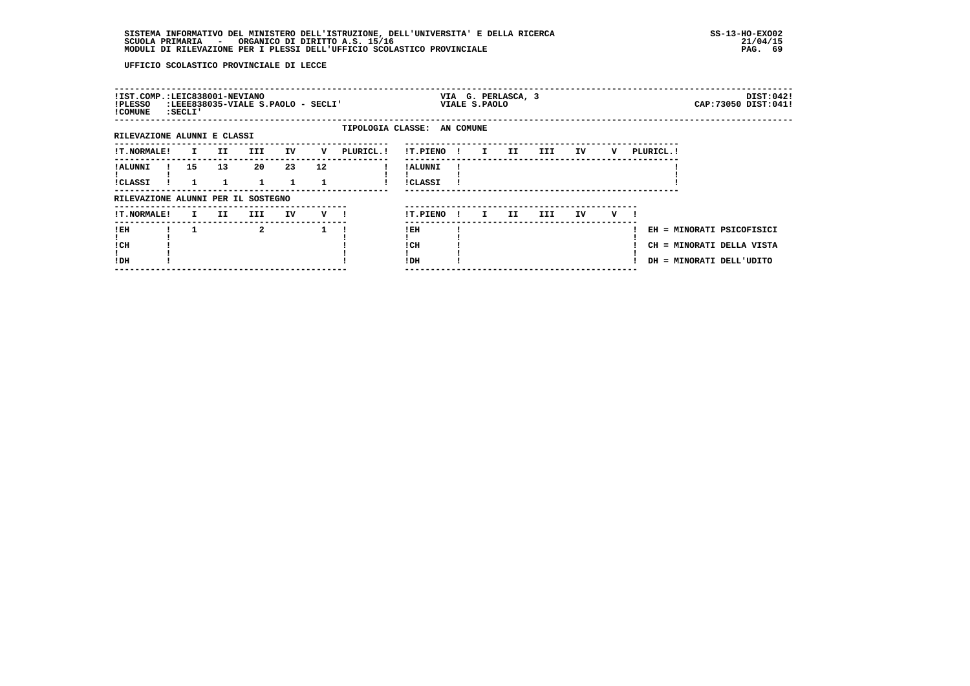| !IST.COMP.:LEIC838001-NEVIANO<br>!PLESSO<br>! COMUNE | : SECLI '    |     | :LEEE838035-VIALE S.PAOLO - SECLI' |                    |                    |                             |                            |              | VIALE S.PAOLO | VIA G. PERLASCA, 3 |     |    |   |            |                                                                                    | DIST:042!<br>CAP: 73050 DIST: 041! |
|------------------------------------------------------|--------------|-----|------------------------------------|--------------------|--------------------|-----------------------------|----------------------------|--------------|---------------|--------------------|-----|----|---|------------|------------------------------------------------------------------------------------|------------------------------------|
| RILEVAZIONE ALUNNI E CLASSI                          |              |     |                                    |                    |                    | TIPOLOGIA CLASSE: AN COMUNE |                            |              |               |                    |     |    |   |            |                                                                                    |                                    |
| <b>!T.NORMALE!</b>                                   | $\mathbf{I}$ | II  | III                                | IV                 | v                  | PLURICL. !                  | !T.PIENO                   | $\sim 1$     | $\mathbf{I}$  | II                 | III | IV | v | PLURICL. ! |                                                                                    |                                    |
| ! ALUNNI<br>!CLASSI                                  | 15           | 13  | 20                                 | 23<br>$\mathbf{1}$ | 12                 |                             | ! ALUNNI<br><b>!CLASSI</b> |              |               |                    |     |    |   |            |                                                                                    |                                    |
| RILEVAZIONE ALUNNI PER IL SOSTEGNO                   |              |     |                                    |                    |                    |                             |                            |              |               |                    |     |    |   |            |                                                                                    |                                    |
| !T.NORMALE!                                          | I.           | II. | III                                | IV                 | $V$ $\blacksquare$ |                             | !T.PIENO                   | $\mathbf{I}$ | $\mathbf{I}$  | II.                | III | IV | v |            |                                                                                    |                                    |
| !EH<br>! CH<br>!DH                                   |              |     | 2                                  |                    |                    |                             | ! EH<br>! CH<br>!DH        |              |               |                    |     |    |   |            | EH = MINORATI PSICOFISICI<br>CH = MINORATI DELLA VISTA<br>DH = MINORATI DELL'UDITO |                                    |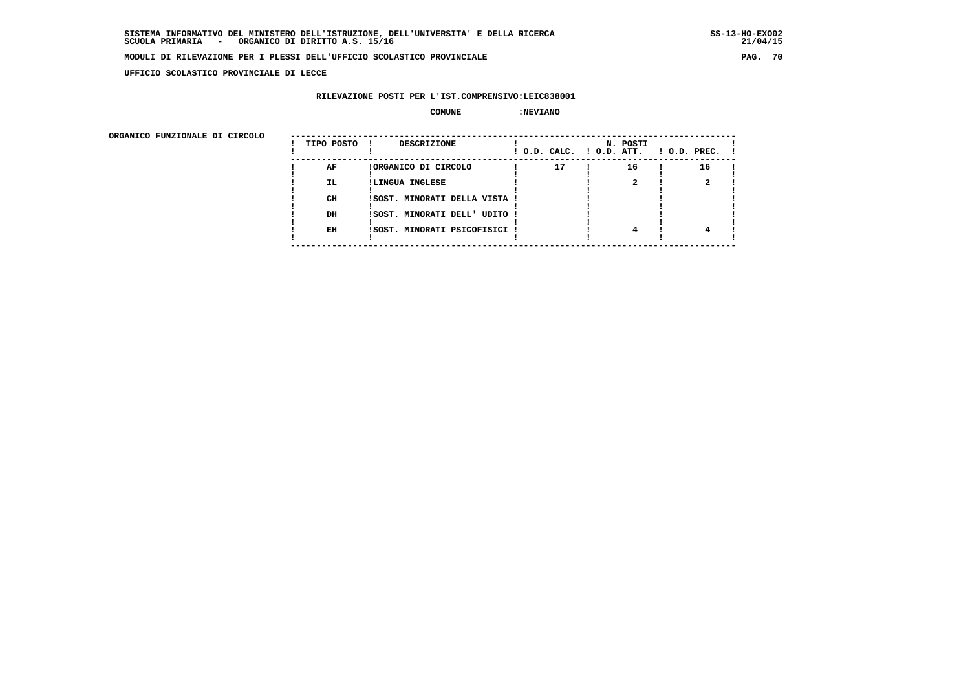**UFFICIO SCOLASTICO PROVINCIALE DI LECCE**

# **RILEVAZIONE POSTI PER L'IST.COMPRENSIVO:LEIC838001**

#### $\begin{array}{ccc} \text{COMUNE} & \text{?} \end{array}$

ORGANICO FUNZIONALE DI CIRCOLO

| ORGANICO FUNZIONALE DI CIRCOLO |            |                               |    |                                      |                    |
|--------------------------------|------------|-------------------------------|----|--------------------------------------|--------------------|
|                                | TIPO POSTO | DESCRIZIONE                   |    | N. POSTI<br>! O.D. CALC. ! O.D. ATT. | $!$ 0.D. PREC. $!$ |
|                                | AF         | !ORGANICO DI CIRCOLO          | 17 | 16                                   | 16                 |
|                                | IL.        | !LINGUA INGLESE               |    |                                      |                    |
|                                |            |                               |    |                                      |                    |
|                                | CH         | !SOST. MINORATI DELLA VISTA ! |    |                                      |                    |
|                                |            |                               |    |                                      |                    |
|                                | DH         | !SOST. MINORATI DELL' UDITO ! |    |                                      |                    |
|                                |            |                               |    |                                      |                    |
|                                | EH         | !SOST. MINORATI PSICOFISICI ! |    |                                      |                    |
|                                |            |                               |    |                                      |                    |
|                                |            |                               |    |                                      |                    |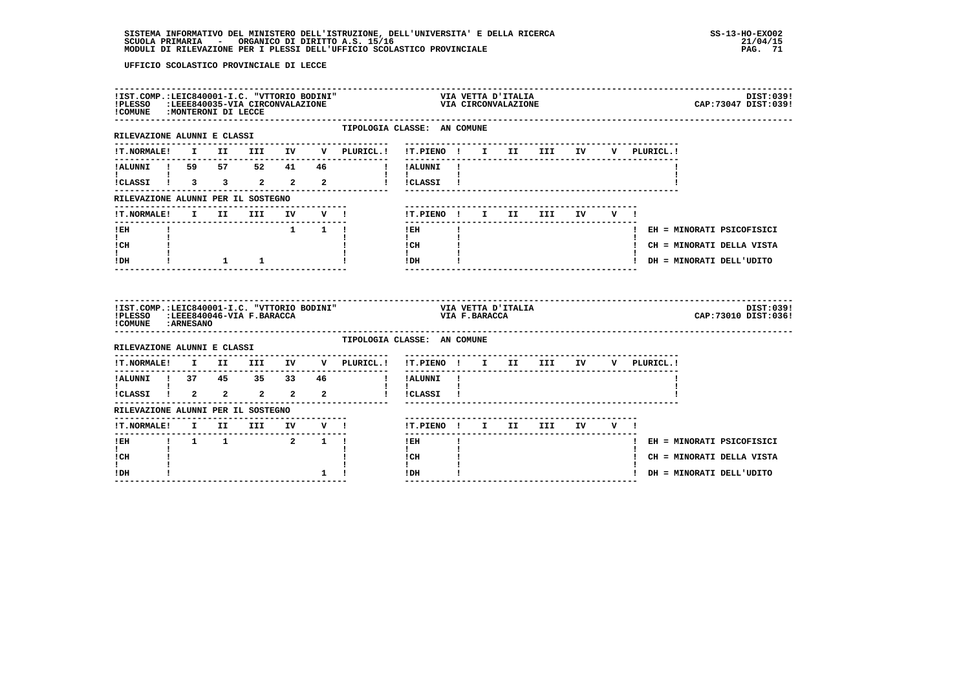| !IST.COMP.:LEIC840001-I.C. "VTTORIO BODINI"<br>!PLESSO :LEEE840035-VIA CIRCONVALAZIONE<br>!COMUNE : MONTERONI DI LECCE |  |                                             |                     |                                                     | VIA VETTA D'ITALIA<br>VIA CIRCONVALAZIONE                                        |              |  |                          |  |                                                                        | DIST:039!<br>CAP: 73047 DIST: 039! |
|------------------------------------------------------------------------------------------------------------------------|--|---------------------------------------------|---------------------|-----------------------------------------------------|----------------------------------------------------------------------------------|--------------|--|--------------------------|--|------------------------------------------------------------------------|------------------------------------|
| RILEVAZIONE ALUNNI E CLASSI                                                                                            |  |                                             |                     | TIPOLOGIA CLASSE: AN COMUNE<br>-------------------- |                                                                                  |              |  |                          |  |                                                                        |                                    |
|                                                                                                                        |  |                                             |                     |                                                     |                                                                                  |              |  |                          |  | V PLURICL.!                                                            |                                    |
|                                                                                                                        |  |                                             |                     | !ALUNNI ! 59 57 52 41 46 ! !ALUNNI !                |                                                                                  |              |  |                          |  |                                                                        |                                    |
| <b>I</b> and the state of the state of                                                                                 |  |                                             |                     | ICLASSI 1 3 3 2 2 2 1 ICLASSI 1                     | $\mathbf{1}$ $\mathbf{1}$ $\mathbf{1}$                                           |              |  |                          |  |                                                                        |                                    |
| RILEVAZIONE ALUNNI PER IL SOSTEGNO                                                                                     |  |                                             |                     |                                                     |                                                                                  |              |  |                          |  |                                                                        |                                    |
| !T.NORMALE!                                                                                                            |  |                                             |                     | I II III IV V !                                     |                                                                                  |              |  | !T.PIENO! I II III IV V! |  |                                                                        |                                    |
| $!$ EH                                                                                                                 |  |                                             | $1 \quad 1 \quad 1$ |                                                     | $!$ EH                                                                           | $\mathbf{I}$ |  |                          |  |                                                                        | ! EH = MINORATI PSICOFISICI        |
| $\mathbf{I}$ and $\mathbf{I}$<br>! CH                                                                                  |  |                                             |                     |                                                     | $\mathbf{I}$                                                                     |              |  |                          |  |                                                                        | ! CH = MINORATI DELLA VISTA        |
| $\mathbf{I}$<br>IDH                                                                                                    |  | $1 \quad 1 \quad 1$                         |                     |                                                     | $\begin{array}{ccc}\nICH & & & & 1 \\ I & & & & 1 \\ IDH & & & & 1\n\end{array}$ |              |  |                          |  |                                                                        | ! DH = MINORATI DELL'UDITO         |
| !IST.COMP.:LEIC840001-I.C. "VTTORIO BODINI"<br>!PLESSO :LEEE840046-VIA F.BARACCA<br>! COMUNE : ARNESANO                |  |                                             |                     |                                                     | VIA VETTA D'ITALIA<br>VIA F.BARACCA                                              |              |  |                          |  |                                                                        | DIST:039!<br>CAP: 73010 DIST: 036! |
| RILEVAZIONE ALUNNI E CLASSI                                                                                            |  |                                             |                     | TIPOLOGIA CLASSE: AN COMUNE                         |                                                                                  |              |  |                          |  |                                                                        |                                    |
|                                                                                                                        |  |                                             |                     |                                                     |                                                                                  |              |  |                          |  | !T.NORMALE! I II III IV V PLURICL.! !T.PIENO ! I II III IV V PLURICL.! |                                    |
|                                                                                                                        |  |                                             |                     |                                                     |                                                                                  |              |  |                          |  |                                                                        |                                    |
|                                                                                                                        |  |                                             |                     |                                                     |                                                                                  |              |  |                          |  |                                                                        |                                    |
| RILEVAZIONE ALUNNI PER IL SOSTEGNO                                                                                     |  |                                             |                     |                                                     |                                                                                  |              |  |                          |  |                                                                        |                                    |
|                                                                                                                        |  |                                             |                     |                                                     | !T.PIENO ! I II III IV V !                                                       |              |  |                          |  |                                                                        |                                    |
| $I$ EH<br>I.                                                                                                           |  | $1 \quad 1 \quad 1 \quad 2 \quad 1 \quad 1$ |                     |                                                     | $!$ EH<br>$\mathbf{I}$                                                           |              |  |                          |  |                                                                        | ! EH = MINORATI PSICOFISICI        |
|                                                                                                                        |  |                                             |                     |                                                     | ! CH                                                                             |              |  |                          |  |                                                                        | ! CH = MINORATI DELLA VISTA        |
| ! CH<br>$\mathbf{I}$                                                                                                   |  |                                             |                     |                                                     | $\mathbf{I}$                                                                     |              |  |                          |  |                                                                        |                                    |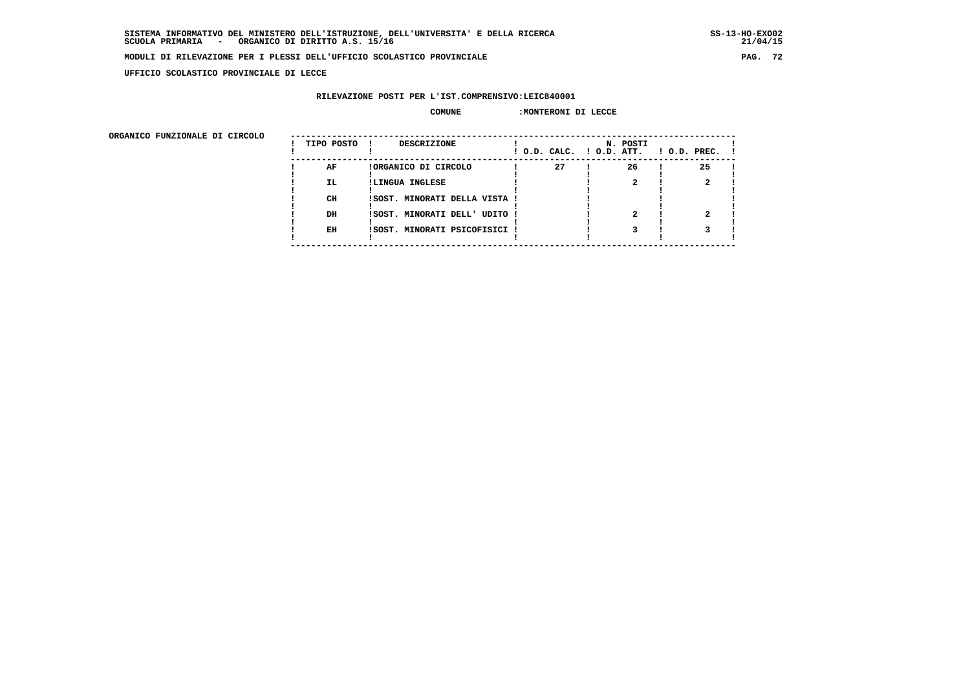$21/04/15$ 

### **MODULI DI RILEVAZIONE PER I PLESSI DELL'UFFICIO SCOLASTICO PROVINCIALE PAG. 72**

 **UFFICIO SCOLASTICO PROVINCIALE DI LECCE**

# **RILEVAZIONE POSTI PER L'IST.COMPRENSIVO:LEIC840001**

# **COMUNE :MONTERONI DI LECCE**

 **ORGANICO FUNZIONALE DI CIRCOLO --------------------------------------------------------------------------------------**

| ORGANICO FUNZIONALE DI CIRCOLO | TIPO POSTO | DESCRIZIONE                   | ! O.D. CALC. ! O.D. ATT. | N. POSTI | $1$ O.D. PREC. $1$ |  |
|--------------------------------|------------|-------------------------------|--------------------------|----------|--------------------|--|
|                                | AF         | !ORGANICO DI CIRCOLO          | 27                       | 26       | 25                 |  |
|                                | IL.        | !LINGUA INGLESE               |                          |          |                    |  |
|                                | CH         | !SOST. MINORATI DELLA VISTA ! |                          |          |                    |  |
|                                | DH         | !SOST. MINORATI DELL' UDITO ! |                          |          |                    |  |
|                                | EH         | !SOST. MINORATI PSICOFISICI ! |                          |          |                    |  |
|                                |            |                               |                          |          |                    |  |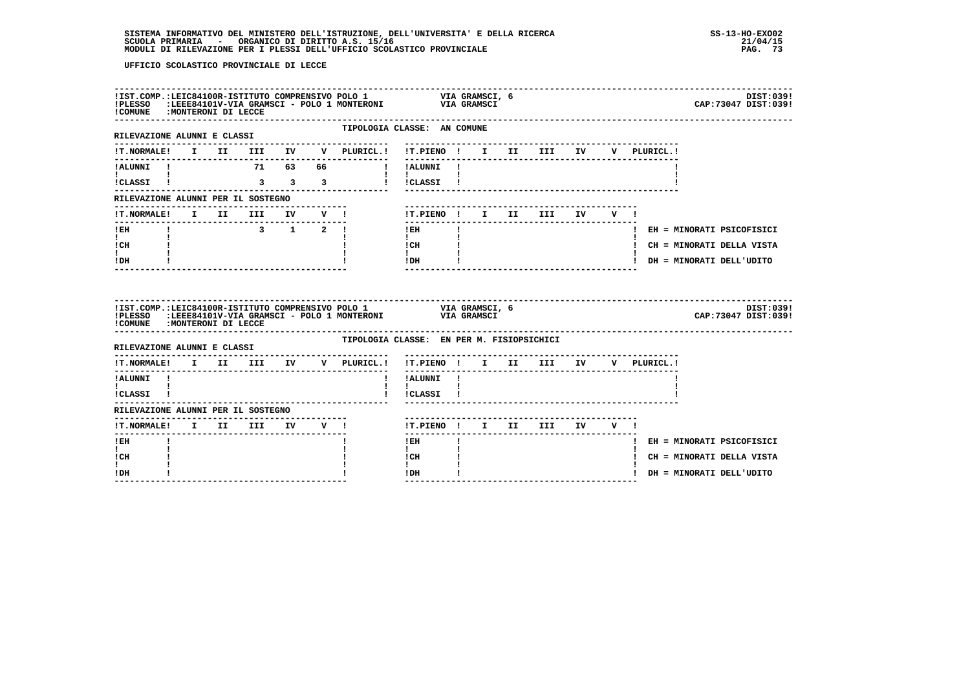| !COMUNE : MONTERONI DI LECCE                                    |  |  |  |                                   | ILST.COMP.:LEIC84100R-ISTITUTO COMPRENSIVO POLO 1 VIA GRAMSCI, 6<br>IPLESSO (ELEER84101V-VIA GRAMSCI - POLO 1 MONTERONI VIA GRAMSCI - POLO 1 MONTERONI VIA GRAMSCI<br>CAP: 73047 DIST: 039!       | DIST: 039! |
|-----------------------------------------------------------------|--|--|--|-----------------------------------|---------------------------------------------------------------------------------------------------------------------------------------------------------------------------------------------------|------------|
| --------------------------------<br>RILEVAZIONE ALUNNI E CLASSI |  |  |  | ----------------<br>------------- | TIPOLOGIA CLASSE: AN COMUNE                                                                                                                                                                       |            |
|                                                                 |  |  |  |                                   | !T.NORMALE! I II III IV V PLURICL.! !T.PIENO ! I II III IV<br>V PLURICL.!                                                                                                                         |            |
|                                                                 |  |  |  |                                   | !ALUNNI ! 71 63 66 ! !ALUNNI !                                                                                                                                                                    |            |
|                                                                 |  |  |  |                                   | $\mathbf{1}$ $\mathbf{1}$ $\mathbf{1}$<br>ICLASSI I 3 3 3 3 1 ICLASSI I                                                                                                                           |            |
| RILEVAZIONE ALUNNI PER IL SOSTEGNO                              |  |  |  |                                   |                                                                                                                                                                                                   |            |
| ------------------------------                                  |  |  |  | !T.NORMALE! I II III IV V !       | !T.PIENO! I II III IV V!<br>$- - - - - - - -$                                                                                                                                                     |            |
| $!$ EH                                                          |  |  |  |                                   | ! EH<br>! EH = MINORATI PSICOFISICI                                                                                                                                                               |            |
| $\mathbf{I}$ and $\mathbf{I}$<br>ICH                            |  |  |  |                                   | $\mathbf{I}$ and $\mathbf{I}$<br>$\begin{array}{ccc}\n1 \text{ CH} & & & 1 \\ 1 & & & 1\n\end{array}$<br>! CH = MINORATI DELLA VISTA                                                              |            |
| $\mathbf{I}$<br>! DH                                            |  |  |  |                                   | IDH<br>! DH = MINORATI DELL'UDITO                                                                                                                                                                 |            |
| !COMUNE : MONTERONI DI LECCE                                    |  |  |  |                                   | !IST.COMP.: LEIC84100R-ISTITUTO COMPRENSIVO POLO 1 VIA GRAMSCI, 6<br>!PLESSO :LEEE84101V-VIA GRAMSCI - POLO 1 MONTERONI VIA GRAMSCI<br>CAP: 73047 DIST: 039!<br>--------------------------------- | DIST:039!  |
| RILEVAZIONE ALUNNI E CLASSI                                     |  |  |  |                                   | TIPOLOGIA CLASSE: EN PER M. FISIOPSICHICI                                                                                                                                                         |            |
|                                                                 |  |  |  |                                   | !T.NORMALE! I II III IV V PLURICL.! !T.PIENO ! I II III IV V PLURICL.!<br>---------                                                                                                               |            |
| !ALUNNI !                                                       |  |  |  |                                   | ! !ALUNNI !                                                                                                                                                                                       |            |
| $\mathbf{I}$ and $\mathbf{I}$ and $\mathbf{I}$<br>!CLASSI !     |  |  |  |                                   | $\mathbf{I}$<br>! !CLASSI !                                                                                                                                                                       |            |
| RILEVAZIONE ALUNNI PER IL SOSTEGNO                              |  |  |  |                                   |                                                                                                                                                                                                   |            |
| !T.NORMALE! I II III IV V !                                     |  |  |  |                                   | !T.PIENO! I II III IV V!                                                                                                                                                                          |            |
|                                                                 |  |  |  |                                   |                                                                                                                                                                                                   |            |
| ! EH                                                            |  |  |  |                                   | -------<br>! EH<br>! EH = MINORATI PSICOFISICI                                                                                                                                                    |            |
| $\mathbf{I}$<br>! CH                                            |  |  |  |                                   | $\mathbf{I}$<br>! CH<br>! CH = MINORATI DELLA VISTA                                                                                                                                               |            |
| I.<br>! DH                                                      |  |  |  |                                   | $\mathbf{I}$<br>$\mathbf{I}$<br>! DH<br>! DH = MINORATI DELL'UDITO                                                                                                                                |            |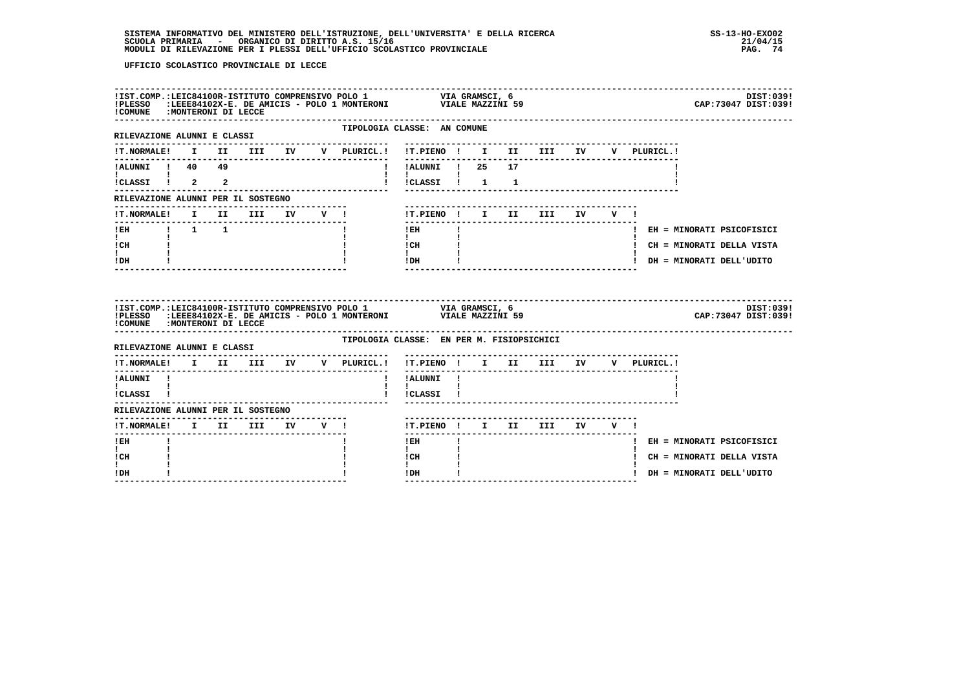| !COMUNE : MONTERONI DI LECCE                                |  |  |  |                                           |                                                                                                                      |              |  |                                   |            |                                                                                                                  | DIST:039!<br>CAP: 73047 DIST: 039! |
|-------------------------------------------------------------|--|--|--|-------------------------------------------|----------------------------------------------------------------------------------------------------------------------|--------------|--|-----------------------------------|------------|------------------------------------------------------------------------------------------------------------------|------------------------------------|
| RILEVAZIONE ALUNNI E CLASSI                                 |  |  |  | TIPOLOGIA CLASSE: AN COMUNE               |                                                                                                                      |              |  |                                   |            |                                                                                                                  |                                    |
|                                                             |  |  |  |                                           |                                                                                                                      |              |  | -------------------------------   |            | V PLURICL.!                                                                                                      |                                    |
|                                                             |  |  |  |                                           | !!ALUNNI ! 25                                                                                                        |              |  | 17                                |            |                                                                                                                  |                                    |
|                                                             |  |  |  |                                           | $\mathbf{I}$ and $\mathbf{I}$ and $\mathbf{I}$<br>!!CLASSI! 1 1                                                      |              |  |                                   |            |                                                                                                                  |                                    |
| RILEVAZIONE ALUNNI PER IL SOSTEGNO                          |  |  |  |                                           |                                                                                                                      |              |  |                                   |            |                                                                                                                  |                                    |
| !T.NORMALE! I II III IV V !                                 |  |  |  |                                           | !T.PIENO ! I II                                                                                                      |              |  |                                   | III IV V ! |                                                                                                                  |                                    |
| !EH        !        1        1                              |  |  |  |                                           | ---------------<br>$!$ EH                                                                                            | $\mathbf{I}$ |  | -------------------------         |            |                                                                                                                  | ! EH = MINORATI PSICOFISICI        |
| $\mathbf{I}$ and $\mathbf{I}$<br>ICH                        |  |  |  |                                           | $\mathbf{I}$ and $\mathbf{I}$<br>$\begin{array}{ccc}\n\text{ICH} & & \text{I} \\ \text{I} & & \text{I}\n\end{array}$ |              |  |                                   |            |                                                                                                                  | ! CH = MINORATI DELLA VISTA        |
| t i<br>! DH                                                 |  |  |  |                                           | $!$ DH                                                                                                               |              |  | _________________________________ |            |                                                                                                                  | ! DH = MINORATI DELL'UDITO         |
| !COMUNE : MONTERONI DI LECCE                                |  |  |  |                                           |                                                                                                                      |              |  |                                   |            |                                                                                                                  | DIST:039!<br>CAP: 73047 DIST: 039! |
| RILEVAZIONE ALUNNI E CLASSI                                 |  |  |  | TIPOLOGIA CLASSE: EN PER M. FISIOPSICHICI |                                                                                                                      |              |  |                                   |            |                                                                                                                  |                                    |
|                                                             |  |  |  | --------------------                      | . <u>.</u>                                                                                                           |              |  |                                   |            | !T.NORMALE! I II III IV V PLURICL.! !T.PIENO ! I II III IV V PLURICL.!<br>-------------------------------------- |                                    |
| !ALUNNI !<br>$\mathbf{I}$ and $\mathbf{I}$ and $\mathbf{I}$ |  |  |  |                                           | ! !ALUNNI !<br>$\mathbf{I}$                                                                                          |              |  |                                   |            |                                                                                                                  |                                    |
| ICLASSI !                                                   |  |  |  |                                           | !CLASSI !                                                                                                            |              |  |                                   |            |                                                                                                                  |                                    |
| RILEVAZIONE ALUNNI PER IL SOSTEGNO                          |  |  |  |                                           |                                                                                                                      |              |  |                                   |            |                                                                                                                  |                                    |
|                                                             |  |  |  |                                           |                                                                                                                      |              |  | !T.PIENO ! I II III IV V !        |            |                                                                                                                  |                                    |
| !T.NORMALE! I II III IV V !                                 |  |  |  |                                           |                                                                                                                      |              |  |                                   |            |                                                                                                                  |                                    |
| -------<br>! EH                                             |  |  |  |                                           | $- - - - - -$<br>! EH                                                                                                |              |  |                                   |            |                                                                                                                  | ! EH = MINORATI PSICOFISICI        |
| I.<br>! CH<br>I.                                            |  |  |  |                                           | $\mathbf{I}$<br>! CH<br>$\mathbf{I}$                                                                                 |              |  |                                   |            |                                                                                                                  | ! CH = MINORATI DELLA VISTA        |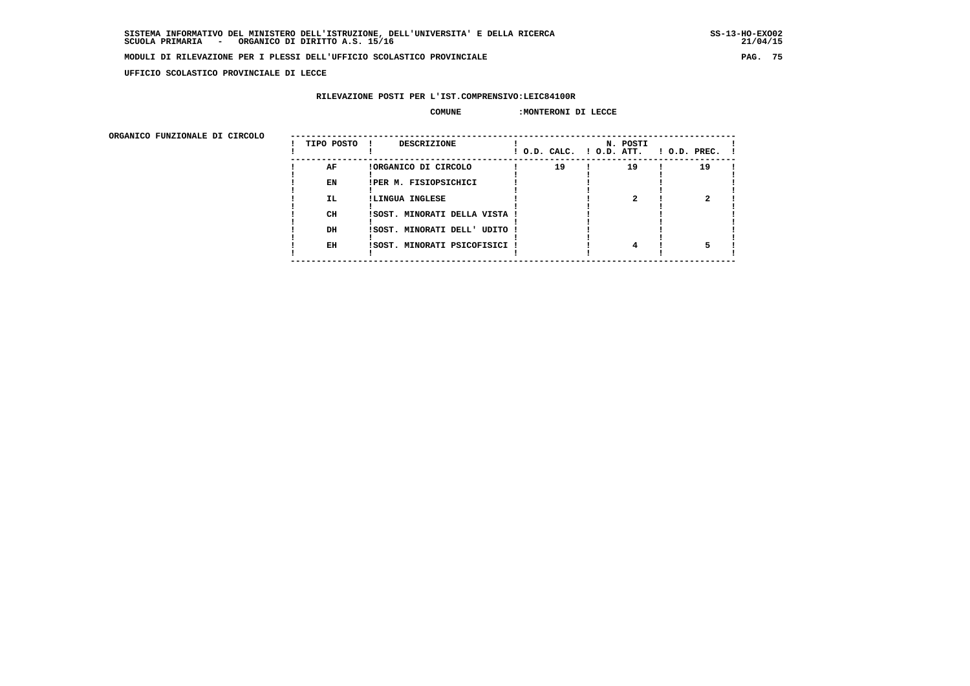**UFFICIO SCOLASTICO PROVINCIALE DI LECCE**

## **RILEVAZIONE POSTI PER L'IST.COMPRENSIVO:LEIC84100R**

## **COMUNE :MONTERONI DI LECCE**

| ORGANICO FUNZIONALE DI CIRCOLO | TIPO POSTO | <b>DESCRIZIONE</b><br>$\mathbf{1}$ |                                      | N. POSTI |                |
|--------------------------------|------------|------------------------------------|--------------------------------------|----------|----------------|
|                                |            |                                    | $!$ $0.D.$ $CALC.$ $!$ $0.D.$ $ATT.$ |          | ! O.D. PREC. ! |
|                                | AF         | !ORGANICO DI CIRCOLO               | 19                                   | 19       | 19             |
|                                | EN         | IPER M. FISIOPSICHICI              |                                      |          |                |
|                                | IL.        | !LINGUA INGLESE                    |                                      |          |                |
|                                | <b>CH</b>  | ISOST. MINORATI DELLA VISTA        |                                      |          |                |
|                                | DH         | !SOST. MINORATI DELL' UDITO !      |                                      |          |                |
|                                | EH         | !SOST. MINORATI PSICOFISICI !      |                                      |          |                |
|                                |            |                                    |                                      |          |                |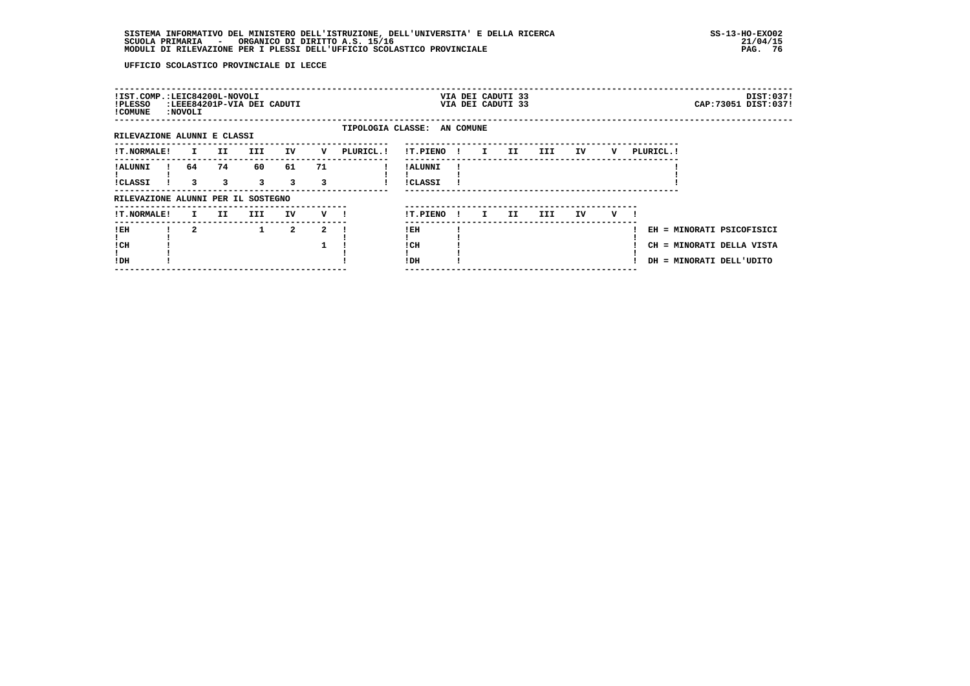| !IST.COMP.:LEIC84200L-NOVOLI<br>!PLESSO<br>! COMUNE | <b>:NOVOLI</b> |                | :LEEE84201P-VIA DEI CADUTI |                               |                |         |                             |                     |              | VIA DEI CADUTI 33<br>VIA DEI CADUTI 33 |     |     |    |   |            |                                                                                    | DIST:037!<br>CAP: 73051 DIST: 037! |
|-----------------------------------------------------|----------------|----------------|----------------------------|-------------------------------|----------------|---------|-----------------------------|---------------------|--------------|----------------------------------------|-----|-----|----|---|------------|------------------------------------------------------------------------------------|------------------------------------|
| RILEVAZIONE ALUNNI E CLASSI                         |                |                |                            |                               |                |         | TIPOLOGIA CLASSE: AN COMUNE |                     |              |                                        |     |     |    |   |            |                                                                                    |                                    |
| <b>!T.NORMALE!</b>                                  |                | $\mathbf{I}$   | II<br>III                  |                               | IV             | v       | PLURICL. !                  | !T.PIENO !          |              | $\mathbf{I}$                           | II  | III | IV | v | PLURICL. ! |                                                                                    |                                    |
| ! ALUNNI<br><b>!CLASSI</b>                          |                | 64<br>3        | 74<br>3                    | 60<br>$\overline{\mathbf{3}}$ | 61<br>3        | 71<br>3 |                             | ! ALUNNI<br>!CLASSI |              |                                        |     |     |    |   |            |                                                                                    |                                    |
| RILEVAZIONE ALUNNI PER IL SOSTEGNO                  |                |                |                            |                               |                |         |                             |                     |              |                                        |     |     |    |   |            |                                                                                    |                                    |
| <b>!T.NORMALE!</b>                                  |                | I.             | II.                        | III                           | IV             | $V$ $l$ |                             | !T.PIENO            | $\mathbf{I}$ | $\mathbf{I}$                           | II. | III | IV | v |            |                                                                                    |                                    |
| ! EH<br>! CH<br>!DH                                 |                | $\overline{a}$ |                            | $\mathbf{1}$                  | $\overline{a}$ | 2       |                             | !EH<br>! CH<br>!DH  |              |                                        |     |     |    |   |            | EH = MINORATI PSICOFISICI<br>CH = MINORATI DELLA VISTA<br>DH = MINORATI DELL'UDITO |                                    |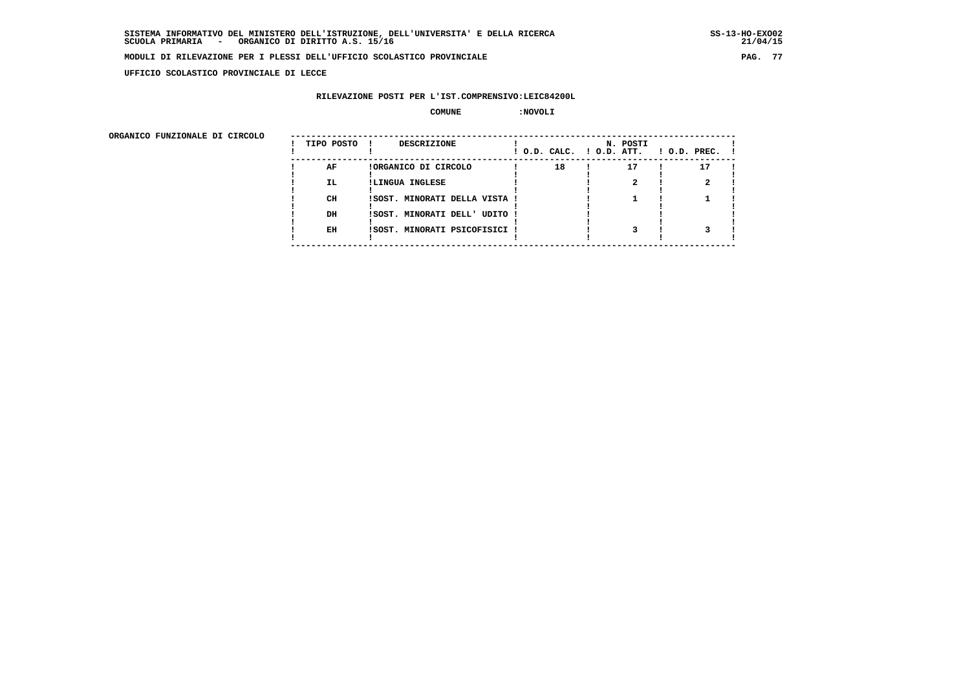**UFFICIO SCOLASTICO PROVINCIALE DI LECCE**

## **RILEVAZIONE POSTI PER L'IST.COMPRENSIVO:LEIC84200L**

#### **COMUNE :NOVOLI**

| ORGANICO FUNZIONALE DI CIRCOLO |            |                               |                          |          |                    |
|--------------------------------|------------|-------------------------------|--------------------------|----------|--------------------|
|                                | TIPO POSTO | DESCRIZIONE                   | ! O.D. CALC. ! O.D. ATT. | N. POSTI | $1$ O.D. PREC. $1$ |
|                                | AF         | !ORGANICO DI CIRCOLO          | 18                       | 17       | 17                 |
|                                | IL.        | !LINGUA INGLESE               |                          |          |                    |
|                                | CH         | !SOST. MINORATI DELLA VISTA ! |                          |          |                    |
|                                | DH         | !SOST. MINORATI DELL' UDITO ! |                          |          |                    |
|                                | EH         | !SOST. MINORATI PSICOFISICI ! |                          |          |                    |
|                                |            |                               |                          |          |                    |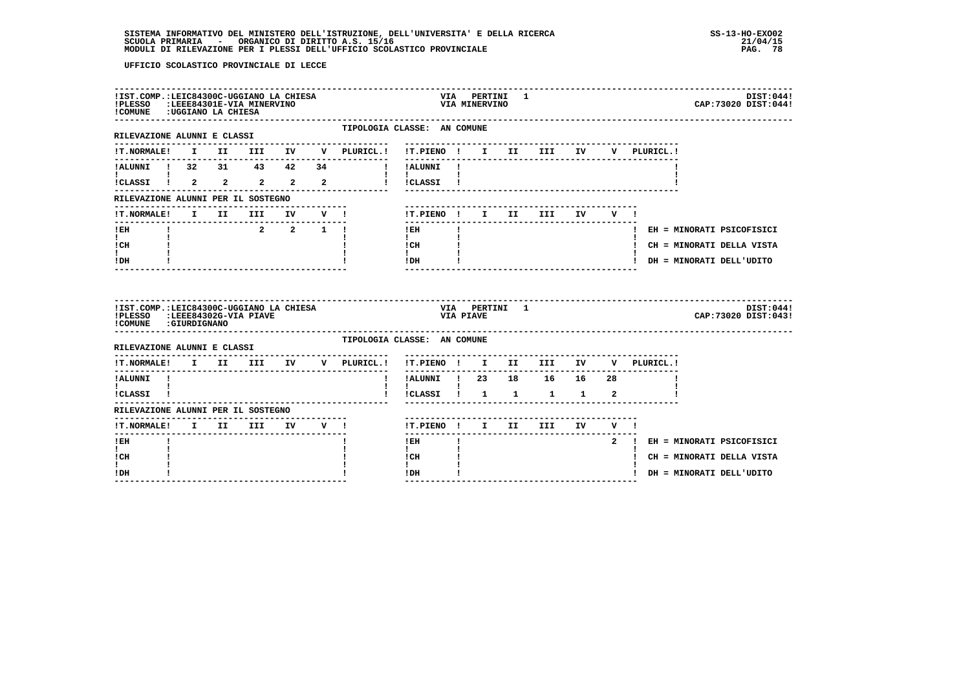| !IST.COMP.:LEIC84300C-UGGIANO LA CHIESA<br>!PLESSO :LEEE84301E-VIA MINERVINO<br>!COMUNE : UGGIANO LA CHIESA |  |         |  |                                                |                                             |                  | VIA MINERVINO | VIA PERTINI 1 |                            |  | DIST:044!<br>CAP: 73020 DIST: 044! |
|-------------------------------------------------------------------------------------------------------------|--|---------|--|------------------------------------------------|---------------------------------------------|------------------|---------------|---------------|----------------------------|--|------------------------------------|
| RILEVAZIONE ALUNNI E CLASSI                                                                                 |  |         |  | TIPOLOGIA CLASSE: AN COMUNE<br>--------------- |                                             |                  |               |               |                            |  |                                    |
|                                                                                                             |  |         |  |                                                | !T.PIENO ! I II III IV                      |                  |               |               |                            |  | V PLURICL.!                        |
| !ALUNNI ! 32 31 43 42 34<br><b>I</b> and the state of the state of                                          |  |         |  | !!ALUNNI!                                      |                                             |                  |               |               |                            |  |                                    |
|                                                                                                             |  |         |  | ICLASSI I 2 2 2 2 2 1 ICLASSI I                |                                             |                  |               |               |                            |  |                                    |
| RILEVAZIONE ALUNNI PER IL SOSTEGNO                                                                          |  |         |  |                                                |                                             |                  |               |               |                            |  |                                    |
| !T.NORMALE! I II III IV V !                                                                                 |  |         |  |                                                |                                             |                  |               |               | ! T.PIENO! I II III IV V!  |  |                                    |
| ------------------------------<br>$!$ EH                                                                    |  | 2 2 1 1 |  |                                                | $!$ EH                                      | $\mathbf{I}$     |               |               |                            |  | ! EH = MINORATI PSICOFISICI        |
| $\mathbf{I}$ and $\mathbf{I}$<br>! CH                                                                       |  |         |  |                                                | $\mathbf{I}$<br>$\frac{1}{1}$ $\frac{1}{1}$ |                  |               |               |                            |  | ! CH = MINORATI DELLA VISTA        |
| t i<br>! DH                                                                                                 |  |         |  |                                                | IDH                                         |                  |               |               |                            |  | ! DH = MINORATI DELL'UDITO         |
| !IST.COMP.:LEIC84300C-UGGIANO LA CHIESA<br>!PLESSO :LEEE84302G-VIA PIAVE<br>!COMUNE : GIURDIGNANO           |  |         |  |                                                |                                             | <b>VIA PIAVE</b> |               | VIA PERTINI 1 |                            |  | DIST:044!<br>CAP: 73020 DIST: 043! |
| RILEVAZIONE ALUNNI E CLASSI                                                                                 |  |         |  | TIPOLOGIA CLASSE: AN COMUNE                    |                                             |                  |               |               |                            |  |                                    |
| ---------------                                                                                             |  |         |  | !T.NORMALE! I II III IV V PLURICL.!            | !T.PIENO ! I II III IV<br>-------           |                  |               |               |                            |  | V PLURICL.!                        |
| ! ALUNNI                                                                                                    |  |         |  | $\mathbf{I}$                                   | !ALUNNI ! 23 18 16 16 28                    |                  |               |               |                            |  |                                    |
| $\mathbf{I}$ and $\mathbf{I}$                                                                               |  |         |  |                                                | $\mathbf{I}$<br>!CLASSI ! 1 1 1 1 2         |                  |               |               |                            |  |                                    |
| !CLASSI !                                                                                                   |  |         |  |                                                |                                             |                  |               |               |                            |  |                                    |
| RILEVAZIONE ALUNNI PER IL SOSTEGNO                                                                          |  |         |  |                                                |                                             |                  |               |               |                            |  |                                    |
| !T.NORMALE! I II III IV V !                                                                                 |  |         |  |                                                |                                             |                  |               |               | !T.PIENO ! I II III IV V ! |  |                                    |
| ------<br>! EH                                                                                              |  |         |  |                                                | $1$ EH                                      |                  |               |               |                            |  | 2 ! EH = MINORATI PSICOFISICI      |
| $\mathbf{I}$<br>! CH                                                                                        |  |         |  |                                                | $\mathbf{I}$<br>! CH                        |                  |               |               |                            |  | ! CH = MINORATI DELLA VISTA        |
| $\mathbf{I}$<br>! DH                                                                                        |  |         |  |                                                | $\mathbf{I}$<br>! DH                        | $\mathbf{I}$     |               |               |                            |  | ! DH = MINORATI DELL'UDITO         |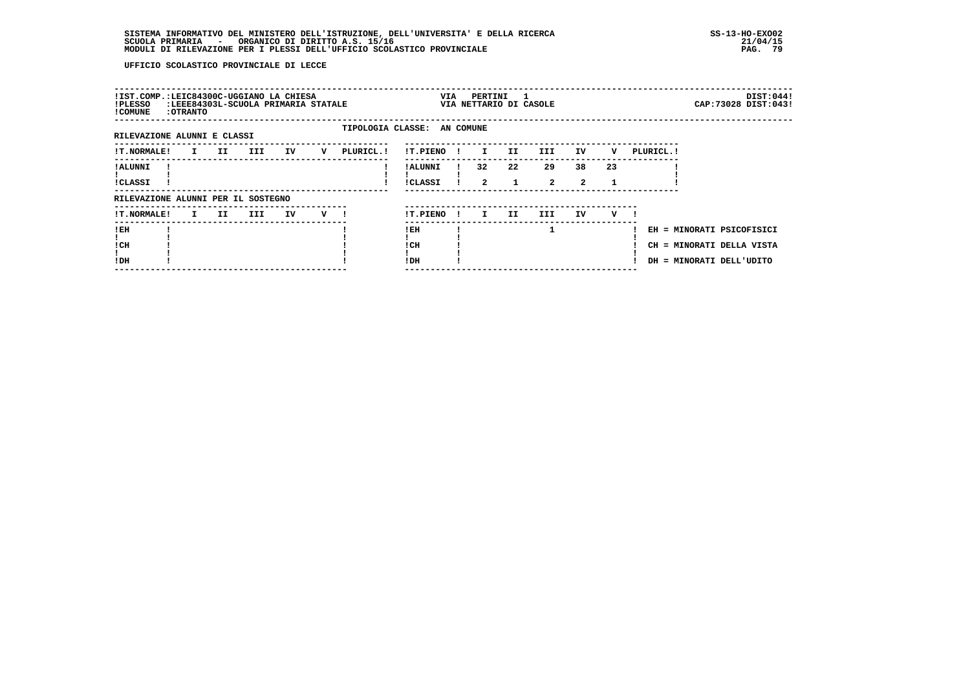| !IST.COMP.:LEIC84300C-UGGIANO LA CHIESA<br>!PLESSO<br>! COMUNE | : OTRANTO |     | :LEEE84303L-SCUOLA PRIMARIA STATALE |    |   |           | VIA                         |     | PERTINI            | $\mathbf{1}$<br>VIA NETTARIO DI CASOLE |                    |                      |    |            |                                                        | DIST:044!<br>CAP: 73028 DIST: 043! |
|----------------------------------------------------------------|-----------|-----|-------------------------------------|----|---|-----------|-----------------------------|-----|--------------------|----------------------------------------|--------------------|----------------------|----|------------|--------------------------------------------------------|------------------------------------|
|                                                                |           |     |                                     |    |   |           | TIPOLOGIA CLASSE: AN COMUNE |     |                    |                                        |                    |                      |    |            |                                                        |                                    |
| RILEVAZIONE ALUNNI E CLASSI                                    |           |     |                                     |    |   |           |                             |     |                    |                                        |                    |                      |    |            |                                                        |                                    |
| <b>!T.NORMALE!</b>                                             | I.        | II  | III                                 | IV | v | PLURICL.! | !T.PIENO                    |     | $\mathbf{I}$       | II.                                    | III.               | IV                   | v  | PLURICL. ! |                                                        |                                    |
| ! ALUNNI<br>!CLASSI                                            |           |     |                                     |    |   |           | ! ALUNNI<br><b>!CLASSI</b>  |     | 32<br>$\mathbf{2}$ | 22<br>1                                | 29<br>$\mathbf{2}$ | 38<br>$\overline{2}$ | 23 |            |                                                        |                                    |
| RILEVAZIONE ALUNNI PER IL SOSTEGNO                             |           |     |                                     |    |   |           |                             |     |                    |                                        |                    |                      |    |            |                                                        |                                    |
| <b>!T.NORMALE!</b>                                             | I.        | II. | III                                 | IV | v |           | !T.PIENO                    | -11 | I.                 | II.                                    | III.               | IV.                  | v  |            |                                                        |                                    |
| !EH<br>! CH                                                    |           |     |                                     |    |   |           | ! EH<br>! CH                |     |                    |                                        |                    |                      |    |            | EH = MINORATI PSICOFISICI<br>CH = MINORATI DELLA VISTA |                                    |
| !DH                                                            |           |     |                                     |    |   |           | !DH                         |     |                    |                                        |                    |                      |    |            | DH = MINORATI DELL'UDITO                               |                                    |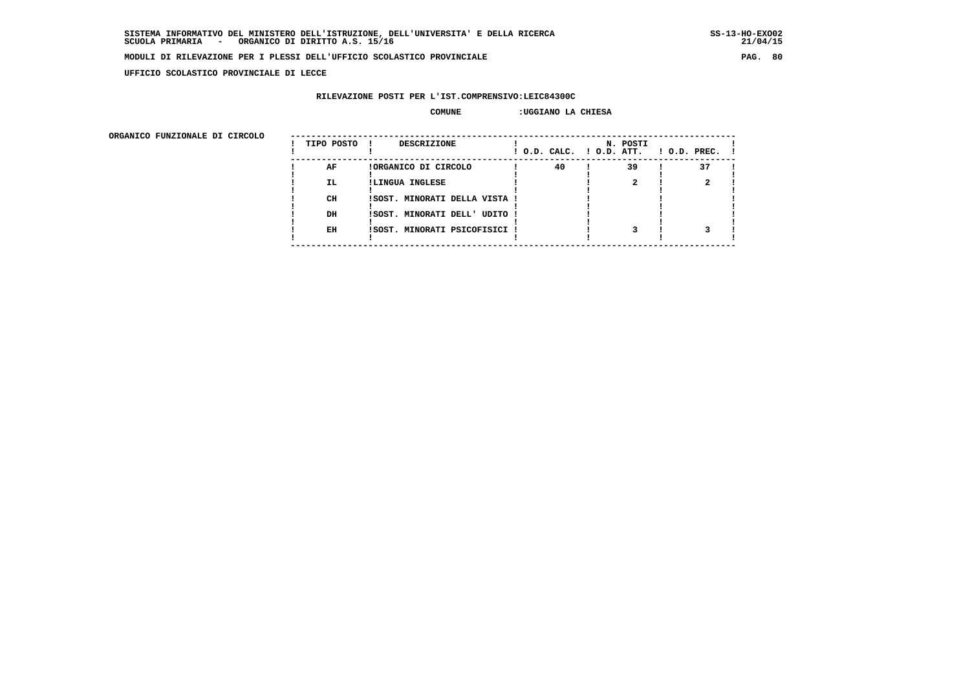$21/04/15$ 

#### **MODULI DI RILEVAZIONE PER I PLESSI DELL'UFFICIO SCOLASTICO PROVINCIALE PAG. 80**

 **UFFICIO SCOLASTICO PROVINCIALE DI LECCE**

## **RILEVAZIONE POSTI PER L'IST.COMPRENSIVO:LEIC84300C**

#### **COMUNE :UGGIANO LA CHIESA**

 **ORGANICO FUNZIONALE DI CIRCOLO --------------------------------------------------------------------------------------**

| URGANICO FUNZIONALE DI CIRCOLO | TIPO POSTO | DESCRIZIONE                   | ! O.D. CALC. ! O.D. ATT. | N. POSTI | $!$ $0.D.$ $PREC.$ $!$ |
|--------------------------------|------------|-------------------------------|--------------------------|----------|------------------------|
|                                | AF         | !ORGANICO DI CIRCOLO          | 40                       | 39       | 37                     |
|                                | <b>IL</b>  | !LINGUA INGLESE               |                          |          |                        |
|                                | CH         | !SOST. MINORATI DELLA VISTA ! |                          |          |                        |
|                                | DH         | !SOST. MINORATI DELL' UDITO ! |                          |          |                        |
|                                | EH         | !SOST. MINORATI PSICOFISICI ! |                          |          |                        |
|                                |            |                               |                          |          |                        |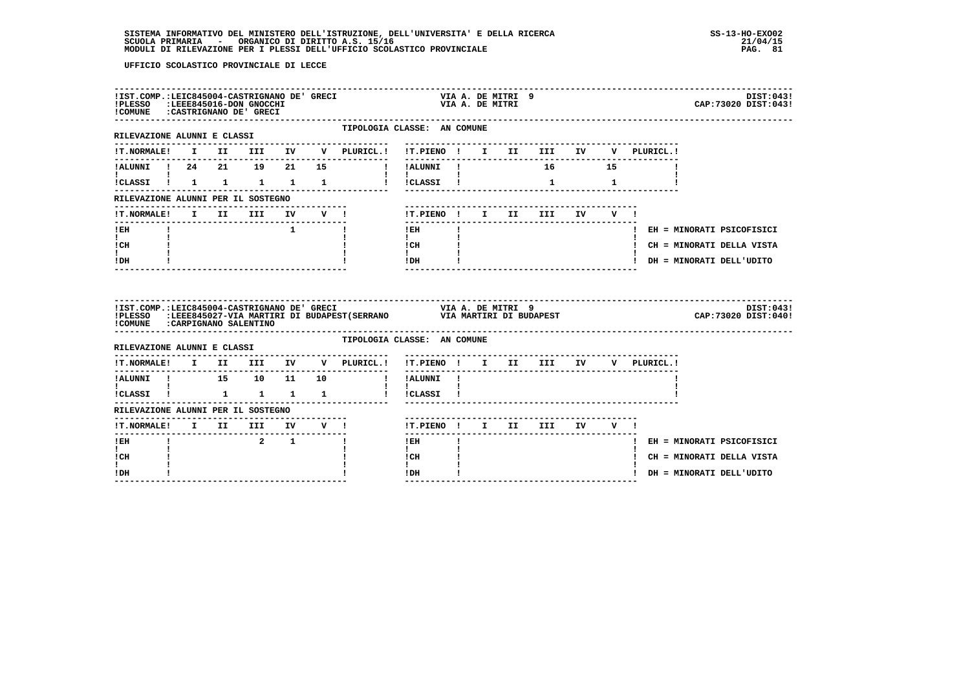|                                                                     | !PLESSO :LEEE845016-DON GNOCCHI<br>!PLESSO :LEEE845016-DON GNOCCHI<br>!COMUNE :CASTRIGNANO DE' GRECI | !IST.COMP.:LEIC845004-CASTRIGNANO DE' GRECI |                           |                                   | VIA A. DE MITRI 9<br>VIA A. DE MITRI                                                                                                                                                                                                                                                                                                       | DIST:043!<br>CAP: 73020 DIST: 043!                                     |
|---------------------------------------------------------------------|------------------------------------------------------------------------------------------------------|---------------------------------------------|---------------------------|-----------------------------------|--------------------------------------------------------------------------------------------------------------------------------------------------------------------------------------------------------------------------------------------------------------------------------------------------------------------------------------------|------------------------------------------------------------------------|
| RILEVAZIONE ALUNNI E CLASSI<br>---------------------                |                                                                                                      |                                             |                           | ---------------                   | TIPOLOGIA CLASSE: AN COMUNE                                                                                                                                                                                                                                                                                                                |                                                                        |
|                                                                     |                                                                                                      |                                             |                           |                                   |                                                                                                                                                                                                                                                                                                                                            | !T.NORMALE! I II III IV V PLURICL.! !T.PIENO ! I II III IV V PLURICL.! |
|                                                                     |                                                                                                      |                                             |                           |                                   | !ALUNNI ! 24   21   19   21   15   19   11   1ALUNNI !  16   15                                                                                                                                                                                                                                                                            |                                                                        |
| $\mathbf{I}$ and $\mathbf{I}$                                       |                                                                                                      |                                             |                           |                                   | $\mathbf{1}$ $\mathbf{1}$                                                                                                                                                                                                                                                                                                                  |                                                                        |
| RILEVAZIONE ALUNNI PER IL SOSTEGNO                                  |                                                                                                      |                                             |                           |                                   |                                                                                                                                                                                                                                                                                                                                            |                                                                        |
| !T.NORMALE! I II III IV V !                                         |                                                                                                      |                                             |                           |                                   | !T.PIENO! I II III IV V!                                                                                                                                                                                                                                                                                                                   |                                                                        |
| -------------------------------<br>$I$ EH                           |                                                                                                      |                                             | $\mathbf{1}$ $\mathbf{1}$ |                                   | ---------------<br>$1$ EH $\qquad$ $1$                                                                                                                                                                                                                                                                                                     | ! EH = MINORATI PSICOFISICI                                            |
| $\mathbf{I}$ and $\mathbf{I}$<br>ICH                                |                                                                                                      |                                             |                           |                                   | $\mathbf{I}$ and $\mathbf{I}$<br>$\frac{1}{1}$ $\frac{1}{1}$ $\frac{1}{1}$                                                                                                                                                                                                                                                                 | ! CH = MINORATI DELLA VISTA                                            |
| I.<br>$!$ DH                                                        |                                                                                                      |                                             |                           |                                   | $!$ DH $\qquad$ $\qquad$ $\qquad$ $\qquad$ $\qquad$ $\qquad$ $\qquad$ $\qquad$ $\qquad$ $\qquad$ $\qquad$ $\qquad$ $\qquad$ $\qquad$ $\qquad$ $\qquad$ $\qquad$ $\qquad$ $\qquad$ $\qquad$ $\qquad$ $\qquad$ $\qquad$ $\qquad$ $\qquad$ $\qquad$ $\qquad$ $\qquad$ $\qquad$ $\qquad$ $\qquad$ $\qquad$ $\qquad$ $\qquad$ $\qquad$ $\qquad$ | ! DH = MINORATI DELL'UDITO                                             |
|                                                                     |                                                                                                      |                                             |                           |                                   |                                                                                                                                                                                                                                                                                                                                            |                                                                        |
| !COMUNE : CARPIGNANO SALENTINO                                      |                                                                                                      |                                             |                           |                                   |                                                                                                                                                                                                                                                                                                                                            |                                                                        |
| RILEVAZIONE ALUNNI E CLASSI                                         |                                                                                                      |                                             |                           |                                   | TIPOLOGIA CLASSE: AN COMUNE                                                                                                                                                                                                                                                                                                                |                                                                        |
|                                                                     |                                                                                                      |                                             |                           | . _ _ _ _ _ _ _ _ _ _ _ _ _       |                                                                                                                                                                                                                                                                                                                                            | !T.NORMALE! I II III IV V PLURICL.! !T.PIENO ! I II III IV V PLURICL.! |
| ----------                                                          |                                                                                                      |                                             |                           | !ALUNNI ! 15 10 11 10 !!!ALUNNI ! | . <u>.</u>                                                                                                                                                                                                                                                                                                                                 |                                                                        |
| $\mathbf{I}$ and $\mathbf{I}$ and $\mathbf{I}$<br>!CLASSI ! 1 1 1 1 |                                                                                                      |                                             |                           | $\mathbf{1}$ $\mathbf{1}$         | ! !CLASSI !                                                                                                                                                                                                                                                                                                                                |                                                                        |
| RILEVAZIONE ALUNNI PER IL SOSTEGNO                                  |                                                                                                      |                                             |                           |                                   |                                                                                                                                                                                                                                                                                                                                            |                                                                        |
|                                                                     |                                                                                                      |                                             |                           | !T.NORMALE! I II III IV V !       | !T.PIENO! I II III IV V!                                                                                                                                                                                                                                                                                                                   |                                                                        |
| --------------------------------<br>$I$ EH                          |                                                                                                      | $2 \t 1$                                    |                           | п.                                | $1$ EH $\sim$                                                                                                                                                                                                                                                                                                                              | ! EH = MINORATI PSICOFISICI                                            |
| $\mathbf{I}$<br>! CH<br>$\mathbf{I}$                                |                                                                                                      |                                             |                           |                                   | $\mathbf{I}$<br>ICH<br>$\mathbf{I}$                                                                                                                                                                                                                                                                                                        | ! CH = MINORATI DELLA VISTA                                            |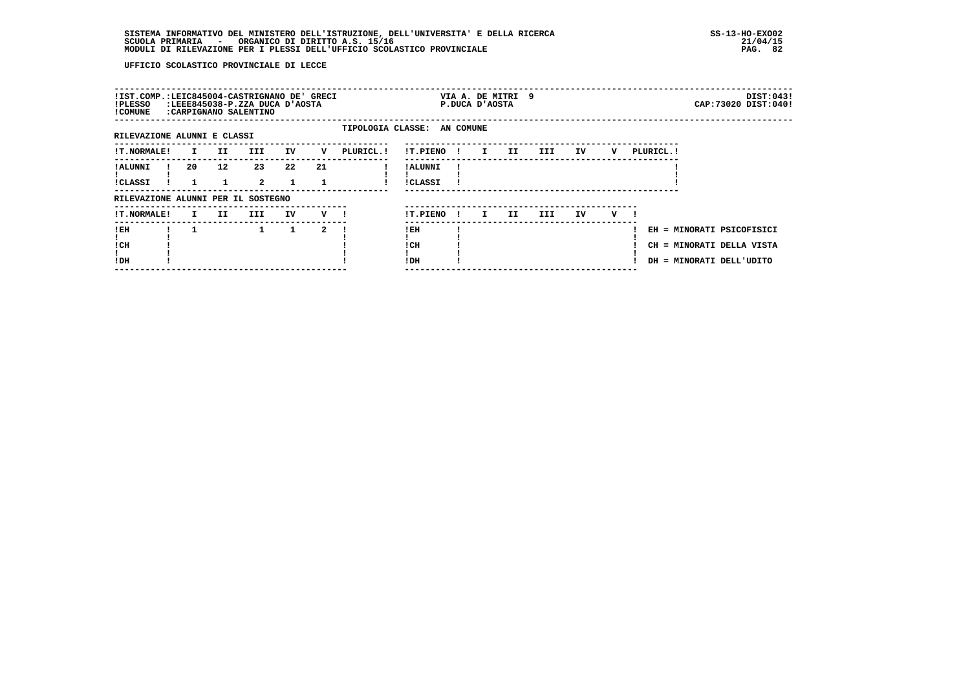| !IST.COMP.:LEIC845004-CASTRIGNANO DE' GRECI<br>!PLESSO<br>! COMUNE |              |                 | :LEEE845038-P.ZZA DUCA D'AOSTA<br>:CARPIGNANO SALENTINO |              |    |                             |                            |              | VIA A. DE MITRI 9<br>P.DUCA D'AOSTA |     |      |     |   |            | DIST:043!<br>CAP: 73020 DIST: 040!                                                 |
|--------------------------------------------------------------------|--------------|-----------------|---------------------------------------------------------|--------------|----|-----------------------------|----------------------------|--------------|-------------------------------------|-----|------|-----|---|------------|------------------------------------------------------------------------------------|
| RILEVAZIONE ALUNNI E CLASSI                                        |              |                 |                                                         |              |    | TIPOLOGIA CLASSE: AN COMUNE |                            |              |                                     |     |      |     |   |            |                                                                                    |
| <b>!T.NORMALE!</b>                                                 | $\mathbf{I}$ | II              | III                                                     | IV           | v  | PLURICL.!                   | !T.PIENO!                  |              | $\mathbf{I}$                        | II  | III  | IV  | v | PLURICL. ! |                                                                                    |
| ! ALUNNI<br>!CLASSI                                                | 20           | 12 <sup>2</sup> | 23<br>$\overline{a}$                                    | 22<br>1      | 21 |                             | ! ALUNNI<br><b>!CLASSI</b> |              |                                     |     |      |     |   |            |                                                                                    |
| RILEVAZIONE ALUNNI PER IL SOSTEGNO                                 |              |                 |                                                         |              |    |                             |                            |              |                                     |     |      |     |   |            |                                                                                    |
| <b>!T.NORMALE!</b>                                                 | I.           | II.             | III                                                     | IV           | v  |                             | !T.PIENO                   | $\mathbf{I}$ | I.                                  | II. | III. | IV. | v |            |                                                                                    |
| !EH<br>! CH<br>!DH                                                 |              |                 | $\mathbf{1}$                                            | $\mathbf{1}$ | 2  |                             | ! EH<br>! CH<br>!DH        |              |                                     |     |      |     |   |            | EH = MINORATI PSICOFISICI<br>CH = MINORATI DELLA VISTA<br>DH = MINORATI DELL'UDITO |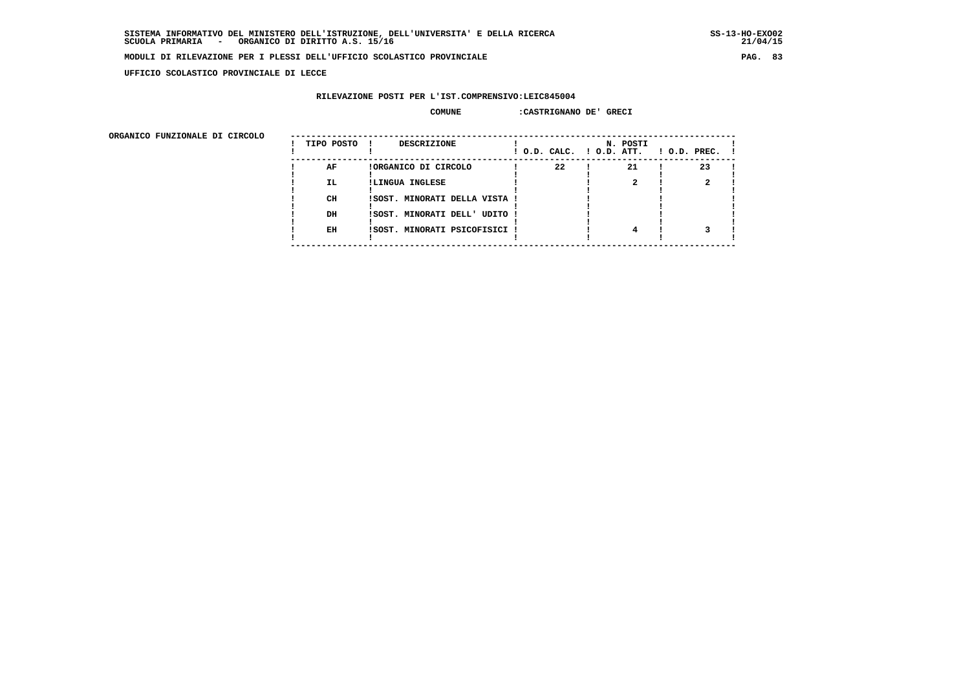$21/04/15$ 

#### **MODULI DI RILEVAZIONE PER I PLESSI DELL'UFFICIO SCOLASTICO PROVINCIALE PAG. 83**

 **UFFICIO SCOLASTICO PROVINCIALE DI LECCE**

## **RILEVAZIONE POSTI PER L'IST.COMPRENSIVO:LEIC845004**

#### **COMUNE :CASTRIGNANO DE' GRECI**

| ORGANICO FUNZIONALE DI CIRCOLO |            |                               |                          |          |              |
|--------------------------------|------------|-------------------------------|--------------------------|----------|--------------|
|                                | TIPO POSTO | <b>DESCRIZIONE</b>            | ! O.D. CALC. ! O.D. ATT. | N. POSTI | ! O.D. PREC. |
|                                | AF         | !ORGANICO DI CIRCOLO          | 22                       | 21       | 23           |
|                                | IL.        | !LINGUA INGLESE               |                          |          |              |
|                                | CH         | ISOST. MINORATI DELLA VISTA ! |                          |          |              |
|                                | DH         | !SOST. MINORATI DELL' UDITO ! |                          |          |              |
|                                | EH         | ISOST. MINORATI PSICOFISICI   |                          |          |              |
|                                |            |                               |                          |          |              |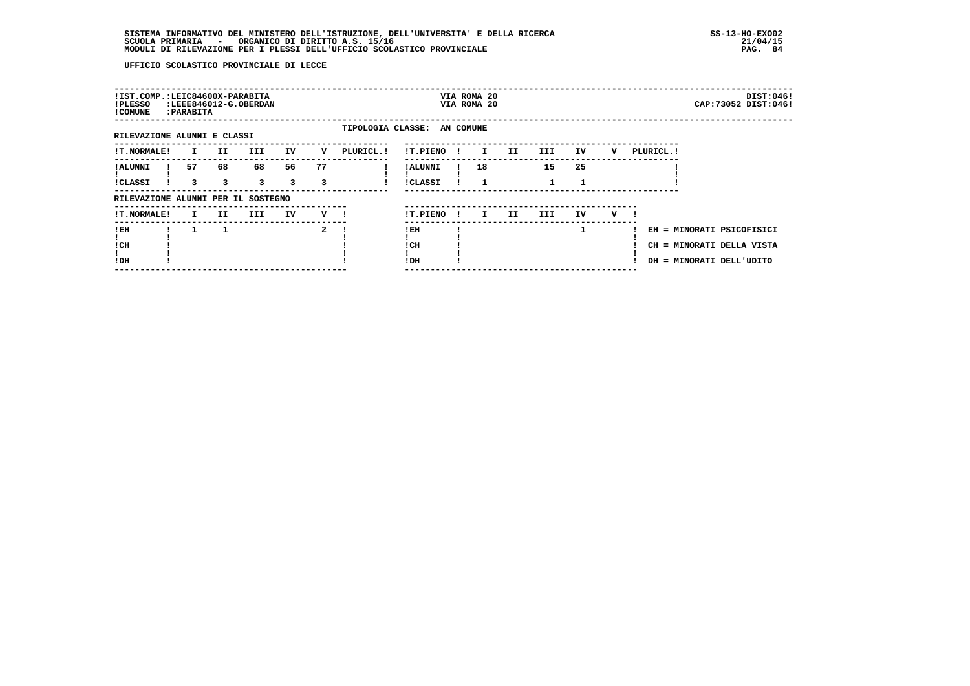| !IST.COMP.:LEIC84600X-PARABITA<br>!PLESSO<br>! COMUNE |    | : PARABITA |         | :LEEE846012-G.OBERDAN |         |              |            |                             |     | VIA ROMA 20<br>VIA ROMA 20 |     |      |    |   |            | DIST:046!<br>CAP:73052 DIST:046!                                                   |  |
|-------------------------------------------------------|----|------------|---------|-----------------------|---------|--------------|------------|-----------------------------|-----|----------------------------|-----|------|----|---|------------|------------------------------------------------------------------------------------|--|
| RILEVAZIONE ALUNNI E CLASSI                           |    |            |         |                       |         |              |            | TIPOLOGIA CLASSE: AN COMUNE |     |                            |     |      |    |   |            |                                                                                    |  |
| <b>!T.NORMALE!</b>                                    |    | I.         | II.     | <b>III</b>            | IV      | v            | PLURICL. ! | !T.PIENO                    | . . | $\mathbf{I}$               | II. | III  | IV | v | PLURICL. ! |                                                                                    |  |
| ! ALUNNI<br><b>!CLASSI</b>                            | 57 | 3          | 68<br>3 | 68<br>$\mathbf{3}$    | 56<br>3 | 77<br>3      |            | ! ALUNNI<br>!CLASSI         |     | 18                         |     | 15   | 25 |   |            |                                                                                    |  |
| RILEVAZIONE ALUNNI PER IL SOSTEGNO                    |    |            |         |                       |         |              |            |                             |     |                            |     |      |    |   |            |                                                                                    |  |
| <b>!T.NORMALE!</b>                                    |    | I.         | II.     | III                   | IV      | v            |            | !T.PIENO                    |     | $\mathbf{I}$               | II. | III. | IV | v |            |                                                                                    |  |
| !EH<br>! CH<br>!DH                                    |    | 1          |         |                       |         | $\mathbf{2}$ |            | !EH<br>! CH<br>! DH         |     |                            |     |      |    |   |            | EH = MINORATI PSICOFISICI<br>CH = MINORATI DELLA VISTA<br>DH = MINORATI DELL'UDITO |  |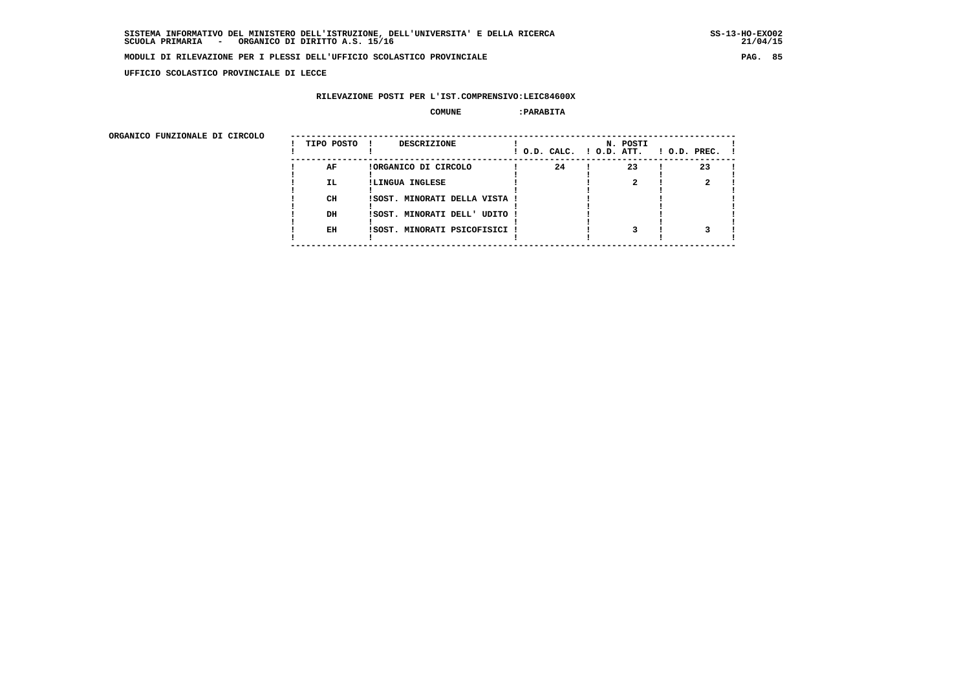**UFFICIO SCOLASTICO PROVINCIALE DI LECCE**

### **RILEVAZIONE POSTI PER L'IST.COMPRENSIVO:LEIC84600X**

#### **COMUNE :PARABITA**

ORGANICO FUNZIONALE DI CIRCOLO

| ORGANICO FUNZIONALE DI CIRCOLO | TIPO POSTO | DESCRIZIONE<br>$\mathbf{I}$   |    | N. POSTI<br>! O.D. CALC. ! O.D. ATT. | $!$ 0.D. PREC. $!$ |
|--------------------------------|------------|-------------------------------|----|--------------------------------------|--------------------|
|                                | AF         | !ORGANICO DI CIRCOLO          | 24 | 23                                   | 23                 |
|                                | IL.        | !LINGUA INGLESE               |    |                                      |                    |
|                                |            |                               |    |                                      |                    |
|                                | CH         | !SOST. MINORATI DELLA VISTA ! |    |                                      |                    |
|                                |            |                               |    |                                      |                    |
|                                | DH         | !SOST. MINORATI DELL' UDITO ! |    |                                      |                    |
|                                |            |                               |    |                                      |                    |
|                                | EH         | !SOST. MINORATI PSICOFISICI ! |    |                                      |                    |
|                                |            |                               |    |                                      |                    |
|                                |            |                               |    |                                      |                    |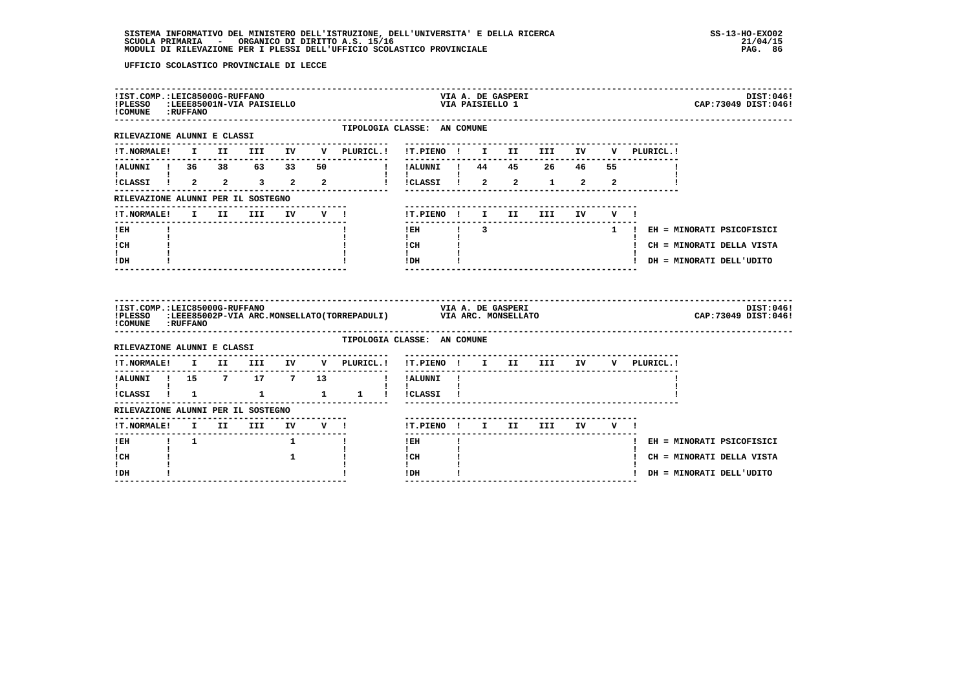| !PLESSO :LEEE85001N-VIA PAISIELLO<br>! COMUNE : RUFFANO |             | !IST.COMP.:LEIC85000G-RUFFANO |          |              |        |                                                                         |                                            |               | VIA A. DE GASPERI<br>VIA PAISIELLO 1 |                                 |    |             | DIST:046!<br>CAP: 73049 DIST: 046! |
|---------------------------------------------------------|-------------|-------------------------------|----------|--------------|--------|-------------------------------------------------------------------------|--------------------------------------------|---------------|--------------------------------------|---------------------------------|----|-------------|------------------------------------|
| RILEVAZIONE ALUNNI E CLASSI                             |             |                               |          |              |        | TIPOLOGIA CLASSE: AN COMUNE                                             |                                            |               |                                      |                                 |    |             |                                    |
| !T.NORMALE!                                             |             |                               |          |              |        | I II III IV V PLURICL.! !T.PIENO ! I II III IV V PLURICL.!              |                                            |               |                                      |                                 |    |             |                                    |
| !ALUNNI ! 36 38 63 33 50                                |             |                               |          |              |        | ! !ALUNNI ! 44 45 26 46 55                                              |                                            |               |                                      |                                 |    |             |                                    |
| !CLASSI ! 2 2 3 2 2                                     |             |                               |          |              |        |                                                                         | !!CLASSI! 2 2 1 2 2                        |               |                                      |                                 |    |             |                                    |
| RILEVAZIONE ALUNNI PER IL SOSTEGNO                      |             |                               |          |              |        |                                                                         |                                            |               |                                      |                                 |    |             |                                    |
| !T.NORMALE!                                             |             |                               | I II III |              | IV V ! |                                                                         | !T.PIENO ! I II                            |               |                                      | III                             | IV | $V = 1$     |                                    |
| ! EH                                                    |             |                               |          |              |        |                                                                         | $!$ EH                                     | $\frac{1}{3}$ |                                      |                                 |    |             | 1 ! EH = MINORATI PSICOFISICI      |
| $\mathbf{I}$<br>! CH                                    |             |                               |          |              |        |                                                                         | $\mathbf{I}$<br>! CH                       |               |                                      |                                 |    |             | ! CH = MINORATI DELLA VISTA        |
| $\mathbf{I}$<br>! DH                                    |             |                               |          |              |        |                                                                         | $\mathbf{I}$ and $\mathbf{I}$<br>$IDH$ $I$ |               |                                      | ------------------------------- |    |             | ! DH = MINORATI DELL'UDITO         |
|                                                         |             |                               |          |              |        |                                                                         |                                            |               |                                      |                                 |    |             |                                    |
| !IST.COMP.:LEIC85000G-RUFFANO<br>! COMUNE : RUFFANO     |             |                               |          |              |        | !PLESSO :LEEE85002P-VIA ARC.MONSELLATO(TORREPADULI) VIA ARC. MONSELLATO |                                            |               | VIA A. DE GASPERI                    |                                 |    |             | DIST:046!<br>CAP: 73049 DIST: 046! |
| RILEVAZIONE ALUNNI E CLASSI                             |             |                               |          |              |        | TIPOLOGIA CLASSE: AN COMUNE                                             |                                            |               |                                      |                                 |    |             |                                    |
| <b>!T.NORMALE!</b>                                      |             |                               |          |              |        | I II III IV V PLURICL.!                                                 | !T.PIENO ! I II III IV                     |               |                                      |                                 |    | V PLURICL.! |                                    |
| ---------------<br>!ALUNNI ! 15 7 17 7 13               |             |                               |          |              |        | --------------                                                          | ----------<br>! !ALUNNI !                  |               |                                      |                                 |    |             |                                    |
| <b>I</b> and the state of the state of                  |             |                               |          |              |        | ICLASSI ! 1 1 1 1 ICLASSI !                                             | $\mathbf{I}$                               |               |                                      |                                 |    |             |                                    |
| RILEVAZIONE ALUNNI PER IL SOSTEGNO                      |             |                               |          |              |        |                                                                         |                                            |               |                                      |                                 |    |             |                                    |
| !T.NORMALE! I II III IV V !                             |             |                               |          |              |        |                                                                         |                                            |               |                                      | !T.PIENO ! I II III IV V !      |    |             |                                    |
| ---------------<br>$I$ EH                               | $1 \quad 1$ |                               |          | $\mathbf{1}$ |        |                                                                         | -------<br>! EH                            |               |                                      |                                 |    |             | ! EH = MINORATI PSICOFISICI        |
| $\mathbf{I}$<br>! CH<br>L                               |             |                               |          | 1            |        |                                                                         | $\mathbf{I}$<br>! CH<br>$\mathbf{I}$       |               |                                      |                                 |    |             | ! CH = MINORATI DELLA VISTA        |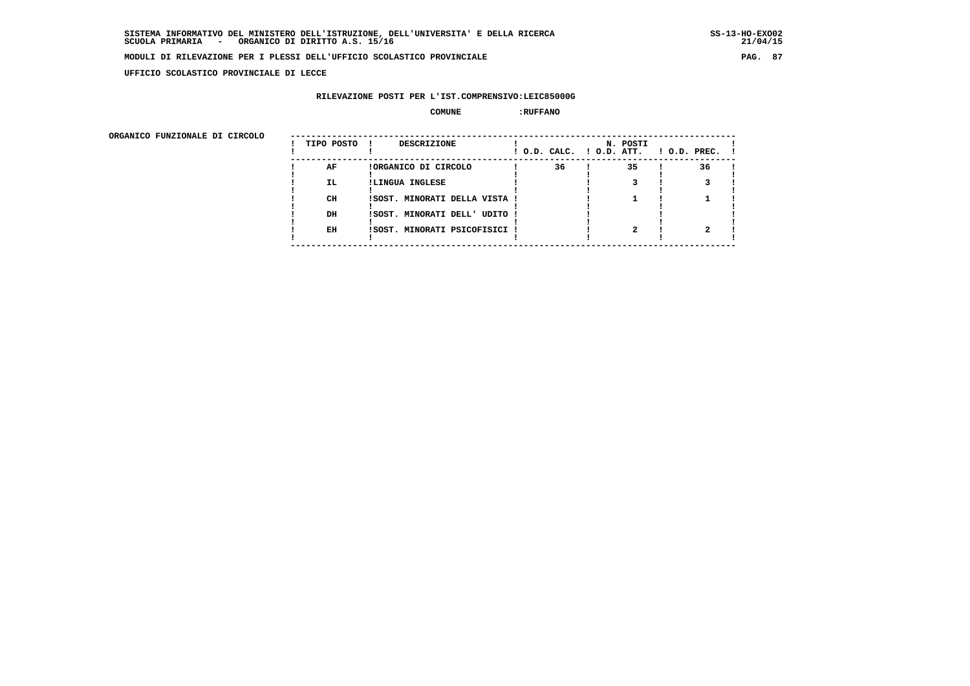**UFFICIO SCOLASTICO PROVINCIALE DI LECCE**

### **RILEVAZIONE POSTI PER L'IST.COMPRENSIVO:LEIC85000G**

#### **COMUNE :RUFFANO**

 **ORGANICO FUNZIONALE DI CIRCOLO --------------------------------------------------------------------------------------**

| ORGANICO FUNZIONALE DI CIRCOLO | TIPO POSTO | <b>DESCRIZIONE</b><br>- 1     |    | N. POSTI<br>! O.D. CALC. ! O.D. ATT. | $1$ O.D. PREC. $1$ |
|--------------------------------|------------|-------------------------------|----|--------------------------------------|--------------------|
|                                | AF         | !ORGANICO DI CIRCOLO          | 36 | 35                                   | 36                 |
|                                | <b>IL</b>  | !LINGUA INGLESE               |    |                                      |                    |
|                                | CH         | ISOST. MINORATI DELLA VISTA ! |    |                                      |                    |
|                                | DH         | ISOST. MINORATI DELL' UDITO ! |    |                                      |                    |
|                                | EH         | !SOST. MINORATI PSICOFISICI ! |    |                                      |                    |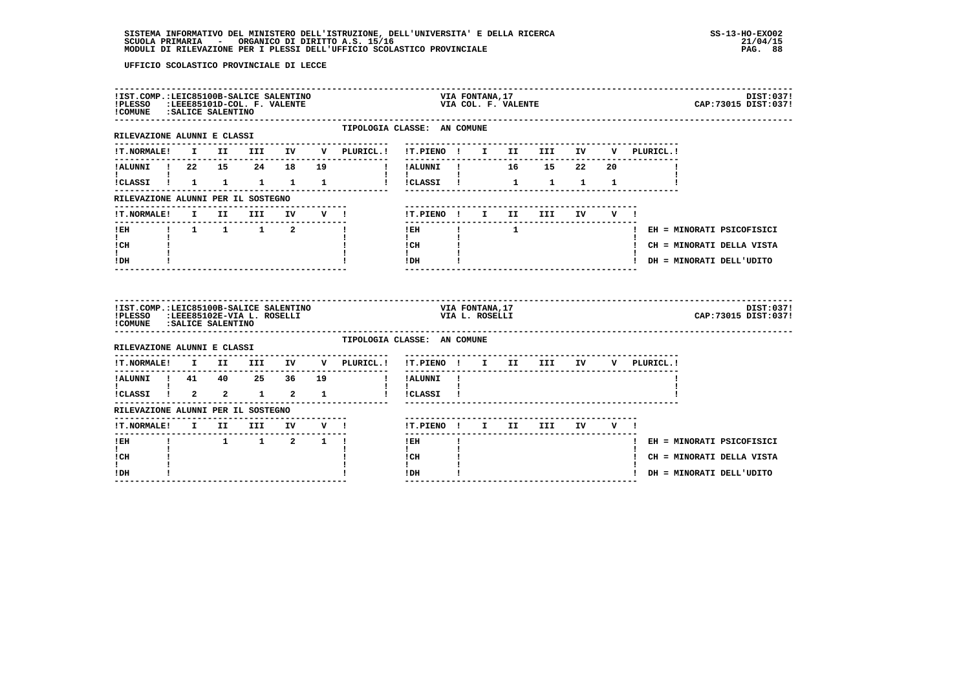| !PLESSO :LEEE85101D-COL. F. VALENTE<br>!COMUNE : SALICE SALENTINO                                 |  | !IST.COMP.:LEIC85100B-SALICE SALENTINO |        |                                                                                        |                                                           | VIA FONTANA,17                    | VIA COL. F. VALENTE         |                                                             |       |                                      | DIST:037!<br>CAP: 73015 DIST: 037! |
|---------------------------------------------------------------------------------------------------|--|----------------------------------------|--------|----------------------------------------------------------------------------------------|-----------------------------------------------------------|-----------------------------------|-----------------------------|-------------------------------------------------------------|-------|--------------------------------------|------------------------------------|
| -------------------------------<br>RILEVAZIONE ALUNNI E CLASSI                                    |  |                                        |        | TIPOLOGIA CLASSE: AN COMUNE                                                            |                                                           |                                   |                             |                                                             |       |                                      |                                    |
| <b>!T.NORMALE!</b>                                                                                |  |                                        |        | I II III IV V PLURICL.! !T.PIENO ! I II III IV V PLURICL.!                             |                                                           |                                   |                             |                                                             |       |                                      |                                    |
| !ALUNNI ! 22 15 24 18 19                                                                          |  |                                        |        | !!ALUNNI! 16 15 22 20                                                                  | ---------                                                 |                                   |                             |                                                             |       |                                      |                                    |
|                                                                                                   |  |                                        |        | !CLASSI ! 1 1 1 1 1 1 ! !CLASSI !                                                      | $\mathbf{I}$ and $\mathbf{I}$                             |                                   |                             | $\begin{array}{cccccccccc} 1 & & 1 & & 1 & & 1 \end{array}$ |       |                                      |                                    |
| RILEVAZIONE ALUNNI PER IL SOSTEGNO                                                                |  |                                        |        |                                                                                        |                                                           |                                   |                             |                                                             |       |                                      |                                    |
| !T.NORMALE!                                                                                       |  | I II III                               | IV V ! |                                                                                        | !T.PIENO ! I II                                           |                                   |                             | <b>III</b>                                                  | IV V! |                                      |                                    |
| $!$ EH                                                                                            |  | $1 \t1 \t1 \t1 \t2 \t1$                |        |                                                                                        | $!$ EH                                                    |                                   | $\frac{1}{1}$ $\frac{1}{1}$ |                                                             |       |                                      | ! EH = MINORATI PSICOFISICI        |
| $\mathbf{I}$ and $\mathbf{I}$<br>! CH                                                             |  |                                        |        |                                                                                        | $\mathbf{I}$<br>$\frac{1}{1}$ $\frac{1}{1}$ $\frac{1}{1}$ |                                   |                             |                                                             |       |                                      | ! CH = MINORATI DELLA VISTA        |
| I.<br>! DH                                                                                        |  |                                        |        |                                                                                        | $IDH$ $I$                                                 |                                   |                             | -------------------------------                             |       |                                      | ! DH = MINORATI DELL'UDITO         |
|                                                                                                   |  |                                        |        |                                                                                        |                                                           |                                   |                             |                                                             |       |                                      |                                    |
| !IST.COMP.:LEIC85100B-SALICE SALENTINO<br>!PLESSO :LEEE85102E-VIA L. ROSELLI                      |  |                                        |        |                                                                                        |                                                           | VIA FONTANA, 17<br>VIA L. ROSELLI |                             |                                                             |       |                                      | DIST:037!<br>CAP: 73015 DIST: 037! |
| !COMUNE : SALICE SALENTINO                                                                        |  | -----------------------------          |        | TIPOLOGIA CLASSE: AN COMUNE                                                            |                                                           |                                   |                             |                                                             |       |                                      |                                    |
| RILEVAZIONE ALUNNI E CLASSI                                                                       |  |                                        |        |                                                                                        | !T.PIENO ! I II III IV                                    |                                   |                             |                                                             |       | V PLURICL.!                          |                                    |
|                                                                                                   |  |                                        |        | $\verb !T.NORMALE! \quad I \quad II \quad III \quad IV \quad V \quad \verb PLURICL. !$ | $- - - - - -$<br>! !ALUNNI !                              |                                   |                             |                                                             |       | ------------------------------------ |                                    |
| !ALUNNI ! 41 40 25 36 19<br>$\mathbf{I}$ and $\mathbf{I}$ and $\mathbf{I}$<br>!CLASSI ! 2 2 1 2 1 |  |                                        |        |                                                                                        | $\mathbf{I}$<br>! !CLASSI !                               |                                   |                             |                                                             |       |                                      |                                    |
| RILEVAZIONE ALUNNI PER IL SOSTEGNO                                                                |  |                                        |        |                                                                                        |                                                           |                                   |                             |                                                             |       |                                      |                                    |
| !T.NORMALE! I II III IV V !                                                                       |  |                                        |        |                                                                                        | !T.PIENO ! I II III IV V !                                |                                   |                             |                                                             |       |                                      |                                    |
| ------<br>! EH                                                                                    |  | $1 \quad 1 \quad 2 \quad 1 \quad 1$    |        |                                                                                        | $!$ EH                                                    |                                   |                             |                                                             |       |                                      | ! EH = MINORATI PSICOFISICI        |
| $\mathbf{I}$<br>! CH                                                                              |  |                                        |        |                                                                                        | $\mathbf{I}$<br>! CH                                      |                                   |                             |                                                             |       |                                      | ! CH = MINORATI DELLA VISTA        |
| I.<br>! DH                                                                                        |  |                                        |        |                                                                                        | $\mathbf{I}$<br>! DH                                      |                                   |                             |                                                             |       |                                      | ! DH = MINORATI DELL'UDITO         |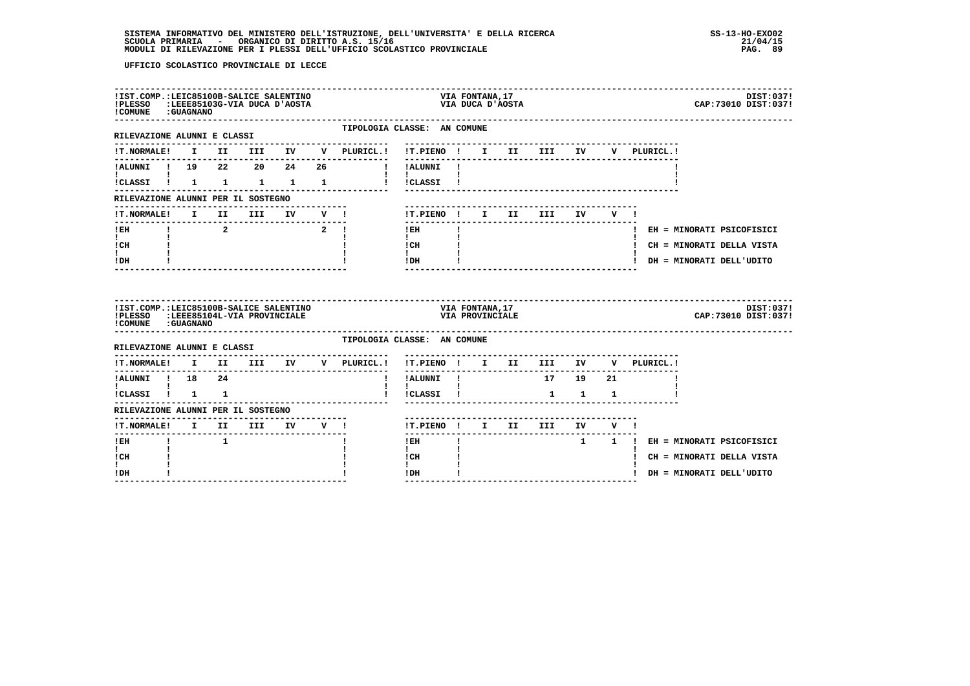| !PLESSO<br>! COMUNE : GUAGNANO                                                           |  | !IST.COMP.:LEIC85100B-SALICE SALENTINO<br>LEEE85103G-VIA DUCA D'AOSTA: |  |                                            | VIA FONTANA, 17<br>AOSTA אדAOSTA                                       |                            |  | DIST:037!<br>CAP: 73010 DIST: 037! |
|------------------------------------------------------------------------------------------|--|------------------------------------------------------------------------|--|--------------------------------------------|------------------------------------------------------------------------|----------------------------|--|------------------------------------|
| RILEVAZIONE ALUNNI E CLASSI                                                              |  |                                                                        |  | ---------------------                      | TIPOLOGIA CLASSE: AN COMUNE<br>--------------------------              |                            |  |                                    |
|                                                                                          |  |                                                                        |  |                                            | !T.NORMALE! I II III IV V PLURICL.! !T.PIENO ! I II III IV V PLURICL.! |                            |  |                                    |
|                                                                                          |  |                                                                        |  |                                            | !ALUNNI ! 19  22  20  24  26  ! !ALUNNI !                              |                            |  |                                    |
| $\mathbf{I}$ and $\mathbf{I}$ and $\mathbf{I}$                                           |  |                                                                        |  | $\mathbf{1}$ $\mathbf{1}$                  | !CLASSI ! 1 1 1 1 1 1 ! !CLASSI !                                      |                            |  |                                    |
| RILEVAZIONE ALUNNI PER IL SOSTEGNO                                                       |  |                                                                        |  |                                            |                                                                        |                            |  |                                    |
|                                                                                          |  |                                                                        |  |                                            | !T.PIENO! I II III IV V!                                               | -------------------------- |  |                                    |
| $I$ EH                                                                                   |  |                                                                        |  | $\begin{array}{ccc} 1 & 2 & 2 \end{array}$ | ---------------<br>$\mathbf{I}$<br>$!$ EH                              |                            |  | ! EH = MINORATI PSICOFISICI        |
| $\mathbf{I}$ and $\mathbf{I}$<br>ICH                                                     |  |                                                                        |  |                                            | $\mathbf{I}$ and $\mathbf{I}$<br>! CH                                  |                            |  | ! CH = MINORATI DELLA VISTA        |
| $\mathbf{I}$<br>! DH                                                                     |  |                                                                        |  |                                            | $\mathbf{I}$<br>$!$ DH $\overline{ }$                                  |                            |  | ! DH = MINORATI DELL'UDITO         |
|                                                                                          |  |                                                                        |  |                                            |                                                                        |                            |  |                                    |
| !IST.COMP.:LEIC85100B-SALICE SALENTINO<br>!PLESSO<br>! COMUNE : GUAGNANO                 |  | :LEEE85104L-VIA PROVINCIALE                                            |  |                                            | VIA FONTANA, 17<br>VIA PROVINCIALE                                     |                            |  | DIST:037!<br>CAP: 73010 DIST: 037! |
| RILEVAZIONE ALUNNI E CLASSI                                                              |  |                                                                        |  |                                            | TIPOLOGIA CLASSE: AN COMUNE                                            |                            |  |                                    |
|                                                                                          |  |                                                                        |  |                                            | !T.NORMALE! I II III IV V PLURICL.! !T.PIENO ! I II III IV V PLURICL.! |                            |  |                                    |
| $14LUNNI$ $18$ $24$                                                                      |  |                                                                        |  |                                            | ----------------------------------<br>!!ALUNNI ! 17 19 21              |                            |  |                                    |
| $\mathbf{I}$ and $\mathbf{I}$ and $\mathbf{I}$ and $\mathbf{I}$<br>$ICLASSI$ $1$ $1$ $1$ |  |                                                                        |  |                                            | $\mathbf{I}$<br>! !CLASSI !                                            | $1 \quad 1 \quad 1$        |  |                                    |
| RILEVAZIONE ALUNNI PER IL SOSTEGNO                                                       |  |                                                                        |  |                                            |                                                                        |                            |  |                                    |
| !T.NORMALE! I II III IV V !                                                              |  |                                                                        |  |                                            | !T.PIENO ! I II III IV V !                                             |                            |  |                                    |
| $I$ EH                                                                                   |  |                                                                        |  |                                            | $1$ EH                                                                 |                            |  | 1 1 ! EH = MINORATI PSICOFISICI    |
| $\mathbf{I}$<br>! CH<br>I.                                                               |  |                                                                        |  |                                            | $\mathbf{I}$<br>! CH<br>$\mathbf{I}$                                   |                            |  | ! CH = MINORATI DELLA VISTA        |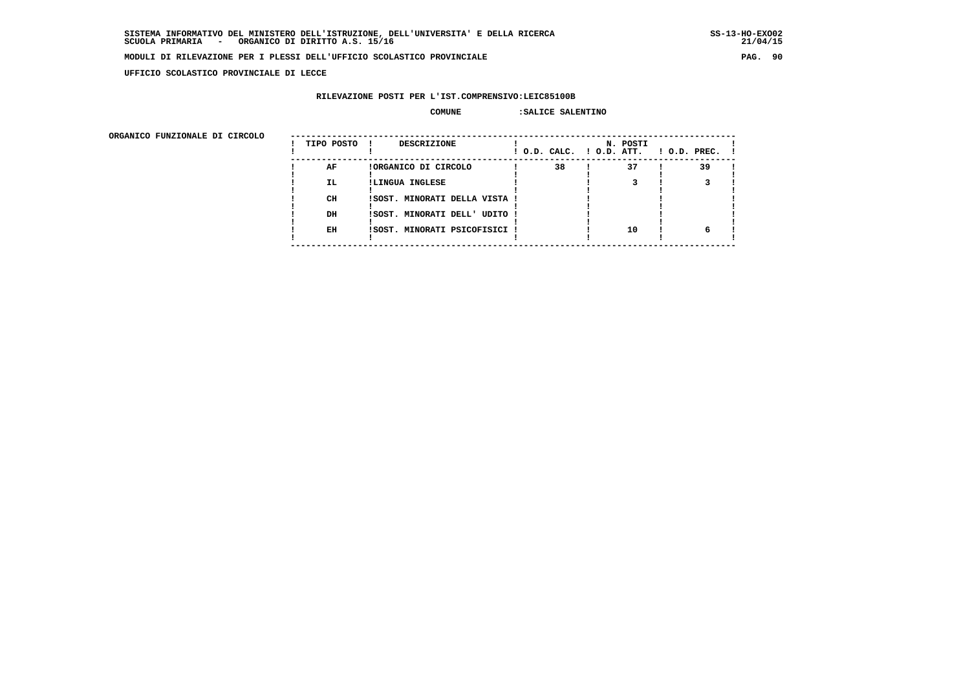**UFFICIO SCOLASTICO PROVINCIALE DI LECCE**

## **RILEVAZIONE POSTI PER L'IST.COMPRENSIVO:LEIC85100B**

#### **COMUNE :SALICE SALENTINO**

 **ORGANICO FUNZIONALE DI CIRCOLO --------------------------------------------------------------------------------------**

| onghnico rongionale pi cincolo | TIPO POSTO | <b>DESCRIZIONE</b><br>$\mathbf{I}$ | ! O.D. CALC. ! O.D. ATT. | N. POSTI | $1$ O.D. PREC. $1$ |
|--------------------------------|------------|------------------------------------|--------------------------|----------|--------------------|
|                                | AF         | !ORGANICO DI CIRCOLO               | 38                       | 37       | 39                 |
|                                | IL.        | !LINGUA INGLESE                    |                          |          |                    |
|                                | CH         | !SOST. MINORATI DELLA VISTA !      |                          |          |                    |
|                                | DH         | !SOST. MINORATI DELL' UDITO !      |                          |          |                    |
|                                | EH         | !SOST. MINORATI PSICOFISICI !      |                          | 10       |                    |
|                                |            |                                    |                          |          |                    |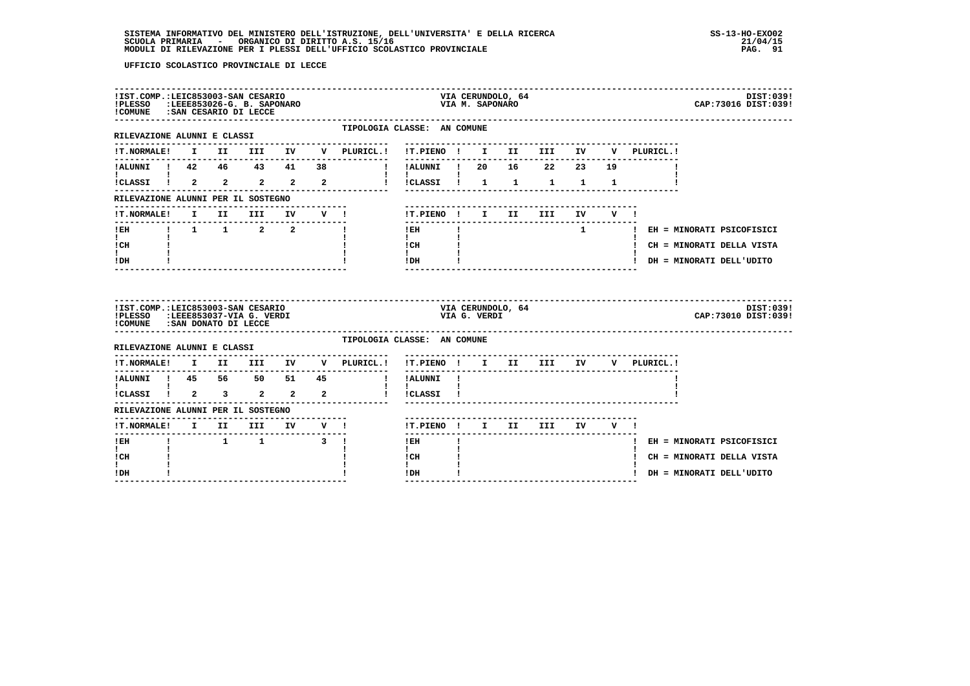| !PLESSO :LEEE853026-G. B. SAPONARO<br>!COMUNE : SAN CESARIO DI LECCE                                   |  |      | !IST.COMP.:LEIC853003-SAN CESARIO                              |        |                                                              |                                | VIA M. SAPONARO | VIA CERUNDOLO, 64 |                          |              |                               | DIST:039!<br>CAP: 73016 DIST: 039! |
|--------------------------------------------------------------------------------------------------------|--|------|----------------------------------------------------------------|--------|--------------------------------------------------------------|--------------------------------|-----------------|-------------------|--------------------------|--------------|-------------------------------|------------------------------------|
| RILEVAZIONE ALUNNI E CLASSI                                                                            |  |      |                                                                |        | TIPOLOGIA CLASSE: AN COMUNE                                  |                                |                 |                   |                          |              |                               |                                    |
|                                                                                                        |  |      |                                                                |        | IT. NORMALE! I II III IV V PLURICL.! IT. PIENO ! I II III IV |                                |                 |                   |                          |              | V PLURICL.!                   |                                    |
| !ALUNNI ! 42  46  43  41                                                                               |  |      |                                                                | 38     | $\mathbf{I}$                                                 | -----------<br>!ALUNNI ! 20    |                 |                   | 16 22 23 19              |              |                               |                                    |
| ICLASSI 1 2 2 2 2 2                                                                                    |  |      |                                                                |        | $\mathbf{I}$                                                 | !!CLASSI! 1 1 1 1              |                 |                   |                          | $\mathbf{1}$ |                               |                                    |
| RILEVAZIONE ALUNNI PER IL SOSTEGNO                                                                     |  |      |                                                                |        |                                                              |                                |                 |                   |                          |              |                               |                                    |
| <b>!T.NORMALE!</b>                                                                                     |  | I II | III                                                            | IV V ! |                                                              | !T.PIENO ! I II                |                 |                   | <b>III</b>               | IV V !       |                               |                                    |
| ! EH                                                                                                   |  |      | $\begin{array}{ccccccccccccc}\n! & 1 & 1 & 2 & 2\n\end{array}$ |        |                                                              | $- - - - - - -$<br>$!$ EH      |                 |                   |                          |              | 1   EH = MINORATI PSICOFISICI |                                    |
| $\mathbf{I}$<br>! CH                                                                                   |  |      |                                                                |        |                                                              | $\mathbf{I}$<br>$ICH$ $\qquad$ |                 |                   |                          |              | ! CH = MINORATI DELLA VISTA   |                                    |
| $\mathbf{I}$<br>! DH                                                                                   |  |      |                                                                |        |                                                              | $\mathbf{I}$<br>IDH            |                 |                   | ------------------------ |              |                               | ! DH = MINORATI DELL'UDITO         |
|                                                                                                        |  |      |                                                                |        |                                                              |                                |                 |                   |                          |              |                               |                                    |
| !IST.COMP.:LEIC853003-SAN CESARIO<br>!PLESSO :LEEE853037-VIA G. VERDI<br>!COMUNE : SAN DONATO DI LECCE |  |      |                                                                |        |                                                              |                                | VIA G. VERDI    | VIA CERUNDOLO, 64 |                          |              |                               | DIST:039!<br>CAP: 73010 DIST: 039! |
| RILEVAZIONE ALUNNI E CLASSI                                                                            |  |      |                                                                |        | TIPOLOGIA CLASSE: AN COMUNE                                  |                                |                 |                   |                          |              |                               |                                    |
| !T.NORMALE! I II III IV                                                                                |  |      |                                                                |        | V PLURICL.!                                                  | !T.PIENO ! I II III IV         |                 |                   |                          |              | V PLURICL.!                   |                                    |
|                                                                                                        |  |      |                                                                |        |                                                              | ---------------<br>! !ALUNNI ! |                 |                   |                          |              |                               |                                    |
|                                                                                                        |  |      |                                                                |        |                                                              | $\mathbf{I}$<br>! !CLASSI !    |                 |                   |                          |              |                               |                                    |
|                                                                                                        |  |      |                                                                |        |                                                              |                                |                 |                   |                          |              |                               |                                    |
| RILEVAZIONE ALUNNI PER IL SOSTEGNO<br>!T.NORMALE! I II III IV V !                                      |  |      |                                                                |        |                                                              | !T.PIENO! I II III IV V!       |                 |                   | ----------------------   |              |                               |                                    |
| ! EH                                                                                                   |  |      | $1 \quad 1 \quad 3 \quad 1$                                    |        |                                                              | ! EH                           |                 |                   |                          |              |                               | ! EH = MINORATI PSICOFISICI        |
| $\mathbf{I}$<br>! CH                                                                                   |  |      |                                                                |        |                                                              | $\mathbf{I}$<br>! CH           |                 |                   |                          |              |                               | ! CH = MINORATI DELLA VISTA        |
| I.<br>! DH                                                                                             |  |      |                                                                |        |                                                              | $\mathbf{I}$<br>! DH           |                 |                   |                          |              |                               | ! DH = MINORATI DELL'UDITO         |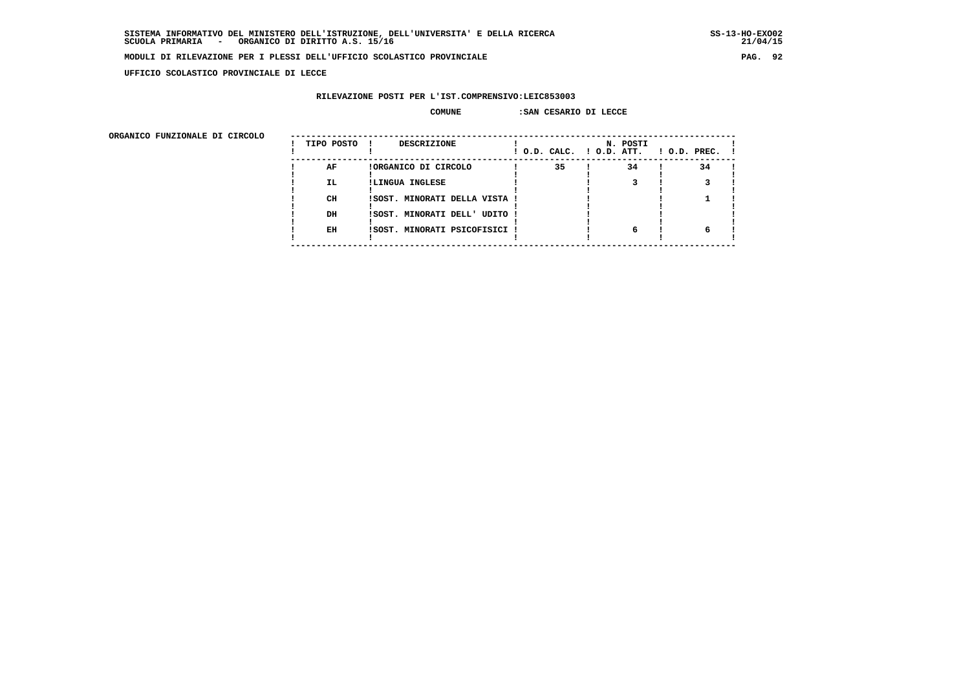$21/04/15$ 

#### **MODULI DI RILEVAZIONE PER I PLESSI DELL'UFFICIO SCOLASTICO PROVINCIALE PAG. 92**

 **UFFICIO SCOLASTICO PROVINCIALE DI LECCE**

## **RILEVAZIONE POSTI PER L'IST.COMPRENSIVO:LEIC853003**

#### **COMUNE :SAN CESARIO DI LECCE**

| ORGANICO FUNZIONALE DI CIRCOLO |            |                               |                          |          |              |
|--------------------------------|------------|-------------------------------|--------------------------|----------|--------------|
|                                | TIPO POSTO | <b>DESCRIZIONE</b>            | ! O.D. CALC. ! O.D. ATT. | N. POSTI | ! O.D. PREC. |
|                                | AF         | !ORGANICO DI CIRCOLO          | 35                       | 34       | 34           |
|                                | IL.        | !LINGUA INGLESE               |                          |          |              |
|                                | CH         | ISOST. MINORATI DELLA VISTA ! |                          |          |              |
|                                | DH         | !SOST. MINORATI DELL' UDITO ! |                          |          |              |
|                                | EH         | ISOST. MINORATI PSICOFISICI   |                          | 6        |              |
|                                |            |                               |                          |          |              |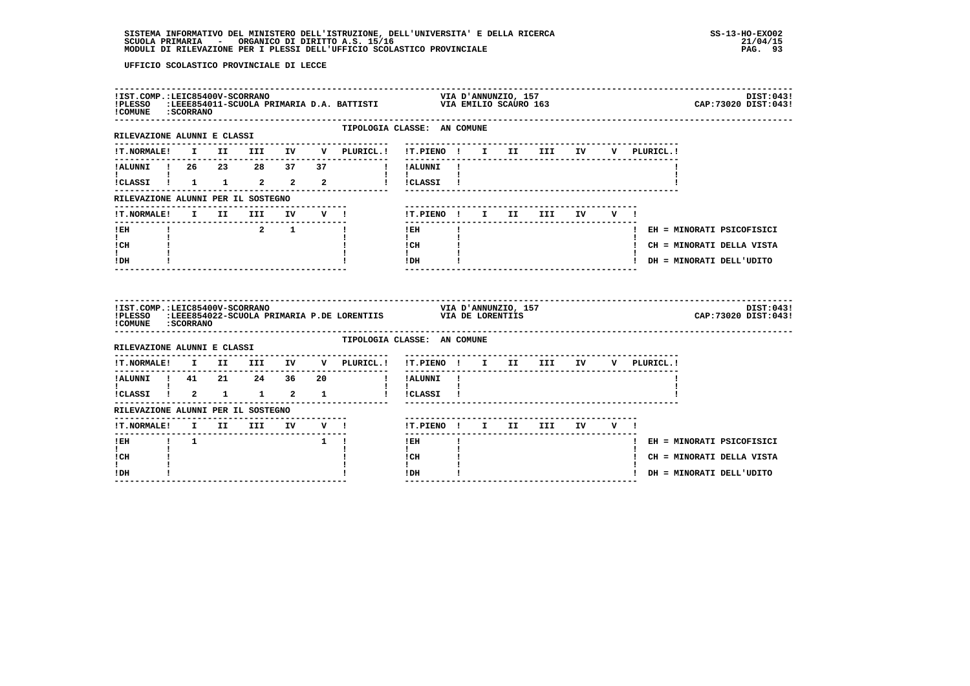| ! COMUNE : SCORRANO                                |             |  |                                          |                                                        |                                                             |                                                                                                                                                                                                                                                                                                                                            |                     |  |                           |  |             |  | CAP: 73020 DIST: 043!       | DIST:043! |
|----------------------------------------------------|-------------|--|------------------------------------------|--------------------------------------------------------|-------------------------------------------------------------|--------------------------------------------------------------------------------------------------------------------------------------------------------------------------------------------------------------------------------------------------------------------------------------------------------------------------------------------|---------------------|--|---------------------------|--|-------------|--|-----------------------------|-----------|
| RILEVAZIONE ALUNNI E CLASSI                        |             |  |                                          |                                                        | TIPOLOGIA CLASSE: AN COMUNE<br>---------------------        | --------------------------------                                                                                                                                                                                                                                                                                                           |                     |  |                           |  |             |  |                             |           |
| <b>!T.NORMALE!</b>                                 |             |  |                                          |                                                        | I II III IV V PLURICL.! !T.PIENO ! I II III IV              |                                                                                                                                                                                                                                                                                                                                            |                     |  |                           |  | V PLURICL.! |  |                             |           |
| IALUNNI ! 26 23 28 37                              |             |  |                                          |                                                        | 37 <b>!</b> !ALUNNI !                                       |                                                                                                                                                                                                                                                                                                                                            |                     |  |                           |  |             |  |                             |           |
| <b>I</b> and the state of the state of             |             |  |                                          |                                                        | !CLASSI ! 1 1 2 2 2 2 ! !CLASSI !                           | $\mathbf{1}$ $\mathbf{1}$                                                                                                                                                                                                                                                                                                                  |                     |  |                           |  |             |  |                             |           |
| RILEVAZIONE ALUNNI PER IL SOSTEGNO                 |             |  |                                          |                                                        |                                                             |                                                                                                                                                                                                                                                                                                                                            |                     |  |                           |  |             |  |                             |           |
|                                                    |             |  |                                          |                                                        | !T.NORMALE! I II III IV V !                                 | ! T.PIENO! I II III IV V!                                                                                                                                                                                                                                                                                                                  |                     |  |                           |  |             |  |                             |           |
| -----------------------------<br>$!$ EH            |             |  | $\begin{array}{ccc} & 2 & 1 \end{array}$ |                                                        | $\mathbf{I}$                                                | $!$ EH                                                                                                                                                                                                                                                                                                                                     | $\mathbf{I}$        |  |                           |  |             |  | ! EH = MINORATI PSICOFISICI |           |
| $\mathbf{I}$ and $\mathbf{I}$<br>ICH               |             |  |                                          |                                                        |                                                             | $\mathbf{I}$<br>$\frac{1}{1}$ $\frac{1}{1}$ $\frac{1}{1}$                                                                                                                                                                                                                                                                                  |                     |  |                           |  |             |  | ! CH = MINORATI DELLA VISTA |           |
| $\mathbf{I}$<br>! DH                               |             |  |                                          |                                                        |                                                             | $!$ DH $\qquad$ $\qquad$ $\qquad$ $\qquad$ $\qquad$ $\qquad$ $\qquad$ $\qquad$ $\qquad$ $\qquad$ $\qquad$ $\qquad$ $\qquad$ $\qquad$ $\qquad$ $\qquad$ $\qquad$ $\qquad$ $\qquad$ $\qquad$ $\qquad$ $\qquad$ $\qquad$ $\qquad$ $\qquad$ $\qquad$ $\qquad$ $\qquad$ $\qquad$ $\qquad$ $\qquad$ $\qquad$ $\qquad$ $\qquad$ $\qquad$ $\qquad$ |                     |  |                           |  |             |  | ! DH = MINORATI DELL'UDITO  |           |
|                                                    |             |  |                                          |                                                        |                                                             |                                                                                                                                                                                                                                                                                                                                            |                     |  |                           |  |             |  |                             |           |
| !IST.COMP.:LEIC85400V-SCORRANO<br>!PLESSO          |             |  |                                          |                                                        | :LEEE854022-SCUOLA PRIMARIA P.DE LORENTIIS VIA DE LORENTIIS |                                                                                                                                                                                                                                                                                                                                            | VIA D'ANNUNZIO, 157 |  |                           |  |             |  | CAP:73020 DIST:043!         | DIST:043! |
| ! COMUNE : SCORRANO<br>RILEVAZIONE ALUNNI E CLASSI |             |  |                                          |                                                        | TIPOLOGIA CLASSE: AN COMUNE                                 |                                                                                                                                                                                                                                                                                                                                            |                     |  |                           |  |             |  |                             |           |
|                                                    |             |  |                                          |                                                        | !T.NORMALE! I II III IV V PLURICL.!                         | !T.PIENO! I II III IV V PLURICL.!                                                                                                                                                                                                                                                                                                          |                     |  |                           |  |             |  |                             |           |
|                                                    |             |  |                                          |                                                        | !ALUNNI ! 41  21  24  36  20  !!ALUNNI !                    |                                                                                                                                                                                                                                                                                                                                            |                     |  |                           |  |             |  |                             |           |
| $\mathbf{I}$ and $\mathbf{I}$                      |             |  |                                          |                                                        | !CLASSI ! 2 1 1 2 1 1 ! !CLASSI !                           | $\mathbf{I}$                                                                                                                                                                                                                                                                                                                               |                     |  |                           |  |             |  |                             |           |
| RILEVAZIONE ALUNNI PER IL SOSTEGNO                 |             |  |                                          |                                                        |                                                             |                                                                                                                                                                                                                                                                                                                                            |                     |  |                           |  |             |  |                             |           |
| --------------                                     |             |  | -------------------------------          |                                                        |                                                             | !T.PIENO ! I II III IV V !                                                                                                                                                                                                                                                                                                                 |                     |  |                           |  |             |  |                             |           |
| ! EH                                               | $1 \quad 1$ |  |                                          | $\begin{array}{ccccccccccccc}\n1 & 1 & 1\n\end{array}$ |                                                             | $!$ EH                                                                                                                                                                                                                                                                                                                                     |                     |  | ------------------------- |  |             |  | ! EH = MINORATI PSICOFISICI |           |
| $\mathbf{I}$<br>! CH<br>I.                         |             |  |                                          |                                                        |                                                             | $\mathbf{I}$<br>! CH<br>$\mathbf{I}$                                                                                                                                                                                                                                                                                                       |                     |  |                           |  |             |  | ! CH = MINORATI DELLA VISTA |           |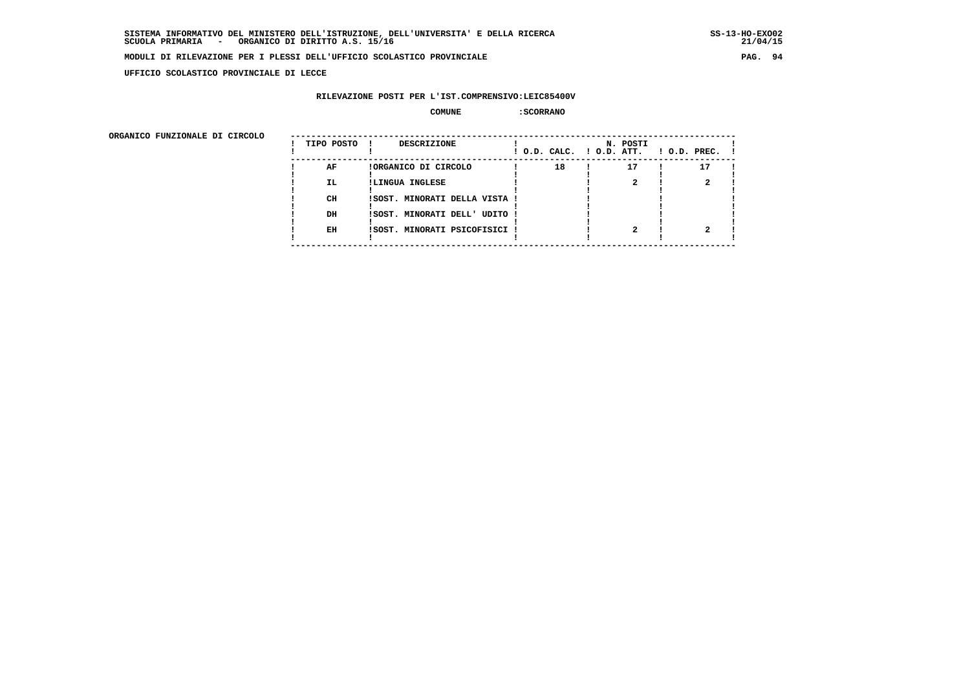**UFFICIO SCOLASTICO PROVINCIALE DI LECCE**

### **RILEVAZIONE POSTI PER L'IST.COMPRENSIVO:LEIC85400V**

#### **COMUNE :SCORRANO**

| ORGANICO FUNZIONALE DI CIRCOLO |            |                               |                          |          |                    |
|--------------------------------|------------|-------------------------------|--------------------------|----------|--------------------|
|                                | TIPO POSTO | DESCRIZIONE                   | ! O.D. CALC. ! O.D. ATT. | N. POSTI | $1$ O.D. PREC. $1$ |
|                                | AF         | !ORGANICO DI CIRCOLO          | 18                       | 17       | 17                 |
|                                | IL.        | !LINGUA INGLESE               |                          |          |                    |
|                                | CH         | ISOST. MINORATI DELLA VISTA ! |                          |          |                    |
|                                | DH         | !SOST. MINORATI DELL' UDITO ! |                          |          |                    |
|                                | EH         | !SOST. MINORATI PSICOFISICI ! |                          |          |                    |
|                                |            |                               |                          |          |                    |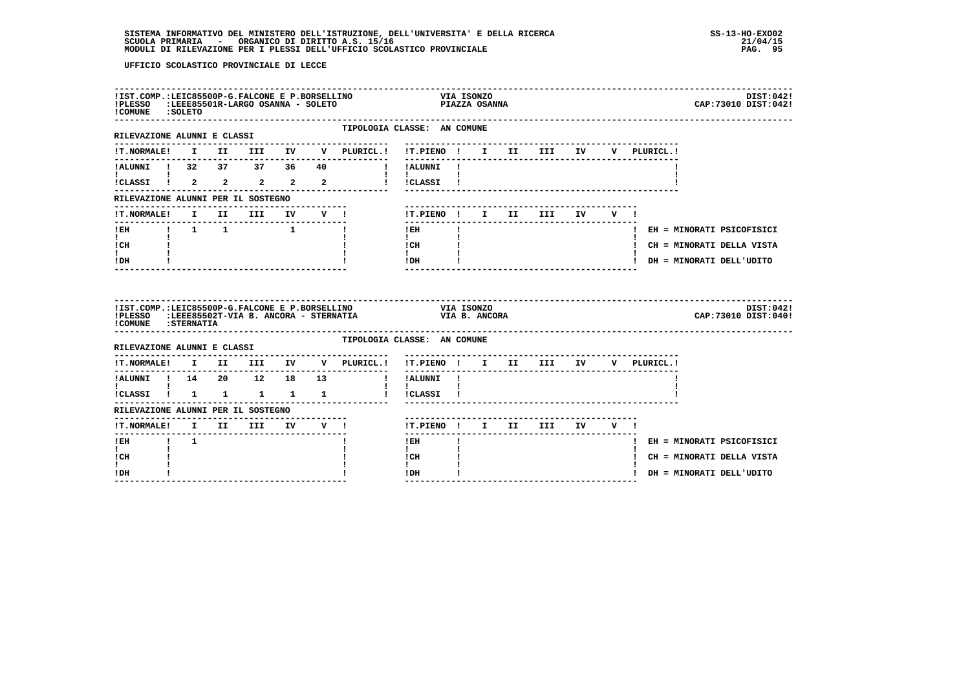| !IST.COMP.:LEIC85500P-G.FALCONE E P.BORSELLINO<br>!PLESSO :LEEE85501R-LARGO OSANNA - SOLETO<br>! COMUNE : SOLETO |  |  |  |                                                                        | VIA IDONE.<br>PIAZZA OSANNA                                   |              |  |                           |  |  | DIST:042!<br>CAP: 73010 DIST: 042! |
|------------------------------------------------------------------------------------------------------------------|--|--|--|------------------------------------------------------------------------|---------------------------------------------------------------|--------------|--|---------------------------|--|--|------------------------------------|
| RILEVAZIONE ALUNNI E CLASSI                                                                                      |  |  |  | TIPOLOGIA CLASSE: AN COMUNE<br>---------------------                   |                                                               |              |  |                           |  |  |                                    |
|                                                                                                                  |  |  |  | !T.NORMALE! I II III IV V PLURICL.! !T.PIENO ! I II III IV V PLURICL.! |                                                               |              |  |                           |  |  |                                    |
|                                                                                                                  |  |  |  | !ALUNNI ! 32 37 37 36 40 ! !ALUNNI !                                   |                                                               |              |  |                           |  |  |                                    |
| <b>I</b> and the state of the state of<br>ICLASSI 1 2 2 2 2 2                                                    |  |  |  |                                                                        | $\mathbf{I}$ and $\mathbf{I}$ and $\mathbf{I}$<br>! !CLASSI ! |              |  |                           |  |  |                                    |
| RILEVAZIONE ALUNNI PER IL SOSTEGNO                                                                               |  |  |  |                                                                        |                                                               |              |  |                           |  |  |                                    |
| !T.NORMALE!                                                                                                      |  |  |  | I II III IV V !                                                        | !T.PIENO ! I II III IV V !                                    |              |  |                           |  |  |                                    |
|                                                                                                                  |  |  |  |                                                                        | $1$ EH                                                        | $\mathbf{I}$ |  | ------------------------- |  |  | ! EH = MINORATI PSICOFISICI        |
| $\mathbf{I}$ and $\mathbf{I}$<br>ICH                                                                             |  |  |  |                                                                        | $\mathbf{I}$ and $\mathbf{I}$<br>$\frac{1}{1}$ CH             |              |  |                           |  |  | ! CH = MINORATI DELLA VISTA        |
| $\mathbf{I}$<br>IDH                                                                                              |  |  |  |                                                                        | $!$ DH                                                        |              |  |                           |  |  | ! DH = MINORATI DELL'UDITO         |
|                                                                                                                  |  |  |  |                                                                        |                                                               |              |  |                           |  |  |                                    |
| !IST.COMP.:LEIC85500P-G.FALCONE E P.BORSELLINO<br>!COMUNE : STERNATIA                                            |  |  |  | IPLESSO :LEEE85502T-VIA B. ANCORA - STERNATIA VIA B. ANCORA            | VIA ISONZO                                                    |              |  |                           |  |  | DIST:042!<br>CAP: 73010 DIST: 040! |
| RILEVAZIONE ALUNNI E CLASSI                                                                                      |  |  |  | TIPOLOGIA CLASSE: AN COMUNE                                            |                                                               |              |  |                           |  |  |                                    |
|                                                                                                                  |  |  |  | !T.NORMALE! I II III IV V PLURICL.! !T.PIENO ! I II III IV V PLURICL.! |                                                               |              |  |                           |  |  |                                    |
| --------------                                                                                                   |  |  |  | --------------                                                         |                                                               |              |  |                           |  |  |                                    |
| <b>The Community of the Community</b>                                                                            |  |  |  | !CLASSI ! 1 1 1 1 1 ! !CLASSI !                                        | $\mathbf{1}$ $\mathbf{1}$                                     |              |  |                           |  |  |                                    |
| RILEVAZIONE ALUNNI PER IL SOSTEGNO                                                                               |  |  |  |                                                                        |                                                               |              |  |                           |  |  |                                    |
|                                                                                                                  |  |  |  |                                                                        | !T.PIENO ! I II III IV V !                                    |              |  |                           |  |  |                                    |
| $1$ EH $1$ $1$                                                                                                   |  |  |  |                                                                        | $!$ EH                                                        |              |  |                           |  |  | ! EH = MINORATI PSICOFISICI        |
| $\mathbf{I}$<br>! CH<br>I.                                                                                       |  |  |  |                                                                        | $\mathbf{I}$<br>l CH<br>$\mathbf{I}$                          |              |  |                           |  |  | ! CH = MINORATI DELLA VISTA        |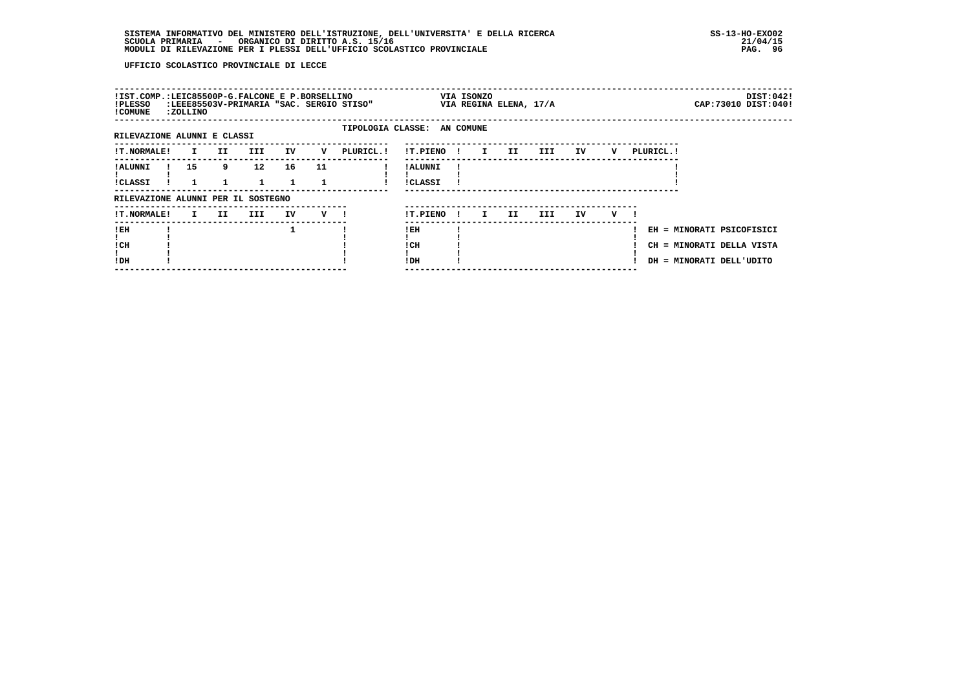| !IST.COMP.:LEIC85500P-G.FALCONE E P.BORSELLINO<br>!PLESSO<br>! COMUNE | <b>:ZOLLINO</b> |              |     |                 |    |     | :LEEE85503V-PRIMARIA "SAC. SERGIO STISO" |                            |      | VIA ISONZO   | VIA REGINA ELENA, 17/A |     |    |   |            | DIST:042!<br>CAP: 73010 DIST: 040!                                                 |  |
|-----------------------------------------------------------------------|-----------------|--------------|-----|-----------------|----|-----|------------------------------------------|----------------------------|------|--------------|------------------------|-----|----|---|------------|------------------------------------------------------------------------------------|--|
| RILEVAZIONE ALUNNI E CLASSI                                           |                 |              |     |                 |    |     | TIPOLOGIA CLASSE: AN COMUNE              |                            |      |              |                        |     |    |   |            |                                                                                    |  |
| <b>!T.NORMALE!</b>                                                    |                 | $\mathbf{I}$ | II  | <b>III</b>      | IV | v   | PLURICL. !                               | !T.PIENO                   | - 11 | $\mathbf{I}$ | II                     | III | IV | v | PLURICL. ! |                                                                                    |  |
| ! ALUNNI<br><b>!CLASSI</b>                                            | 15              |              | 9   | 12 <sup>2</sup> | 16 | 11  |                                          | ! ALUNNI<br><b>!CLASSI</b> |      |              |                        |     |    |   |            |                                                                                    |  |
| RILEVAZIONE ALUNNI PER IL SOSTEGNO                                    |                 |              |     |                 |    |     |                                          |                            |      |              |                        |     |    |   |            |                                                                                    |  |
| <b>!T.NORMALE!</b>                                                    |                 | $\mathbf{I}$ | II. | III             | IV | v — |                                          | !T.PIENO                   | -11  | I.           | II.                    | III | IV | v |            |                                                                                    |  |
| !EH<br>! CH<br>!DH                                                    |                 |              |     |                 | 1  |     |                                          | ! EH<br>! CH<br>!DH        |      |              |                        |     |    |   |            | EH = MINORATI PSICOFISICI<br>CH = MINORATI DELLA VISTA<br>DH = MINORATI DELL'UDITO |  |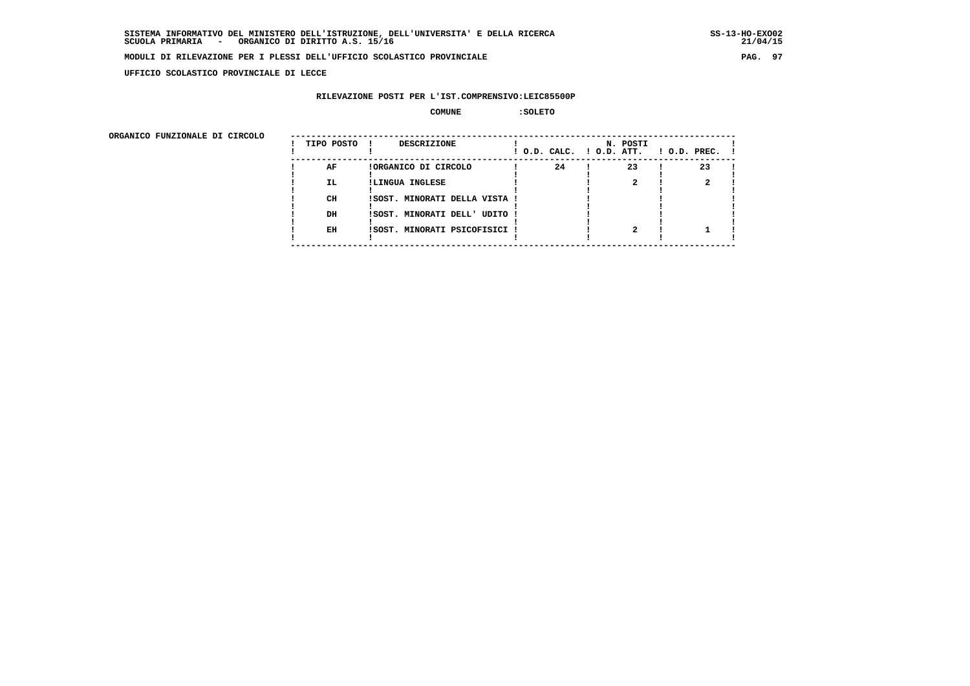**UFFICIO SCOLASTICO PROVINCIALE DI LECCE**

### **RILEVAZIONE POSTI PER L'IST.COMPRENSIVO:LEIC85500P**

#### **COMUNE :SOLETO**

| ORGANICO FUNZIONALE DI CIRCOLO |            |                               |                          |          |                    |
|--------------------------------|------------|-------------------------------|--------------------------|----------|--------------------|
|                                | TIPO POSTO | DESCRIZIONE                   | ! O.D. CALC. ! O.D. ATT. | N. POSTI | $1$ O.D. PREC. $1$ |
|                                | AF         | !ORGANICO DI CIRCOLO          | 24                       | 23       | 23                 |
|                                | IL.        | !LINGUA INGLESE               |                          |          |                    |
|                                | CH         | ISOST. MINORATI DELLA VISTA ! |                          |          |                    |
|                                | DH         | !SOST. MINORATI DELL' UDITO ! |                          |          |                    |
|                                | EH         | !SOST. MINORATI PSICOFISICI ! |                          |          |                    |
|                                |            |                               |                          |          |                    |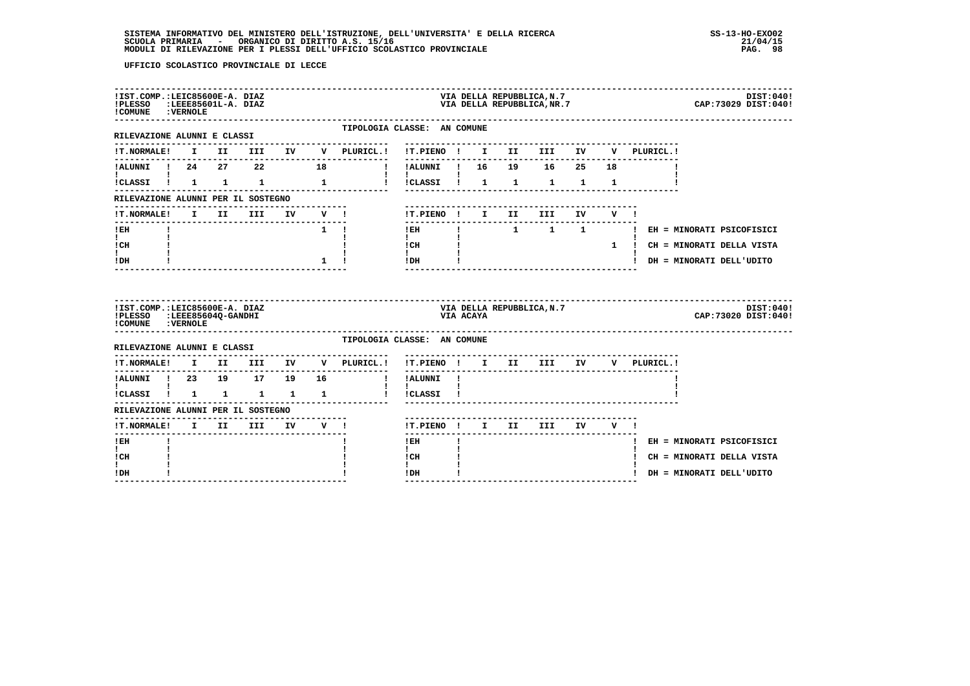| !IST.COMP.:LEIC85600E-A. DIAZ<br>!PLESSO<br>! COMUNE : VERNOLE |    |          | :LEEE85601L-A. DIAZ   |            |              |                                                            |                                |              |           | VIA DELLA REPUBBLICA, N.7<br>VIA DELLA REPUBBLICA, NR.7 |    |     |             | DIST:040!<br>CAP: 73029 DIST: 040!  |
|----------------------------------------------------------------|----|----------|-----------------------|------------|--------------|------------------------------------------------------------|--------------------------------|--------------|-----------|---------------------------------------------------------|----|-----|-------------|-------------------------------------|
| ---------------------<br>RILEVAZIONE ALUNNI E CLASSI           |    |          |                       |            |              | TIPOLOGIA CLASSE: AN COMUNE<br>. - - - - - - - - - - - - - |                                |              |           |                                                         |    |     |             |                                     |
| <b>!T.NORMALE!</b>                                             |    |          |                       |            |              | I II III IV V PLURICL.!                                    | !T.PIENO !                     |              |           | I II III IV                                             |    | V – | PLURICL. !  |                                     |
| !ALUNNI ! 24  27  22  18                                       |    |          |                       |            |              |                                                            | !ALUNNI ! 16  19  16  25  18   |              |           |                                                         |    |     |             |                                     |
| !CLASSI ! 1 1 1 1 1                                            |    |          |                       |            |              | $\mathbf{I}$                                               | !CLASSI ! 1                    |              |           | $1 \quad 1 \quad 1 \quad 1$                             |    |     |             |                                     |
| RILEVAZIONE ALUNNI PER IL SOSTEGNO                             |    |          |                       |            |              |                                                            |                                |              |           |                                                         |    |     |             |                                     |
| !T.NORMALE!                                                    | I. | II D     | III                   | IV         | V !          |                                                            | !T.PIENO ! I II                |              |           | III.                                                    | IV | v ! |             |                                     |
| ! EH                                                           |    |          |                       |            | $1 \quad 1$  |                                                            | $!$ EH                         | $\mathbf{I}$ |           |                                                         |    |     |             | 1 1 1 1 H EH = MINORATI PSICOFISICI |
| $\mathbf{I}$<br>! CH                                           |    |          |                       |            |              |                                                            | $\mathbf{I}$<br>$ICH$ $\qquad$ |              |           |                                                         |    |     |             | 1 ! CH = MINORATI DELLA VISTA       |
| $\mathbf{I}$                                                   |    |          |                       |            |              | $1 \quad 1$                                                | $\frac{1}{1}$ $\frac{1}{1}$    |              |           |                                                         |    |     |             | ! DH = MINORATI DELL'UDITO          |
| ! DH                                                           |    |          |                       |            |              |                                                            |                                |              |           |                                                         |    |     |             |                                     |
| !IST.COMP.:LEIC85600E-A. DIAZ<br>!PLESSO :LEEE85604Q-GANDHI    |    |          |                       |            |              |                                                            |                                |              | VIA ACAYA | VIA DELLA REPUBBLICA, N.7                               |    |     |             | DIST:040!<br>CAP: 73020 DIST: 040!  |
| ! COMUNE : VERNOLE<br>RILEVAZIONE ALUNNI E CLASSI              |    |          | --------------------- |            |              | TIPOLOGIA CLASSE: AN COMUNE                                |                                |              |           |                                                         |    |     |             |                                     |
| !T.NORMALE!                                                    |    |          | I II III IV           |            |              | V PLURICL.!                                                | !T.PIENO ! I II III IV         |              |           | ---------------------------                             |    |     | V PLURICL.! |                                     |
| !ALUNNI ! 23 19 17 19                                          |    |          |                       |            | 16           | $\blacksquare$                                             | -------<br>! ALUNNI!           |              |           | ----------------------------                            |    |     |             |                                     |
| $\mathbf{I}$ and $\mathbf{I}$<br>!CLASSI ! 1 1 1 1             |    |          |                       |            | $\mathbf{1}$ |                                                            | $\mathbf{I}$<br>! !CLASSI !    |              |           |                                                         |    |     |             |                                     |
| RILEVAZIONE ALUNNI PER IL SOSTEGNO                             |    |          |                       |            |              |                                                            |                                |              |           |                                                         |    |     |             |                                     |
| !T.NORMALE!                                                    |    | $I$ $II$ |                       | III IV V ! |              |                                                            | !T.PIENO ! I II III            |              |           |                                                         | IV | VI  |             |                                     |
| ------<br>! EH                                                 |    |          |                       |            |              |                                                            | $!$ EH                         | Ţ.           |           |                                                         |    |     |             | ! EH = MINORATI PSICOFISICI         |
| $\mathbf{I}$<br>! CH                                           |    |          |                       |            |              |                                                            | $\mathbf{I}$<br>! CH           |              |           |                                                         |    |     |             | ! CH = MINORATI DELLA VISTA         |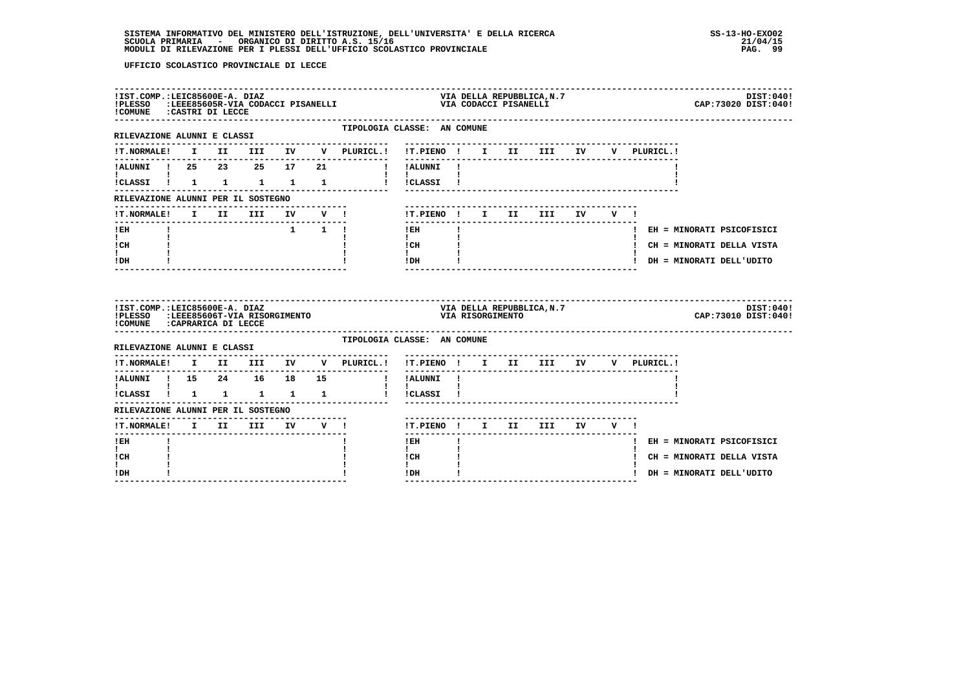| !IST.COMP.:LEIC85600E-A. DIAZ<br>!COMUNE : CASTRI DI LECCE                                            |  |  |    | !PLESSO :LEEE85605R-VIA CODACCI PISANELLI      |                                      |  | VIA CODACCI PISANELLI | VIA DELLA REPUBBLICA.N.7               |    |         |              | DIST:040!<br>CAP: 73020 DIST: 040! |
|-------------------------------------------------------------------------------------------------------|--|--|----|------------------------------------------------|--------------------------------------|--|-----------------------|----------------------------------------|----|---------|--------------|------------------------------------|
| ------------------------------<br>RILEVAZIONE ALUNNI E CLASSI                                         |  |  |    | TIPOLOGIA CLASSE: AN COMUNE                    |                                      |  |                       |                                        |    |         |              |                                    |
| <b>!T.NORMALE!</b>                                                                                    |  |  |    | I II III IV V PLURICL.! !T.PIENO ! I II III IV |                                      |  |                       |                                        |    |         | V PLURICL.!  |                                    |
| !ALUNNI ! 25  23  25  17                                                                              |  |  | 21 |                                                | ---------<br>! !ALUNNI !             |  |                       |                                        |    |         |              |                                    |
|                                                                                                       |  |  |    | !CLASSI ! 1 1 1 1 1 1 ! !CLASSI !              | <b>Contract Contract Contract</b>    |  |                       |                                        |    |         |              |                                    |
| RILEVAZIONE ALUNNI PER IL SOSTEGNO                                                                    |  |  |    |                                                |                                      |  |                       |                                        |    |         |              |                                    |
|                                                                                                       |  |  |    |                                                | !T.PIENO ! I II                      |  |                       | III                                    | IV | $V = 1$ |              |                                    |
| ! EH                                                                                                  |  |  |    | $1 \quad 1 \quad 1$                            | $!$ EH                               |  |                       | -------------------------------------- |    |         |              | ! EH = MINORATI PSICOFISICI        |
| $\mathbf{I}$<br>! CH                                                                                  |  |  |    |                                                | $\mathbf{I}$<br>! CH                 |  |                       |                                        |    |         |              | ! CH = MINORATI DELLA VISTA        |
| I.<br>! DH                                                                                            |  |  |    |                                                | $\mathbf{I}$<br>! DH                 |  |                       |                                        |    |         |              | ! DH = MINORATI DELL'UDITO         |
|                                                                                                       |  |  |    |                                                |                                      |  | --------------------- |                                        |    |         |              |                                    |
| !IST.COMP.:LEIC85600E-A. DIAZ<br>!PLESSO :LEEE85606T-VIA RISORGIMENTO<br>!COMUNE : CAPRARICA DI LECCE |  |  |    |                                                |                                      |  | VIA RISORGIMENTO      | VIA DELLA REPUBBLICA, N.7              |    |         |              | DIST:040!<br>CAP: 73010 DIST: 040! |
| ------------------------------<br>RILEVAZIONE ALUNNI E CLASSI                                         |  |  |    | TIPOLOGIA CLASSE: AN COMUNE                    |                                      |  |                       |                                        |    |         |              |                                    |
| <b>!T.NORMALE!</b>                                                                                    |  |  |    | ---------------<br>I II III IV V PLURICL.!     | !T.PIENO ! I II III IV               |  |                       |                                        |    |         | V PLURICL. ! |                                    |
| !ALUNNI ! 15  24  16  18  15                                                                          |  |  |    |                                                | ----------<br>! !ALUNNI !            |  |                       |                                        |    |         |              |                                    |
| <b>I</b> and the state of the state of<br>$\verb ICLASSI      1 & 1 & 1 & 1 & 1 \\$                   |  |  |    | $\mathbf{I}$                                   | $\mathbf{I}$<br>!CLASSI !            |  |                       |                                        |    |         |              |                                    |
| RILEVAZIONE ALUNNI PER IL SOSTEGNO                                                                    |  |  |    |                                                |                                      |  |                       |                                        |    |         |              |                                    |
| !T.NORMALE! I II III IV V !                                                                           |  |  |    |                                                | !T.PIENO ! I II III IV V !           |  |                       |                                        |    |         |              |                                    |
| ! EH                                                                                                  |  |  |    |                                                | $- - - - - -$<br>$!$ EH              |  |                       |                                        |    |         |              | ! EH = MINORATI PSICOFISICI        |
| $\mathbf{I}$<br>! CH<br>L                                                                             |  |  |    |                                                | $\mathbf{I}$<br>! CH<br>$\mathbf{I}$ |  |                       |                                        |    |         |              | ! CH = MINORATI DELLA VISTA        |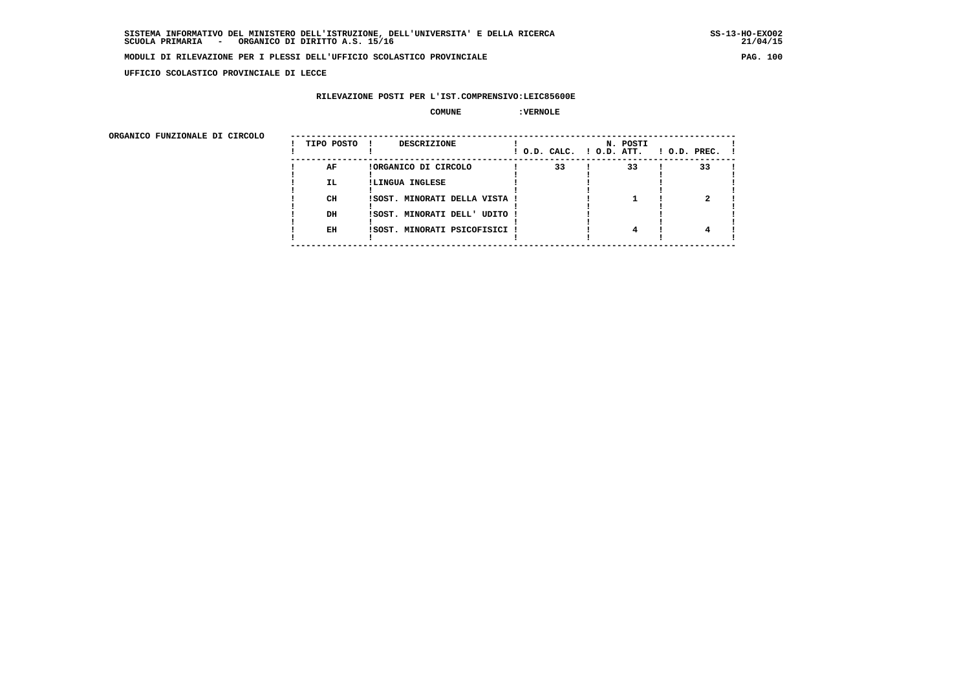**UFFICIO SCOLASTICO PROVINCIALE DI LECCE**

## **RILEVAZIONE POSTI PER L'IST.COMPRENSIVO:LEIC85600E**

## **COMUNE :VERNOLE**

| ORGANICO FUNZIONALE DI CIRCOLO |            |                               |                          |          |                    |
|--------------------------------|------------|-------------------------------|--------------------------|----------|--------------------|
|                                | TIPO POSTO | DESCRIZIONE                   | ! O.D. CALC. ! O.D. ATT. | N. POSTI | $1$ O.D. PREC. $1$ |
|                                | AF         | !ORGANICO DI CIRCOLO          | 33                       | 33       | 33                 |
|                                | IL.        | !LINGUA INGLESE               |                          |          |                    |
|                                | CH         | ISOST. MINORATI DELLA VISTA ! |                          |          |                    |
|                                | DH         | !SOST. MINORATI DELL' UDITO ! |                          |          |                    |
|                                | EH         | !SOST. MINORATI PSICOFISICI ! |                          | 4        |                    |
|                                |            |                               |                          |          |                    |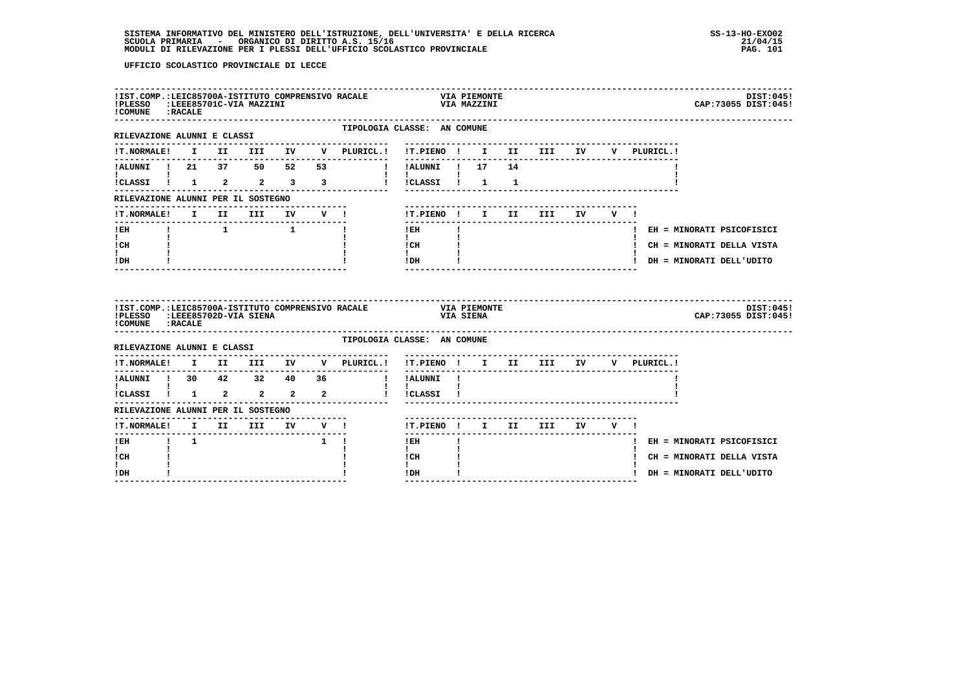| ! COMUNE : RACALE                                                       |             | !IST.COMP.:LEIC85700A-ISTITUTO COMPRENSIVO RACALE<br>!PLESSO :LEEE85701C-VIA MAZZINI |             |                                                                                                                                                                                         |                                                              |              | <b>VIA PIEMONTE</b><br>VIA MAZZINI |                 |                                   |        |                                    | DIST:045!<br>CAP: 73055 DIST: 045! |
|-------------------------------------------------------------------------|-------------|--------------------------------------------------------------------------------------|-------------|-----------------------------------------------------------------------------------------------------------------------------------------------------------------------------------------|--------------------------------------------------------------|--------------|------------------------------------|-----------------|-----------------------------------|--------|------------------------------------|------------------------------------|
| RILEVAZIONE ALUNNI E CLASSI                                             |             |                                                                                      |             | TIPOLOGIA CLASSE: AN COMUNE<br>--------------                                                                                                                                           |                                                              |              |                                    |                 | -------------------------------   |        |                                    |                                    |
|                                                                         |             |                                                                                      |             |                                                                                                                                                                                         |                                                              |              |                                    |                 |                                   |        | V PLURICL.!                        |                                    |
| !ALUNNI ! 21 37 50 52 53                                                |             |                                                                                      |             |                                                                                                                                                                                         | ! !ALUNNI ! 17                                               |              |                                    | 14              |                                   |        |                                    |                                    |
| <b>I</b> and the state of the state of                                  |             |                                                                                      |             |                                                                                                                                                                                         | $1 \quad 1 \quad$<br>!!CLASSI! 1 1                           |              |                                    |                 |                                   |        |                                    |                                    |
| RILEVAZIONE ALUNNI PER IL SOSTEGNO                                      |             |                                                                                      |             |                                                                                                                                                                                         |                                                              |              |                                    |                 |                                   |        |                                    |                                    |
| <b>!T.NORMALE!</b>                                                      |             | I II III IV V !                                                                      |             |                                                                                                                                                                                         |                                                              |              |                                    | !T.PIENO ! I II | <b>III</b>                        | IV V ! |                                    |                                    |
| $!$ EH                                                                  |             |                                                                                      |             | $\mathbf{I}$                                                                                                                                                                            | --------<br>$!$ EH                                           | $\mathbf{I}$ |                                    |                 |                                   |        |                                    | ! EH = MINORATI PSICOFISICI        |
| $\mathbf{I}$ and $\mathbf{I}$<br>ICH                                    |             |                                                                                      |             |                                                                                                                                                                                         | $\mathbf{I}$ and $\mathbf{I}$<br>$\frac{1}{1}$ $\frac{1}{1}$ |              |                                    |                 |                                   |        |                                    | ! CH = MINORATI DELLA VISTA        |
| t i<br>! DH                                                             |             |                                                                                      |             |                                                                                                                                                                                         | $!$ DH                                                       |              |                                    |                 | _________________________________ |        |                                    | ! DH = MINORATI DELL'UDITO         |
|                                                                         |             |                                                                                      |             |                                                                                                                                                                                         |                                                              |              |                                    |                 |                                   |        |                                    |                                    |
| !PLESSO<br>! COMUNE : RACALE                                            |             | :LEEE85702D-VIA SIENA                                                                |             | !IST.COMP.:LEIC85700A-ISTITUTO COMPRENSIVO RACALE VIA PIEMONTE                                                                                                                          |                                                              |              | VIA SIENA                          |                 |                                   |        |                                    | DIST:045!<br>CAP: 73055 DIST: 045! |
| RILEVAZIONE ALUNNI E CLASSI                                             |             |                                                                                      |             | TIPOLOGIA CLASSE: AN COMUNE                                                                                                                                                             |                                                              |              |                                    |                 |                                   |        |                                    |                                    |
|                                                                         |             |                                                                                      |             | $\verb !T.NORMALE  \hspace{2.5cm} \text{I} \hspace{2.5cm} \text{II} \hspace{2.5cm} \text{III} \hspace{2.5cm} \text{IV} \hspace{2.5cm} \text{V} \hspace{2.5cm} \text{PLURICL.} \text{!}$ |                                                              |              |                                    |                 |                                   |        | !T.PIENO ! I II III IV V PLURICL.! |                                    |
| ---------                                                               |             |                                                                                      |             |                                                                                                                                                                                         | --------<br>! !ALUNNI !                                      |              |                                    |                 |                                   |        |                                    |                                    |
| 1.ALUNNI 1 30 42 32 40 36<br>1 1 30 42 32 40 36<br>1.CLASSI 1 1 2 2 2 2 |             |                                                                                      |             | $\mathbf{I}$                                                                                                                                                                            | <b>Contract Contract</b><br>! !CLASSI !                      |              |                                    |                 |                                   |        |                                    |                                    |
| RILEVAZIONE ALUNNI PER IL SOSTEGNO                                      |             |                                                                                      |             |                                                                                                                                                                                         |                                                              |              |                                    |                 |                                   |        |                                    |                                    |
| !T.NORMALE! I II III IV V !                                             |             |                                                                                      |             |                                                                                                                                                                                         | ------                                                       |              |                                    |                 | !T.PIENO ! I II III IV V !        |        |                                    |                                    |
| $!$ EH                                                                  | $1 \quad 1$ |                                                                                      | $1 \quad 1$ |                                                                                                                                                                                         | $!$ EH                                                       |              |                                    |                 |                                   |        |                                    | ! EH = MINORATI PSICOFISICI        |
| $\mathbf{I}$<br>! CH<br>I.                                              |             |                                                                                      |             |                                                                                                                                                                                         | $\mathbf{I}$<br>! CH<br>$\mathbf{I}$                         |              |                                    |                 |                                   |        |                                    | ! CH = MINORATI DELLA VISTA        |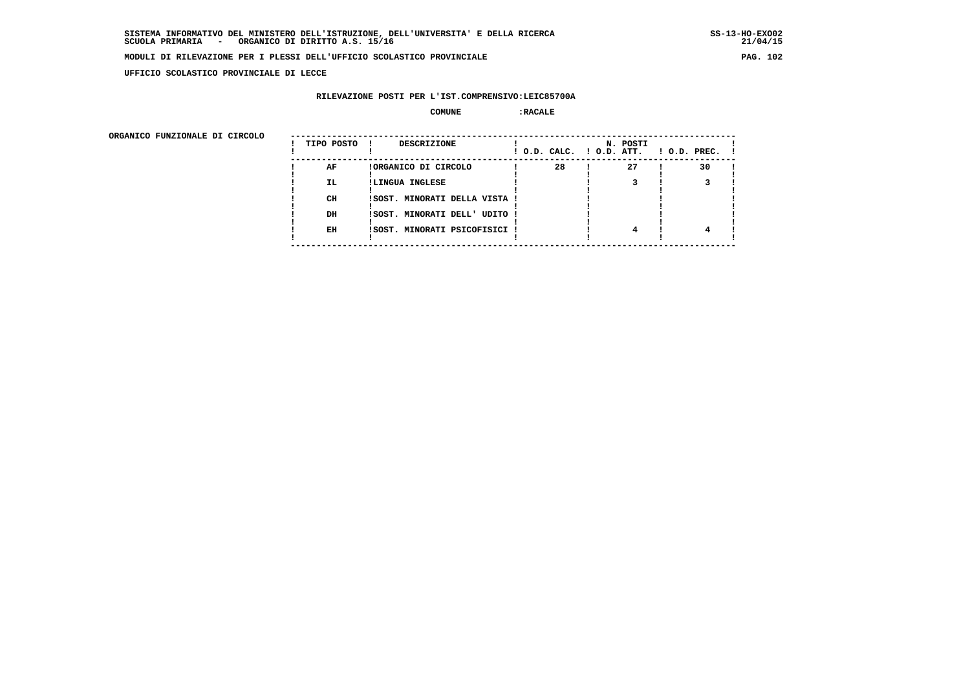**UFFICIO SCOLASTICO PROVINCIALE DI LECCE**

### **RILEVAZIONE POSTI PER L'IST.COMPRENSIVO:LEIC85700A**

#### **COMUNE :RACALE**

 **ORGANICO FUNZIONALE DI CIRCOLO --------------------------------------------------------------------------------------**

| ORGANICO FUNZIONALE DI CIRCOLO | TIPO POSTO | <b>DESCRIZIONE</b>            | ! O.D. CALC. ! O.D. ATT. | N. POSTI | $1$ O.D. PREC. $1$ |
|--------------------------------|------------|-------------------------------|--------------------------|----------|--------------------|
|                                | AF         | !ORGANICO DI CIRCOLO          | 28                       | 27       | 30                 |
|                                | <b>IL</b>  | !LINGUA INGLESE               |                          |          |                    |
|                                | CH         | ISOST. MINORATI DELLA VISTA ! |                          |          |                    |
|                                | DH         | ! SOST. MINORATI DELL' UDITO! |                          |          |                    |
|                                | EH         | !SOST. MINORATI PSICOFISICI ! |                          |          |                    |
|                                |            |                               |                          |          |                    |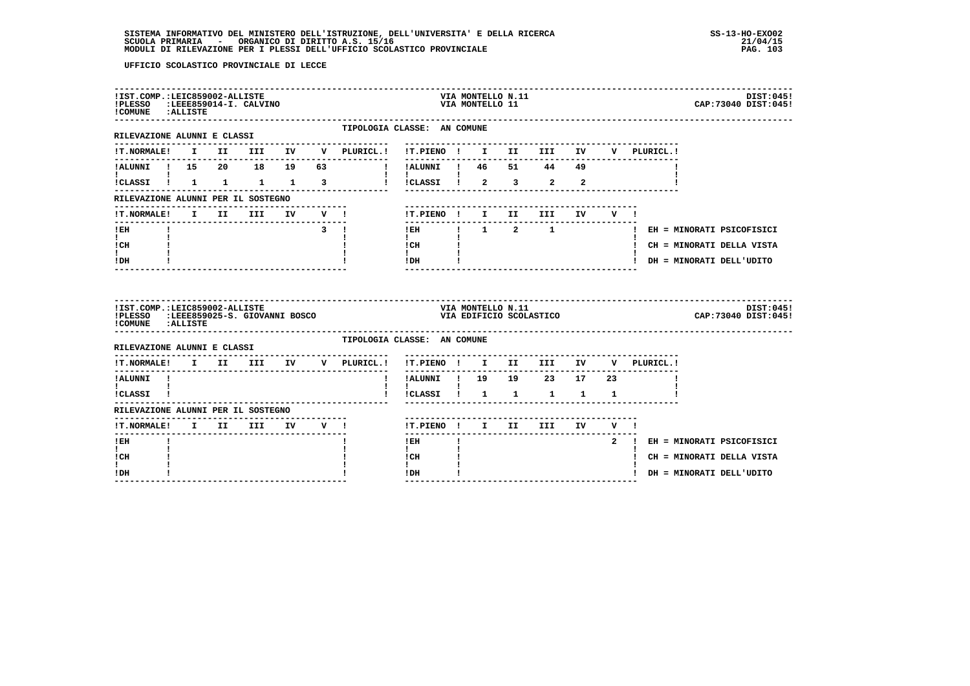| !IST.COMP.:LEIC859002-ALLISTE<br>!PLESSO :LEEE859014-I. CALVINO<br>!COMUNE : ALLISTE |                                       |                 |                               |                     |                                                  |  | VIA MONTELLO N.11<br>VIA MONTELLO 11 |                                                             |       |             | DIST: 045!<br>CAP: 73040 DIST: 045!       |
|--------------------------------------------------------------------------------------|---------------------------------------|-----------------|-------------------------------|---------------------|--------------------------------------------------|--|--------------------------------------|-------------------------------------------------------------|-------|-------------|-------------------------------------------|
| RILEVAZIONE ALUNNI E CLASSI                                                          |                                       |                 |                               |                     | TIPOLOGIA CLASSE: AN COMUNE                      |  |                                      |                                                             |       |             |                                           |
|                                                                                      |                                       |                 |                               |                     |                                                  |  |                                      |                                                             |       | V PLURICL.! |                                           |
| !ALUNNI ! 15  20  18  19  63                                                         |                                       |                 |                               | $\mathbf{I}$        |                                                  |  |                                      |                                                             |       |             |                                           |
| $\mathbf{I}$ and $\mathbf{I}$ and $\mathbf{I}$<br>!CLASSI ! 1 1 1 1 3                |                                       |                 |                               |                     | $\mathbf{I}$ $\mathbf{I}$<br>1 ICLASSI 1 2 3 2 2 |  |                                      |                                                             |       |             |                                           |
| RILEVAZIONE ALUNNI PER IL SOSTEGNO                                                   |                                       |                 |                               |                     |                                                  |  |                                      |                                                             |       |             |                                           |
| !T.NORMALE!                                                                          |                                       | I II III IV V ! |                               |                     | !T.PIENO ! I II III                              |  |                                      |                                                             | IV V! |             |                                           |
| $!$ EH                                                                               |                                       |                 | $\overline{3}$ $\overline{1}$ |                     | --------                                         |  |                                      |                                                             |       |             | IEH ! 1 2 1 1 I EH = MINORATI PSICOFISICI |
| $\mathbf{I}$ and $\mathbf{I}$<br>! CH                                                |                                       |                 |                               |                     | $\mathbf{I}$<br>! CH                             |  |                                      |                                                             |       |             | ! CH = MINORATI DELLA VISTA               |
| $\mathbf{I}$<br>! DH                                                                 |                                       |                 |                               |                     | $\mathbf{I}$<br>! DH                             |  |                                      |                                                             |       |             | ! DH = MINORATI DELL'UDITO                |
|                                                                                      |                                       |                 |                               |                     |                                                  |  |                                      |                                                             |       |             |                                           |
| !IST.COMP.:LEIC859002-ALLISTE<br>!PLESSO<br>!COMUNE : ALLISTE                        | :LEEE859025-S. GIOVANNI BOSCO         |                 |                               |                     |                                                  |  | VIA MONTELLO N.11                    | --------------------------------<br>VIA EDIFICIO SCOLASTICO |       |             | DIST:045!<br>CAP:73040 DIST:045!          |
| RILEVAZIONE ALUNNI E CLASSI                                                          |                                       |                 |                               |                     | TIPOLOGIA CLASSE: AN COMUNE                      |  |                                      |                                                             |       |             |                                           |
| !T.NORMALE! I II III                                                                 |                                       |                 |                               | .<br>IV V PLURICL.! | !T.PIENO ! I II III IV                           |  |                                      |                                                             |       | V PLURICL.! |                                           |
| ---------<br>!ALUNNI !                                                               | ------------------------------------- |                 |                               |                     | !ALUNNI ! 19  19  23  17  23                     |  |                                      |                                                             |       |             |                                           |
| $\mathbf{I}$ and $\mathbf{I}$ are all $\mathbf{I}$<br>!CLASSI !                      |                                       |                 |                               |                     | $\mathbf{I}$<br>!CLASSI ! 1 1 1 1 1              |  |                                      |                                                             |       |             |                                           |
| RILEVAZIONE ALUNNI PER IL SOSTEGNO                                                   |                                       |                 |                               |                     |                                                  |  |                                      |                                                             |       |             |                                           |
| !T.NORMALE! I II III IV V !                                                          |                                       |                 |                               |                     | !T.PIENO ! I II III IV V !                       |  |                                      |                                                             |       |             |                                           |
| --------------<br>! EH                                                               |                                       |                 |                               |                     | $!$ EH                                           |  |                                      |                                                             |       |             | 2 ! EH = MINORATI PSICOFISICI             |
| $\mathbf{I}$<br>! CH<br>I.                                                           |                                       |                 |                               |                     | $\mathbf{I}$<br>! CH<br>$\mathbf{I}$             |  |                                      |                                                             |       |             | ! CH = MINORATI DELLA VISTA               |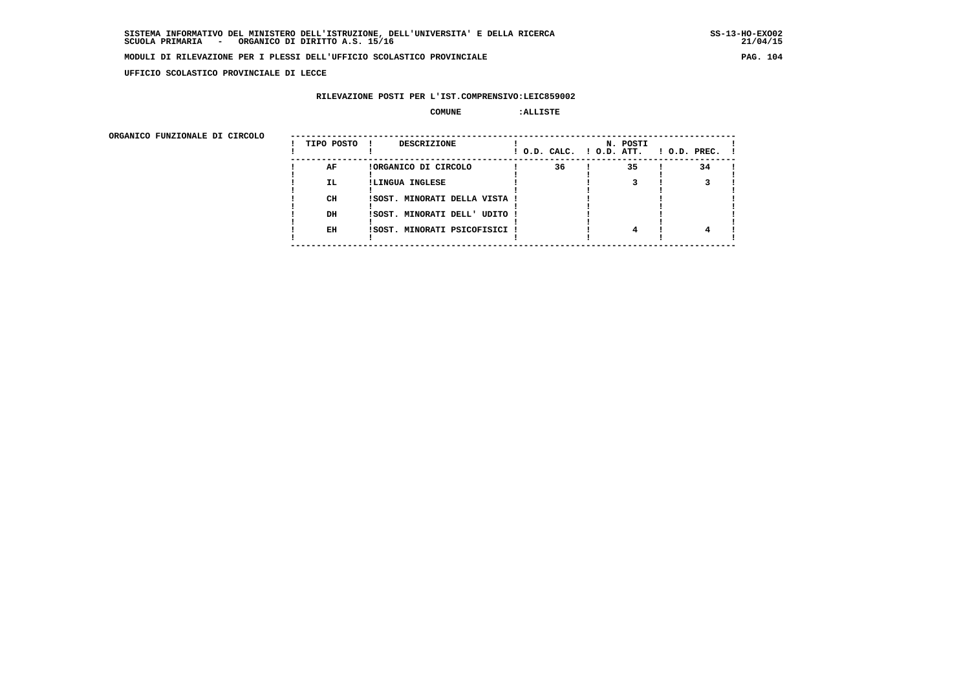**UFFICIO SCOLASTICO PROVINCIALE DI LECCE**

### **RILEVAZIONE POSTI PER L'IST.COMPRENSIVO:LEIC859002**

#### **COMUNE :ALLISTE**

| ORGANICO FUNZIONALE DI CIRCOLO |            |                               |                          |          |                    |
|--------------------------------|------------|-------------------------------|--------------------------|----------|--------------------|
|                                | TIPO POSTO | DESCRIZIONE                   | ! O.D. CALC. ! O.D. ATT. | N. POSTI | $1$ O.D. PREC. $1$ |
|                                | AF         | !ORGANICO DI CIRCOLO          | 36                       | 35       | 34                 |
|                                | IL.        | !LINGUA INGLESE               |                          |          |                    |
|                                | CH         | !SOST. MINORATI DELLA VISTA ! |                          |          |                    |
|                                | DH         | !SOST. MINORATI DELL' UDITO ! |                          |          |                    |
|                                | EH         | !SOST. MINORATI PSICOFISICI ! |                          | 4        |                    |
|                                |            |                               |                          |          |                    |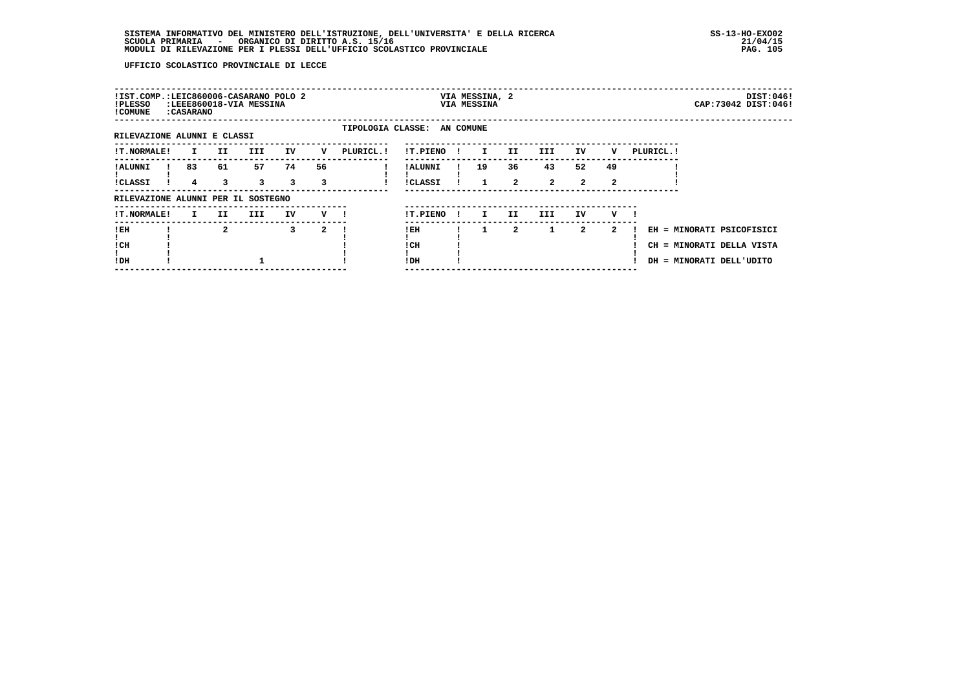| !IST.COMP.:LEIC860006-CASARANO POLO 2<br>!PLESSO<br>! COMUNE | : CASARANO   |              | :LEEE860018-VIA MESSINA |         |         |                             |                     |    | VIA MESSINA, 2<br>VIA MESSINA |                    |                      |                            |         |            |                                                                                    | DIST:046!<br>CAP: 73042 DIST: 046! |
|--------------------------------------------------------------|--------------|--------------|-------------------------|---------|---------|-----------------------------|---------------------|----|-------------------------------|--------------------|----------------------|----------------------------|---------|------------|------------------------------------------------------------------------------------|------------------------------------|
| RILEVAZIONE ALUNNI E CLASSI                                  |              |              |                         |         |         | TIPOLOGIA CLASSE: AN COMUNE |                     |    |                               |                    |                      |                            |         |            |                                                                                    |                                    |
| <b>!T.NORMALE!</b>                                           | $\mathbf{I}$ | II.          | <b>III</b>              | IV      | v       | PLURICL. !                  | !T.PIENO            |    | $\mathbf{I}$                  | II.                | III                  | ΙV                         | v       | PLURICL. ! |                                                                                    |                                    |
| ! ALUNNI<br><b>!CLASSI</b>                                   | 83<br>4      | 61<br>3      | 57<br>3                 | 74<br>3 | 56<br>3 |                             | ! ALUNNI<br>!CLASSI |    | 19                            | 36<br>$\mathbf{2}$ | 43<br>$\overline{2}$ | 52<br>$\mathbf{2}^{\circ}$ | 49<br>2 |            |                                                                                    |                                    |
| RILEVAZIONE ALUNNI PER IL SOSTEGNO                           |              |              |                         |         |         |                             |                     |    |                               |                    |                      |                            |         |            |                                                                                    |                                    |
| !T.NORMALE!                                                  | $\mathbf{I}$ | II.          | III.                    | IV      | v —     |                             | !T.PIENO            | Ι. | I.                            | II.                | III                  | IV                         | v       |            |                                                                                    |                                    |
| !EH<br>! CH<br>!DH                                           |              | $\mathbf{2}$ |                         | 3       | 2       |                             | ! EH<br>! CH<br>!DH |    | 1                             | $\mathbf{2}$       | 1                    | 2                          | 2       |            | EH = MINORATI PSICOFISICI<br>CH = MINORATI DELLA VISTA<br>DH = MINORATI DELL'UDITO |                                    |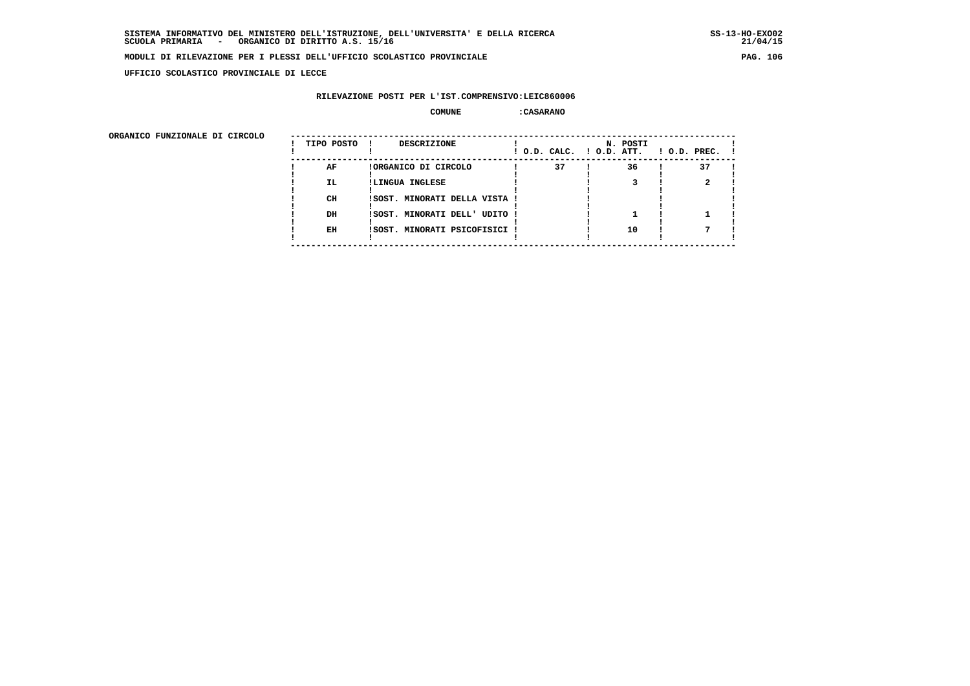**UFFICIO SCOLASTICO PROVINCIALE DI LECCE**

### **RILEVAZIONE POSTI PER L'IST.COMPRENSIVO:LEIC860006**

#### **COMUNE :CASARANO**

| ORGANICO FUNZIONALE DI CIRCOLO |            |                               |                          |          |                    |
|--------------------------------|------------|-------------------------------|--------------------------|----------|--------------------|
|                                | TIPO POSTO | DESCRIZIONE                   | ! O.D. CALC. ! O.D. ATT. | N. POSTI | $1$ O.D. PREC. $1$ |
|                                | AF         | !ORGANICO DI CIRCOLO          | 37                       | 36       | 37                 |
|                                | IL.        | !LINGUA INGLESE               |                          |          |                    |
|                                | CH         | !SOST. MINORATI DELLA VISTA ! |                          |          |                    |
|                                | DH         | !SOST. MINORATI DELL' UDITO ! |                          |          |                    |
|                                | EH         | !SOST. MINORATI PSICOFISICI ! |                          | 10       |                    |
|                                |            |                               |                          |          |                    |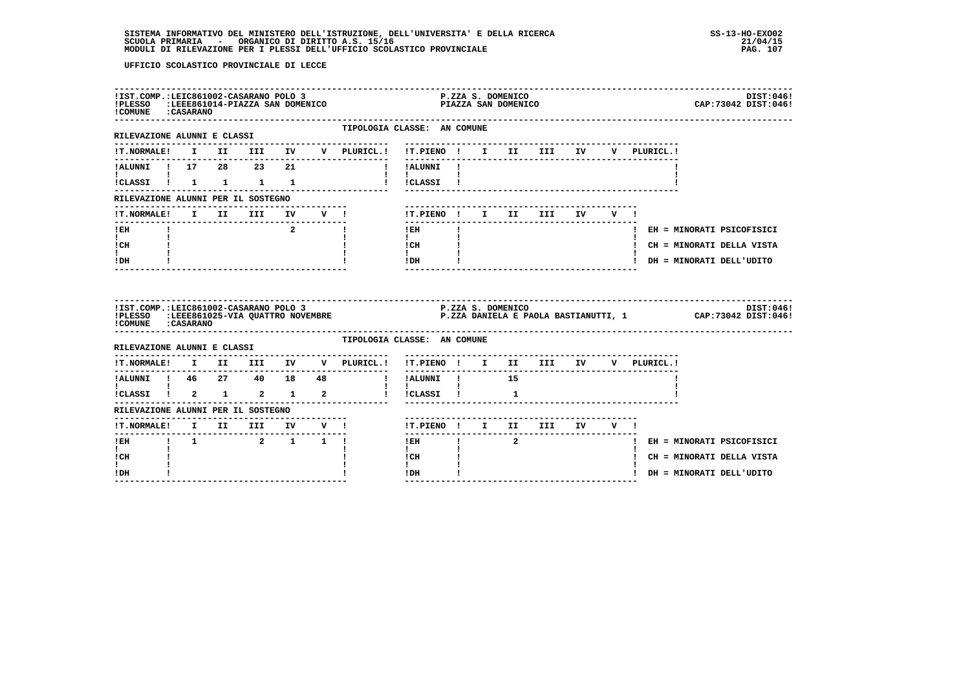| !IST.COMP.:LEIC861002-CASARANO POLO 3<br>! COMUNE : CASARANO |  |                                 |    |            | :ELESSO :LEEE861014-PIAZZA SAN DOMENICO                  |                                                               | P.ZZA S. DOMENICO<br>PIAZZA SAN DOMENICO |    |                                 |       |             | DIST:046!<br>CAP: 73042 DIST: 046!                                                                                                                                                                                        |
|--------------------------------------------------------------|--|---------------------------------|----|------------|----------------------------------------------------------|---------------------------------------------------------------|------------------------------------------|----|---------------------------------|-------|-------------|---------------------------------------------------------------------------------------------------------------------------------------------------------------------------------------------------------------------------|
| ------------------------<br>RILEVAZIONE ALUNNI E CLASSI      |  |                                 |    |            | TIPOLOGIA CLASSE: AN COMUNE                              |                                                               |                                          |    |                                 |       |             |                                                                                                                                                                                                                           |
| <b>!T.NORMALE!</b>                                           |  |                                 |    |            | I II III IV V PLURICL.!                                  | !T.PIENO ! I II III IV                                        |                                          |    |                                 |       | V PLURICL.! |                                                                                                                                                                                                                           |
| !ALUNNI ! 17 28 23                                           |  |                                 | 21 |            |                                                          | ! !ALUNNI !                                                   |                                          |    |                                 |       |             |                                                                                                                                                                                                                           |
| !CLASSI ! 1 1 1 1                                            |  |                                 |    |            |                                                          | $\mathbf{I}$<br>! !CLASSI !                                   |                                          |    |                                 |       |             |                                                                                                                                                                                                                           |
| RILEVAZIONE ALUNNI PER IL SOSTEGNO                           |  |                                 |    |            |                                                          |                                                               |                                          |    |                                 |       |             |                                                                                                                                                                                                                           |
| <b>!T.NORMALE!</b>                                           |  | I II III                        |    | IV V !     |                                                          | !T.PIENO! I II III IV V!                                      |                                          |    |                                 |       |             |                                                                                                                                                                                                                           |
| ! EH                                                         |  |                                 |    | $2^{\sim}$ | $\mathbf{I}$                                             | ! EH                                                          |                                          |    |                                 |       |             | ! EH = MINORATI PSICOFISICI                                                                                                                                                                                               |
| $\mathbf{I}$<br>! CH                                         |  |                                 |    |            |                                                          | $\mathbf{I}$<br>! CH                                          |                                          |    |                                 |       |             | ! CH = MINORATI DELLA VISTA                                                                                                                                                                                               |
|                                                              |  |                                 |    |            |                                                          | $\mathbf{I}$<br>! DH                                          |                                          |    |                                 |       |             | ! DH = MINORATI DELL'UDITO                                                                                                                                                                                                |
| $\mathbf{I}$<br>! DH                                         |  |                                 |    |            |                                                          |                                                               |                                          |    |                                 |       |             |                                                                                                                                                                                                                           |
| ! COMUNE : CASARANO                                          |  |                                 |    |            |                                                          |                                                               |                                          |    |                                 |       |             | 15T.COMP.:LEIC861002-CASARANO POLO 3<br>19T:0461 P.ZZA S. DOMENICO :LEEE861025-VIA QUATTRO NOVEMBRE PROCHA P.ZZA DANIELA E PAOLA BASTIANUTTI, 1 CAP:73042 DIST:0461 (PLESSO :LEEE861025-VIA QUATTRO NOVEMBRE<br>DIST:046! |
| RILEVAZIONE ALUNNI E CLASSI                                  |  |                                 |    |            | TIPOLOGIA CLASSE: AN COMUNE                              |                                                               |                                          |    |                                 |       |             |                                                                                                                                                                                                                           |
| <b>!T.NORMALE!</b>                                           |  | I II III IV                     |    |            | V PLURICL.!                                              | !T.PIENO ! I II III IV                                        |                                          |    | ------------------------------- |       | V PLURICL.! |                                                                                                                                                                                                                           |
| !ALUNNI ! 46  27  40  18  48                                 |  |                                 |    |            | --------------------------------------<br>$\blacksquare$ | ----------<br>! ALUNNI !                                      |                                          | 15 |                                 |       |             |                                                                                                                                                                                                                           |
| !CLASSI ! 2 1 2 1                                            |  |                                 |    | $\sim$ 2   |                                                          | $\mathbf{I}$ and $\mathbf{I}$ and $\mathbf{I}$<br>! !CLASSI ! |                                          | 1  |                                 |       |             |                                                                                                                                                                                                                           |
| RILEVAZIONE ALUNNI PER IL SOSTEGNO                           |  |                                 |    |            |                                                          |                                                               |                                          |    |                                 |       |             |                                                                                                                                                                                                                           |
| !T.NORMALE! I II III IV V !                                  |  | ------------------------------- |    |            |                                                          | !T.PIENO ! I II III                                           |                                          |    | ---------------------           | IV V! |             |                                                                                                                                                                                                                           |
| ----------------<br>$!$ EH                                   |  |                                 |    |            |                                                          | ! EH                                                          | $\frac{1}{2}$ and $\frac{1}{2}$          |    |                                 |       |             | ! EH = MINORATI PSICOFISICI                                                                                                                                                                                               |
| $\mathbf{I}$<br>! CH                                         |  |                                 |    |            |                                                          | $\mathbf{I}$<br>! CH                                          |                                          |    |                                 |       |             | ! CH = MINORATI DELLA VISTA                                                                                                                                                                                               |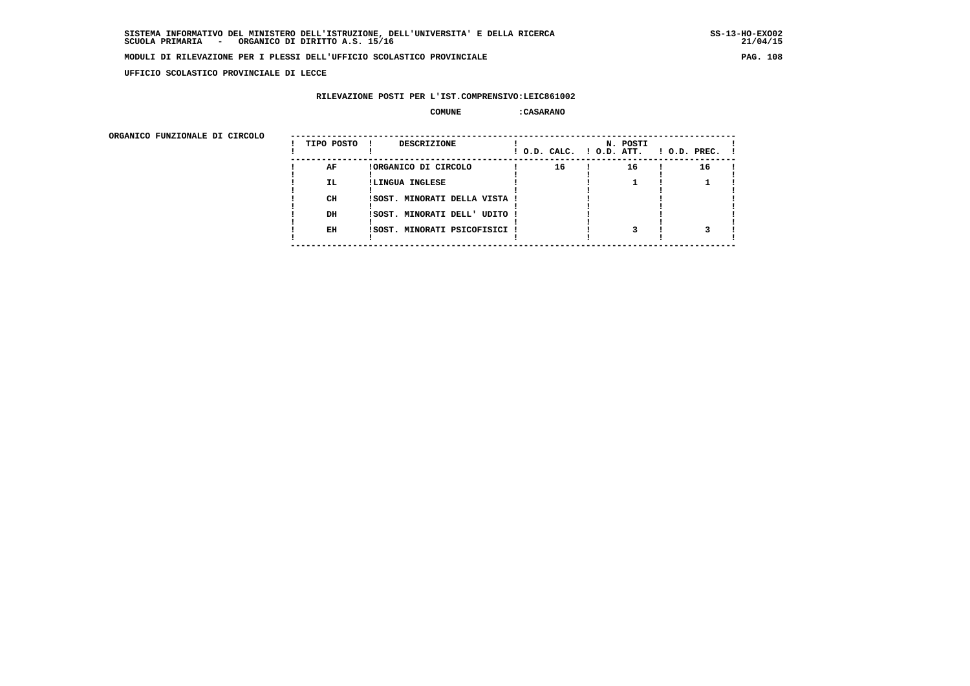**UFFICIO SCOLASTICO PROVINCIALE DI LECCE**

## **RILEVAZIONE POSTI PER L'IST.COMPRENSIVO:LEIC861002**

#### **COMUNE :CASARANO**

ORGANICO FUNZIONALE DI CIRCOLO

| ORGANICO FUNZIONALE DI CIRCOLO |            |                               |    |                                      |                    |
|--------------------------------|------------|-------------------------------|----|--------------------------------------|--------------------|
|                                | TIPO POSTO | DESCRIZIONE                   |    | N. POSTI<br>! O.D. CALC. ! O.D. ATT. | $!$ 0.D. PREC. $!$ |
|                                | AF         | !ORGANICO DI CIRCOLO          | 16 | 16                                   | 16                 |
|                                | IL.        | !LINGUA INGLESE               |    |                                      |                    |
|                                |            |                               |    |                                      |                    |
|                                | CH         | !SOST. MINORATI DELLA VISTA ! |    |                                      |                    |
|                                |            |                               |    |                                      |                    |
|                                | DH         | !SOST. MINORATI DELL' UDITO ! |    |                                      |                    |
|                                |            |                               |    |                                      |                    |
|                                | EH         | !SOST. MINORATI PSICOFISICI ! |    |                                      |                    |
|                                |            |                               |    |                                      |                    |
|                                |            |                               |    |                                      |                    |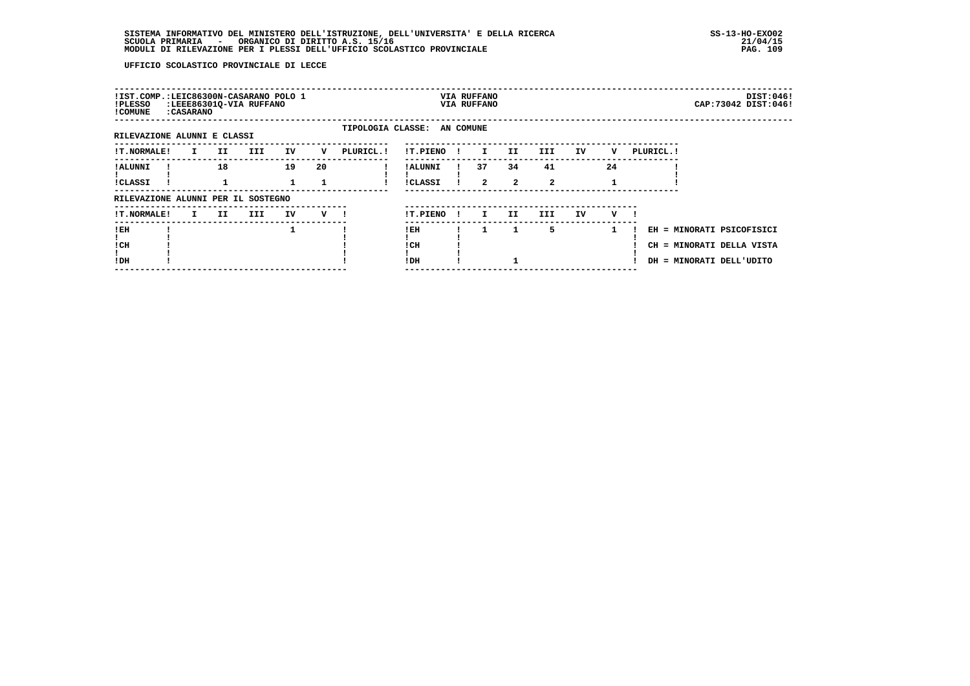| !IST.COMP.:LEIC86300N-CASARANO POLO 1<br>!PLESSO<br>! COMUNE | :LEEE86301Q-VIA RUFFANO<br>: CASARANO |     |            |    |     |                             |                     |              | VIA RUFFANO<br>VIA RUFFANO |                      |                    |    |    |            |                                                       | DIST:046!<br>CAP: 73042 DIST: 046! |
|--------------------------------------------------------------|---------------------------------------|-----|------------|----|-----|-----------------------------|---------------------|--------------|----------------------------|----------------------|--------------------|----|----|------------|-------------------------------------------------------|------------------------------------|
| RILEVAZIONE ALUNNI E CLASSI                                  |                                       |     |            |    |     | TIPOLOGIA CLASSE: AN COMUNE |                     |              |                            |                      |                    |    |    |            |                                                       |                                    |
| <b>!T.NORMALE!</b>                                           | $\mathbf{I}$                          | II. | <b>III</b> | IV | v   | PLURICL. !                  | !T.PIENO            | $\mathbf{I}$ | $\mathbf{I}$               | II.                  | III                | IV | v  | PLURICL. ! |                                                       |                                    |
| ! ALUNNI<br><b>!CLASSI</b>                                   |                                       | 18  |            | 19 | 20  |                             | ! ALUNNI<br>!CLASSI |              | 37<br>$\mathbf{2}$         | 34<br>$\overline{2}$ | 41<br>$\mathbf{2}$ |    | 24 |            |                                                       |                                    |
| RILEVAZIONE ALUNNI PER IL SOSTEGNO                           |                                       |     |            |    |     |                             |                     |              |                            |                      |                    |    |    |            |                                                       |                                    |
| !T.NORMALE!                                                  | I.                                    | II. | III        | IV | v — |                             | !T.PIENO            | -11          | I.                         | II                   | III.               | IV | v  |            |                                                       |                                    |
| !EH<br>! CH<br>!DH                                           |                                       |     |            | 1  |     |                             | !EH<br>! CH<br>!DH  |              | 1.                         | 1                    | 5                  |    | 1  |            | CH = MINORATI DELLA VISTA<br>DH = MINORATI DELL'UDITO | EH = MINORATI PSICOFISICI          |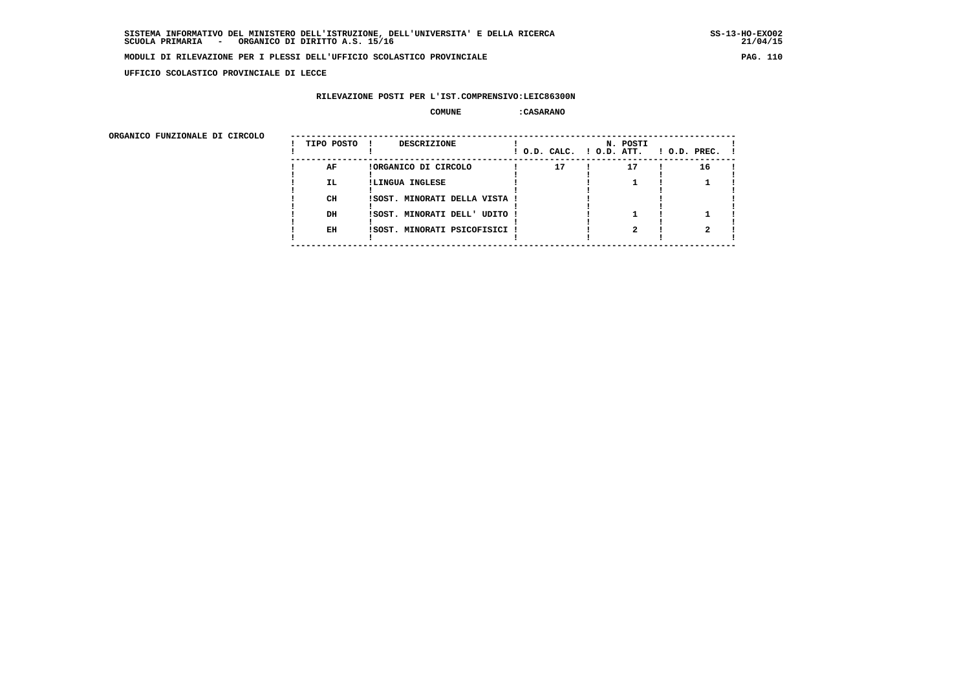**UFFICIO SCOLASTICO PROVINCIALE DI LECCE**

### **RILEVAZIONE POSTI PER L'IST.COMPRENSIVO:LEIC86300N**

#### **COMUNE :CASARANO**

ORGANICO FUNZIONALE DI CIRCOLO

| ORGANICO FUNZIONALE DI CIRCOLO |            |                               |                          |          |                    |
|--------------------------------|------------|-------------------------------|--------------------------|----------|--------------------|
|                                | TIPO POSTO | DESCRIZIONE<br>. .            | ! O.D. CALC. ! O.D. ATT. | N. POSTI | $!$ 0.D. PREC. $!$ |
|                                | AF         | !ORGANICO DI CIRCOLO          | 17                       | 17       | 16                 |
|                                | IL.        | !LINGUA INGLESE               |                          |          |                    |
|                                |            |                               |                          |          |                    |
|                                | CH         | !SOST. MINORATI DELLA VISTA ! |                          |          |                    |
|                                |            |                               |                          |          |                    |
|                                | DH         | !SOST. MINORATI DELL' UDITO ! |                          |          |                    |
|                                |            |                               |                          |          |                    |
|                                | EH         | !SOST. MINORATI PSICOFISICI ! |                          |          |                    |
|                                |            |                               |                          |          |                    |
|                                |            |                               |                          |          |                    |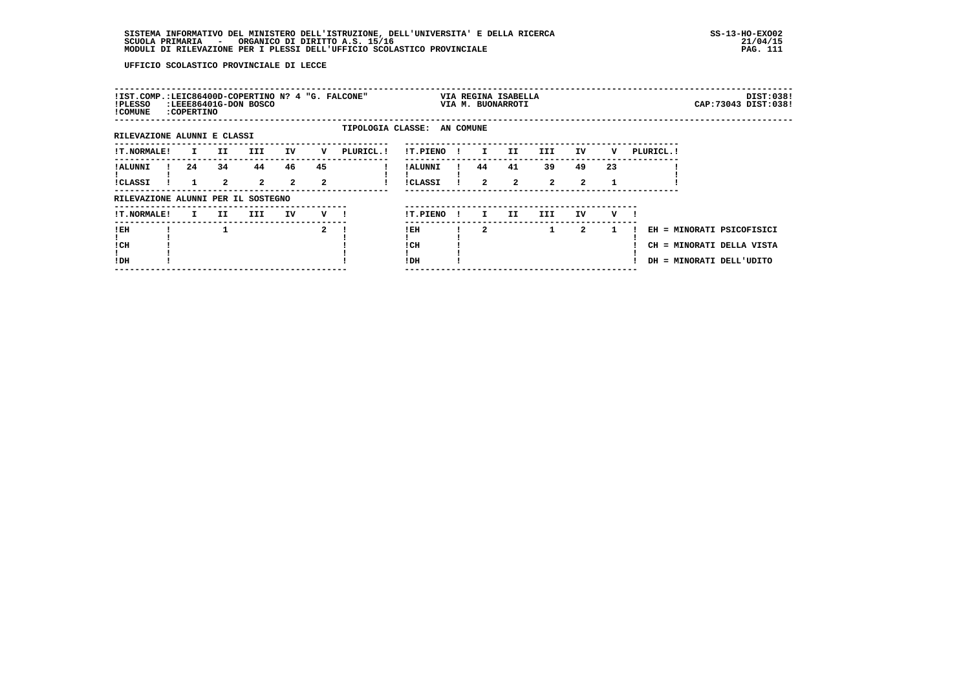| !IST.COMP.:LEIC86400D-COPERTINO N? 4 "G. FALCONE"<br>!PLESSO<br>! COMUNE | :LEEE86401G-DON BOSCO<br>:COPERTINO |                    |                    |                      |         |                             |                     |              |                    | VIA REGINA ISABELLA<br>VIA M. BUONARROTI |                    |                            |    |            |                                                                                    | DIST:038!<br>CAP: 73043 DIST: 038! |
|--------------------------------------------------------------------------|-------------------------------------|--------------------|--------------------|----------------------|---------|-----------------------------|---------------------|--------------|--------------------|------------------------------------------|--------------------|----------------------------|----|------------|------------------------------------------------------------------------------------|------------------------------------|
| RILEVAZIONE ALUNNI E CLASSI                                              |                                     |                    |                    |                      |         | TIPOLOGIA CLASSE: AN COMUNE |                     |              |                    |                                          |                    |                            |    |            |                                                                                    |                                    |
| <b>!T.NORMALE!</b>                                                       | I.                                  | II.                | III.               | IV                   | v       | PLURICL. !                  | !T.PIENO            |              | I.                 | II.                                      | III                | IV                         | v  | PLURICL. ! |                                                                                    |                                    |
| ! ALUNNI<br><b>!CLASSI</b>                                               | 24                                  | 34<br>$\mathbf{2}$ | 44<br>$\mathbf{2}$ | 46<br>$\overline{a}$ | 45<br>2 |                             | ! ALUNNI<br>!CLASSI |              | 44<br>$\mathbf{2}$ | 41<br>$\mathbf{2}$                       | 39<br>$\mathbf{2}$ | 49<br>$\mathbf{2}^{\circ}$ | 23 |            |                                                                                    |                                    |
| RILEVAZIONE ALUNNI PER IL SOSTEGNO                                       |                                     |                    |                    |                      |         |                             |                     |              |                    |                                          |                    |                            |    |            |                                                                                    |                                    |
| <b>!T.NORMALE!</b>                                                       | I.                                  | II.                | III.               | IV                   | v       |                             | !T.PIENO            | $\mathbf{I}$ | I.                 | II.                                      | III.               | IV                         | v  |            |                                                                                    |                                    |
| !EH<br>! CH<br>!DH                                                       |                                     |                    |                    |                      | 2       |                             | !EH<br>! CH<br>!DH  |              | $\overline{a}$     |                                          | $\mathbf{1}$       | 2                          | 1  |            | EH = MINORATI PSICOFISICI<br>CH = MINORATI DELLA VISTA<br>DH = MINORATI DELL'UDITO |                                    |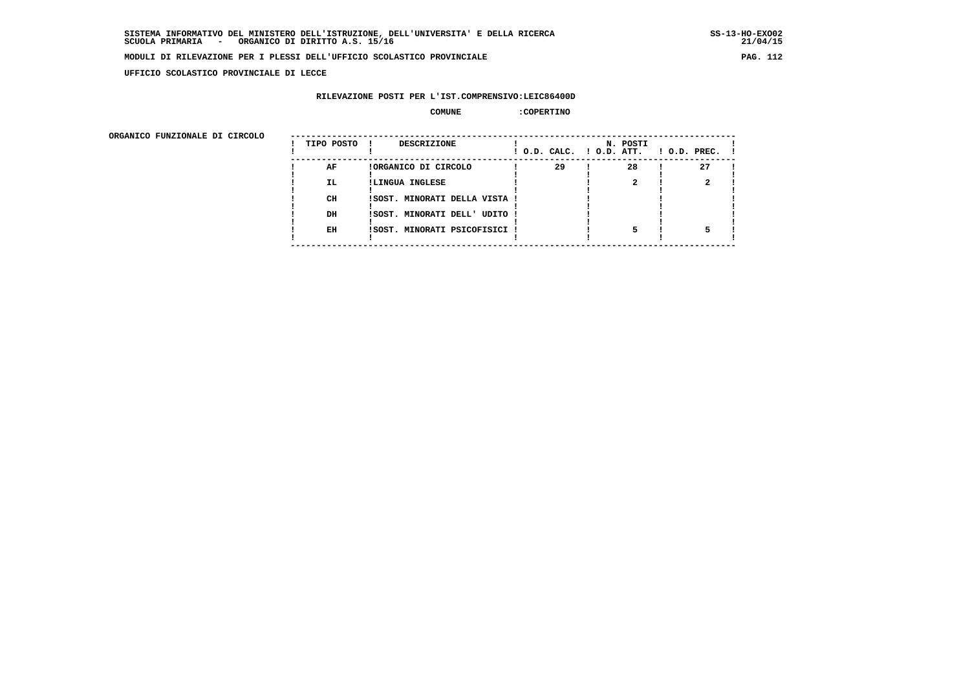**UFFICIO SCOLASTICO PROVINCIALE DI LECCE**

# **RILEVAZIONE POSTI PER L'IST.COMPRENSIVO:LEIC86400D**

# **COMUNE :COPERTINO**

| ORGANICO FUNZIONALE DI CIRCOLO |            |                               |                          |          |                    |
|--------------------------------|------------|-------------------------------|--------------------------|----------|--------------------|
|                                | TIPO POSTO | DESCRIZIONE                   | ! O.D. CALC. ! O.D. ATT. | N. POSTI | $1$ O.D. PREC. $1$ |
|                                | AF         | !ORGANICO DI CIRCOLO          | 29                       | 28       | 27                 |
|                                | IL.        | !LINGUA INGLESE               |                          |          |                    |
|                                | CH         | ISOST. MINORATI DELLA VISTA ! |                          |          |                    |
|                                | DH         | !SOST. MINORATI DELL' UDITO ! |                          |          |                    |
|                                | EH         | !SOST. MINORATI PSICOFISICI ! |                          |          |                    |
|                                |            |                               |                          |          |                    |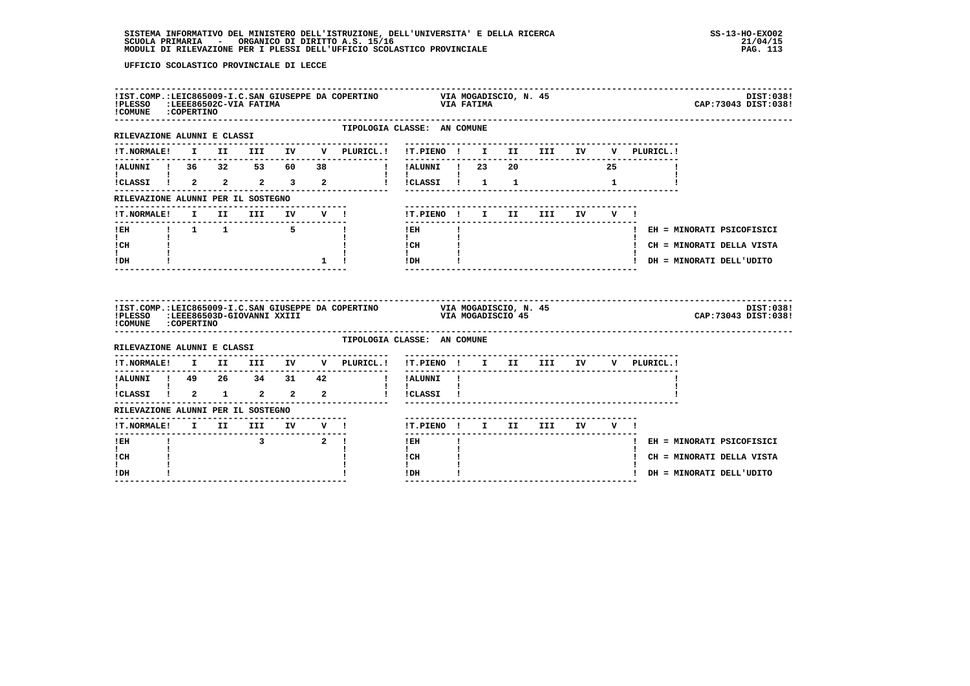| !COMUNE : COPERTINO                            |  | ------------------------         |  | !IST.COMP.:LEIC865009-I.C.SAN GIUSEPPE DA COPERTINO VIA MOGADISCIO, N. 45<br>!PLESSO :LEEE86502C-VIA FATIMA                        |                                                                                                     |  |                               |              |             | DIST:038!<br>CAP: 73043 DIST: 038! |
|------------------------------------------------|--|----------------------------------|--|------------------------------------------------------------------------------------------------------------------------------------|-----------------------------------------------------------------------------------------------------|--|-------------------------------|--------------|-------------|------------------------------------|
| RILEVAZIONE ALUNNI E CLASSI                    |  |                                  |  | TIPOLOGIA CLASSE: AN COMUNE                                                                                                        |                                                                                                     |  |                               |              |             |                                    |
|                                                |  |                                  |  |                                                                                                                                    |                                                                                                     |  |                               |              | V PLURICL.! |                                    |
| !ALUNNI ! 36 32 53 60 38                       |  |                                  |  |                                                                                                                                    |                                                                                                     |  |                               |              |             |                                    |
| $\mathbf{I}$ and $\mathbf{I}$ and $\mathbf{I}$ |  |                                  |  | $ICLASSI$ $\begin{array}{ccccccccccccc}\n1 & 2 & 2 & 2 & 3 & 2 & 1 & 1\n\end{array}$                                               | $\mathbf{I}$ and $\mathbf{I}$ and $\mathbf{I}$                                                      |  |                               | $\mathbf{1}$ |             |                                    |
| RILEVAZIONE ALUNNI PER IL SOSTEGNO             |  |                                  |  |                                                                                                                                    |                                                                                                     |  |                               |              |             |                                    |
| !T.NORMALE!                                    |  |                                  |  | I II III IV V!                                                                                                                     | !T.PIENO ! I II                                                                                     |  | <b>III</b>                    | IV V !       |             |                                    |
|                                                |  |                                  |  |                                                                                                                                    | $1$ EH                                                                                              |  |                               |              |             | ! EH = MINORATI PSICOFISICI        |
| $\mathbf{I}$ and $\mathbf{I}$<br>ICH           |  |                                  |  | $\mathbf{I}$                                                                                                                       | $\mathbf{I}$ and $\mathbf{I}$                                                                       |  |                               |              |             | ! CH = MINORATI DELLA VISTA        |
| <b>Links</b><br>$!$ DH                         |  |                                  |  | $1 \quad 1$                                                                                                                        | $\begin{tabular}{ccccc} i CH & & & & & \\ 1 & & & & 1 \\ 1 & & & 1 \\ 1DH & & & 1 \\ \end{tabular}$ |  |                               |              |             | ! DH = MINORATI DELL'UDITO         |
|                                                |  |                                  |  |                                                                                                                                    |                                                                                                     |  |                               |              |             |                                    |
| !COMUNE : COPERTINO                            |  |                                  |  | !IST.COMP.:LEIC865009-I.C.SAN GIUSEPPE DA COPERTINO               VIA MOGADISCIO, N. 45<br>!PLESSO   :LEEE86503D-GIOVANNI XXIII    |                                                                                                     |  |                               |              |             | DIST:038!<br>CAP: 73043 DIST: 038! |
| RILEVAZIONE ALUNNI E CLASSI                    |  |                                  |  | TIPOLOGIA CLASSE: AN COMUNE                                                                                                        |                                                                                                     |  |                               |              |             |                                    |
|                                                |  |                                  |  |                                                                                                                                    | !T.PIENO ! I II III IV                                                                              |  |                               |              | V PLURICL.! |                                    |
|                                                |  |                                  |  | $\verb !T.NORMALE! \quad I \quad II \quad III \quad IV \quad V \quad \verb PLURICL. !$<br>!ALUNNI ! 49  26  34  31  42  !!ALUNNI ! |                                                                                                     |  | ----------------------------- |              |             |                                    |
| $\mathbf{I}$ and $\mathbf{I}$ and $\mathbf{I}$ |  |                                  |  | .<br>ICLASSI 1 2 1 2 2 2 1 ICLASSI 1                                                                                               | $\mathbf{I}$                                                                                        |  |                               |              |             |                                    |
| RILEVAZIONE ALUNNI PER IL SOSTEGNO             |  |                                  |  |                                                                                                                                    |                                                                                                     |  |                               |              |             |                                    |
|                                                |  | -------------------------------- |  |                                                                                                                                    |                                                                                                     |  | !T.PIENO ! I II III IV V !    |              |             |                                    |
| ! EH                                           |  | $\overline{3}$ $\overline{2}$ !  |  |                                                                                                                                    | $!$ EH                                                                                              |  | -------------------------     |              |             | ! EH = MINORATI PSICOFISICI        |
| $\mathbf{I}$<br>! CH<br>I.                     |  |                                  |  |                                                                                                                                    | $\mathbf{I}$<br>! CH<br>$\mathbf{I}$                                                                |  |                               |              |             | ! CH = MINORATI DELLA VISTA        |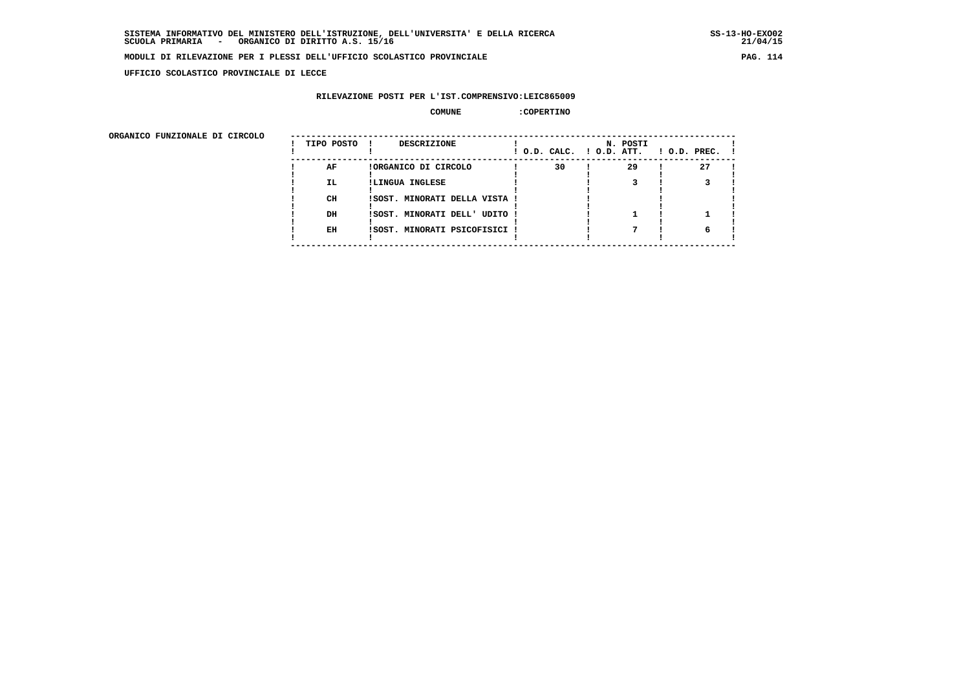**UFFICIO SCOLASTICO PROVINCIALE DI LECCE**

# **RILEVAZIONE POSTI PER L'IST.COMPRENSIVO:LEIC865009**

#### **COMUNE :COPERTINO**

| ORGANICO FUNZIONALE DI CIRCOLO |            |                               |                          |          |                    |
|--------------------------------|------------|-------------------------------|--------------------------|----------|--------------------|
|                                | TIPO POSTO | DESCRIZIONE                   | ! O.D. CALC. ! O.D. ATT. | N. POSTI | $1$ O.D. PREC. $1$ |
|                                | AF         | !ORGANICO DI CIRCOLO          | 30                       | 29       | 27                 |
|                                | IL.        | !LINGUA INGLESE               |                          |          |                    |
|                                | CH         | !SOST. MINORATI DELLA VISTA ! |                          |          |                    |
|                                | DH         | !SOST. MINORATI DELL' UDITO ! |                          |          |                    |
|                                | EH         | !SOST. MINORATI PSICOFISICI ! |                          |          |                    |
|                                |            |                               |                          |          |                    |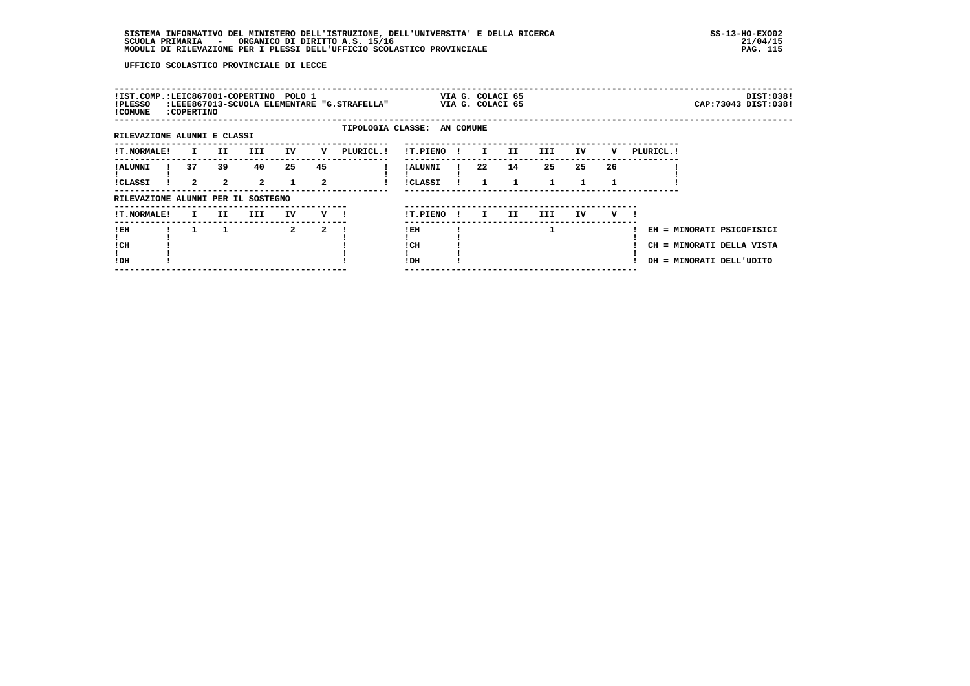| !IST.COMP.:LEIC867001-COPERTINO POLO 1<br>!PLESSO<br>! COMUNE | :COPERTINO         |                    |                      |                    |                    | :LEEE867013-SCUOLA ELEMENTARE "G.STRAFELLA" |                            |              | VIA G. COLACI 65<br>VIA G. COLACI 65 |         |                    |    |    |            |                                                                                    | DIST:038!<br>CAP: 73043 DIST: 038! |
|---------------------------------------------------------------|--------------------|--------------------|----------------------|--------------------|--------------------|---------------------------------------------|----------------------------|--------------|--------------------------------------|---------|--------------------|----|----|------------|------------------------------------------------------------------------------------|------------------------------------|
| RILEVAZIONE ALUNNI E CLASSI                                   |                    |                    |                      |                    |                    | TIPOLOGIA CLASSE: AN COMUNE                 |                            |              |                                      |         |                    |    |    |            |                                                                                    |                                    |
|                                                               |                    |                    |                      |                    |                    |                                             |                            |              |                                      |         |                    |    |    |            |                                                                                    |                                    |
| <b>!T.NORMALE!</b>                                            | I.                 | II.                | III.                 | IV                 | v                  | PLURICL. !                                  | !T.PIENO                   |              | $\mathbf{I}$                         | II.     | III                | IV | v  | PLURICL. ! |                                                                                    |                                    |
| ! ALUNNI<br><b>!CLASSI</b>                                    | 37<br>$\mathbf{2}$ | 39<br>$\mathbf{2}$ | 40<br>$\overline{a}$ | 25<br>$\mathbf{1}$ | 45<br>$\mathbf{2}$ |                                             | ! ALUNNI<br><b>!CLASSI</b> |              | 22                                   | 14<br>1 | 25<br>$\mathbf{1}$ | 25 | 26 |            |                                                                                    |                                    |
| RILEVAZIONE ALUNNI PER IL SOSTEGNO                            |                    |                    |                      |                    |                    |                                             |                            |              |                                      |         |                    |    |    |            |                                                                                    |                                    |
| <b>!T.NORMALE!</b>                                            | I.                 | II.                | III.                 | IV                 | v                  |                                             | !T.PIENO                   | $\mathbf{I}$ | I.                                   | II.     | III.               | IV | v  |            |                                                                                    |                                    |
| ! EH<br>! CH<br>!DH                                           |                    |                    |                      | $\mathbf{2}$       | 2                  |                                             | ! EH<br>! CH<br>!DH        |              |                                      |         |                    |    |    |            | EH = MINORATI PSICOFISICI<br>CH = MINORATI DELLA VISTA<br>DH = MINORATI DELL'UDITO |                                    |
|                                                               |                    |                    |                      |                    |                    |                                             |                            |              |                                      |         |                    |    |    |            |                                                                                    |                                    |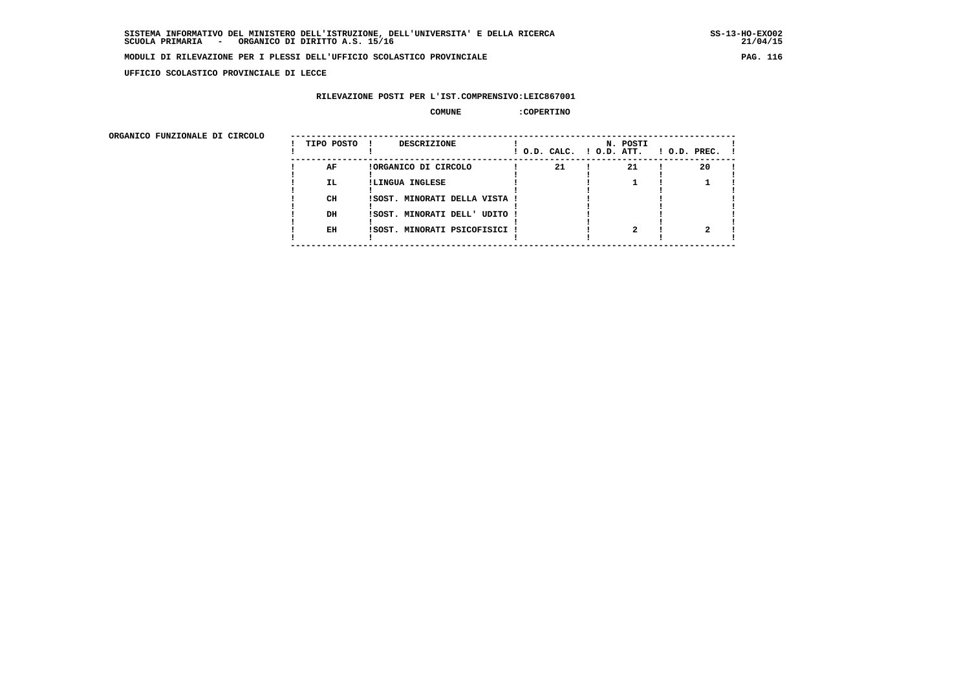**UFFICIO SCOLASTICO PROVINCIALE DI LECCE**

# **RILEVAZIONE POSTI PER L'IST.COMPRENSIVO:LEIC867001**

#### **COMUNE :COPERTINO**

| ORGANICO FUNZIONALE DI CIRCOLO |            |                               |                          |          |                    |
|--------------------------------|------------|-------------------------------|--------------------------|----------|--------------------|
|                                | TIPO POSTO | DESCRIZIONE                   | ! O.D. CALC. ! O.D. ATT. | N. POSTI | $1$ O.D. PREC. $1$ |
|                                | AF         | !ORGANICO DI CIRCOLO          | 21                       | 21       | 20                 |
|                                | IL.        | !LINGUA INGLESE               |                          |          |                    |
|                                | CH         | ISOST. MINORATI DELLA VISTA ! |                          |          |                    |
|                                | DH         | !SOST. MINORATI DELL' UDITO ! |                          |          |                    |
|                                | EH         | !SOST. MINORATI PSICOFISICI ! |                          |          |                    |
|                                |            |                               |                          |          |                    |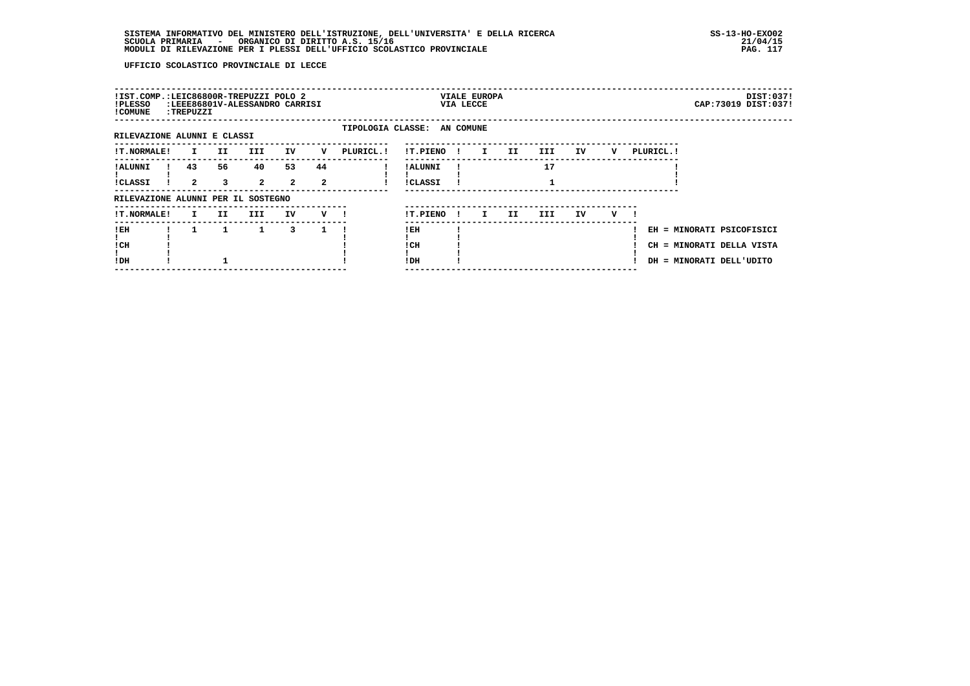| !IST.COMP.:LEIC86800R-TREPUZZI POLO 2<br>!PLESSO<br>! COMUNE | :TREPUZZI          |         | :LEEE86801V-ALESSANDRO CARRISI |                      |                    |                             |                     |              | <b>VIALE EUROPA</b><br>VIA LECCE |     |      |    |   |            |                                                                                    | DIST:037!<br>CAP: 73019 DIST: 037! |
|--------------------------------------------------------------|--------------------|---------|--------------------------------|----------------------|--------------------|-----------------------------|---------------------|--------------|----------------------------------|-----|------|----|---|------------|------------------------------------------------------------------------------------|------------------------------------|
| RILEVAZIONE ALUNNI E CLASSI                                  |                    |         |                                |                      |                    | TIPOLOGIA CLASSE: AN COMUNE |                     |              |                                  |     |      |    |   |            |                                                                                    |                                    |
| <b>!T.NORMALE!</b>                                           | I.                 | II.     | III.                           | IV                   | v                  | PLURICL. !                  | !T.PIENO            | $\mathbf{I}$ | $\mathbf{I}$                     | II. | III  | ΙV | v | PLURICL. ! |                                                                                    |                                    |
| ! ALUNNI<br>!CLASSI                                          | 43<br>$\mathbf{2}$ | 56<br>3 | 40<br>$\overline{2}$           | 53<br>$\overline{a}$ | 44<br>$\mathbf{2}$ |                             | ! ALUNNI<br>!CLASSI |              |                                  |     | 17   |    |   |            |                                                                                    |                                    |
| RILEVAZIONE ALUNNI PER IL SOSTEGNO                           |                    |         |                                |                      |                    |                             |                     |              |                                  |     |      |    |   |            |                                                                                    |                                    |
| !T.NORMALE!                                                  | I.                 | II.     | III                            | IV                   | V !                |                             | !T.PIENO            | $\mathbf{I}$ | $\mathbf{I}$                     | II. | III. | IV | v |            |                                                                                    |                                    |
| ! EH<br>! CH<br>!DH                                          |                    | 1       | $\mathbf{1}$                   | 3                    |                    |                             | ! EH<br>! CH<br>!DH |              |                                  |     |      |    |   |            | EH = MINORATI PSICOFISICI<br>CH = MINORATI DELLA VISTA<br>DH = MINORATI DELL'UDITO |                                    |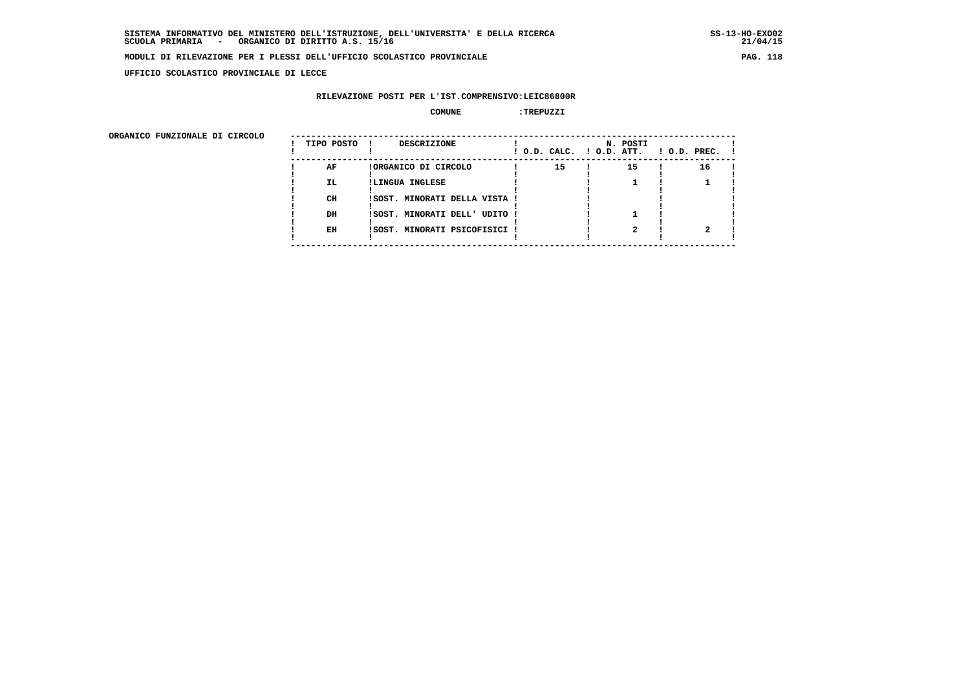**UFFICIO SCOLASTICO PROVINCIALE DI LECCE**

# **RILEVAZIONE POSTI PER L'IST.COMPRENSIVO:LEIC86800R**

# **COMUNE :TREPUZZI**

| ORGANICO FUNZIONALE DI CIRCOLO |            |                               |                          |          |                    |
|--------------------------------|------------|-------------------------------|--------------------------|----------|--------------------|
|                                | TIPO POSTO | DESCRIZIONE                   | ! O.D. CALC. ! O.D. ATT. | N. POSTI | $1$ O.D. PREC. $1$ |
|                                | AF         | !ORGANICO DI CIRCOLO          | 15                       | 15       | 16                 |
|                                | IL.        | !LINGUA INGLESE               |                          |          |                    |
|                                | CH         | ISOST. MINORATI DELLA VISTA ! |                          |          |                    |
|                                | DH         | !SOST. MINORATI DELL' UDITO ! |                          |          |                    |
|                                | EH         | !SOST. MINORATI PSICOFISICI ! |                          |          |                    |
|                                |            |                               |                          |          |                    |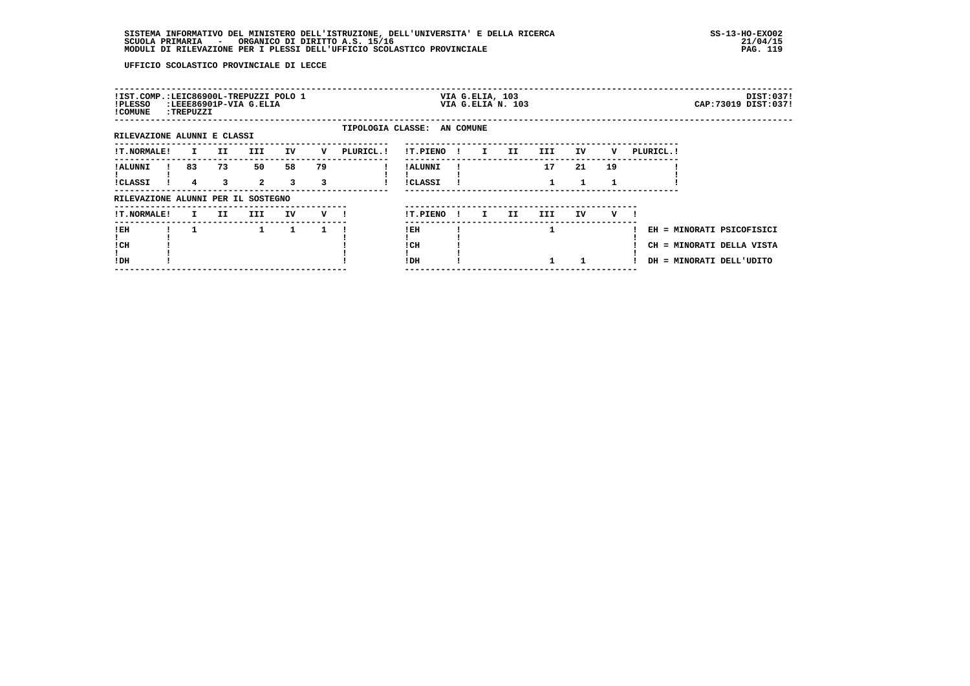| !IST.COMP.:LEIC86900L-TREPUZZI POLO 1<br>!PLESSO<br>! COMUNE | :TREPUZZI    |         | :LEEE86901P-VIA G.ELIA |              |         |                             |                            |     | VIA G.ELIA, 103 | VIA G.ELIA N. 103 |                    |    |    |            | CAP: 73019 DIST: 037!                                                              | DIST:037! |
|--------------------------------------------------------------|--------------|---------|------------------------|--------------|---------|-----------------------------|----------------------------|-----|-----------------|-------------------|--------------------|----|----|------------|------------------------------------------------------------------------------------|-----------|
| RILEVAZIONE ALUNNI E CLASSI                                  |              |         |                        |              |         | TIPOLOGIA CLASSE: AN COMUNE |                            |     |                 |                   |                    |    |    |            |                                                                                    |           |
| <b>!T.NORMALE!</b>                                           | $\mathbf{I}$ | II      | III                    | IV           | v       | PLURICL. !                  | !T.PIENO !                 |     | $\mathbf{I}$    | II.               | III                | IV | v  | PLURICL. ! |                                                                                    |           |
| ! ALUNNI<br><b>!CLASSI</b>                                   | 83<br>4      | 73<br>3 | 50<br>$\overline{2}$   | 58<br>3      | 79<br>3 |                             | ! ALUNNI<br><b>!CLASSI</b> |     |                 |                   | 17<br>$\mathbf{1}$ | 21 | 19 |            |                                                                                    |           |
| RILEVAZIONE ALUNNI PER IL SOSTEGNO                           |              |         |                        |              |         |                             |                            |     |                 |                   |                    |    |    |            |                                                                                    |           |
| <b>!T.NORMALE!</b>                                           | I.           | II.     | III                    | IV           | v —     |                             | !T.PIENO                   | -11 | I.              | II                | III                | IV | v  |            |                                                                                    |           |
| !EH<br>! CH<br>!DH                                           |              |         | $\mathbf{1}$           | $\mathbf{1}$ |         |                             | !EH<br>! CH<br>! DH        |     |                 |                   | 1                  |    |    |            | EH = MINORATI PSICOFISICI<br>CH = MINORATI DELLA VISTA<br>DH = MINORATI DELL'UDITO |           |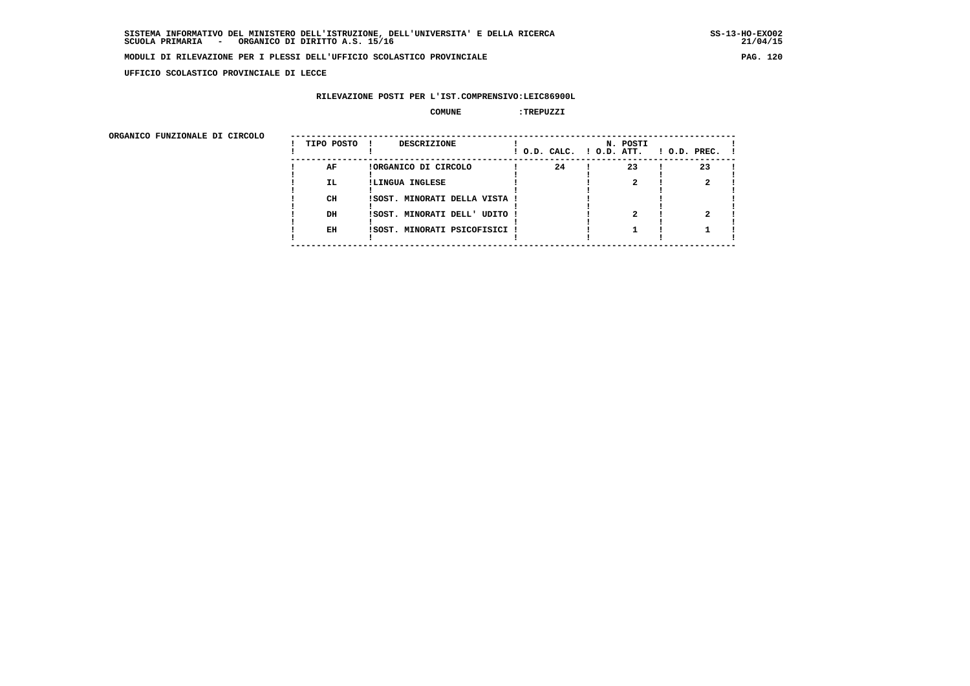**UFFICIO SCOLASTICO PROVINCIALE DI LECCE**

# **RILEVAZIONE POSTI PER L'IST.COMPRENSIVO:LEIC86900L**

# **COMUNE :TREPUZZI**

| ORGANICO FUNZIONALE DI CIRCOLO |            |                               |                          |          |                    |
|--------------------------------|------------|-------------------------------|--------------------------|----------|--------------------|
|                                | TIPO POSTO | DESCRIZIONE                   | ! O.D. CALC. ! O.D. ATT. | N. POSTI | $1$ O.D. PREC. $1$ |
|                                | AF         | !ORGANICO DI CIRCOLO          | 24                       | 23       | 23                 |
|                                | IL.        | !LINGUA INGLESE               |                          |          |                    |
|                                | CH         | !SOST. MINORATI DELLA VISTA ! |                          |          |                    |
|                                | DH         | !SOST. MINORATI DELL' UDITO ! |                          |          |                    |
|                                | EH         | !SOST. MINORATI PSICOFISICI ! |                          |          |                    |
|                                |            |                               |                          |          |                    |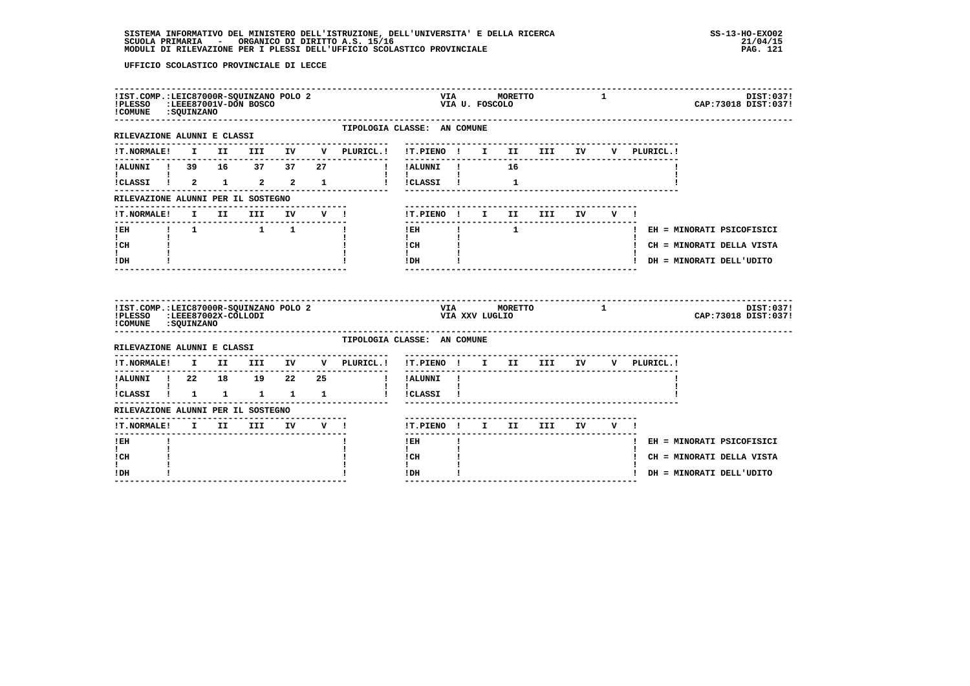| !IST.COMP.: LEIC87000R-SQUINZANO POLO 2<br>!PLESSO<br>!COMUNE : SQUINZANO |                     | :LEEE87001V-DON BOSCO                                     |             |              |                             |                                  | VIA            | VIA U. FOSCOLO | MORETTO |                                     |    | $\mathbf{1}$   |             | DIST:037!<br>CAP: 73018 DIST: 037! |
|---------------------------------------------------------------------------|---------------------|-----------------------------------------------------------|-------------|--------------|-----------------------------|----------------------------------|----------------|----------------|---------|-------------------------------------|----|----------------|-------------|------------------------------------|
| ----------------------<br>RILEVAZIONE ALUNNI E CLASSI                     |                     |                                                           |             |              | TIPOLOGIA CLASSE: AN COMUNE |                                  |                |                |         |                                     |    |                |             |                                    |
| <b>!T.NORMALE!</b>                                                        |                     |                                                           |             |              | I II III IV V PLURICL.!     | !T.PIENO ! I II III IV           |                |                |         |                                     |    |                | V PLURICL.! |                                    |
| !ALUNNI ! 39 16 37 37                                                     |                     |                                                           |             | 27           | $\blacksquare$              | !ALUNNI !                        |                |                | 16      |                                     |    |                |             |                                    |
| !CLASSI !                                                                 | $2 \quad 1$         |                                                           | $2 \t2 \t1$ |              | $\mathbf{I}$                | $\mathbf{I}$<br>!CLASSI !        |                |                | 1       |                                     |    |                |             |                                    |
| RILEVAZIONE ALUNNI PER IL SOSTEGNO                                        |                     |                                                           |             |              |                             |                                  |                |                |         |                                     |    |                |             |                                    |
| !T.NORMALE!                                                               | II.<br>$\mathbf{I}$ | <b>III</b>                                                |             | IV V !       |                             | !T.PIENO ! I II                  |                |                |         | III                                 | IV | $\mathbf{v}$ 1 |             |                                    |
| ! EH                                                                      |                     | $\begin{array}{cccccccccc} 1 & 1 & 1 & 1 & 1 \end{array}$ |             |              | п.                          | ! EH                             | $\mathbf{I}$   |                |         |                                     |    |                |             | ! EH = MINORATI PSICOFISICI        |
| $\mathbf{I}$<br>! CH                                                      |                     |                                                           |             |              |                             | $\mathbf{I}$<br>! CH             |                |                |         |                                     |    |                |             | ! CH = MINORATI DELLA VISTA        |
| $\mathbf{I}$                                                              |                     |                                                           |             |              |                             | $\mathbf{I}$<br>! DH             |                |                |         |                                     |    |                |             | ! DH = MINORATI DELL'UDITO         |
| ! DH                                                                      |                     |                                                           |             |              |                             |                                  |                |                |         |                                     |    |                |             |                                    |
| !IST.COMP.:LEIC87000R-SQUINZANO POLO 2<br>!PLESSO                         | :LEEE87002X-COLLODI |                                                           |             |              |                             |                                  | <b>VIA</b>     | VIA XXV LUGLIO |         | MORETTO 1                           |    |                |             | DIST:037!<br>CAP: 73018 DIST: 037! |
| !COMUNE : SQUINZANO                                                       |                     | -----------------------                                   |             |              | TIPOLOGIA CLASSE: AN COMUNE |                                  |                |                |         |                                     |    |                |             |                                    |
| RILEVAZIONE ALUNNI E CLASSI                                               |                     |                                                           |             |              |                             |                                  |                |                |         | ----------------------------------- |    |                |             |                                    |
| <b>!T.NORMALE!</b>                                                        |                     |                                                           |             |              | I II III IV V PLURICL.!     | !T.PIENO ! I II III IV           |                |                |         | --------------------------          |    |                | V PLURICL.! |                                    |
| !ALUNNI ! 22 18 19 22<br>$\mathbf{I}$ and $\mathbf{I}$                    |                     |                                                           |             | -25          | $\blacksquare$              | <b>!ALUNNI</b><br>$\mathbf{I}$   | $\blacksquare$ |                |         |                                     |    |                |             |                                    |
| !CLASSI ! 1 1 1 1                                                         |                     |                                                           |             | $\mathbf{1}$ | $\mathbf{I}$                | !CLASSI !                        |                |                |         |                                     |    |                |             |                                    |
| RILEVAZIONE ALUNNI PER IL SOSTEGNO                                        |                     |                                                           |             |              |                             |                                  |                |                |         |                                     |    |                |             |                                    |
| !T.NORMALE! I II<br>-------                                               |                     | ------------------------------------                      | III IV V !  |              |                             | !T.PIENO ! I II<br>$\frac{1}{2}$ |                |                |         | III<br>--------------------         | IV | V !            |             |                                    |
| ! EH                                                                      |                     |                                                           |             |              |                             | $!$ EH                           |                |                |         |                                     |    |                |             | ! EH = MINORATI PSICOFISICI        |
| $\mathbf{I}$<br>! CH                                                      |                     |                                                           |             |              |                             | $\mathbf{I}$<br>! CH             |                |                |         |                                     |    |                |             | ! CH = MINORATI DELLA VISTA        |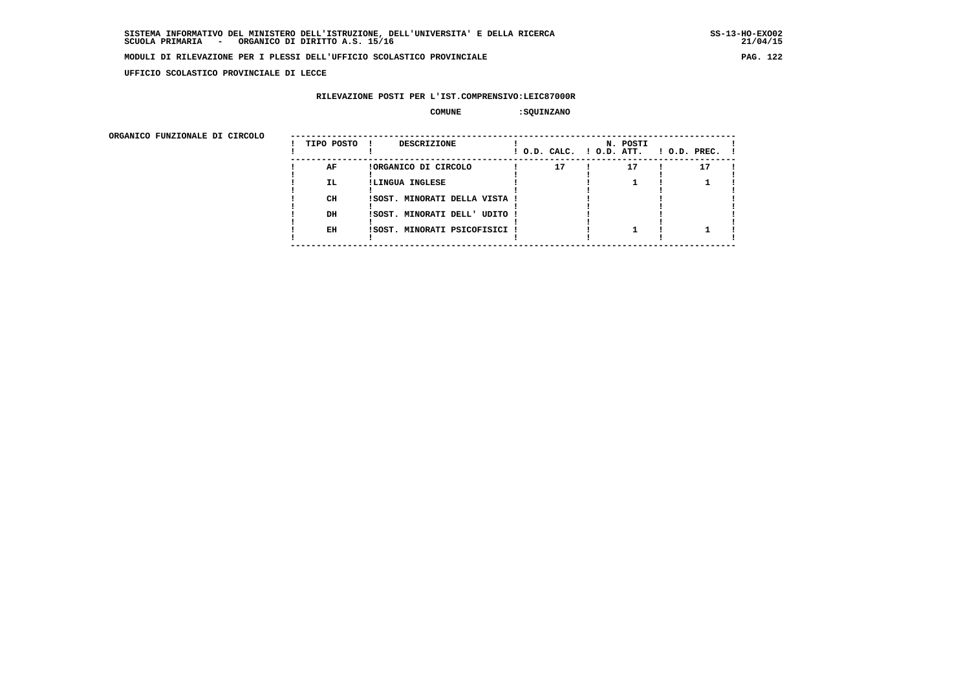**UFFICIO SCOLASTICO PROVINCIALE DI LECCE**

### **RILEVAZIONE POSTI PER L'IST.COMPRENSIVO:LEIC87000R**

#### **COMUNE :SQUINZANO**

| ORGANICO FUNZIONALE DI CIRCOLO |            |                               |                          |          |                    |
|--------------------------------|------------|-------------------------------|--------------------------|----------|--------------------|
|                                | TIPO POSTO | DESCRIZIONE                   | ! O.D. CALC. ! O.D. ATT. | N. POSTI | $1$ O.D. PREC. $1$ |
|                                | AF         | !ORGANICO DI CIRCOLO          | 17                       | 17       | 17                 |
|                                | IL.        | !LINGUA INGLESE               |                          |          |                    |
|                                | CH         | ISOST. MINORATI DELLA VISTA ! |                          |          |                    |
|                                | DH         | !SOST. MINORATI DELL' UDITO ! |                          |          |                    |
|                                | EH         | !SOST. MINORATI PSICOFISICI ! |                          |          |                    |
|                                |            |                               |                          |          |                    |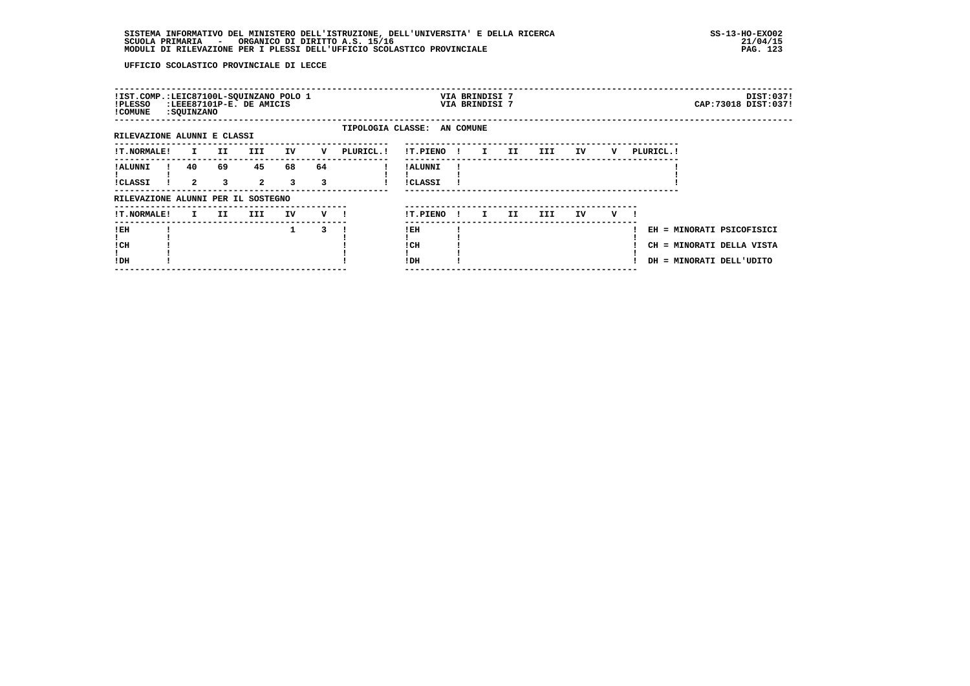| !IST.COMP.:LEIC87100L-SQUINZANO POLO 1<br>!PLESSO<br>! COMUNE | : SQUINZANO          |         | :LEEE87101P-E. DE AMICIS |         |         |                             |                            |              | VIA BRINDISI 7<br>VIA BRINDISI 7 |     |      |    |   |                                                             |                        | DIST:037!<br>CAP: 73018 DIST: 037! |
|---------------------------------------------------------------|----------------------|---------|--------------------------|---------|---------|-----------------------------|----------------------------|--------------|----------------------------------|-----|------|----|---|-------------------------------------------------------------|------------------------|------------------------------------|
| RILEVAZIONE ALUNNI E CLASSI                                   |                      |         |                          |         |         | TIPOLOGIA CLASSE: AN COMUNE |                            |              |                                  |     |      |    |   |                                                             |                        |                                    |
| <b>!T.NORMALE!</b>                                            | $\mathbf{I}$         | II.     | III.                     | IV      | v       | PLURICL. !                  | !T.PIENO                   | $\mathbf{I}$ | $\mathbf{I}$                     | II. | III  | IV | v | PLURICL. !                                                  |                        |                                    |
| ! ALUNNI<br><b>!CLASSI</b>                                    | 40<br>$\overline{a}$ | 69<br>3 | 45<br>$\overline{2}$     | 68<br>3 | 64<br>3 |                             | ! ALUNNI<br><b>!CLASSI</b> |              |                                  |     |      |    |   |                                                             |                        |                                    |
| RILEVAZIONE ALUNNI PER IL SOSTEGNO                            |                      |         |                          |         |         |                             |                            |              |                                  |     |      |    |   |                                                             |                        |                                    |
| !T.NORMALE!                                                   | I.                   | II.     | III.                     | IV      | v       |                             | !T.PIENO                   | $\mathbf{I}$ | I.                               | II. | III. | IV | v |                                                             |                        |                                    |
| !EH<br>! CH<br>!DH                                            |                      |         |                          | 1       | 3       |                             | ! EH<br>! CH<br>!DH        |              |                                  |     |      |    |   | EH = MINORATI PSICOFISICI<br>CH<br>DH = MINORATI DELL'UDITO | = MINORATI DELLA VISTA |                                    |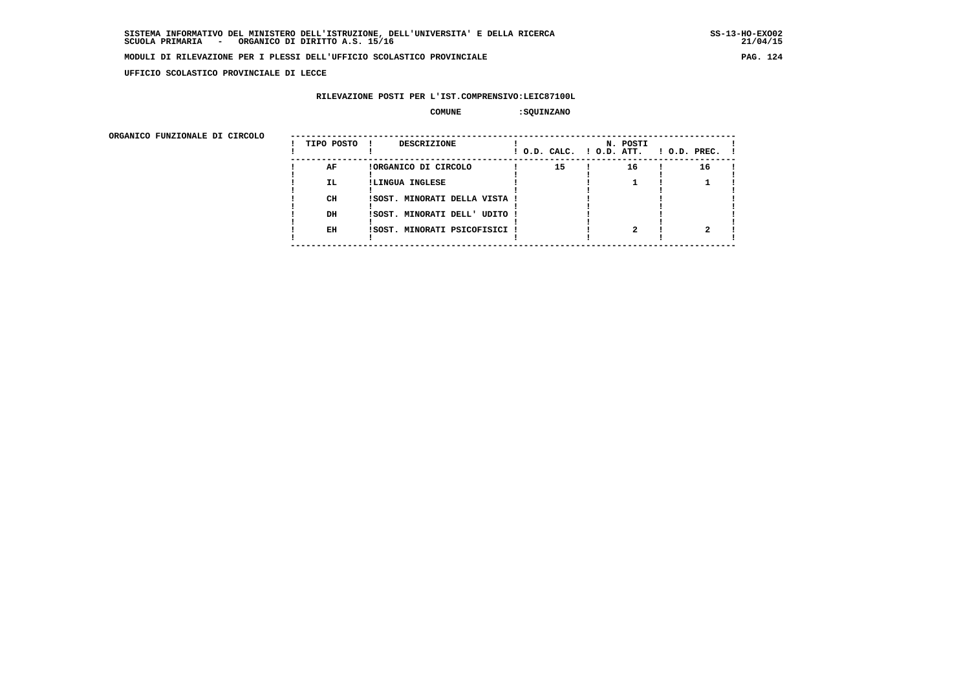**UFFICIO SCOLASTICO PROVINCIALE DI LECCE**

### **RILEVAZIONE POSTI PER L'IST.COMPRENSIVO:LEIC87100L**

#### **COMUNE :SQUINZANO**

| ORGANICO FUNZIONALE DI CIRCOLO |            |                               |                          |          |              |
|--------------------------------|------------|-------------------------------|--------------------------|----------|--------------|
|                                | TIPO POSTO | <b>DESCRIZIONE</b>            | ! O.D. CALC. ! O.D. ATT. | N. POSTI | ! O.D. PREC. |
|                                | AF         | !ORGANICO DI CIRCOLO          | 15                       | 16       | 16           |
|                                | IL.        | !LINGUA INGLESE               |                          |          |              |
|                                | CH         | !SOST. MINORATI DELLA VISTA ! |                          |          |              |
|                                | DH         | ISOST. MINORATI DELL' UDITO ! |                          |          |              |
|                                | EH         | ISOST. MINORATI PSICOFISICI ! |                          |          |              |
|                                |            |                               |                          |          |              |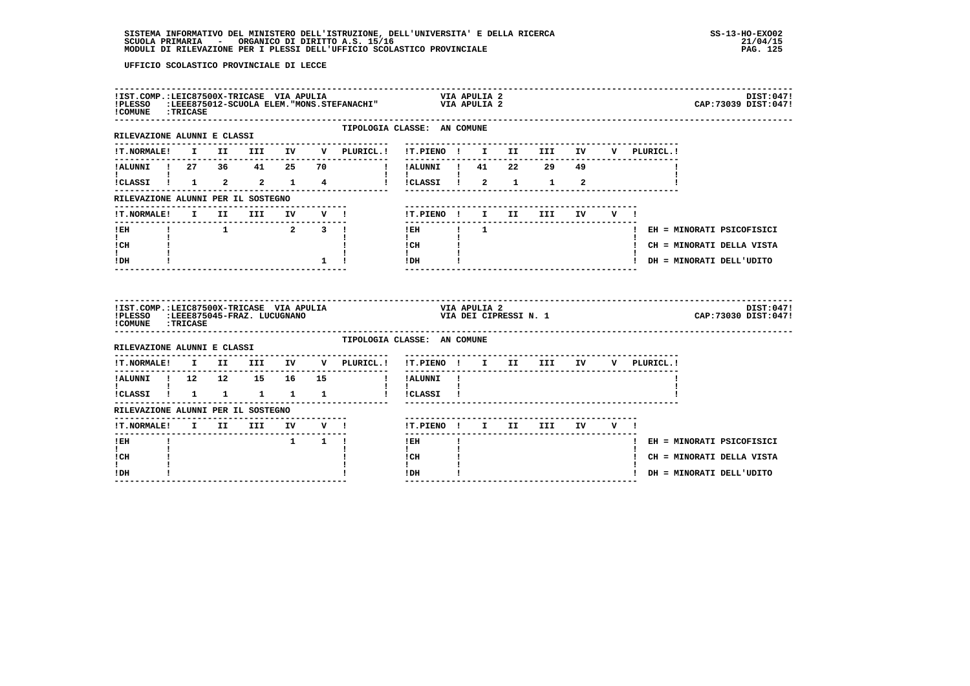| !COMUNE : TRICASE                                                                                |                             |  |                     | ${\bf \texttt{!ST.COMP.:LEIC87500X-TRICASE} \hspace{0.5cm} \texttt{VIA} \hspace{0.5cm} \texttt{APULIA} \hspace{0.5cm} } \texttt{VIA} \hspace{0.5cm} \texttt{VIA} \hspace{0.5cm} \texttt{APULIA} \hspace{0.5cm} \texttt{2}} \\ {\bf \texttt{!PLESSO}} \hspace{0.5cm} {\bf \texttt{!EEE875012-SCUOLA} \hspace{0.5cm} \texttt{ELEM. "MONS. STEFANACHI"}} \hspace{1.5cm} \texttt{VIA} \hspace{0.5cm} \texttt{$ |                                                                                                                                                                                                                                                                                                                                                                                                |              |                       |                                   |        |  |                             | DIST:047!<br>CAP: 73039 DIST: 047! |
|--------------------------------------------------------------------------------------------------|-----------------------------|--|---------------------|------------------------------------------------------------------------------------------------------------------------------------------------------------------------------------------------------------------------------------------------------------------------------------------------------------------------------------------------------------------------------------------------------------|------------------------------------------------------------------------------------------------------------------------------------------------------------------------------------------------------------------------------------------------------------------------------------------------------------------------------------------------------------------------------------------------|--------------|-----------------------|-----------------------------------|--------|--|-----------------------------|------------------------------------|
| RILEVAZIONE ALUNNI E CLASSI                                                                      |                             |  |                     | TIPOLOGIA CLASSE: AN COMUNE<br>-------------                                                                                                                                                                                                                                                                                                                                                               |                                                                                                                                                                                                                                                                                                                                                                                                |              |                       |                                   |        |  |                             |                                    |
|                                                                                                  |                             |  |                     | !T.NORMALE! I II III IV V PLURICL.! !T.PIENO ! I II III IV V PLURICL.!                                                                                                                                                                                                                                                                                                                                     | ---------------------------                                                                                                                                                                                                                                                                                                                                                                    |              |                       |                                   |        |  |                             |                                    |
|                                                                                                  |                             |  |                     | !ALUNNI ! 27 36 41 25 70  ! !ALUNNI ! 41 22 29 49                                                                                                                                                                                                                                                                                                                                                          |                                                                                                                                                                                                                                                                                                                                                                                                |              |                       |                                   |        |  |                             |                                    |
| $\mathbf{I}$ and $\mathbf{I}$ and $\mathbf{I}$ and $\mathbf{I}$<br>$ICLASSI$ $1$ $2$ $2$ $1$ $4$ |                             |  |                     |                                                                                                                                                                                                                                                                                                                                                                                                            | $\mathbf{I}$ $\mathbf{I}$ $\mathbf{I}$<br>!!CLASSI! 2 1 1 2                                                                                                                                                                                                                                                                                                                                    |              |                       |                                   |        |  |                             |                                    |
| RILEVAZIONE ALUNNI PER IL SOSTEGNO                                                               |                             |  |                     |                                                                                                                                                                                                                                                                                                                                                                                                            |                                                                                                                                                                                                                                                                                                                                                                                                |              |                       |                                   |        |  |                             |                                    |
|                                                                                                  |                             |  |                     | !T.NORMALE! I II III IV V !                                                                                                                                                                                                                                                                                                                                                                                | !T.PIENO ! I II III                                                                                                                                                                                                                                                                                                                                                                            |              |                       |                                   | IV V ! |  |                             |                                    |
| $I$ EH                                                                                           |                             |  |                     | $\begin{array}{ccccccccccccccccc}\n1 & 1 & 2 & 3 & 1\n\end{array}$                                                                                                                                                                                                                                                                                                                                         | ---------------<br>$!$ $\overline{E}$ $\overline{E}$ $\overline{E}$ $\overline{E}$ $\overline{E}$ $\overline{E}$ $\overline{E}$ $\overline{E}$ $\overline{E}$ $\overline{E}$ $\overline{E}$ $\overline{E}$ $\overline{E}$ $\overline{E}$ $\overline{E}$ $\overline{E}$ $\overline{E}$ $\overline{E}$ $\overline{E}$ $\overline{E}$ $\overline{E}$ $\overline{E}$ $\overline{E}$ $\overline{E}$ |              |                       |                                   |        |  | ! EH = MINORATI PSICOFISICI |                                    |
| $\mathbf{I}$ and $\mathbf{I}$<br>ICH                                                             |                             |  |                     |                                                                                                                                                                                                                                                                                                                                                                                                            | $\mathbf{I}$ and $\mathbf{I}$<br>$\frac{1}{1}$ $\frac{1}{1}$ $\frac{1}{1}$                                                                                                                                                                                                                                                                                                                     |              |                       |                                   |        |  | ! CH = MINORATI DELLA VISTA |                                    |
| $\mathbf{I}$<br>IDH                                                                              |                             |  |                     | $1 \quad 1 \quad$                                                                                                                                                                                                                                                                                                                                                                                          | $IDH$ $I$                                                                                                                                                                                                                                                                                                                                                                                      |              |                       |                                   |        |  | ! DH = MINORATI DELL'UDITO  |                                    |
|                                                                                                  |                             |  |                     |                                                                                                                                                                                                                                                                                                                                                                                                            |                                                                                                                                                                                                                                                                                                                                                                                                |              |                       |                                   |        |  |                             |                                    |
| !IST.COMP.:LEIC87500X-TRICASE VIA APULIA<br>! PLESSO<br>!COMUNE : TRICASE                        | :LEEE875045-FRAZ. LUCUGNANO |  |                     |                                                                                                                                                                                                                                                                                                                                                                                                            |                                                                                                                                                                                                                                                                                                                                                                                                | VIA APULIA 2 | VIA DEI CIPRESSI N. 1 |                                   |        |  |                             | DIST:047!<br>CAP: 73030 DIST: 047! |
| RILEVAZIONE ALUNNI E CLASSI                                                                      |                             |  |                     | TIPOLOGIA CLASSE: AN COMUNE                                                                                                                                                                                                                                                                                                                                                                                |                                                                                                                                                                                                                                                                                                                                                                                                |              |                       |                                   |        |  |                             |                                    |
|                                                                                                  |                             |  |                     | IT.NORMALE! I II III IV V PLURICL.! IT.PIENO ! I II III IV V PLURICL.!                                                                                                                                                                                                                                                                                                                                     |                                                                                                                                                                                                                                                                                                                                                                                                |              |                       |                                   |        |  |                             |                                    |
|                                                                                                  |                             |  |                     |                                                                                                                                                                                                                                                                                                                                                                                                            | ----------                                                                                                                                                                                                                                                                                                                                                                                     |              |                       | --------------------------------- |        |  |                             |                                    |
| $\mathbf{I}$ and $\mathbf{I}$ and $\mathbf{I}$                                                   |                             |  |                     |                                                                                                                                                                                                                                                                                                                                                                                                            | $\mathbf{I}$<br>! !CLASSI !                                                                                                                                                                                                                                                                                                                                                                    |              |                       |                                   |        |  |                             |                                    |
| RILEVAZIONE ALUNNI PER IL SOSTEGNO                                                               |                             |  |                     |                                                                                                                                                                                                                                                                                                                                                                                                            |                                                                                                                                                                                                                                                                                                                                                                                                |              |                       |                                   |        |  |                             |                                    |
|                                                                                                  |                             |  |                     |                                                                                                                                                                                                                                                                                                                                                                                                            | !T.PIENO ! I II III IV V !                                                                                                                                                                                                                                                                                                                                                                     |              |                       |                                   |        |  |                             |                                    |
| $!$ EH                                                                                           |                             |  | $1 \quad 1 \quad 1$ | !T.NORMALE! I II III IV V !                                                                                                                                                                                                                                                                                                                                                                                | ! EH                                                                                                                                                                                                                                                                                                                                                                                           |              |                       |                                   |        |  | ! EH = MINORATI PSICOFISICI |                                    |
| $\mathbf{I}$<br>! CH<br>$\mathbf{I}$                                                             |                             |  |                     |                                                                                                                                                                                                                                                                                                                                                                                                            | $\mathbf{I}$<br>! CH<br>$\mathbf{I}$                                                                                                                                                                                                                                                                                                                                                           |              |                       |                                   |        |  | ! CH = MINORATI DELLA VISTA |                                    |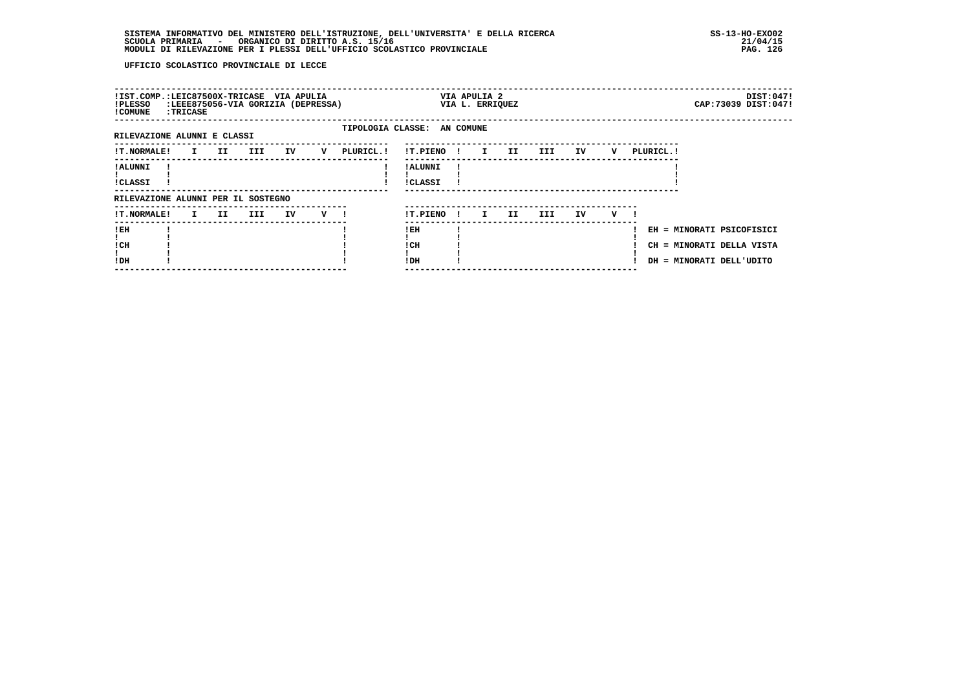| !IST.COMP.:LEIC87500X-TRICASE VIA APULIA<br>!PLESSO<br>! COMUNE | <b>:TRICASE</b> |          |     |    | :LEEE875056-VIA GORIZIA (DEPRESSA) |                             |                      | VIA APULIA 2<br>VIA L. ERRIQUEZ |    |     |    |   |            |                                                                                    | DIST:047!<br>CAP: 73039 DIST: 047! |
|-----------------------------------------------------------------|-----------------|----------|-----|----|------------------------------------|-----------------------------|----------------------|---------------------------------|----|-----|----|---|------------|------------------------------------------------------------------------------------|------------------------------------|
| RILEVAZIONE ALUNNI E CLASSI                                     |                 |          |     |    |                                    | TIPOLOGIA CLASSE: AN COMUNE |                      |                                 |    |     |    |   |            |                                                                                    |                                    |
| <b>!T.NORMALE!</b>                                              |                 | I II III |     | IV | v                                  | PLURICL.!                   | !T.PIENO !           | I II III                        |    |     | IV | v | PLURICL. ! |                                                                                    |                                    |
| <b>! ALUNNI</b><br>!CLASSI                                      |                 |          |     |    |                                    |                             | ! ALUNNI<br>!CLASSI  |                                 |    |     |    |   |            |                                                                                    |                                    |
| RILEVAZIONE ALUNNI PER IL SOSTEGNO                              |                 |          |     |    |                                    |                             |                      |                                 |    |     |    |   |            |                                                                                    |                                    |
| <b>!T.NORMALE!</b>                                              |                 | I II     | III | IV | $\mathbf{v}$ 1                     |                             | !T.PIENO!            | $\mathbf{I}$                    | II | III | IV | v |            |                                                                                    |                                    |
| ! EH<br>! CH<br>!DH                                             |                 |          |     |    |                                    |                             | ! EH<br>! CH<br>! DH |                                 |    |     |    |   |            | EH = MINORATI PSICOFISICI<br>CH = MINORATI DELLA VISTA<br>DH = MINORATI DELL'UDITO |                                    |
|                                                                 |                 |          |     |    |                                    |                             |                      |                                 |    |     |    |   |            |                                                                                    |                                    |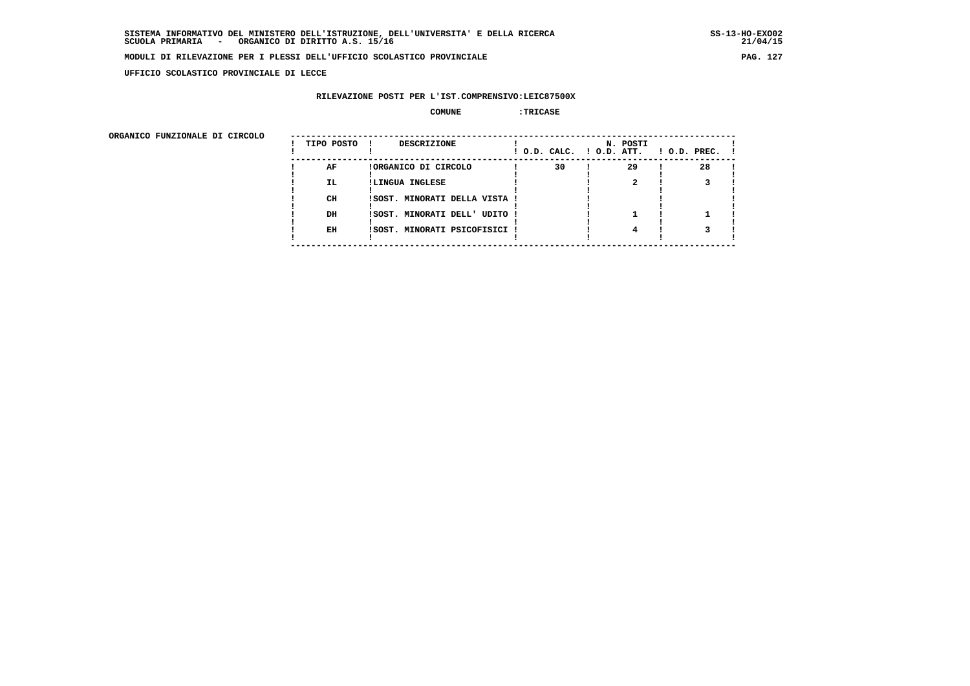**UFFICIO SCOLASTICO PROVINCIALE DI LECCE**

# **RILEVAZIONE POSTI PER L'IST.COMPRENSIVO:LEIC87500X**

#### **COMUNE :TRICASE**

 **ORGANICO FUNZIONALE DI CIRCOLO --------------------------------------------------------------------------------------**

| ORGANICO FUNZIONALE DI CIRCOLO | TIPO POSTO | DESCRIZIONE<br>$\mathbf{I}$   | ! O.D. CALC. ! O.D. ATT. | N. POSTI | $1$ O.D. PREC. $1$ |
|--------------------------------|------------|-------------------------------|--------------------------|----------|--------------------|
|                                | AF         | !ORGANICO DI CIRCOLO          | 30                       | 29       | 28                 |
|                                | IL.        | !LINGUA INGLESE               |                          |          |                    |
|                                | CН         | !SOST. MINORATI DELLA VISTA ! |                          |          |                    |
|                                | DH         | !SOST. MINORATI DELL' UDITO ! |                          |          |                    |
|                                | EH         | !SOST. MINORATI PSICOFISICI ! |                          |          |                    |
|                                |            |                               |                          |          |                    |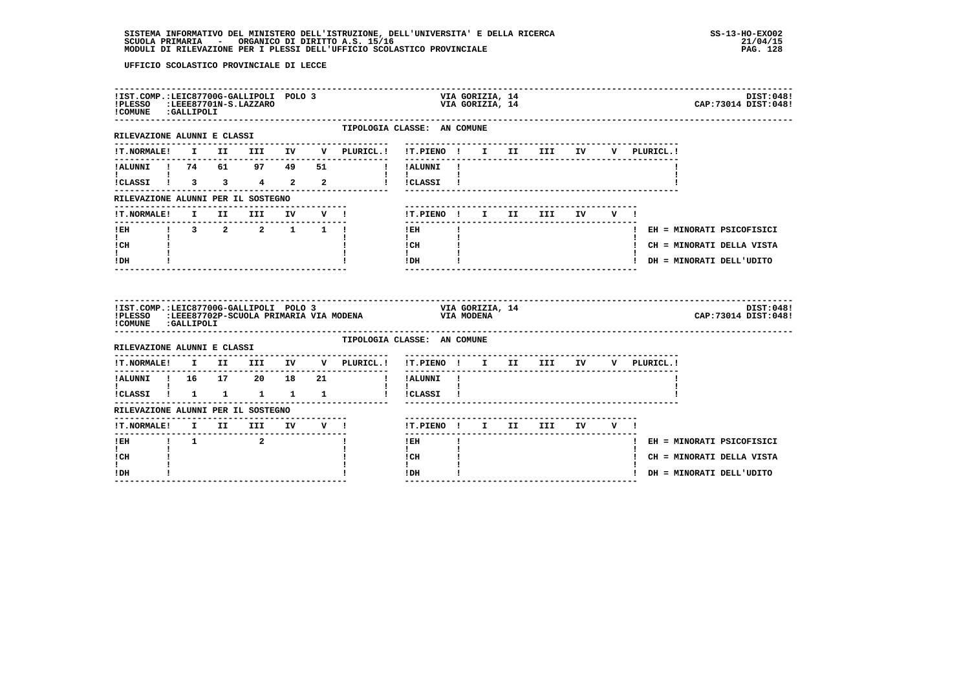| !IST.COMP.:LEIC87700G-GALLIPOLI POLO 3<br>! PLESSO<br>!COMUNE : GALLIPOLI | -------------------------------- |  | LEEE87701N-S.LAZZARO:                      |                          |                                                                                                                      |                                                                                                                                                                                                                                                                                                                                            | VIA GORIZIA, 14 | VIA GORIZIA, 14 |  |  |  | CAP: 73014 DIST: 048!       | DIST:048! |
|---------------------------------------------------------------------------|----------------------------------|--|--------------------------------------------|--------------------------|----------------------------------------------------------------------------------------------------------------------|--------------------------------------------------------------------------------------------------------------------------------------------------------------------------------------------------------------------------------------------------------------------------------------------------------------------------------------------|-----------------|-----------------|--|--|--|-----------------------------|-----------|
| RILEVAZIONE ALUNNI E CLASSI                                               |                                  |  |                                            |                          |                                                                                                                      | TIPOLOGIA CLASSE: AN COMUNE<br>---------------------------------                                                                                                                                                                                                                                                                           |                 |                 |  |  |  |                             |           |
|                                                                           |                                  |  |                                            |                          | !T.NORMALE! I II III IV V PLURICL.! !T.PIENO ! I II III IV V PLURICL.!                                               |                                                                                                                                                                                                                                                                                                                                            |                 |                 |  |  |  |                             |           |
|                                                                           |                                  |  |                                            |                          | !ALUNNI ! 74 61 97 49 51 !!ALUNNI !                                                                                  |                                                                                                                                                                                                                                                                                                                                            |                 |                 |  |  |  |                             |           |
| $\mathbf{I}$ and $\mathbf{I}$                                             |                                  |  |                                            |                          | iCLASSI ! 3 3 4 2 2 ! ICLASSI !                                                                                      | $\mathbf{1}$ $\mathbf{1}$                                                                                                                                                                                                                                                                                                                  |                 |                 |  |  |  |                             |           |
| RILEVAZIONE ALUNNI PER IL SOSTEGNO                                        |                                  |  |                                            |                          |                                                                                                                      |                                                                                                                                                                                                                                                                                                                                            |                 |                 |  |  |  |                             |           |
|                                                                           |                                  |  |                                            |                          | !T.NORMALE! I II III IV V !                                                                                          | !T.PIENO! I II III IV V!                                                                                                                                                                                                                                                                                                                   |                 |                 |  |  |  |                             |           |
| -----------<br>IEH 1 3 2 2 1 1 1                                          |                                  |  |                                            |                          |                                                                                                                      | $1$ EH $\qquad$ $\qquad$ $\qquad$ $\qquad$ $\qquad$ $\qquad$ $\qquad$ $\qquad$ $\qquad$ $\qquad$ $\qquad$ $\qquad$ $\qquad$ $\qquad$ $\qquad$ $\qquad$ $\qquad$ $\qquad$ $\qquad$ $\qquad$ $\qquad$ $\qquad$ $\qquad$ $\qquad$ $\qquad$ $\qquad$ $\qquad$ $\qquad$ $\qquad$ $\qquad$ $\qquad$ $\qquad$ $\qquad$ $\qquad$ $\qquad$ $\qquad$ |                 |                 |  |  |  | ! EH = MINORATI PSICOFISICI |           |
| $\mathbf{I}$ and $\mathbf{I}$<br>ICH                                      |                                  |  |                                            |                          |                                                                                                                      | $\mathbf{I}$<br>$\frac{1 \text{CH}}{1}$ $\frac{1}{1}$                                                                                                                                                                                                                                                                                      |                 |                 |  |  |  | ! CH = MINORATI DELLA VISTA |           |
| $\mathbf{I}$<br>! DH                                                      |                                  |  |                                            |                          |                                                                                                                      | $!$ DH $\qquad$ $\qquad$ $\qquad$ $\qquad$ $\qquad$ $\qquad$ $\qquad$ $\qquad$ $\qquad$ $\qquad$ $\qquad$ $\qquad$ $\qquad$ $\qquad$ $\qquad$ $\qquad$ $\qquad$ $\qquad$ $\qquad$ $\qquad$ $\qquad$ $\qquad$ $\qquad$ $\qquad$ $\qquad$ $\qquad$ $\qquad$ $\qquad$ $\qquad$ $\qquad$ $\qquad$ $\qquad$ $\qquad$ $\qquad$ $\qquad$ $\qquad$ |                 |                 |  |  |  | ! DH = MINORATI DELL'UDITO  |           |
|                                                                           |                                  |  |                                            |                          |                                                                                                                      |                                                                                                                                                                                                                                                                                                                                            |                 |                 |  |  |  |                             |           |
|                                                                           |                                  |  |                                            |                          | !IST.COMP.:LEIC87700G-GALLIPOLI POLO 3 VIA GORIZIA, 14<br>!PLESSO :LEEE87702P-SCUOLA PRIMARIA VIA MODENA VIA MODENA  |                                                                                                                                                                                                                                                                                                                                            |                 |                 |  |  |  | CAP: 73014 DIST: 048!       | DIST:048! |
| !COMUNE : GALLIPOLI                                                       |                                  |  |                                            |                          |                                                                                                                      | TIPOLOGIA CLASSE: AN COMUNE                                                                                                                                                                                                                                                                                                                |                 |                 |  |  |  |                             |           |
| RILEVAZIONE ALUNNI E CLASSI                                               |                                  |  |                                            | ------------------------ | --------------                                                                                                       |                                                                                                                                                                                                                                                                                                                                            |                 |                 |  |  |  |                             |           |
|                                                                           |                                  |  |                                            |                          | !T.NORMALE! I II III IV V PLURICL.! !T.PIENO ! I II III IV V PLURICL.!<br>!ALUNNI ! 16  17  20  18  21  !!!!ALUNNI ! | . <u>.</u> .                                                                                                                                                                                                                                                                                                                               |                 |                 |  |  |  |                             |           |
| $\mathbf{I}$ and $\mathbf{I}$ and $\mathbf{I}$                            |                                  |  |                                            |                          |                                                                                                                      | $\mathbf{1}$ $\mathbf{1}$                                                                                                                                                                                                                                                                                                                  |                 |                 |  |  |  |                             |           |
| RILEVAZIONE ALUNNI PER IL SOSTEGNO                                        |                                  |  |                                            |                          |                                                                                                                      |                                                                                                                                                                                                                                                                                                                                            |                 |                 |  |  |  |                             |           |
|                                                                           |                                  |  |                                            |                          | -------------------------------<br>!T.NORMALE! I II III IV V !                                                       | !T.PIENO! I II III IV V!                                                                                                                                                                                                                                                                                                                   |                 |                 |  |  |  |                             |           |
| ---------------------<br>$!$ EH                                           |                                  |  | $\begin{array}{ccc} 1 & 1 & 2 \end{array}$ |                          |                                                                                                                      | $!$ EH                                                                                                                                                                                                                                                                                                                                     |                 |                 |  |  |  | ! EH = MINORATI PSICOFISICI |           |
| $\mathbf{I}$<br>! CH<br>$\mathbf{I}$                                      |                                  |  |                                            |                          |                                                                                                                      | $\mathbf{I}$<br>ICH<br>$\mathbf{I}$                                                                                                                                                                                                                                                                                                        |                 |                 |  |  |  | ! CH = MINORATI DELLA VISTA |           |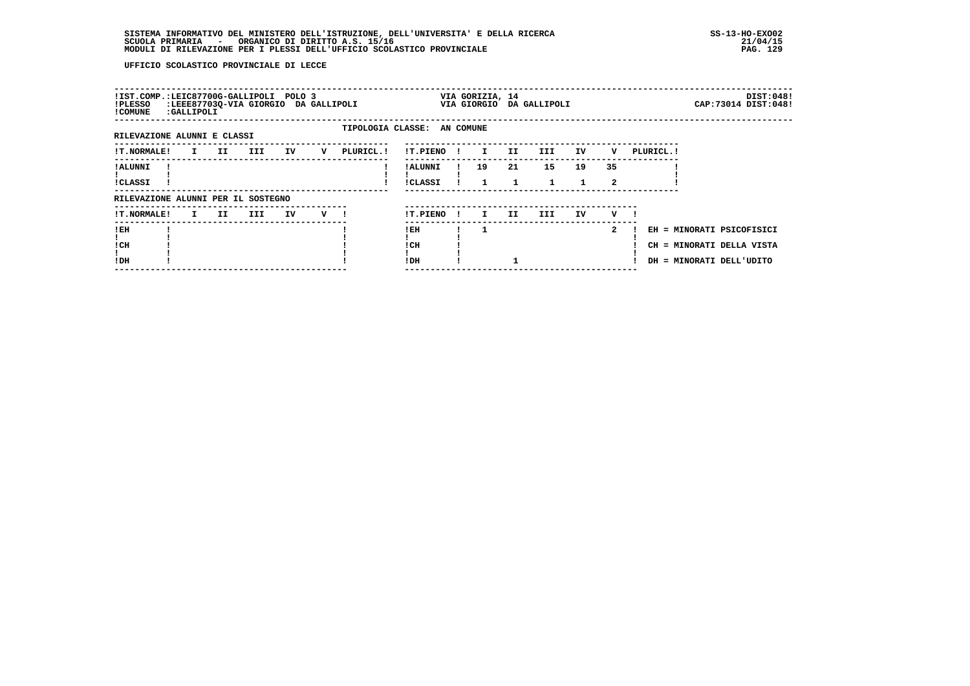| !IST.COMP.:LEIC87700G-GALLIPOLI POLO 3<br>!PLESSO<br>! COMUNE | :GALLIPOLI |          | :LEEE87703Q-VIA GIORGIO DA GALLIPOLI |    |                |                             |                            | VIA GORIZIA, 14 |         | VIA GIORGIO DA GALLIPOLI |    |                    |            |                                                                                    | DIST:048!<br>CAP: 73014 DIST: 048! |
|---------------------------------------------------------------|------------|----------|--------------------------------------|----|----------------|-----------------------------|----------------------------|-----------------|---------|--------------------------|----|--------------------|------------|------------------------------------------------------------------------------------|------------------------------------|
| RILEVAZIONE ALUNNI E CLASSI                                   |            |          |                                      |    |                | TIPOLOGIA CLASSE: AN COMUNE |                            |                 |         |                          |    |                    |            |                                                                                    |                                    |
| <b>!T.NORMALE!</b>                                            |            | I II III |                                      | IV | $\mathbf v$    | PLURICL.!                   | !T.PIENO!                  | $\mathbf{I}$    | II.     | III                      | IV | v                  | PLURICL. ! |                                                                                    |                                    |
| ! ALUNNI<br>!CLASSI                                           |            |          |                                      |    |                |                             | ! ALUNNI<br><b>!CLASSI</b> | 19              | 21<br>1 | 15<br>$\mathbf{1}$       | 19 | 35<br>$\mathbf{2}$ |            |                                                                                    |                                    |
| RILEVAZIONE ALUNNI PER IL SOSTEGNO                            |            |          |                                      |    |                |                             |                            |                 |         |                          |    |                    |            |                                                                                    |                                    |
| <b>!T.NORMALE!</b>                                            | I II       |          | III                                  | IV | $\mathbf{v}$ 1 |                             | !T.PIENO !                 | $\mathbf{I}$    | II      | III                      | IV | v                  |            |                                                                                    |                                    |
| !EH<br>! CH<br>!DH                                            |            |          |                                      |    |                |                             | ! EH<br>! CH<br>! DH       |                 |         |                          |    | $\overline{2}$     |            | EH = MINORATI PSICOFISICI<br>CH = MINORATI DELLA VISTA<br>DH = MINORATI DELL'UDITO |                                    |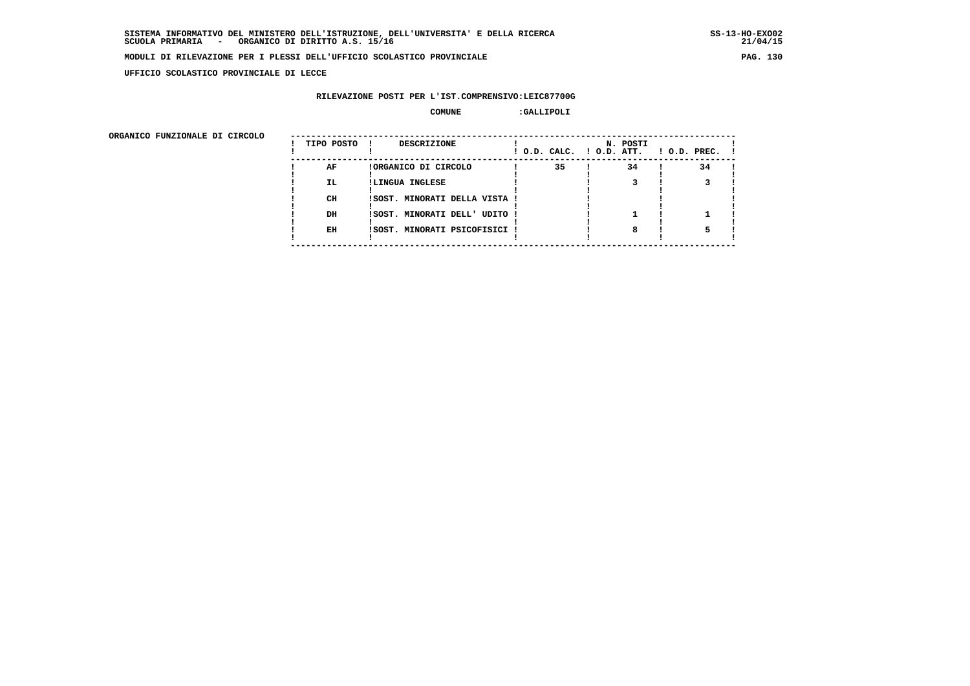**UFFICIO SCOLASTICO PROVINCIALE DI LECCE**

# **RILEVAZIONE POSTI PER L'IST.COMPRENSIVO:LEIC87700G**

#### **COMUNE :GALLIPOLI**

 **ORGANICO FUNZIONALE DI CIRCOLO --------------------------------------------------------------------------------------**

| ORGANICO FUNZIONALE DI CIRCOLO | TIPO POSTO | <b>DESCRIZIONE</b>            |    | N. POSTI<br>! O.D. CALC. ! O.D. ATT. | $1$ O.D. PREC. $1$ |  |
|--------------------------------|------------|-------------------------------|----|--------------------------------------|--------------------|--|
|                                | AF         | !ORGANICO DI CIRCOLO          | 35 | 34                                   | 34                 |  |
|                                | <b>IL</b>  | !LINGUA INGLESE               |    |                                      |                    |  |
|                                | CH         | !SOST. MINORATI DELLA VISTA ! |    |                                      |                    |  |
|                                | DH         | ISOST. MINORATI DELL' UDITO ! |    |                                      |                    |  |
|                                | EH         | !SOST. MINORATI PSICOFISICI ! |    |                                      |                    |  |
|                                |            |                               |    |                                      |                    |  |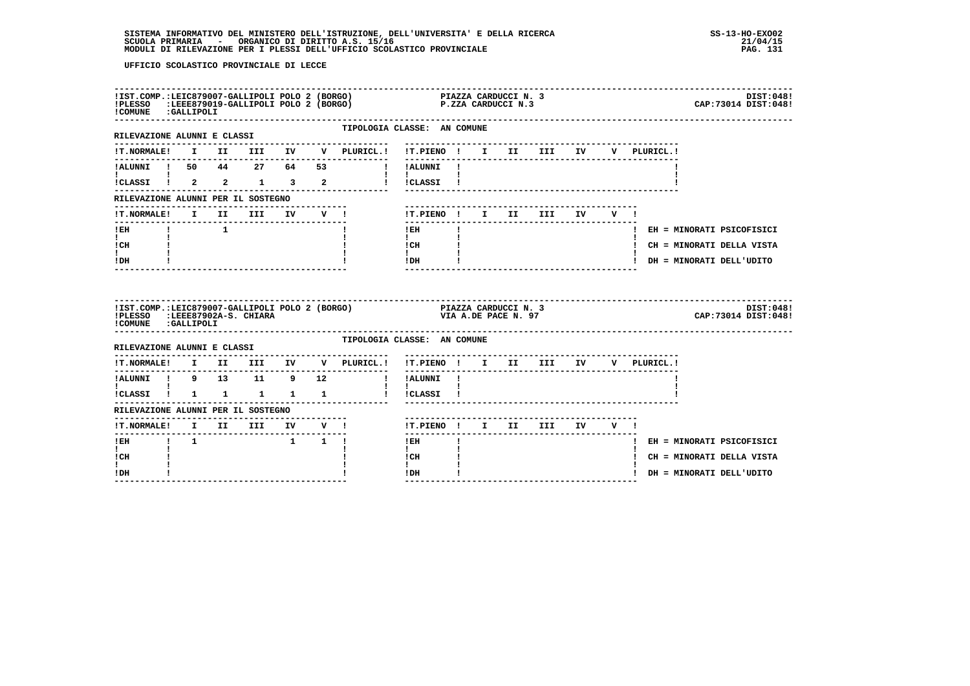| !COMUNE : GALLIPOLI                                                                   |                 |                     |  | IIST.COMP.:LEIC879007-GALLIPOLI POLO 2 (BORGO)             PIAZZA CARDUCCI N. 3<br>IPLESSO  :LEEE879019-GALLIPOLI POLO 2 (BORGO)               P.ZZA CARDUCCI N.3 |                                                                |  |  |  |                                       | DIST:048!<br>CAP: 73014 DIST: 048! |
|---------------------------------------------------------------------------------------|-----------------|---------------------|--|-------------------------------------------------------------------------------------------------------------------------------------------------------------------|----------------------------------------------------------------|--|--|--|---------------------------------------|------------------------------------|
| RILEVAZIONE ALUNNI E CLASSI                                                           |                 |                     |  | ---------------------                                                                                                                                             | TIPOLOGIA CLASSE: AN COMUNE<br>------------------------------- |  |  |  |                                       |                                    |
| <b>!T.NORMALE!</b>                                                                    |                 |                     |  | I II III IV V PLURICL.!                                                                                                                                           | !T.PIENO ! I II III IV                                         |  |  |  | V PLURICL.!                           |                                    |
| <b>Experience</b>                                                                     |                 |                     |  | !ALUNNI ! 50 44 27 64 53 ! !ALUNNI !                                                                                                                              | $1 - 1$                                                        |  |  |  |                                       |                                    |
| ICLASSI ! 2 2 1 3 2                                                                   |                 |                     |  |                                                                                                                                                                   | ! !CLASSI !                                                    |  |  |  |                                       |                                    |
| RILEVAZIONE ALUNNI PER IL SOSTEGNO                                                    |                 |                     |  |                                                                                                                                                                   |                                                                |  |  |  |                                       |                                    |
| !T.NORMALE! I II III IV V !                                                           |                 |                     |  |                                                                                                                                                                   | !T.PIENO! I II III IV V!                                       |  |  |  |                                       |                                    |
| $I$ EH<br>$\mathbf{I}$ and $\mathbf{I}$                                               | $\frac{1}{1}$ 1 |                     |  |                                                                                                                                                                   | $1$ EH<br>$\mathbf{I}$                                         |  |  |  |                                       | ! EH = MINORATI PSICOFISICI        |
| ICH<br>t i                                                                            |                 |                     |  |                                                                                                                                                                   | l CH                                                           |  |  |  |                                       | ! CH = MINORATI DELLA VISTA        |
| ! DH                                                                                  |                 |                     |  |                                                                                                                                                                   | $\mathbf{I}$<br>$!$ DH                                         |  |  |  |                                       | ! DH = MINORATI DELL'UDITO         |
| !COMUNE : GALLIPOLI                                                                   |                 |                     |  |                                                                                                                                                                   |                                                                |  |  |  |                                       | DIST:048!                          |
|                                                                                       |                 |                     |  |                                                                                                                                                                   |                                                                |  |  |  |                                       | CAP: 73014 DIST: 048!              |
| RILEVAZIONE ALUNNI E CLASSI                                                           |                 |                     |  |                                                                                                                                                                   | TIPOLOGIA CLASSE: AN COMUNE                                    |  |  |  |                                       |                                    |
|                                                                                       |                 |                     |  | !T.NORMALE! I II III IV V PLURICL.! !T.PIENO ! I II III IV V PLURICL.!                                                                                            |                                                                |  |  |  |                                       |                                    |
|                                                                                       |                 |                     |  | -------------                                                                                                                                                     | ----------                                                     |  |  |  | ------------------------------------- |                                    |
| <b>I</b> and the state of the state<br>$\frac{1}{2}$ CLASSI $\frac{1}{2}$ 1 1 1 1 1 1 |                 |                     |  | !ALUNNI ! 9 13 11 9 12 !!!ALUNNI !<br>'                                                                                                                           | $\mathbf{I}$<br>! !CLASSI !                                    |  |  |  |                                       |                                    |
| RILEVAZIONE ALUNNI PER IL SOSTEGNO                                                    |                 |                     |  |                                                                                                                                                                   |                                                                |  |  |  |                                       |                                    |
|                                                                                       |                 |                     |  |                                                                                                                                                                   | !T.PIENO ! I II III IV V !                                     |  |  |  |                                       |                                    |
| $I$ EH                                                                                | $1 \quad 1$     | $1 \quad 1 \quad 1$ |  |                                                                                                                                                                   | $!$ EH                                                         |  |  |  |                                       | ! EH = MINORATI PSICOFISICI        |
| $\mathbf{I}$<br>! CH<br>L                                                             |                 |                     |  |                                                                                                                                                                   | $\mathbf{I}$<br>! CH<br>$\mathbf{I}$                           |  |  |  |                                       | ! CH = MINORATI DELLA VISTA        |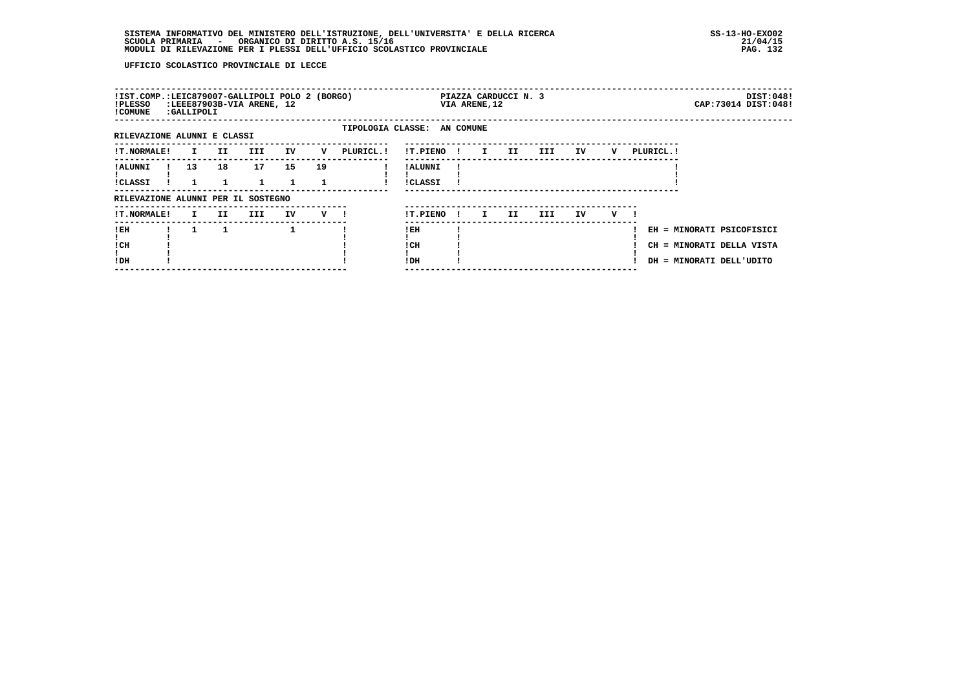| !IST.COMP.:LEIC879007-GALLIPOLI POLO 2 (BORGO)<br>!PLESSO<br>! COMUNE | :LEEE87903B-VIA ARENE, 12<br>:GALLIPOLI |    |      |    |    |                             |                            |              | VIA ARENE, 12 | PIAZZA CARDUCCI N. 3 |      |    |   |            |                                                                                    | DIST:048!<br>CAP: 73014 DIST: 048! |
|-----------------------------------------------------------------------|-----------------------------------------|----|------|----|----|-----------------------------|----------------------------|--------------|---------------|----------------------|------|----|---|------------|------------------------------------------------------------------------------------|------------------------------------|
| RILEVAZIONE ALUNNI E CLASSI                                           |                                         |    |      |    |    | TIPOLOGIA CLASSE: AN COMUNE |                            |              |               |                      |      |    |   |            |                                                                                    |                                    |
| <b>!T.NORMALE!</b>                                                    | $\mathbf{I}$                            | II | III  | IV | v  | PLURICL.!                   | !T.PIENO!                  |              | $\mathbf{I}$  | II.                  | III) | IV | v | PLURICL. ! |                                                                                    |                                    |
| ! ALUNNI<br>!CLASSI                                                   | 13 <sup>1</sup>                         | 18 | 17   | 15 | 19 |                             | ! ALUNNI<br><b>!CLASSI</b> |              |               |                      |      |    |   |            |                                                                                    |                                    |
| RILEVAZIONE ALUNNI PER IL SOSTEGNO                                    |                                         |    |      |    |    |                             |                            |              |               |                      |      |    |   |            |                                                                                    |                                    |
| <b>!T.NORMALE!</b>                                                    | $\mathbf{I}$                            | II | III. | IV | v  |                             | !T.PIENO                   | $\mathbf{I}$ | I.            | II                   | III. | IV | v |            |                                                                                    |                                    |
| ! EH<br>! CH<br>!DH                                                   |                                         |    |      | 1  |    |                             | ! EH<br>! CH<br>! DH       |              |               |                      |      |    |   |            | EH = MINORATI PSICOFISICI<br>CH = MINORATI DELLA VISTA<br>DH = MINORATI DELL'UDITO |                                    |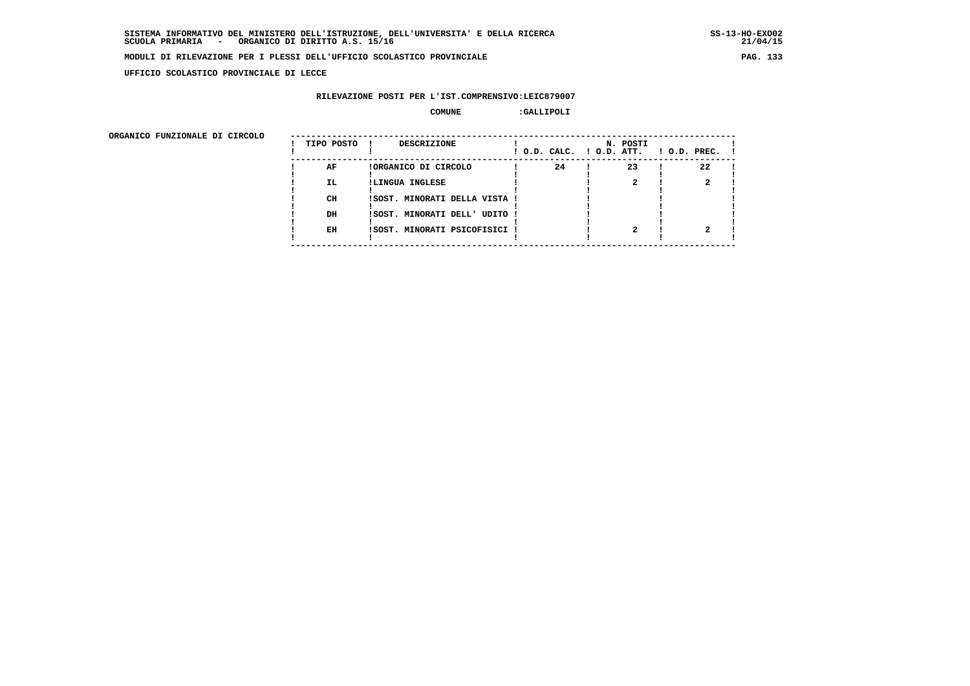**UFFICIO SCOLASTICO PROVINCIALE DI LECCE**

# **RILEVAZIONE POSTI PER L'IST.COMPRENSIVO:LEIC879007**

#### **COMUNE :GALLIPOLI**

| ORGANICO FUNZIONALE DI CIRCOLO |            |                               |                          |          |                    |
|--------------------------------|------------|-------------------------------|--------------------------|----------|--------------------|
|                                | TIPO POSTO | DESCRIZIONE                   | ! O.D. CALC. ! O.D. ATT. | N. POSTI | $1$ O.D. PREC. $1$ |
|                                | AF         | !ORGANICO DI CIRCOLO          | 24                       | 23       | 22                 |
|                                | IL.        | !LINGUA INGLESE               |                          |          |                    |
|                                | CH         | ISOST. MINORATI DELLA VISTA ! |                          |          |                    |
|                                | DH         | !SOST. MINORATI DELL' UDITO ! |                          |          |                    |
|                                | EH         | !SOST. MINORATI PSICOFISICI ! |                          |          |                    |
|                                |            |                               |                          |          |                    |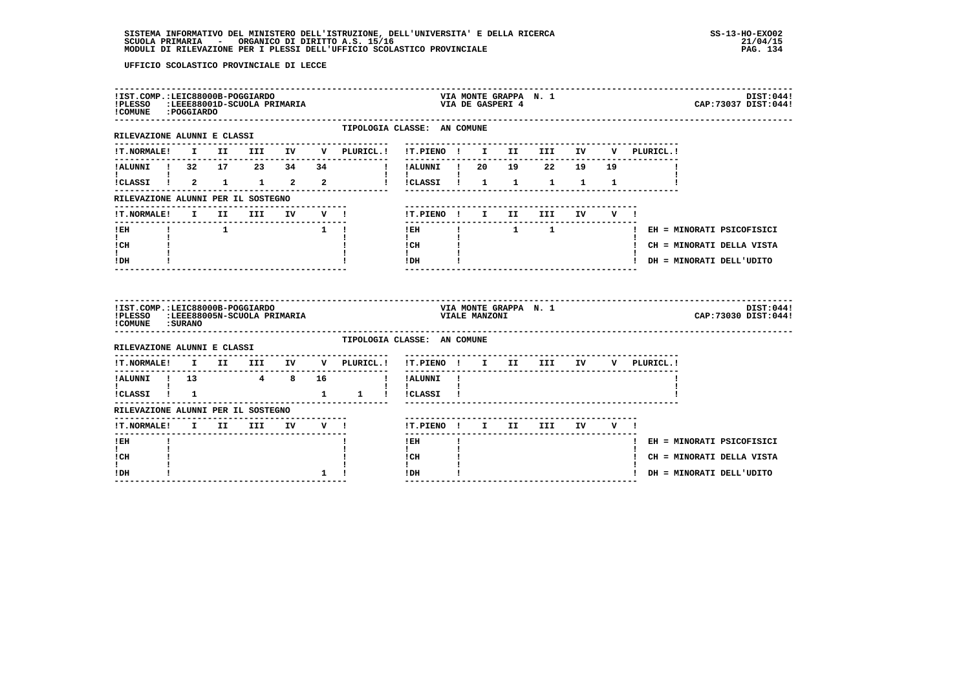| !IST.COMP.:LEIC88000B-POGGIARDO<br>!PLESSO :LEEE88001D-SCUOLA PRIMARIA<br>!COMUNE : POGGIARDO |              |  |             |             |              |                                                |                                          |    |               | VIA MONTE GRAPPA N. 1<br>VIA DE GASPERI 4 |                                    |                 |     |              |                                                           | DIST: 044!<br>CAP: 73037 DIST: 044! |
|-----------------------------------------------------------------------------------------------|--------------|--|-------------|-------------|--------------|------------------------------------------------|------------------------------------------|----|---------------|-------------------------------------------|------------------------------------|-----------------|-----|--------------|-----------------------------------------------------------|-------------------------------------|
| -----------------------<br>RILEVAZIONE ALUNNI E CLASSI                                        |              |  |             |             |              | TIPOLOGIA CLASSE: AN COMUNE<br>.               |                                          |    |               |                                           | ---------------------------------- |                 |     |              |                                                           |                                     |
| <b>!T.NORMALE!</b>                                                                            |              |  |             |             |              | I II III IV V PLURICL.! !T.PIENO ! I II III IV |                                          |    |               |                                           |                                    |                 | v   | PLURICL.!    |                                                           |                                     |
| !ALUNNI ! 32 17 23 34 34                                                                      |              |  |             |             |              |                                                |                                          |    |               |                                           |                                    |                 |     |              |                                                           |                                     |
| !CLASSI ! 2 1 1 2 2                                                                           |              |  |             |             |              |                                                | $\mathbf{I}$<br>!!CLASSI! 1 1 1 1 1      |    |               |                                           |                                    |                 |     |              |                                                           |                                     |
| RILEVAZIONE ALUNNI PER IL SOSTEGNO                                                            |              |  |             |             |              |                                                |                                          |    |               |                                           |                                    |                 |     |              |                                                           |                                     |
| !T.NORMALE! I II III IV                                                                       |              |  |             |             | $V$ 1        |                                                | !T.PIENO ! I II III IV V !               |    |               |                                           |                                    |                 |     |              |                                                           |                                     |
| ! EH                                                                                          | $\mathbf{I}$ |  |             | $1 \quad 1$ |              |                                                | -------------------------<br>$!$ EH      |    |               |                                           |                                    |                 |     |              | ! EH = MINORATI PSICOFISICI                               |                                     |
| $\mathbf{I}$<br>! CH                                                                          |              |  |             |             |              |                                                | $\mathbf{I}$<br>! CH                     |    |               |                                           |                                    |                 |     |              | ! CH = MINORATI DELLA VISTA                               |                                     |
| $\mathbf{I}$<br>! DH                                                                          |              |  |             |             |              |                                                | $\mathbf{I}$<br>! DH                     |    |               |                                           |                                    |                 |     |              | ! DH = MINORATI DELL'UDITO                                |                                     |
|                                                                                               |              |  |             |             |              |                                                |                                          |    |               |                                           |                                    |                 |     |              |                                                           |                                     |
| !IST.COMP.:LEIC88000B-POGGIARDO<br>!PLESSO :LEEE88005N-SCUOLA PRIMARIA                        |              |  |             |             |              |                                                |                                          |    | VIALE MANZONI |                                           | VIA MONTE GRAPPA N. 1              |                 |     |              |                                                           | DIST:044!<br>CAP: 73030 DIST: 044!  |
| ! COMUNE : SURANO                                                                             |              |  |             |             |              | TIPOLOGIA CLASSE: AN COMUNE                    |                                          |    |               |                                           |                                    |                 |     |              |                                                           |                                     |
| RILEVAZIONE ALUNNI E CLASSI<br><b>!T.NORMALE!</b>                                             |              |  |             |             |              | -------------<br>V PLURICL.!                   | !T.PIENO ! I II III IV                   |    |               |                                           |                                    |                 |     | V PLURICL. ! |                                                           |                                     |
|                                                                                               |              |  | I II III IV |             |              |                                                | ! !ALUNNI !                              |    |               |                                           |                                    |                 |     |              |                                                           |                                     |
| !ALUNNI ! 13 4 8 16<br>$\mathbf{I}$ and $\mathbf{I}$ and $\mathbf{I}$                         |              |  |             |             |              |                                                | $\mathbf{1}$ $\mathbf{1}$                |    |               |                                           |                                    |                 |     |              |                                                           |                                     |
| !CLASSI ! 1                                                                                   |              |  |             |             |              |                                                |                                          |    |               |                                           |                                    |                 |     |              |                                                           |                                     |
| RILEVAZIONE ALUNNI PER IL SOSTEGNO                                                            |              |  |             |             |              |                                                |                                          |    |               |                                           |                                    |                 |     |              |                                                           |                                     |
| !T.NORMALE! I II III<br>--------                                                              |              |  |             |             |              | IV V !                                         | !T.PIENO ! I II III<br>--------------    |    |               |                                           |                                    | IV <sub>D</sub> | V ! |              |                                                           |                                     |
| $!$ EH<br>$\mathbf{I}$                                                                        |              |  |             |             |              |                                                | $!$ EH<br>$\mathbf{I}$                   | Ι. |               |                                           |                                    |                 |     |              | ! EH = MINORATI PSICOFISICI                               |                                     |
| ! CH<br>I.<br>! DH                                                                            |              |  |             |             | $\mathbf{1}$ |                                                | ! CH<br>$\mathbf{I}$<br>$1\,\mathrm{DH}$ |    |               |                                           |                                    |                 |     |              | ! CH = MINORATI DELLA VISTA<br>! DH = MINORATI DELL'UDITO |                                     |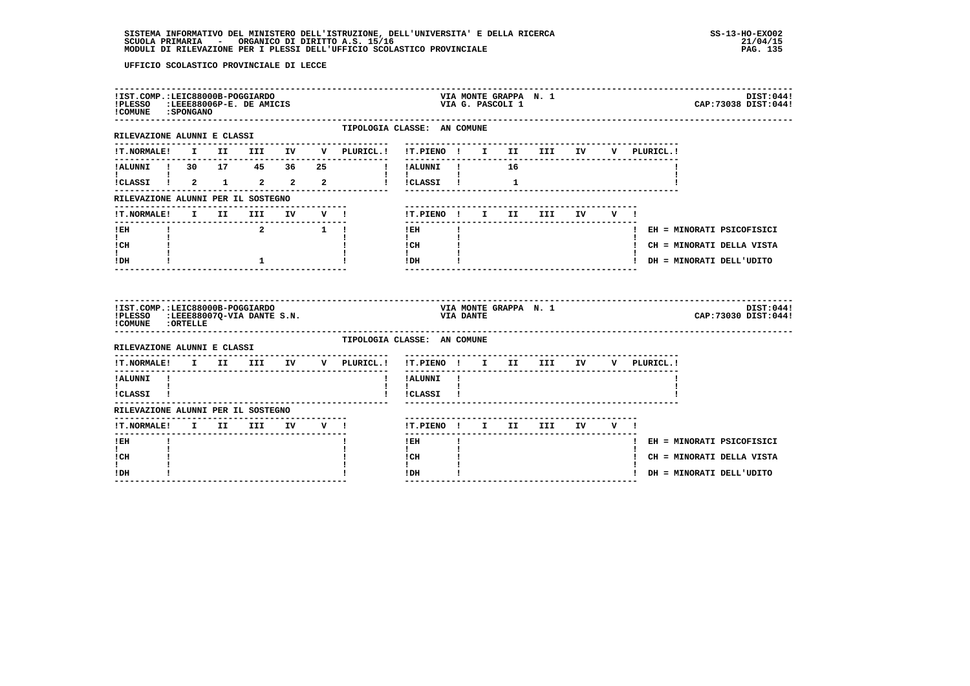| !IST.COMP.:LEIC88000B-POGGIARDO<br>!PLESSO :LEEE88006P-E. DE AMICIS<br>! COMUNE : SPONGANO |  |                                                     |                                   |    |                                                |                                                  |                  | VIA G. PASCOLI 1 |   | VIA MONTE GRAPPA N. 1                  |  |             | DIST:044!<br>CAP: 73038 DIST: 044! |
|--------------------------------------------------------------------------------------------|--|-----------------------------------------------------|-----------------------------------|----|------------------------------------------------|--------------------------------------------------|------------------|------------------|---|----------------------------------------|--|-------------|------------------------------------|
| ----------------------------<br>RILEVAZIONE ALUNNI E CLASSI                                |  |                                                     |                                   |    | TIPOLOGIA CLASSE: AN COMUNE                    |                                                  |                  |                  |   |                                        |  |             |                                    |
| <b>!T.NORMALE!</b>                                                                         |  |                                                     |                                   |    | I II III IV V PLURICL.! !T.PIENO ! I II III IV |                                                  |                  |                  |   |                                        |  | V PLURICL.! |                                    |
| !ALUNNI ! 30 17 45 36                                                                      |  |                                                     |                                   | 25 |                                                | ----------                                       |                  |                  |   |                                        |  |             |                                    |
| I.                                                                                         |  |                                                     |                                   |    | !CLASSI ! 2 1 2 2 2 2 ! !CLASSI !              | <b>Contract Contract</b>                         |                  |                  | 1 |                                        |  |             |                                    |
| RILEVAZIONE ALUNNI PER IL SOSTEGNO                                                         |  |                                                     |                                   |    |                                                |                                                  |                  |                  |   |                                        |  |             |                                    |
| <b>!T.NORMALE!</b>                                                                         |  |                                                     |                                   |    | I II III IV V!                                 | !T.PIENO! I II III IV V !                        |                  |                  |   |                                        |  |             |                                    |
| ! EH                                                                                       |  |                                                     | $2 \qquad \qquad 1 \qquad \qquad$ |    |                                                | ! EH                                             |                  |                  |   | -------------------------------------- |  |             | ! EH = MINORATI PSICOFISICI        |
| $\mathbf{I}$<br>! CH                                                                       |  |                                                     |                                   |    |                                                | $\mathbf{I}$<br>! CH                             |                  |                  |   |                                        |  |             | ! CH = MINORATI DELLA VISTA        |
| $\mathbf{I}$<br>! DH                                                                       |  | $\mathbf{1}$                                        |                                   |    |                                                | $\mathbf{I}$<br>! DH                             |                  |                  |   |                                        |  |             | ! DH = MINORATI DELL'UDITO         |
|                                                                                            |  |                                                     |                                   |    |                                                |                                                  |                  |                  |   |                                        |  |             |                                    |
| !IST.COMP.:LEIC88000B-POGGIARDO<br>!PLESSO :LEEE880070-VIA DANTE S.N.<br>COMUNE : ORTELLE  |  |                                                     |                                   |    |                                                |                                                  | <b>VIA DANTE</b> |                  |   | VIA MONTE GRAPPA N. 1                  |  |             | DIST:044!<br>CAP: 73030 DIST: 044! |
| RILEVAZIONE ALUNNI E CLASSI                                                                |  |                                                     |                                   |    | TIPOLOGIA CLASSE: AN COMUNE                    |                                                  |                  |                  |   |                                        |  |             |                                    |
| <b>!T.NORMALE!</b>                                                                         |  |                                                     |                                   |    | I II III IV V PLURICL.!                        | !T.PIENO ! I II III IV V PLURICL.!               |                  |                  |   | -----------------------------------    |  |             |                                    |
| !ALUNNI !                                                                                  |  |                                                     |                                   |    | $\mathbf{I}$                                   | !ALUNNI !                                        |                  |                  |   |                                        |  |             |                                    |
| $\mathbf{I}$ and $\mathbf{I}$ and $\mathbf{I}$<br>!CLASSI !                                |  |                                                     |                                   |    |                                                | <b>Contract Contract Contract</b><br>! !CLASSI ! |                  |                  |   |                                        |  |             |                                    |
| RILEVAZIONE ALUNNI PER IL SOSTEGNO                                                         |  |                                                     |                                   |    |                                                |                                                  |                  |                  |   |                                        |  |             |                                    |
| --------------<br><b>!T.NORMALE!</b>                                                       |  | ---------------------------------<br>I II III IV V! |                                   |    |                                                |                                                  |                  |                  |   | !T.PIENO! I II III IV V!               |  |             |                                    |
| -------<br>! EH                                                                            |  |                                                     |                                   |    |                                                | $!$ EH                                           |                  |                  |   |                                        |  |             | ! EH = MINORATI PSICOFISICI        |
| $\mathbf{I}$<br>! CH                                                                       |  |                                                     |                                   |    |                                                | $\mathbf{I}$<br>! CH                             |                  |                  |   |                                        |  |             | ! CH = MINORATI DELLA VISTA        |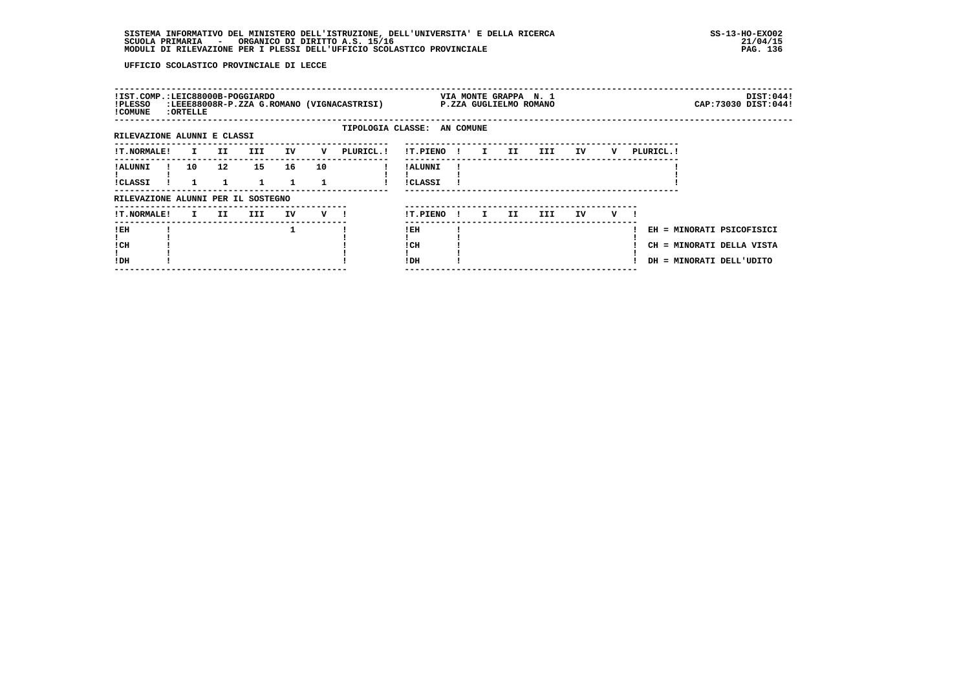| !IST.COMP.:LEIC88000B-POGGIARDO<br>!PLESSO<br>! COMUNE | : ORTELLE    |                   |              |    |         | :LEEE88008R-P.ZZA G.ROMANO (VIGNACASTRISI) |                             |              |                               | VIA MONTE GRAPPA N. 1 | P.ZZA GUGLIELMO ROMANO |    |   |                           | CAP: 73030 DIST: 044! | DIST:044! |
|--------------------------------------------------------|--------------|-------------------|--------------|----|---------|--------------------------------------------|-----------------------------|--------------|-------------------------------|-----------------------|------------------------|----|---|---------------------------|-----------------------|-----------|
|                                                        |              |                   |              |    |         |                                            |                             |              |                               |                       |                        |    |   |                           |                       |           |
| RILEVAZIONE ALUNNI E CLASSI                            |              |                   |              |    |         |                                            | TIPOLOGIA CLASSE: AN COMUNE |              |                               |                       |                        |    |   |                           |                       |           |
| !T.NORMALE!                                            | $\mathbf{I}$ | II.               | <b>III</b>   | IV | v       | PLURICL.!                                  | !T.PIENO!                   |              | $\mathbf{I}$ and $\mathbf{I}$ | II.                   | III DE                 | IV | v | PLURICL. !                |                       |           |
| ! ALUNNI                                               | 10           | $12 \overline{ }$ | 15           | 16 | 10      |                                            | ! ALUNNI                    |              |                               |                       |                        |    |   |                           |                       |           |
|                                                        |              |                   |              |    |         |                                            |                             |              |                               |                       |                        |    |   |                           |                       |           |
| !CLASSI                                                |              |                   | $\mathbf{1}$ |    |         |                                            | <b>!CLASSI</b>              |              |                               |                       |                        |    |   |                           |                       |           |
| RILEVAZIONE ALUNNI PER IL SOSTEGNO                     |              |                   |              |    |         |                                            |                             |              |                               |                       |                        |    |   |                           |                       |           |
| <b>!T.NORMALE!</b>                                     | I.           | II                | III          | IV | $V$ $l$ |                                            | !T.PIENO                    | $\mathbf{I}$ | I.                            | II.                   | III.                   | IV | v |                           |                       |           |
| !EH                                                    |              |                   |              | 1  |         |                                            | ! EH                        |              |                               |                       |                        |    |   | EH = MINORATI PSICOFISICI |                       |           |
|                                                        |              |                   |              |    |         |                                            |                             |              |                               |                       |                        |    |   |                           |                       |           |
| ! CH                                                   |              |                   |              |    |         |                                            | ! CH                        |              |                               |                       |                        |    |   | CH = MINORATI DELLA VISTA |                       |           |
| !DH                                                    |              |                   |              |    |         |                                            | ! DH                        |              |                               |                       |                        |    |   | DH = MINORATI DELL'UDITO  |                       |           |
|                                                        |              |                   |              |    |         |                                            |                             |              |                               |                       |                        |    |   |                           |                       |           |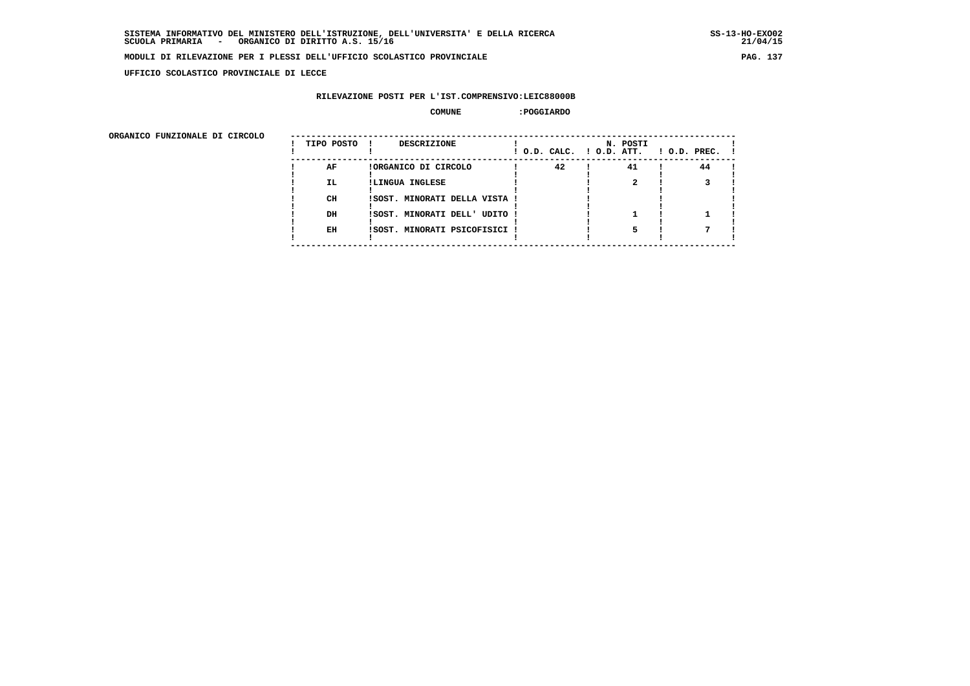**UFFICIO SCOLASTICO PROVINCIALE DI LECCE**

### **RILEVAZIONE POSTI PER L'IST.COMPRENSIVO:LEIC88000B**

#### **COMUNE :POGGIARDO**

| ORGANICO FUNZIONALE DI CIRCOLO |            |                               |                          |          |                    |
|--------------------------------|------------|-------------------------------|--------------------------|----------|--------------------|
|                                | TIPO POSTO | <b>DESCRIZIONE</b>            | ! O.D. CALC. ! O.D. ATT. | N. POSTI | $1$ O.D. PREC. $1$ |
|                                | AF         | !ORGANICO DI CIRCOLO          | 42                       | 41       | 44                 |
|                                | IL.        | !LINGUA INGLESE               |                          |          |                    |
|                                | CH         | !SOST. MINORATI DELLA VISTA ! |                          |          |                    |
|                                | DH         | !SOST. MINORATI DELL' UDITO ! |                          |          |                    |
|                                | EH         | !SOST. MINORATI PSICOFISICI ! |                          |          |                    |
|                                |            |                               |                          |          |                    |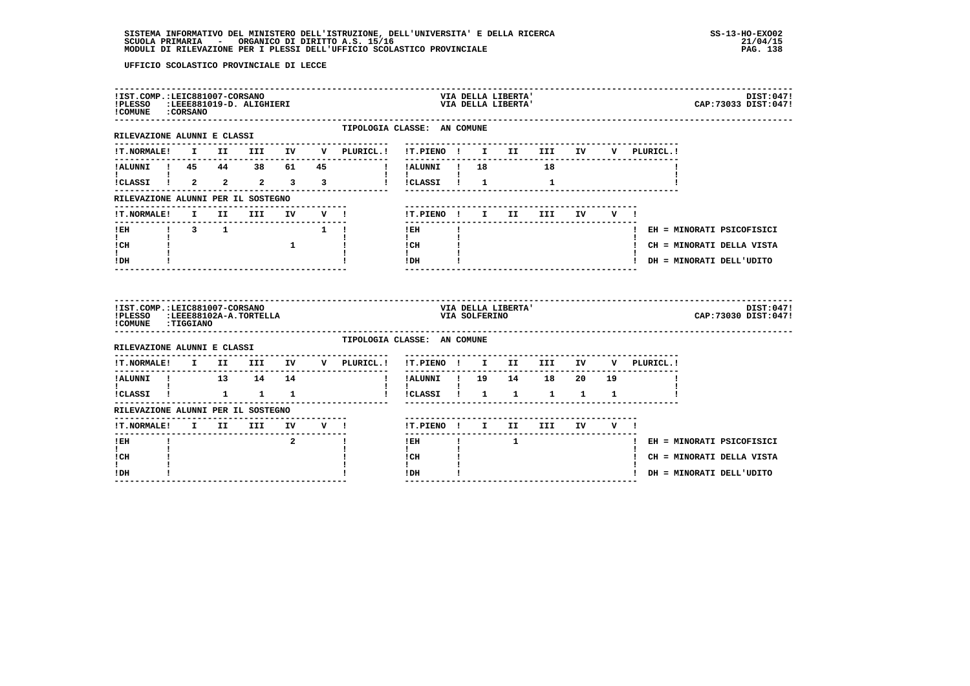| !IST.COMP.:LEIC881007-CORSANO<br>!PLESSO :LEEE881019-D. ALIGHIERI<br>! COMUNE : CORSANO                                                                                                                                                                                                                                                                                                                                                                                                                                          |              |      |                        |                          |        |                                    |                                      |    |               | VIA DELLA LIBERTA'<br>VIA DELLA LIBERTA' |                                                                       |    |     |             |  | CAP: 73033 DIST: 047!       | DIST: 047! |
|----------------------------------------------------------------------------------------------------------------------------------------------------------------------------------------------------------------------------------------------------------------------------------------------------------------------------------------------------------------------------------------------------------------------------------------------------------------------------------------------------------------------------------|--------------|------|------------------------|--------------------------|--------|------------------------------------|--------------------------------------|----|---------------|------------------------------------------|-----------------------------------------------------------------------|----|-----|-------------|--|-----------------------------|------------|
| RILEVAZIONE ALUNNI E CLASSI                                                                                                                                                                                                                                                                                                                                                                                                                                                                                                      |              |      |                        |                          |        | TIPOLOGIA CLASSE: AN COMUNE        |                                      |    |               |                                          |                                                                       |    |     |             |  |                             |            |
| <b>!T.NORMALE!</b>                                                                                                                                                                                                                                                                                                                                                                                                                                                                                                               |              |      | I II III IV V          |                          |        | PLURICL. !                         | !T.PIENO ! I II III IV               |    |               |                                          |                                                                       |    |     | V PLURICL.! |  |                             |            |
|                                                                                                                                                                                                                                                                                                                                                                                                                                                                                                                                  |              |      |                        |                          |        |                                    | !ALUNNI ! 18 18                      |    |               |                                          |                                                                       |    |     |             |  |                             |            |
|                                                                                                                                                                                                                                                                                                                                                                                                                                                                                                                                  |              |      |                        |                          |        |                                    | and the state of<br>!!CLASSI!!!      |    |               |                                          | $\mathbf{1}$                                                          |    |     |             |  |                             |            |
| RILEVAZIONE ALUNNI PER IL SOSTEGNO                                                                                                                                                                                                                                                                                                                                                                                                                                                                                               |              |      |                        |                          |        |                                    |                                      |    |               |                                          |                                                                       |    |     |             |  |                             |            |
| !T.NORMALE!                                                                                                                                                                                                                                                                                                                                                                                                                                                                                                                      | $\mathbf{I}$ | II D |                        | III IV V !               |        |                                    | !T.PIENO ! I II                      |    |               |                                          | <b>III</b>                                                            | IV | V ! |             |  |                             |            |
| ----------------<br><b>IEH</b> $\begin{array}{cccc} 1 & 3 & 1 & 1 \end{array}$                                                                                                                                                                                                                                                                                                                                                                                                                                                   |              |      |                        |                          |        |                                    | $\frac{1}{2}$<br>$!$ EH              | Ţ. |               |                                          |                                                                       |    |     |             |  | ! EH = MINORATI PSICOFISICI |            |
| $\mathbf{I}$ and $\mathbf{I}$<br>ICH                                                                                                                                                                                                                                                                                                                                                                                                                                                                                             | $1 - 1$      |      |                        | $\overline{\phantom{a}}$ |        |                                    | $\mathbf{I}$<br>I CH                 |    |               |                                          |                                                                       |    |     |             |  | ! CH = MINORATI DELLA VISTA |            |
| $\mathbf{I}$<br>! DH                                                                                                                                                                                                                                                                                                                                                                                                                                                                                                             |              |      |                        |                          |        |                                    | $\mathbf{I}$<br>! DH                 |    |               |                                          |                                                                       |    |     |             |  | ! DH = MINORATI DELL'UDITO  |            |
|                                                                                                                                                                                                                                                                                                                                                                                                                                                                                                                                  |              |      |                        |                          |        |                                    |                                      |    |               |                                          |                                                                       |    |     |             |  |                             |            |
| !IST.COMP.:LEIC881007-CORSANO<br>!PLESSO<br>!COMUNE : TIGGIANO                                                                                                                                                                                                                                                                                                                                                                                                                                                                   |              |      | :LEEE88102A-A.TORTELLA |                          |        | ---------------------------------- |                                      |    | VIA SOLFERINO | VIA DELLA LIBERTA'                       |                                                                       |    |     |             |  | CAP: 73030 DIST: 047!       | DIST:047!  |
| RILEVAZIONE ALUNNI E CLASSI                                                                                                                                                                                                                                                                                                                                                                                                                                                                                                      |              |      |                        |                          |        | TIPOLOGIA CLASSE: AN COMUNE        |                                      |    |               |                                          |                                                                       |    |     |             |  |                             |            |
| <b>!T.NORMALE!</b>                                                                                                                                                                                                                                                                                                                                                                                                                                                                                                               |              |      |                        |                          |        | I II III IV V PLURICL.!            | !T.PIENO ! I II III IV               |    |               |                                          | --------------------------------------                                |    |     | V PLURICL.! |  |                             |            |
| !ALUNNI ! 13 14 14                                                                                                                                                                                                                                                                                                                                                                                                                                                                                                               |              |      |                        |                          |        | $\mathbf{I}$                       | !ALUNNI ! 19 14 18 20 19             |    |               |                                          |                                                                       |    |     |             |  |                             |            |
| $\mathbf{I}$ and $\mathbf{I}$ and $\mathbf{I}$<br>$\verb !CLASSI  \qquad \verb !  \qquad \qquad \verb !  \qquad \qquad \verb !  \qquad \qquad \verb !  \qquad \qquad \verb !  \qquad \qquad \verb !  \qquad \qquad \verb !  \qquad \qquad \verb !  \qquad \qquad \verb !  \qquad \qquad \verb !  \qquad \qquad \verb !  \qquad \qquad \verb !  \qquad \qquad \verb !  \qquad \qquad \verb !  \qquad \qquad \verb !  \qquad \qquad \verb !  \qquad \qquad \verb !  \qquad \qquad \verb !  \qquad \qquad \verb !  \qquad \qquad \$ |              |      |                        |                          |        |                                    | $\mathbf{I}$<br>!CLASSI !            |    |               |                                          | $\begin{array}{cccccccccccccc} 1 & & 1 & & 1 & & 1 & & 1 \end{array}$ |    |     |             |  |                             |            |
| RILEVAZIONE ALUNNI PER IL SOSTEGNO                                                                                                                                                                                                                                                                                                                                                                                                                                                                                               |              |      |                        |                          |        |                                    |                                      |    |               |                                          |                                                                       |    |     |             |  |                             |            |
| <b>!T.NORMALE!</b>                                                                                                                                                                                                                                                                                                                                                                                                                                                                                                               |              |      | I II III               |                          | IV V ! |                                    | !T.PIENO ! I II III IV V !           |    |               |                                          |                                                                       |    |     |             |  |                             |            |
| ! EH                                                                                                                                                                                                                                                                                                                                                                                                                                                                                                                             |              |      |                        | $\overline{2}$           |        | I.                                 | $!$ EH                               | Ţ. |               | $\mathbf{1}$                             |                                                                       |    |     |             |  | ! EH = MINORATI PSICOFISICI |            |
| $\mathbf{I}$<br>! CH<br>I.                                                                                                                                                                                                                                                                                                                                                                                                                                                                                                       |              |      |                        |                          |        |                                    | $\mathbf{I}$<br>! CH<br>$\mathbf{I}$ |    |               |                                          |                                                                       |    |     |             |  | ! CH = MINORATI DELLA VISTA |            |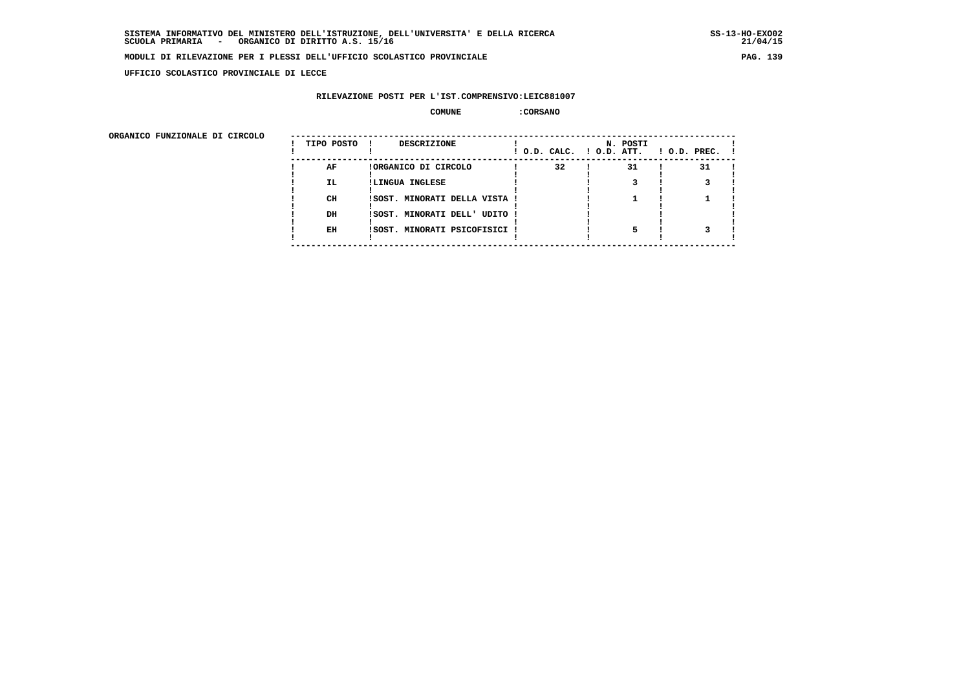**UFFICIO SCOLASTICO PROVINCIALE DI LECCE**

# **RILEVAZIONE POSTI PER L'IST.COMPRENSIVO:LEIC881007**

#### **COMUNE :CORSANO**

ORGANICO FUNZIONALE DI CIRCOLO

| ORGANICO FUNZIONALE DI CIRCOLO | TIPO POSTO ! | <b>DESCRIZIONE</b>            |    | N. POSTI | $!$ O.D. CALC. $!$ O.D. ATT. $!$ O.D. PREC. $!$ |  |
|--------------------------------|--------------|-------------------------------|----|----------|-------------------------------------------------|--|
|                                | AF           | !ORGANICO DI CIRCOLO          | 32 | 31       | 31                                              |  |
|                                | IL.          | !LINGUA INGLESE               |    |          |                                                 |  |
|                                |              |                               |    |          |                                                 |  |
|                                | CH           | !SOST. MINORATI DELLA VISTA ! |    |          |                                                 |  |
|                                |              |                               |    |          |                                                 |  |
|                                | DH           | ISOST. MINORATI DELL' UDITO ! |    |          |                                                 |  |
|                                |              |                               |    |          |                                                 |  |
|                                | EH           | !SOST. MINORATI PSICOFISICI ! |    |          |                                                 |  |
|                                |              |                               |    |          |                                                 |  |
|                                |              |                               |    |          |                                                 |  |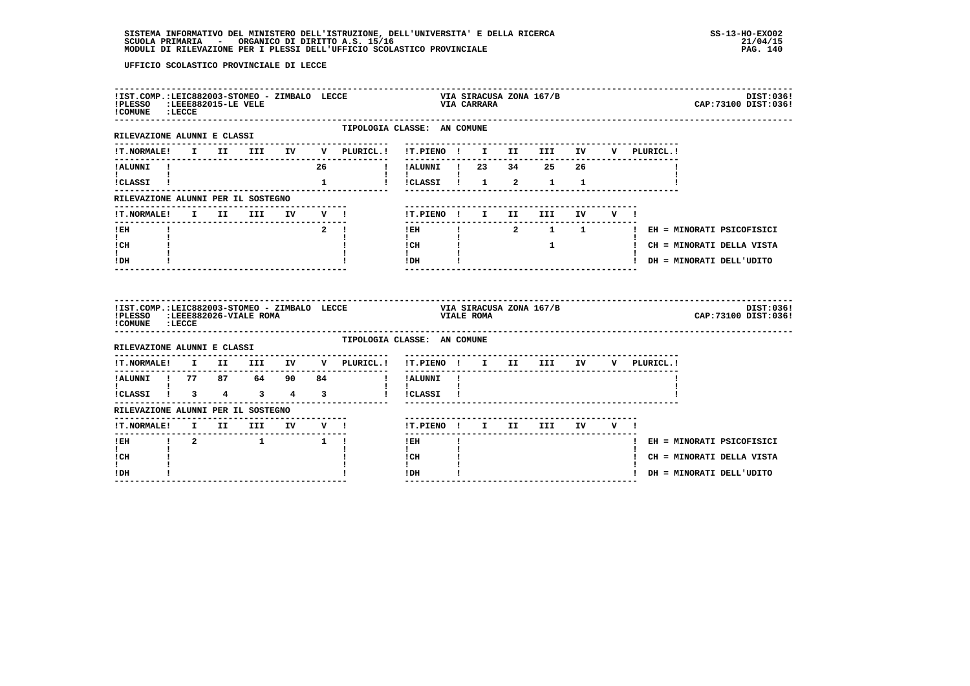| !IST.COMP.:LEIC882003-STOMEO - ZIMBALO LECCE<br>PLESSO :LEEE882015-LE VELE<br>! COMUNE : LECCE |              |  |  |    |                                                                        | VIA LILLA<br>VIA CARRARA                                        |    |  | VIA SIRACUSA ZONA 167/B                                                                                                                                                                                                                                                                       |  |  | CAP: 73100 DIST: 036!                   | DIST:036! |
|------------------------------------------------------------------------------------------------|--------------|--|--|----|------------------------------------------------------------------------|-----------------------------------------------------------------|----|--|-----------------------------------------------------------------------------------------------------------------------------------------------------------------------------------------------------------------------------------------------------------------------------------------------|--|--|-----------------------------------------|-----------|
| RILEVAZIONE ALUNNI E CLASSI                                                                    |              |  |  |    | ---------------                                                        | TIPOLOGIA CLASSE: AN COMUNE<br>-------------------------------- |    |  |                                                                                                                                                                                                                                                                                               |  |  |                                         |           |
|                                                                                                |              |  |  |    | !T.NORMALE! I II III IV V PLURICL.! !T.PIENO ! I II III IV V PLURICL.! |                                                                 |    |  |                                                                                                                                                                                                                                                                                               |  |  |                                         |           |
| !ALUNNI !<br>$\mathbf{I}$ and $\mathbf{I}$ and $\mathbf{I}$                                    |              |  |  | 26 |                                                                        | ! !ALUNNI ! 23 34 25 26                                         |    |  |                                                                                                                                                                                                                                                                                               |  |  |                                         |           |
| !CLASSI !                                                                                      |              |  |  |    |                                                                        |                                                                 |    |  |                                                                                                                                                                                                                                                                                               |  |  |                                         |           |
| RILEVAZIONE ALUNNI PER IL SOSTEGNO                                                             |              |  |  |    |                                                                        |                                                                 |    |  | _____________________________                                                                                                                                                                                                                                                                 |  |  |                                         |           |
|                                                                                                |              |  |  |    | !T.NORMALE! I II III IV V !                                            | !T.PIENO ! I II III IV V !                                      |    |  |                                                                                                                                                                                                                                                                                               |  |  |                                         |           |
| $I$ EH<br>$\mathbf{I}$ and $\mathbf{I}$                                                        | $\mathbf{I}$ |  |  |    | $2 \quad 1$                                                            | -------------------------<br>$\mathbf{I}$                       |    |  |                                                                                                                                                                                                                                                                                               |  |  | !EH ! 2 1 1 ! EH = MINORATI PSICOFISICI |           |
| ! CH                                                                                           |              |  |  |    |                                                                        | ! CH                                                            |    |  | $\frac{1}{2}$ and $\frac{1}{2}$ and $\frac{1}{2}$ and $\frac{1}{2}$ and $\frac{1}{2}$ and $\frac{1}{2}$ and $\frac{1}{2}$ and $\frac{1}{2}$ and $\frac{1}{2}$ and $\frac{1}{2}$ and $\frac{1}{2}$ and $\frac{1}{2}$ and $\frac{1}{2}$ and $\frac{1}{2}$ and $\frac{1}{2}$ and $\frac{1}{2}$ a |  |  | ! CH = MINORATI DELLA VISTA             |           |
| t i<br>! DH                                                                                    |              |  |  |    |                                                                        | $\mathbf{I}$<br>!DH                                             |    |  |                                                                                                                                                                                                                                                                                               |  |  | ! DH = MINORATI DELL'UDITO              |           |
|                                                                                                |              |  |  |    |                                                                        |                                                                 |    |  |                                                                                                                                                                                                                                                                                               |  |  |                                         |           |
| ! COMUNE : LECCE                                                                               |              |  |  |    |                                                                        |                                                                 |    |  |                                                                                                                                                                                                                                                                                               |  |  | CAP: 73100 DIST: 036!                   | DIST:036! |
| RILEVAZIONE ALUNNI E CLASSI                                                                    |              |  |  |    | TIPOLOGIA CLASSE: AN COMUNE                                            |                                                                 |    |  |                                                                                                                                                                                                                                                                                               |  |  |                                         |           |
|                                                                                                |              |  |  |    | !T.NORMALE! I II III IV V PLURICL.! !T.PIENO ! I II III IV V PLURICL.! |                                                                 |    |  |                                                                                                                                                                                                                                                                                               |  |  |                                         |           |
|                                                                                                |              |  |  |    | --------------<br>!ALUNNI ! 77 87 64 90 84 ! !ALUNNI !                 |                                                                 |    |  |                                                                                                                                                                                                                                                                                               |  |  |                                         |           |
| $\mathbf{I}$ and $\mathbf{I}$ and $\mathbf{I}$                                                 |              |  |  |    | !CLASSI ! 3 4 3 4 3 ! !CLASSI !                                        | $\mathbf{I}$                                                    |    |  |                                                                                                                                                                                                                                                                                               |  |  |                                         |           |
| RILEVAZIONE ALUNNI PER IL SOSTEGNO                                                             |              |  |  |    |                                                                        |                                                                 |    |  |                                                                                                                                                                                                                                                                                               |  |  |                                         |           |
|                                                                                                |              |  |  |    |                                                                        | !T.PIENO! I II III IV V!                                        |    |  |                                                                                                                                                                                                                                                                                               |  |  |                                         |           |
| !EH ! 2 ! 1 !                                                                                  |              |  |  |    | <u>KLENVALLEN AMBURIT II III IV V !</u><br>IT.NORMALE! I II III IV V ! | $1$ EH $\sim$                                                   | п. |  |                                                                                                                                                                                                                                                                                               |  |  | ! EH = MINORATI PSICOFISICI             |           |
| $\mathbf{I}$<br>! CH<br>I.                                                                     |              |  |  |    |                                                                        | $\mathbf{I}$<br>! CH<br>$\mathbf{I}$                            |    |  |                                                                                                                                                                                                                                                                                               |  |  | ! CH = MINORATI DELLA VISTA             |           |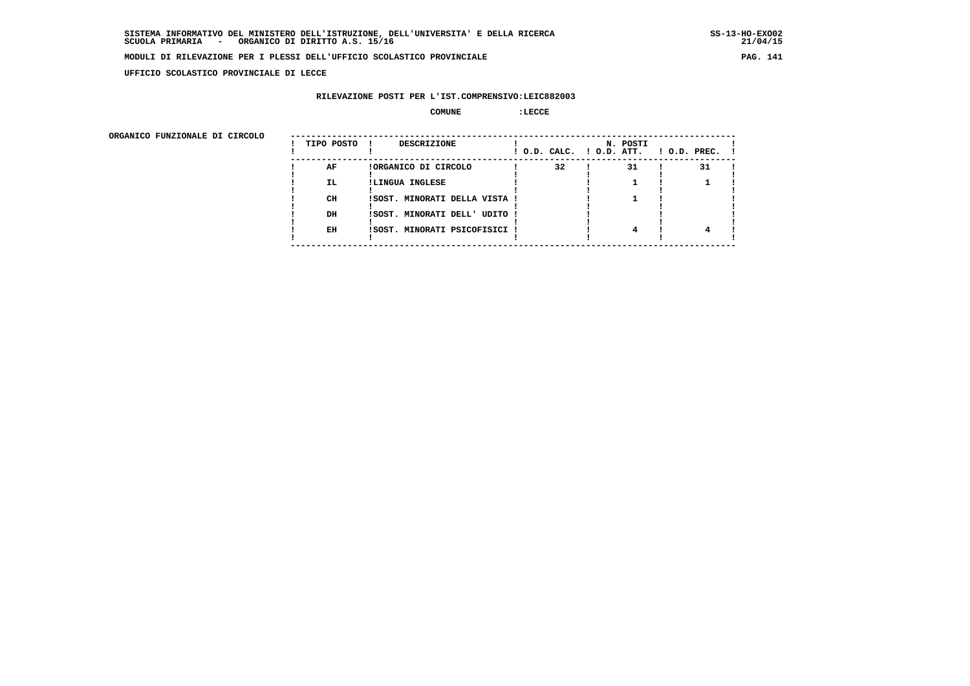**UFFICIO SCOLASTICO PROVINCIALE DI LECCE**

# **RILEVAZIONE POSTI PER L'IST.COMPRENSIVO:LEIC882003**

#### **COMUNE :LECCE**

| ORGANICO FUNZIONALE DI CIRCOLO |            |                               |                          |          |                    |
|--------------------------------|------------|-------------------------------|--------------------------|----------|--------------------|
|                                | TIPO POSTO | <b>DESCRIZIONE</b>            | ! O.D. CALC. ! O.D. ATT. | N. POSTI | $1$ O.D. PREC. $1$ |
|                                | AF         | !ORGANICO DI CIRCOLO          | 32                       | 31       | 31                 |
|                                | IL.        | !LINGUA INGLESE               |                          |          |                    |
|                                | CH         | !SOST. MINORATI DELLA VISTA ! |                          |          |                    |
|                                | DH         | !SOST. MINORATI DELL' UDITO ! |                          |          |                    |
|                                | EH         | !SOST. MINORATI PSICOFISICI ! |                          |          |                    |
|                                |            |                               |                          |          |                    |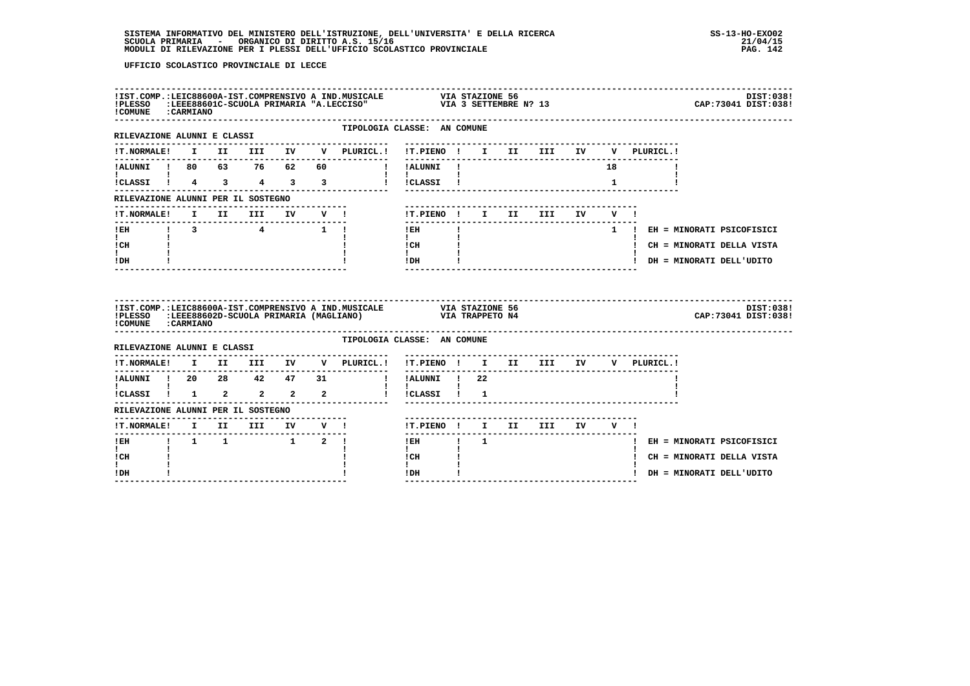| ! COMUNE : CARMIANO                  |  |  |                             |                                                                        |  |                              |    |                               | 157.COMP.:LEIC88600A-IST.COMPRENSIVO A IND.MUSICALE VIA STAZIONE 56<br>1998:PLESSO :LEEE88601C-SCUOLA PRIMARIA "A.LECCISO" VIA 3 SETTEMBRE N? 13 |
|--------------------------------------|--|--|-----------------------------|------------------------------------------------------------------------|--|------------------------------|----|-------------------------------|--------------------------------------------------------------------------------------------------------------------------------------------------|
| RILEVAZIONE ALUNNI E CLASSI          |  |  |                             | TIPOLOGIA CLASSE: AN COMUNE                                            |  |                              |    |                               |                                                                                                                                                  |
|                                      |  |  |                             |                                                                        |  |                              |    | V PLURICL.!                   |                                                                                                                                                  |
| !ALUNNI ! 80 63 76 62 60             |  |  |                             | ! !ALUNNI !                                                            |  |                              | 18 |                               |                                                                                                                                                  |
| <b>Experience</b>                    |  |  |                             | $\mathbf{1}$ $\mathbf{1}$ $\mathbf{1}$ $\mathbf{1}$                    |  |                              |    |                               |                                                                                                                                                  |
| RILEVAZIONE ALUNNI PER IL SOSTEGNO   |  |  |                             |                                                                        |  |                              |    |                               |                                                                                                                                                  |
|                                      |  |  |                             |                                                                        |  | -----------------------      |    |                               |                                                                                                                                                  |
| $\mathbf{I}$ and $\mathbf{I}$        |  |  |                             | $1$ EH $\qquad$ $1$<br>$\mathbf{1}$ and $\mathbf{1}$                   |  |                              |    | 1 ! EH = MINORATI PSICOFISICI |                                                                                                                                                  |
| ICH                                  |  |  |                             |                                                                        |  |                              |    | ! CH = MINORATI DELLA VISTA   |                                                                                                                                                  |
| $\mathbf{I}$<br>! DH                 |  |  |                             |                                                                        |  | ____________________________ |    | ! DH = MINORATI DELL'UDITO    |                                                                                                                                                  |
|                                      |  |  |                             |                                                                        |  |                              |    |                               |                                                                                                                                                  |
| ! COMUNE : CARMIANO                  |  |  |                             |                                                                        |  |                              |    |                               | DIST: 038!<br>CAP:73041 DIST:038!                                                                                                                |
|                                      |  |  |                             | TIPOLOGIA CLASSE: AN COMUNE                                            |  |                              |    |                               |                                                                                                                                                  |
| RILEVAZIONE ALUNNI E CLASSI          |  |  |                             | !T.NORMALE! I II III IV V PLURICL.! !T.PIENO ! I II III IV V PLURICL.! |  |                              |    |                               |                                                                                                                                                  |
| !ALUNNI ! 20  28  42  47  31         |  |  |                             | !!ALUNNI!! 22                                                          |  | --------------------         |    |                               |                                                                                                                                                  |
| $\mathbf{I}$                         |  |  |                             | $\mathbf{1}$ $\mathbf{1}$<br>icLASSI i 1 2 2 2 2 i icLASSI i 1         |  |                              |    |                               |                                                                                                                                                  |
| RILEVAZIONE ALUNNI PER IL SOSTEGNO   |  |  |                             |                                                                        |  |                              |    |                               |                                                                                                                                                  |
|                                      |  |  | !T.NORMALE! I II III IV V ! | !T.PIENO! I II III IV V!                                               |  |                              |    |                               |                                                                                                                                                  |
| !EH    !    1    1    1    2    !    |  |  |                             | $1$ EH $1$ $1$                                                         |  |                              |    | ! EH = MINORATI PSICOFISICI   |                                                                                                                                                  |
| $\mathbf{I}$<br>! CH<br>$\mathbf{I}$ |  |  |                             | $\mathbf{I}$<br>! CH<br>$\mathbf{I}$                                   |  |                              |    | ! CH = MINORATI DELLA VISTA   |                                                                                                                                                  |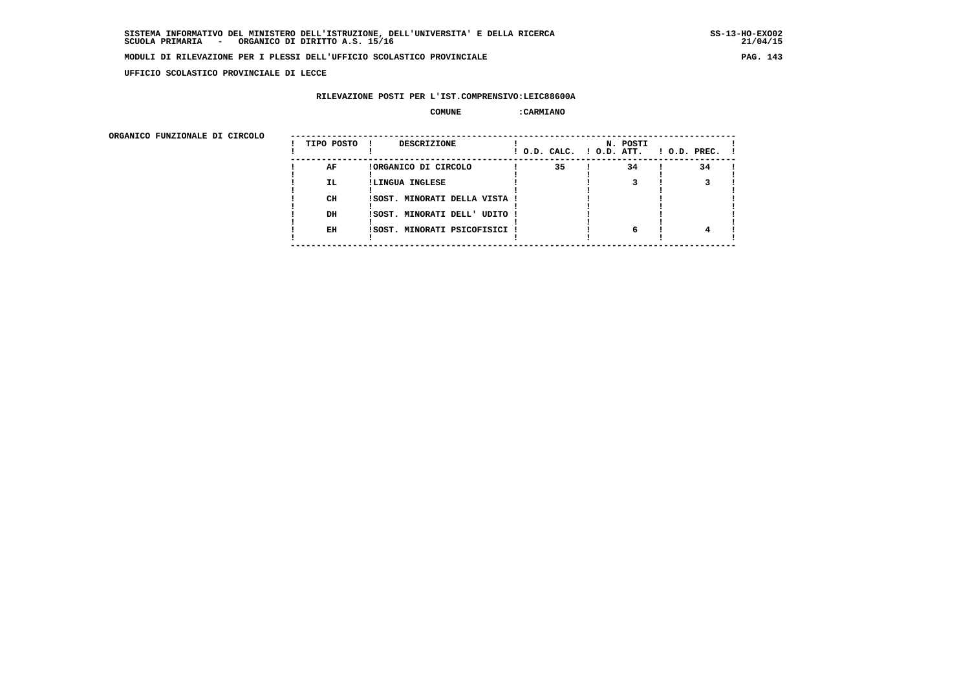**UFFICIO SCOLASTICO PROVINCIALE DI LECCE**

# **RILEVAZIONE POSTI PER L'IST.COMPRENSIVO:LEIC88600A**

#### **COMUNE :CARMIANO**

ORGANICO FUNZIONALE DI CIRCOLO

| ORGANICO FUNZIONALE DI CIRCOLO |            |                                    |    |                                      |                    |
|--------------------------------|------------|------------------------------------|----|--------------------------------------|--------------------|
|                                | TIPO POSTO | <b>DESCRIZIONE</b><br>$\mathbf{I}$ |    | N. POSTI<br>! O.D. CALC. ! O.D. ATT. | $1$ O.D. PREC. $1$ |
|                                | AF         | !ORGANICO DI CIRCOLO               | 35 | 34                                   | 34                 |
|                                | IL.        | !LINGUA INGLESE                    |    |                                      |                    |
|                                |            |                                    |    |                                      |                    |
|                                | CH         | !SOST. MINORATI DELLA VISTA !      |    |                                      |                    |
|                                |            |                                    |    |                                      |                    |
|                                | DH         | ISOST. MINORATI DELL' UDITO !      |    |                                      |                    |
|                                |            |                                    |    |                                      |                    |
|                                | EH         | ISOST. MINORATI PSICOFISICI !      |    |                                      |                    |
|                                |            |                                    |    |                                      |                    |
|                                |            |                                    |    |                                      |                    |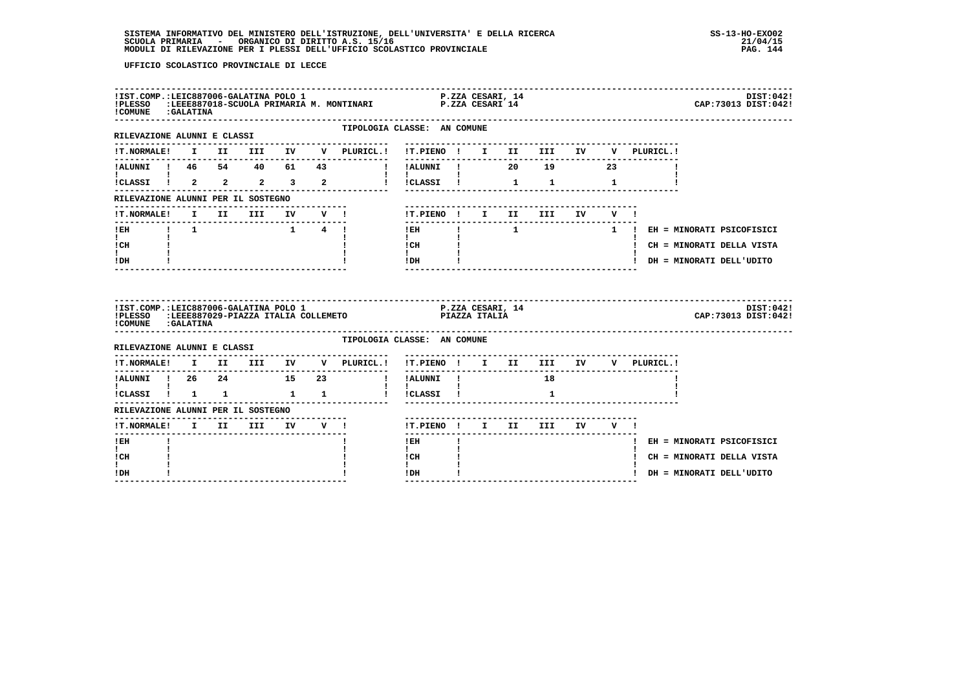| !COMUNE : GALATINA                                                      |  |  |       | IIST.COMP.:LEIC887006-GALATINA POLO 1 P.ZZA CESARI, 14<br>IPLESSO :LEEE887018-SCUOLA PRIMARIA M. MONTINARI P.ZZA CESARI 14                                                                                                                   |                                      |  |                          |      |         |                               | DIST:042!<br>CAP: 73013 DIST: 042! |
|-------------------------------------------------------------------------|--|--|-------|----------------------------------------------------------------------------------------------------------------------------------------------------------------------------------------------------------------------------------------------|--------------------------------------|--|--------------------------|------|---------|-------------------------------|------------------------------------|
| RILEVAZIONE ALUNNI E CLASSI                                             |  |  |       |                                                                                                                                                                                                                                              | TIPOLOGIA CLASSE: AN COMUNE          |  |                          |      |         |                               |                                    |
|                                                                         |  |  |       |                                                                                                                                                                                                                                              | ---------------------------------    |  |                          |      |         |                               |                                    |
|                                                                         |  |  |       |                                                                                                                                                                                                                                              |                                      |  |                          |      |         |                               |                                    |
|                                                                         |  |  |       | 1 - IN THE REEL (1 - II II II IV V PLURICL.)<br>1 - II III IV V PLURICL.)<br>1 - III III IV V PLURICL.<br>1 - III III IV V PLURICL.<br>1 - III III IV V PLURICL.<br>1 - III III IV V PLURICL.<br>1 - III III IV V PLURICL.<br>1 - III III IV |                                      |  |                          |      |         |                               |                                    |
| RILEVAZIONE ALUNNI PER IL SOSTEGNO                                      |  |  |       |                                                                                                                                                                                                                                              |                                      |  |                          |      |         |                               |                                    |
|                                                                         |  |  |       |                                                                                                                                                                                                                                              | !T.PIENO ! I II III                  |  |                          | IV O | $V = 1$ |                               |                                    |
| !EH ! 1                                                                 |  |  | 1 4 ! |                                                                                                                                                                                                                                              | $1$ EH $\qquad$ $1$                  |  |                          |      |         | 1 ! EH = MINORATI PSICOFISICI |                                    |
| $\mathbf{I}$ and $\mathbf{I}$<br>ICH                                    |  |  |       |                                                                                                                                                                                                                                              | $\mathbf{I}$ and $\mathbf{I}$        |  |                          |      |         | ! CH = MINORATI DELLA VISTA   |                                    |
| $\mathbf{I}$<br>$!$ DH                                                  |  |  |       |                                                                                                                                                                                                                                              |                                      |  |                          |      |         | ! DH = MINORATI DELL'UDITO    |                                    |
|                                                                         |  |  |       |                                                                                                                                                                                                                                              |                                      |  |                          |      |         |                               |                                    |
| !IST.COMP.:LEIC887006-GALATINA POLO 1<br>!PLESSO<br>! COMUNE : GALATINA |  |  |       |                                                                                                                                                                                                                                              |                                      |  |                          |      |         |                               | DIST:042!<br>CAP:73013 DIST:042!   |
| RILEVAZIONE ALUNNI E CLASSI                                             |  |  |       | TIPOLOGIA CLASSE: AN COMUNE                                                                                                                                                                                                                  |                                      |  |                          |      |         |                               |                                    |
|                                                                         |  |  |       | !T.NORMALE! I II III IV V PLURICL.! !T.PIENO ! I II III IV V PLURICL.!                                                                                                                                                                       |                                      |  |                          |      |         |                               |                                    |
|                                                                         |  |  |       | IALUNNI ! 26 24 15 23   IALUNNI ! 18                                                                                                                                                                                                         | ---------------------------------    |  |                          |      |         |                               |                                    |
| $\mathbf{I}$ and $\mathbf{I}$ and $\mathbf{I}$ and $\mathbf{I}$         |  |  |       | ICLASSI I 1 1 1 1 1 I ICLASSI I                                                                                                                                                                                                              | $\mathbf{1}$                         |  | $\mathbf{1}$             |      |         |                               |                                    |
| RILEVAZIONE ALUNNI PER IL SOSTEGNO                                      |  |  |       |                                                                                                                                                                                                                                              |                                      |  |                          |      |         |                               |                                    |
| !T.NORMALE! I II III IV V !                                             |  |  |       |                                                                                                                                                                                                                                              | !T.PIENO ! I II III IV V !           |  |                          |      |         |                               |                                    |
| -------<br>! EH                                                         |  |  |       |                                                                                                                                                                                                                                              | -------<br>$!$ EH                    |  | ------------------------ |      |         |                               | ! EH = MINORATI PSICOFISICI        |
| I.<br>! CH<br>I.                                                        |  |  |       |                                                                                                                                                                                                                                              | $\mathbf{I}$<br>! CH<br>$\mathbf{I}$ |  |                          |      |         |                               | ! CH = MINORATI DELLA VISTA        |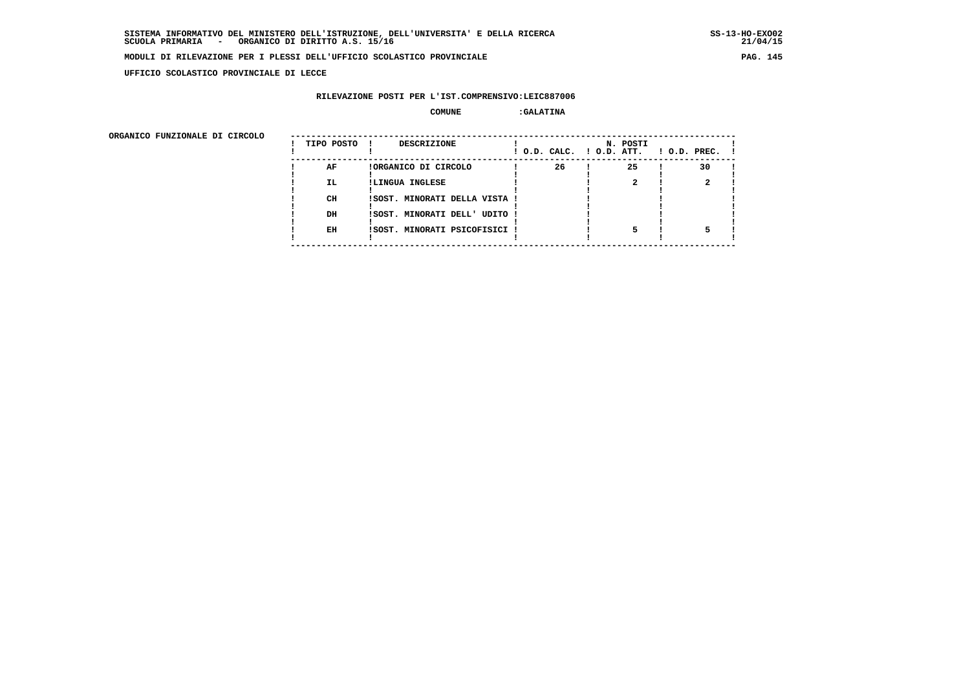**UFFICIO SCOLASTICO PROVINCIALE DI LECCE**

## **RILEVAZIONE POSTI PER L'IST.COMPRENSIVO:LEIC887006**

### **COMUNE :GALATINA**

ORGANICO FUNZIONALE DI CIRCOLO

| ORGANICO FUNZIONALE DI CIRCOLO |            |                               |                          |          |                    |
|--------------------------------|------------|-------------------------------|--------------------------|----------|--------------------|
|                                | TIPO POSTO | DESCRIZIONE                   | ! O.D. CALC. ! O.D. ATT. | N. POSTI | $!$ 0.D. PREC. $!$ |
|                                | AF         | !ORGANICO DI CIRCOLO          | 26                       | 25       | 30                 |
|                                | IL.        | !LINGUA INGLESE               |                          |          |                    |
|                                |            |                               |                          |          |                    |
|                                | CH         | !SOST. MINORATI DELLA VISTA ! |                          |          |                    |
|                                |            |                               |                          |          |                    |
|                                | DH         | !SOST. MINORATI DELL' UDITO ! |                          |          |                    |
|                                |            |                               |                          |          |                    |
|                                | EH         | !SOST. MINORATI PSICOFISICI ! |                          |          |                    |
|                                |            |                               |                          |          |                    |
|                                |            |                               |                          |          |                    |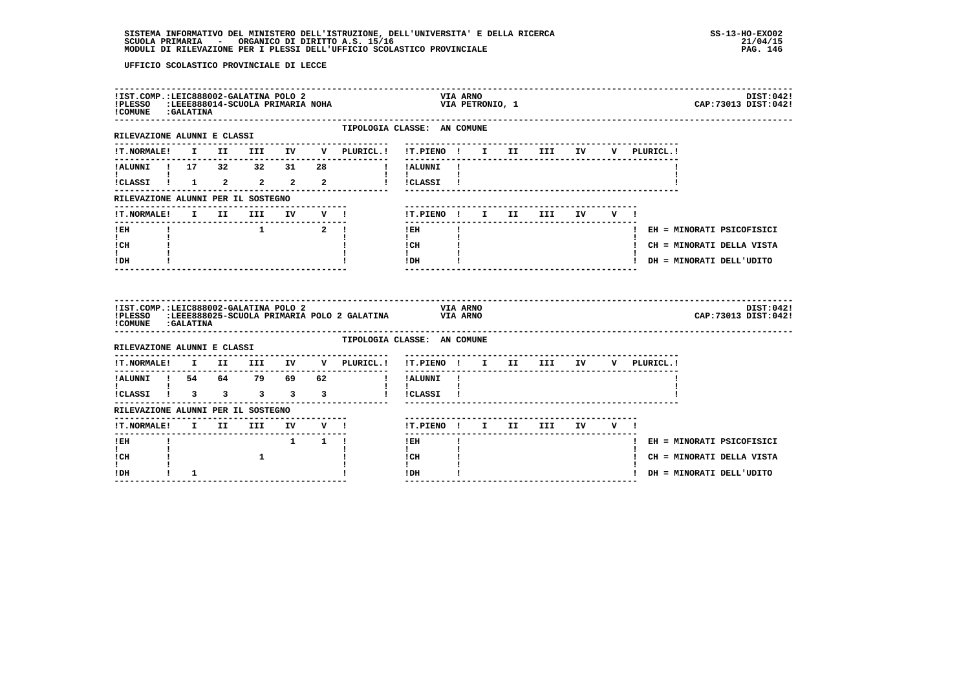| !PLESSO :LEEE888014-SCUOLA PRIMARIA NOHA<br>! COMUNE : GALATINA |  | !IST.COMP.:LEIC888002-GALATINA POLO 2 |  |                             | <b>VIA ARNO</b><br>VIA PETRONIO, 1                                                                                                                                                                                                                                                                                                         |  |             | DIST:0421<br>CAP: 73013 DIST: 042! |
|-----------------------------------------------------------------|--|---------------------------------------|--|-----------------------------|--------------------------------------------------------------------------------------------------------------------------------------------------------------------------------------------------------------------------------------------------------------------------------------------------------------------------------------------|--|-------------|------------------------------------|
| RILEVAZIONE ALUNNI E CLASSI                                     |  |                                       |  |                             | TIPOLOGIA CLASSE: AN COMUNE<br>---------------------------                                                                                                                                                                                                                                                                                 |  |             |                                    |
|                                                                 |  |                                       |  |                             | IT.NORMALE! I II III IV V PLURICL.! IT.PIENO ! I II III IV                                                                                                                                                                                                                                                                                 |  | V PLURICL.! |                                    |
|                                                                 |  |                                       |  |                             | !ALUNNI ! 17 32 32 31 28 ! !ALUNNI !                                                                                                                                                                                                                                                                                                       |  |             |                                    |
| $\mathbf{1}$ $\mathbf{1}$                                       |  |                                       |  |                             | $\mathbf{1}$ $\mathbf{1}$<br>iCLASSI I 1 2 2 2 2 1 ICLASSI I                                                                                                                                                                                                                                                                               |  |             |                                    |
| RILEVAZIONE ALUNNI PER IL SOSTEGNO                              |  |                                       |  |                             |                                                                                                                                                                                                                                                                                                                                            |  |             |                                    |
|                                                                 |  |                                       |  | !T.NORMALE! I II III IV V ! | !T.PIENO! I II III IV V!                                                                                                                                                                                                                                                                                                                   |  |             |                                    |
| !EH                                                             |  | $1$ $2$ !                             |  |                             | $1$ EH $\qquad$ $\qquad$ $\qquad$ $\qquad$ $\qquad$ $\qquad$ $\qquad$ $\qquad$ $\qquad$ $\qquad$ $\qquad$ $\qquad$ $\qquad$ $\qquad$ $\qquad$ $\qquad$ $\qquad$ $\qquad$ $\qquad$ $\qquad$ $\qquad$ $\qquad$ $\qquad$ $\qquad$ $\qquad$ $\qquad$ $\qquad$ $\qquad$ $\qquad$ $\qquad$ $\qquad$ $\qquad$ $\qquad$ $\qquad$ $\qquad$ $\qquad$ |  |             | ! EH = MINORATI PSICOFISICI        |
| $\mathbf{I}$ and $\mathbf{I}$<br>ICH                            |  |                                       |  |                             | $\mathbf{I}$ and $\mathbf{I}$<br>$\frac{1}{1}$ $\frac{1}{1}$ $\frac{1}{1}$                                                                                                                                                                                                                                                                 |  |             | ! CH = MINORATI DELLA VISTA        |
| $\mathbf{I}$<br>$I\,D\,H$                                       |  |                                       |  |                             | $!$ DH $\qquad$ $\qquad$ $\qquad$ $\qquad$ $\qquad$ $\qquad$ $\qquad$ $\qquad$ $\qquad$ $\qquad$ $\qquad$ $\qquad$ $\qquad$ $\qquad$ $\qquad$ $\qquad$ $\qquad$ $\qquad$ $\qquad$ $\qquad$ $\qquad$ $\qquad$ $\qquad$ $\qquad$ $\qquad$ $\qquad$ $\qquad$ $\qquad$ $\qquad$ $\qquad$ $\qquad$ $\qquad$ $\qquad$ $\qquad$ $\qquad$ $\qquad$ |  |             | ! DH = MINORATI DELL'UDITO         |
| !IST.COMP.:LEIC888002-GALATINA POLO 2<br>! COMUNE : GALATINA    |  |                                       |  |                             | <b>VIA ARNO</b>                                                                                                                                                                                                                                                                                                                            |  |             |                                    |
|                                                                 |  |                                       |  |                             | !PLESSO :LEEE888025-SCUOLA PRIMARIA POLO 2 GALATINA VIA ARNO                                                                                                                                                                                                                                                                               |  |             | DIST:0421<br>CAP: 73013 DIST: 042! |
|                                                                 |  | RILEVAZIONE ALUNNI E CLASSI           |  |                             | TIPOLOGIA CLASSE: AN COMUNE                                                                                                                                                                                                                                                                                                                |  |             |                                    |
|                                                                 |  |                                       |  |                             | !T.NORMALE! I II III IV V PLURICL.! !T.PIENO ! I II III IV V PLURICL.!                                                                                                                                                                                                                                                                     |  |             |                                    |
|                                                                 |  |                                       |  |                             |                                                                                                                                                                                                                                                                                                                                            |  |             |                                    |
| t in                                                            |  |                                       |  |                             | $\mathbf{1}$ $\mathbf{1}$<br>iCLASSI 1 3 3 3 3 3 1 ICLASSI 1                                                                                                                                                                                                                                                                               |  |             |                                    |
| RILEVAZIONE ALUNNI PER IL SOSTEGNO                              |  |                                       |  |                             |                                                                                                                                                                                                                                                                                                                                            |  |             |                                    |
|                                                                 |  |                                       |  |                             | !T.PIENO ! I II III IV V !                                                                                                                                                                                                                                                                                                                 |  |             |                                    |
| $I$ EH                                                          |  | $1 \quad 1 \quad 1$                   |  |                             | $\mathbf{I}$<br>$!$ EH                                                                                                                                                                                                                                                                                                                     |  |             | ! EH = MINORATI PSICOFISICI        |
| t in<br>! CH<br>t i                                             |  |                                       |  |                             | $\mathbf{I}$<br>! CH<br>$\mathbf{I}$                                                                                                                                                                                                                                                                                                       |  |             | ! CH = MINORATI DELLA VISTA        |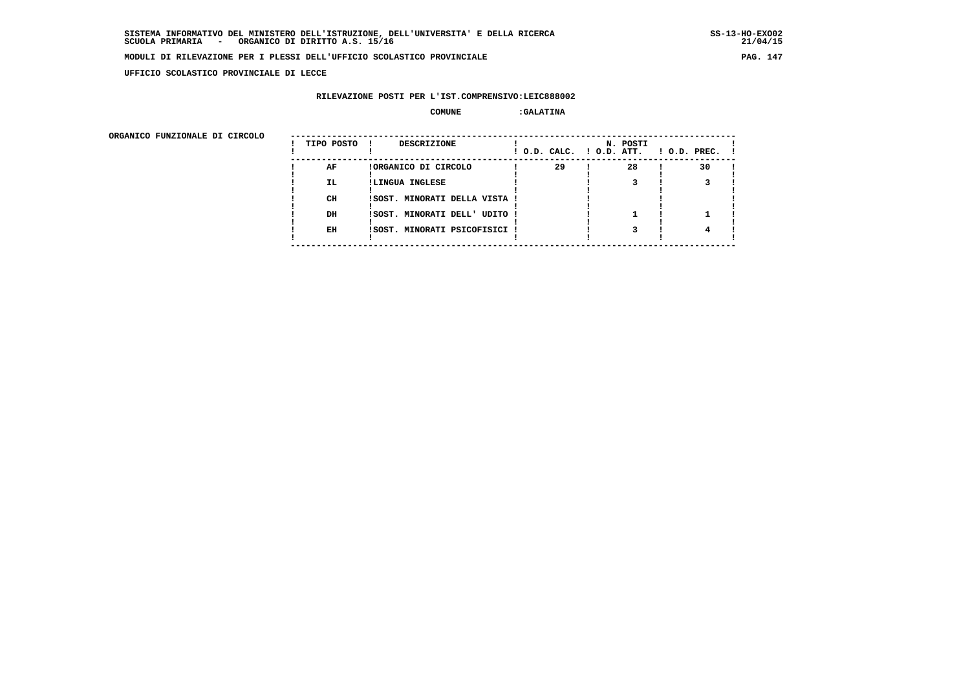**UFFICIO SCOLASTICO PROVINCIALE DI LECCE**

## **RILEVAZIONE POSTI PER L'IST.COMPRENSIVO:LEIC888002**

### **COMUNE :GALATINA**

| ORGANICO FUNZIONALE DI CIRCOLO |            |                               |                          |          |                    |
|--------------------------------|------------|-------------------------------|--------------------------|----------|--------------------|
|                                | TIPO POSTO | DESCRIZIONE                   | ! O.D. CALC. ! O.D. ATT. | N. POSTI | $1$ O.D. PREC. $1$ |
|                                | AF         | !ORGANICO DI CIRCOLO          | 29                       | 28       | 30                 |
|                                | IL.        | !LINGUA INGLESE               |                          |          |                    |
|                                | CH         | !SOST. MINORATI DELLA VISTA ! |                          |          |                    |
|                                | DH         | !SOST. MINORATI DELL' UDITO ! |                          |          |                    |
|                                | EH         | !SOST. MINORATI PSICOFISICI ! |                          |          |                    |
|                                |            |                               |                          |          |                    |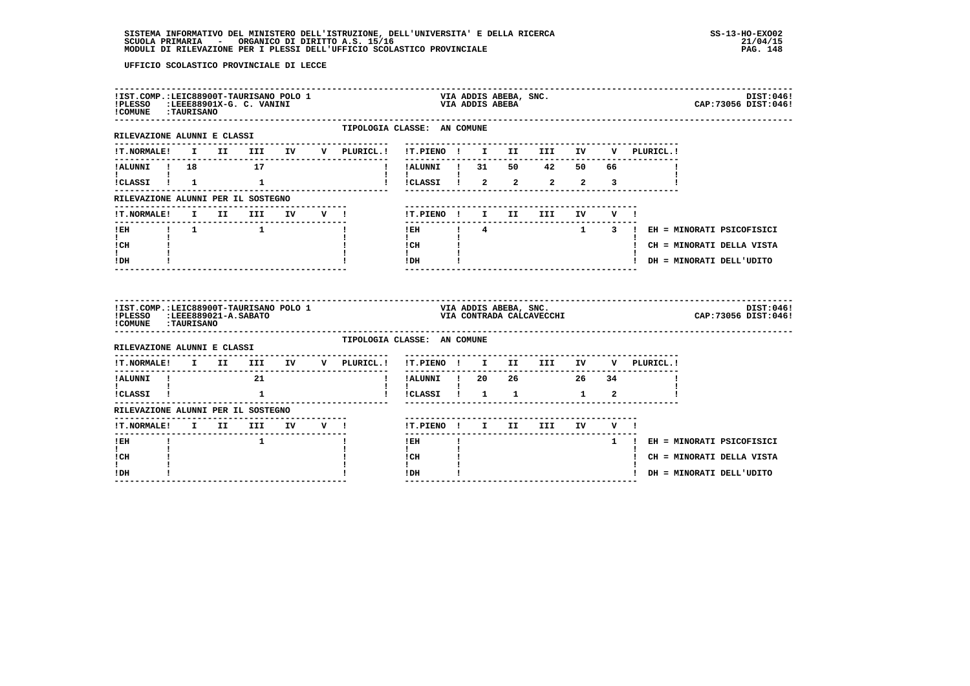| !IST.COMP.:LEIC88900T-TAURISANO POLO 1<br>!PLESSO :LEEE88901X-G. C. VANINI<br>COMUNE : TAURISANO |  |                                                                                                                                                                                                                                                                                                                                                                                                                                                                                 |  |                                     |                                            |              | VIA ADDIS ABEBA | VIA ADDIS ABEBA, SNC. |                                                                |        |                                         | DIST:046!<br>CAP:73056 DIST:046!   |
|--------------------------------------------------------------------------------------------------|--|---------------------------------------------------------------------------------------------------------------------------------------------------------------------------------------------------------------------------------------------------------------------------------------------------------------------------------------------------------------------------------------------------------------------------------------------------------------------------------|--|-------------------------------------|--------------------------------------------|--------------|-----------------|-----------------------|----------------------------------------------------------------|--------|-----------------------------------------|------------------------------------|
| RILEVAZIONE ALUNNI E CLASSI                                                                      |  |                                                                                                                                                                                                                                                                                                                                                                                                                                                                                 |  | TIPOLOGIA CLASSE: AN COMUNE         |                                            |              |                 |                       | --------------------------------                               |        |                                         |                                    |
| <b>!T.NORMALE!</b>                                                                               |  |                                                                                                                                                                                                                                                                                                                                                                                                                                                                                 |  |                                     |                                            |              |                 |                       |                                                                |        |                                         |                                    |
| <b>EXECUTIVE PROPERTY</b> 18 17<br><b>The Community</b>                                          |  |                                                                                                                                                                                                                                                                                                                                                                                                                                                                                 |  | $\mathbf{I}$                        | !ALUNNI ! 31 50 42 50 66                   |              |                 |                       |                                                                |        |                                         |                                    |
| icLASSI i 1 1                                                                                    |  |                                                                                                                                                                                                                                                                                                                                                                                                                                                                                 |  |                                     | 1 ICLASSI 1 2 2 2 2 3                      |              |                 |                       |                                                                |        |                                         |                                    |
| RILEVAZIONE ALUNNI PER IL SOSTEGNO                                                               |  |                                                                                                                                                                                                                                                                                                                                                                                                                                                                                 |  |                                     |                                            |              |                 |                       |                                                                |        |                                         |                                    |
| <b>!T.NORMALE!</b>                                                                               |  | I II III IV V !                                                                                                                                                                                                                                                                                                                                                                                                                                                                 |  |                                     | !T.PIENO ! I II                            |              |                 |                       | III                                                            | IV V ! |                                         |                                    |
| !EH ! 1 1<br>$\mathbf{I}$ and $\mathbf{I}$                                                       |  |                                                                                                                                                                                                                                                                                                                                                                                                                                                                                 |  | Ι.                                  | $\mathbf{1}$                               |              |                 |                       |                                                                |        | IEH ! 4 1 3 ! EH = MINORATI PSICOFISICI |                                    |
| ! CH                                                                                             |  |                                                                                                                                                                                                                                                                                                                                                                                                                                                                                 |  |                                     | $ICH$ $\qquad$                             |              |                 |                       |                                                                |        |                                         | ! CH = MINORATI DELLA VISTA        |
| I.<br>! DH                                                                                       |  |                                                                                                                                                                                                                                                                                                                                                                                                                                                                                 |  |                                     | $\mathbf{I}$ and $\mathbf{I}$<br>$IDH$ $I$ |              |                 |                       | -----------------------------                                  |        | ! DH = MINORATI DELL'UDITO              |                                    |
| !IST.COMP.:LEIC88900T-TAURISANO POLO 1<br>!PLESSO :LEEE889021-A.SABATO<br>!COMUNE : TAURISANO    |  |                                                                                                                                                                                                                                                                                                                                                                                                                                                                                 |  |                                     |                                            |              |                 | VIA ADDIS ABEBA, SNC. | VIA CONTRADA CALCAVECCHI                                       |        |                                         | DIST:046!<br>CAP: 73056 DIST: 046! |
| RILEVAZIONE ALUNNI E CLASSI                                                                      |  |                                                                                                                                                                                                                                                                                                                                                                                                                                                                                 |  | TIPOLOGIA CLASSE: AN COMUNE         |                                            |              |                 |                       |                                                                |        |                                         |                                    |
|                                                                                                  |  |                                                                                                                                                                                                                                                                                                                                                                                                                                                                                 |  | !T.NORMALE! I II III IV V PLURICL.! |                                            |              |                 |                       | ------------------------------------<br>!T.PIENO ! I II III IV |        | V PLURICL.!                             |                                    |
| !ALUNNI ! 21<br>$\mathbf{I}$ and $\mathbf{I}$ and $\mathbf{I}$                                   |  |                                                                                                                                                                                                                                                                                                                                                                                                                                                                                 |  | $\mathbf{I}$                        | ----------                                 |              | -----           |                       | -------------------<br>!ALUNNI ! 20 26 26 34                   |        |                                         |                                    |
| !CLASSI ! 1                                                                                      |  |                                                                                                                                                                                                                                                                                                                                                                                                                                                                                 |  |                                     | $\mathbf{I}$<br>!!CLASSI! 1 1 1 2          |              |                 |                       |                                                                |        |                                         |                                    |
| RILEVAZIONE ALUNNI PER IL SOSTEGNO                                                               |  | --------------------------------                                                                                                                                                                                                                                                                                                                                                                                                                                                |  |                                     |                                            |              |                 |                       |                                                                |        |                                         |                                    |
| ! T. NORMALE!                                                                                    |  | I II III IV V !                                                                                                                                                                                                                                                                                                                                                                                                                                                                 |  |                                     |                                            |              |                 |                       | !T.PIENO! I II III IV V!<br>--------------------------------   |        |                                         |                                    |
| $!$ EH                                                                                           |  | $\overline{\phantom{a}}$ $\overline{\phantom{a}}$ $\overline{\phantom{a}}$ $\overline{\phantom{a}}$ $\overline{\phantom{a}}$ $\overline{\phantom{a}}$ $\overline{\phantom{a}}$ $\overline{\phantom{a}}$ $\overline{\phantom{a}}$ $\overline{\phantom{a}}$ $\overline{\phantom{a}}$ $\overline{\phantom{a}}$ $\overline{\phantom{a}}$ $\overline{\phantom{a}}$ $\overline{\phantom{a}}$ $\overline{\phantom{a}}$ $\overline{\phantom{a}}$ $\overline{\phantom{a}}$ $\overline{\$ |  |                                     | --------<br>$1$ EH                         | $\mathbf{I}$ |                 |                       |                                                                |        | 1 ! EH = MINORATI PSICOFISICI           |                                    |
| $\mathbf{I}$<br>! CH                                                                             |  |                                                                                                                                                                                                                                                                                                                                                                                                                                                                                 |  |                                     | $\mathbf{I}$<br>! CH                       |              |                 |                       |                                                                |        |                                         | ! CH = MINORATI DELLA VISTA        |
| ! DH                                                                                             |  |                                                                                                                                                                                                                                                                                                                                                                                                                                                                                 |  |                                     | !DH<br>---------------                     |              |                 |                       |                                                                |        | ! DH = MINORATI DELL'UDITO              |                                    |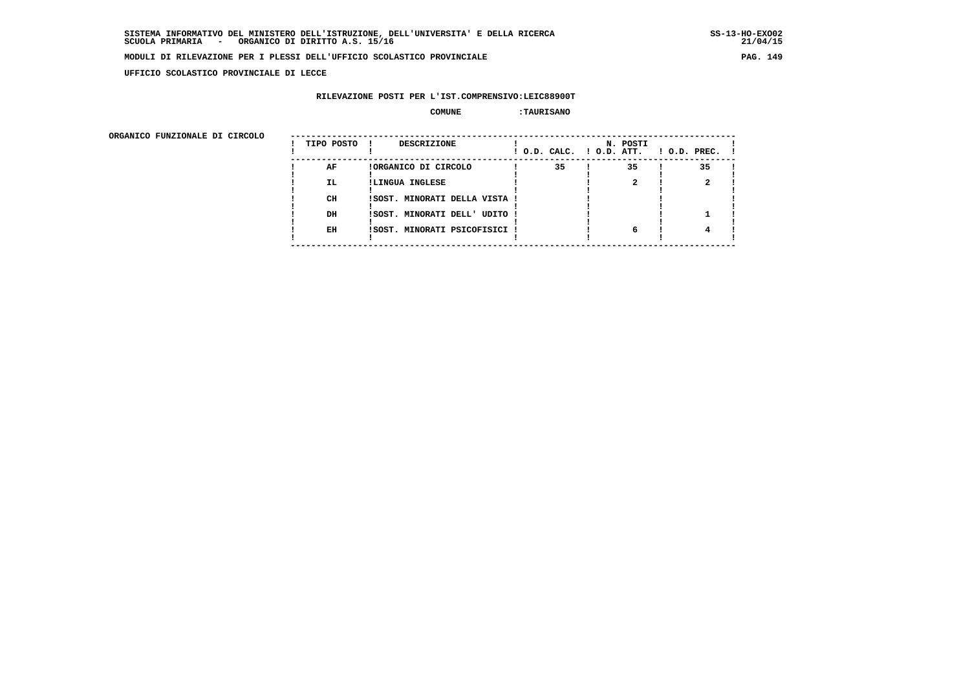**UFFICIO SCOLASTICO PROVINCIALE DI LECCE**

## **RILEVAZIONE POSTI PER L'IST.COMPRENSIVO:LEIC88900T**

### **COMUNE :TAURISANO**

| ORGANICO FUNZIONALE DI CIRCOLO |            |                               |                          |          |                    |
|--------------------------------|------------|-------------------------------|--------------------------|----------|--------------------|
|                                | TIPO POSTO | DESCRIZIONE                   | ! O.D. CALC. ! O.D. ATT. | N. POSTI | $1$ O.D. PREC. $1$ |
|                                | AF         | !ORGANICO DI CIRCOLO          | 35                       | 35       | 35                 |
|                                | IL.        | !LINGUA INGLESE               |                          |          |                    |
|                                | CH         | !SOST. MINORATI DELLA VISTA ! |                          |          |                    |
|                                | DH         | !SOST. MINORATI DELL' UDITO ! |                          |          |                    |
|                                | EH         | !SOST. MINORATI PSICOFISICI ! |                          | 6        |                    |
|                                |            |                               |                          |          |                    |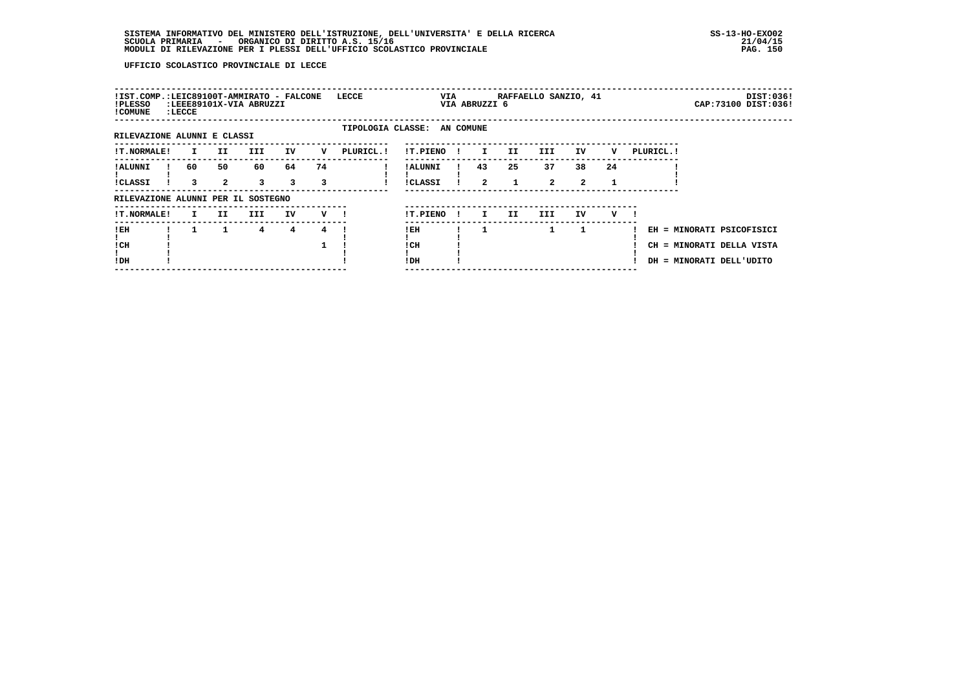| !IST.COMP.:LEIC89100T-AMMIRATO - FALCONE<br>!PLESSO<br>! COMUNE | $:\tt LECCE$ |                      | :LEEE89101X-VIA ABRUZZI |         |         | LECCE      |                             | VIA |              | VIA ABRUZZI 6      | RAFFAELLO SANZIO, 41 |                      |                    |    |            | DIST:036!<br>CAP: 73100 DIST: 036!                                                 |
|-----------------------------------------------------------------|--------------|----------------------|-------------------------|---------|---------|------------|-----------------------------|-----|--------------|--------------------|----------------------|----------------------|--------------------|----|------------|------------------------------------------------------------------------------------|
| RILEVAZIONE ALUNNI E CLASSI                                     |              |                      |                         |         |         |            | TIPOLOGIA CLASSE: AN COMUNE |     |              |                    |                      |                      |                    |    |            |                                                                                    |
| <b>!T.NORMALE!</b>                                              | $\mathbf{I}$ | II.                  | <b>III</b>              | IV      | v       | PLURICL. ! | !T.PIENO                    |     | -1           | $\mathbf{I}$       | II.                  | III                  | IV                 | v  | PLURICL. ! |                                                                                    |
| ! ALUNNI<br><b>!CLASSI</b>                                      | 60<br>3      | 50<br>$\overline{2}$ | 60<br>3                 | 64<br>3 | 74<br>3 |            | ! ALUNNI<br>!CLASSI         |     |              | 43<br>$\mathbf{2}$ | 25                   | 37<br>$\overline{2}$ | 38<br>$\mathbf{2}$ | 24 |            |                                                                                    |
| RILEVAZIONE ALUNNI PER IL SOSTEGNO                              |              |                      |                         |         |         |            |                             |     |              |                    |                      |                      |                    |    |            |                                                                                    |
| <b>!T.NORMALE!</b>                                              | $\mathbf{I}$ | II.                  | III                     | IV      | v       |            | !T.PIENO                    |     | $\mathbf{I}$ | I.                 | II.                  | III                  | IV                 | v  |            |                                                                                    |
| ! EH<br>! CH<br>!DH                                             |              | 1                    | 4                       | 4       | 4       |            | !EH<br>! CH<br>! DH         |     |              |                    |                      | 1                    | 1                  |    |            | EH = MINORATI PSICOFISICI<br>CH = MINORATI DELLA VISTA<br>DH = MINORATI DELL'UDITO |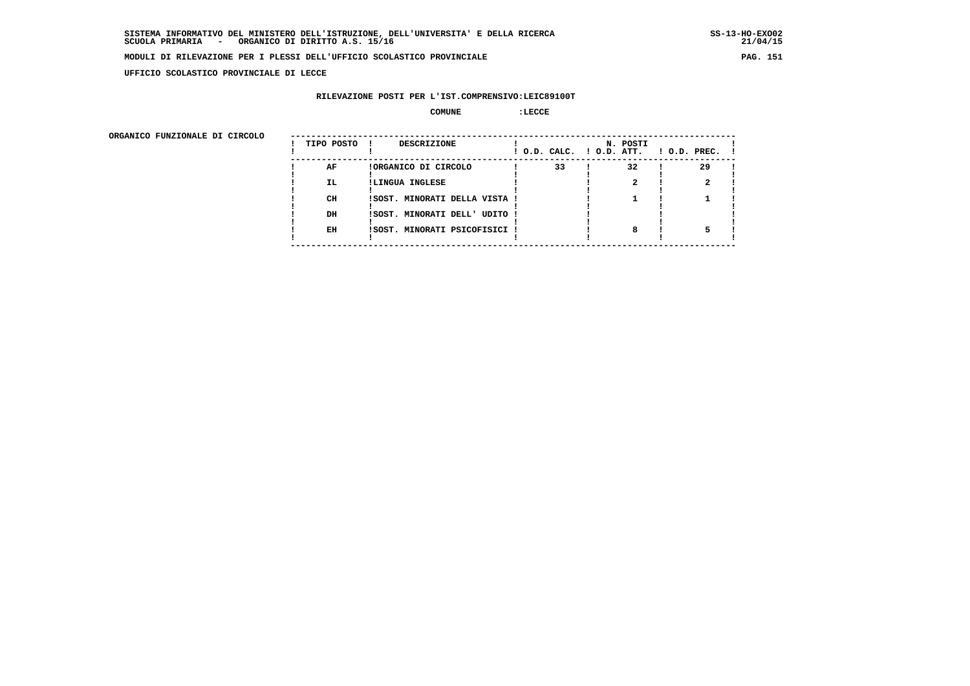**UFFICIO SCOLASTICO PROVINCIALE DI LECCE**

## **RILEVAZIONE POSTI PER L'IST.COMPRENSIVO:LEIC89100T**

#### **COMUNE :LECCE**

ORGANICO FUNZIONALE DI CIRCOLO

| ORGANICO FUNZIONALE DI CIRCOLO | TIPO POSTO ! | DESCRIZIONE                   |    | N. POSTI | $!$ O.D. CALC. $!$ O.D. ATT. $!$ O.D. PREC. $!$ |  |
|--------------------------------|--------------|-------------------------------|----|----------|-------------------------------------------------|--|
|                                | AF           | !ORGANICO DI CIRCOLO          | 33 | 32       | 29                                              |  |
|                                | IL.          | !LINGUA INGLESE               |    |          |                                                 |  |
|                                |              |                               |    |          |                                                 |  |
|                                | CH           | !SOST. MINORATI DELLA VISTA ! |    |          |                                                 |  |
|                                |              |                               |    |          |                                                 |  |
|                                | DH           | !SOST. MINORATI DELL' UDITO ! |    |          |                                                 |  |
|                                |              |                               |    |          |                                                 |  |
|                                | EH           | !SOST. MINORATI PSICOFISICI ! |    | 8        |                                                 |  |
|                                |              |                               |    |          |                                                 |  |
|                                |              |                               |    |          |                                                 |  |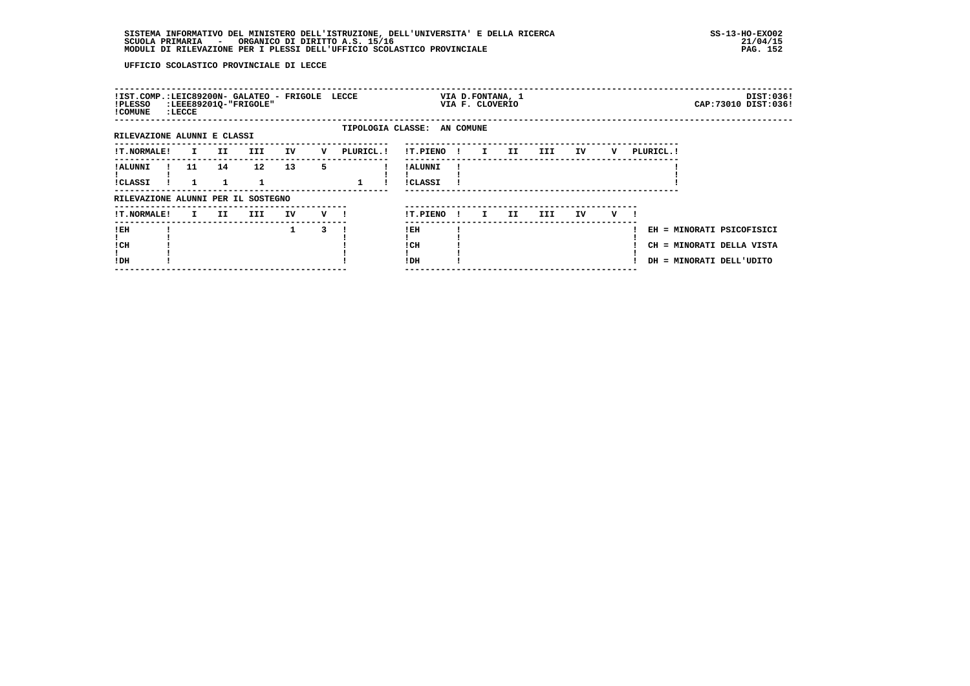| !IST.COMP.:LEIC89200N- GALATEO - FRIGOLE LECCE<br>!PLESSO<br>! COMUNE | : LECCE |                     | :LEEE89201Q-"FRIGOLE" |    |         |           |                             |              | VIA D.FONTANA, 1<br>VIA F. CLOVERIO |     |      |    |   |            |                                                                                    | DIST:036!<br>CAP: 73010 DIST: 036! |
|-----------------------------------------------------------------------|---------|---------------------|-----------------------|----|---------|-----------|-----------------------------|--------------|-------------------------------------|-----|------|----|---|------------|------------------------------------------------------------------------------------|------------------------------------|
| RILEVAZIONE ALUNNI E CLASSI                                           |         |                     |                       |    |         |           | TIPOLOGIA CLASSE: AN COMUNE |              |                                     |     |      |    |   |            |                                                                                    |                                    |
| <b>!T.NORMALE!</b>                                                    |         | II<br>$\mathbf{I}$  | III                   | IV | v       | PLURICL.! | !T.PIENO!                   |              | $\mathbf{I}$                        | II  | III  | IV | v | PLURICL. ! |                                                                                    |                                    |
| ! ALUNNI<br>!CLASSI                                                   | 11      | 14                  | 12 <sup>2</sup>       | 13 | 5.      |           | ! ALUNNI<br>!CLASSI         |              |                                     |     |      |    |   |            |                                                                                    |                                    |
| RILEVAZIONE ALUNNI PER IL SOSTEGNO                                    |         |                     |                       |    |         |           |                             |              |                                     |     |      |    |   |            |                                                                                    |                                    |
| !T.NORMALE!                                                           |         | II.<br>$\mathbf{I}$ | III                   | IV | $V$ $l$ |           | !T.PIENO                    | $\mathbf{I}$ | $\mathbf{I}$                        | II. | III. | IV | v |            |                                                                                    |                                    |
| ! EH<br>! CH<br>!DH                                                   |         |                     |                       | 1  |         |           | ! EH<br>! CH<br>!DH         |              |                                     |     |      |    |   |            | EH = MINORATI PSICOFISICI<br>CH = MINORATI DELLA VISTA<br>DH = MINORATI DELL'UDITO |                                    |
|                                                                       |         |                     |                       |    |         |           |                             |              |                                     |     |      |    |   |            |                                                                                    |                                    |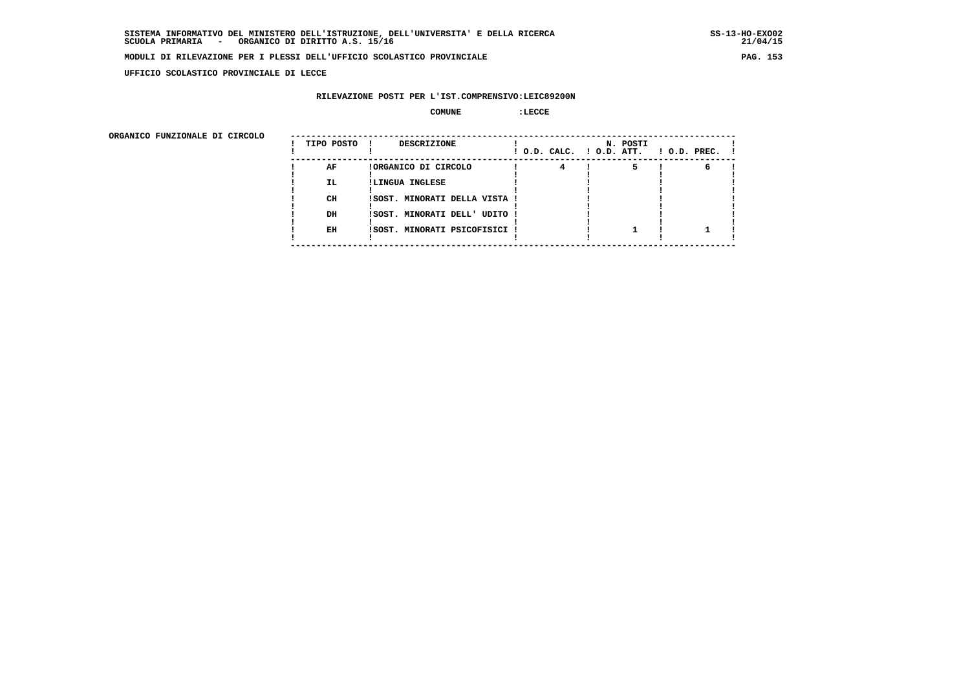$21/04/15$ 

## **MODULI DI RILEVAZIONE PER I PLESSI DELL'UFFICIO SCOLASTICO PROVINCIALE PAG. 153**

 **UFFICIO SCOLASTICO PROVINCIALE DI LECCE**

## **RILEVAZIONE POSTI PER L'IST.COMPRENSIVO:LEIC89200N**

#### **COMUNE :LECCE**

ORGANICO FUNZIONALE DI CIRCOLO

| ORGANICO FUNZIONALE DI CIRCOLO | TIPO POSTO ! | <b>DESCRIZIONE</b>            | N. POSTI | $!$ O.D. CALC. $!$ O.D. ATT. $!$ O.D. PREC. $!$ |
|--------------------------------|--------------|-------------------------------|----------|-------------------------------------------------|
|                                | AF           | !ORGANICO DI CIRCOLO          |          |                                                 |
|                                | IL.          | !LINGUA INGLESE               |          |                                                 |
|                                |              |                               |          |                                                 |
|                                | CH           | !SOST. MINORATI DELLA VISTA ! |          |                                                 |
|                                |              |                               |          |                                                 |
|                                | DH           | !SOST. MINORATI DELL' UDITO ! |          |                                                 |
|                                |              |                               |          |                                                 |
|                                | EH           | !SOST. MINORATI PSICOFISICI ! |          |                                                 |
|                                |              |                               |          |                                                 |
|                                |              |                               |          |                                                 |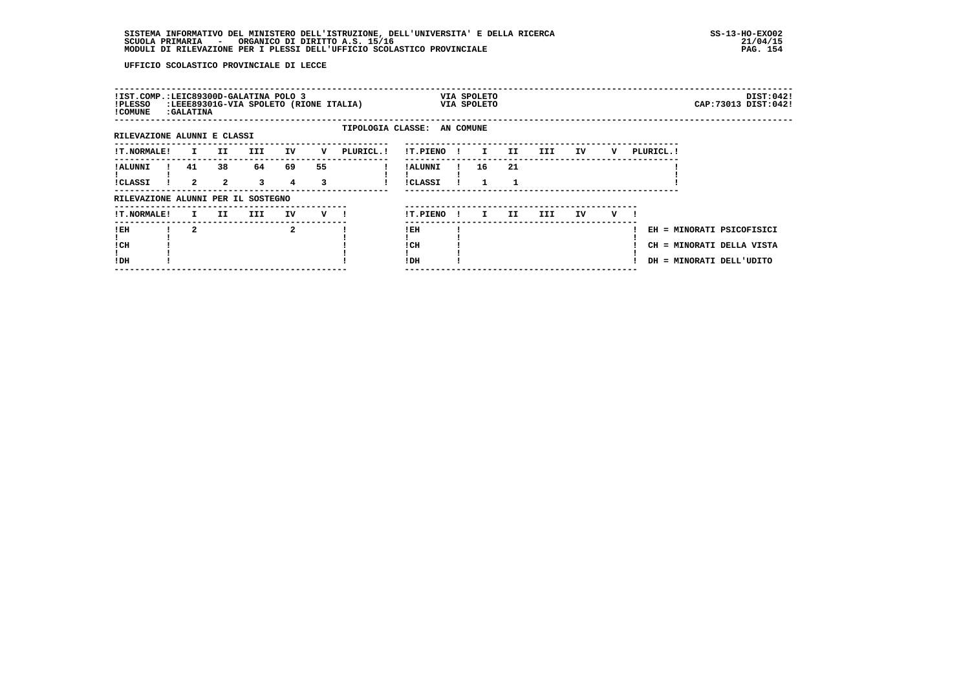| !IST.COMP.:LEIC89300D-GALATINA POLO 3<br>!PLESSO<br>! COMUNE | :GALATINA               |                      | :LEEE89301G-VIA SPOLETO (RIONE ITALIA) |              |         |                             |                            |              | VIA SPOLETO<br>VIA SPOLETO |         |      |    |     |           |                                                                                    | DIST:0421<br>CAP: 73013 DIST: 042! |
|--------------------------------------------------------------|-------------------------|----------------------|----------------------------------------|--------------|---------|-----------------------------|----------------------------|--------------|----------------------------|---------|------|----|-----|-----------|------------------------------------------------------------------------------------|------------------------------------|
| RILEVAZIONE ALUNNI E CLASSI                                  |                         |                      |                                        |              |         | TIPOLOGIA CLASSE: AN COMUNE |                            |              |                            |         |      |    |     |           |                                                                                    |                                    |
| !T.NORMALE!                                                  | $\mathbf{I}$            | II                   | III                                    | IV           | v       | PLURICL. !                  | !T.PIENO!                  |              | $\mathbf{I}$               | II.     | III  | IV | v   | PLURICL.! |                                                                                    |                                    |
| ! ALUNNI<br>!CLASSI                                          | 41<br>$\overline{2}$    | 38<br>$\overline{a}$ | 64<br>$\overline{\mathbf{3}}$          | 69<br>4      | 55<br>3 |                             | ! ALUNNI<br><b>!CLASSI</b> |              | 16<br>$\mathbf{1}$         | 21<br>1 |      |    |     |           |                                                                                    |                                    |
| RILEVAZIONE ALUNNI PER IL SOSTEGNO                           |                         |                      |                                        |              |         |                             |                            |              |                            |         |      |    |     |           |                                                                                    |                                    |
| <b>!T.NORMALE!</b>                                           | $\mathbf{I}$            | II                   | III                                    | IV           | V !     |                             | !T.PIENO                   | $\mathbf{I}$ | $\mathbf{I}$               | II.     | III. | IV | v — |           |                                                                                    |                                    |
| ! EH<br>! CH<br>!DH                                          | $\overline{\mathbf{2}}$ |                      |                                        | $\mathbf{2}$ |         |                             | ! EH<br>! CH<br>!DH        |              |                            |         |      |    |     |           | EH = MINORATI PSICOFISICI<br>CH = MINORATI DELLA VISTA<br>DH = MINORATI DELL'UDITO |                                    |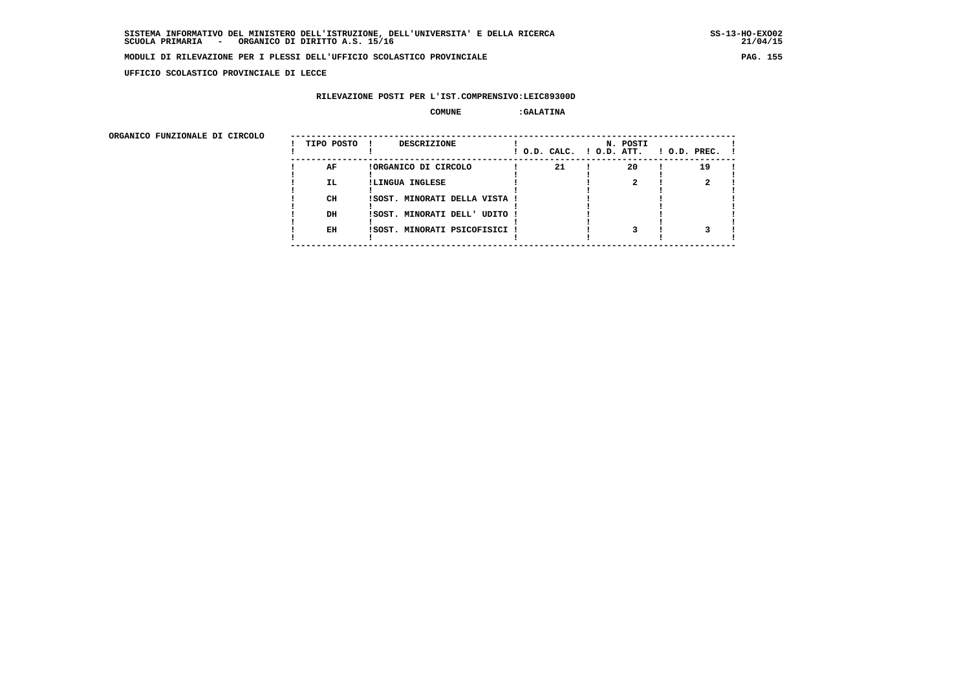**UFFICIO SCOLASTICO PROVINCIALE DI LECCE**

### **RILEVAZIONE POSTI PER L'IST.COMPRENSIVO:LEIC89300D**

### **COMUNE :GALATINA**

| ORGANICO FUNZIONALE DI CIRCOLO |            |                               |                          |          |                    |
|--------------------------------|------------|-------------------------------|--------------------------|----------|--------------------|
|                                | TIPO POSTO | DESCRIZIONE                   | ! O.D. CALC. ! O.D. ATT. | N. POSTI | $1$ O.D. PREC. $1$ |
|                                | AF         | !ORGANICO DI CIRCOLO          | 21                       | 20       | 19                 |
|                                | IL.        | !LINGUA INGLESE               |                          |          |                    |
|                                | CH         | ISOST. MINORATI DELLA VISTA ! |                          |          |                    |
|                                | DH         | !SOST. MINORATI DELL' UDITO ! |                          |          |                    |
|                                | EH         | !SOST. MINORATI PSICOFISICI ! |                          |          |                    |
|                                |            |                               |                          |          |                    |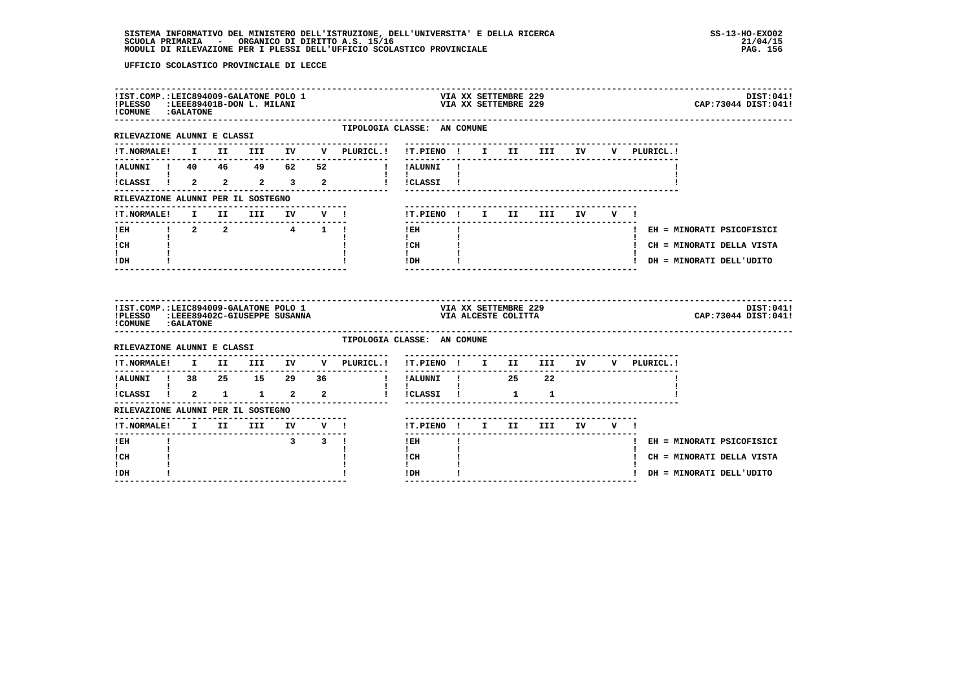| !IST.COMP.:LEIC894009-GALATONE POLO 1<br>!PLESSO :LEEE89401B-DON L. MILANI<br>! COMUNE : GALATONE  |  |                               |                       |                                                                                        |                                      |              | VIA XX SETTEMBRE 229                        | VIA XX SETTEMBRE 229 |        |                                    | DIST:041!<br>CAP: 73044 DIST: 041! |
|----------------------------------------------------------------------------------------------------|--|-------------------------------|-----------------------|----------------------------------------------------------------------------------------|--------------------------------------|--------------|---------------------------------------------|----------------------|--------|------------------------------------|------------------------------------|
| RILEVAZIONE ALUNNI E CLASSI                                                                        |  |                               |                       | TIPOLOGIA CLASSE: AN COMUNE<br>---------------------                                   | -------------------------------      |              |                                             |                      |        |                                    |                                    |
| <b>!T.NORMALE!</b>                                                                                 |  |                               |                       | I II III IV V PLURICL.!                                                                | !T.PIENO ! I II III IV               |              |                                             |                      |        | V PLURICL.!                        |                                    |
|                                                                                                    |  |                               |                       |                                                                                        | -----------                          |              |                                             |                      |        |                                    |                                    |
|                                                                                                    |  |                               |                       |                                                                                        |                                      |              |                                             |                      |        |                                    |                                    |
| RILEVAZIONE ALUNNI PER IL SOSTEGNO                                                                 |  |                               |                       |                                                                                        |                                      |              |                                             |                      |        |                                    |                                    |
| !T.NORMALE! I II III IV V !                                                                        |  |                               |                       |                                                                                        | !T.PIENO ! I II III IV               |              |                                             |                      | V I    |                                    |                                    |
| ---------------------                                                                              |  |                               |                       |                                                                                        | $- - - - - - -$<br>$1$ EH            | $\mathbf{I}$ |                                             |                      |        |                                    | ! EH = MINORATI PSICOFISICI        |
| $\mathbf{I}$ and $\mathbf{I}$<br>ICH                                                               |  |                               |                       |                                                                                        | $\mathbf{I}$ and $\mathbf{I}$<br>ICH |              |                                             |                      |        |                                    | ! CH = MINORATI DELLA VISTA        |
| t i<br>! DH                                                                                        |  |                               |                       |                                                                                        | $\mathbf{I}$<br>$!$ DH               |              |                                             |                      |        |                                    | ! DH = MINORATI DELL'UDITO         |
| !IST.COMP.:LEIC894009-GALATONE POLO 1<br>!PLESSO :LEEE89402C-GIUSEPPE SUSANNA<br>COMUNE : GALATONE |  |                               |                       |                                                                                        |                                      |              | VIA XX SETTEMBRE 229<br>VIA ALCESTE COLITTA |                      |        |                                    | DIST:041!<br>CAP: 73044 DIST: 041! |
| RILEVAZIONE ALUNNI E CLASSI                                                                        |  |                               |                       | TIPOLOGIA CLASSE: AN COMUNE                                                            |                                      |              |                                             |                      |        |                                    |                                    |
|                                                                                                    |  |                               |                       | $\verb !T.NORMALE! \quad I \quad II \quad III \quad IV \quad V \quad \verb PLURICL. !$ |                                      |              |                                             |                      |        | !T.PIENO ! I II III IV V PLURICL.! |                                    |
|                                                                                                    |  |                               |                       |                                                                                        |                                      |              |                                             |                      |        |                                    |                                    |
|                                                                                                    |  |                               |                       |                                                                                        |                                      |              |                                             |                      |        |                                    |                                    |
| RILEVAZIONE ALUNNI PER IL SOSTEGNO                                                                 |  |                               |                       |                                                                                        |                                      |              |                                             |                      |        |                                    |                                    |
| !T.NORMALE! I II III IV V !<br>---------------------------------                                   |  | ----------------------------- |                       |                                                                                        | !T.PIENO ! I II III                  |              |                                             |                      | IV V ! |                                    |                                    |
| ! EH                                                                                               |  |                               | $3 \qquad 3 \qquad 1$ |                                                                                        | $!$ EH                               |              |                                             |                      |        |                                    | ! EH = MINORATI PSICOFISICI        |
| $\mathbf{I}$<br>! CH                                                                               |  |                               |                       |                                                                                        | $\mathbf{I}$<br>! CH                 |              |                                             |                      |        |                                    | ! CH = MINORATI DELLA VISTA        |
| L<br>! DH                                                                                          |  |                               |                       |                                                                                        | $\mathbf{I}$<br>!DH                  | $\mathbf{I}$ |                                             |                      |        | ! DH = MINORATI DELL'UDITO         |                                    |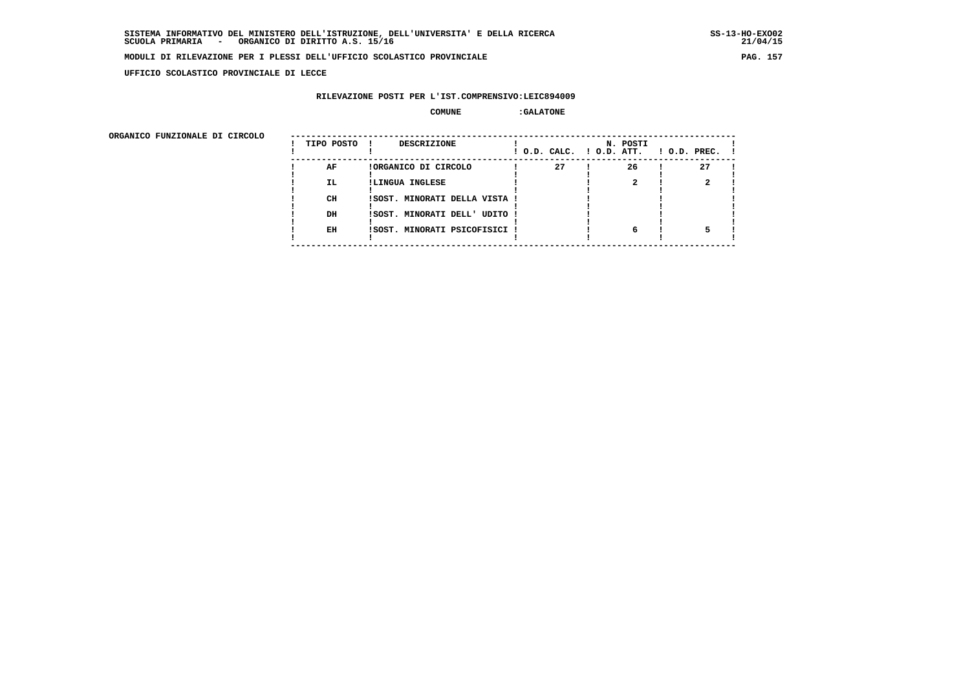**UFFICIO SCOLASTICO PROVINCIALE DI LECCE**

## **RILEVAZIONE POSTI PER L'IST.COMPRENSIVO:LEIC894009**

### **COMUNE :GALATONE**

| ORGANICO FUNZIONALE DI CIRCOLO |            |                               |                          |          |                    |
|--------------------------------|------------|-------------------------------|--------------------------|----------|--------------------|
|                                | TIPO POSTO | DESCRIZIONE                   | ! O.D. CALC. ! O.D. ATT. | N. POSTI | $1$ O.D. PREC. $1$ |
|                                | AF         | !ORGANICO DI CIRCOLO          | 27                       | 26       | 27                 |
|                                | IL.        | !LINGUA INGLESE               |                          |          |                    |
|                                | CH         | ISOST. MINORATI DELLA VISTA ! |                          |          |                    |
|                                | DH         | !SOST. MINORATI DELL' UDITO ! |                          |          |                    |
|                                | EH         | !SOST. MINORATI PSICOFISICI ! |                          | 6        |                    |
|                                |            |                               |                          |          |                    |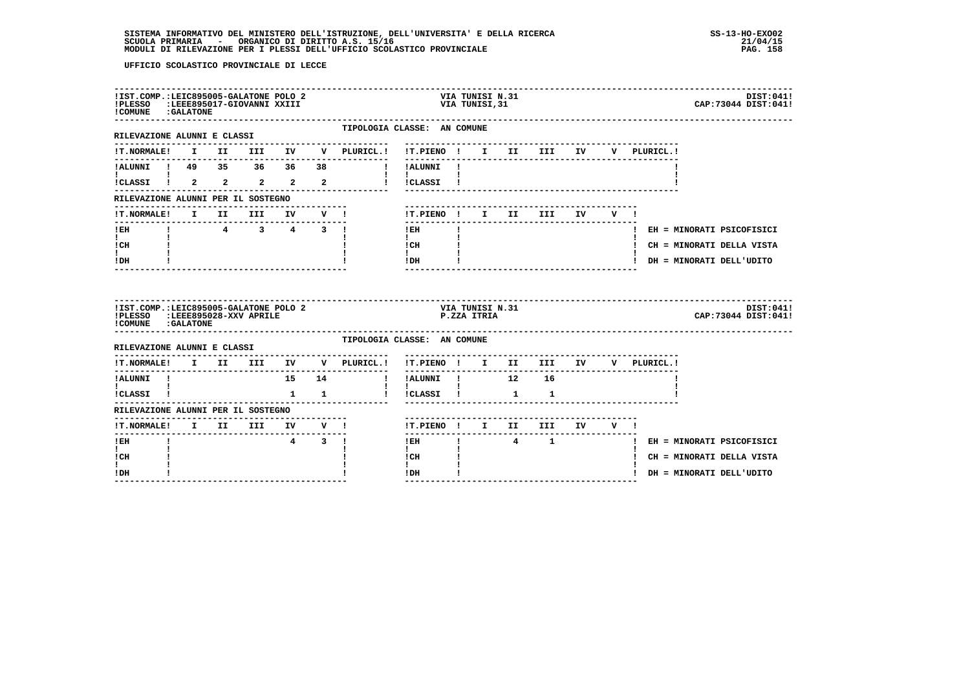| !PLESSO<br>! COMUNE : GALATONE                                                                                                |  | !IST.COMP.:LEIC895005-GALATONE POLO 2<br>LEEE895017-GIOVANNI XXIII:    |              |                     |                         |                                                                | VIA TUNISI N.31<br>VIA TUNISI,31 |     |                                  |     |              | DIST:041!<br>CAP: 73044 DIST: 041! |
|-------------------------------------------------------------------------------------------------------------------------------|--|------------------------------------------------------------------------|--------------|---------------------|-------------------------|----------------------------------------------------------------|----------------------------------|-----|----------------------------------|-----|--------------|------------------------------------|
| RILEVAZIONE ALUNNI E CLASSI                                                                                                   |  |                                                                        |              |                     |                         | TIPOLOGIA CLASSE: AN COMUNE<br>------------------------------- |                                  |     |                                  |     |              |                                    |
| <b>!T.NORMALE!</b>                                                                                                            |  |                                                                        |              |                     | I II III IV V PLURICL.! | !T.PIENO ! I II III IV                                         |                                  |     |                                  |     | V PLURICL. ! |                                    |
|                                                                                                                               |  |                                                                        |              |                     |                         | ----------<br>!!ALUNNI!                                        |                                  |     |                                  |     |              |                                    |
| TALUNNI   49 35 36 36 38<br>  1<br>  1<br>  1<br>  1<br>  2 2 2 2 2                                                           |  |                                                                        |              |                     |                         | $\mathbf{1}$ $\mathbf{1}$<br>! !CLASSI !                       |                                  |     |                                  |     |              |                                    |
| RILEVAZIONE ALUNNI PER IL SOSTEGNO                                                                                            |  |                                                                        |              |                     |                         |                                                                |                                  |     |                                  |     |              |                                    |
| !T.NORMALE! I II III IV V !                                                                                                   |  |                                                                        |              |                     |                         | !T.PIENO ! I II III IV                                         |                                  |     |                                  | V I |              |                                    |
| ---------------<br>$!$ EH                                                                                                     |  | $\begin{array}{ccccccccccccccccc}\n1 & 4 & 3 & 4 & 3 & 1\n\end{array}$ |              |                     |                         | --------<br>$!$ EH                                             | $\mathbf{I}$                     |     |                                  |     |              | ! EH = MINORATI PSICOFISICI        |
| $\mathbf{I}$ and $\mathbf{I}$<br>ICH                                                                                          |  |                                                                        |              |                     |                         | $\mathbf{I}$<br>! CH                                           |                                  |     |                                  |     |              | ! CH = MINORATI DELLA VISTA        |
| t i<br>! DH                                                                                                                   |  |                                                                        |              |                     |                         | $\mathbf{I}$<br>$!$ DH                                         |                                  |     | ________________________________ |     |              | ! DH = MINORATI DELL'UDITO         |
|                                                                                                                               |  |                                                                        |              |                     |                         |                                                                |                                  |     |                                  |     |              |                                    |
| !IST.COMP.:LEIC895005-GALATONE POLO 2<br>!PLESSO<br>COMUNE : GALATONE                                                         |  | LEEE895028-XXV APRILE:                                                 |              |                     |                         |                                                                | VIA TUNISI N.31<br>P.ZZA ITRIA   |     |                                  |     |              | DIST:041!<br>CAP: 73044 DIST: 041! |
| RILEVAZIONE ALUNNI E CLASSI                                                                                                   |  |                                                                        |              |                     |                         | TIPOLOGIA CLASSE: AN COMUNE                                    |                                  |     |                                  |     |              |                                    |
| <b>!T.NORMALE!</b>                                                                                                            |  |                                                                        |              |                     | I II III IV V PLURICL.! | !T.PIENO ! I II III IV V PLURICL.!                             |                                  |     |                                  |     |              |                                    |
| ---------------------------------<br>!ALUNNI ! 15 14                                                                          |  |                                                                        |              |                     |                         | ! !ALUNNI ! 12 16                                              |                                  |     |                                  |     |              |                                    |
| $\mathbf{I}$ and $\mathbf{I}$ and $\mathbf{I}$<br>!CLASSI !                                                                   |  |                                                                        | $\mathbf{1}$ | $\mathbf{1}$        | $\mathbf{I}$            | $\mathbf{I}$<br>! !CLASSI !                                    |                                  |     | $\mathbf{1}$<br>$\mathbf{1}$     |     |              |                                    |
| RILEVAZIONE ALUNNI PER IL SOSTEGNO                                                                                            |  |                                                                        |              |                     |                         |                                                                |                                  |     |                                  |     |              |                                    |
| $\verb !T.NORMALE! \hspace{2.5em} I \hspace{2.5em} II \hspace{2.5em} III \hspace{2.5em} IV \hspace{2.5em} V \hspace{2.5em} I$ |  | ---------------------------                                            |              |                     |                         | !T.PIENO ! I II III IV V !                                     |                                  |     |                                  |     |              |                                    |
| ---------------------------------<br>! EH                                                                                     |  |                                                                        |              | $4 \quad 3 \quad 1$ |                         | -------<br>$!$ EH                                              |                                  | 4 1 |                                  |     |              | ! EH = MINORATI PSICOFISICI        |
| $\mathbf{I}$<br>! CH<br>L                                                                                                     |  |                                                                        |              |                     |                         | $\mathbf{I}$<br>! CH<br>$\mathbf{I}$                           |                                  |     |                                  |     |              | ! CH = MINORATI DELLA VISTA        |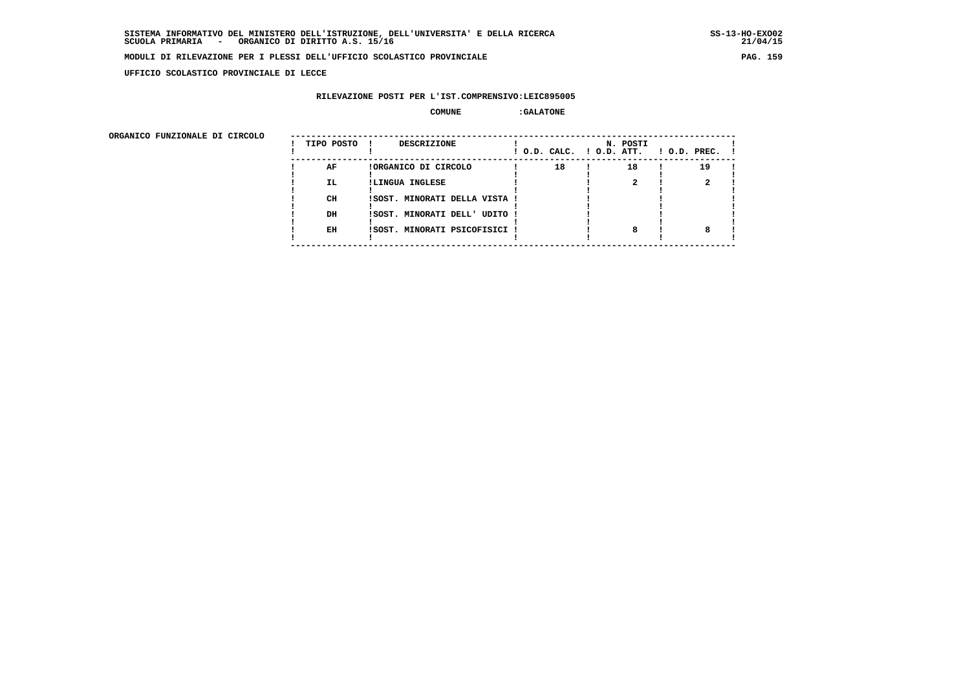**UFFICIO SCOLASTICO PROVINCIALE DI LECCE**

### **RILEVAZIONE POSTI PER L'IST.COMPRENSIVO:LEIC895005**

### **COMUNE :GALATONE**

ORGANICO FUNZIONALE DI CIRCOLO

| ORGANICO FUNZIONALE DI CIRCOLO |            |                               |    |                                      |                    |
|--------------------------------|------------|-------------------------------|----|--------------------------------------|--------------------|
|                                | TIPO POSTO | DESCRIZIONE<br>$\mathbf{I}$   |    | N. POSTI<br>! O.D. CALC. ! O.D. ATT. | $!$ 0.D. PREC. $!$ |
|                                | AF         | !ORGANICO DI CIRCOLO          | 18 | 18                                   | 19                 |
|                                | IL.        | !LINGUA INGLESE               |    |                                      |                    |
|                                |            |                               |    |                                      |                    |
|                                | CH         | !SOST. MINORATI DELLA VISTA ! |    |                                      |                    |
|                                |            |                               |    |                                      |                    |
|                                | DH         | !SOST. MINORATI DELL' UDITO ! |    |                                      |                    |
|                                |            |                               |    |                                      |                    |
|                                | EH         | !SOST. MINORATI PSICOFISICI ! |    |                                      |                    |
|                                |            |                               |    |                                      |                    |
|                                |            |                               |    |                                      |                    |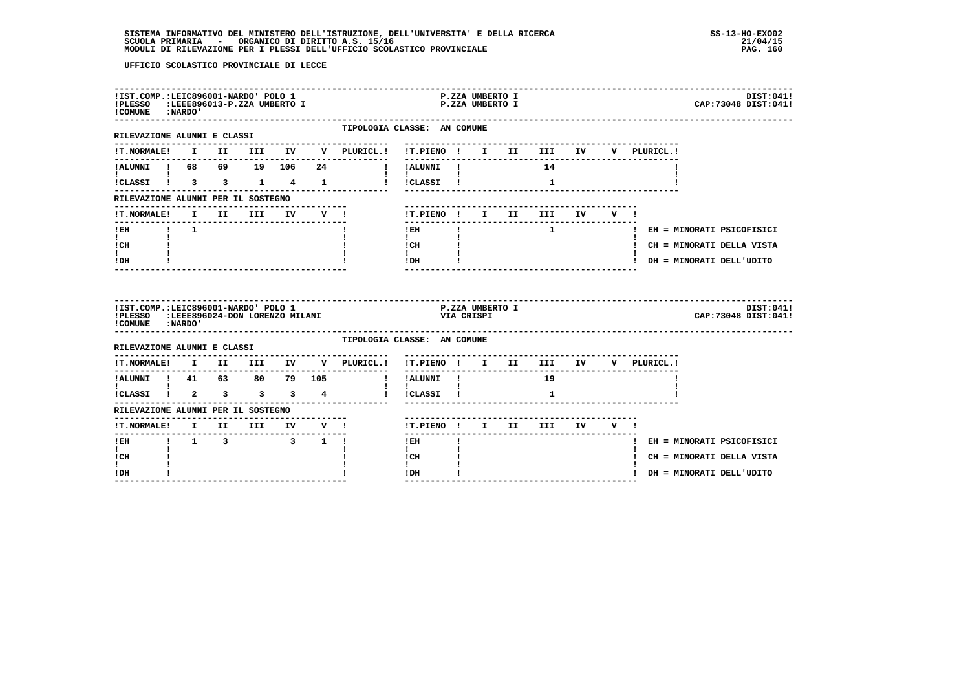| !IST.COMP.:LEIC896001-NARDO' POLO 1<br>!PLESSO :LEEE896013-P.ZZA UMBERTO I<br>! COMUNE : NARDO' |  |                              |  |                                                                                        |                                                       | P.ZZA UMBERTO I<br>P.ZZA UMBERTO I |  |              |  |  | DIST:041!<br>CAP: 73048 DIST: 041! |
|-------------------------------------------------------------------------------------------------|--|------------------------------|--|----------------------------------------------------------------------------------------|-------------------------------------------------------|------------------------------------|--|--------------|--|--|------------------------------------|
| RILEVAZIONE ALUNNI E CLASSI                                                                     |  |                              |  |                                                                                        | TIPOLOGIA CLASSE: AN COMUNE                           |                                    |  |              |  |  |                                    |
|                                                                                                 |  |                              |  | !T.NORMALE! I II III IV V PLURICL.! !T.PIENO ! I II III IV V PLURICL.!                 | -------------------------------                       |                                    |  |              |  |  |                                    |
|                                                                                                 |  |                              |  | --------------                                                                         |                                                       |                                    |  |              |  |  |                                    |
| <b>Experience</b><br>!CLASSI ! 3 3 1 4 1                                                        |  |                              |  |                                                                                        | $\mathbf{1}$ $\mathbf{1}$ $\mathbf{1}$<br>! !CLASSI ! |                                    |  | $\mathbf{1}$ |  |  |                                    |
| RILEVAZIONE ALUNNI PER IL SOSTEGNO                                                              |  |                              |  |                                                                                        |                                                       |                                    |  |              |  |  |                                    |
| !T.NORMALE!                                                                                     |  | I II III IV V!               |  |                                                                                        | !T.PIENO ! I II III IV V !                            |                                    |  |              |  |  |                                    |
| !EH ! 1                                                                                         |  |                              |  |                                                                                        | --------------------------<br>$!$ EH                  |                                    |  |              |  |  | 1 1 1 1 EH = MINORATI PSICOFISICI  |
| $\mathbf{I}$ and $\mathbf{I}$<br>ICH                                                            |  |                              |  |                                                                                        | $\mathbf{I}$ and $\mathbf{I}$<br>! CH                 |                                    |  |              |  |  | ! CH = MINORATI DELLA VISTA        |
| $\mathbf{I}$<br>IDH                                                                             |  |                              |  |                                                                                        | $\mathbf{I}$<br>IDH                                   |                                    |  |              |  |  | ! DH = MINORATI DELL'UDITO         |
|                                                                                                 |  |                              |  |                                                                                        |                                                       |                                    |  |              |  |  |                                    |
| !IST.COMP.:LEIC896001-NARDO' POLO 1<br>! COMUNE : NARDO'                                        |  |                              |  | !PLESSO :LEEE896024-DON LORENZO MILANI                                                 | VIA CRISPI                                            | P.ZZA UMBERTO I                    |  |              |  |  | DIST:041!<br>CAP: 73048 DIST: 041! |
| RILEVAZIONE ALUNNI E CLASSI                                                                     |  |                              |  |                                                                                        | TIPOLOGIA CLASSE: AN COMUNE                           |                                    |  |              |  |  |                                    |
|                                                                                                 |  |                              |  | $\verb !T.NORMALE! \quad I \quad II \quad III \quad IV \quad V \quad \verb PLURICL. !$ | !T.PIENO ! I II III IV V PLURICL.!                    |                                    |  |              |  |  |                                    |
| ---------------                                                                                 |  |                              |  | --------------                                                                         | !!ALUNNI ! 19                                         |                                    |  |              |  |  |                                    |
|                                                                                                 |  |                              |  |                                                                                        | $\mathbf{I}$<br>! !CLASSI !                           |                                    |  | $\mathbf{1}$ |  |  |                                    |
| RILEVAZIONE ALUNNI PER IL SOSTEGNO                                                              |  |                              |  |                                                                                        |                                                       |                                    |  |              |  |  |                                    |
|                                                                                                 |  |                              |  |                                                                                        | !T.PIENO ! I II III IV V !                            |                                    |  |              |  |  |                                    |
| $1$ EH                                                                                          |  | $1 \t 1 \t 3 \t 3 \t 1 \t 1$ |  |                                                                                        | $!$ EH                                                |                                    |  |              |  |  | ! EH = MINORATI PSICOFISICI        |
| $\mathbf{I}$<br>! CH<br>I.                                                                      |  |                              |  |                                                                                        | $\mathbf{I}$<br>! CH<br>$\mathbf{I}$                  |                                    |  |              |  |  | ! CH = MINORATI DELLA VISTA        |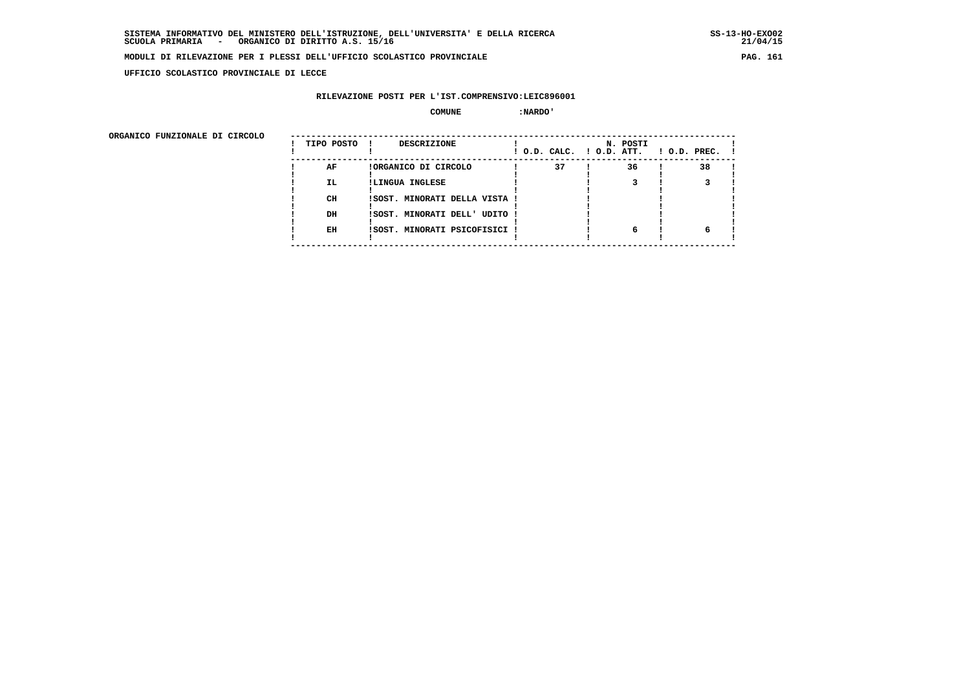**UFFICIO SCOLASTICO PROVINCIALE DI LECCE**

## **RILEVAZIONE POSTI PER L'IST.COMPRENSIVO:LEIC896001**

#### $\begin{array}{ccc} \text{COMUNE} & \text{!} \end{array}$

| ORGANICO FUNZIONALE DI CIRCOLO |            |                               |                          |          |                |
|--------------------------------|------------|-------------------------------|--------------------------|----------|----------------|
|                                | TIPO POSTO | <b>DESCRIZIONE</b><br>- 11    | ! O.D. CALC. ! O.D. ATT. | N. POSTI | ! O.D. PREC. ! |
|                                | AF         | !ORGANICO DI CIRCOLO          | 37                       | 36       | 38             |
|                                | IL.        | !LINGUA INGLESE               |                          |          |                |
|                                | CН         | !SOST. MINORATI DELLA VISTA ! |                          |          |                |
|                                | DH         | !SOST. MINORATI DELL' UDITO ! |                          |          |                |
|                                | EH         | !SOST. MINORATI PSICOFISICI ! |                          | 6        |                |
|                                |            |                               |                          |          |                |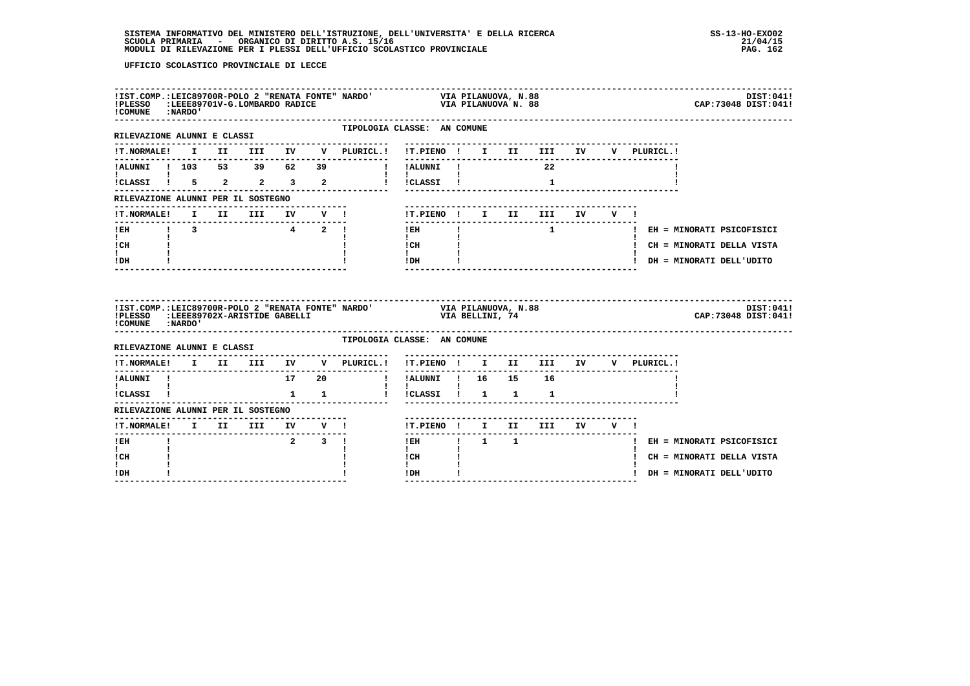|                                            |                               |  |  | !IST.COMP.:LEIC89700R-POLO 2 "RENATA FONTE" NARDO' VIA PILANUOVA, N.88<br>!PLESSO :LEEE89701V-G.LOMBARDO RADICE VIA VIA PILANUOVA N. 88<br>!COMUNE :NARDO' |                                                                                                                      |  |                                    |  |                                       | DIST:041!<br>CAP: 73048 DIST: 041! |
|--------------------------------------------|-------------------------------|--|--|------------------------------------------------------------------------------------------------------------------------------------------------------------|----------------------------------------------------------------------------------------------------------------------|--|------------------------------------|--|---------------------------------------|------------------------------------|
| RILEVAZIONE ALUNNI E CLASSI                |                               |  |  | TIPOLOGIA CLASSE: AN COMUNE                                                                                                                                |                                                                                                                      |  |                                    |  |                                       |                                    |
| !T.NORMALE! I II III IV                    |                               |  |  | V PLURICL.! !T.PIENO ! I II III IV V PLURICL.!                                                                                                             |                                                                                                                      |  |                                    |  |                                       |                                    |
|                                            |                               |  |  | ! IALUNNI ! 103 53 39 62 39 !! IALUNNI !                                                                                                                   |                                                                                                                      |  | 22 3                               |  |                                       |                                    |
| $\mathbf{I}$ and $\mathbf{I}$              |                               |  |  |                                                                                                                                                            | $\mathbf{1}$ $\mathbf{1}$ $\mathbf{1}$                                                                               |  |                                    |  |                                       |                                    |
| RILEVAZIONE ALUNNI PER IL SOSTEGNO         |                               |  |  |                                                                                                                                                            |                                                                                                                      |  |                                    |  |                                       |                                    |
|                                            |                               |  |  | ------------------------------<br>IT.NORMALE! I III IV V ! IT.PIENO ! I II III IV V !                                                                      |                                                                                                                      |  |                                    |  |                                       |                                    |
| -------------------------------            |                               |  |  |                                                                                                                                                            |                                                                                                                      |  |                                    |  | IEH   I I I EH = MINORATI PSICOFISICI |                                    |
| $\mathbf{I}$ and $\mathbf{I}$<br>ICH       |                               |  |  |                                                                                                                                                            | $\mathbf{I}$ and $\mathbf{I}$<br>$\begin{array}{ccc}\n\text{ICH} & & \text{I} \\ \text{I} & & \text{I}\n\end{array}$ |  |                                    |  | ! CH = MINORATI DELLA VISTA           |                                    |
| $\mathbf{I}$<br>! DH                       |                               |  |  |                                                                                                                                                            | $1$ DH $\qquad$ $1$<br><u>---------------</u>                                                                        |  | __________________________________ |  | ! DH = MINORATI DELL'UDITO            |                                    |
| ! COMUNE : NARDO'                          |                               |  |  | IIST.COMP.:LEIC89700R-POLO 2 "RENATA FONTE" NARDO' VIA PILANUOVA, N.88<br>IPLESSO :LEEE89702X-ARISTIDE GABELLI<br>ICOMPNE :NARDO! VIA RELLINI, 74          |                                                                                                                      |  |                                    |  |                                       | DIST:041!<br>CAP:73048 DIST:041!   |
|                                            |                               |  |  |                                                                                                                                                            | TIPOLOGIA CLASSE: AN COMUNE                                                                                          |  |                                    |  |                                       |                                    |
| ---------                                  |                               |  |  | !T.NORMALE! I II III IV V PLURICL.! !T.PIENO ! I II III IV V PLURICL.!                                                                                     |                                                                                                                      |  |                                    |  |                                       |                                    |
| ! ALUNNI !                                 |                               |  |  |                                                                                                                                                            |                                                                                                                      |  |                                    |  |                                       |                                    |
| $\mathbf{I}$ and $\mathbf{I}$<br>!CLASSI ! |                               |  |  | 1 1 1 i iCLASSI 1 1 1 1                                                                                                                                    | $\mathbf{I}$ $\mathbf{I}$                                                                                            |  |                                    |  |                                       |                                    |
| RILEVAZIONE ALUNNI PER IL SOSTEGNO         |                               |  |  |                                                                                                                                                            |                                                                                                                      |  |                                    |  |                                       |                                    |
|                                            |                               |  |  |                                                                                                                                                            | !T.PIENO! I II III IV V!                                                                                             |  |                                    |  |                                       |                                    |
| $I$ EH<br>$\mathbf{I}$                     | $\mathbf{I}$ and $\mathbf{I}$ |  |  | $2 \t3 \t1$                                                                                                                                                | <b>IEH 1</b> 1 1<br>$\mathbf{I}$                                                                                     |  |                                    |  | ! EH = MINORATI PSICOFISICI           |                                    |
| ! CH<br>$\mathbf{I}$                       |                               |  |  |                                                                                                                                                            | ! CH<br>$\mathbf{I}$                                                                                                 |  |                                    |  | ! CH = MINORATI DELLA VISTA           |                                    |
| !DH                                        |                               |  |  |                                                                                                                                                            | ! DH                                                                                                                 |  |                                    |  | ! DH = MINORATI DELL'UDITO            |                                    |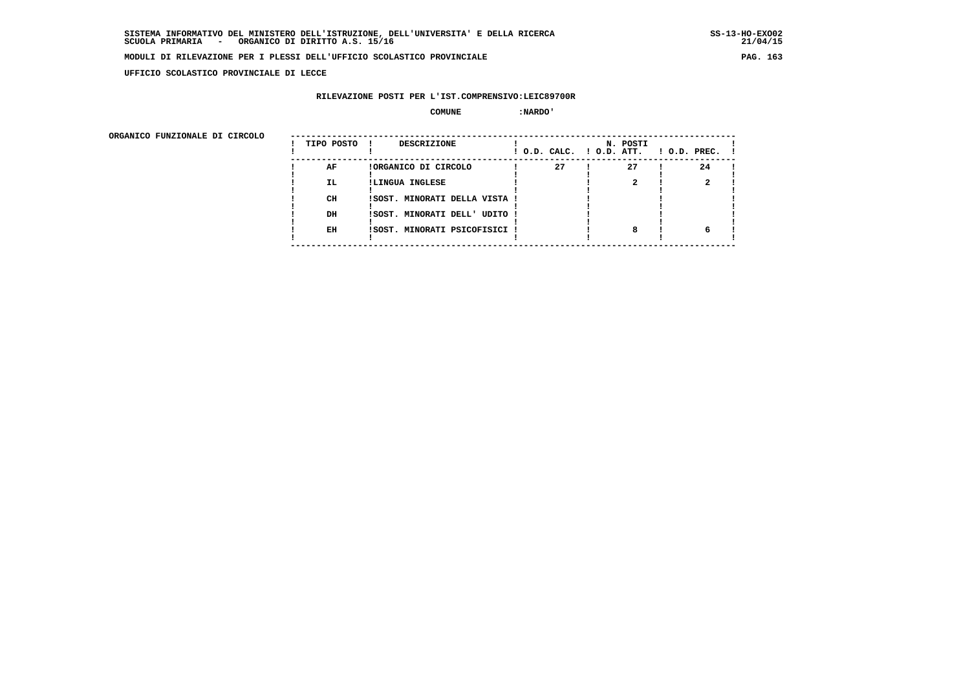**UFFICIO SCOLASTICO PROVINCIALE DI LECCE**

## **RILEVAZIONE POSTI PER L'IST.COMPRENSIVO:LEIC89700R**

#### $\begin{array}{ccc} \text{COMUNE} & \text{!} \end{array}$

| ORGANICO FUNZIONALE DI CIRCOLO |            |                               |                          |          |                    |
|--------------------------------|------------|-------------------------------|--------------------------|----------|--------------------|
|                                | TIPO POSTO | <b>DESCRIZIONE</b>            | ! O.D. CALC. ! O.D. ATT. | N. POSTI | $1$ O.D. PREC. $1$ |
|                                | AF         | !ORGANICO DI CIRCOLO          | 27                       | 27       | 24                 |
|                                | IL.        | !LINGUA INGLESE               |                          |          |                    |
|                                | CH         | !SOST. MINORATI DELLA VISTA ! |                          |          |                    |
|                                | DH         | !SOST. MINORATI DELL' UDITO ! |                          |          |                    |
|                                | EH         | !SOST. MINORATI PSICOFISICI ! |                          |          |                    |
|                                |            |                               |                          |          |                    |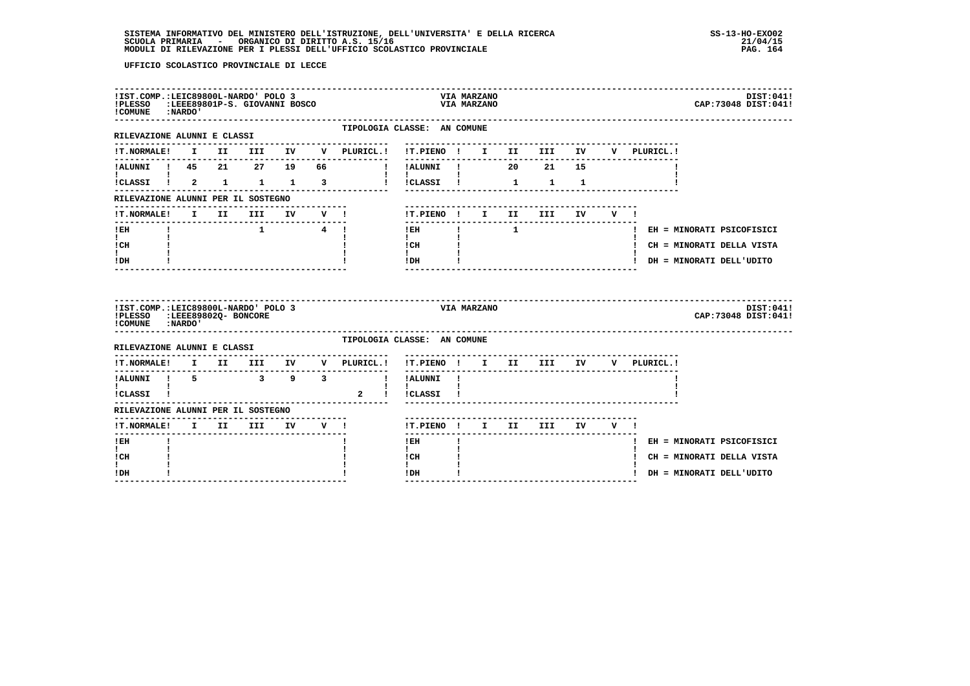| !PLESSO :LEEE89801P-S. GIOVANNI BOSCO<br>! COMUNE : NARDO'                               |  | !IST.COMP.:LEIC89800L-NARDO' POLO 3 |         |             |                                |                                          |              | VIA MARZANO<br>VIA MARZANO |             |    |         |             | DIST:041!<br>CAP: 73048 DIST: 041! |
|------------------------------------------------------------------------------------------|--|-------------------------------------|---------|-------------|--------------------------------|------------------------------------------|--------------|----------------------------|-------------|----|---------|-------------|------------------------------------|
| ------------------<br>RILEVAZIONE ALUNNI E CLASSI                                        |  |                                     |         |             |                                | TIPOLOGIA CLASSE: AN COMUNE              |              |                            |             |    |         |             |                                    |
| <b>!T.NORMALE!</b>                                                                       |  |                                     |         |             | I II III IV V PLURICL.!        | !T.PIENO ! I II III IV                   |              |                            |             |    |         | V PLURICL.! |                                    |
| !ALUNNI ! 45 21 27 19                                                                    |  |                                     |         | 66          |                                | ! !ALUNNI ! 20 21                        |              |                            |             | 15 |         |             |                                    |
| L<br>!CLASSI ! 2 1 1 1                                                                   |  |                                     |         | $3^{\circ}$ | and the property of the state  | $\mathbf{I}$<br>!CLASSI !                |              |                            | $1 \quad 1$ | 1  |         |             |                                    |
| RILEVAZIONE ALUNNI PER IL SOSTEGNO                                                       |  |                                     |         |             |                                |                                          |              |                            |             |    |         |             |                                    |
| !T.NORMALE!                                                                              |  |                                     |         |             |                                | !T.PIENO ! I II                          |              |                            | III         | IV | $V = 1$ |             |                                    |
| ! EH                                                                                     |  |                                     | 1 4 !   |             |                                | $!$ EH                                   | $\mathbf{I}$ |                            |             |    |         |             | ! EH = MINORATI PSICOFISICI        |
| $\mathbf{I}$<br>! CH                                                                     |  |                                     |         |             |                                | $\mathbf{I}$<br>! CH                     |              |                            |             |    |         |             | ! CH = MINORATI DELLA VISTA        |
| $\mathbf{I}$<br>! DH                                                                     |  |                                     |         |             |                                | $\mathbf{I}$<br>! DH                     |              |                            |             |    |         |             | ! DH = MINORATI DELL'UDITO         |
|                                                                                          |  |                                     |         |             |                                |                                          |              |                            |             |    |         |             |                                    |
| !IST.COMP.:LEIC89800L-NARDO' POLO 3<br>!PLESSO :LEEE89802Q- BONCORE<br>! COMUNE : NARDO' |  |                                     |         |             |                                | VIA MARZANO                              |              |                            |             |    |         |             | DIST:041!<br>CAP: 73048 DIST: 041! |
| -----------------<br>RILEVAZIONE ALUNNI E CLASSI                                         |  |                                     |         |             | TIPOLOGIA CLASSE: AN COMUNE    |                                          |              |                            |             |    |         |             |                                    |
| <b>!T.NORMALE!</b>                                                                       |  | I II III                            | IV DOM: |             | ---------------<br>V PLURICL.! | !T.PIENO ! I II                          |              |                            | III         | IV |         | V PLURICL.! |                                    |
| ---------------------------------<br>!ALUNNI ! 5 3 9 3                                   |  |                                     |         |             | --------------<br>$\mathbf{I}$ | IALUNNI I                                |              |                            |             |    |         |             |                                    |
| $\mathbf{I}$ and $\mathbf{I}$<br>!CLASSI !                                               |  |                                     |         |             |                                | $\mathbf{I}$ $\mathbf{I}$<br>2 ! !CLASSI |              |                            |             |    |         |             |                                    |
| RILEVAZIONE ALUNNI PER IL SOSTEGNO                                                       |  |                                     |         |             |                                |                                          |              |                            |             |    |         |             |                                    |
| <b>!T.NORMALE!</b>                                                                       |  | I II III IV V!                      |         |             |                                | !T.PIENO! I II III IV V!                 |              |                            |             |    |         |             |                                    |
| -------<br>$!$ EH                                                                        |  |                                     |         |             |                                | ------<br>$!$ EH                         |              |                            |             |    |         |             | ! EH = MINORATI PSICOFISICI        |
| $\mathbf{I}$<br>! CH                                                                     |  |                                     |         |             |                                | $\mathbf{I}$<br>! CH                     |              |                            |             |    |         |             | ! CH = MINORATI DELLA VISTA        |
| L<br>! DH                                                                                |  |                                     |         |             |                                | ! DH                                     |              |                            |             |    |         |             | ! DH = MINORATI DELL'UDITO         |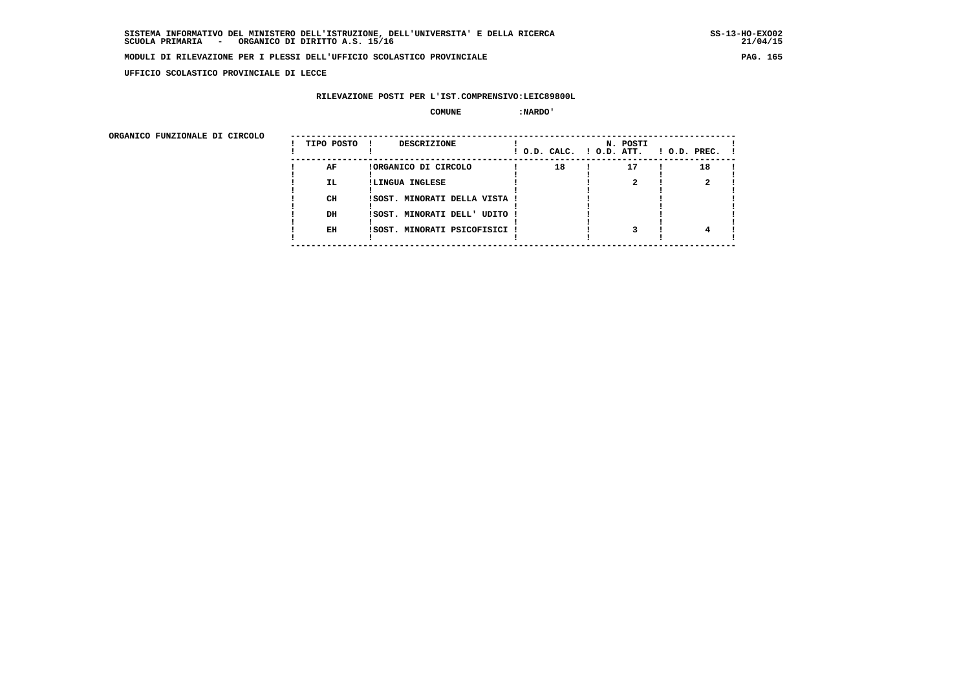**UFFICIO SCOLASTICO PROVINCIALE DI LECCE**

## **RILEVAZIONE POSTI PER L'IST.COMPRENSIVO:LEIC89800L**

#### $\begin{array}{ccc} \text{COMUNE} & \text{!} \end{array}$

| ORGANICO FUNZIONALE DI CIRCOLO |            |                               |    |                                      |                    |
|--------------------------------|------------|-------------------------------|----|--------------------------------------|--------------------|
|                                | TIPO POSTO | <b>DESCRIZIONE</b>            |    | N. POSTI<br>! O.D. CALC. ! O.D. ATT. | $1$ O.D. PREC. $1$ |
|                                | AF         | !ORGANICO DI CIRCOLO          | 18 | 17                                   | 18                 |
|                                | IL.        | !LINGUA INGLESE               |    |                                      |                    |
|                                | CH         | !SOST. MINORATI DELLA VISTA ! |    |                                      |                    |
|                                | DH         | !SOST. MINORATI DELL' UDITO ! |    |                                      |                    |
|                                | EH         | !SOST. MINORATI PSICOFISICI ! |    |                                      |                    |
|                                |            |                               |    |                                      |                    |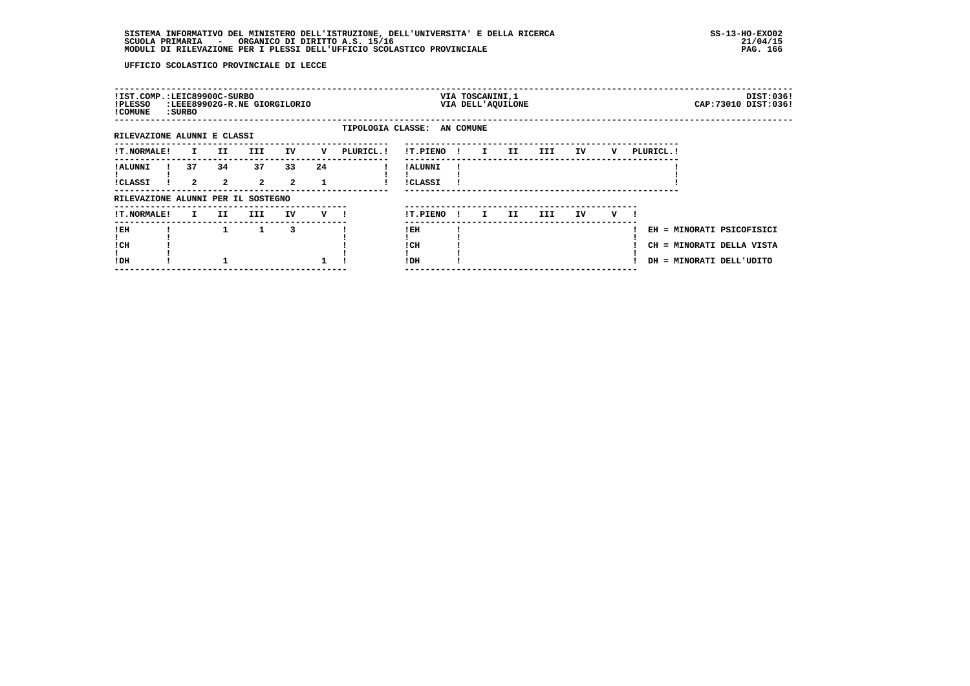| !IST.COMP.:LEIC89900C-SURBO<br>!PLESSO<br>! COMUNE | : SURBO            |                    | :LEEE89902G-R.NE GIORGILORIO |                      |     |                             |                     |              | VIA TOSCANINI, 1 | VIA DELL'AQUILONE |            |    |   |            |                                                                                    | DIST:036!<br>CAP: 73010 DIST: 036! |
|----------------------------------------------------|--------------------|--------------------|------------------------------|----------------------|-----|-----------------------------|---------------------|--------------|------------------|-------------------|------------|----|---|------------|------------------------------------------------------------------------------------|------------------------------------|
| RILEVAZIONE ALUNNI E CLASSI                        |                    |                    |                              |                      |     | TIPOLOGIA CLASSE: AN COMUNE |                     |              |                  |                   |            |    |   |            |                                                                                    |                                    |
| <b>!T.NORMALE!</b>                                 | $\mathbf{I}$       | II.                | III.                         | IV                   | v   | PLURICL. !                  | !T.PIENO            | $\mathbf{I}$ | $\mathbf{I}$     | II.               | III        | IV | v | PLURICL. ! |                                                                                    |                                    |
| ! ALUNNI<br><b>!CLASSI</b>                         | 37<br>$\mathbf{2}$ | 34<br>$\mathbf{2}$ | 37<br>$\overline{a}$         | 33<br>$\overline{a}$ | 24  |                             | ! ALUNNI<br>!CLASSI |              |                  |                   |            |    |   |            |                                                                                    |                                    |
| RILEVAZIONE ALUNNI PER IL SOSTEGNO                 |                    |                    |                              |                      |     |                             |                     |              |                  |                   |            |    |   |            |                                                                                    |                                    |
| !T.NORMALE!                                        | $\mathbf{I}$       | II.                | III.                         | IV                   | V ! |                             | !T.PIENO            | $\mathbf{I}$ | I.               | II.               | <b>III</b> | IV | v |            |                                                                                    |                                    |
| !EH<br>! CH<br>!DH                                 |                    |                    | 1                            | 3                    |     |                             | !EH<br>! CH<br>!DH  |              |                  |                   |            |    |   |            | EH = MINORATI PSICOFISICI<br>CH = MINORATI DELLA VISTA<br>DH = MINORATI DELL'UDITO |                                    |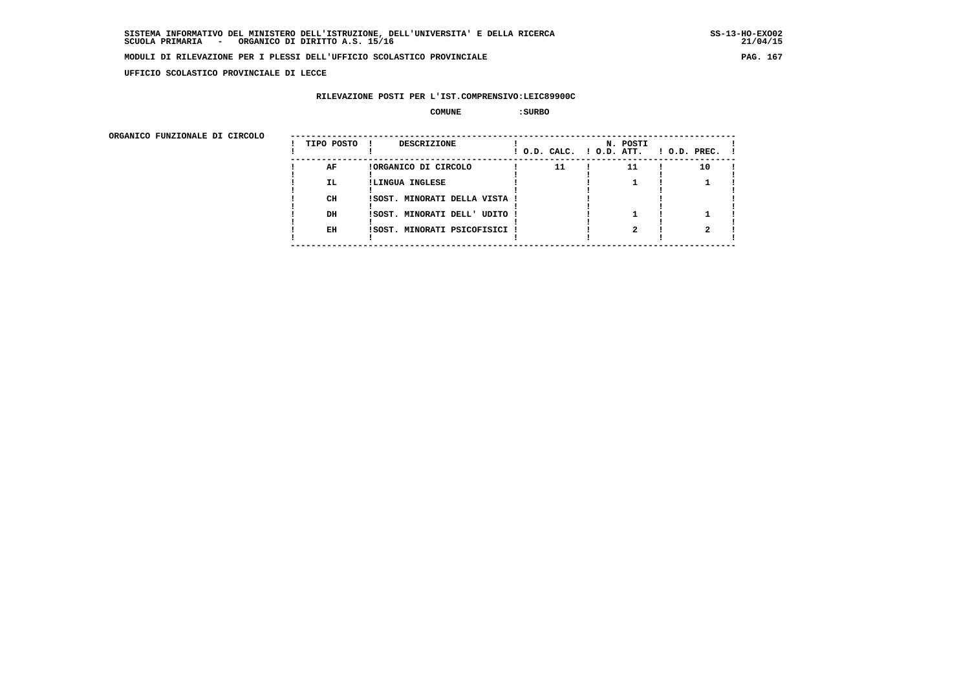**UFFICIO SCOLASTICO PROVINCIALE DI LECCE**

## **RILEVAZIONE POSTI PER L'IST.COMPRENSIVO:LEIC89900C**

#### **COMUNE :SURBO**

ORGANICO FUNZIONALE DI CIRCOLO

| ORGANICO FUNZIONALE DI CIRCOLO | TIPO POSTO      | <b>DESCRIZIONE</b><br>- 1                                                |    | N. POSTI<br>! O.D. CALC. ! O.D. ATT. | $1$ O.D. PREC. $1$ |  |
|--------------------------------|-----------------|--------------------------------------------------------------------------|----|--------------------------------------|--------------------|--|
|                                | AF<br>IL.<br>CH | !ORGANICO DI CIRCOLO<br>!LINGUA INGLESE<br>!SOST. MINORATI DELLA VISTA ! | 11 | 11                                   | 10                 |  |
|                                | DH<br>EH        | ! SOST. MINORATI DELL' UDITO!<br>!SOST. MINORATI PSICOFISICI !           |    |                                      |                    |  |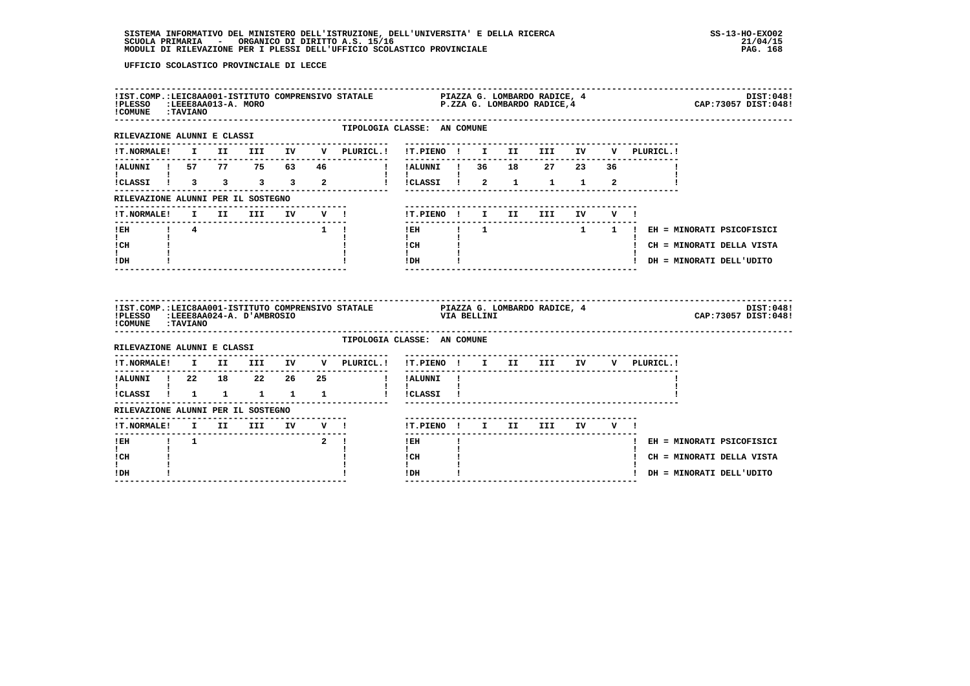| --------<br>!IST.COMP.:LEIC8AA001-ISTITUTO COMPRENSIVO STATALE                 PIAZZA G. LOMBARDO RADICE, 4<br>!PLESSO   :LEEE8AA013-A. MORO<br>! COMUNE : TAVIANO |  |  |                                                                                                                                                                                                                                                                                                                                                                                                                                                                                 |                                                                        |                                            |  |                                      |  |  | DIST:048!<br>CAP: 73057 DIST: 048!    |
|--------------------------------------------------------------------------------------------------------------------------------------------------------------------|--|--|---------------------------------------------------------------------------------------------------------------------------------------------------------------------------------------------------------------------------------------------------------------------------------------------------------------------------------------------------------------------------------------------------------------------------------------------------------------------------------|------------------------------------------------------------------------|--------------------------------------------|--|--------------------------------------|--|--|---------------------------------------|
| ---------------------<br>RILEVAZIONE ALUNNI E CLASSI                                                                                                               |  |  |                                                                                                                                                                                                                                                                                                                                                                                                                                                                                 | TIPOLOGIA CLASSE: AN COMUNE<br>. - - - - - - - - - - - - - -           |                                            |  |                                      |  |  |                                       |
|                                                                                                                                                                    |  |  |                                                                                                                                                                                                                                                                                                                                                                                                                                                                                 | !T.NORMALE! I II III IV V PLURICL.! !T.PIENO ! I II III IV V PLURICL.! |                                            |  |                                      |  |  |                                       |
|                                                                                                                                                                    |  |  |                                                                                                                                                                                                                                                                                                                                                                                                                                                                                 | !ALUNNI ! 57 77 75 63 46   !!ALUNNI ! 36 18 27 23 36                   |                                            |  |                                      |  |  |                                       |
| $\mathbf{I}$                                                                                                                                                       |  |  |                                                                                                                                                                                                                                                                                                                                                                                                                                                                                 | ICLASSI 1 3 3 3 3 2 1 1 2 2 1 2 1 1 2                                  | $\mathbf{1}$                               |  |                                      |  |  |                                       |
| RILEVAZIONE ALUNNI PER IL SOSTEGNO                                                                                                                                 |  |  |                                                                                                                                                                                                                                                                                                                                                                                                                                                                                 |                                                                        |                                            |  |                                      |  |  |                                       |
| <b>!T.NORMALE!</b>                                                                                                                                                 |  |  |                                                                                                                                                                                                                                                                                                                                                                                                                                                                                 |                                                                        | !T.PIENO ! I II III IV V !                 |  |                                      |  |  |                                       |
| $1$ EH $1$ $4$                                                                                                                                                     |  |  |                                                                                                                                                                                                                                                                                                                                                                                                                                                                                 | $1 \quad 1$                                                            |                                            |  |                                      |  |  | !EH ! 1 1 ! EH = MINORATI PSICOFISICI |
| $\mathbf{I}$ and $\mathbf{I}$<br>! CH                                                                                                                              |  |  |                                                                                                                                                                                                                                                                                                                                                                                                                                                                                 |                                                                        | $\mathbf{I}$<br>$ICH$ $\qquad$             |  |                                      |  |  | ! CH = MINORATI DELLA VISTA           |
|                                                                                                                                                                    |  |  |                                                                                                                                                                                                                                                                                                                                                                                                                                                                                 |                                                                        | $\mathbf{I}$ and $\mathbf{I}$<br>$IDH$ $I$ |  |                                      |  |  | ! DH = MINORATI DELL'UDITO            |
| I.<br>! DH                                                                                                                                                         |  |  |                                                                                                                                                                                                                                                                                                                                                                                                                                                                                 |                                                                        |                                            |  | ---------------------------------    |  |  |                                       |
| !COMUNE : TAVIANO                                                                                                                                                  |  |  |                                                                                                                                                                                                                                                                                                                                                                                                                                                                                 |                                                                        |                                            |  |                                      |  |  | DIST:048!<br>CAP: 73057 DIST: 048!    |
| RILEVAZIONE ALUNNI E CLASSI                                                                                                                                        |  |  |                                                                                                                                                                                                                                                                                                                                                                                                                                                                                 | TIPOLOGIA CLASSE: AN COMUNE                                            |                                            |  |                                      |  |  |                                       |
|                                                                                                                                                                    |  |  |                                                                                                                                                                                                                                                                                                                                                                                                                                                                                 | !T.NORMALE! I II III IV V PLURICL.! !T.PIENO ! I II III IV V PLURICL.! |                                            |  |                                      |  |  |                                       |
|                                                                                                                                                                    |  |  |                                                                                                                                                                                                                                                                                                                                                                                                                                                                                 | !ALUNNI ! 22 18 22 26 25 ' 'ALUNNI !                                   | -------                                    |  | ------------------------------------ |  |  |                                       |
| $\mathbf{I}$ and $\mathbf{I}$ and $\mathbf{I}$                                                                                                                     |  |  |                                                                                                                                                                                                                                                                                                                                                                                                                                                                                 | !CLASSI ! 1 1 1 1 1 1 ! !CLASSI !                                      | $\mathbf{1}$ $\mathbf{1}$                  |  |                                      |  |  |                                       |
| RILEVAZIONE ALUNNI PER IL SOSTEGNO                                                                                                                                 |  |  |                                                                                                                                                                                                                                                                                                                                                                                                                                                                                 |                                                                        |                                            |  |                                      |  |  |                                       |
|                                                                                                                                                                    |  |  |                                                                                                                                                                                                                                                                                                                                                                                                                                                                                 |                                                                        | !T.PIENO ! I II III IV V !                 |  |                                      |  |  |                                       |
| !EH ! 1                                                                                                                                                            |  |  | $\overline{\phantom{a}}$ $\overline{\phantom{a}}$ $\overline{\phantom{a}}$ $\overline{\phantom{a}}$ $\overline{\phantom{a}}$ $\overline{\phantom{a}}$ $\overline{\phantom{a}}$ $\overline{\phantom{a}}$ $\overline{\phantom{a}}$ $\overline{\phantom{a}}$ $\overline{\phantom{a}}$ $\overline{\phantom{a}}$ $\overline{\phantom{a}}$ $\overline{\phantom{a}}$ $\overline{\phantom{a}}$ $\overline{\phantom{a}}$ $\overline{\phantom{a}}$ $\overline{\phantom{a}}$ $\overline{\$ |                                                                        | $- - - - - -$<br>! EH                      |  |                                      |  |  | ! EH = MINORATI PSICOFISICI           |
| I.<br>! CH<br>$\mathbf{I}$                                                                                                                                         |  |  |                                                                                                                                                                                                                                                                                                                                                                                                                                                                                 |                                                                        | $\mathbf{I}$<br>! CH                       |  |                                      |  |  | ! CH = MINORATI DELLA VISTA           |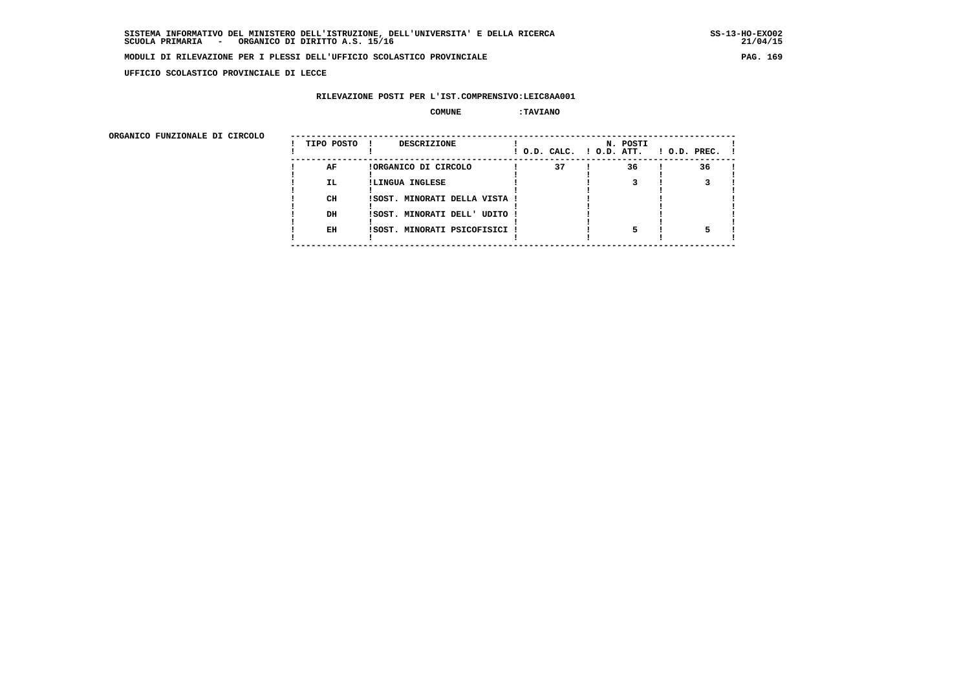**UFFICIO SCOLASTICO PROVINCIALE DI LECCE**

## **RILEVAZIONE POSTI PER L'IST.COMPRENSIVO:LEIC8AA001**

#### **COMUNE :TAVIANO**

ORGANICO FUNZIONALE DI CIRCOLO

| ORGANICO FUNZIONALE DI CIRCOLO |            |                               |    |                                      |                    |
|--------------------------------|------------|-------------------------------|----|--------------------------------------|--------------------|
|                                | TIPO POSTO | DESCRIZIONE<br>$\mathbf{I}$   |    | N. POSTI<br>! O.D. CALC. ! O.D. ATT. | $!$ 0.D. PREC. $!$ |
|                                | AF         | !ORGANICO DI CIRCOLO          | 37 | 36                                   | 36                 |
|                                | IL.        | !LINGUA INGLESE               |    |                                      |                    |
|                                |            |                               |    |                                      |                    |
|                                | CH         | !SOST. MINORATI DELLA VISTA ! |    |                                      |                    |
|                                |            |                               |    |                                      |                    |
|                                | DH         | !SOST. MINORATI DELL' UDITO ! |    |                                      |                    |
|                                | EH         | !SOST. MINORATI PSICOFISICI ! |    |                                      |                    |
|                                |            |                               |    |                                      |                    |
|                                |            |                               |    |                                      |                    |
|                                |            |                               |    |                                      |                    |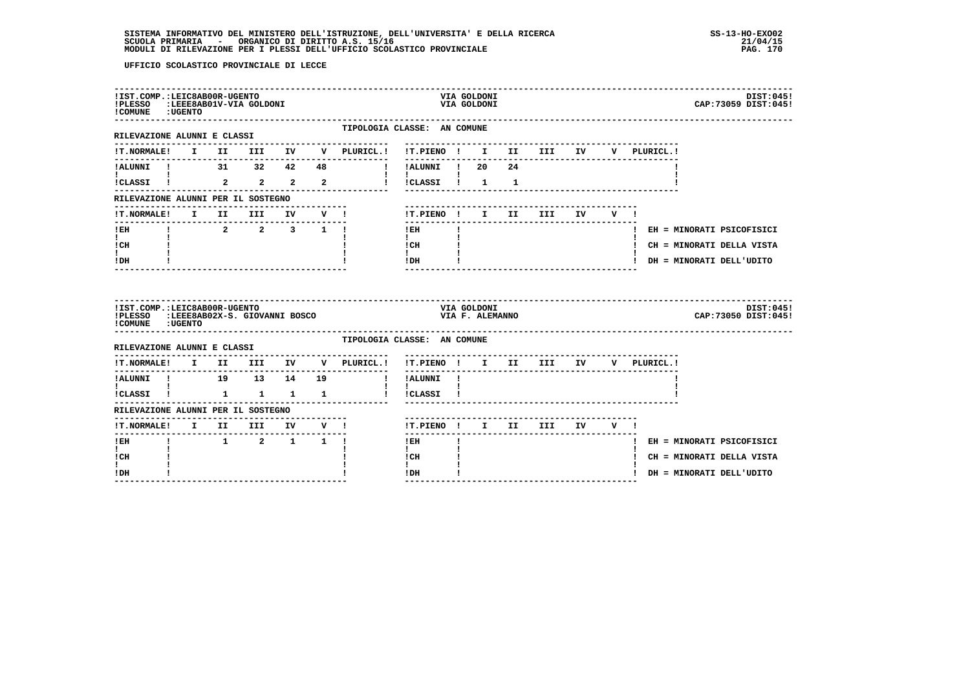| ---------------------<br>!IST.COMP.:LEIC8AB00R-UGENTO<br>!PLESSO<br>! COMUNE : UGENTO      |  | :LEEE8AB01V-VIA GOLDONI                                           |        |                                                                                        |                                      |                              | VIA GOLDONI<br>VIA GOLDONI     |    |            |    |         |              | DIST:045!<br>CAP: 73059 DIST: 045! |  |
|--------------------------------------------------------------------------------------------|--|-------------------------------------------------------------------|--------|----------------------------------------------------------------------------------------|--------------------------------------|------------------------------|--------------------------------|----|------------|----|---------|--------------|------------------------------------|--|
| -------------------<br>RILEVAZIONE ALUNNI E CLASSI                                         |  |                                                                   |        | TIPOLOGIA CLASSE: AN COMUNE                                                            |                                      |                              |                                |    |            |    |         |              |                                    |  |
|                                                                                            |  |                                                                   |        | $\verb !T.NORMALE! \quad I \quad II \quad III \quad IV \quad V \quad \verb PLURICL. !$ | !T.PIENO ! I II III IV               |                              |                                |    |            |    |         | V PLURICL.!  |                                    |  |
| !ALUNNI ! 31 32 42 48                                                                      |  |                                                                   |        |                                                                                        | !!ALUNNI!! 20                        |                              |                                | 24 |            |    |         |              |                                    |  |
| $i$ CLASSI $i$ 2 2 2 2                                                                     |  |                                                                   |        |                                                                                        | $\mathbf{I}$<br>!!CLASSI!!!!         |                              |                                |    |            |    |         |              |                                    |  |
| RILEVAZIONE ALUNNI PER IL SOSTEGNO                                                         |  |                                                                   |        |                                                                                        |                                      |                              |                                |    |            |    |         |              |                                    |  |
| !T.NORMALE!                                                                                |  | I II III                                                          | IV V ! |                                                                                        | !T.PIENO ! I II                      |                              |                                |    | <b>III</b> | IV | $V = 1$ |              |                                    |  |
| ! EH                                                                                       |  | $\begin{array}{cccccccccccccc} 1 & 2 & 2 & 3 & 1 & 1 \end{array}$ |        |                                                                                        | ! EH                                 |                              |                                |    |            |    |         |              | ! EH = MINORATI PSICOFISICI        |  |
| $\mathbf{I}$ and $\mathbf{I}$<br>! CH                                                      |  |                                                                   |        |                                                                                        | $\mathbf{I}$<br>! CH                 | $\sim 10^{-10}$ H $_{\odot}$ |                                |    |            |    |         |              | ! CH = MINORATI DELLA VISTA        |  |
| I.                                                                                         |  |                                                                   |        |                                                                                        | $\mathbf{I}$<br>! DH                 |                              |                                |    |            |    |         |              | ! DH = MINORATI DELL'UDITO         |  |
| ! DH                                                                                       |  |                                                                   |        |                                                                                        |                                      |                              |                                |    |            |    |         |              |                                    |  |
| !IST.COMP.:LEIC8AB00R-UGENTO<br>!PLESSO :LEEE8AB02X-S. GIOVANNI BOSCO<br>! COMUNE : UGENTO |  |                                                                   |        |                                                                                        |                                      |                              | VIA GOLDONI<br>VIA F. ALEMANNO |    |            |    |         |              | DIST:045!<br>CAP: 73050 DIST: 045! |  |
| RILEVAZIONE ALUNNI E CLASSI                                                                |  |                                                                   |        | TIPOLOGIA CLASSE: AN COMUNE                                                            |                                      |                              |                                |    |            |    |         |              |                                    |  |
|                                                                                            |  |                                                                   |        | !T.NORMALE! I II III IV V PLURICL.!                                                    | !T.PIENO ! I II III IV               |                              |                                |    |            |    |         | V PLURICL. ! |                                    |  |
| !ALUNNI ! 19 13 14 19                                                                      |  |                                                                   |        | . <u>.</u> .                                                                           | ! !ALUNNI !                          |                              |                                |    |            |    |         |              |                                    |  |
| <b>I</b> and the state of the state of<br>!CLASSI ! 1 1 1 1                                |  |                                                                   |        | $\mathbf{I}$                                                                           | $\mathbf{I}$<br>!CLASSI !            |                              |                                |    |            |    |         |              |                                    |  |
| RILEVAZIONE ALUNNI PER IL SOSTEGNO                                                         |  |                                                                   |        |                                                                                        |                                      |                              |                                |    |            |    |         |              |                                    |  |
| !T.NORMALE! I II III IV V !                                                                |  |                                                                   |        |                                                                                        | !T.PIENO ! I II III                  |                              |                                |    |            |    | IV V !  |              |                                    |  |
| ------<br>! EH                                                                             |  | 1 2 1 1 1                                                         |        |                                                                                        | $!$ EH                               |                              |                                |    |            |    |         |              | ! EH = MINORATI PSICOFISICI        |  |
| $\mathbf{I}$<br>! CH<br>L                                                                  |  |                                                                   |        |                                                                                        | $\mathbf{I}$<br>! CH<br>$\mathbf{I}$ |                              |                                |    |            |    |         |              | ! CH = MINORATI DELLA VISTA        |  |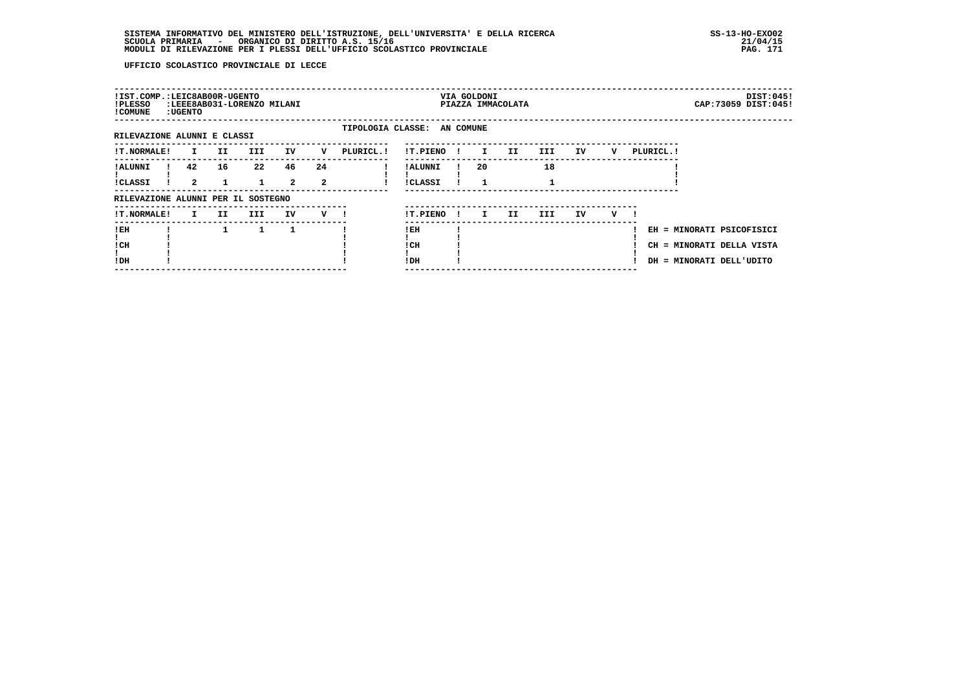| !IST.COMP.:LEIC8AB00R-UGENTO<br>!PLESSO<br>! COMUNE | : UGENTO             |     | :LEEE8AB031-LORENZO MILANI |                      |                      |                             |                            |              | VIA GOLDONI  | PIAZZA IMMACOLATA |      |     |   |            | DIST:045!<br>CAP: 73059 DIST: 045!                                                 |
|-----------------------------------------------------|----------------------|-----|----------------------------|----------------------|----------------------|-----------------------------|----------------------------|--------------|--------------|-------------------|------|-----|---|------------|------------------------------------------------------------------------------------|
| RILEVAZIONE ALUNNI E CLASSI                         |                      |     |                            |                      |                      | TIPOLOGIA CLASSE: AN COMUNE |                            |              |              |                   |      |     |   |            |                                                                                    |
| !T.NORMALE!                                         | I.                   | II. | III.                       | IV                   | v                    | PLURICL. !                  | !T.PIENO                   | $\mathbf{I}$ | $\mathbf{I}$ | IJ                | III. | IV  | v | PLURICL. ! |                                                                                    |
| ! ALUNNI<br><b>!CLASSI</b>                          | 42<br>$\overline{a}$ | 16  | 22                         | 46<br>$\overline{a}$ | 24<br>$\overline{a}$ |                             | ! ALUNNI<br><b>!CLASSI</b> |              | 20           |                   | 18   |     |   |            |                                                                                    |
| RILEVAZIONE ALUNNI PER IL SOSTEGNO                  |                      |     |                            |                      |                      |                             |                            |              |              |                   |      |     |   |            |                                                                                    |
| <b>!T.NORMALE!</b>                                  | $\mathbf{I}$         | II. | III                        | IV                   | $V$ $l$              |                             | !T.PIENO                   | $\mathbf{I}$ | I.           | II.               | III  | IV. | v |            |                                                                                    |
| !EH<br>! CH<br>!DH                                  |                      |     | 1                          | 1                    |                      |                             | ! EH<br>! CH<br>!DH        |              |              |                   |      |     |   |            | EH = MINORATI PSICOFISICI<br>CH = MINORATI DELLA VISTA<br>DH = MINORATI DELL'UDITO |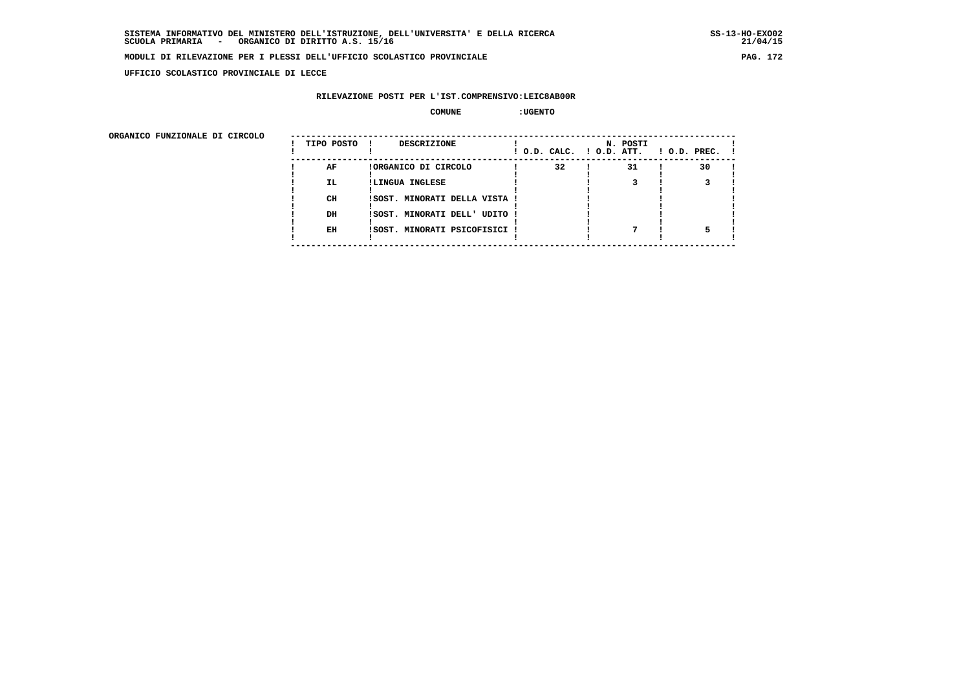**UFFICIO SCOLASTICO PROVINCIALE DI LECCE**

## **RILEVAZIONE POSTI PER L'IST.COMPRENSIVO:LEIC8AB00R**

#### **COMUNE :UGENTO**

| ORGANICO FUNZIONALE DI CIRCOLO |            |                               |                          |          |                    |
|--------------------------------|------------|-------------------------------|--------------------------|----------|--------------------|
|                                | TIPO POSTO | <b>DESCRIZIONE</b>            | ! O.D. CALC. ! O.D. ATT. | N. POSTI | $1$ O.D. PREC. $1$ |
|                                | AF         | !ORGANICO DI CIRCOLO          | 32                       | 31       | 30                 |
|                                | IL.        | !LINGUA INGLESE               |                          |          |                    |
|                                | CH         | !SOST. MINORATI DELLA VISTA ! |                          |          |                    |
|                                | DH         | !SOST. MINORATI DELL' UDITO ! |                          |          |                    |
|                                | EH         | !SOST. MINORATI PSICOFISICI ! |                          |          |                    |
|                                |            |                               |                          |          |                    |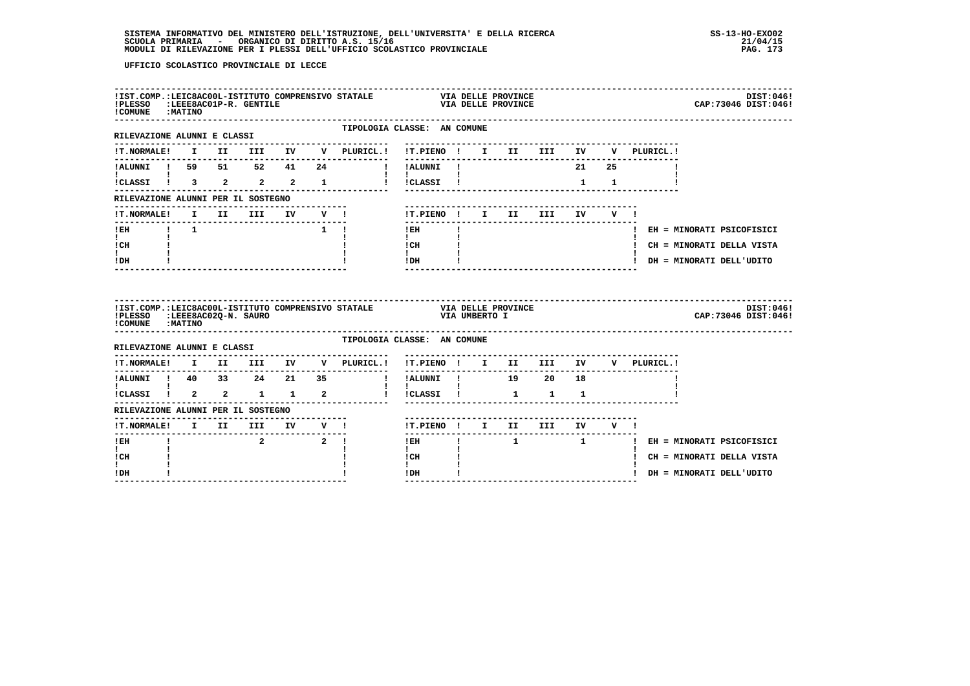| !COMUNE : MATINO                                          |  |                                 |        |                                                                        |                                                                                                                                                                                                                                                                                                                                            |              |               |                                   |             |  |  | DIST:046!<br>CAP: 73046 DIST: 046! |  |
|-----------------------------------------------------------|--|---------------------------------|--------|------------------------------------------------------------------------|--------------------------------------------------------------------------------------------------------------------------------------------------------------------------------------------------------------------------------------------------------------------------------------------------------------------------------------------|--------------|---------------|-----------------------------------|-------------|--|--|------------------------------------|--|
| RILEVAZIONE ALUNNI E CLASSI                               |  |                                 |        | TIPOLOGIA CLASSE: AN COMUNE<br>-------------------                     |                                                                                                                                                                                                                                                                                                                                            |              |               | --------------------------------- |             |  |  |                                    |  |
|                                                           |  |                                 |        | !T.NORMALE! I II III IV V PLURICL.! !T.PIENO ! I II III IV V PLURICL.! |                                                                                                                                                                                                                                                                                                                                            |              |               |                                   |             |  |  |                                    |  |
|                                                           |  |                                 |        | IALUNNI I 59 51 52 41 24   IALUNNI I                                   |                                                                                                                                                                                                                                                                                                                                            |              |               |                                   | 21 25       |  |  |                                    |  |
| $\mathbf{I}$ and $\mathbf{I}$ and $\mathbf{I}$            |  |                                 |        | $ICLASSI$ $1$ $3$ $2$ $2$ $2$ $1$ $1$ $ICLASSI$ $1$                    | $\mathbf{1}$ $\mathbf{1}$ $\mathbf{1}$                                                                                                                                                                                                                                                                                                     |              |               |                                   | $1 \quad 1$ |  |  |                                    |  |
| RILEVAZIONE ALUNNI PER IL SOSTEGNO                        |  |                                 |        |                                                                        |                                                                                                                                                                                                                                                                                                                                            |              |               |                                   |             |  |  |                                    |  |
|                                                           |  |                                 |        | !T.NORMALE! I II III IV V !                                            |                                                                                                                                                                                                                                                                                                                                            |              |               | !T.PIENO! I II III IV V!          |             |  |  |                                    |  |
| ---------------<br>!EH ! 1                                |  |                                 |        | $1 \quad 1$                                                            | $\frac{1}{2}$<br>$1$ EH $\sim$                                                                                                                                                                                                                                                                                                             | $\mathbf{I}$ |               |                                   |             |  |  | ! EH = MINORATI PSICOFISICI        |  |
| $\mathbf{I}$ and $\mathbf{I}$<br>ICH                      |  |                                 |        |                                                                        | $\mathbf{I}$ and $\mathbf{I}$<br>$\frac{1}{1}$ $\frac{1}{1}$                                                                                                                                                                                                                                                                               |              |               |                                   |             |  |  | ! CH = MINORATI DELLA VISTA        |  |
| $\mathbf{I}$<br>$!$ DH                                    |  |                                 |        |                                                                        | $!$ DH $\qquad$ $\qquad$ $\qquad$ $\qquad$ $\qquad$ $\qquad$ $\qquad$ $\qquad$ $\qquad$ $\qquad$ $\qquad$ $\qquad$ $\qquad$ $\qquad$ $\qquad$ $\qquad$ $\qquad$ $\qquad$ $\qquad$ $\qquad$ $\qquad$ $\qquad$ $\qquad$ $\qquad$ $\qquad$ $\qquad$ $\qquad$ $\qquad$ $\qquad$ $\qquad$ $\qquad$ $\qquad$ $\qquad$ $\qquad$ $\qquad$ $\qquad$ |              |               |                                   |             |  |  | ! DH = MINORATI DELL'UDITO         |  |
|                                                           |  |                                 |        |                                                                        |                                                                                                                                                                                                                                                                                                                                            |              |               |                                   |             |  |  |                                    |  |
| !PLESSO :LEEE8AC02Q-N. SAURO<br>! COMUNE : MATINO         |  |                                 |        | !IST.COMP.:LEIC8AC00L-ISTITUTO COMPRENSIVO STATALE VIA DELLE PROVINCE  |                                                                                                                                                                                                                                                                                                                                            |              | VIA UMBERTO I |                                   |             |  |  | DIST:046!<br>CAP: 73046 DIST: 046! |  |
| RILEVAZIONE ALUNNI E CLASSI                               |  |                                 |        | TIPOLOGIA CLASSE: AN COMUNE                                            |                                                                                                                                                                                                                                                                                                                                            |              |               |                                   |             |  |  |                                    |  |
|                                                           |  |                                 |        | !T.NORMALE! I II III IV V PLURICL.! !T.PIENO ! I II III IV V PLURICL.! |                                                                                                                                                                                                                                                                                                                                            |              |               |                                   |             |  |  |                                    |  |
| ----------                                                |  |                                 | ------ |                                                                        | --------------                                                                                                                                                                                                                                                                                                                             |              |               |                                   |             |  |  |                                    |  |
| $\mathbf{I}$ and $\mathbf{I}$ are all $\mathbf{I}$        |  |                                 |        |                                                                        | $\mathbf{1}$ $\mathbf{1}$<br>i iCLASSI ! 1 1 1                                                                                                                                                                                                                                                                                             |              |               |                                   |             |  |  |                                    |  |
| ICLASSI 1 2 2 1 1 2<br>RILEVAZIONE ALUNNI PER IL SOSTEGNO |  |                                 |        |                                                                        |                                                                                                                                                                                                                                                                                                                                            |              |               |                                   |             |  |  |                                    |  |
|                                                           |  | ------------------------------- |        |                                                                        |                                                                                                                                                                                                                                                                                                                                            |              |               | !T.PIENO ! I II III IV V !        |             |  |  |                                    |  |
| $!$ EH                                                    |  | 2 2 1                           |        |                                                                        | $\frac{1}{2}$<br>$!$ EH                                                                                                                                                                                                                                                                                                                    | $\mathbf{I}$ |               |                                   |             |  |  | 1 1 1 HEH = MINORATI PSICOFISICI   |  |
| $\mathbf{I}$<br>! CH<br>$\mathbf{I}$                      |  |                                 |        |                                                                        | $\mathbf{I}$<br>! CH<br>$\mathbf{I}$                                                                                                                                                                                                                                                                                                       |              |               |                                   |             |  |  | ! CH = MINORATI DELLA VISTA        |  |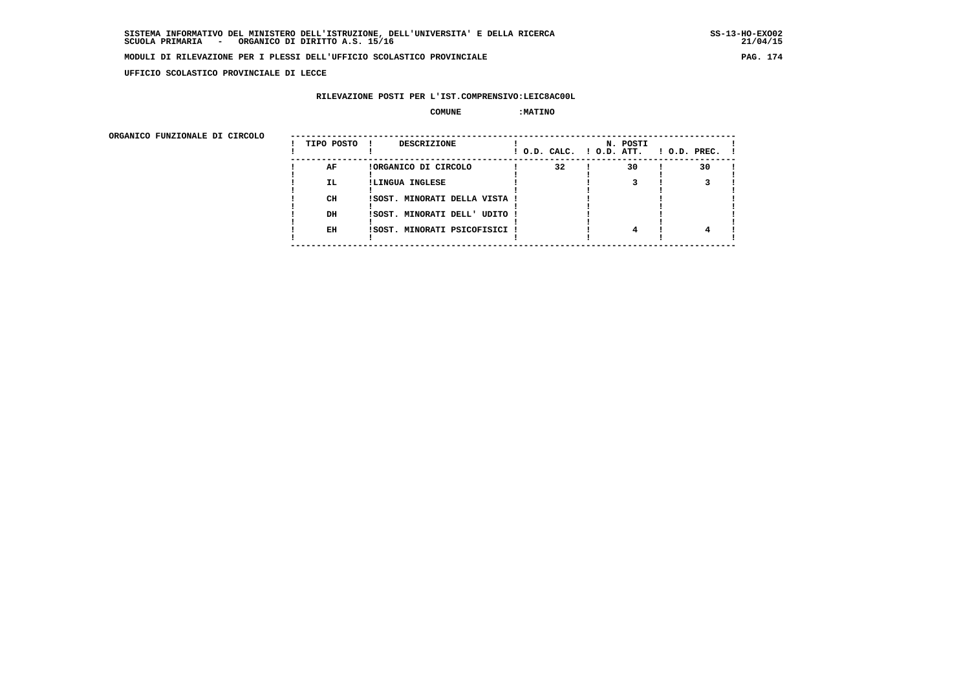**UFFICIO SCOLASTICO PROVINCIALE DI LECCE**

## **RILEVAZIONE POSTI PER L'IST.COMPRENSIVO:LEIC8AC00L**

#### **COMUNE :MATINO**

ORGANICO FUNZIONALE DI CIRCOLO

| ORGANICO FUNZIONALE DI CIRCOLO | TIPO POSTO | DESCRIZIONE                   |    | N. POSTI<br>! O.D. CALC. ! O.D. ATT. | $!$ 0.D. PREC. $!$ |
|--------------------------------|------------|-------------------------------|----|--------------------------------------|--------------------|
|                                | AF         | !ORGANICO DI CIRCOLO          | 32 | 30                                   | 30                 |
|                                | IL.        | !LINGUA INGLESE               |    |                                      |                    |
|                                |            |                               |    |                                      |                    |
|                                | CH         | !SOST. MINORATI DELLA VISTA ! |    |                                      |                    |
|                                |            |                               |    |                                      |                    |
|                                | DH         | !SOST. MINORATI DELL' UDITO ! |    |                                      |                    |
|                                | EH         | !SOST. MINORATI PSICOFISICI ! |    |                                      |                    |
|                                |            |                               |    |                                      |                    |
|                                |            |                               |    |                                      |                    |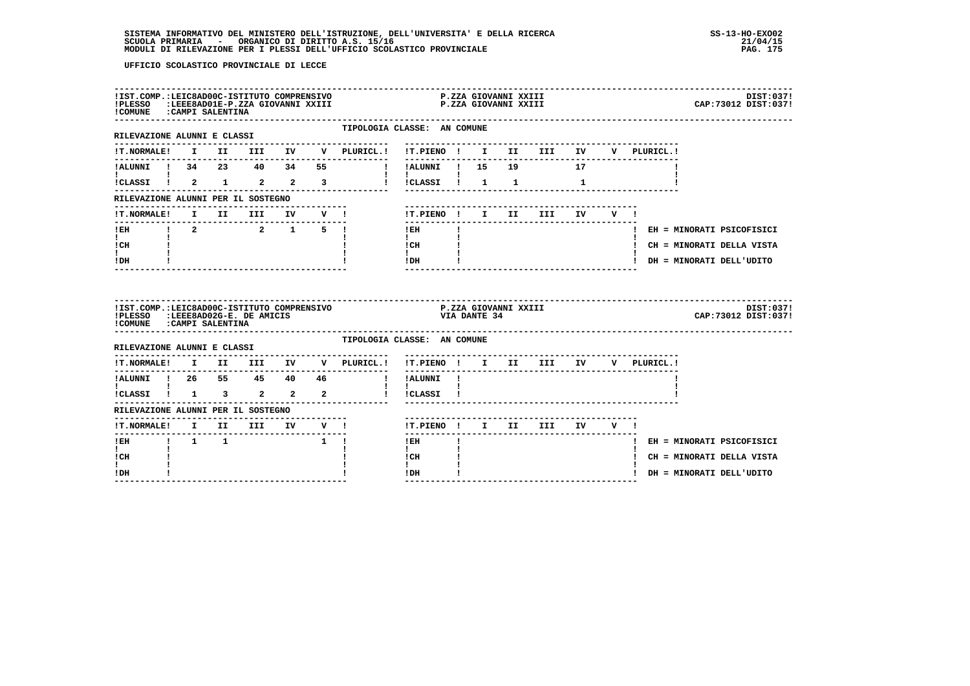| !COMUNE : CAMPI SALENTINA                                       |  |                     |                           |                                                                 |                                                                                                                                                                                                                                                                                                                                            |  |                               |       |             | CAP: 73012 DIST: 037!       | DIST:037! |
|-----------------------------------------------------------------|--|---------------------|---------------------------|-----------------------------------------------------------------|--------------------------------------------------------------------------------------------------------------------------------------------------------------------------------------------------------------------------------------------------------------------------------------------------------------------------------------------|--|-------------------------------|-------|-------------|-----------------------------|-----------|
| --------------------------------<br>RILEVAZIONE ALUNNI E CLASSI |  |                     |                           |                                                                 | TIPOLOGIA CLASSE: AN COMUNE                                                                                                                                                                                                                                                                                                                |  |                               |       |             |                             |           |
|                                                                 |  |                     |                           |                                                                 |                                                                                                                                                                                                                                                                                                                                            |  |                               |       | V PLURICL.! |                             |           |
|                                                                 |  |                     |                           | 17 ALUNNI ! 34 23 40 34 55 ! !ALUNNI ! 15 19                    |                                                                                                                                                                                                                                                                                                                                            |  |                               |       |             |                             |           |
| $\mathbf{I}$ and $\mathbf{I}$ and $\mathbf{I}$                  |  |                     |                           | icLASSI i 2 1 2 2 3 i icLASSI i 1 1 1 1                         | <b>Contract Contract Contract Contract</b>                                                                                                                                                                                                                                                                                                 |  |                               |       |             |                             |           |
| RILEVAZIONE ALUNNI PER IL SOSTEGNO                              |  |                     |                           |                                                                 |                                                                                                                                                                                                                                                                                                                                            |  |                               |       |             |                             |           |
| !T.NORMALE!                                                     |  |                     |                           |                                                                 | !T.PIENO ! I II                                                                                                                                                                                                                                                                                                                            |  | <b>III</b>                    | IV V! |             |                             |           |
| IEH 1 2 2 1 5 1                                                 |  |                     |                           |                                                                 | $1$ EH                                                                                                                                                                                                                                                                                                                                     |  |                               |       |             | ! EH = MINORATI PSICOFISICI |           |
| $\mathbf{I}$ and $\mathbf{I}$<br>ICH                            |  |                     |                           |                                                                 | $\mathbf{I}$ and $\mathbf{I}$<br>$\frac{1}{1}$ $\frac{1}{1}$ $\frac{1}{1}$                                                                                                                                                                                                                                                                 |  |                               |       |             | ! CH = MINORATI DELLA VISTA |           |
| I.<br>! DH                                                      |  |                     |                           |                                                                 | $!$ DH $\qquad$ $\qquad$ $\qquad$ $\qquad$ $\qquad$ $\qquad$ $\qquad$ $\qquad$ $\qquad$ $\qquad$ $\qquad$ $\qquad$ $\qquad$ $\qquad$ $\qquad$ $\qquad$ $\qquad$ $\qquad$ $\qquad$ $\qquad$ $\qquad$ $\qquad$ $\qquad$ $\qquad$ $\qquad$ $\qquad$ $\qquad$ $\qquad$ $\qquad$ $\qquad$ $\qquad$ $\qquad$ $\qquad$ $\qquad$ $\qquad$ $\qquad$ |  |                               |       |             | ! DH = MINORATI DELL'UDITO  |           |
|                                                                 |  |                     |                           |                                                                 |                                                                                                                                                                                                                                                                                                                                            |  |                               |       |             |                             |           |
| !PLESSO :LEEE8AD02G-E. DE AMICIS                                |  |                     |                           | ILST.COMP.:LEIC8AD00C-ISTITUTO COMPRENSIVO F.ZZA GIOVANNI XXIII | VIA DANTE 34                                                                                                                                                                                                                                                                                                                               |  |                               |       |             | CAP: 73012 DIST: 037!       | DIST:037! |
| !COMUNE : CAMPI SALENTINA<br>RILEVAZIONE ALUNNI E CLASSI        |  |                     |                           |                                                                 | TIPOLOGIA CLASSE: AN COMUNE                                                                                                                                                                                                                                                                                                                |  |                               |       |             |                             |           |
|                                                                 |  |                     |                           | !T.NORMALE! I II III IV V PLURICL.!                             | !T.PIENO ! I II III IV                                                                                                                                                                                                                                                                                                                     |  |                               |       | V PLURICL.! |                             |           |
|                                                                 |  |                     |                           |                                                                 |                                                                                                                                                                                                                                                                                                                                            |  | ----------------------------- |       |             |                             |           |
|                                                                 |  |                     |                           |                                                                 |                                                                                                                                                                                                                                                                                                                                            |  |                               |       |             |                             |           |
| RILEVAZIONE ALUNNI PER IL SOSTEGNO                              |  |                     |                           |                                                                 |                                                                                                                                                                                                                                                                                                                                            |  |                               |       |             |                             |           |
|                                                                 |  |                     |                           |                                                                 | !T.PIENO ! I II III IV V !                                                                                                                                                                                                                                                                                                                 |  |                               |       |             |                             |           |
| ! EH                                                            |  | $1 \quad 1 \quad 1$ | $\mathbf{1}$ $\mathbf{1}$ |                                                                 | ---------<br>$!$ EH                                                                                                                                                                                                                                                                                                                        |  |                               |       |             | ! EH = MINORATI PSICOFISICI |           |
| $\mathbf{I}$<br>! CH<br>I.                                      |  |                     |                           |                                                                 | $\mathbf{I}$<br>! CH<br>$\mathbf{I}$                                                                                                                                                                                                                                                                                                       |  |                               |       |             | ! CH = MINORATI DELLA VISTA |           |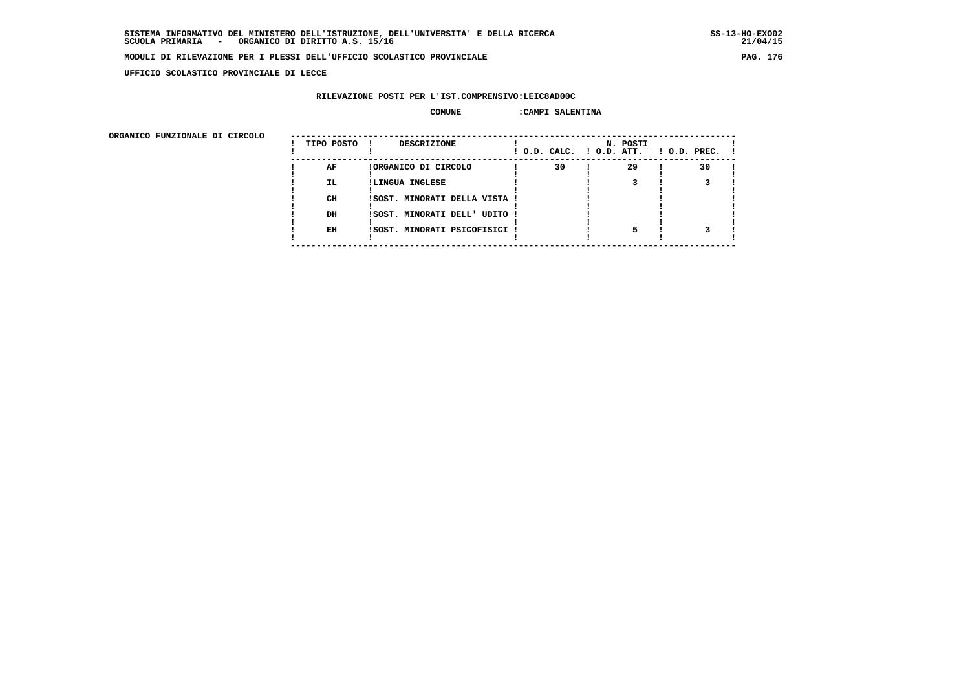**UFFICIO SCOLASTICO PROVINCIALE DI LECCE**

## **RILEVAZIONE POSTI PER L'IST.COMPRENSIVO:LEIC8AD00C**

### COMUNE : CAMPI SALENTINA

 **ORGANICO FUNZIONALE DI CIRCOLO --------------------------------------------------------------------------------------**

| URGANICO FUNZIONALE DI CIRCOLO | TIPO POSTO | DESCRIZIONE                   | ! O.D. CALC. ! O.D. ATT. | N. POSTI | $!$ $0.D.$ $PREC.$ $!$ |
|--------------------------------|------------|-------------------------------|--------------------------|----------|------------------------|
|                                | AF         | !ORGANICO DI CIRCOLO          | 30                       | 29       | 30                     |
|                                | <b>IL</b>  | !LINGUA INGLESE               |                          |          |                        |
|                                | CH         | !SOST. MINORATI DELLA VISTA ! |                          |          |                        |
|                                | DH         | !SOST. MINORATI DELL' UDITO ! |                          |          |                        |
|                                | EH         | !SOST. MINORATI PSICOFISICI ! |                          |          |                        |
|                                |            |                               |                          |          |                        |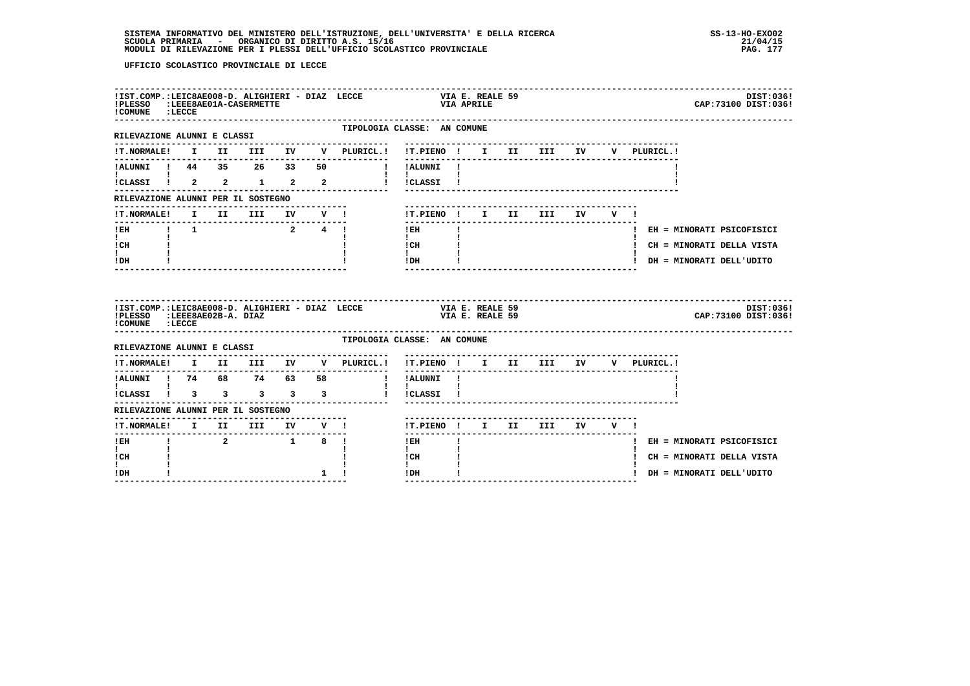| !IST.COMP.:LEIC8AE008-D. ALIGHIERI - DIAZ LECCE<br>!PLESSO :LEEE8AE01A-CASERMETTE<br>! COMUNE : LECCE |  |         |           |                                                                                                                                                                                                                                           |                                                | VIA APRILE   | VIA E. REALE 59 |                          |  |                             | DIST:036!<br>CAP: 73100 DIST: 036! |
|-------------------------------------------------------------------------------------------------------|--|---------|-----------|-------------------------------------------------------------------------------------------------------------------------------------------------------------------------------------------------------------------------------------------|------------------------------------------------|--------------|-----------------|--------------------------|--|-----------------------------|------------------------------------|
| RILEVAZIONE ALUNNI E CLASSI                                                                           |  |         |           | TIPOLOGIA CLASSE: AN COMUNE<br>---------------------                                                                                                                                                                                      |                                                |              |                 |                          |  |                             |                                    |
|                                                                                                       |  |         |           |                                                                                                                                                                                                                                           |                                                |              |                 |                          |  | V PLURICL.!                 |                                    |
| !ALUNNI ! 44 35 26 33 50                                                                              |  |         |           | ! !ALUNNI !                                                                                                                                                                                                                               |                                                |              |                 |                          |  |                             |                                    |
| <b>I</b> and the state of the state of                                                                |  |         |           | ICLASSI 1 2 2 1 2 2 1 1 1 CLASSI 1                                                                                                                                                                                                        | $\mathbf{I}$ and $\mathbf{I}$ and $\mathbf{I}$ |              |                 |                          |  |                             |                                    |
| RILEVAZIONE ALUNNI PER IL SOSTEGNO                                                                    |  |         |           |                                                                                                                                                                                                                                           |                                                |              |                 |                          |  |                             |                                    |
| <b>!T.NORMALE!</b>                                                                                    |  |         |           | I II III IV V!                                                                                                                                                                                                                            |                                                |              |                 | !T.PIENO! I II III IV V! |  |                             |                                    |
|                                                                                                       |  |         |           |                                                                                                                                                                                                                                           | $!$ EH                                         | $\mathbf{I}$ |                 |                          |  | ! EH = MINORATI PSICOFISICI |                                    |
| $\mathbf{I}$ and $\mathbf{I}$<br>! CH                                                                 |  |         |           |                                                                                                                                                                                                                                           | $\mathbf{I}$<br>! CH                           |              |                 |                          |  | ! CH = MINORATI DELLA VISTA |                                    |
| t i<br>! DH                                                                                           |  |         |           |                                                                                                                                                                                                                                           | $\mathbf{I}$<br>$!$ DH                         |              |                 |                          |  | ! DH = MINORATI DELL'UDITO  |                                    |
| !PLESSO :LEEE8AE02B-A. DIAZ<br>! COMUNE : LECCE                                                       |  |         |           | IIST.COMP.:LEIC8AE008-D. ALIGHIERI - DIAZ LECCE <b>1999 - VIA E. REALE 59</b><br>IPLESSO :LEEE8AE02B-A. DIAZ 1999 - UTA E. REALE 59                                                                                                       |                                                |              | VIA E. REALE 59 |                          |  |                             | DIST:036!<br>CAP: 73100 DIST: 036! |
| RILEVAZIONE ALUNNI E CLASSI                                                                           |  |         |           | TIPOLOGIA CLASSE: AN COMUNE                                                                                                                                                                                                               |                                                |              |                 |                          |  |                             |                                    |
| ---------                                                                                             |  |         |           | !T.NORMALE! I II III IV V PLURICL.! !T.PIENO ! I II III IV V PLURICL.!                                                                                                                                                                    |                                                |              |                 |                          |  |                             |                                    |
|                                                                                                       |  |         |           | --------------                                                                                                                                                                                                                            |                                                |              |                 |                          |  |                             |                                    |
| :<br>!CLASSI ! 3 3 3 3 3                                                                              |  |         |           |                                                                                                                                                                                                                                           | ! !CLASSI !                                    |              |                 |                          |  |                             |                                    |
| RILEVAZIONE ALUNNI PER IL SOSTEGNO                                                                    |  |         |           |                                                                                                                                                                                                                                           |                                                |              |                 |                          |  |                             |                                    |
|                                                                                                       |  |         |           | <u>KLENVALUM ANDUSTRINIST (* 12. JUNI</u><br>1988 – Andrea Brits, amerikansk politik (* 13. juni 11. december 17. december 17. december 17. december 17. december<br>1988 – Andrea Brits, amerikansk politik (* 17. december 17. december | !T.PIENO! I II III IV V!                       |              |                 |                          |  |                             |                                    |
| ! EH                                                                                                  |  | 2 1 8 1 |           |                                                                                                                                                                                                                                           | $!$ EH                                         |              |                 |                          |  | ! EH = MINORATI PSICOFISICI |                                    |
| I.<br>! CH                                                                                            |  |         |           |                                                                                                                                                                                                                                           | $\mathbf{I}$<br>! CH                           |              |                 |                          |  | ! CH = MINORATI DELLA VISTA |                                    |
| $\mathbf{I}$<br>! DH                                                                                  |  |         | $1 \quad$ |                                                                                                                                                                                                                                           | $\mathbf{I}$<br>! DH                           | $\mathbf{I}$ |                 |                          |  | ! DH = MINORATI DELL'UDITO  |                                    |
|                                                                                                       |  |         |           |                                                                                                                                                                                                                                           |                                                |              |                 |                          |  |                             |                                    |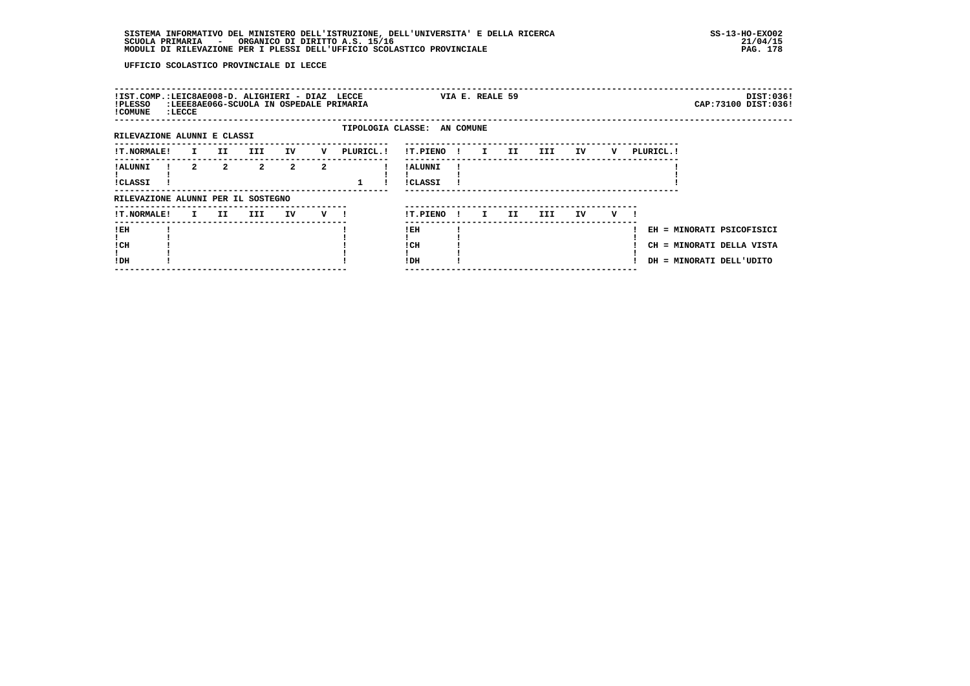|                            |                         |                     |                             |                                    |                                                 |                                                      |                        |                             |                         |        |   |           | DIST:036!<br>CAP: 73100 DIST: 036!                                                 |
|----------------------------|-------------------------|---------------------|-----------------------------|------------------------------------|-------------------------------------------------|------------------------------------------------------|------------------------|-----------------------------|-------------------------|--------|---|-----------|------------------------------------------------------------------------------------|
|                            |                         |                     |                             |                                    |                                                 |                                                      |                        |                             |                         |        |   |           |                                                                                    |
|                            | II                      | III                 | IV                          | v                                  |                                                 |                                                      |                        |                             |                         | IV     | v | PLURICL.! |                                                                                    |
|                            | $\overline{a}$          | $\overline{2}$      | $\overline{a}$              | $\overline{2}$                     |                                                 | ! ALUNNI<br><b>!CLASSI</b>                           |                        |                             |                         |        |   |           |                                                                                    |
|                            |                         |                     |                             |                                    |                                                 |                                                      |                        |                             |                         |        |   |           |                                                                                    |
|                            |                         | III                 | IV                          | v                                  |                                                 |                                                      | $\mathbf{I}$           | II.                         | III                     | IV     | v |           |                                                                                    |
|                            |                         |                     |                             |                                    |                                                 | ! EH<br>! CH<br>!DH                                  |                        |                             |                         |        |   |           |                                                                                    |
| !T.NORMALE!<br>!T.NORMALE! | : LECCE<br>$\mathbf{I}$ | $2^{\circ}$<br>I II | RILEVAZIONE ALUNNI E CLASSI | RILEVAZIONE ALUNNI PER IL SOSTEGNO | !IST.COMP.:LEIC8AE008-D. ALIGHIERI - DIAZ LECCE | :LEEE8AE06G-SCUOLA IN OSPEDALE PRIMARIA<br>PLURICL.! | !T.PIENO!<br>!T.PIENO! | TIPOLOGIA CLASSE: AN COMUNE | VIA E. REALE 59<br>I II | III DE |   |           | EH = MINORATI PSICOFISICI<br>CH = MINORATI DELLA VISTA<br>DH = MINORATI DELL'UDITO |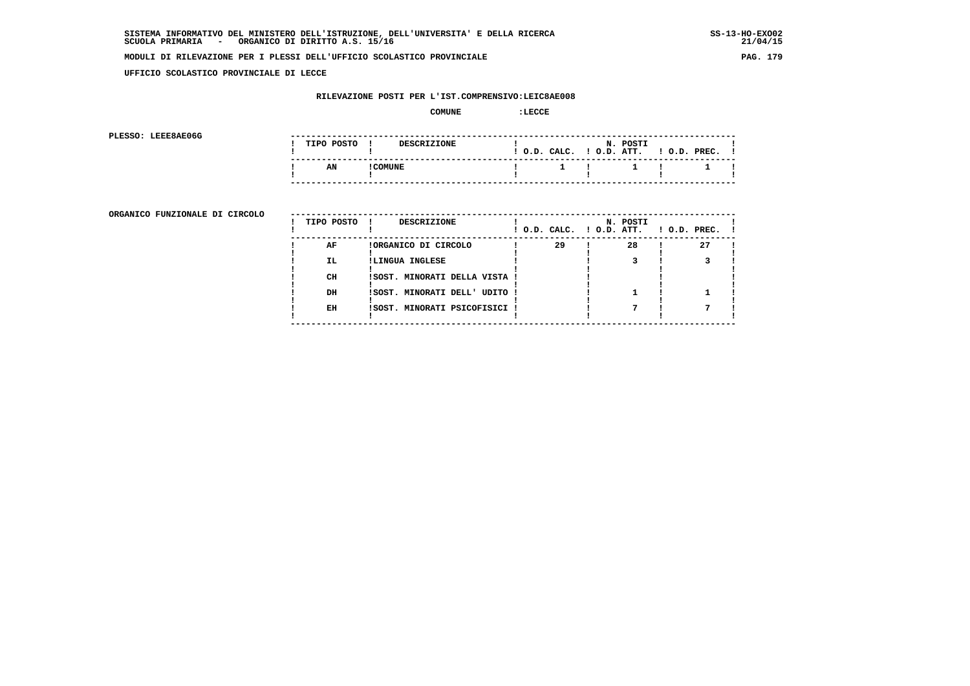$21/04/15$ 

## **MODULI DI RILEVAZIONE PER I PLESSI DELL'UFFICIO SCOLASTICO PROVINCIALE PAG. 179**

 **UFFICIO SCOLASTICO PROVINCIALE DI LECCE**

## **RILEVAZIONE POSTI PER L'IST.COMPRENSIVO:LEIC8AE008**

#### **COMUNE :LECCE**

**PLESSO: LEEE8AE06G** 

| PLESSO: LEEE8AE06G |  |            |          |                    |  |                           |                       |                    |  |
|--------------------|--|------------|----------|--------------------|--|---------------------------|-----------------------|--------------------|--|
|                    |  | TIPO POSTO |          | <b>DESCRIZIONE</b> |  | ! O.D. CALC.              | N. POSTI<br>O.D. ATT. | $!$ $0.D.$ $PREC.$ |  |
|                    |  | AN         | ! COMUNE |                    |  | $\mathbf{1}$ $\mathbf{1}$ | <u>. на стр</u>       |                    |  |
|                    |  |            |          |                    |  |                           |                       |                    |  |

**ORGANICO FUNZIONALE DI CIRCOLO** --

|     | DESCRIZIONE          |              |                                                                                                 |    |                                      |    |                |
|-----|----------------------|--------------|-------------------------------------------------------------------------------------------------|----|--------------------------------------|----|----------------|
| AF  | !ORGANICO DI CIRCOLO |              | 29                                                                                              | 28 |                                      | 27 |                |
| IL. | !LINGUA INGLESE      |              |                                                                                                 |    |                                      |    |                |
| CH  |                      |              |                                                                                                 |    |                                      |    |                |
| DH  |                      |              |                                                                                                 |    |                                      |    |                |
| EH  |                      |              |                                                                                                 |    |                                      |    |                |
|     |                      | TIPO POSTO ! | !SOST. MINORATI DELLA VISTA !<br>!SOST. MINORATI DELL' UDITO !<br>!SOST. MINORATI PSICOFISICI ! |    | N. POSTI<br>! O.D. CALC. ! O.D. ATT. |    | $1$ O.D. PREC. |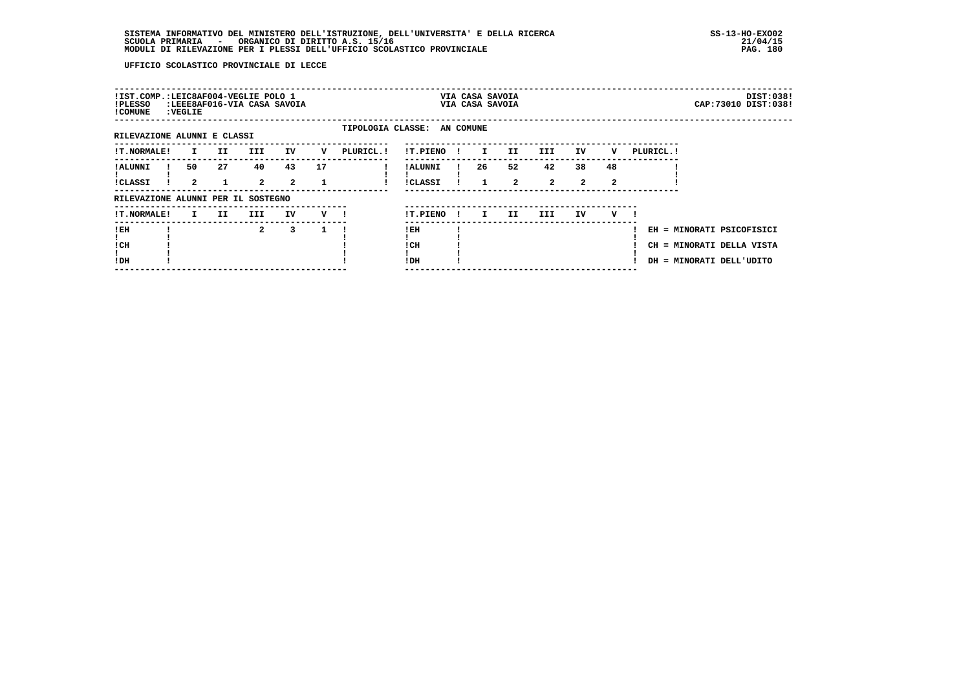| !IST.COMP.:LEIC8AF004-VEGLIE POLO 1<br>!PLESSO<br>! COMUNE | : VEGLIE           | :LEEE8AF016-VIA CASA SAVOIA |                      |                      |    |            |                     |              |              | VIA CASA SAVOIA<br>VIA CASA SAVOIA |                      |                            |                    |            |                                                                                    | DIST:038!<br>CAP: 73010 DIST: 038! |
|------------------------------------------------------------|--------------------|-----------------------------|----------------------|----------------------|----|------------|---------------------|--------------|--------------|------------------------------------|----------------------|----------------------------|--------------------|------------|------------------------------------------------------------------------------------|------------------------------------|
| TIPOLOGIA CLASSE: AN COMUNE<br>RILEVAZIONE ALUNNI E CLASSI |                    |                             |                      |                      |    |            |                     |              |              |                                    |                      |                            |                    |            |                                                                                    |                                    |
| <b>!T.NORMALE!</b>                                         | $\mathbf{I}$       | II.                         | III                  | IV                   | v  | PLURICL. ! | !T.PIENO            | $\mathbf{I}$ | $\mathbf{I}$ | II.                                | III                  | IV                         | v                  | PLURICL. ! |                                                                                    |                                    |
| ! ALUNNI<br><b>!CLASSI</b>                                 | 50<br>$\mathbf{2}$ | 27                          | 40<br>$\overline{2}$ | 43<br>$\overline{a}$ | 17 |            | ! ALUNNI<br>!CLASSI |              | 26           | 52<br>$\overline{2}$               | 42<br>$\overline{2}$ | 38<br>$\mathbf{2}^{\circ}$ | 48<br>$\mathbf{2}$ |            |                                                                                    |                                    |
| RILEVAZIONE ALUNNI PER IL SOSTEGNO                         |                    |                             |                      |                      |    |            |                     |              |              |                                    |                      |                            |                    |            |                                                                                    |                                    |
| <b>!T.NORMALE!</b>                                         | I.                 | II.                         | III                  | IV                   | v  |            | !T.PIENO            | $\mathbf{I}$ | I.           | II.                                | III.                 | IV                         | v                  |            |                                                                                    |                                    |
| !EH<br>! CH<br>!DH                                         |                    |                             | $\mathbf{2}$         | 3                    |    |            | !EH<br>! CH<br>!DH  |              |              |                                    |                      |                            |                    |            | EH = MINORATI PSICOFISICI<br>CH = MINORATI DELLA VISTA<br>DH = MINORATI DELL'UDITO |                                    |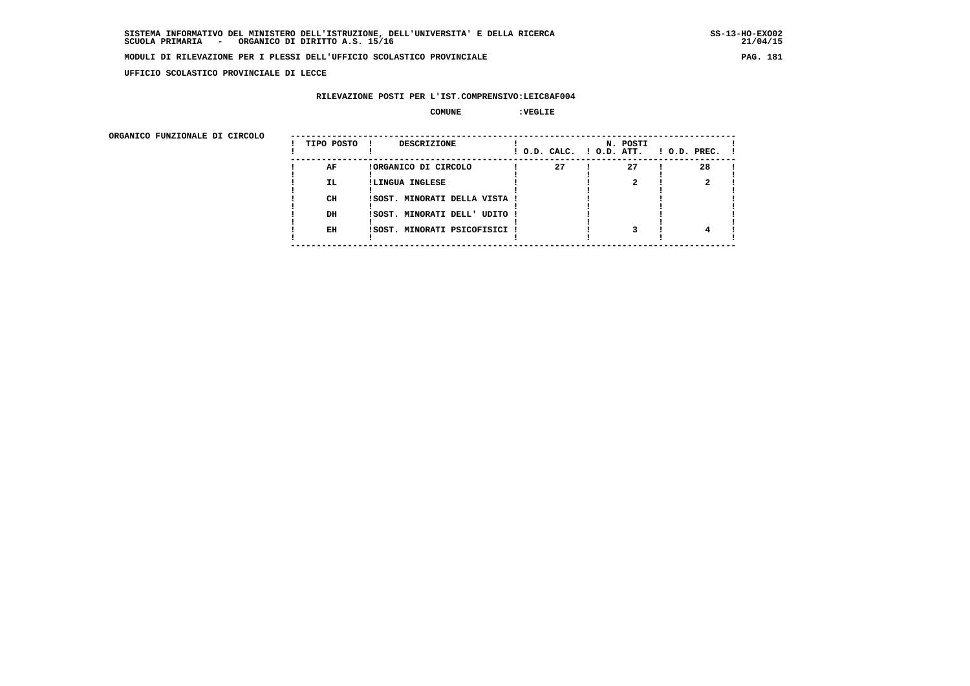**UFFICIO SCOLASTICO PROVINCIALE DI LECCE**

### **RILEVAZIONE POSTI PER L'IST.COMPRENSIVO:LEIC8AF004**

#### **COMUNE :VEGLIE**

ORGANICO FUNZIONALE DI CIRCOLO

| ORGANICO FUNZIONALE DI CIRCOLO | TIPO POSTO | DESCRIZIONE                   | ! O.D. CALC. ! O.D. ATT. | N. POSTI | $1$ O.D. PREC. $1$ |  |
|--------------------------------|------------|-------------------------------|--------------------------|----------|--------------------|--|
|                                | AF         | !ORGANICO DI CIRCOLO          | 27                       | 27       | 28                 |  |
|                                | IL.        | !LINGUA INGLESE               |                          |          |                    |  |
|                                | CH         | !SOST. MINORATI DELLA VISTA ! |                          |          |                    |  |
|                                |            |                               |                          |          |                    |  |
|                                | DH         | !SOST. MINORATI DELL' UDITO ! |                          |          |                    |  |
|                                | EH         | !SOST. MINORATI PSICOFISICI ! |                          |          |                    |  |
|                                |            |                               |                          |          |                    |  |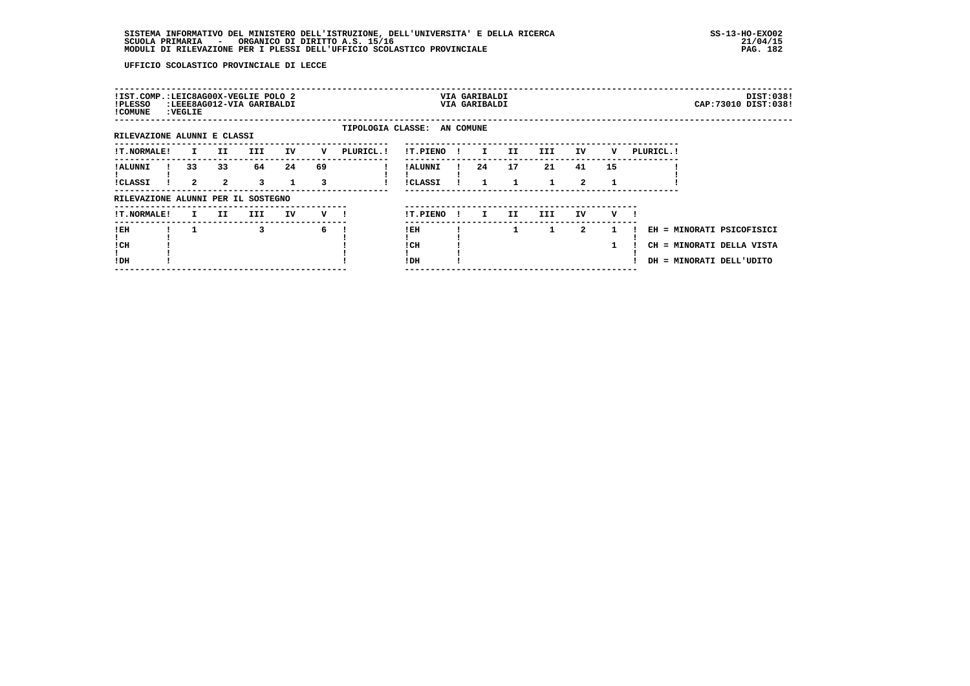| !IST.COMP.:LEIC8AG00X-VEGLIE POLO 2<br>!PLESSO<br>! COMUNE | : VEGLIE |                    | :LEEE8AG012-VIA GARIBALDI |    |         |                             |                            |              | VIA GARIBALDI<br>VIA GARIBALDI |     |              |                            |    |            | DIST:038!<br>CAP: 73010 DIST: 038!                                                 |
|------------------------------------------------------------|----------|--------------------|---------------------------|----|---------|-----------------------------|----------------------------|--------------|--------------------------------|-----|--------------|----------------------------|----|------------|------------------------------------------------------------------------------------|
| RILEVAZIONE ALUNNI E CLASSI                                |          |                    |                           |    |         | TIPOLOGIA CLASSE: AN COMUNE |                            |              |                                |     |              |                            |    |            |                                                                                    |
| <b>!T.NORMALE!</b>                                         | I.       | II.                | III.                      | IV | v       | PLURICL. !                  | !T.PIENO                   |              | I.                             | II. | III          | IV                         | v  | PLURICL. ! |                                                                                    |
| ! ALUNNI<br><b>!CLASSI</b>                                 | 33<br>2  | 33<br>$\mathbf{2}$ | 64<br>3                   | 24 | 69<br>3 |                             | ! ALUNNI<br><b>!CLASSI</b> |              | 24                             | 17  | 21           | 41<br>$\mathbf{2}^{\circ}$ | 15 |            |                                                                                    |
| RILEVAZIONE ALUNNI PER IL SOSTEGNO                         |          |                    |                           |    |         |                             |                            |              |                                |     |              |                            |    |            |                                                                                    |
| <b>!T.NORMALE!</b>                                         | I.       | II.                | III.                      | IV | v       |                             | !T.PIENO                   | $\mathbf{I}$ | I.                             | II. | III.         | IV                         | v  |            |                                                                                    |
| !EH<br>! CH<br>!DH                                         |          |                    | 3                         |    | 6       |                             | !EH<br>! CH<br>!DH         |              |                                | 1   | $\mathbf{1}$ | 2                          | 1  |            | EH = MINORATI PSICOFISICI<br>CH = MINORATI DELLA VISTA<br>DH = MINORATI DELL'UDITO |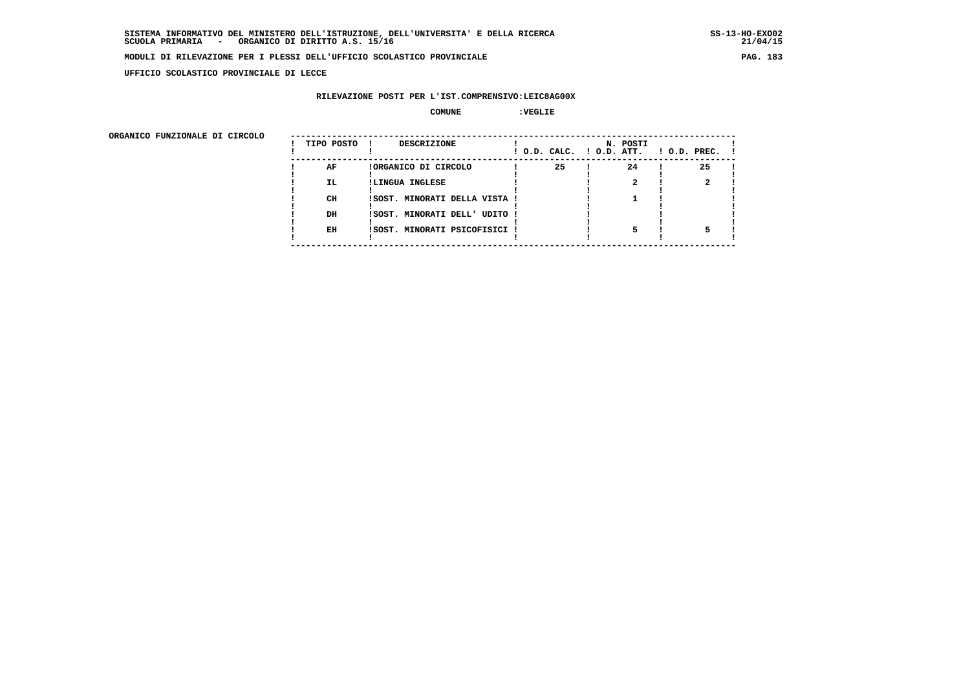**UFFICIO SCOLASTICO PROVINCIALE DI LECCE**

### **RILEVAZIONE POSTI PER L'IST.COMPRENSIVO:LEIC8AG00X**

#### **COMUNE :VEGLIE**

ORGANICO FUNZIONALE DI CIRCOLO

| ORGANICO FUNZIONALE DI CIRCOLO |            |                               |    |                                      |                    |
|--------------------------------|------------|-------------------------------|----|--------------------------------------|--------------------|
|                                | TIPO POSTO | DESCRIZIONE                   |    | N. POSTI<br>! O.D. CALC. ! O.D. ATT. | $!$ 0.D. PREC. $!$ |
|                                | AF         | !ORGANICO DI CIRCOLO          | 25 | 24                                   | 25                 |
|                                | IL.        | !LINGUA INGLESE               |    |                                      |                    |
|                                |            |                               |    |                                      |                    |
|                                | CH         | !SOST. MINORATI DELLA VISTA ! |    |                                      |                    |
|                                |            |                               |    |                                      |                    |
|                                | DH         | !SOST. MINORATI DELL' UDITO ! |    |                                      |                    |
|                                | EH         | !SOST. MINORATI PSICOFISICI ! |    |                                      |                    |
|                                |            |                               |    |                                      |                    |
|                                |            |                               |    |                                      |                    |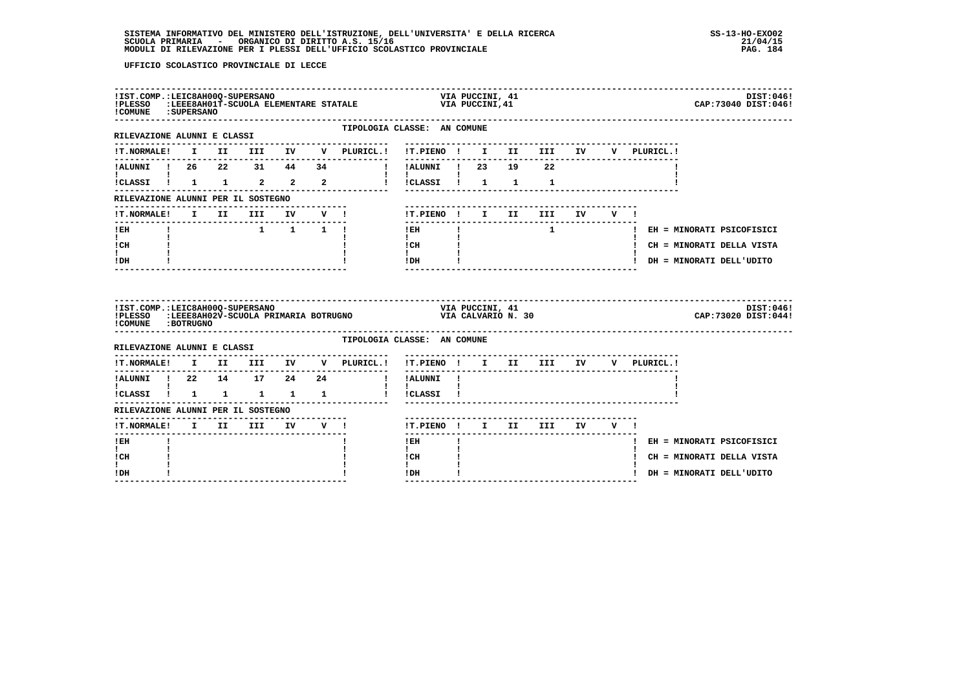| ! COMUNE : SUPERSANO                                  |  |          |  | IIST.COMP.:LEIC8AH00Q-SUPERSANO<br>IPLESSO :LEEE8AH01Q-SUPERSANO<br>ICOMPNE :GUINETANALE STATALE VIA PUCCINI,41 |                                      |                 |                    |                                   |       |             | DIST:046!<br>CAP: 73040 DIST: 046! |  |
|-------------------------------------------------------|--|----------|--|-----------------------------------------------------------------------------------------------------------------|--------------------------------------|-----------------|--------------------|-----------------------------------|-------|-------------|------------------------------------|--|
| ----------------------<br>RILEVAZIONE ALUNNI E CLASSI |  |          |  | TIPOLOGIA CLASSE: AN COMUNE                                                                                     |                                      |                 |                    |                                   |       |             |                                    |  |
| <b>!T.NORMALE!</b>                                    |  |          |  | I II III IV V PLURICL.! !T.PIENO ! I II III IV                                                                  |                                      |                 |                    |                                   |       | V PLURICL.! |                                    |  |
|                                                       |  |          |  | 1.ALUNNI ! 26 22 31 44 34        ! I.ALUNNI ! 23 19 22                                                          | ----------                           |                 |                    |                                   |       |             |                                    |  |
|                                                       |  |          |  | ICLASSI ! 1 1 2 2 2 2 ! ICLASSI ! 1 1                                                                           | $\mathbf{I}$                         |                 |                    | $\mathbf{1}$                      |       |             |                                    |  |
| RILEVAZIONE ALUNNI PER IL SOSTEGNO                    |  |          |  |                                                                                                                 |                                      |                 |                    |                                   |       |             |                                    |  |
| !T.NORMALE!                                           |  | I II III |  | IV V !                                                                                                          | !T.PIENO ! I II                      |                 |                    | <b>III</b>                        | IV V! |             |                                    |  |
| $!$ EH                                                |  |          |  | $1 \quad 1 \quad 1 \quad 1$                                                                                     | $1$ EH $\qquad$ $1$                  |                 |                    |                                   |       |             | 1 CH = MINORATI PSICOFISICI        |  |
| $\mathbf{I}$ and $\mathbf{I}$<br>! CH                 |  |          |  |                                                                                                                 | $\mathbf{I}$<br>l CH                 |                 |                    |                                   |       |             | ! CH = MINORATI DELLA VISTA        |  |
| $\mathbf{I}$                                          |  |          |  |                                                                                                                 | $\mathbf{I}$<br>$!$ DH               |                 |                    |                                   |       |             | ! DH = MINORATI DELL'UDITO         |  |
| ! DH                                                  |  |          |  | -------------------------------                                                                                 |                                      |                 |                    | ----------------------            |       |             |                                    |  |
| !IST.COMP.: LEIC8AH00Q-SUPERSANO<br>!PLESSO           |  |          |  | <b>?.:LEIC8AH00Q-SUPERSANO<br/>:LEEE8AH02V-SCUOLA PRIMARIA BOTRUGNO</b>                                         |                                      | VIA PUCCINI, 41 | VIA CALVARIO N. 30 |                                   |       |             | DIST:046!<br>CAP: 73020 DIST: 044! |  |
| ! COMUNE : BOTRUGNO                                   |  |          |  | TIPOLOGIA CLASSE: AN COMUNE                                                                                     |                                      |                 |                    |                                   |       |             |                                    |  |
|                                                       |  |          |  |                                                                                                                 | !T.PIENO ! I II III IV               |                 |                    |                                   |       | V PLURICL.! |                                    |  |
| !ALUNNI ! 22 14 17 24 24                              |  |          |  | !T.NORMALE! I II III IV V PLURICL.!<br>and the property of the property                                         | ----------<br>!ALUNNI !              |                 |                    | --------------------------------- |       |             |                                    |  |
| $\mathbf{I}$ and $\mathbf{I}$<br>!CLASSI ! 1 1 1 1 1  |  |          |  | $\mathbf{I}$                                                                                                    | $\mathbf{I}$<br>!CLASSI !            |                 |                    |                                   |       |             |                                    |  |
| RILEVAZIONE ALUNNI PER IL SOSTEGNO                    |  |          |  |                                                                                                                 |                                      |                 |                    |                                   |       |             |                                    |  |
| !T.NORMALE! I II III IV V !                           |  |          |  |                                                                                                                 | !T.PIENO ! I II III IV V !           |                 |                    |                                   |       |             |                                    |  |
| ---------------<br>!EH                                |  |          |  |                                                                                                                 | --------------<br>! EH               |                 |                    | -------------------------         |       |             | ! EH = MINORATI PSICOFISICI        |  |
| $\mathbf{I}$<br>! CH<br>ı.                            |  |          |  |                                                                                                                 | $\mathbf{I}$<br>! CH<br>$\mathbf{I}$ |                 |                    |                                   |       |             | ! CH = MINORATI DELLA VISTA        |  |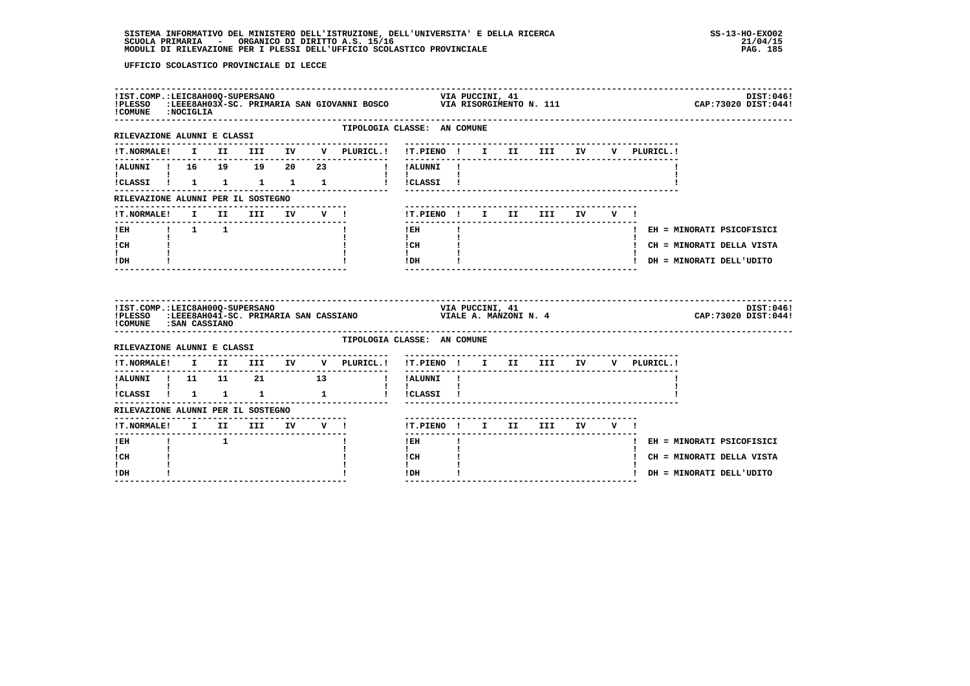| !COMUNE : NOCIGLIA                                                |  |  |  | !IST.COMP.:LEIC8AH00Q-SUPERSANO<br>!PLESSO :LEEE8AH03X-SC.PRIMARIA SAN GIOVANNI BOSCO VIA RISORGIMENTO N. 111 0 11 CAP:73020 DIST:044! |                                                                                                                                                                                                                                                                                                                                                                             |              |  |                           |    |             |  |                             |           |
|-------------------------------------------------------------------|--|--|--|----------------------------------------------------------------------------------------------------------------------------------------|-----------------------------------------------------------------------------------------------------------------------------------------------------------------------------------------------------------------------------------------------------------------------------------------------------------------------------------------------------------------------------|--------------|--|---------------------------|----|-------------|--|-----------------------------|-----------|
| -----------------------<br>RILEVAZIONE ALUNNI E CLASSI            |  |  |  |                                                                                                                                        | TIPOLOGIA CLASSE: AN COMUNE                                                                                                                                                                                                                                                                                                                                                 |              |  |                           |    |             |  |                             |           |
|                                                                   |  |  |  |                                                                                                                                        |                                                                                                                                                                                                                                                                                                                                                                             |              |  |                           |    | V PLURICL.! |  |                             |           |
|                                                                   |  |  |  |                                                                                                                                        |                                                                                                                                                                                                                                                                                                                                                                             |              |  |                           |    |             |  |                             |           |
|                                                                   |  |  |  | ICLASSI ! 1 1 1 1 1 1 ! ICLASSI !                                                                                                      | $\mathbf{I}$ and $\mathbf{I}$                                                                                                                                                                                                                                                                                                                                               |              |  |                           |    |             |  |                             |           |
| RILEVAZIONE ALUNNI PER IL SOSTEGNO                                |  |  |  |                                                                                                                                        |                                                                                                                                                                                                                                                                                                                                                                             |              |  |                           |    |             |  |                             |           |
|                                                                   |  |  |  | !T.NORMALE! I II III IV V !                                                                                                            | !T.PIENO ! I II III IV                                                                                                                                                                                                                                                                                                                                                      |              |  |                           | VI |             |  |                             |           |
|                                                                   |  |  |  |                                                                                                                                        | $!$ EH                                                                                                                                                                                                                                                                                                                                                                      | $\mathbf{I}$ |  |                           |    |             |  | ! EH = MINORATI PSICOFISICI |           |
| $\mathbf{I}$ and $\mathbf{I}$<br>! CH                             |  |  |  |                                                                                                                                        | $\mathbf{I}$<br>$\mathbf{C}$ $\mathbf{H}$ $\mathbf{I}$                                                                                                                                                                                                                                                                                                                      |              |  |                           |    |             |  | ! CH = MINORATI DELLA VISTA |           |
| I.                                                                |  |  |  |                                                                                                                                        | $\mathbf{I}$ and $\mathbf{I}$<br>$!$ DH $\qquad$ $\qquad$ $\qquad$ $\qquad$ $\qquad$ $\qquad$ $\qquad$ $\qquad$ $\qquad$ $\qquad$ $\qquad$ $\qquad$ $\qquad$ $\qquad$ $\qquad$ $\qquad$ $\qquad$ $\qquad$ $\qquad$ $\qquad$ $\qquad$ $\qquad$ $\qquad$ $\qquad$ $\qquad$ $\qquad$ $\qquad$ $\qquad$ $\qquad$ $\qquad$ $\qquad$ $\qquad$ $\qquad$ $\qquad$ $\qquad$ $\qquad$ |              |  |                           |    |             |  | ! DH = MINORATI DELL'UDITO  |           |
| ! DH                                                              |  |  |  |                                                                                                                                        |                                                                                                                                                                                                                                                                                                                                                                             |              |  |                           |    |             |  |                             |           |
|                                                                   |  |  |  | IIST.COMP.:LEIC8AH00Q-SUPERSANO<br>IPLESSO :LEEE8AH041-SC.PRIMARIA SAN CASSIANO                             VIALE A.MANZONI N.4        |                                                                                                                                                                                                                                                                                                                                                                             |              |  |                           |    |             |  | CAP: 73020 DIST: 044!       | DIST:046! |
| !COMUNE : SAN CASSIANO                                            |  |  |  |                                                                                                                                        | TIPOLOGIA CLASSE: AN COMUNE                                                                                                                                                                                                                                                                                                                                                 |              |  |                           |    |             |  |                             |           |
|                                                                   |  |  |  | !T.NORMALE! I II III IV V PLURICL.! !T.PIENO ! I II III IV V PLURICL.!                                                                 |                                                                                                                                                                                                                                                                                                                                                                             |              |  |                           |    |             |  |                             |           |
|                                                                   |  |  |  | ---------------------------                                                                                                            | --------                                                                                                                                                                                                                                                                                                                                                                    |              |  |                           |    |             |  |                             |           |
|                                                                   |  |  |  | 1 ALUNNI ! 11 11 21 13 ! !ALUNNI ! !                                                                                                   |                                                                                                                                                                                                                                                                                                                                                                             |              |  |                           |    |             |  |                             |           |
|                                                                   |  |  |  | iCLASSI i 1 1 1 1 i iCLASSI i                                                                                                          |                                                                                                                                                                                                                                                                                                                                                                             |              |  |                           |    |             |  |                             |           |
| RILEVAZIONE ALUNNI PER IL SOSTEGNO<br>!T.NORMALE! I II III IV V ! |  |  |  |                                                                                                                                        | !T.PIENO ! I II III IV V !                                                                                                                                                                                                                                                                                                                                                  |              |  |                           |    |             |  |                             |           |
| -------<br>! EH                                                   |  |  |  |                                                                                                                                        | ---------------<br>$!$ EH                                                                                                                                                                                                                                                                                                                                                   |              |  | ------------------------- |    |             |  | ! EH = MINORATI PSICOFISICI |           |
| $\mathbf{I}$<br>! CH<br>$\mathbf{I}$                              |  |  |  |                                                                                                                                        | $\mathbf{I}$<br>! CH<br>$\mathbf{I}$                                                                                                                                                                                                                                                                                                                                        |              |  |                           |    |             |  | ! CH = MINORATI DELLA VISTA |           |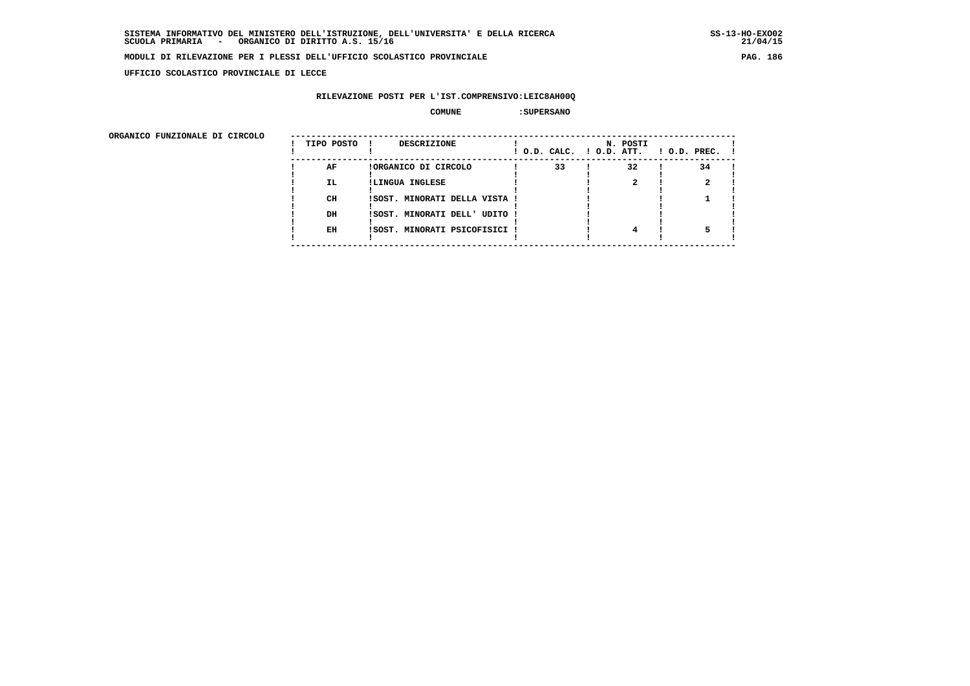**UFFICIO SCOLASTICO PROVINCIALE DI LECCE**

## **RILEVAZIONE POSTI PER L'IST.COMPRENSIVO:LEIC8AH00Q**

#### **COMUNE :SUPERSANO**

| ORGANICO FUNZIONALE DI CIRCOLO |            |                               |                          |          |                    |
|--------------------------------|------------|-------------------------------|--------------------------|----------|--------------------|
|                                | TIPO POSTO | <b>DESCRIZIONE</b>            | ! O.D. CALC. ! O.D. ATT. | N. POSTI | $1$ O.D. PREC. $1$ |
|                                | AF         | !ORGANICO DI CIRCOLO          | 33                       | 32       | 34                 |
|                                | IL.        | !LINGUA INGLESE               |                          |          |                    |
|                                | CH         | !SOST. MINORATI DELLA VISTA ! |                          |          |                    |
|                                | DH         | !SOST. MINORATI DELL' UDITO ! |                          |          |                    |
|                                | EH         | !SOST. MINORATI PSICOFISICI ! |                          |          |                    |
|                                |            |                               |                          |          |                    |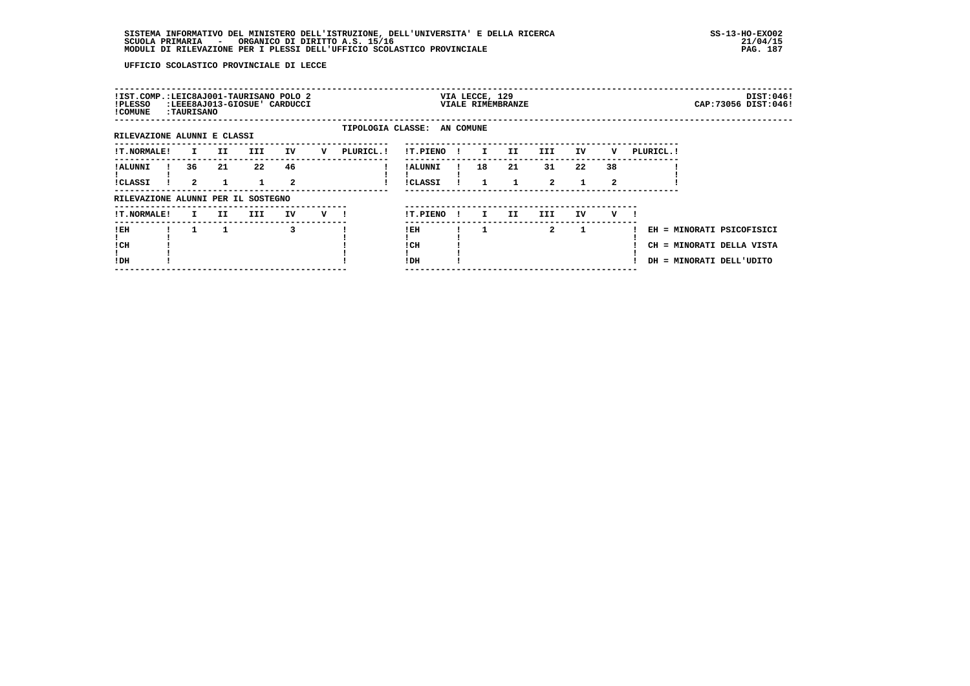| !IST.COMP.:LEIC8AJ001-TAURISANO POLO 2<br>!PLESSO<br>! COMUNE | :TAURISANO |     |      | :LEEE8AJ013-GIOSUE' CARDUCCI: |   |                             |                            |              | VIA LECCE, 129 | VIALE RIMEMBRANZE |                      |              |         |            | DIST:046!<br>CAP: 73056 DIST: 046!                                                 |
|---------------------------------------------------------------|------------|-----|------|-------------------------------|---|-----------------------------|----------------------------|--------------|----------------|-------------------|----------------------|--------------|---------|------------|------------------------------------------------------------------------------------|
| RILEVAZIONE ALUNNI E CLASSI                                   |            |     |      |                               |   | TIPOLOGIA CLASSE: AN COMUNE |                            |              |                |                   |                      |              |         |            |                                                                                    |
| <b>!T.NORMALE!</b>                                            | I.         | II. | III. | IV                            | v | PLURICL.!                   | !T.PIENO                   |              | $\mathbf{I}$   | II.               | III.                 | IV           | v       | PLURICL. ! |                                                                                    |
| ! ALUNNI<br><b>!CLASSI</b>                                    | 36<br>2    | 21  | 22   | 46<br>2                       |   |                             | ! ALUNNI<br><b>!CLASSI</b> |              | 18             | 21<br>1           | 31<br>$\overline{a}$ | 22           | 38<br>2 |            |                                                                                    |
| RILEVAZIONE ALUNNI PER IL SOSTEGNO                            |            |     |      |                               |   |                             |                            |              |                |                   |                      |              |         |            |                                                                                    |
| !T.NORMALE!                                                   | I.         | II. | III. | IV                            | v |                             | !T.PIENO                   | $\mathbf{I}$ | I.             | II.               | III.                 | IV           | v       |            |                                                                                    |
| !EH<br>! CH<br>!DH                                            |            |     |      | 3                             |   |                             | ! EH<br>! CH<br>!DH        |              |                |                   | $\mathbf{2}$         | $\mathbf{1}$ |         |            | EH = MINORATI PSICOFISICI<br>CH = MINORATI DELLA VISTA<br>DH = MINORATI DELL'UDITO |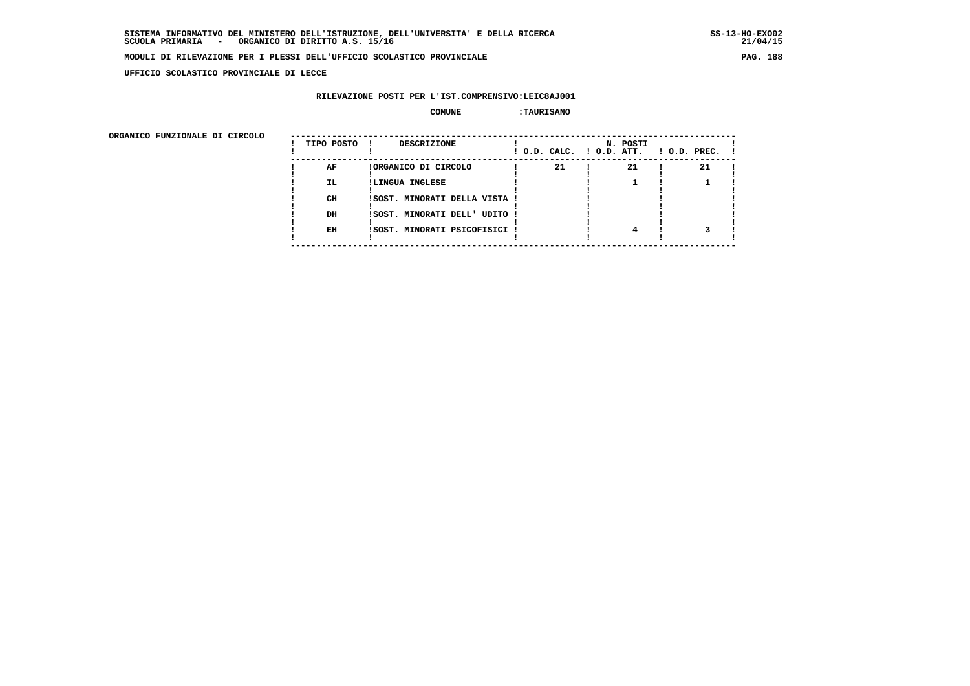**UFFICIO SCOLASTICO PROVINCIALE DI LECCE**

### **RILEVAZIONE POSTI PER L'IST.COMPRENSIVO:LEIC8AJ001**

#### **COMUNE :TAURISANO**

| ORGANICO FUNZIONALE DI CIRCOLO |            |                               |                          |          |              |
|--------------------------------|------------|-------------------------------|--------------------------|----------|--------------|
|                                | TIPO POSTO | <b>DESCRIZIONE</b>            | ! O.D. CALC. ! O.D. ATT. | N. POSTI | ! O.D. PREC. |
|                                | AF         | !ORGANICO DI CIRCOLO          | 21                       | 21       | 21           |
|                                | IL.        | !LINGUA INGLESE               |                          |          |              |
|                                | CH         | !SOST. MINORATI DELLA VISTA ! |                          |          |              |
|                                | DH         | ISOST. MINORATI DELL' UDITO ! |                          |          |              |
|                                | EH         | ISOST. MINORATI PSICOFISICI ! |                          |          |              |
|                                |            |                               |                          |          |              |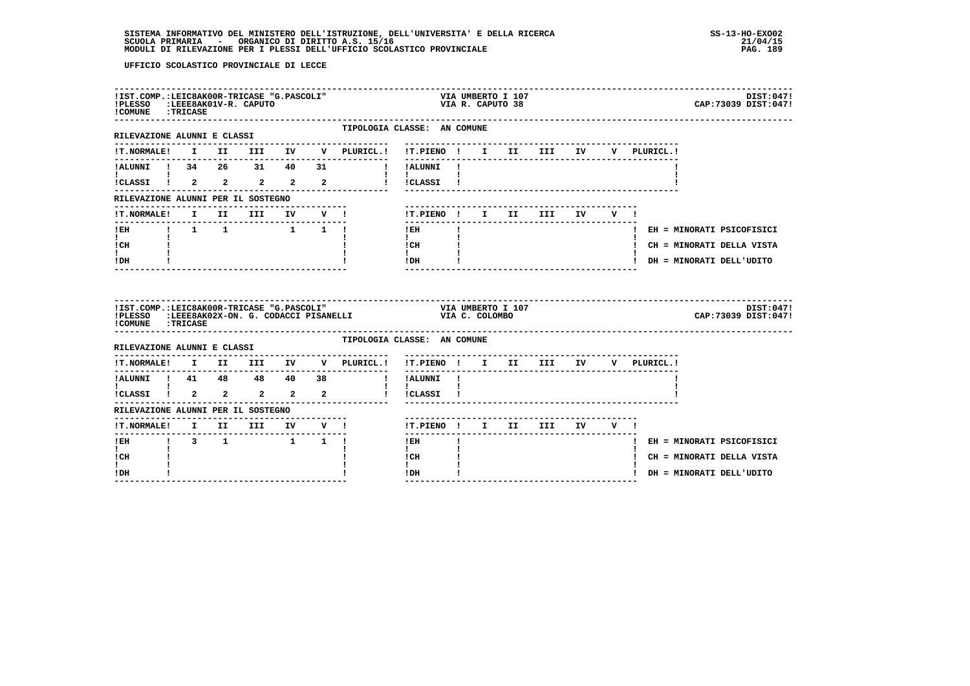| !IST.COMP.:LEIC8AK00R-TRICASE "G.PASCOLI"<br>!PLESSO :LEEE8AK01V-R. CAPUTO<br>!COMUNE : TRICASE |  |                                                                   |  |                           |                                                                                                                                                 | VIA UMBERTO I 107<br>VIA R. CAPUTO 38 |  |  |             |                             | DIST:047!<br>CAP: 73039 DIST: 047! |
|-------------------------------------------------------------------------------------------------|--|-------------------------------------------------------------------|--|---------------------------|-------------------------------------------------------------------------------------------------------------------------------------------------|---------------------------------------|--|--|-------------|-----------------------------|------------------------------------|
| RILEVAZIONE ALUNNI E CLASSI                                                                     |  |                                                                   |  | . _ _ _ _ _ _ _ _ _ _ _ _ | TIPOLOGIA CLASSE: AN COMUNE                                                                                                                     |                                       |  |  |             |                             |                                    |
|                                                                                                 |  |                                                                   |  |                           | IT.NORMALE! I II III IV V PLURICL.! IT.PIENO ! I II III IV                                                                                      |                                       |  |  | V PLURICL.! |                             |                                    |
|                                                                                                 |  |                                                                   |  |                           |                                                                                                                                                 |                                       |  |  |             |                             |                                    |
| 1<br>1 CLASSI 1 2 2 2 2 2                                                                       |  |                                                                   |  |                           | $\mathbf{I}$ $\mathbf{I}$ $\mathbf{I}$<br>! !CLASSI !                                                                                           |                                       |  |  |             |                             |                                    |
| RILEVAZIONE ALUNNI PER IL SOSTEGNO                                                              |  |                                                                   |  |                           |                                                                                                                                                 |                                       |  |  |             |                             |                                    |
| !T.NORMALE!                                                                                     |  | I II III IV V !                                                   |  |                           | !T.PIENO! I II III IV V !                                                                                                                       |                                       |  |  |             |                             |                                    |
|                                                                                                 |  |                                                                   |  |                           | ---------------<br>$!$ EH                                                                                                                       |                                       |  |  |             | ! EH = MINORATI PSICOFISICI |                                    |
| $\mathbf{I}$ and $\mathbf{I}$<br>ICH                                                            |  |                                                                   |  |                           | $\mathbf{I}$ and $\mathbf{I}$<br>$\frac{1}{1}$ $\frac{1}{1}$                                                                                    |                                       |  |  |             | ! CH = MINORATI DELLA VISTA |                                    |
| $\mathbf{I}$<br>$!$ DH                                                                          |  |                                                                   |  |                           | $!$ DH $\overline{ }$                                                                                                                           |                                       |  |  |             | ! DH = MINORATI DELL'UDITO  |                                    |
|                                                                                                 |  |                                                                   |  |                           |                                                                                                                                                 |                                       |  |  |             |                             |                                    |
| !COMUNE : TRICASE                                                                               |  |                                                                   |  |                           | !IST.COMP.:LEIC8AK00R-TRICASE "G.PASCOLI"           VIA UMBERTO I 107<br>!PLESSO   :LEEE8AK02X-ON. G. CODACCI PISANELLI          VIA C. COLOMBO |                                       |  |  |             |                             | DIST:047!<br>CAP: 73039 DIST: 047! |
| RILEVAZIONE ALUNNI E CLASSI                                                                     |  |                                                                   |  |                           | TIPOLOGIA CLASSE: AN COMUNE                                                                                                                     |                                       |  |  |             |                             |                                    |
|                                                                                                 |  |                                                                   |  | --------------            | !T.NORMALE! I II III IV V PLURICL.! !T.PIENO ! I II III IV V PLURICL.!                                                                          |                                       |  |  |             |                             |                                    |
|                                                                                                 |  |                                                                   |  |                           |                                                                                                                                                 |                                       |  |  |             |                             |                                    |
|                                                                                                 |  |                                                                   |  |                           |                                                                                                                                                 |                                       |  |  |             |                             |                                    |
| RILEVAZIONE ALUNNI PER IL SOSTEGNO                                                              |  |                                                                   |  |                           |                                                                                                                                                 |                                       |  |  |             |                             |                                    |
| $\verb !T.NORMALE ! I III III IV V ! !$                                                         |  |                                                                   |  |                           | !T.PIENO ! I II III IV V !                                                                                                                      |                                       |  |  |             |                             |                                    |
| $!$ EH                                                                                          |  | $\begin{array}{cccccccccccccc} 1 & 3 & 1 & 1 & 1 & 1 \end{array}$ |  |                           | -------<br>$!$ EH                                                                                                                               |                                       |  |  |             | ! EH = MINORATI PSICOFISICI |                                    |
| $\mathbf{I}$<br>! CH<br>I.                                                                      |  |                                                                   |  |                           | $\mathbf{I}$<br>! CH<br>$\mathbf{I}$                                                                                                            |                                       |  |  |             | ! CH = MINORATI DELLA VISTA |                                    |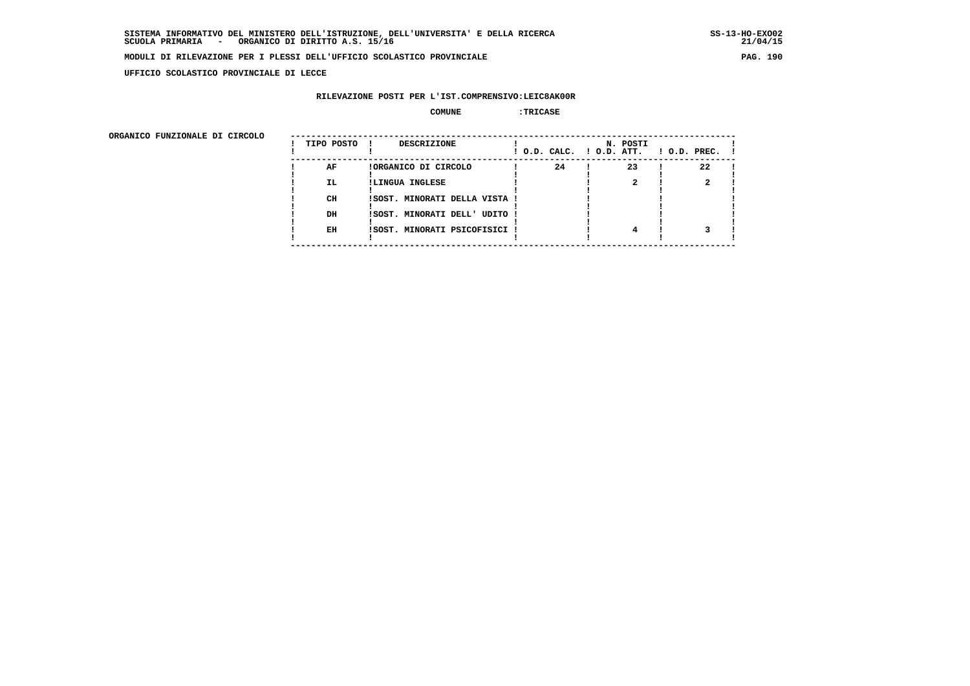**UFFICIO SCOLASTICO PROVINCIALE DI LECCE**

### **RILEVAZIONE POSTI PER L'IST.COMPRENSIVO:LEIC8AK00R**

#### **COMUNE :TRICASE**

| ORGANICO FUNZIONALE DI CIRCOLO |            |                               |                          |          |                    |
|--------------------------------|------------|-------------------------------|--------------------------|----------|--------------------|
|                                | TIPO POSTO | DESCRIZIONE                   | ! O.D. CALC. ! O.D. ATT. | N. POSTI | $1$ O.D. PREC. $1$ |
|                                | AF         | !ORGANICO DI CIRCOLO          | 24                       | 23       | 22                 |
|                                | IL.        | !LINGUA INGLESE               |                          |          |                    |
|                                | CH         | ISOST. MINORATI DELLA VISTA ! |                          |          |                    |
|                                | DH         | !SOST. MINORATI DELL' UDITO ! |                          |          |                    |
|                                | EH         | !SOST. MINORATI PSICOFISICI ! |                          | 4        |                    |
|                                |            |                               |                          |          |                    |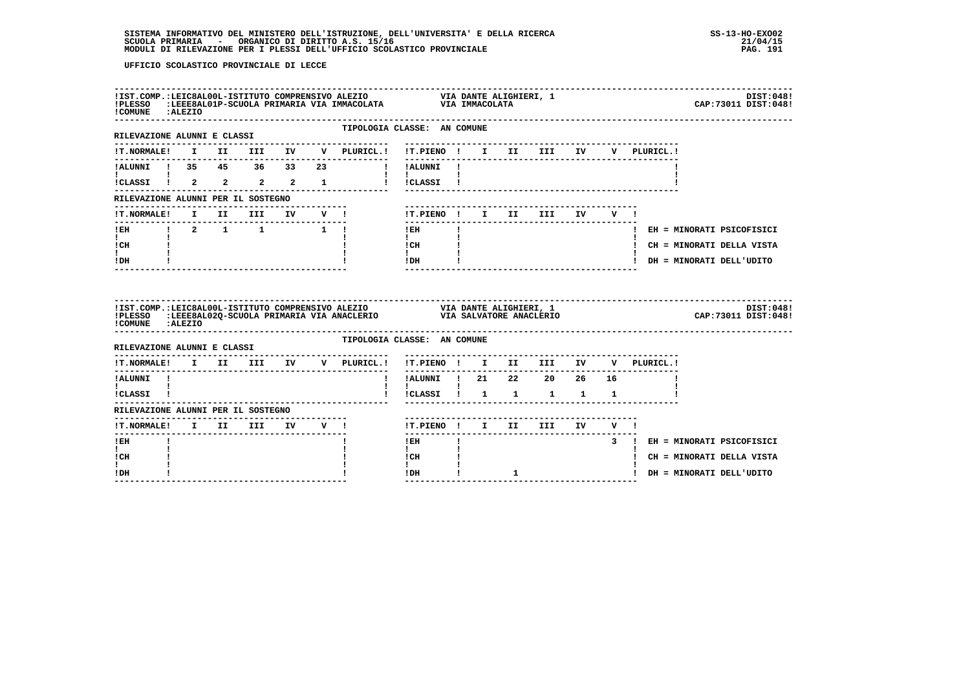| !COMUNE : ALEZIO<br>-----------------------                                                                                                                                                                                                                                                                   |  |  | ${\tt !IST.COMP.{EEC8AL00L-ISTITUTO CONPRENSIVO\ ALEZIO}\hspace{2.0cm} \tt VIA\ DANTE\ ALIGHTERI,\ 1\n! PLESSO\hspace{0.1cm} :EEE8AL01P-SCUOLA\hspace{0.1cm} PRIMARKIA\hspace{0.1cm} VIA\hspace{0.1cm} IMACOLATA\nonumber$ |                                                                                                                                                                                                                                                                                                                                            |              |                            |                            |             |                             | DIST:048!<br>CAP: 73011 DIST: 048! |
|---------------------------------------------------------------------------------------------------------------------------------------------------------------------------------------------------------------------------------------------------------------------------------------------------------------|--|--|----------------------------------------------------------------------------------------------------------------------------------------------------------------------------------------------------------------------------|--------------------------------------------------------------------------------------------------------------------------------------------------------------------------------------------------------------------------------------------------------------------------------------------------------------------------------------------|--------------|----------------------------|----------------------------|-------------|-----------------------------|------------------------------------|
| RILEVAZIONE ALUNNI E CLASSI                                                                                                                                                                                                                                                                                   |  |  | TIPOLOGIA CLASSE: AN COMUNE                                                                                                                                                                                                |                                                                                                                                                                                                                                                                                                                                            |              |                            |                            |             |                             |                                    |
|                                                                                                                                                                                                                                                                                                               |  |  |                                                                                                                                                                                                                            |                                                                                                                                                                                                                                                                                                                                            |              |                            |                            | V PLURICL.! |                             |                                    |
| !ALUNNI ! 35 45 36 33 23                                                                                                                                                                                                                                                                                      |  |  |                                                                                                                                                                                                                            | ! !ALUNNI !<br>$\mathbf{I}$ and $\mathbf{I}$ and $\mathbf{I}$                                                                                                                                                                                                                                                                              |              |                            |                            |             |                             |                                    |
| <b>I</b> and the state of the state of                                                                                                                                                                                                                                                                        |  |  | ICLASSI I 2 2 2 2 1 I ICLASSI I                                                                                                                                                                                            |                                                                                                                                                                                                                                                                                                                                            |              |                            |                            |             |                             |                                    |
| RILEVAZIONE ALUNNI PER IL SOSTEGNO                                                                                                                                                                                                                                                                            |  |  |                                                                                                                                                                                                                            |                                                                                                                                                                                                                                                                                                                                            |              |                            |                            |             |                             |                                    |
| <b>!T.NORMALE!</b>                                                                                                                                                                                                                                                                                            |  |  | I II III IV V !                                                                                                                                                                                                            | !T.PIENO ! I II III IV V !                                                                                                                                                                                                                                                                                                                 |              |                            |                            |             |                             |                                    |
|                                                                                                                                                                                                                                                                                                               |  |  | IEH   2 1 1 1                                                                                                                                                                                                              | ---------------<br>$!$ EH                                                                                                                                                                                                                                                                                                                  | $\mathbf{I}$ | -------------------------- |                            |             | ! EH = MINORATI PSICOFISICI |                                    |
| $\mathbf{I}$ and $\mathbf{I}$<br>ICH                                                                                                                                                                                                                                                                          |  |  |                                                                                                                                                                                                                            | $\mathbf{I}$ and $\mathbf{I}$<br>$\frac{1}{1}$ $\frac{1}{1}$                                                                                                                                                                                                                                                                               |              |                            |                            |             | ! CH = MINORATI DELLA VISTA |                                    |
| $\mathbf{I}$<br>! DH                                                                                                                                                                                                                                                                                          |  |  |                                                                                                                                                                                                                            | $!$ DH $\qquad$ $\qquad$ $\qquad$ $\qquad$ $\qquad$ $\qquad$ $\qquad$ $\qquad$ $\qquad$ $\qquad$ $\qquad$ $\qquad$ $\qquad$ $\qquad$ $\qquad$ $\qquad$ $\qquad$ $\qquad$ $\qquad$ $\qquad$ $\qquad$ $\qquad$ $\qquad$ $\qquad$ $\qquad$ $\qquad$ $\qquad$ $\qquad$ $\qquad$ $\qquad$ $\qquad$ $\qquad$ $\qquad$ $\qquad$ $\qquad$ $\qquad$ |              |                            |                            |             | ! DH = MINORATI DELL'UDITO  |                                    |
|                                                                                                                                                                                                                                                                                                               |  |  |                                                                                                                                                                                                                            | ----------------                                                                                                                                                                                                                                                                                                                           |              |                            |                            |             |                             |                                    |
| !COMUNE : ALEZIO                                                                                                                                                                                                                                                                                              |  |  |                                                                                                                                                                                                                            |                                                                                                                                                                                                                                                                                                                                            |              |                            |                            |             |                             |                                    |
| RILEVAZIONE ALUNNI E CLASSI                                                                                                                                                                                                                                                                                   |  |  | TIPOLOGIA CLASSE: AN COMUNE                                                                                                                                                                                                |                                                                                                                                                                                                                                                                                                                                            |              |                            |                            |             |                             |                                    |
|                                                                                                                                                                                                                                                                                                               |  |  | !T.NORMALE! I II III IV V PLURICL.!                                                                                                                                                                                        | !T.PIENO ! I II III IV                                                                                                                                                                                                                                                                                                                     |              |                            |                            | V PLURICL.! |                             |                                    |
| !ALUNNI !                                                                                                                                                                                                                                                                                                     |  |  |                                                                                                                                                                                                                            | !!ALUNNI ! 21  22  20  26  16                                                                                                                                                                                                                                                                                                              |              |                            |                            |             |                             |                                    |
| $\mathbf{1}$ and $\mathbf{1}$ and $\mathbf{1}$ and $\mathbf{1}$ and $\mathbf{1}$ and $\mathbf{1}$ and $\mathbf{1}$ and $\mathbf{1}$ and $\mathbf{1}$ and $\mathbf{1}$ and $\mathbf{1}$ and $\mathbf{1}$ and $\mathbf{1}$ and $\mathbf{1}$ and $\mathbf{1}$ and $\mathbf{1}$ and $\mathbf{1}$ and<br>!CLASSI ! |  |  | Ι.                                                                                                                                                                                                                         | $\mathbf{I}$                                                                                                                                                                                                                                                                                                                               |              | ICLASSI 1 1 1 1 1 1        |                            |             |                             |                                    |
| RILEVAZIONE ALUNNI PER IL SOSTEGNO                                                                                                                                                                                                                                                                            |  |  |                                                                                                                                                                                                                            |                                                                                                                                                                                                                                                                                                                                            |              |                            |                            |             |                             |                                    |
| !T.NORMALE! I II III IV V !                                                                                                                                                                                                                                                                                   |  |  |                                                                                                                                                                                                                            |                                                                                                                                                                                                                                                                                                                                            |              | !T.PIENO ! I II III IV V ! |                            |             |                             |                                    |
| ---------------<br>! EH                                                                                                                                                                                                                                                                                       |  |  |                                                                                                                                                                                                                            | $!$ EH                                                                                                                                                                                                                                                                                                                                     |              |                            | $\overline{\phantom{a}}$ 3 |             | ! EH = MINORATI PSICOFISICI |                                    |
| $\mathbf{I}$<br>! CH<br>I.                                                                                                                                                                                                                                                                                    |  |  |                                                                                                                                                                                                                            | $\mathbf{I}$<br>! CH<br>$\mathbf{I}$                                                                                                                                                                                                                                                                                                       |              |                            |                            |             | ! CH = MINORATI DELLA VISTA |                                    |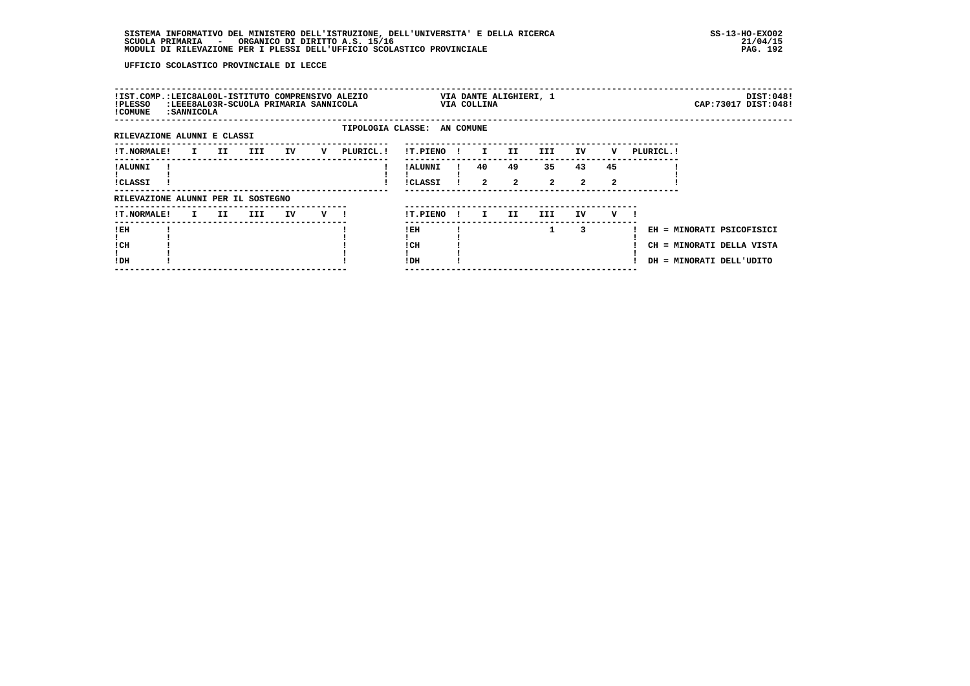| !IST.COMP.:LEIC8AL00L-ISTITUTO COMPRENSIVO ALEZIO<br>!PLESSO<br>! COMUNE | : SANNICOLA  |     |      | :LEEE8AL03R-SCUOLA PRIMARIA SANNICOLA |   |                             |                            |              | VIA COLLINA          | VIA DANTE ALIGHIERI, 1 |                      |                    |         |            |                                                                                    | DIST:048!<br>CAP: 73017 DIST: 048! |
|--------------------------------------------------------------------------|--------------|-----|------|---------------------------------------|---|-----------------------------|----------------------------|--------------|----------------------|------------------------|----------------------|--------------------|---------|------------|------------------------------------------------------------------------------------|------------------------------------|
| RILEVAZIONE ALUNNI E CLASSI                                              |              |     |      |                                       |   | TIPOLOGIA CLASSE: AN COMUNE |                            |              |                      |                        |                      |                    |         |            |                                                                                    |                                    |
| <b>!T.NORMALE!</b>                                                       | I.           | II  | III. | IV                                    | v | PLURICL.!                   | !T.PIENO                   |              | $\mathbf{I}$         | II.                    | III.                 | IV                 | v       | PLURICL. ! |                                                                                    |                                    |
| ! ALUNNI<br><b>!CLASSI</b>                                               |              |     |      |                                       |   |                             | ! ALUNNI<br><b>!CLASSI</b> |              | 40<br>$\overline{a}$ | 49<br>$\mathbf{2}$     | 35<br>$\overline{a}$ | 43<br>$\mathbf{2}$ | 45<br>2 |            |                                                                                    |                                    |
| RILEVAZIONE ALUNNI PER IL SOSTEGNO                                       |              |     |      |                                       |   |                             |                            |              |                      |                        |                      |                    |         |            |                                                                                    |                                    |
| <b>!T.NORMALE!</b>                                                       | $\mathbf{I}$ | II. | III  | IV                                    | v |                             | !T.PIENO                   | $\mathbf{I}$ | I.                   | II.                    | III.                 | IV                 | v       |            |                                                                                    |                                    |
| !EH<br>! CH<br>!DH                                                       |              |     |      |                                       |   |                             | ! EH<br>! CH<br>! DH       |              |                      |                        | 1                    | 3                  |         |            | EH = MINORATI PSICOFISICI<br>CH = MINORATI DELLA VISTA<br>DH = MINORATI DELL'UDITO |                                    |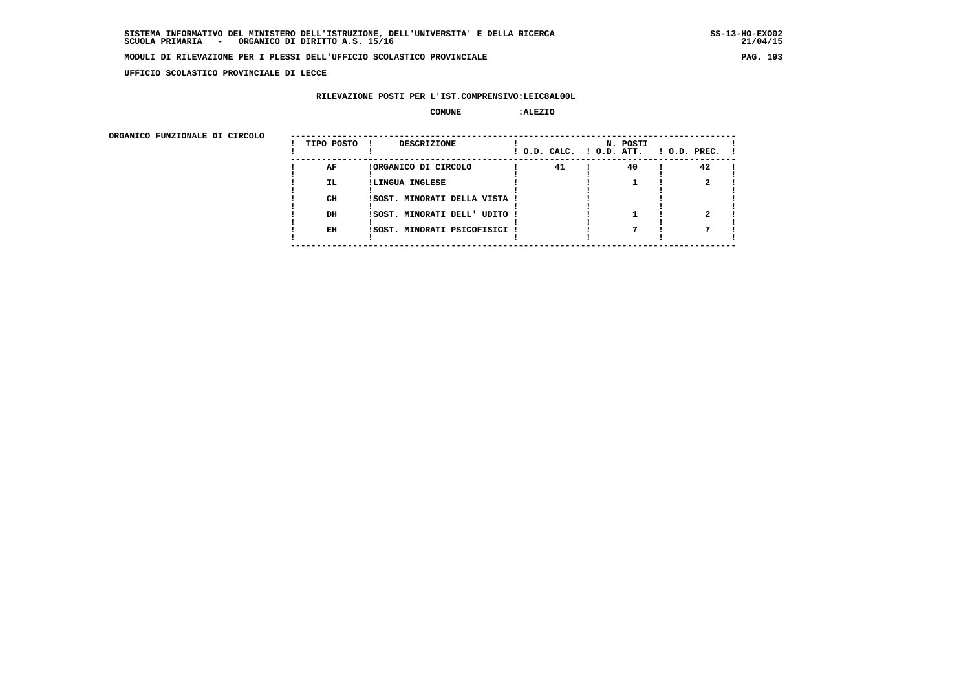**UFFICIO SCOLASTICO PROVINCIALE DI LECCE**

### **RILEVAZIONE POSTI PER L'IST.COMPRENSIVO:LEIC8AL00L**

#### **COMUNE :ALEZIO**

| ORGANICO FUNZIONALE DI CIRCOLO |            |                               |                          |          |                    |
|--------------------------------|------------|-------------------------------|--------------------------|----------|--------------------|
|                                | TIPO POSTO | DESCRIZIONE                   | ! O.D. CALC. ! O.D. ATT. | N. POSTI | $1$ O.D. PREC. $1$ |
|                                | AF         | !ORGANICO DI CIRCOLO          | 41                       | 40       | 42                 |
|                                | IL.        | !LINGUA INGLESE               |                          |          |                    |
|                                | CH         | !SOST. MINORATI DELLA VISTA ! |                          |          |                    |
|                                | DH         | !SOST. MINORATI DELL' UDITO ! |                          |          |                    |
|                                | EH         | !SOST. MINORATI PSICOFISICI ! |                          |          |                    |
|                                |            |                               |                          |          |                    |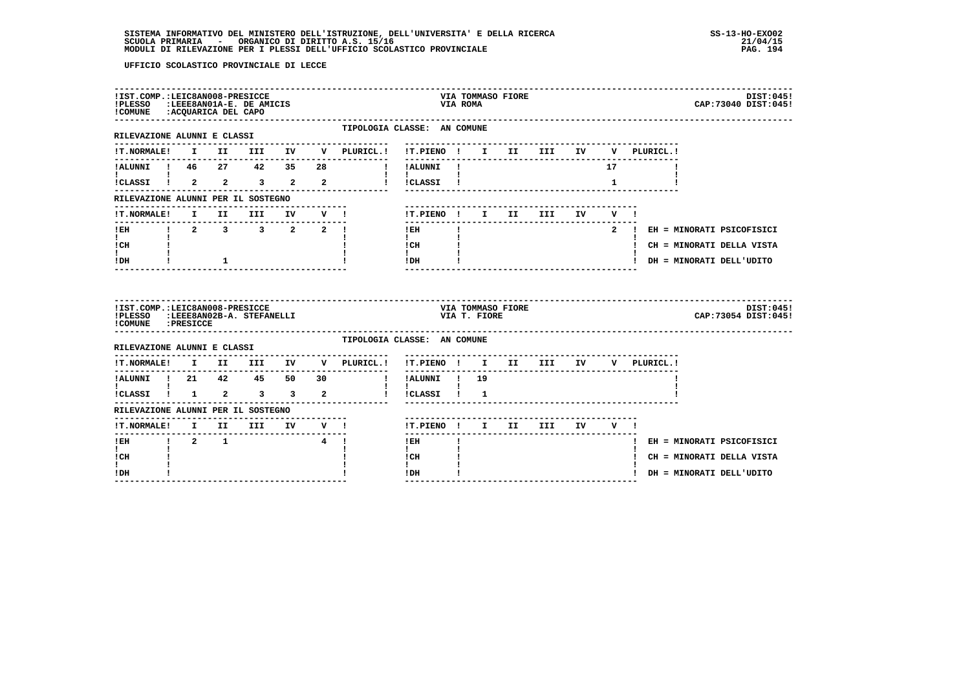| !PLESSO :LEEE8AN01A-E. DE AMICIS<br>!COMUNE : ACQUARICA DEL CAPO                                                                                                        |                     |              | !IST.COMP.:LEIC8AN008-PRESICCE |                  |                                                                                        |                                             | VIA ROMA     | VIA TOMMASO FIORE |                                 |    |              |             | DIST:045!<br>CAP: 73040 DIST: 045! |
|-------------------------------------------------------------------------------------------------------------------------------------------------------------------------|---------------------|--------------|--------------------------------|------------------|----------------------------------------------------------------------------------------|---------------------------------------------|--------------|-------------------|---------------------------------|----|--------------|-------------|------------------------------------|
| RILEVAZIONE ALUNNI E CLASSI                                                                                                                                             |                     |              |                                |                  | TIPOLOGIA CLASSE: AN COMUNE                                                            |                                             |              |                   |                                 |    |              |             |                                    |
|                                                                                                                                                                         |                     |              |                                |                  | IT. NORMALE! I II III IV V PLURICL.! IT. PIENO ! I II III IV                           |                                             |              |                   |                                 |    |              | V PLURICL.! |                                    |
|                                                                                                                                                                         |                     |              |                                |                  | I IALUNNI !                                                                            | -----------                                 |              |                   | ------------------------------- |    | 17           |             |                                    |
|                                                                                                                                                                         |                     |              |                                |                  | !CLASSI ! 2 2 3 2 2 ! !CLASSI !                                                        | $\mathbf{I}$ and $\mathbf{I}$               |              |                   |                                 |    | $\mathbf{1}$ |             |                                    |
| RILEVAZIONE ALUNNI PER IL SOSTEGNO                                                                                                                                      |                     |              |                                |                  |                                                                                        |                                             |              |                   |                                 |    |              |             |                                    |
| <b>!T.NORMALE!</b>                                                                                                                                                      |                     |              |                                |                  |                                                                                        | !T.PIENO ! I II III                         |              |                   |                                 | IV | $V = 1$      |             |                                    |
|                                                                                                                                                                         |                     |              |                                |                  |                                                                                        | $!$ EH                                      |              |                   |                                 |    |              |             | 2 ! EH = MINORATI PSICOFISICI      |
| $\mathbf{I}$ and $\mathbf{I}$<br>! CH                                                                                                                                   |                     |              |                                |                  |                                                                                        | $\mathbf{1}$<br>$\frac{1}{1}$ $\frac{1}{1}$ |              |                   |                                 |    |              |             | ! CH = MINORATI DELLA VISTA        |
| $\mathbf{I}$<br>! DH                                                                                                                                                    |                     | $\mathbf{1}$ |                                |                  |                                                                                        | $IDH$ $I$                                   |              |                   | ----------------------          |    |              |             | ! DH = MINORATI DELL'UDITO         |
|                                                                                                                                                                         |                     |              |                                |                  |                                                                                        |                                             |              |                   |                                 |    |              |             |                                    |
| !IST.COMP.:LEIC8AN008-PRESICCE<br>!PLESSO :LEEE8AN02B-A. STEFANELLI<br>!COMUNE : PRESICCE                                                                               |                     |              |                                |                  |                                                                                        |                                             | VIA T. FIORE | VIA TOMMASO FIORE |                                 |    |              |             | DIST:045!<br>CAP: 73054 DIST: 045! |
| RILEVAZIONE ALUNNI E CLASSI                                                                                                                                             |                     |              |                                |                  | TIPOLOGIA CLASSE: AN COMUNE                                                            |                                             |              |                   |                                 |    |              |             |                                    |
|                                                                                                                                                                         |                     |              |                                |                  | $\verb !T.NORMALE! \quad I \quad II \quad III \quad IV \quad V \quad \verb PLURICL. !$ | !T.PIENO ! I II III IV                      |              |                   |                                 |    |              | V PLURICL.! |                                    |
|                                                                                                                                                                         |                     |              |                                |                  |                                                                                        | ----------<br>! !ALUNNI ! 19                |              |                   |                                 |    |              |             |                                    |
|                                                                                                                                                                         |                     |              |                                |                  |                                                                                        | $\mathbf{I}$<br>! !CLASSI ! 1               |              |                   |                                 |    |              |             |                                    |
| RILEVAZIONE ALUNNI PER IL SOSTEGNO                                                                                                                                      |                     |              |                                |                  |                                                                                        |                                             |              |                   |                                 |    |              |             |                                    |
|                                                                                                                                                                         |                     |              |                                |                  |                                                                                        | !T.PIENO! I II III IV V!                    |              |                   |                                 |    |              |             |                                    |
| <u>KLENVALUAR ANDUSTRIAL II III IV V !</u><br>The contract of the contract of the contract of the contract of the contract of the contract of the contract of<br>$1$ EH | $1 \quad 2 \quad 1$ |              |                                | $\overline{4}$ 1 |                                                                                        | $!$ EH                                      |              |                   |                                 |    |              |             | ! EH = MINORATI PSICOFISICI        |
| $\mathbf{I}$<br>! CH<br>L                                                                                                                                               |                     |              |                                |                  |                                                                                        | $\mathbf{I}$<br>! CH<br>$\mathbf{I}$        |              |                   |                                 |    |              |             | ! CH = MINORATI DELLA VISTA        |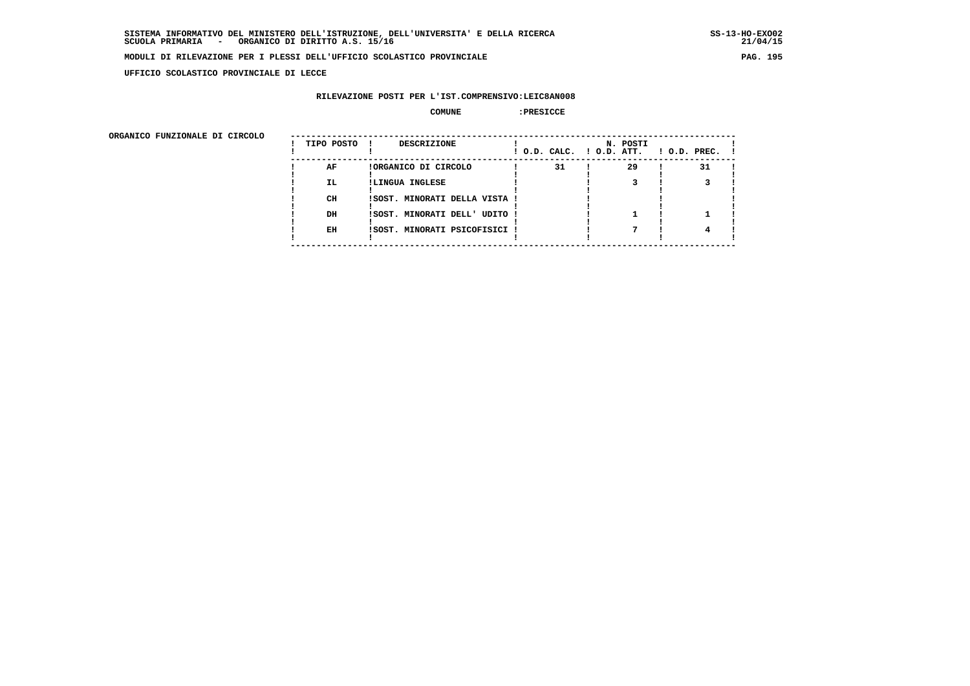**UFFICIO SCOLASTICO PROVINCIALE DI LECCE**

### **RILEVAZIONE POSTI PER L'IST.COMPRENSIVO:LEIC8AN008**

#### **COMUNE :PRESICCE**

| ORGANICO FUNZIONALE DI CIRCOLO |            |                               |                          |          |                    |
|--------------------------------|------------|-------------------------------|--------------------------|----------|--------------------|
|                                | TIPO POSTO | DESCRIZIONE                   | ! O.D. CALC. ! O.D. ATT. | N. POSTI | $1$ O.D. PREC. $1$ |
|                                | AF         | !ORGANICO DI CIRCOLO          | 31                       | 29       | 31                 |
|                                | IL.        | !LINGUA INGLESE               |                          |          |                    |
|                                | CH         | !SOST. MINORATI DELLA VISTA ! |                          |          |                    |
|                                | DH         | !SOST. MINORATI DELL' UDITO ! |                          |          |                    |
|                                | EH         | !SOST. MINORATI PSICOFISICI ! |                          |          |                    |
|                                |            |                               |                          |          |                    |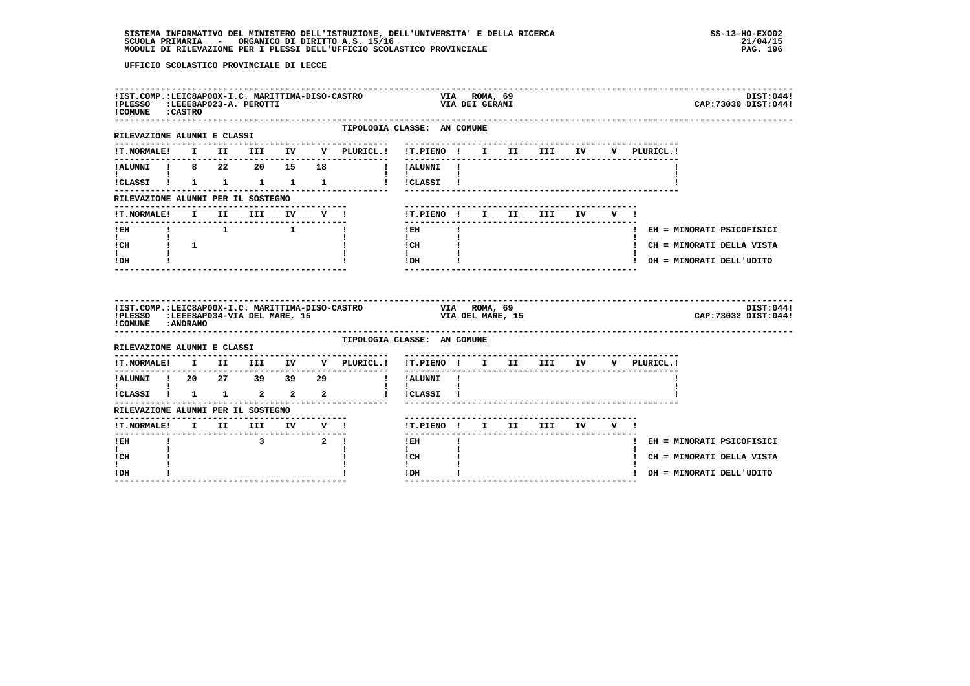| RILEVAZIONE ALUNNI E CLASSI<br>!T.NORMALE! I II III IV V PLURICL.!<br>!ALUNNI ! 8 22 20 15 18 !!!! ALUNNI!<br>$\mathbf{I}$ and $\mathbf{I}$ and $\mathbf{I}$<br>!CLASSI ! 1 1 1 1 1 1<br>RILEVAZIONE ALUNNI PER IL SOSTEGNO<br>!T.NORMALE! I II III IV V !<br>-------------------------------<br>$I$ EH<br>$\mathbf{I}$ and $\mathbf{I}$<br>$\frac{1}{2}$ CH $\frac{1}{2}$ 1<br>I.<br>IDH |       | TIPOLOGIA CLASSE: AN COMUNE<br>--------------------- | ---------------------------------<br>!T.PIENO ! I II III IV<br>$\mathbf{I}$ and $\mathbf{I}$<br>! !CLASSI !<br>! T.PIENO! I II III IV V!<br>---------------<br>$I$ EH<br>$\mathbf{I}$ and $\mathbf{I}$                                                                                                                                    | $\mathbf{I}$                                                          |                  |  |  | V PLURICL.!<br>! EH = MINORATI PSICOFISICI |
|-------------------------------------------------------------------------------------------------------------------------------------------------------------------------------------------------------------------------------------------------------------------------------------------------------------------------------------------------------------------------------------------|-------|------------------------------------------------------|-------------------------------------------------------------------------------------------------------------------------------------------------------------------------------------------------------------------------------------------------------------------------------------------------------------------------------------------|-----------------------------------------------------------------------|------------------|--|--|--------------------------------------------|
|                                                                                                                                                                                                                                                                                                                                                                                           |       |                                                      |                                                                                                                                                                                                                                                                                                                                           |                                                                       |                  |  |  |                                            |
|                                                                                                                                                                                                                                                                                                                                                                                           |       |                                                      |                                                                                                                                                                                                                                                                                                                                           |                                                                       |                  |  |  |                                            |
|                                                                                                                                                                                                                                                                                                                                                                                           |       |                                                      |                                                                                                                                                                                                                                                                                                                                           |                                                                       |                  |  |  |                                            |
|                                                                                                                                                                                                                                                                                                                                                                                           |       |                                                      |                                                                                                                                                                                                                                                                                                                                           |                                                                       |                  |  |  |                                            |
|                                                                                                                                                                                                                                                                                                                                                                                           |       |                                                      |                                                                                                                                                                                                                                                                                                                                           |                                                                       |                  |  |  |                                            |
|                                                                                                                                                                                                                                                                                                                                                                                           |       |                                                      |                                                                                                                                                                                                                                                                                                                                           |                                                                       |                  |  |  |                                            |
|                                                                                                                                                                                                                                                                                                                                                                                           |       |                                                      |                                                                                                                                                                                                                                                                                                                                           |                                                                       |                  |  |  |                                            |
|                                                                                                                                                                                                                                                                                                                                                                                           |       |                                                      |                                                                                                                                                                                                                                                                                                                                           | $\begin{array}{ccc}\n1 & \text{CH} & & & 1 \\ 1 & & & 1\n\end{array}$ |                  |  |  | ! CH = MINORATI DELLA VISTA                |
|                                                                                                                                                                                                                                                                                                                                                                                           |       |                                                      | $IDH$ $\qquad$ $\qquad$ $\qquad$ $\qquad$ $\qquad$ $\qquad$ $\qquad$ $\qquad$ $\qquad$ $\qquad$ $\qquad$ $\qquad$ $\qquad$ $\qquad$ $\qquad$ $\qquad$ $\qquad$ $\qquad$ $\qquad$ $\qquad$ $\qquad$ $\qquad$ $\qquad$ $\qquad$ $\qquad$ $\qquad$ $\qquad$ $\qquad$ $\qquad$ $\qquad$ $\qquad$ $\qquad$ $\qquad$ $\qquad$ $\qquad$ $\qquad$ |                                                                       |                  |  |  | ! DH = MINORATI DELL'UDITO                 |
| !IST.COMP.:LEIC8AP00X-I.C. MARITTIMA-DISO-CASTRO WIA ROMA, 69<br>!PLESSO :LEEE8AP034-VIA DEL MARE, 15<br>! COMUNE : ANDRANO                                                                                                                                                                                                                                                               |       |                                                      |                                                                                                                                                                                                                                                                                                                                           |                                                                       | VIA DEL MARE, 15 |  |  | DIST:044!<br>CAP: 73032 DIST: 044!         |
| RILEVAZIONE ALUNNI E CLASSI                                                                                                                                                                                                                                                                                                                                                               |       | TIPOLOGIA CLASSE: AN COMUNE                          |                                                                                                                                                                                                                                                                                                                                           |                                                                       |                  |  |  |                                            |
| !T.NORMALE! I II III IV V PLURICL.!                                                                                                                                                                                                                                                                                                                                                       |       |                                                      |                                                                                                                                                                                                                                                                                                                                           |                                                                       |                  |  |  | !T.PIENO! I II III IV V PLURICL.!          |
|                                                                                                                                                                                                                                                                                                                                                                                           |       |                                                      | ! !ALUNNI !                                                                                                                                                                                                                                                                                                                               |                                                                       |                  |  |  |                                            |
|                                                                                                                                                                                                                                                                                                                                                                                           |       |                                                      | $\mathbf{I}$<br>! !CLASSI !                                                                                                                                                                                                                                                                                                               |                                                                       |                  |  |  |                                            |
| RILEVAZIONE ALUNNI PER IL SOSTEGNO                                                                                                                                                                                                                                                                                                                                                        |       |                                                      |                                                                                                                                                                                                                                                                                                                                           |                                                                       |                  |  |  |                                            |
| !T.NORMALE! I II III IV V !                                                                                                                                                                                                                                                                                                                                                               |       |                                                      | !T.PIENO ! I II III IV V !                                                                                                                                                                                                                                                                                                                |                                                                       |                  |  |  |                                            |
| -------<br>$!$ EH                                                                                                                                                                                                                                                                                                                                                                         | 3 2 1 |                                                      | -------<br>$1$ EH                                                                                                                                                                                                                                                                                                                         |                                                                       |                  |  |  | ! EH = MINORATI PSICOFISICI                |
| I.<br>! CH                                                                                                                                                                                                                                                                                                                                                                                |       |                                                      | $\mathbf{I}$<br>! CH                                                                                                                                                                                                                                                                                                                      |                                                                       |                  |  |  | ! CH = MINORATI DELLA VISTA                |
| I.<br>! DH                                                                                                                                                                                                                                                                                                                                                                                |       |                                                      | $\mathbf{I}$<br>IDH                                                                                                                                                                                                                                                                                                                       | $\mathbf{I}$ and $\mathbf{I}$ and $\mathbf{I}$                        |                  |  |  | ! DH = MINORATI DELL'UDITO                 |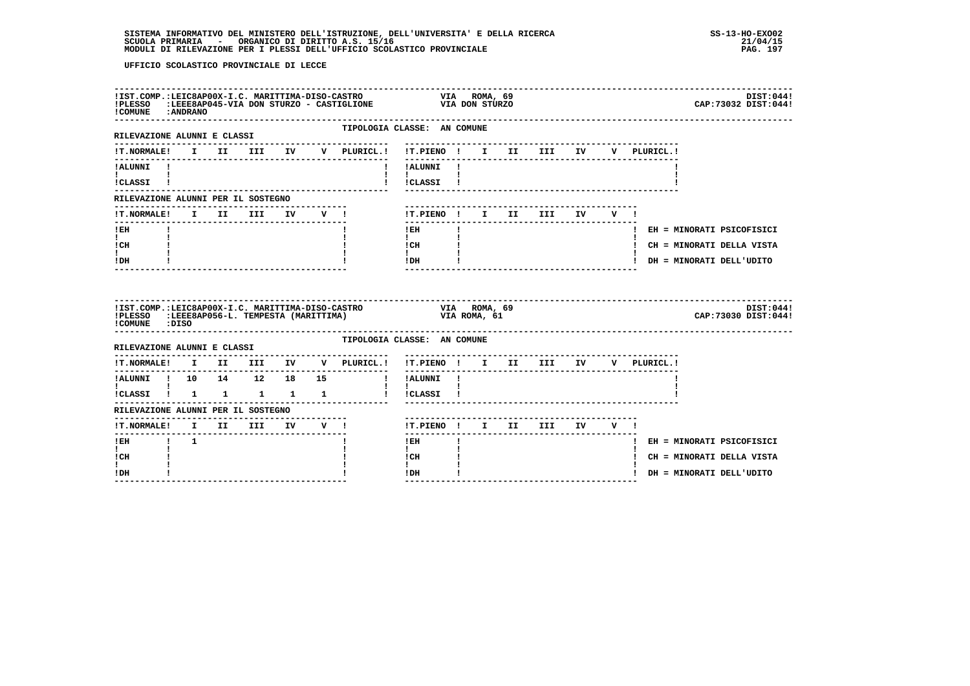|                                                                       | IIST.COMP.:LEIC8AP00X-I.C. MARITTIMA-DISO-CASTRO                         VIA   ROMA, 69<br>IPLESSO   :LEEE8AP045-VIA DON STURZO - CASTIGLIONE                   VIA DON STURZO<br>! COMUNE : ANDRANO |  |  |                                |  |  |                                                                                                                                                                                           |                                                                      |              |  |                                    |  |  | DIST:044!<br>CAP: 73032 DIST: 044! |
|-----------------------------------------------------------------------|------------------------------------------------------------------------------------------------------------------------------------------------------------------------------------------------------|--|--|--------------------------------|--|--|-------------------------------------------------------------------------------------------------------------------------------------------------------------------------------------------|----------------------------------------------------------------------|--------------|--|------------------------------------|--|--|------------------------------------|
| RILEVAZIONE ALUNNI E CLASSI                                           |                                                                                                                                                                                                      |  |  |                                |  |  | TIPOLOGIA CLASSE: AN COMUNE<br>-------------                                                                                                                                              | --------------------------                                           |              |  |                                    |  |  |                                    |
|                                                                       |                                                                                                                                                                                                      |  |  |                                |  |  | !T.NORMALE! I II III IV V PLURICL.! !T.PIENO ! I II III IV V PLURICL.!                                                                                                                    |                                                                      |              |  |                                    |  |  |                                    |
| !ALUNNI !<br><b>I</b> and the state of the state of                   |                                                                                                                                                                                                      |  |  |                                |  |  |                                                                                                                                                                                           | ! !ALUNNI !<br>$\mathbf{I}$ and $\mathbf{I}$ and $\mathbf{I}$        |              |  |                                    |  |  |                                    |
| !CLASSI !                                                             |                                                                                                                                                                                                      |  |  |                                |  |  |                                                                                                                                                                                           | ! !CLASSI !                                                          |              |  |                                    |  |  |                                    |
| RILEVAZIONE ALUNNI PER IL SOSTEGNO                                    |                                                                                                                                                                                                      |  |  |                                |  |  |                                                                                                                                                                                           |                                                                      |              |  |                                    |  |  |                                    |
| !T.NORMALE! I II III IV V !                                           |                                                                                                                                                                                                      |  |  |                                |  |  |                                                                                                                                                                                           | !T.PIENO ! I II III IV V !                                           |              |  |                                    |  |  |                                    |
| $!$ EH<br>$\mathbf{I}$ and $\mathbf{I}$                               |                                                                                                                                                                                                      |  |  |                                |  |  |                                                                                                                                                                                           | I EH<br>$\mathbf{I}$                                                 | $\mathbf{I}$ |  |                                    |  |  | ! EH = MINORATI PSICOFISICI        |
| ! CH<br>t i                                                           |                                                                                                                                                                                                      |  |  |                                |  |  |                                                                                                                                                                                           | $\begin{array}{ccc}\n1 \text{ CH} & & & 1 \\ 1 & & & 1\n\end{array}$ |              |  |                                    |  |  | ! CH = MINORATI DELLA VISTA        |
| ! DH                                                                  |                                                                                                                                                                                                      |  |  |                                |  |  |                                                                                                                                                                                           | IDH                                                                  |              |  | _________________________________  |  |  | ! DH = MINORATI DELL'UDITO         |
|                                                                       |                                                                                                                                                                                                      |  |  |                                |  |  |                                                                                                                                                                                           |                                                                      |              |  |                                    |  |  |                                    |
| !COMUNE : DISO                                                        |                                                                                                                                                                                                      |  |  |                                |  |  | IIST.COMP.:LEIC8AP00X-I.C. MARITTIMA-DISO-CASTRO                               VIA     ROMA, 69<br>IPLESSO   :LEEE8AP056-L. TEMPESTA (MARITTIMA)                             VIA ROMA, 61 |                                                                      |              |  |                                    |  |  | DIST:044!<br>CAP: 73030 DIST: 044! |
| ------------------<br>RILEVAZIONE ALUNNI E CLASSI                     |                                                                                                                                                                                                      |  |  |                                |  |  | TIPOLOGIA CLASSE: AN COMUNE                                                                                                                                                               |                                                                      |              |  |                                    |  |  |                                    |
|                                                                       |                                                                                                                                                                                                      |  |  |                                |  |  | !T.NORMALE! I II III IV V PLURICL.! !T.PIENO ! I II III IV V PLURICL.!                                                                                                                    |                                                                      |              |  |                                    |  |  |                                    |
|                                                                       |                                                                                                                                                                                                      |  |  |                                |  |  | !ALUNNI ! 10 14 12 18 15 ! !ALUNNI !                                                                                                                                                      | ________                                                             |              |  | ---------------------------------- |  |  |                                    |
| $\mathbf{I}$ and $\mathbf{I}$ and $\mathbf{I}$<br>!CLASSI ! 1 1 1 1 1 |                                                                                                                                                                                                      |  |  |                                |  |  |                                                                                                                                                                                           | $\mathbf{1}$ $\mathbf{1}$<br>! !CLASSI !                             |              |  |                                    |  |  |                                    |
| RILEVAZIONE ALUNNI PER IL SOSTEGNO                                    |                                                                                                                                                                                                      |  |  |                                |  |  |                                                                                                                                                                                           |                                                                      |              |  |                                    |  |  |                                    |
| !T.NORMALE! I II III IV V !                                           |                                                                                                                                                                                                      |  |  |                                |  |  |                                                                                                                                                                                           | !T.PIENO ! I II III IV V !                                           |              |  |                                    |  |  |                                    |
| !EH ! 1                                                               |                                                                                                                                                                                                      |  |  |                                |  |  |                                                                                                                                                                                           | ------<br>$1$ EH $\sim$                                              |              |  |                                    |  |  | ! EH = MINORATI PSICOFISICI        |
| $\mathbf{I}$<br>! CH                                                  |                                                                                                                                                                                                      |  |  |                                |  |  |                                                                                                                                                                                           | $\mathbf{I}$<br>! CH                                                 |              |  |                                    |  |  | ! CH = MINORATI DELLA VISTA        |
| I.<br>! DH                                                            |                                                                                                                                                                                                      |  |  | ------------------------------ |  |  |                                                                                                                                                                                           | $\mathbf{I}$<br>! DH                                                 |              |  |                                    |  |  | ! DH = MINORATI DELL'UDITO         |